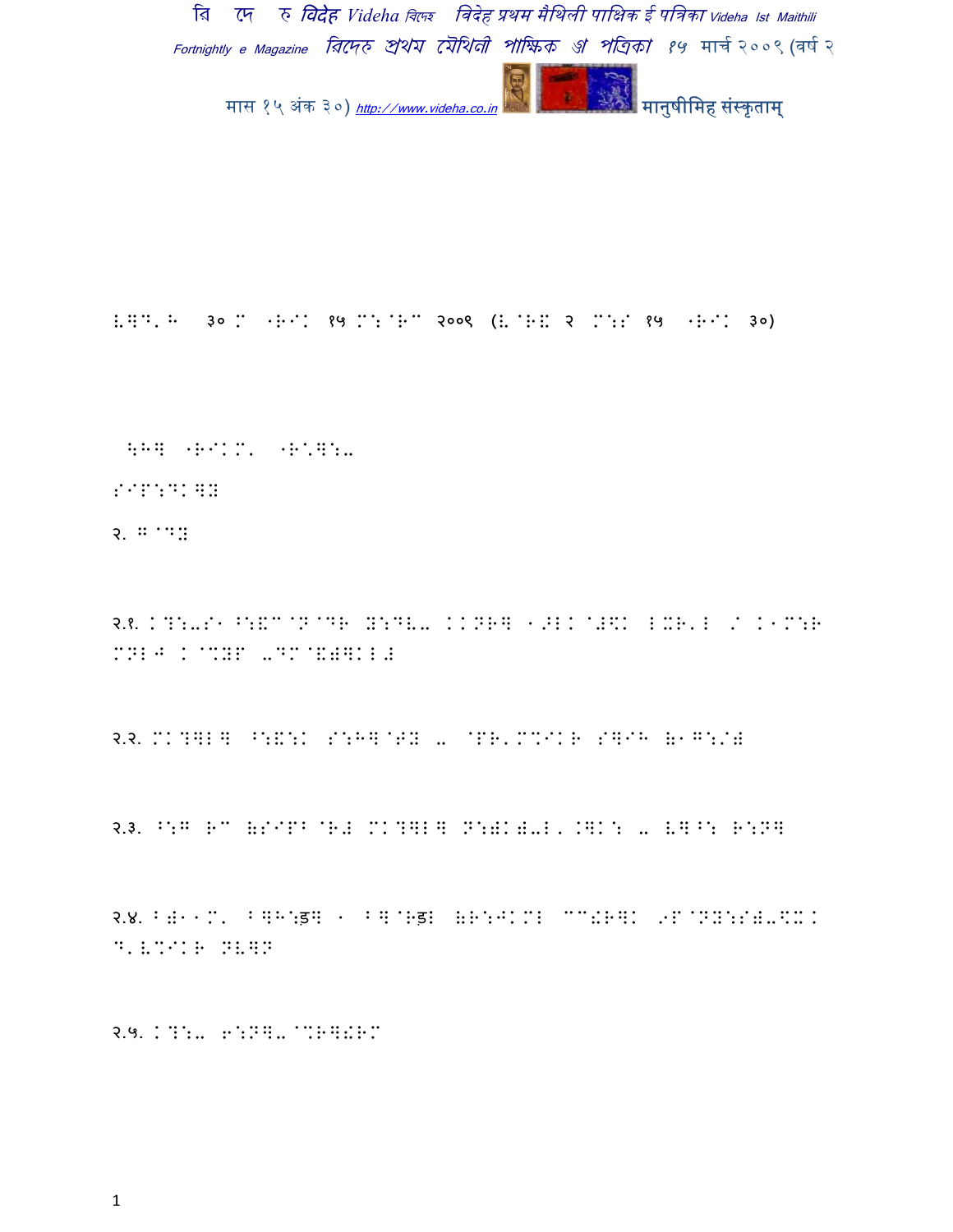मास १५ अंक ३०) http://www.videha.co.in स्थिति क्रिकेट मानुषीमिह संस्कृताम्

 $E \oplus E^*$ ,  $E^*$  30 M  $\oplus E^*$  (199 M: Fig. 2008 (E Fig. 2 M:S 19  $\oplus E^*$  30)

\H| RIKM' \R| RIKM' \R| RIKM' RIKM' RIKM' RIKM' RIKM' RIKM' RIKM' RIKM' RIKM' RIKM' RIKM' RIKM' RIKM' RIKM' RI

SIP:DAY

२.  $\frac{1}{2}$   $\frac{1}{2}$ 

२.१. 1 KYEF (PER YEAR AND IS DERE (KANRI LANG) 3 DER EN SKYLDER MNLJ K@%YP -DM@&)]KL#

२.२. MK?ERE ROOMERS - WARRING - WORLDWICH (2004) BORNING

२.३. २:म ३८ अ.२२. १९३. १९ सप्ट २ प्रथा में प्रशासन पर अपने प्रथम पर प्रथम करने प्रथम

२.४. Fabio C. Bittings 1 B. Bittings (Report Co. Richard Corporation C D'V%IKR NV]N

२.५. MIRE 6: 6:198. MIRE 6: 2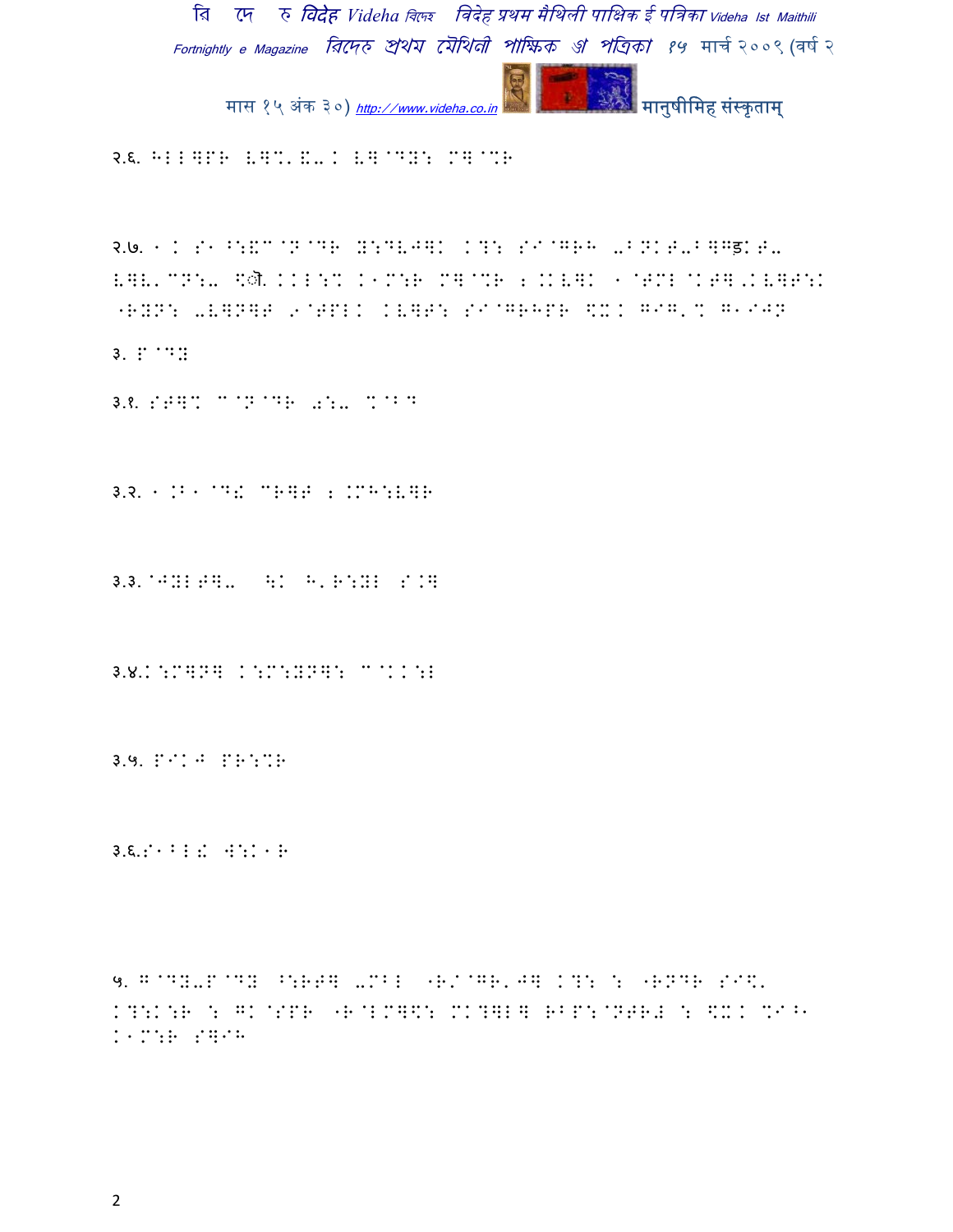मास १५ अंक ३०) http://www.videha.co.in III | मानु को मानुषीमिह संस्कृताम्

२.६. HELEWER EST. E.. I ESTREE TSTTE

२.७. 1. S1^:&C@N@DR Y:DVJ]K K?: SI@GRH -BNKT-B]Gड़KT- $V$ EAL: "PAL ARM (1997) (PATAE) PANTE (1998) (PATAE) (PAR) (PAR).KAPEAN "RENOTE ALBUME STANDI SALDARI SIMBANG \$X. GIGHE \$PART " GIG" (GIGHE

 $3. f'''$ 

३.१. ST]% C@N@DR 0:- %@BD

 $3.2. + 11 + 1.92$   $7.849$   $8.791$ 

3.3. WHITHAN HIRS REPORT OF TH

३.४.K:M]N] K:M:YN]: C@KK:L

3.9. PPIC PRINTR

 $3.6.5 + 1.6 + 1.1 + 1.6$ 

**५. B TRELE TRE (FEBRUARD) -BL "BELGRE (FEBRUARD) -BRYBE SIST.** KREADED TO GENERAL SERVER IN THE BEFORE IN THE SOUTH IN THE SAME IN THE SAME IN THE SAME IN THE SAME IN THE SA K1M:R S]IH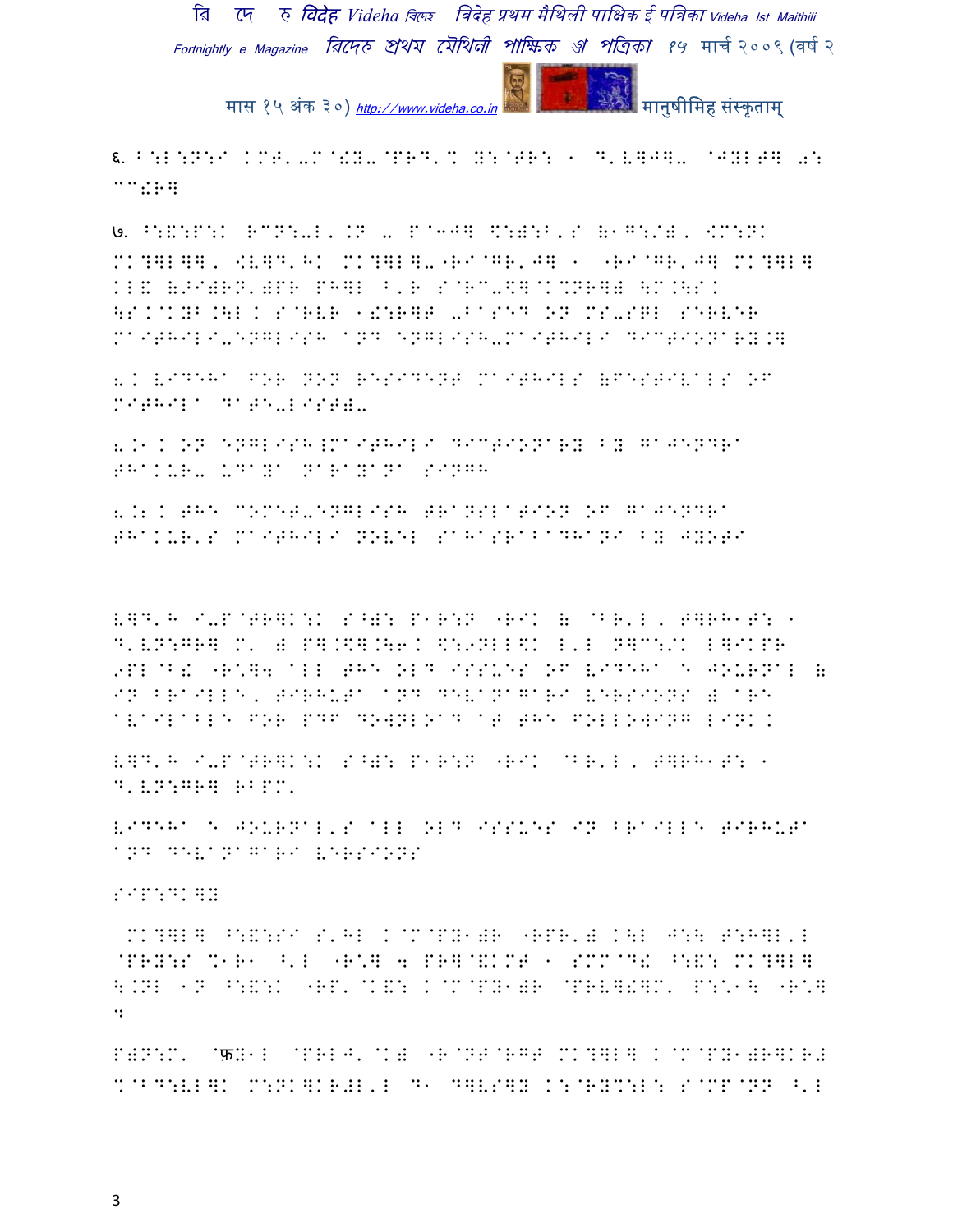मास १५ अंक ३०) http://www.videha.co.in<br>| मानुषीमिह संस्कृताम्

६. B:L:N:I KMT'-M@!Y-@PRD'% Y:@TR: 1 D'V]J]- @JYLT] 0:  $\cdots$  constants

७. ^:&:N:P:N:-l-TP:X:: . (P=4) #:10:00:N:R:/:B:/P:/:B:/-CPN: MK?]L]], [V]D'HK MK?]L]-"RI@GR'J] 1 "RI@GR'J] MK?]L] KLE GARGER, AND PRUD ALD SOMMARH NORDHA AN DEN  $\sim$  S.C. deviation of the Frontier on Stephen Montgomer on Montgomer on Media Server MaITHILI-ENGLISH aND ENGLISH-MaITHILI DICTIONaRY.]

8. VIDEHa FOR NON RESIDENT MaITHILS (FESTIVaLS OF MITHILA DATE-LIST DATE-LIST

8.1. ON ENGLISH\_MaITHILI DICTIONaRY BY GaJENDRa THAKUR- UDAYA NARAYA NARAYA NA

8.2. THE COMET-ENGLISH TRaNSLaTION OF GaJENDRa THAKUR'S MAITHILI NOVEL SAHASPADHANI BY JYOTING SAHASRABADHANI BY JYOTING SAHASRABADHANI BYOTING SAHASRABADHAN

V]D'H I-P@TR]K:K S^): P1R:N "RIK ( @BR'L, T]RH1T: 1 D'VN:GR] M' ) P].\$].\6. \$:9NLL\$K L'L N]C:/K L]IKPR 9PL@B! "R\*]4 aLL THE OLD ISSUES OF VIDEHa E JOURNaL ( IN BRaILLE, TIRHUTa aND DEVaNaGaRI VERSIONS ) aRE aVaILaBLE FOR PDF DOWNLOaD aT THE FOLLOWING LINK.

V]D'H I-P@TR]K:K S^): P1R:N "RIK @BR'L, T]RH1T: 1 D'VN:GR] RBPM'

VIDEHa E JOURNaL'S aLL OLD ISSUES IN BRaILLE TIRHUTa

aND DEVaNaGaRI VERSIONS

SIP:DAY

 MK?]L] ^:&:SI S'HL K@M@PY1)R "RPR') K\L J:\ T:H]L'L @PRY:S %1R1 ^'L "R\*] 4 PR]@&KMT 1 SMM@D! ^:&: MK?]L] \.NL 1N ^:&:K "RP'@K&: K@M@PY1)R @PRV]!]M' P:\*1\ "R\*]  $\dddot{\phantom{1}}$ 

PAPYS, MBHL MPRLA, MA ARMPAMEA SINHE MAMMINGEREN %@BO:VLECHECHIC MELEL EN DYSTORER HE LIGNED OF THE WORLD AND NOT DEVELOP. THE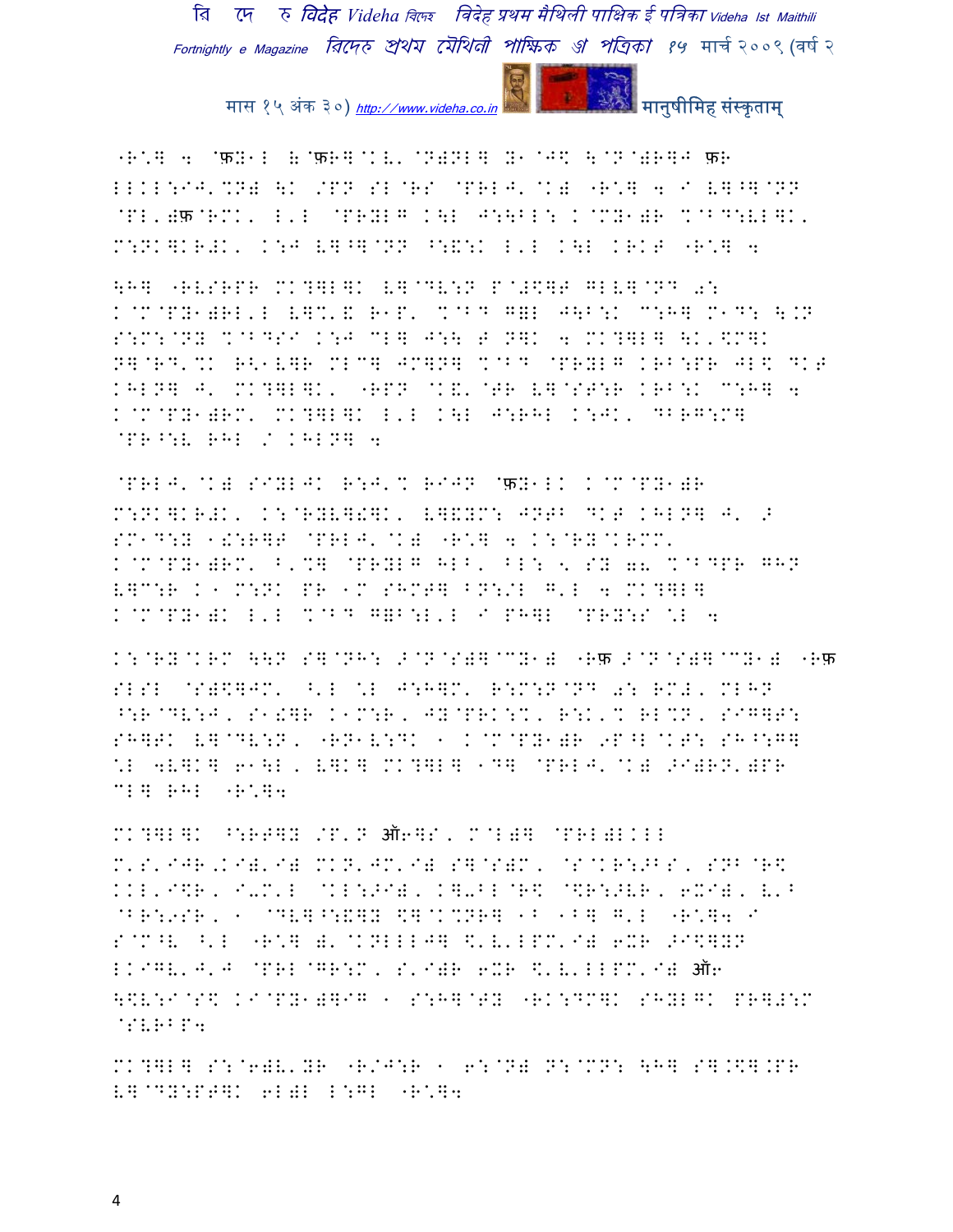मास १५ अंक ३०) <u>http://www.videha.co.in</u><br>| मानुषीमिह संस्कृताम्

 $\mathcal{A}$  and  $\mathcal{A}$  are  $\mathcal{B}$  and  $\mathcal{B}$  are  $\mathcal{B}$  . The subsequential operator  $\mathcal{B}$  and  $\mathcal{B}$ LLCONS AND THE SLOW OF REAL TOOLS AND A SCOLENTING @PELVBRYLG LOCAL DOPENER CAL VANAFEN CONTROLER TO PARENT. MYSTED BOOK ON A BEPENDED FYBYDD I KIN CHENDED YN YN AR

\H] "RVSRPR MK?]L]K V]@DV:N P@#\$]T GLV]@ND 0: K@M@PY1)RL'L V]%'& R1P' %@BD G=L J\B:K C:H] M1D: \.N S:M: MH: M: P: Class Miss A: B: B: MH: A: MI: H: A: MMH: N]@RD'%K R<1V]R MLC] JM]N] %@BD @PRYLG KRB:PR JL\$ DKT KHLN] J' MK?]L]K' "RPN @K&'@TR V]@ST:R KRB:K C:H] 4 K L'ARM ARANG L'ARMANI L'ARM ARANG DA L'ARMANI L'ARMANI L'ARMANI L'ARMANI L'ARMANI L'ARMANI L'ARMANI D'ARMANI<br>L'III D'ARM ARANG DA L'ARMANI L'ARM ARANG DA L'ARMANI L'ARMANI L'ARMANI L'ARMANI L'ARMANI L'ARMANI L'ARMANI L' @PR^:V RHL / KHLN] 4

@PRLJ'@K) SIYLJK R:J'% RIJN @फ़Y1LK K@M@PY1)R M:N:NK| K:@RYV] | K:@RYVIII|HEIM: | BHINK': JHINK| JI II| JAY| JI JI JI JI JI JI SM1D:Y 1!:R]T @PRLJ'@K) "R\*] 4 K:@RY@KRMM' K@M@PY1)RM' B'%] @PRYLG HLB' BL: 5 SY 78 %@BDPR GHN V]C:R K" M:NK PR 1M SHMT] BN:/L G'L 4 MK?]L] K@MPY101-1010 KOMPART COMPART (PHIL @PRY:S & LA

K: N: Th SHIM IS THE REPORT OF THE ROCK OF THE REPORT OF THE ROCK OF THE ROCK OF THE REPORT OF THE REPORT OF T SLSL @S)\$]JM' ^'L \*L J:H]M' R:M:N@ND 0: RM#, MLHN ^:R@DV:J, S1!]R K1M:R, JY@PRK:%, R:K'% RL%N, SIG]T: SHART BATARY SHIRTK VII KORRA DA NA SHIRTA 1 \*L 4V]K] 61\L, V]K] MK?]L] 1D] @PRLJ'@K) >I)RN')PR CL] RHL "R\*]4

MAKRED MAKER AND STREET AND STREET WARRANT OF THE SERVE OF THE SERVE OF THE SERVE OF THE SERVE OF THE SERVE OF MYS'IJR, KINO SA NA MANJI SA NA MARA NA MARA NA MARA NA MARA NA MARA NA MARA NA MARA NA MARA NA MARA NA MARA NA KKL'ISR, I-MATLE (MESHING, KALIENSE MARK MARKETING, ANGKA ALI  $\mathcal{B}^*$  :  $\mathcal{B}^*$  . The probability of  $\mathcal{B}^*$  is the probability of  $\mathcal{B}^*$  is the probability of  $\mathcal{B}^*$ SOM RECORDS TO A REPORT BY A LITTLE STOP OF BUILDING LKIGV'J'J @PRL@GR:M, S'I)R 6XR \$'V'LLPM'I) ऑ6  $\,$  S R Is a KI  $\,$  C in Sec. ( ) In Sec. ( ) In Sec. ( ) In Sec. ( ) In Sec. ( ) In Sec. ( ) In Sec. ( ) In Sec. @SVRBP4

MK?]L] S:@6)V'YR "R/J:R 1 6:@N) N:@MN: \H] S].\$].PR LE VERSPARD (FLAD) (1991) (FLAD)

4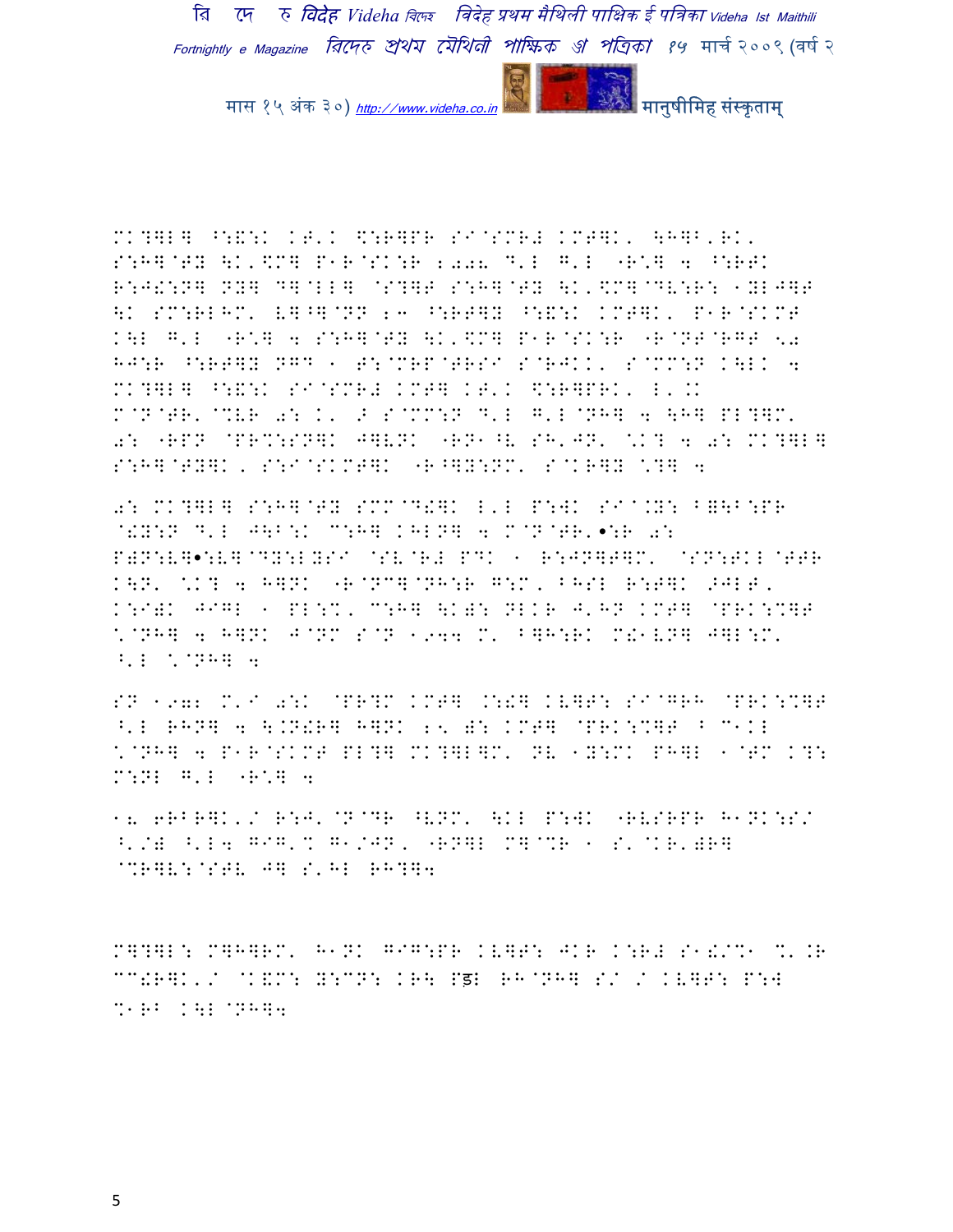मास १५ अंक ३०) <u>http://www.videha.co.in</u><br>सास १५ अंक ३०) <u>http://www.videha.co.in</u>

MK?) \*: MARY SIGNER SIGNER SIGNER SIGNER SIGNER SIGNER SIGNER SIGNER SIGNER SIGNER SIGNER SIGNER SIGNER SIGNER S:H]@TY \K'\$M] P1R@SK:R 2008 D'L G'L "R\*] 4 ^:RTK R:J:N:P# PH# P# TE# (21## 21##1#1 A:.R:#("K:H: | XI-4##  $K$  smaller for  $\lambda$  and for the  $\lambda$   $\lambda$  constants  $\lambda$  for  $R$  and  $\lambda$  and  $\lambda$   $\lambda$  and  $\lambda$   $\lambda$   $\lambda$  and  $\lambda$   $\lambda$  and  $\lambda$   $\lambda$  and  $\lambda$  and  $\lambda$  and  $\lambda$  and  $\lambda$  and  $\lambda$  and  $\lambda$  and  $\lambda$  and  $\lambda$  and  $\lambda$  and K. A: ET "R\*) 4 S:HA SA: HI "ROSK" (ROSK: R P1R@SK: SK: P1R@SK: P1R@SK: R P1R@SK: HAGE (PGEARD 1 PRIMA) AGENTRE GAERY SOMERING SOMETRI SOMERING MK?]L] ^:&:K SI@SMR# KMT] KT'K \$:R]PRK' L'.K MONDER MAN SOME PROVINCE CONTROLLED AND DETECT 0: "RPN MPR%:SPN: "RH1P: "RPP" H1 (PR) PR) (10: MK 10: MK9HER  $\mathcal{S}$  , and the state  $\mathcal{S}$  , and the state  $\mathcal{S}$  , and the state  $\mathcal{S}$  , and the state  $\mathcal{S}$ 

0: MK?]L] S:H]@TY SMM@D!]K L'L P:WK SI@.Y: B=\B:PR @!Y:N D'L J\B:K C:H] KHLN] 4 M@N@TR'•:R 0: PAPALB•GLETTSHISP (GLIBSTE) PDK 199428882. (SPGB) MAR KAR, KIS 4 HERK (BOTTECHNIK PAT, PANE BANKE JULE, K:I)K JIGL 1 PL:%, C:H] \K): NLKR J'HN KMT] @PRK:%]T \*@NH] 4 H]NK J@NM S@N 1944 M' B]H:RK M!1VN] J]L:M'  $\ddot{\mathcal{H}}$  :  $\ddot{\mathcal{H}}$   $\ddot{\mathcal{H}}$   $\ddot{\mathcal{H}}$   $\ddot{\mathcal{H}}$ 

 $\sim$  SN  $\sim$  Million and the contribution of the contribution of the contribution of the contribution of the contribution of the contribution of the contribution of the contribution of the contribution of the contribution  $\mathcal{F}_L$  RHND 4  $\mathcal{F}_R$  (2000)  $\mathcal{F}_R$  (2000): A  $\mathcal{F}_R$  (2000)  $\mathcal{F}_R$  (2000)  $\mathcal{F}_R$  (2000)  $\mathcal{F}_R$ \*@NH] 4 P1R@SKMT PL?] MK?]L]M' NV 1Y:MK PH]L 1@TM K?: M:NL G'L "R\*] 4

18 6RBR]K'/ R:J'@N@DR ^VNM' \KL P:WK "RVSRPR H1NK:S/  $^{\circ}$  F,  $^{\prime}$  G  $^{\prime}$  G  $^{\prime}$  G  $^{\prime}$  G  $^{\prime}$  G  $^{\prime}$  G  $^{\prime}$  G  $^{\prime}$  G  $^{\prime}$  G  $^{\prime}$  G  $^{\prime}$  G  $^{\prime}$  G  $^{\prime}$  G  $^{\prime}$  G  $^{\prime}$  G  $^{\prime}$  G  $^{\prime}$  G  $^{\prime}$  G  $^{\prime}$  G  $^{\prime}$  G  $^{\prime}$  G  $^{\prime}$  G  $^{\prime}$  G  $^{\prime$ @%R]V:@STV J] S'HL RH?]4

M]?]L: M]H]RM' H1NK GIG:PR KV]T: JKR K:R# S1!/%1 %'.R COMERCIAL CONSTRUCTION OF PS PROVIDED S/ / CERES PYS **W** R K K K K K K K K K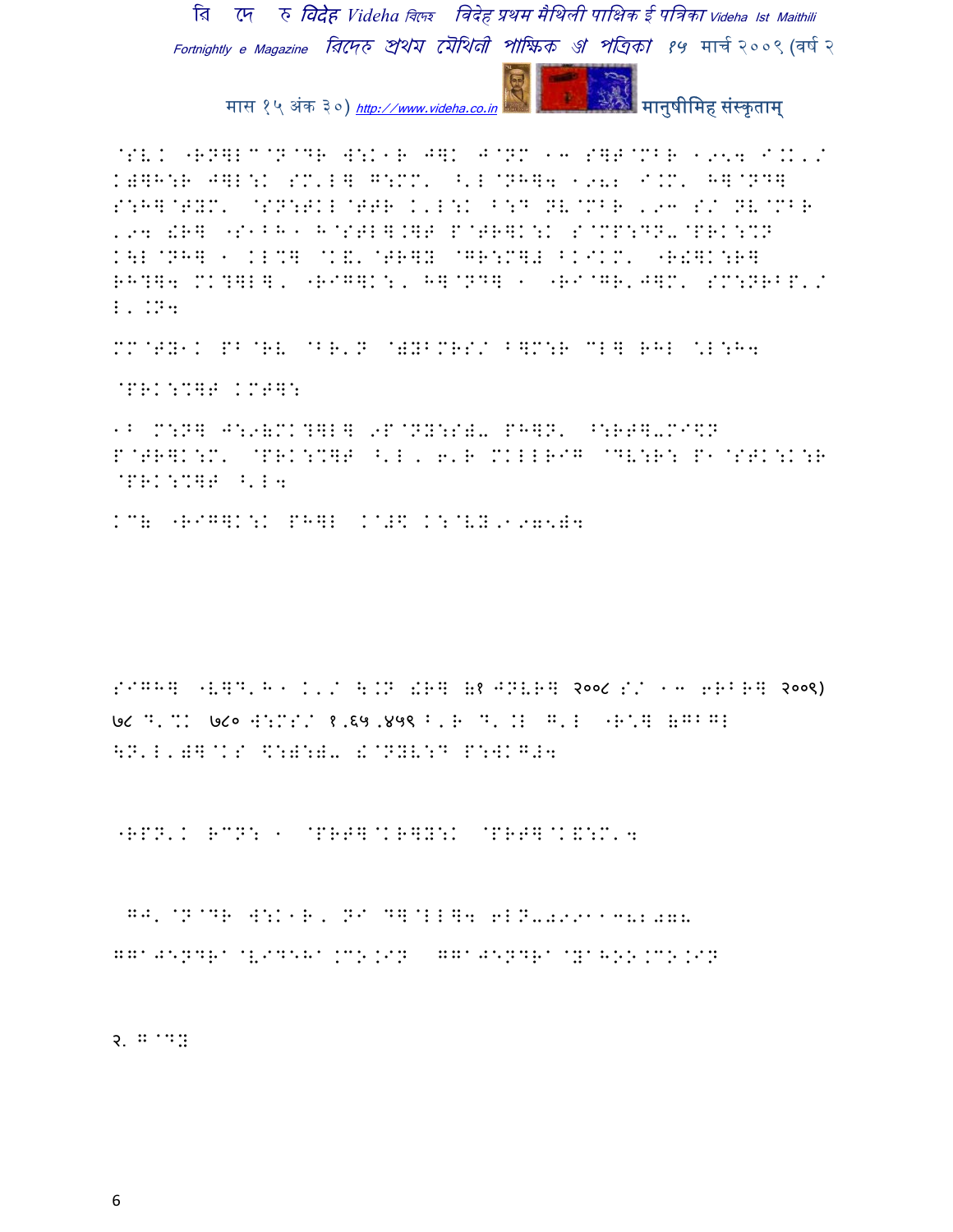मास १५ अंक ३०) <u>http://www.videha.co.in</u><br>सास १५ अंक ३०) <u>http://www.videha.co.in</u>

@SV. "RN]LC@N@DR W:K1R J]K J@NM 13 S]T@MBR 1954 I.K'/ K)]H:R J]L:K SM'L] G:MM' ^'L@NH]4 1982 I.M' H]@ND] START MONTH OF THR KILLED AND THE THR KILL BIT THR THR IN THE '94 !R] "S1BH" H@STL].]T P@TR]K:K S@MP:DN-@PRK:%N KAB MAH 1 KL MENGER MARKAT PROVINSI DI SERBIT RH?]4 MK?]L], "RIG]K:, H]@ND] 1 "RI@GR'J]M' SM:NRBP'/ L'.N4

MM THR PRODUCED A REPORT OF BUILDING AND THE SERVICE OF THE SERVICE OF THE SERVICE OF THE SERVICE OF THE SERVICE OF THE SERVICE OF THE SERVICE OF THE SERVICE OF THE SERVICE OF THE SERVICE OF THE SERVICE OF THE SERVICE OF T

@PRK:%]T KMT]:

1B M:N] J:10(MK) J:0(MK) J:0(MK)-MI\$NY:S)- PHINY:S)-MI\$NY:S; POPERINT, CREINTRE RIC P.E. MILLERA CRENE BY PRINCIP @PRK:%]T ^'L4

KC( "RIG]K:K PH]L .@#\$ K:@VY,1975)4

 $S^2$   $S^2$   $S^2$   $S^2$   $S^2$   $S^2$   $S^2$   $S^2$   $S^2$   $S^2$   $S^2$   $S^2$   $S^2$   $S^2$   $S^2$   $S^2$   $S^2$   $S^2$   $S^2$   $S^2$   $S^2$   $S^2$   $S^2$   $S^2$   $S^2$   $S^2$   $S^2$   $S^2$   $S^2$   $S^2$   $S^2$   $S^2$   $S^2$   $S^2$   $S^2$   $S^2$   $S^2$ ७८ D'%K ७८० W:MS/ १,६५,४५९ B'R D'.L G'L "R\*] (GBGL \N'L')]@KS \$:):)- !@NYV:D P:WKG#4

 $R$ PROKE RON RON REPORTS AND REPORTS AND REPORTS A REPORT OF A REPORT OF A REPORT OF A REPORT OF A REPORT OF A REPORT OF A REPORT OF A REPORT OF A REPORT OF A REPORT OF A REPORT OF A REPORT OF A REPORT OF A REPORT OF A REP

GRAND MENT WELL AND DRIVE HE WILL BE DIRECT TO MALLINE GGaJENDRa@VIDEHa.CO.IN GGaJENDRa@YaHOO.CO.IN

२.  $\frac{1}{2}$   $\frac{1}{2}$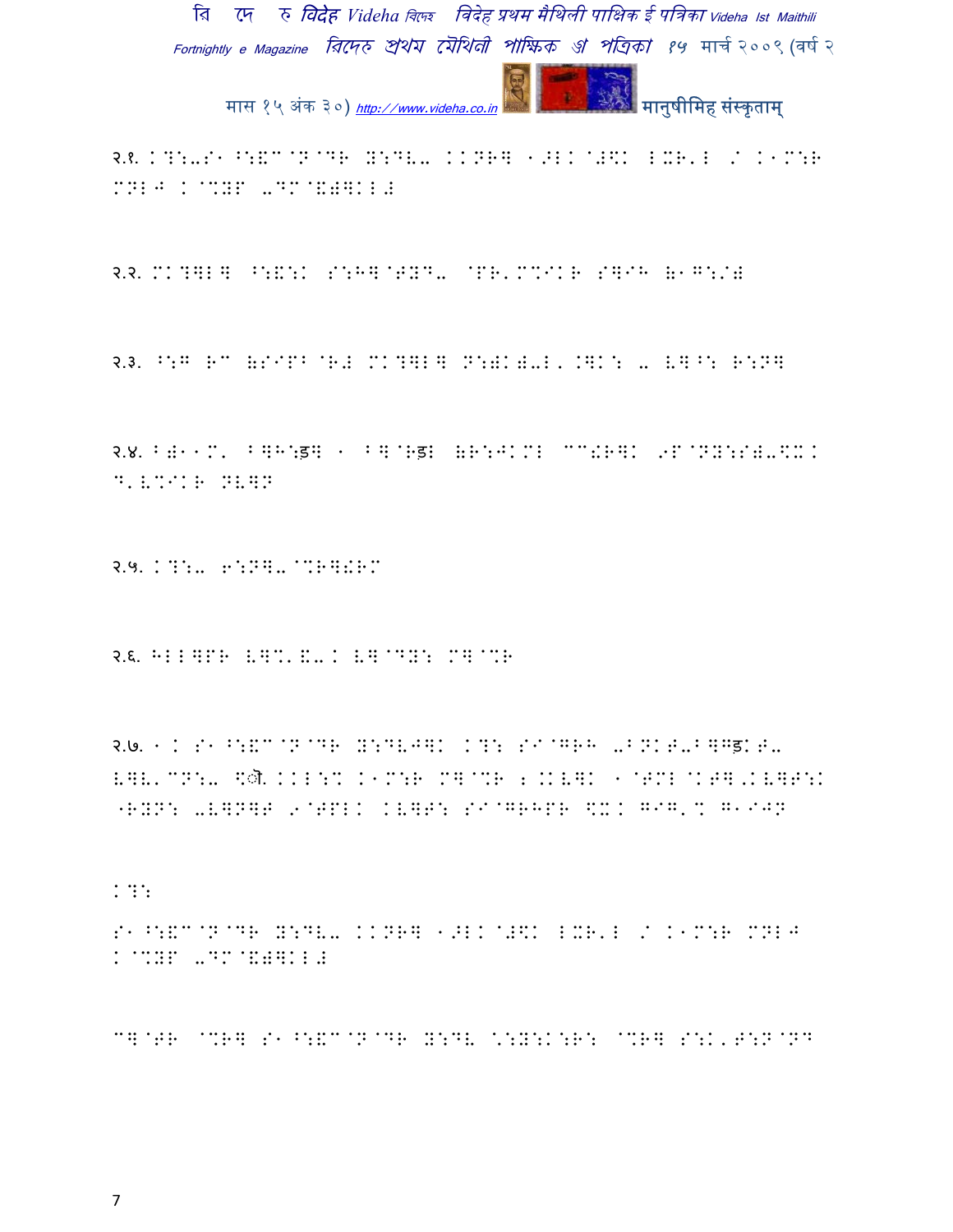मास १५ अंक ३०) <u>http://www.videha.co.in स्थिति क्रिके</u>टी **मानुषीमिह संस्कृताम्** 

२.१. I KYEST Y: THE WINDS IN THE STREET OF STREET IN STREET IN THE UNION OF THE WINDS IN THE UNION OF THE UNIO MNL, ROMAN -DMART -DMART -DMART -DMART -DMART -DMART -DMART -DMART -DMART -DMART -DMART -DMART -DMART -DMART -<br>KL# -DMART -DMART -DMART -DMART -DMART -DMART -DMART -DMART -DMART -DMART -DMART -DMART -DMART -DMART -DMART -

२.२. MN 988 H 9: MK 9: MK 9: MK 9: MK 9: MK 9: MK 9: MK 9: MK 9: MK 9: MK 9: MK 9: MK 9: MK 9: MK 9: MK 9: MK 9

२.३. <sup>2</sup>:H RT APYPP (RE 21,991,8 2:AD ALI, 1911) 2 A,8191 R:N28

२.४. B)2011 BEET BEET CONTROLLED IN BEET CONTROLLED AND CONTROLLED AND CONTROLLED AND CONTROLLED AND CONTROLLED AND CONTROLLED AND CONTROLLED AND CONTROLLED AND CONTROLLED AND CONTROLLED AND CONTROLLED AND CONTROLLED AND C D'INSTRUMENT

२.५. : HEL : 6:NHEL : 7:HHELP.7

२.६. HELEWER BROWN BROWN 2.6. HELL PROVIS

२.७. 1. S10: 2. PHEM YF YEAR ENTERED - SIME - SIMILAR - WE FOR SIGNE - SIMILAR SIGNE EARLY THE CONSTRAINT OF THE TANGER OF THE CONSTRAINT OF THE LIGHT OF THE CONSTRAINT OF THE CONSTRAINT OF THE CONSTRAINT OF THE CONSTRAINT OF THE CONSTRAINT OF THE CONSTRAINT OF THE CONSTRAINT OF THE CONSTRAINT OF THE CONST  $R$  FRIT 1.000  $R$  . The state of the state of the state  $R$  and  $R$  and  $R$  and  $R$  is stated as  $R$ 

 $\mathbb{R}^n$ 

S1^:&C@N@DR Y:DV- KKNR] 1>LK@#\$K LXR'L / K1M:R MNLJ  $\ddot{\phantom{X}}$  , and the probability of the probability of the probability of the probability of the probability of the probability of the probability of the probability of the probability of the probability of the probabili

C]@TR @%R] S1^:&C@N@DR Y:DV \*:Y:K:R: @%R] S:K'T:N@ND

7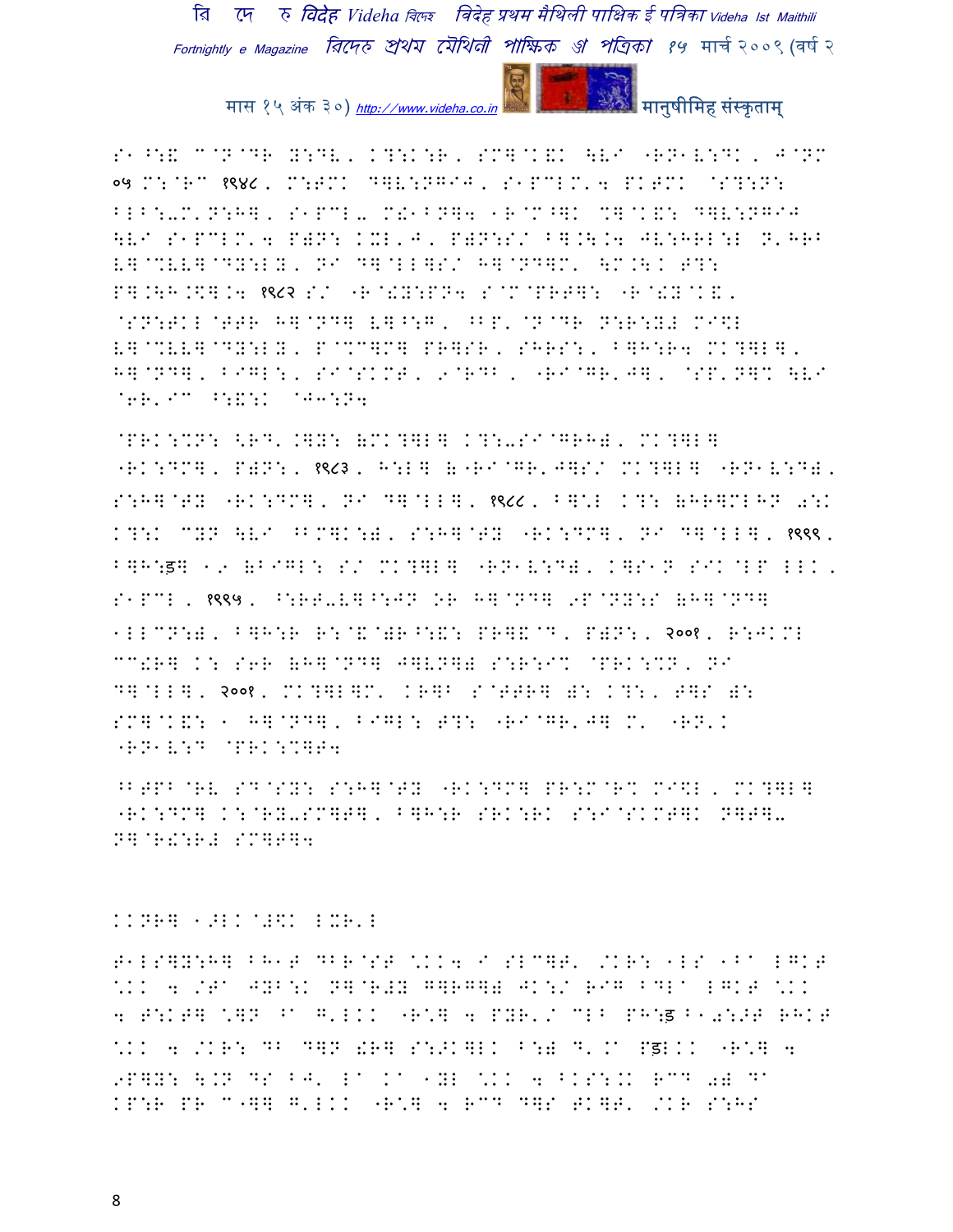## मास १५ अंक ३०) http://www.videha.co.in स्थितीया मानुषीमिह संस्कृताम्

S1^:& C@N@DR Y:DV, K?:K:R, SM]@K&K \VI "RN1V:DK, J@NM ०५ M:@RC १९४८, M:TMK D]V:NGIJ, S1PCLM'4 PKTMK @S?:N: BLB:-MAN:-DHAH:-MAN: PHOTOGEN 1PND 1PND 1PND 1PND 1PHD 1PHD 1PHD 1PM ( \VI S1PCLM'4 P)N: KXL'J, P)N:S/ B].\.4 JV:HRL:L N'HRB V]@%VV]@DY:LY, NI D]@LL]S/ H]@ND]M' \M.\. T?: P].\H.\$].4 १९८२ S/ "R@!Y:PN4 S@M@PRT]: "R@!Y@K&, @SN:TKL@TTR H]@ND] V]^:G, ^BP'@N@DR N:R:Y# MI\$L V]@%VV]@DY:LY, P@%C]M] PR]SR, SHRS:, B]H:R4 MK?]L], HE SPARE, BIGHES, SIGNISTICS, SIGNATIC SECOND, ARI, SIGNISHES ALC  $\ddotsc$  . The contract of the contract of the contract of the contract of the contract of the contract of the contract of the contract of the contract of the contract of the contract of the contract of the contract of the

@PRK:%N: <RD'.]Y: (MK?]L] K?:-SI@GRH), MK?]L] "RK:DM], P)N:, १९८३, H:L] ("RI@GR'J]S/ MK?]L] "RN1V:D), STARE TAG "PASTATOR", OR DIRECTE BL. 19866, BIRGE (CORT) BRARROE ROUGH.  $\mathbb{R}$ : The control  $\mathbb{R}$  and  $\mathbb{R}$  is the control  $\mathbb{R}$  in the control of the control  $\mathbb{R}$  ,  $\mathbb{R}$ BUGGE 19 BIGE: SANTING IS AND SINGLE SINGLE SINGLE SINGLE STRITE LO RRS LO PERFELER PERPODE PROTOPRO DE TRIBEE (HARDIDER 1LLCN:), B]H:R R:@&@)R^:&: PR]&@D, P)N:, २००१, R:JKML CCERE C: S6R (HARCPAR) SHERBE SINASYON (PACINON) DR DRIMER SOOR, MIRHAM, IPRESSINGER BY LIN, PRESSIN SM]@K&: 1 H]@ND], BIGL: T?: "RI@GR'J] M' "RN'K "RN1V:D @PRK: "PRK: "PRK: "PRK: "PRK: "PRK: "PRK: "PRK: "PRK: "PRK: "PRK: "PRK: "PRK: "PRK: "PRK: "PRK: "PRK:

^BTPB@RV SD@SY: S:H]@TY "RK:DM] PR:M@R% MI\$L, MK?]L] "RE:DRITH: IS NEGLYTHAR , FRANE YE:DRINE: YNY NITTIRES" (PRAR) N: R:R (1999) (1999) (1999) (1999) (1999) (1999) (1999) (1999) (1999) (1999) (1999) (1999) (1999) (1999) (1999)

## KKNR] 1>LK@#\$K LXR'L

THIS IS A LOCAL BHATCH OF THE STATE OF THE STATE OF THE STATE OF THE STATE OF THE STATE OF THE STATE OF THE ST \*KK 4 /Ta JYB:K N]@R#Y G]RG]) JK:/ RIG BDLa LGKT \*KK 4 T:HT:GHE (1920) RT:CHI,EICK (19519) GOLERNIZ BT:PTRY/ BH:BE-FERTIE \*KK 4 /KR: DB D]N !R] S:>K]LK B:) D'.a Pड़LKK "R\*] 4 9P]Y: \.N DS BJ' La Ka 1YL \*KK 4 BKS:.K RCD 0) Da K:R PR C"HE'R IN STREET HET THE SINGLE SINGLE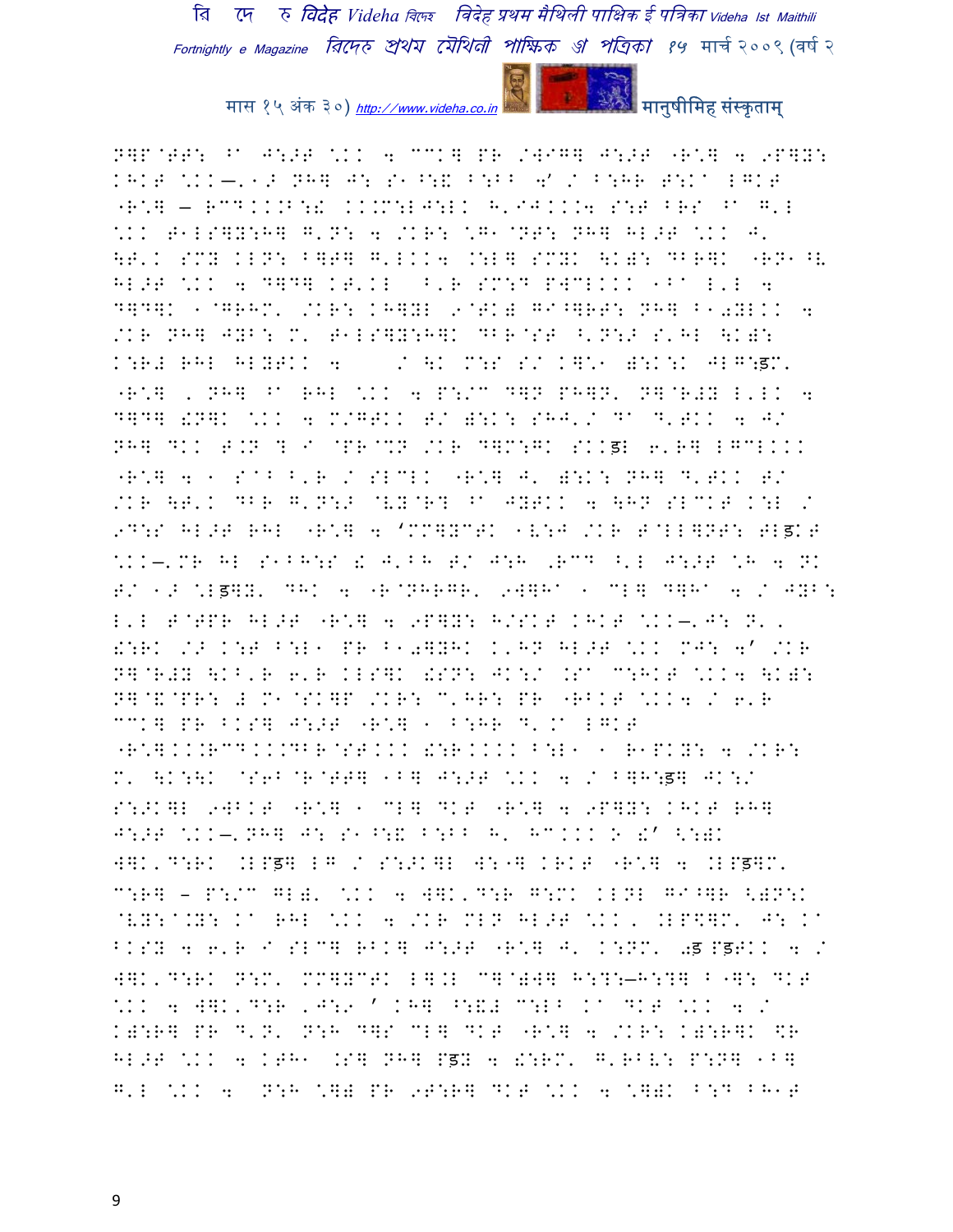

PATINAN POSINA NI A TUBER /WIGH 45PL (PNB 4 9PB) KHKAT \*KKI = 20 AT PHB 45 AN AN BE FOR THE TENT FOR THE BEST FUNK  $R^2$  , and  $R^2$  , and  $R^2$  . The results of  $R^2$  and  $R^2$  and  $R^2$  and  $R^2$  and  $R^2$ \*KK T1LS]Y:H] G'N: 4 /KR: \*G1@NT: NH] HL>T \*KK J'  $\texttt{H} \texttt{H} \texttt{H} \texttt{H} \texttt{H} \texttt{H} \texttt{H} \texttt{H} \texttt{H} \texttt{H} \texttt{H} \texttt{H} \texttt{H} \texttt{H} \texttt{H} \texttt{H} \texttt{H} \texttt{H} \texttt{H} \texttt{H} \texttt{H} \texttt{H} \texttt{H} \texttt{H} \texttt{H} \texttt{H} \texttt{H} \texttt{H} \texttt{H} \texttt{H} \texttt{H} \texttt{H} \texttt{H} \texttt{H} \texttt{H} \texttt{H} \texttt{$ HEST AND A THUR SHIPS IN THE SMITH DISCUSS AND EXTENSIVE DARRA I (PERRO) IN RHI (PARO), GIORIA, RRIAGHERH DRAR (PIRO), NH /KR NH] JYB: M' T1LS]Y:H]K DBR@ST ^'N:> S'HL \K): K:SBG: BHE / HEGB: C / A: / / / / A: / CSA/ YIN (1916): GS: S: / HE9SC. "R\*] , NH] ^a RHL \*KK 4 P:/C D]N PH]N' N]@R#Y L'LK 4 DARRE SIRE (111) A TIRACI AI SHIN SARA I D'OLAICH AI NH] DKK T.N ? I @PR@%N /KR D]M:GK SKKड़L 6'R] LGCLKKK "R\*DR (4 1 S. B'R R / B / SLCLK "R\*DR (4) HAR (4) BY (2008) PLACE (BD /KR \T'K DBR G'N:> @VY@R? ^a JYTKK 4 \HN SLCKT K:L / 9D:S HL>T RHL "R\*] 4 'MM]YCTK 1V:J /KR T@LL]NT: TLड़KT \*KK—'MR HL S1BH:S ! J'BH T/ J:H ,RCD ^'L J:>T \*H 4 NK F/ 13 MISHE, MAI 4 (PHIPHE, 29HP) 1 MIN MHA 4 / PHF1 L'L T@TPR HL>T "R\*] 4 9P]Y: H/SKT KHKT \*KK—'J: N', !:RK /> K:T B:L1 PR B10]YHK K'HN HL>T \*KK MJ: 4' /KR DA YEGGI ALALA LE SUR KIRAT SENYA ALAN 'NY 'NYAN'A' NI LA ALAN. N]@&@PR: # M1@SK]P /KR: C'HR: PR "RBKT \*KK4 / 6'R CCCH PRODUCT PROPORTION AND TO THE TELL BELOW AND TO THE UPS.  $R$  . Recent to the state of the state of the state  $R$  . As a state of the state  $R$ M. A:AB: Metha Meas (18) and And Mill (18) T:BAgs (18) S:>K]L 9WBKT "R\*] 1 CL] DKT "R\*] 4 9P]Y: KHKT RH] J:B: T \*K = B: SH Y: S \*HE FY: A & B" HT \* K & RY W]K'D:RK .LPड़] LG / S:>K]L W:"] KRKT "R\*] 4 .LPड़]M' C:R] – P:/C GL)' \*KK 4 W]K'D:R G:MK KLNL GI^]R <)N:K @VY:@.Y: Ka RHL \*KK 4 /KR MLN HL>T \*KK, .LP\$]M' J: Ka BKSY 4 6'R I: T SLC PRODUCED AND AN INCOLLECT AND THE SET OF THE USE POINT  $\mathcal{L}^2$ W:RK N:RK N:M' MONTH N:M' MONTH N:M' MONTH N:M' MONTH N:M' MONTH N:M' MONTH N:M' MONTH N:M' MONTH N:M' MONTH N<br>W:RK N:M' MONTH N:M' MONTH N:M' MONTH N:M' MONTH N:M' MONTH N:M' MONTH N:M' MONTH N:M' MONTH N:M' MONTH N:M' M \*KOO WA WARELO FAR OLANG A DARKA TALE TALE OO NA DAGO AY CO K):R] PR D'N' N:H D]S CL] DKT "R\*] 4 /KR: K):R]K \$R HLPF NIC & CHRK NEW PRW FSI & EGHT. P:PFEG FGPW (FW) B: COL 4 N:H CHE TR 2018 TO B:D B:D B:D B:D B:D B:D B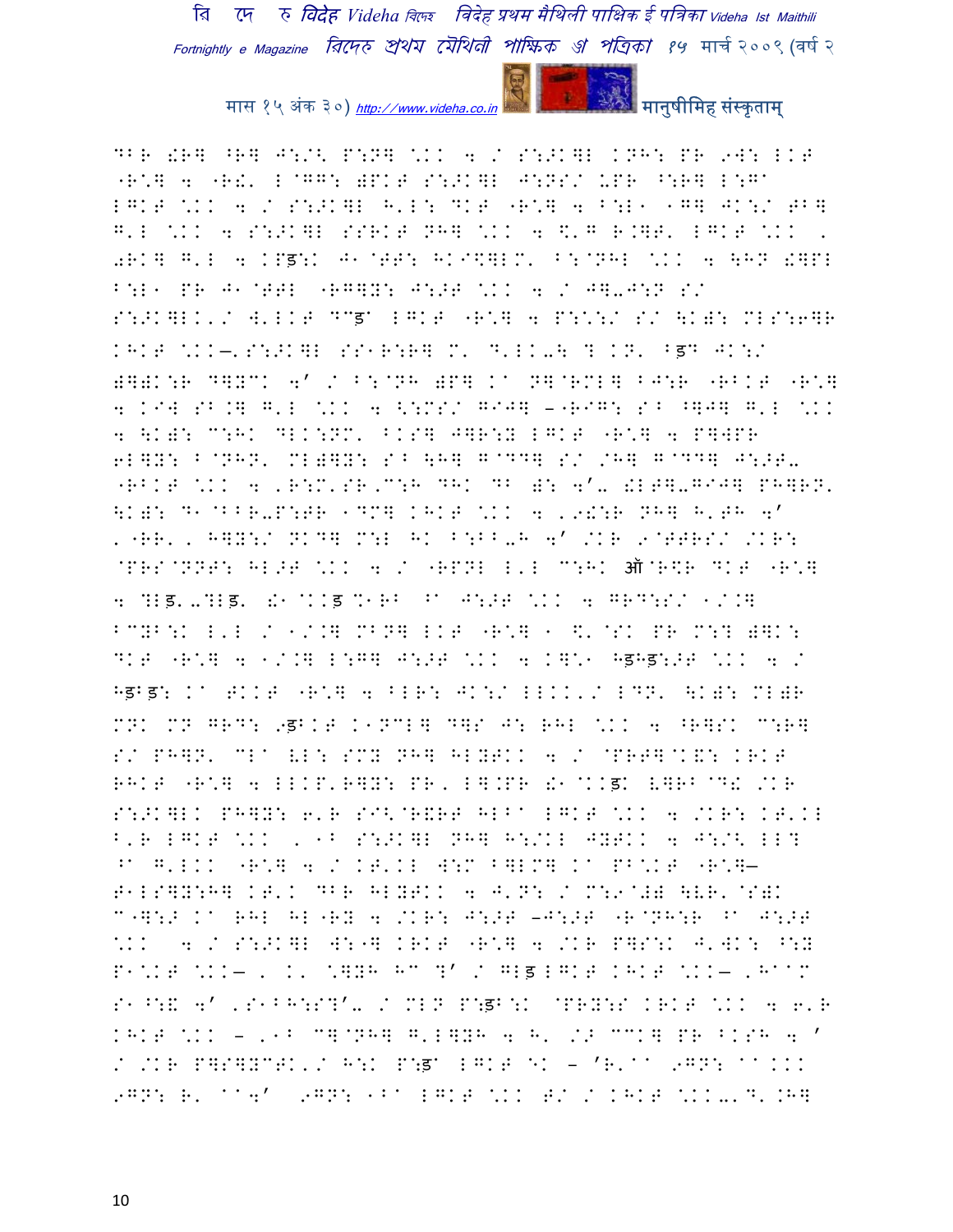

DBR !R] ^R] J:/< P:N] \*KK 4 / S:>K]L KNH: PR 9W: LKT "R\*] 4 "R!' L@GG: )PKT S:>K]L J:NS/ UPR ^:R] L:Ga LGKT #KK (1995) A SIL STELLER HERE "RELEVED "RELEVED "RELEVED "BY "RELEVED "BY "R G'L EN NICHT AN STARKT STATEGIER IN DER STRUCKTE DER STATEGIERUNG EIN DER STATEGIERUNG EINE STATEGIERUNG EIN D  $B$ RK] G'L 4 KPS: G'L 4 MARI B: HKI\$EL (1810) B: NHL  $B$ : HE  $B$ B:L1 PR J1 SEE SPORT JIE AND A / JOHN 12 I STEAK WELL AT ALL EXT OF THE REPORT AT PERSON SAN ALTERNATIVE AT STRAKE. KHKT # MINI-WATHAT #KONG PART # DWALL STORY DO DAY AT THE STAR OF THE STAR OF THE DISTURBANCE DESCRIPTION OF D )])K:R D]YCK 4' / B:@NH )P] Ka N]@RML] BJ:R "RBKT "R\*]  $4$  (1994)  $4$  for  $\Xi$  and  $\Xi$  and  $\Xi$  is the solution of  $\Xi$   $\Xi$  for  $\Xi$   $\Xi$   $\Xi$  . Then  $\Xi$  is the solution of  $\Xi$  is the solution of  $\Xi$  is the solution of  $\Xi$  is the solution of  $\Xi$  is the solution of  $\Xi$  $\frac{1}{2}$  , c:h distribution of the state  $\frac{1}{2}$  , c:h distribution of the state  $\frac{1}{2}$  parameter  $\frac{1}{2}$ 6LANH S/MAN, MLBANY SSAR ASSEMBLE, CAR ASSEMBLE, "RBKT \*KK 4 'R:M'SR,C:H DHK DB ): 4'- !LT]-GIJ] PH]RN'  $\kappa$ : Distribution of  $\kappa$  is the set of  $\kappa$  the  $\kappa$  -points of  $\kappa$  is the  $\kappa$ '"RR', H]Y:/ NKD] M:L HK B:BB-H 4' /KR 9@TTRS/ /KR: **CORNEY ARE AN ALL AND HEAT IN A CONTROL OF THE REPORT OF A PARTY.** 4 HES. 2008 20 NOVEMBER 19 HESP (10 NOVEMBER 10 A JOSEPT 10 ST 10 A JOSEPT 10 A JOSEPT 10 A JOSEPT 10 A JOSEPT 10 A JOSEPT 10 A JOSEPT 10 A JOSEPT 10 A JOSEPT 10 A JOSEPT 10 A JOSEPT 10 A JOSEPT 10 A JOSEPT 10 A JOSEPT 10 BCYB:K L'ANDIA L'ANDIA L'ANDIA DE MENIRI DE MANAGEMENT DE MANAGEMENT DE MANAGEMENT DE MANAGEMENT DE MANAGEMENT DKT "R\*] 4 1/.] L:G] J:>T \*KK 4 K]\*1 Hड़Hड़:>T \*KK 4 / Hsish In Blie (BNA) 4 Blan Alni (Blil. 197. Albh Thea MNK MN GRD: 9ड़BKT K1NCL] D]S J: RHL \*KK 4 ^R]SK C:R] S/ PH]N' CLa VL: SMY NH] HLYTKK 4 / @PRT]@K&: KRKT RHKT "R\*] 4 LLKP'R]Y: PR, L].PR !1@KKड़K V]RB@D! /KR S:>K]LK PH]Y: 6'R SI<@R&RT HLBa LGKT \*KK 4 /KR: KT'KL B'R LGKT \* LOKE , 1999 , 1999 , 1999 , 1999 , 1999 , 1999 , 1999 , 1999 , 1999 , 1999 , 1999 , 1999 , 1999 , 1  $\mathcal{P}^{\alpha}$  (B)  $\mathcal{P}^{\alpha}$  /  $\mathcal{P}^{\alpha}$  (B)  $\mathcal{P}^{\alpha}$  (B)  $\mathcal{P}^{\alpha}$  (B)  $\mathcal{P}^{\alpha}$  (B)  $\mathcal{P}^{\alpha}$  (B)  $\mathcal{P}^{\alpha}$  (B)  $\mathcal{P}^{\alpha}$  (B)  $\mathcal{P}^{\alpha}$  (B)  $\mathcal{P}^{\alpha}$  (B)  $\mathcal{P}^{\alpha}$  (B)  $\mathcal{P}^{\alpha}$  (B)  $\$ THILS IN THE HIST WARRANT WAS ARRESTED FOR THE RESIDENT OF THE SAME RELATIONS OF THE UNION OF THE UNION OF THE C":+B":2 (1): EPE (PE):+B": A (2):E": +":2E "++":2E (+E JIP-"EP" ) FO +":2E \*KK 4 / S:>K]L W:"] KRKT "R\*] 4 /KR P]S:K J'WK: ^:Y PHONE ONCE I KI ONEBHAT TO A RESERVE CROE ONCE IROOT S1^: PHD (a) 'S1BH:S: PHPY:S (2) MLN P:S: B: R:S KRKT \* COMPOSITION \* COMPOSITION \* COMPOSITION \* COMPOSITION KHKT \*KK – '1B C]@NH] G'L]YH 4 H' /> CCK] PR BKSH 4 ' / /KR P]S]YCTK'/ H:K P:ड़a LGKT EK – 'R'aa 9GN: aa... 9GN: R' aa4' 9GN: 1Ba LGKT \*KK T/ / KHKT \*KK-'D'.H]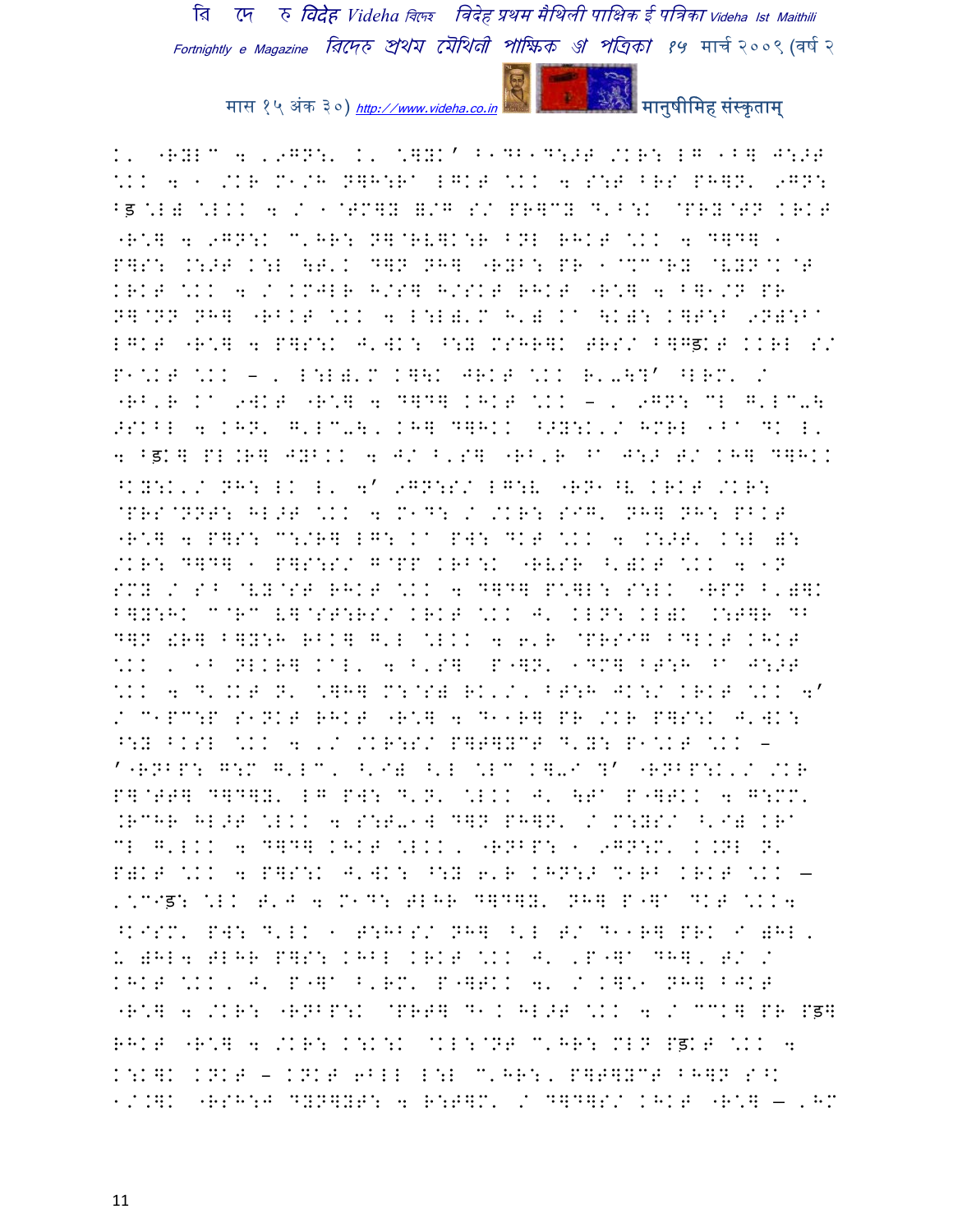मास १५ अंक ३०) <u>http://www.videha.co.in</u><br>सामु ंसिली मानुषीमिह संस्कृताम्

K' "RYLC" A '9GNOR' K' "NYLC" BIG' BIG' AN' LO CHE LO 19 ANGLE \*KK 4 1 /KR M1/H N]H:Ra LGKT \*KK 4 S:T BRS PH]N' 9GN: Bड़ \*L) \*LKK 4 / 1@TM]Y =/G S/ PR]CY D'B:K @PRY@TN KRKT "R\*] 4 9GN:K C'HR: N]@RV]K:R BNL RHKT \*KK 4 D]D] 1 P]S: .:>T K:L \T'K D]N NH] "RYB: PR 1@%C@RY @VYN@K@T KRKE MID A / KOMBE F/SH R/SIE RHIE "RMJE A FUNZE"PR N]@NN NH] "RBKT \*KK 4 L:L)'M H') Ka \K): K]T:B 9N):Ba LGKT B: ARANG "RY BIRSING" AN ANG "PANG" (PINAPAN) "BARING AN HANSI BELI SA LIGIK BELI BIN PHONOR ON NO A LI:LI NE BELOVI SHEN ARE ROON NO ARISHO (ARABO) / N "RB'R Ka 9WKT "R\*] 4 D]D] KHKT \*KK – ' 9GN: CL G'LC-\ >SKBL 4 KHN' G'LC-\, KH] D]HKK ^>Y:K'/ HMRL 1Ba DK L'  $4$  PSIN PL.RN AND II A AND INN ARD  $R$  and  $R$  and  $R$   $\bar{R}$   $\bar{R}$ ^KY:K'/ NH: LK L' 4' 9GN:S/ LG:V "RN1^V KRKT /KR: @PRS@NNT: HL>T \*KK 4 M1D: / /KR: SIG' NH] NH: PBKT "R\*] 4 P]S: C:/R] LG: Ka PW: DKT \*KK 4 .:>T' K:L ): /KR: D]D] 1 P]S:S/ G@PP KRB:K "RVSR ^')KT \*KK 4 1N SMY / SOME PRODUCED AND REGIONAL PRODUCED AT A DISCOVERED AT  $\mathcal{S}^1$ FURNED TORT EUGENEED IRE NID AL IEPE IEED INFUR TH DAR BREITHERIG BLEITHER HER DARK BULKT KHKR \*KK ' 18 NLKR ' 19 NLKR' BT:H NLKR PT BT:H ' 10 NLK \*KK 4 D'.KT N' \*]H] M:@S) RK'/, BT:H JK:/ KRKT \*KK 4' / C1PC:P S1NKT RHKT "R\*] 4 D11R] PR /KR P]S:K J'WK: \*SO:Y SAKE YOU A '/ /KR:S/ PUPUTE 7.OR: PYNE '/ / '"RNBP: G:M G'LC, ^'I) ^'L \*LC K]-I ?' "RNBP:K'/ /KR PACHAR PAPAR, PACER P.D. DIC AL ARC PARIS 4 GOOD .RCHR HL>T \*LKK 4 S:T-1W D]N PH]N' / M:YS/ ^'I) KRa CL G'LKK 4 D]D] KHKT \*LKK, "RNBP: 1 9GN:M' K.NL N' P)KT \*KK 4 P]S:K J'WK: ^:Y 6'R KHN:> %1RB KRKT \*KK — '\*CIड़: \*LK T'J 4 M1D: TLHR D]D]Y' NH] P"]a DKT \*KK4 ^KISM' PW: D'LK 1 T:HBS/ NH] ^'L T/ D11R] PRK I )HL, U 8ALA 2004 PAN DALI KRKAT KUNIGI YA DI ARI YA DI YA KHKT \*KK, JOHN BYD, PHENK 4. / KIDK PHP BJK "R\*] 4 /KR: "RNBP:K @PRT] D1. HL>T \*KK 4 / CCK] PR Pड़] RHKT "R\*] 4 /KR: K:K:K @KL:@NT C'HR: MLN Pड़KT \*KK 4 K:K:K:KIK – KINF 6BLL L:L C.AGN, PHANNE BANN SON 1/.]K "RSH:J DYN]YT: 4 R:T]M' / D]D]S/ KHKT "R\*] — 'HM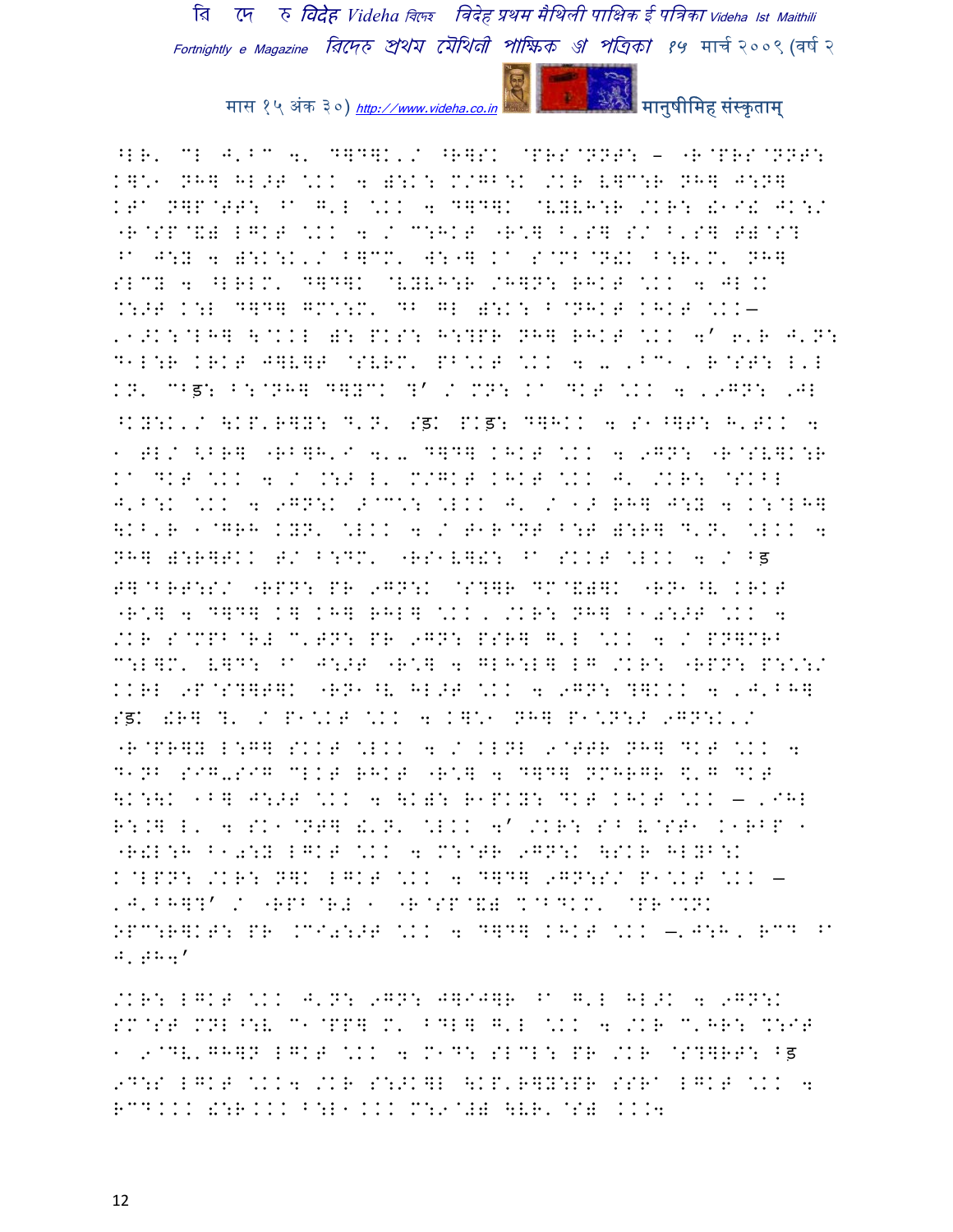

^LR' CL J'BC 4' D]D]K'/ ^R]SK @PRS@NNT: – "R@PRS@NNT: KA: MH HLB \*KK 4 : MILL TIME \*KK 200 : NH VH VH V KATA NATIONAL AT ALI YIL A AARAT (BOBLAGE 21EG EVYE ALGIZ  $R$  Radio Radio LGC 2003 (Resp. 1999) By Sing Soft and Social Bank and Soft Systems and Social Bank and Social Bank and Social Bank and Social Bank and Social Bank and Social Bank and Social Bank and Social Bank and Social ^a J:Y 4 ):K:K'/ B]CM' W:"] Ka S@MB@N!K B:R'M' NH] SLCY 4 ^LRLM' D]D]K @VYVH:R /H]N: RHKT \*KK 4 JL.K .:>T K:L D]D] GM\*:M' DB GL ):K: B@NHKT KHKT \*KK— '1>K:@LH] \@KKL ): PKS: H:?PR NH] RHKT \*KK 4' 6'R J'N: DR:R KRKT I BEFORMEN FRANKT ALLENDER I DE GRAVE AV LEVER FRA 1991 EN LEVER FRA 1991 EN LEVER AV LEVER AV LEVE KN, CBS: B:@NHE PERCO BY & CREW OF PORTIONS (2009) (20 ^KY:K'/ \KP'R]Y: D'N' Sड़K PKड़: D]HKK 4 S1^]T: H'TKK 4 1 TL/ <BR] "RB]H'I 4'- D]D] KHKT \*KK 4 9GN: "R@SV]K:R KA DKT \*KK 4 / .:: LE BI WITH KHKT KI WI AN INFRASTRIB J'B:K \*KK 4 9GN:K >@C\*: \*LKK J' / 1> RH] J:Y 4 K:@LH]  $\mathrm{K} \mathrm{F}$  1. For the set of  $\mathrm{F}$  is the set of  $\mathrm{F}$  ,  $\mathrm{F}$  is  $\mathrm{F}$  is a fine  $\mathrm{F}$  ,  $\mathrm{F}$  ,  $\mathrm{F}$  ,  $\mathrm{F}$  ,  $\mathrm{F}$  ,  $\mathrm{F}$  ,  $\mathrm{F}$  ,  $\mathrm{F}$  ,  $\mathrm{F}$  ,  $\mathrm{F}$  ,  $\mathrm{F}$  ,  $\mathrm{F}$  ,  $\mathrm{F}$  , NH] ):R]TKK T/ B:DM' "RS1V]!: ^a SKKT \*LKK 4 / Bड़ T]@BRT:S/ "RPN: PR 9GN:K @S?]R DM@&)]K "RN1^V KRKT "R\*] 4 D]D] K] KH] RHL] \*KK, /KR: NH] B10:>T \*KK 4 /KR S@MPB@R# C'TN: PR 9GN: PSR] G'L \*KK 4 / PN]MRB C:L]M' V]D: ^a J:>T "R\*] 4 GLH:L] LG /KR: "RPN: P:\*:/ KKRL 9P@S?]T]K "RN1^V HL>T \*KK 4 9GN: ?]KKK 4 'J'BH] SS REP R 2 RIVE TO A CRIMINAL PHONE ARREST "R@PR]Y L:G] SKKT \*LKK 4 / KLNL 9@TTR NH] DKT \*KK 4 D1NB SIG-SIG CLKT RHKT "R\*] 4 D]D] NMHRGR \$'G DKT  $K$  1B)  $\lambda$  is the contribution of the contribution of the contribution  $\lambda$  and  $\lambda$ R:. HI I A SKINGHE E HI (HI SKINGHE STILTER 1988) "RELIGATE FAND FALD ALL GETTER FANDEL ALL DE ALDERE K@LPN: /KR: NAK LAGKT #KK AND \$1 DAN PARTIES ARRIVED AND \$1 AND \$1 ON \$1 ON \$1 ON \$1 ON \$1 ON \$1 ON \$1 ON \$1 O 'J'BH]?' / "RPB@R# 1 "R@SP@&) %@BDKM' @PR@%NK OPC:RRIKT: PR .COVANDR .NII & THTH IRIB NII = ANR . RCT \*C  $\mathcal{A}_1$  given by

/KR: LGKT \*KK J'N: 9GN: J]IJ]R ^a G'L HL>K 4 9GN:K SMOST MAST ME AND MEST MANUSCRIP AND MY BOLD AND MONEY 1 9@DV'GH]N LGKT \*KK 4 M1D: SLCL: PR /KR @S?]RT: Bड़ 9953 EPDE MILA /KR SSRA HORINGKIES SSRA SSRA LEGKT & RCD... I:R... PHECOLOGIC AND ARE STRING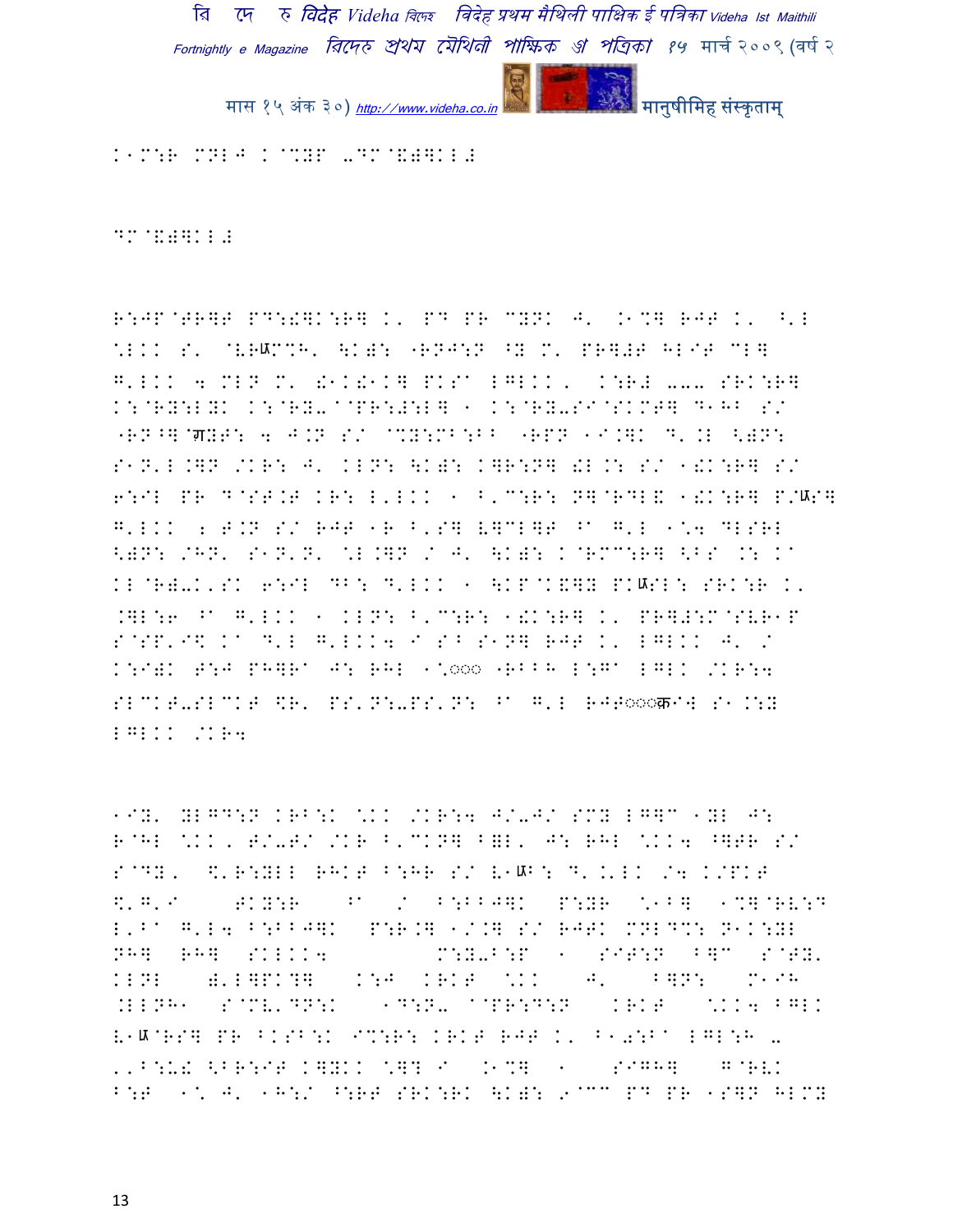मास १५ अंक ३०) <u>http://www.videha.co.in</u><br>सास १५ अंक ३०) <u>http://www.videha.co.in</u>

K1M:R MNLJ KANADI KAMA -DM

BOOK SERVICE

R:JP@TR]T PD:!]K:R] K' PD PR CYNK J' .1%] RJT K' ^'L this so the Worder and he secured that one dealer and security G'LIN A MIR MI 'NIKIN' BUIN' IMINI I 'NIH ---- SRIKIR K: MORY:LYK K: LYK K: LYK K: LYK K: LYK K: LYK K: LYK K: LYK K: LYK K: LYK K: LYK K: LYK K: LYK K: LYK K: LYK  $R$  , and the statistic of the statistic statistic statistic resonance of the statistic statistic statistic statistic statistic statistic statistic statistic statistic statistic statistic statistic statistic statistic stat SN'D.] I (AD ) (1966) A. (1960) A. A. AREN'DA (1961) I K. S. A. S. NED SPA (20 6:IL PR PORTH LES ELEIT A PLOTES PROPHE AILSER CURE G'LKK ; T.N S/ RJT 1R B'S] V]CL]T ^a G'L 1\*4 DLSRL <)N: /HN' S1N'N' \*L.]N / J' \K): K@RMC:R] <BS .: Ka KL@RD)-KALAND-KALDER DER IN DER EINE IN DER DER EINE IN DER EINE IN DER EINE IN DER EINE IN DER EINE IN DER EIN .]L:6 ^a G'LKK 1 KLN: B'C:R: 1!K:R] K' PR]#:M@SVR1P SMSPER STORE REPORT STORE RHE STORES I STORE K:SA:I) A:A: PHERM (A:LAH) L:Gaa LAFF H: PHIL 1#E1 (2014) SECTIFIEST # REVORTS # SLEGKT # PS'N' PS'N: PS'N: OOD **LAGE /KR4** 

1IY' YLGD:N KRB:K \*KK /KR:4 J/-J/ SMY LG]C 1YL J: R@HL \*KK, TRANSVILLE \*KYRT FOR BELL #1 ORD \*KK #HOLD \* SMOR, "R:PABEL PHIR PARE BI ERWA P. LEI IN SCIEDE  $\mathbf{15}$  The results of the results of the results of the results of the results of the results of the results of the results of the results of the results of the results of the results of the results of the results of th L'Ba G'L4 B:BBJ]K P:R.] 1/.] S/ RJTK MNLD%: N1K:YL NHE RHE SKLEKKE M:Y-BILENE S RKHID FOR SKLE KLNL )'L]PK?] K:J KRKT \*KK J' B]N: M1IH .LLNH1 S@MV'DN:K 1D:N- @@PR:D:N KRKT \*KK4 BGLK GLA WITH PRESIDENT RITCHER IS DESIGNED SO A LA LA RESIDENT RITGENT WITH  $\alpha$ ''B:U: U: B:V: I : HH: I | NH! G@RVKYH G@RVFXH \* | # 1B: B:T 1\* J' 1H:/ ^:RT SRK:RK \K): 9@CC PD PR 1S]N HLMY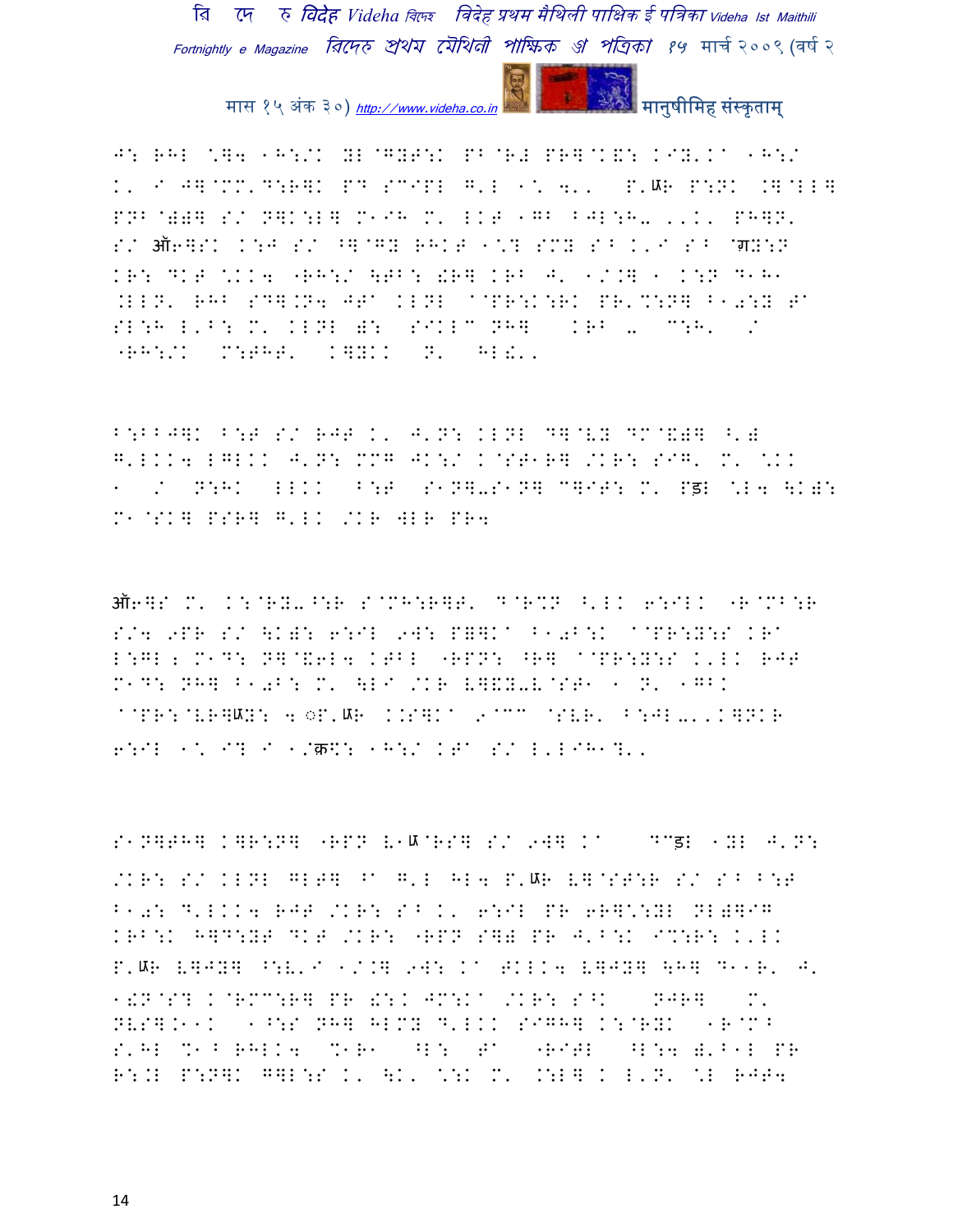## मास १५ अंक ३०) http://www.videha.co.in स्थितीया मानुषीमिह संस्कृताम्

J: RHL \*]4 1H:/K YL@GYT:K PB@R# PR]@K&: KIY'Ka 1H:/ K. I JO JE TO STARED PORT OF STATE GELE I A NU HIGH CONTROLLED PORT OF THE R PNB@))] S/ N]K:L] M1IH M' LKT 1GB BJL:H- ''K' PH]N' SAC ऑ6981 CAR SAC PRIPE BRIE FAIR SIN SIN SO CAC SO MEST KR: DKT \*KK4 "RH:/ NH:: NH: 18: 18: 1. 17: 1 K:18: 0. .LLN' RHB SD].N4 JTa KLNL @@PR:K:RK PR'%:N] B10:Y Ta SL:H L'B: M' KLNL ): SIKLC NH] KRB - C:H' / "RH:K M:THT' KIYK N' HEAL

B:BBJIK B:T S/ RJT K'N: KLNL DI DE DE DE DE DE DE DE DE G'LK KAN LGLKK JOHN SA LGKK JOHN SA LGKK JOHN SA LGKK JOHN SA LGKK JOHN SA LGKK JOHN SA LGKK JOHN SA LGKK JOHN  $1 / 1 / 1 = 0.1$  and  $1 / 1 = 0.1$  in the state of  $1 / 1 = 0.1$  and  $1 / 1 = 0.1$  and  $1 / 1 = 0.1$ M1@SK] PSR] G'LK /KR WLR PR4

ऑ693 C. CA'BELGAR ZOMAGRBA, PIROR RICH BAGG, PROFES S/4 9PR S/ \K): 6:IL 9W: P=]Ka B10B:K @@PR:Y:S KRa L:GL; M1D: N]@&6L4 KTBL "RPN: ^R] @@PR:Y:S K'LK RJT M1D: NH] B10B: NH] B10B: NH] B10B: NH] B10B: NH] B10B: NH] B10B: NH] B10B: NH] B10B: NH] B10B: NH] B10B: NH] B10B: N @@PR:@VR]ᆬY: 4 ◌P'ᆬR ..S]Ka 9@CC @SVR' B:JL-''K]NKR  $6.571 \times 10^6$  in the second second second second second second second second second second second second second second second second second second second second second second second second second second second second sec

SN PREFER OF REGISTED HER RIGHTER SIDE 2019 FROM THE SIDE OF A DISCRETE INC. /KR: S/ KLNL GLT] ^a G'L HL4 P'ᆬR V]@ST:R S/ S^ B:T B10: D'LACK4 RJT /KR: SA' 6: SA' 6: IR 8RD. SH 6R19 KRB:K HITTER YOU DE SERVIES IN DIE SONALISE VAN DIE SONALISE VAN DIE SONALISE VAN DIE SONALISE VAN DIE SONALIS P.WE ENGINE PELIK VINCH 2011 I 2011 ALL ENGINE NGH MAYE, G. 1!N@S? K@RMC:R] PR !:. JM:Ka /KR: S^K NJR] M' NNSER (S. 11K 1989). 11 NH SIGHER SIGHER SIGHER SIGHER SIGHER SIGHER SIGHER SIGHT AND MALL SIGHT AS A RESOLUTION OF RESOLUTION OF RESOLUTION OF RESOLUTION OF RESOLUTION OF RESOLUTION OF RESOLUTION OF RESOLUTION OF RESOLUTI STAND WHICH STAND HIS STANDARD SHIN BIRITLE R:.L P:N]K G]L:S K' \K' \*:K M' .:L] K L'N' \*L RJT4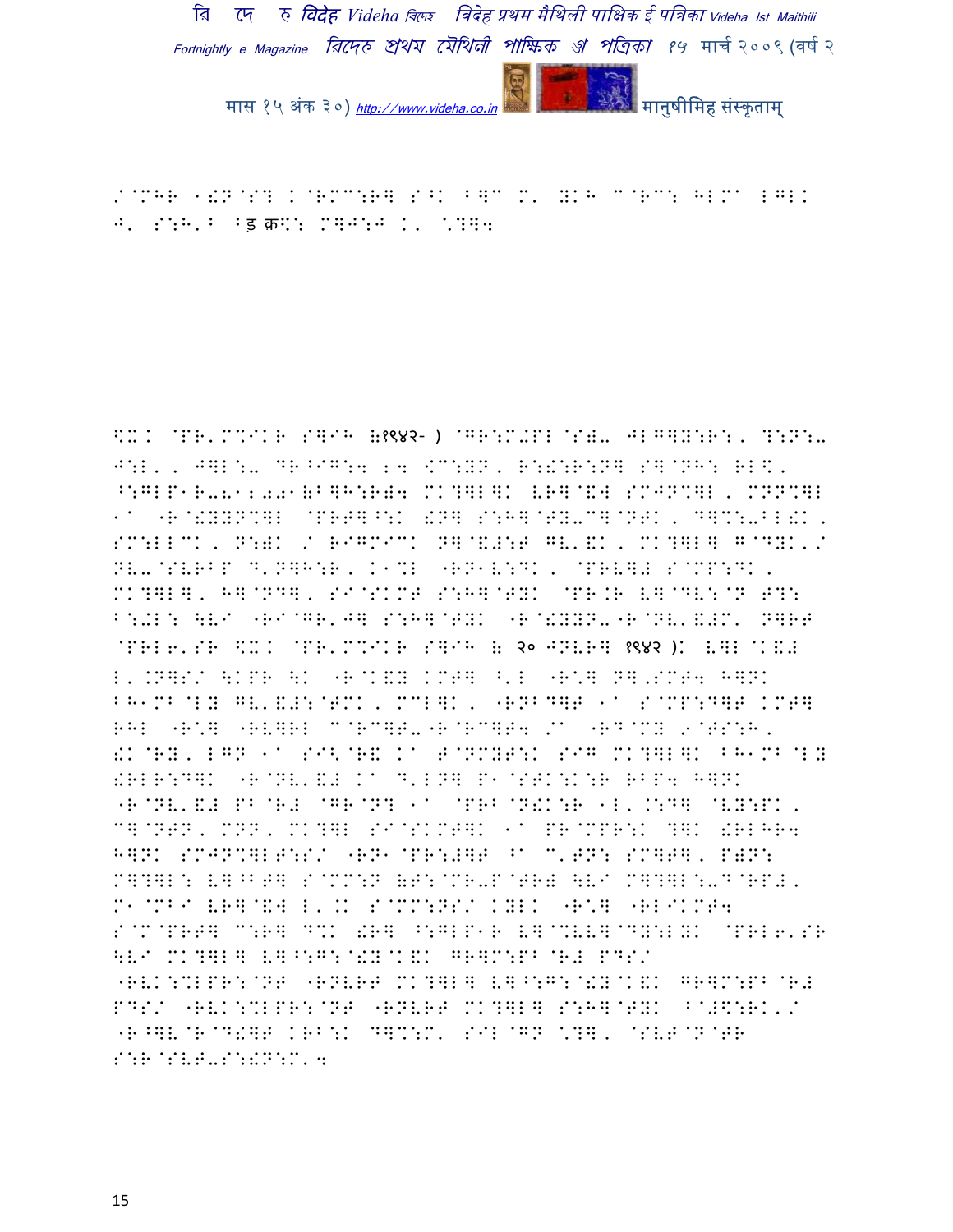मास १५ अंक ३०) <u>http://www.videha.co.in</u> स्थिति स्थिति सानुषीमिह संस्कृताम्

/@MHR 1!N@S? K@RMC:R] S^K B]C M' YKH C@RC: HLMa LGLK  $J^4$ ,  $J^4$  is the state of  $J^4$  and  $J^4$  . And  $J^4$  is the state of  $J^4$ 

 $R(X, Y)$  are the state of  $R(X, Y)$  (which if  $\tilde{R}(X, Y)$  are  $\tilde{R}(X, Y)$  in  $\tilde{R}(X, Y)$ J:L', J]L:- DR^IG:4 24 [C:YN, R:!:R:N] S]@NH: RL\$, ^:GLP1R-812001(B]H:R)4 MK?]L]K VR]@&W SMJN%]L, MNN%]L 1a "R@!YYN%]L @PRT]^:K !N] S:H]@TY-C]@NTK, D]%:-BL!K, SM:LLCK, N: SM:LLCK, N: SM:LLCK, N: SM:LLCK, N: SM:LLCK, N: SM:LLCK, N: SM:LLCK, N: SM:LLCK, N: SM:LLCK, N: SM NV-@SVRBP D'ARTICHE D'ARTICHE D'ARTICHE D'ARTICHE D'ARTICHE D'ARTICHE D'ARTICHE D'ARTICHE D'ARTICHE D'ARTICHE MK?]L], H]@ND], SI@SKMT S:H]@TYK @PR.R V]@DV:@N T?: B:+L: \VI "RI@GR'J] S:H]@TYK "R@!YYN-"R@NV'&#M' N]RT WHERE SR \$X. WHERE THE SARD STATE OF A SARDER \$882 ). A SHEW HILE L'.N]S/ \KPR \K "R@K&Y KMT] ^'L "R\*] N],SMT4 H]NK BH1MB@LY GUADES TRILL WORKERS AND PRESS TO THE TIME IN STAR RHL "RENN "RENNE "CORCHERL (ROCHERL CO)" (ROCCHERL 2018) !K@RY, LGN 1a SI<@R& Ka T@NMYT:K SIG MK?]L]K BH1MB@LY !RLR:D]K "R@NV'&# Ka D'LN] P1@STK:K:R RBP4 H]NK "R@NV'&# PB@R# @GR@N? 1a @PRB@N!K:R 1L'.:D] @VY:PK, C]@NTN, MNN, MK?]L SI@SKMT]K 1a PR@MPR:K ?]K !RLHR4 H]NK SMJN%]LT:S/ "RN1@PR:#]T ^a C'TN: SM]T], P)N: MATHER EN PRESIDENT BERICHLEIGEN HER MATHERLICHTER. MANDA REPORT RADIO MONTHS NORTH THAT THE REPORT OF THE REPORT OF THE REPORT OF THE REPORT OF THE REPORT OF THE S@M@PRT] C:R] D%K !R] ^:GLP1R V]@%VV]@DY:LYK @PRL6'SR \VI MK?]L] V]^:G:@!Y@K&K GR]M:PB@R# PDS/ "RVA: LONGER: NORTH MARKET MAN DER STRAG GRIEGEN MAN DER MEISTEN MAN DER MEISTEN MAN DER MEISTEN MAN DER STRAG PDS/ "RVK:%LPR:@NT "RNVRT MK?]L] S:H]@TYK ^@#\$:RK'/ "RECREASE TRABBE OF EXAMPLE REDISING "A FACTOR" NORTH 2011 TANKS TO THE SIL S:R@SVT-S:!N:M'4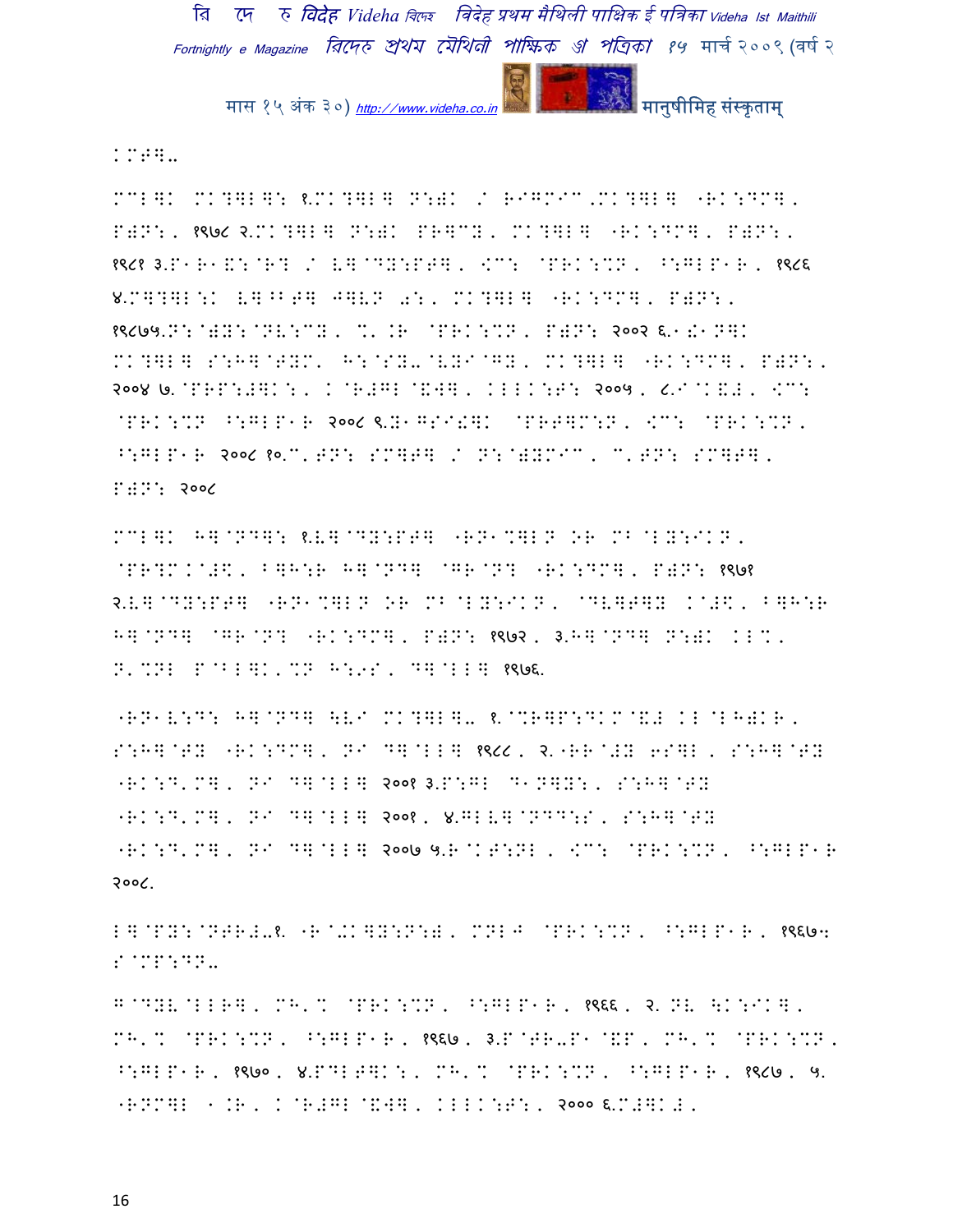मास १५ अंक ३०) <u>http://www.videha.co.in National Acco</u>ssib**lity मानुषीमिह संस्कृताम्** 



 $I:FF.$ 

MCLA ROM MCCLI NE RIGMIC, RAKE NIGMIC, MARCHINIC, MENING, MARCHINIC, "RESULTS", "RESULTS", "RESULTS", "RESULTS PADY, 1996 R.M. NHER, PYAN, PRRTO, MKRRH (HRISTER, PADY, ) १९८१ ३.PH EH RIN TER ON WE TRENTERRING ON THE PERIOD OF PERIOD PORCE  $8.79799951$  ,  $1.9799999$  ,  $991.9$  ,  $1.89979$ ,  $1.99799$ ,  $1.99797$ ,  $1.99797$ ,  $1.99979$ ,  $1.99999$ ,  $1.99999$ ,  $1.99999$ ,  $1.99999$ ,  $1.99999$ ,  $1.99999$ ,  $1.99999$ ,  $1.99999$ ,  $1.99999$ ,  $1.99999$ ,  $1.99999$ ,  $1.999$ १९८७५.N: 18001 12: N: 2001 12: 2002 12: 2002 12: 2002 12: 2002 12: 2002 12: 2002 12: 2002 12: 2002 12: 2002 12: MK?]L] S:H]@TYM' H:@SY-@VYI@GY, MK?]L] "RK:DM], P)N:, २००४ ७. TERPERENT : , KOR#HETHER: , KER , KER , ZOOY, K.A.T.H.E. (2011) @PRK:%N ^:GLP1R २००८ ९.Y1GSI!]K @PRT]M:N, [C: @PRK:%N,  $\{C_1,C_2\}\subset\{C_1,C_2\}\subset\{C_1,C_2\}\subset\{C_1,C_2\}\subset\{C_1,C_2\}\subset\{C_1,C_2\}\subset\{C_1,C_2\}\subset\{C_1,C_2\}\subset\{C_1,C_2\}\subset\{C_1,C_2\}\subset\{C_1,C_2\}\subset\{C_1,C_2\}\subset\{C_1,C_2\}\subset\{C_1,C_2\}\subset\{C_1,C_2\}\subset\{C_1,C_2\}\subset\{C_1,C_2\}\subset\{C_1,C_2\}\subset\{C_1,C_2\}\subset\{C_1,C_2\}\subset$ P)N: २००८

MCLAR HIGHAR REPORTED "BROWN" PROVINCING IN @PR?M.@#\$, B]H:R H]@ND] @GR@N? "RK:DM], P)N: १९७१ २.V]@DY:PT] "RN1%]LN OR MB@LY:IKN, @DV]T]Y .@#\$, B]H:R HE NOTE OF MINICIPAL ARCHIMES AND RELEASED ON A RELEASED OF THE RELEASED OF THE RELEASED OF THE RELEASED OF TH N'%NL P@BL]K'%N H:9S, D]@LL] १९७६.

"RN1V:D: H]@ND] \VI MK?]L]- १.@%R]P:DKM@&# KL@LH)KR, S: "ERFIELD "RESCRIPTE", LODENT "PRINTER BIKKS", IRL (PRINCIPALE), SIGNED FROM "RK:D'M], NI D]@LL] २००१ ३.P:GL D1N]Y:, S:H]@TY "RK:D'M], NI D]@LL] २००१, ४.GLV]@NDD:S, S:H]@TY "RK:D'M], NI D]@LL] २००७ ५.R@KT:NL, [C: @PRK:%N, ^:GLP1R २००८.

L]@PY:@NTR#-१. "R@+K]Y:N:), MNLJ @PRK:%N, ^:GLP1R, १९६७4 SOME STATES

GOVERNIER EN LAND CONTRIGUES AND HIS PORT OF A SERVICE OF A SERVICE OF A SERVICE OF A SERVICE OF A SERVICE OF A MH, NO TRESINING OF PHRIRY BO, 1980, 19.P.TRELINY TREVIS OF TRESINING . ^:GLP1R, १९७०, ४.PDLT]K:, MH'% @PRK:%N, ^:GLP1R, १९८७, ५.  $R(X,Y,Y)$  1. Roof 1. Response to the Response of the Response of the Response of the Response of the Response of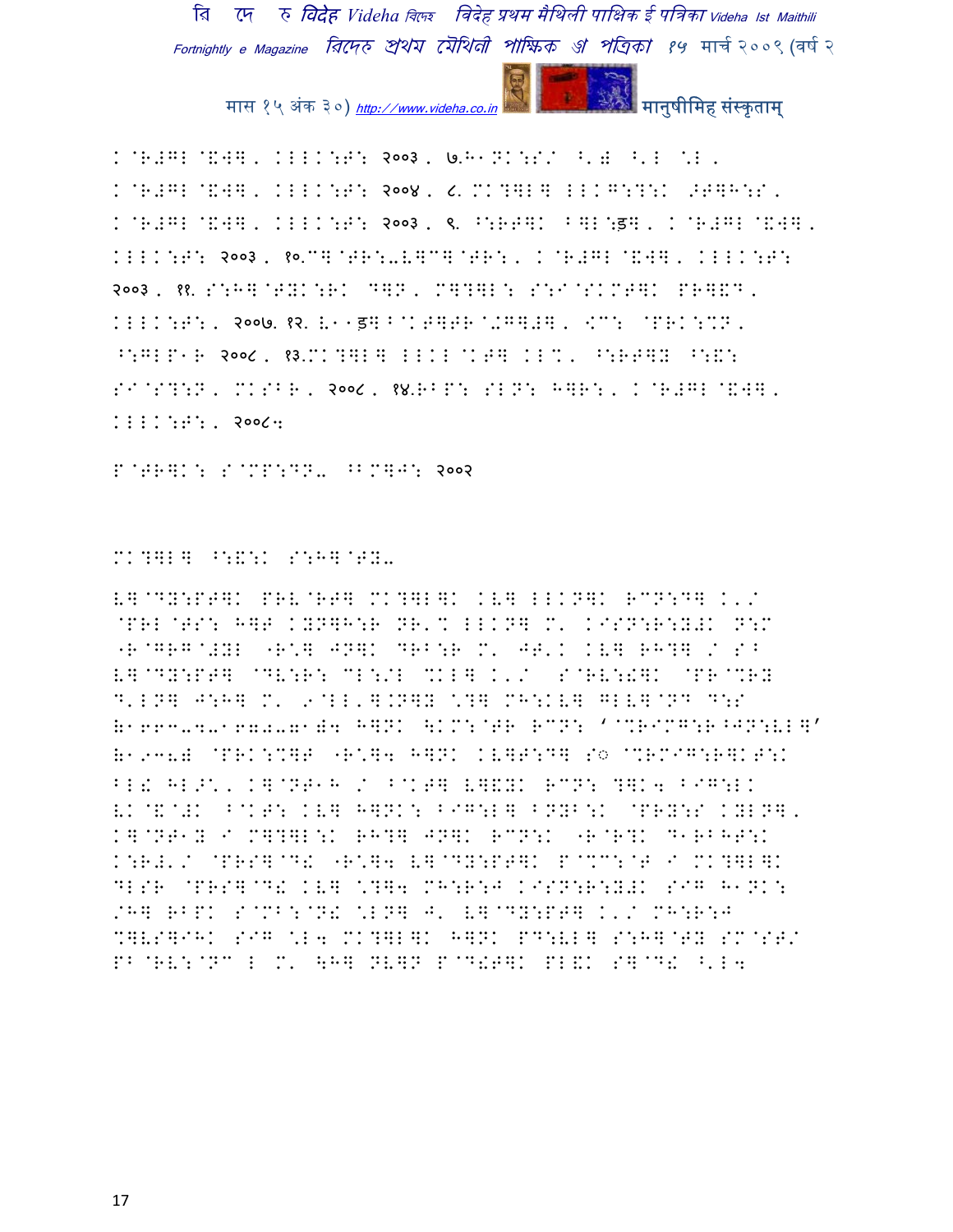मास १५ अंक ३०) http://www.videha.co.in स्थितीया मानुषीमिह संस्कृताम्

K@R#GL@&W], KLLK:T: २००३, ७.H1NK:S/ ^') ^'L \*L, K@R#GL@&W], KLLK:T: २००४, ८. MK?]L] LLKG:?:K >T]H:S, K@R#GL@&W], KLLK:T: २००३, ९. ^:RT]K B]L:ड़], K@R#GL@&W], KLLA:T: 2003, 10.CHLA:T: CHACHER: CHACHER: TEATLY:T: YEAR २००३, ११. STERR TRIETER, MRIE, DRIERETE STER TRI DRAG, BRAECH, KLLK:T:, २००७. १२. V11ड़]^@KT]TR@+G]#], [C: @PRK:%N, ^:GREEY & ROOC, 83.MARRER (EELE)N AR (LEN), ^:G&ARREN (SEN) SI@S?:N, MKSBR, २००८, १४.RBP: SLN: H]R:, K@R#GL@&W],  $\therefore$   $\vdots$   $\vdots$   $\vdots$   $\vdots$   $\therefore$   $\therefore$   $\therefore$   $\Rightarrow$   $\circ$ 

PATRES SOMETHERS OF PERSON

MK?]L] ^:&:K S:H]@TY-

V]@DY:PT]K PRV@RT] MK?]L]K KV] LLKN]K RCN:D] K'/ @PRL@TS: H]T KYN]H:R NR'% LLKN] M' KISN:R:Y#K N:M "R@GRG@#YL "R\*] JN]K DRB:R M' JT'K KV] RH?] / S^ BACTARING ORIGIN TENIR CLIPS IN STERNED OFFICER D'L'ESPE (ANAREL D'L'OLA MELL'ALDIDADE (NORD) D'ANNOLEA (PALELMON) D'AND D'AN (1663-1670-1670-2000-1670-71) HISTORY ARSESSED TO THE REPORT OF TRANSPORTED THE REPORT OF  $\mathcal{S}$ (1938) T PRESS CONTROL CONTROL COMPONENT CONTROL CONTROL CONTROL CONTROL CONTROL CONTROL CONTROL CONTROL CONTR BLE HLOV (BOOKH / FORE LAND) BOOK AND VARIO VK@&@#K ^@KT: KV] H]NK: BIG:L] BNYB:K @PRY:S KYLN], K) ALIM PARTI I MANJI I MANJI I MANJI I MANJI I MANJI I MANA PARTI I MANGANI I MANJI I MANJI I MANJI I MANJI I K:R#Y/ @PRSPINE 'R\*IP APMIRER' PONCER & NOTHER DISR @PRSPINE (14 NORM SPORTA (2000) FOR SIG HIS RID /H] RBPK S@MB:@N! \*LN] J' V]@DY:PT] K'/ MH:R:J %]VS]IHK SIG \*L4 MK?]L]K H]NK PD:VL] S:H]@TY SM@ST/ PR: MELNIMON L MONIC REPORTED PONDERLY PORT OF THE MONIC RELATIONS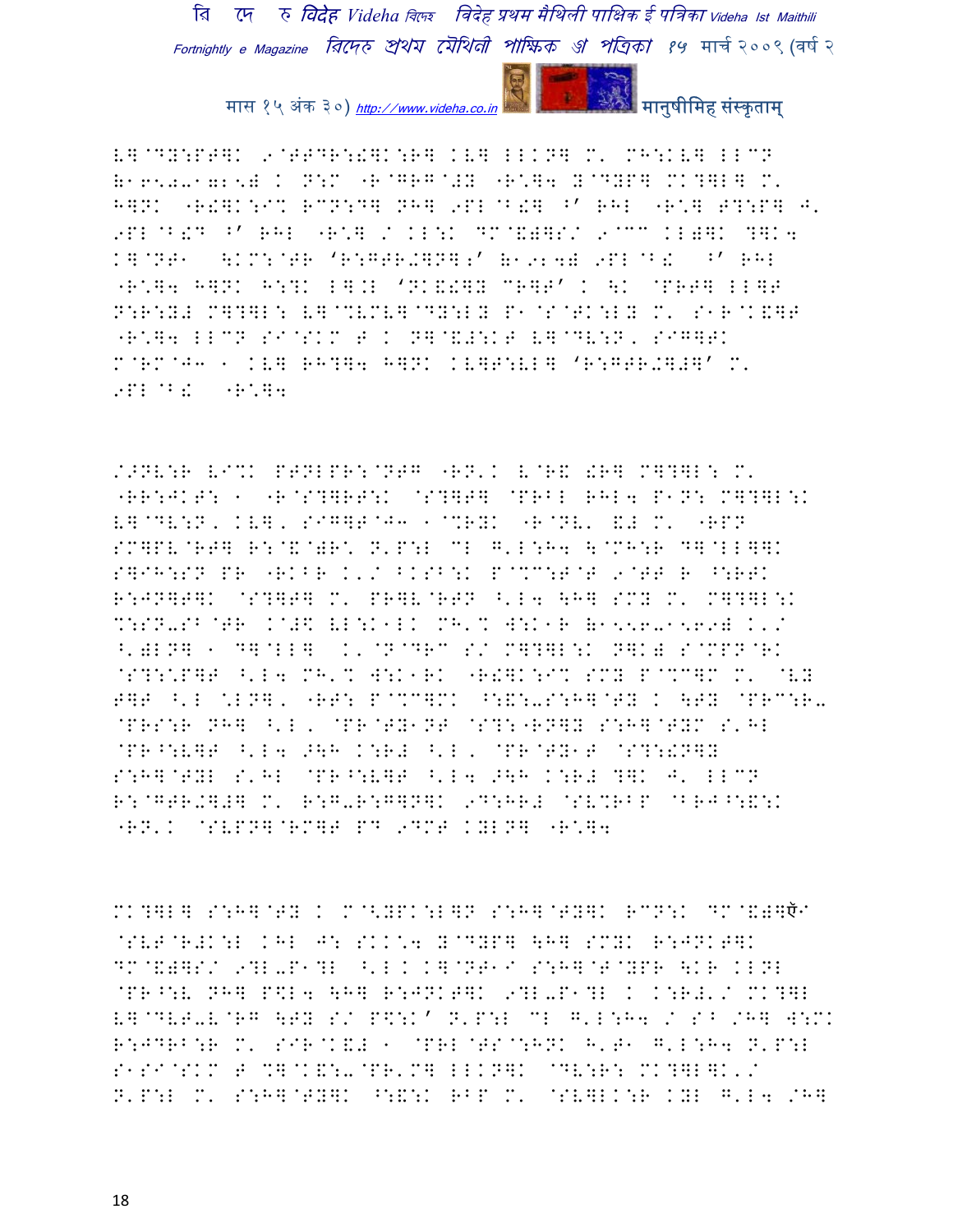मास १५ अंक ३०) http://www.videha.co.in मानस्थान करते मानुषीमिह संस्कृताम्



V]@DY:PT]K 9@TTDR:!]K:R] KV] LLKN] M' MH:KV] LLCN (1650-1725) K N:M "R@GRG@#Y "R\*]4 Y@DYP] MK?]L] M' HERN "RECENT ROCHTE CHE STE VER PY RHE "ROCHTETE" AN 9PL@B!D ^' RHL "R\*] / KL:K DM@&)]S/ 9@CC KL)]K ?]K4 K)@NTP3P+1 \\\ASSIMS\TRE\\\\\ABSERBEZ@D@B\\$\\\AB\\AS\$\#}@@\\AB\$\\\AFL\\\A\$\\AB\$\  $\frac{1}{2}$  HI: HI: HI: K H: HI: Y CRISHE (1991) CRITE (1991) N:R:Y# M]?]L: V]@%VMV]@DY:LY P1@S@TK:LY M' S1R@K&]T  $\cdot$  . The state of the state of the state of the state of the state of the state of the state of the state of MORMO 1 HOO RECENSEE HIS CONSINUED AND THE CONSINUED AS A RECENSE OF A RECENSE OF LOCAL INTERFERING WITH  $\alpha$ 9PL@B! "R\*]4

/>NV:R VI%K PTNLPR:@NTG "RN'K V@R& !R] M]?]L: M' "RR:JKT: 1 "R@S?]RT:K @S?]T] @PRBL RHL4 P1N: M]?]L:K  $\langle E \rangle$  of the stage of the state of the stage of the stage  $\langle E \rangle$  . The most stage of the  $\langle E \rangle$ SM]PV@RT] R:@&@)R\* N'P:L CL G'L:H4 \@MH:R D]@LL]]K S]IH:SN PR "RKBR K'/ BKSB:K P@%C:T@T 9@TT R ^:RTK R:JN]K @S?]T]K @S?]T]K @S?]T]K @S?]T]K @S?]T]K @S?]T]K @S?]T]K @S?]T]K @S?]T]K @S?]T]K @S?]T]K @S?]T]K @S?]T}K<br>Discovery and provided the solid provided the solid provided to the solid provided the solid provided the soli %:SN-SB@TR .@#\$ VL:K1LK MH'% W:K1R (1556-1569) K'/ ^')LN] 1 D]@LL] K'@N@DRC S/ M]?]L:K N]K) S@MPN@RK @S?:\*P]T ^'L4 MH'% W:K1RK "R!]K:I% SMY P@%C]M M' @VY The control of the control of the control of the control of the control of the control of the control of the c<br>The control of the control of the control of the control of the control of the control of the control of the c @PRS:R NH] ^'L, @PR@TY1NT @S?:"RN]Y S:H]@TYM S'HL @PR^:V]T ^'L4 >\H K:R# ^'L, @PR@TY1T @S?:!N]Y STYPH TAGE (SYL PE) TOE FYLHAULE AL LAHUT YN AND OPEN (AL CEENTR R: SPARISHIE M. CR:GPILESHERH: CRISERE OSKING PORT & PRISENT "RN'K @SVPN]@RM]T PD 9DMT KYLNIG @RML POD 9DMT KYLNIG @RML POD 9DMT KYLNIG @RML POD 9DMT KYLNIG @RML POD 9DMT <br>"RT POD 8DMT KYLNIG @RML POD 8DMT KYLNIG @RML POD 8DMT KYLNIG @RML POD 8DMT KYLNIG @RML POD 8DMT KYLNIG @RML P

MK?HER SYHH YEG (MONGER) SEH SYHH YEGH) (BYDYN) PO YEGHÖ? @SVT@R#K:L KHL J: SKK\*4 Y@DYP] \H] SMYK R:JNKT]K DM@&)]S/ 9?L-P1?L ^'L. K]@NT1I S:H]@T@YPR \KR KLNL @PR^:V NH] P\$L4 \H] R:JNKT]K 9?L-P1?L K K:R#'/ MK?]L V]@DVT-V@RG \TY S/ P\$:K' N'P:L CL G'L:H4 / S^ /H] W:MK R:JDRB:R M' SIR@K&# 1 @PRL@TS@:HNK H'T1 G'L:H4 N'P:L SN STAM T & CONTRACT STATE CONTROL CONTROLLY N'P:L M' S:H]@TY]K ^:&:K RBP M' @SV]LK:R KYL G'L4 /H]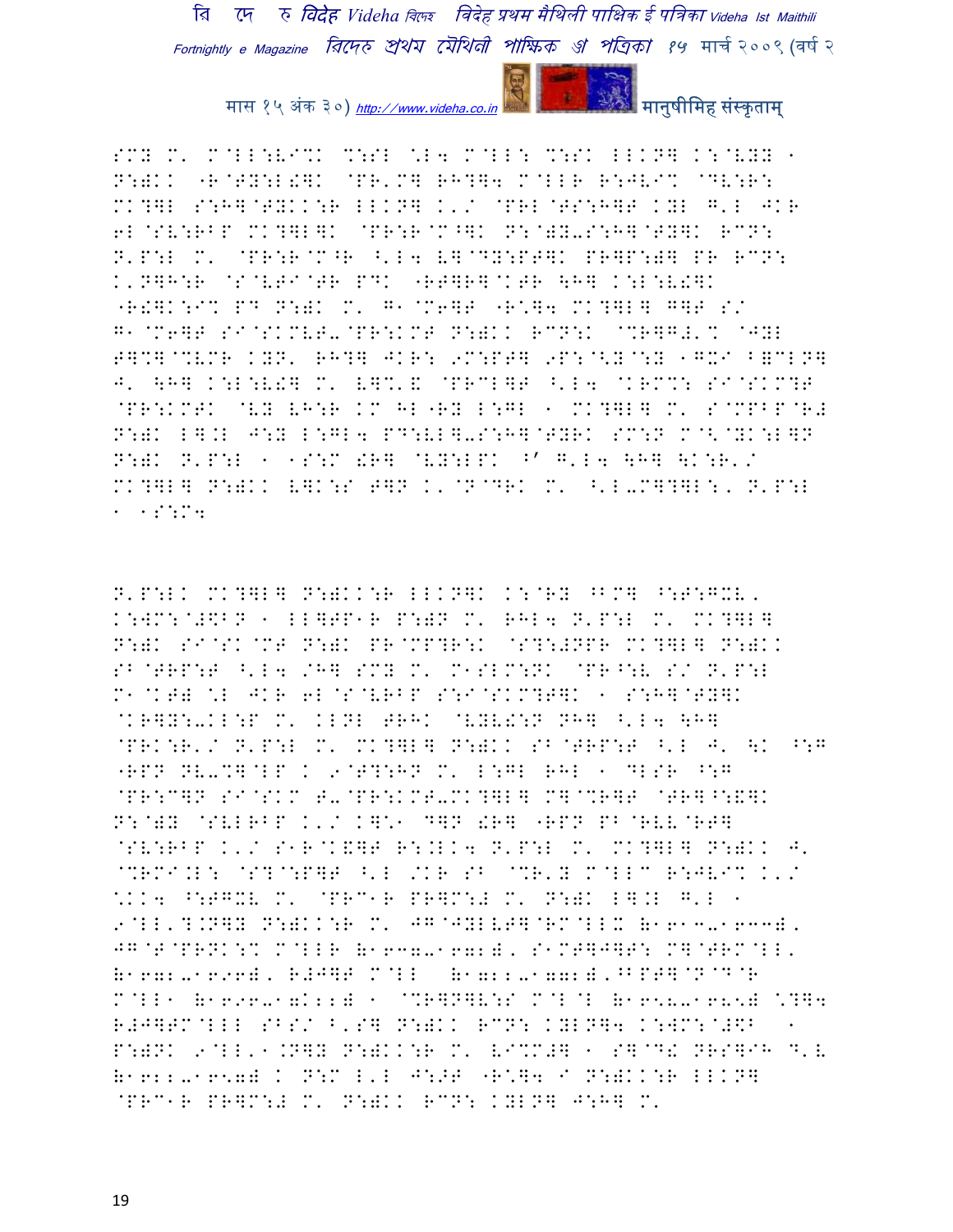मास १५ अंक ३०) http://www.videha.co.in स्थितीया मानुषीमिह संस्कृताम्



SMY M' M@LL:VI%K %:SL \*L4 M@LL: %:SK LLKN] K:@VYY 1 N:)KK "R@TY:L!]K @PR'M] RH?]4 M@LLR R:JVI% @DV:R: MK?]L S:H]@TYKK:R LLKN] K'/ @PRL@TS:H]T KYL G'L JKR 6L@SV:RBP MK?]L]K @PR:R@M^]K N:@)Y-S:H]@TY]K RCN: N'P:L M' @PR:R@M^R ^'L4 V]@DY:PT]K PR]P:)] PR RCN: K'N]H:R @S@VTI@TR PDK "RT]R]@KTR \H] K:L:V!]K "READ NOT AT STEED ON A SOME "READ" DIABLE AND PURSAN B) SI@H6\_KY SKIMBALSHIKI@PREKI\_BMIK | SHIPALI NGHI T]%]@%VMR KYN' RH?] JKR: 9M:PT] 9P:@<Y@:Y 1GXI B=CLN] J', APROVALABEN D. BRO.E (PPTERFORE) WA OVECON SYMPOOR @PR:KMTK @VY VH:R KM HL"RY L:GL 1 MK?]L] M' S@MPBP@R# N:)K LEI J:GLA PH: KITH BING BING SM: YOU CONTROL R:B: R.PH: (AT:D BP: RBH:D (KI) R/ B.P. AP: R:BL: MARY NEW YORK ON THE RESEARCH MARKET MARKET MARKET MARKET WAS ARRESTED FOR MY AND MY AND MY AND MY AND MY AND 1 1S:M4

N. P:LK MK? N:LH MAK:R LAKE HI:LK MK:R LAKE HI:LK K:WM:@#\$BN 1 LL]TP1R P:)N M' RHL4 N'P:L M' MK?]L] N:)K SI@SK@MT N:)K PR@MP?R:K @S?:#NPR MK?]L] N:)KK SB@TRP:T REFERENCE SOME MANUSCRIPS OF MISLIMS WAS MADE. MN TO BEE TO A SHART SEE THE SEE THAT THE MOSCO WAS CONFIDENTED AS IN STAFF OF SHART. MERGANI E NEVOVI I SE PROVINSI MEGENAPI (PRROS). EN 1989. @PRK:R'/ N'P:L M' MK?]L] N:)KK SB@TRP:T ^'L J' \K ^:G  $R$ PRINCE A 9 ONE OF A 9 ONE OF A 9 ONE OF A 9 ONE OF A 9 ONE OF A 9 ONE OF A 9 ONE OF A 9 ONE OF A 9 ONE OF A @PR:C]N SI@SKM T-@PR:KMT-MK?]L] M]@%R]T @TR]^:&]K N:@)Y @SVLRBP K'/ K]\*1 D]N !R] "RPN PB@RVV@RT] @SV:RBP K'/ S1R@K&]T R:.LK4 N'P:L M' MK?]L] N:)KK J' @%RMI.L: @S?@:P]T ^'L /KR SB @%R'Y M@LLC R:JVI% K'/  $W_1, W_2, W_3, W_4, W_5, W_6, W_7, W_7, W_8, W_9, W_1, W_1, W_2, W_3, W_4, W_5, W_6, W_7, W_8, W_9, W_1, W_1, W_2, W_3, W_4, W_5, W_6, W_7, W_8, W_9, W_1, W_2, W_3, W_4, W_5, W_6, W_7, W_8, W_9, W_1, W_2, W_3, W_4, W_5, W_6, W_7, W_8, W_9, W_1, W_1, W_2, W_3, W_4, W_5, W_6,$ 9@LL'?.N]Y N:)KK:R M' JG@JYLVT]@RM@LLX (1613-1633), JG@T@PRNK:% M@LLR (1637-1672), S1MT]J]T: M]@TRM@LL' (1672-1696), Range (1722), Search (1722-1772), Search (1722-1772), MMLL) (1696-1761-1816) NOMES AND MONTH (1696-1686) AND ANN R#J#PJM@LEL\_2P\$//P\$/P\$P\$LL SBS/ BOD 1980 ASB 1980 A PGBRO 2011. VIRB PGBOGE DO LATUAR 1 SAPORO PESANA POL (1622-1657) K N:M L'L J:>T "R\*]4 I N:)KK:R LLKN] @PRC1R PR]M:# M' N:)KK RCN: KYLN] J:H] M'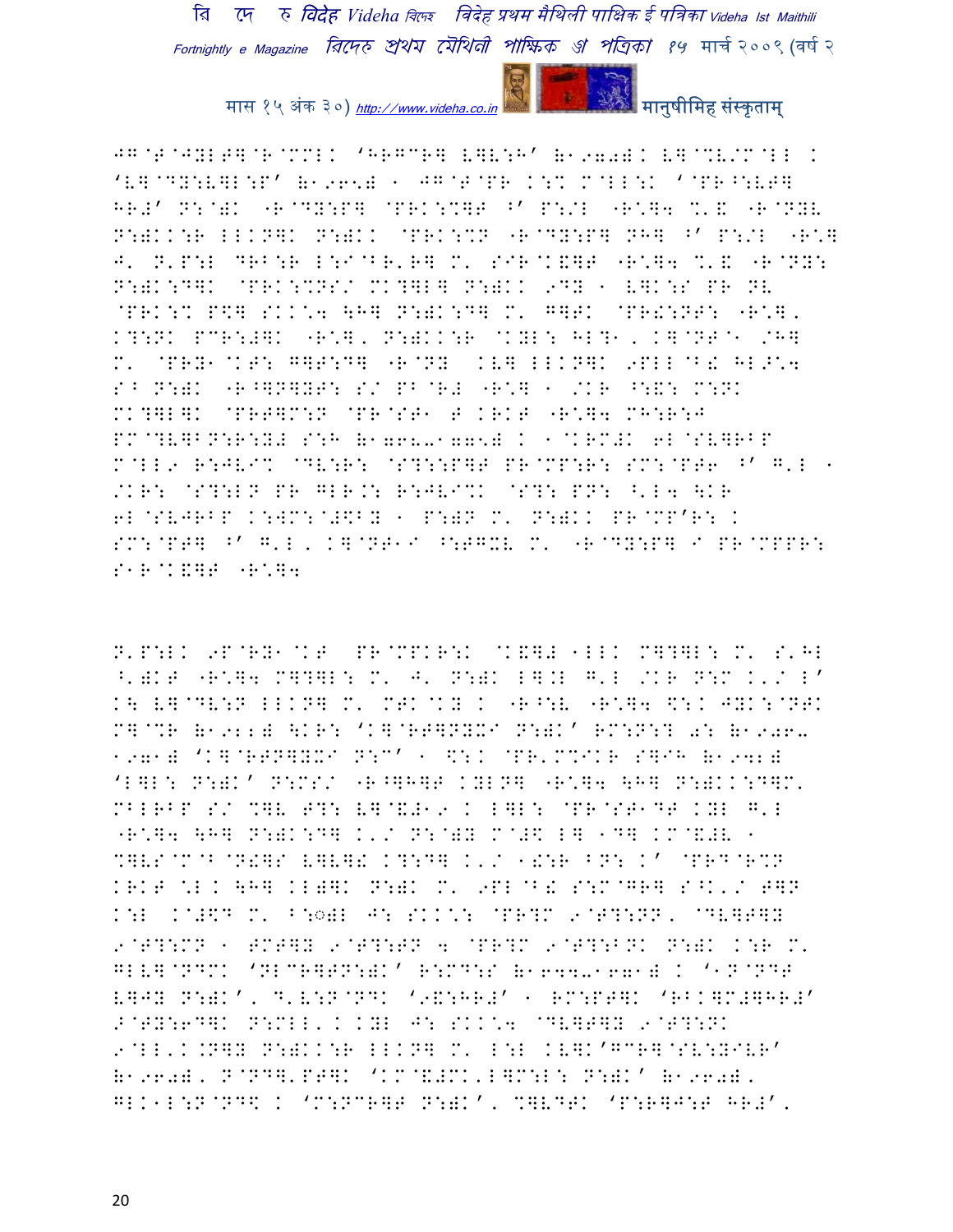मास १५ अंक ३०) http://www.videha.co.in | सामानिक मानुषीमिह संस्कृताम्

JG@T@JYLT]@R@MMLK 'HRGCR] V]V:H' (1970). V]@%V/M@LL K 'V]@DY:V]L:P' (1965) 1 JG@T@PR K:% M@LL:K '@PR^:VT] HR#' P: MOOR: 'R@OY:P#' P: MOOR: AT P:/L "RADY: P:/L "R#JA" & "R#! N:)KK:R LLKN]K N:)KK @PRK:%N "R@DY:P] NH] ^' P:/L "R\*] J' N'P:L DRB:R L:I@BR'R] M' SIR@K&]T "R\*]4 %'& "R@NY: N:)K:D]K @PRK:%NS/ MK?]L] N:)KK 9DY 1 V]K:S PR NV @PRK:% P\$] SKK\*4 \H] N:)K:D] M' G]TK @PR!:NT: "R\*], K?:NK PCR:#]K "R\*], N:)KK:R @KYL: HL?1, K]@NT@1 /H] M. @PRYNIM MYRIM PRYNIA (HRONIC LED) ARTICOLOGIC DE PRINC S^ K:)K "RANIC" (PRESIDENT "REAL "RANIC" (PRESIDENT "RANIC" (PRESIDENT) (PRESIDENT) (PRESIDENT) (PRESIDENT) (P MK?]L]K @PRT]M:N @PR@ST1 T KRKT "R\*]4 MH:R:J PM@?V]BN:R:Y# S:H (1768-1775) K 1@KRM#K 6L@SV]RBP MOLL9 R:JOURN MOLLEY CONDUCTS OF MOLL CONDUCTS AN OUT OF /KR: @S?:LN PR GLR.: R:JVI%K @S?: PN: ^'L4 \KR 6L@SVJRBP K:WM:@#\$BY 1 P:)N M' N:)KK PR@MP'R: K  $\mathcal{S}$  , and the proposition of the proposition of the proposition of the proposition of the proposition of  $S$  : The  $S$   $\rightarrow$   $S$   $\rightarrow$   $S$   $\rightarrow$   $S$   $\rightarrow$   $S$   $\rightarrow$   $S$   $\rightarrow$   $S$   $\rightarrow$   $S$   $\rightarrow$   $S$   $\rightarrow$   $S$   $\rightarrow$   $S$   $\rightarrow$   $S$   $\rightarrow$   $S$   $\rightarrow$   $S$   $\rightarrow$   $S$   $\rightarrow$   $S$   $\rightarrow$   $S$   $\rightarrow$   $S$   $\rightarrow$   $S$   $\rightarrow$   $S$   $\rightarrow$   $S$   $\rightarrow$   $S$   $\rightarrow$   $S$   $\rightarrow$   $S$ 

N'P:LK 9P@RY1@KT PR@MPKR:K @K&]# 1LLK M]?]L: M' S'HL ^')KT "R\*]4 M]?]L: M' J' N:)K L].L G'L /KR N:M K'/ L' K\ V]@DV:N LLKN] M' MTK@KY K "R^:V "R\*]4 \$:. JYK:@NTK M]@%R (1922) \KR: 'K]@RT]NYXI N:)K' RM:N:? 0: (1906- 1971) 'K. B. 1971) 'KARA SERIKA SERIKA SERIKA SERIKA SERIKA SERIKA SERIKA SERIKA SERIKA SERIKA SERIKA SERIKA S 'L]L: N:)K' N:MS/ "R^]H]T KYLN] "R\*]4 \H] N:)KK:D]M' MBLRBP S/ %THE SPREAMENT OF HERE THE SPREAMENT KORE "R\*]4 \H] N:)K:D] K'/ N:@)Y M@#\$ L] 1D] KM@&#V 1 %]VS@M@B@N!]S V]V]! K?:D] K'/ 1!:R BN: K' @PRD@R%N KRKE MID APO (FUND 25UL 2. VIETRO BIJ PRO SILVANO S K:L .MART M. Piode An Silin Ment Schnick (Machael 9@T?:MN 1 TMT]Y 9@T?:TN 4 @PR?M 9@T?:BNK N:)K K:R M' GLAG (PRO) 'N PERSEEPAAL 'N GAARAAN AF FEELFEER AND 'N POPPE  $\langle\,\rangle$ High (Direction) (Direction) (Direction) (Direction and the function  $\langle\,\rangle$ >@TY:6D]K N:MLL'. KYL J: SKK\*4 @DV]T]Y 9@T?:NK 9@LL'K.N]Y N:)KK:R LLKN] M' L:L KV]K'GCR]@SV:YIVR' (1960), N@ND]'PT]K 'KM@&#MK'L]M:L: N:)K' (1960), GLACIE STRIKT I NIMBER STRIKT IN DE TRIKT 'N DIE SOME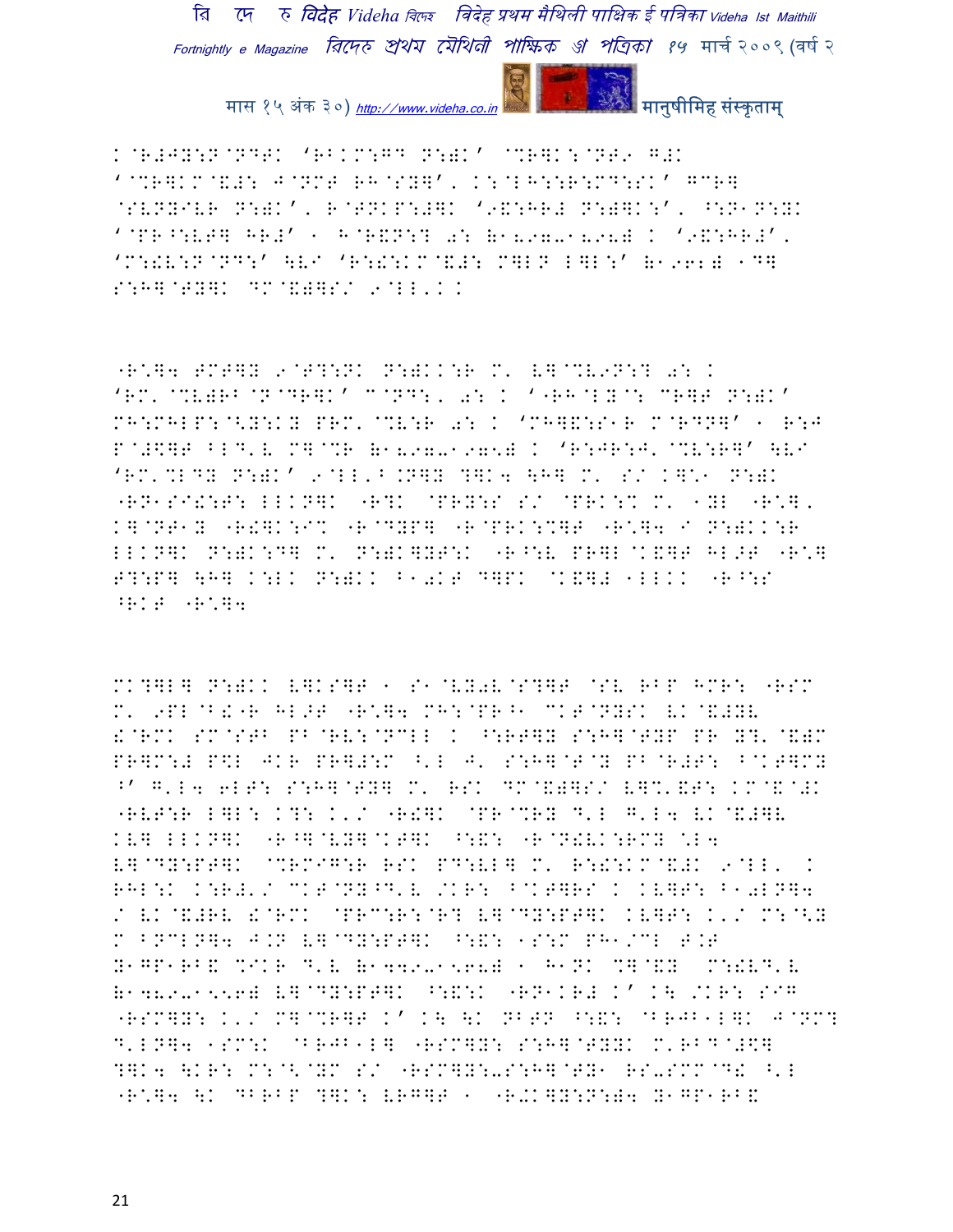मास १५ अंक ३०) http://www.videha.co.in स्थितीया मानुषीमिह संस्कृताम्

K@R#JY:N@NDTK 'RBKM:GD N:)K' @%R]K:@NT9 G#K '@%R]KM@&#: J@NMT RH@SY]', K:@LH::R:MD:SK' GCR] @SVNYIVR N:)K', R@TNKP:#]K '9&:HR# N:)]K:', ^:N1N:YK '@PR^:VT] HR#' 1 H@R&N:? 0: (1897-1898) K '9&:HR#',  $N$  The END:  $N$  is the station of the station of  $R$  is the station of  $N$  . The station of  $N$ STEPH THREE CONSIDERED AND EXTREMI

"R\*]4 TMT]Y 9@T?:NK N:)KK:R M' V]@%V9N:? 0: K YRD, TOLERT TRITHED KOM ORTA , 0:5 (1) Y HR TERIT MERRORSHIM MH:MHLP:@<Y:KY PRM'@%V:R 0: K 'MH]&:S1R M@RDN]' 1 R:J P@#\$]T BLD'V M]@%R (1897-1975) K 'R:JR:J'@%V:R]' \VI 'Y BONYCH (P. 1979) EN Y SY (F. 1919) 1941 A SY SHA HI ON SI KINI NI SA SHENI NI SA SHENI NI SA SHENI NI SA SH "RN1SI": LA REGIONE DE L'ARTICHE DE L'ARTICHE DE L'ARTICHE DE L'ARTICHE DE L'ARTICHE DE L'ARTICHE DE L'ARTICHE<br>1980 : L'ARTICHE DE L'ARTICHE DE L'ARTICHE DE L'ARTICHE DE L'ARTICHE DE L'ARTICHE DE L'ARTICHE DE L'ARTICHE D K)@NTPLEXIES "RECENTER" "RECENTER "RECENTER IN PORT ARRAIGNMENT TO DISCUSS THE LLAND AN DER RESERVED AND DER RESERVED AND DER RESERVED AND DEREST THE UNION OF THE THE THROUGH THE THE THE T FTEER APR CELL PEACH PARK THIL CLINA FILL SPRIN  $R: R \to R$ 

MK?]L] N:)KK V]KS]T 1 S1@VY0V@S?]T @SV RBP HMR: "RSM M' 9PL PART AND AN AND AN EAST AND AN AN AIRPORT OF THE RESIDENCE AND AN AIRPORT OF THE RESIDENCE AND AN AIRPORT !@RMK SMART SMART SMART SMART SMART SMART SMART SMART SMART SMART SMART SMART SMART SMART SMART SMART SMART SM<br>An international and the smart smart smart smart smart smart smart smart smart smart smart smart smart smart s PR]M:# P\$L JKR PR]#:M ^'L J' S:H]@T@Y PB@R#T: ^@KT]MY ^' G'L4 6LT: S:H]@TY] M' RSK DM@&)]S/ V]%'&T: KM@&@#K  $R$  . Recently a recent construction of the construction of the problem  $R$  and  $R$   $\geq$   $R$   $\geq$   $R$  . The construction of the construction of the construction of the construction of the construction of the construction KV) LAKA SERANG KARAHARAN KERAJAAN PERANGAN KARAHARAN KERANGAN KARA SERANG KARA SERANG KARA SERANG KARA SERANG<br>Kerang tersebut di tersebut di tersebut di tersebut di tersebut di tersebut di tersebut di tersebut di tersebu V]@DY:PT]K @%RMIG:R RSK PD:VL] M' R:!:KM@&#K 9@LL' . RHI:K K:R#'/ CKT@NYOU /KR:K K:R#'/ CKT@NYOU /KR: B10LN / VK@&#RV !@RMK @PRC:R:@R? V]@DY:PT]K KV]T: K'/ M:@<Y M BNCLNE AN BENEINDE SERVICE PHYLE FR BARDARB %IKR %IKR DANNNANN & YA MIKR % DINUNI (1489-1556) 1990-1489-1489-1489-1480 V.C. SIGN KORE KORE KORE KORE KORE KORE SIGNER KORE SIGNER KORE SIGNER KO  $R$  . Respectively, the state of the state of the state of the state  $R$  and  $R$  and  $R$  and  $R$  and  $R$ D. ESHA (KONSTANDA EH) (BENHIN ENAH MINIT NIBU MINIT ?]K4 \KR: M:@<@YM S/ "RSM]Y:-S:H]@TY1 RS-SMM@D! ^'L  $R$  . The property of the property of the contribution  $R$  and  $R$  is the contribution  $R$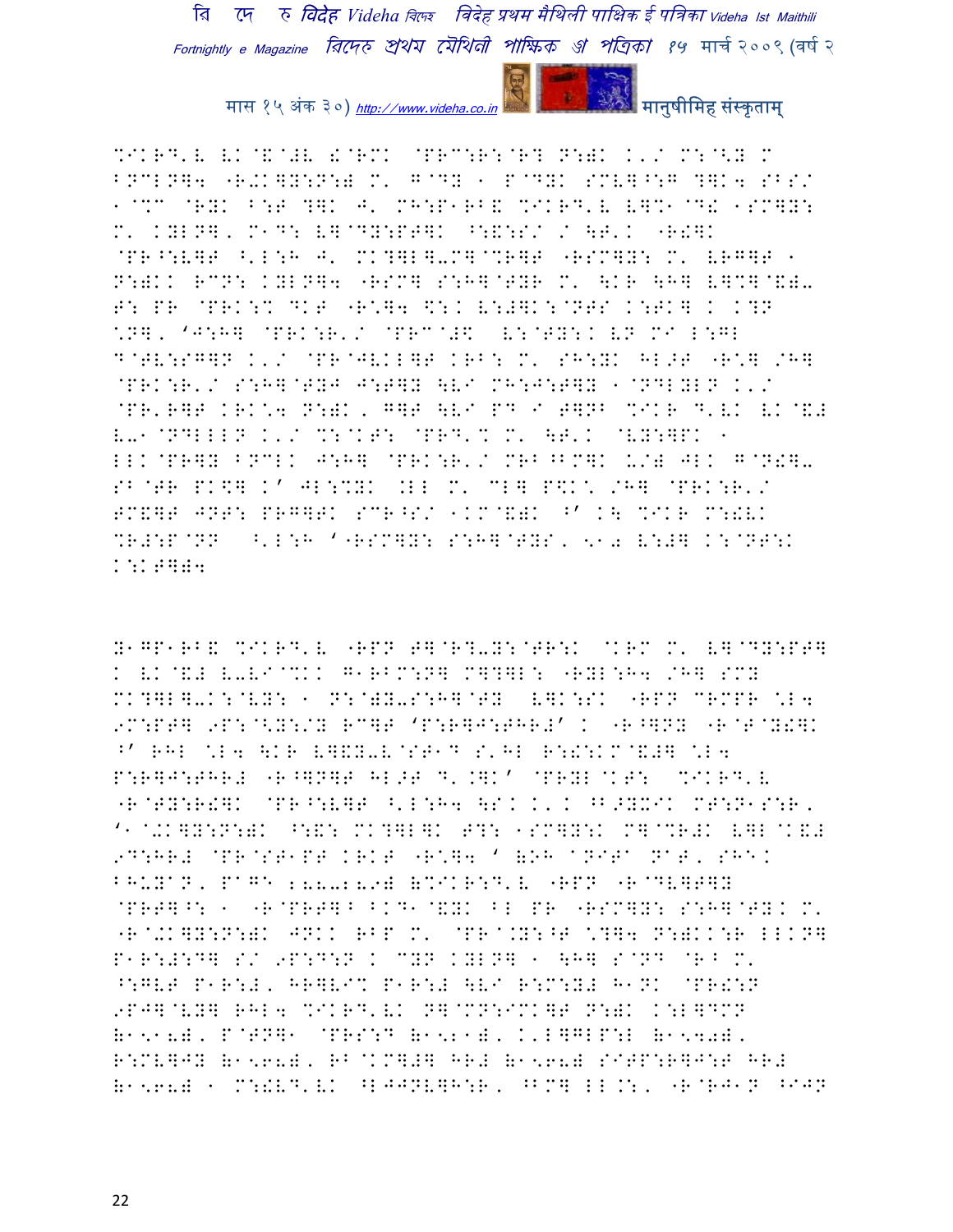मास १५ अंक ३०) <u>http://www.videha.co.in</u><br>सास १५ अंक ३०) <u>http://www.videha.co.in</u>



%IKRD'V VK@&@#V !@RMK @PRC:R:@R? N:)K K'/ M:@<Y M BNCLNES HANDER BOOK SMY HIM IN THE SMULDER SMY 1@%C @RYK B:T ?]K J' MH:P1RB& %IKRD'V V]%1@D! 1SM]Y: M' KYLN), M' KYLNI, M' KYLNI, MY KYLNI, MY KYLNI, MY KYLNI, MY KYLNI, MY KYLNI, MY KYLNI, MY KYLNI, MY KYLNI,<br>Sina matematika ny filipina matematika ny filipina matematika ny filipina matematika ny filipina matematika ny @PR^:V]T ^'L:H J' MK?]L]-M]@%R]T "RSM]Y: M' VRG]T 1 N:)KK RCN: KYLN]4 "RSM] S:H]@TYR M' \KR \H] V]%]@&)- THE PRINCE ON THE STRIKE RISE OF A SERIES IN THE SERIES OF THE RESIDENCE OF THE  $\sim$ \*N], 'J:H] @PRK:R'/ @PRC@#\$ V:@TY:. VN MI L:GL DOGERS ON MENTION SHE WAS ARRESTED FOR A SHIP WAS ARRESTED FOR A SHIP WAS ARRESTED FOR A SHIP WAS ARRESTED FOR @PRK:R'/ S:H]@TYJ J:T]Y \VI MH:J:T]Y 1@NDLYLN K'/ @PR'R]T KRK\*4 N:)K, G]T \VI PD I T]NB %IKR D'VK VK@&# BLA VENEER VIS WORTEN VERNSTELLING MED MEDDELLA LLK@PR]Y BNCLK J:H] @PRK:R'/ MRB^BM]K U/) JLK G@N!]- SB@TR PK\$] K' JL:%YK .LL M' CL] P\$K\* /H] @PRK:R'/ FORGE SOME THUM: PORTIN SCRIBB SKIR MODE DINN %R#:P@NN ^'L:H '"RSM]Y: S:H]@TYS, 510 V:#] K:@NT:K **K:KT** 

B-PP-PFE WIKRD. HPP PROPEDE GRY WEN MORT DO LA MENDE K BI VED BUDA VILL A RYLINA CANALI MARSHI MARKINI SVO MK?]HE: HULD-STALDES (YO OPEN CHILLES FROM CRIDITY AND SHIP OF THE POPEN CLEAR 9M:PT] 9P:@<Y:/Y RC]T 'P:R]J:THR#' K "R^]NY "R@T@Y!]K ^' RHL \*L4 \KR V]&Y-V@ST1D S'HL R:!:KM@&#] \*L4 P:R##:R### "R^#####"#PRYL@KT: %IKRD'SKT: %IKRD'V "R@TY:R!]K @PR^:V]T ^'L:H4 \S. K'. ^B>YXIK MT:N1S:R, '1@+K]Y:N:)K ^:&: MK?]L]K T?: 1SM]Y:K M]@%R#K V]L@K&# 9D:HR# @PR@ST1PT KRKT "R\*]4 ' (OH aNITa NaT, SHE. BHUYAN, PAGE 28828828-2891 (BAC) (BAR), EU (PEPI) (PEARGRIE @PRT]^: 1 "R@PRT]^ BKD1@&YK BL PR "RSM]Y: S:H]@TY. M' "R@+K]Y:N:)K JNKK RBP M' @PR@.Y:^T \*?]4 N:)KK:R LLKN] P1R:#:D] S/ 9P:D:N K CYN KYLN] 1 \H] S@ND @R^ M' ^:GVT P1R:#, HR]VI% P1R:# \VI R:M:Y# H1NK @PR!:N 9PJ]@VY] RHL4 %IKRD'VK N]@MN:IMK]T N:)K K:L]DMN (1518), P. M. (1521), P. (1521), R. (1540), C. (1540), P. (1540), K. (1540), K. (1540), C. (1540), C. R:MV]JY (1568), RB@KM]#] HR# (1568) SITP:R]J:T HR# (1568) 1 M: VA: VE VE VA PORTERAR (1508) 11 M: VA PORT (1508) 2007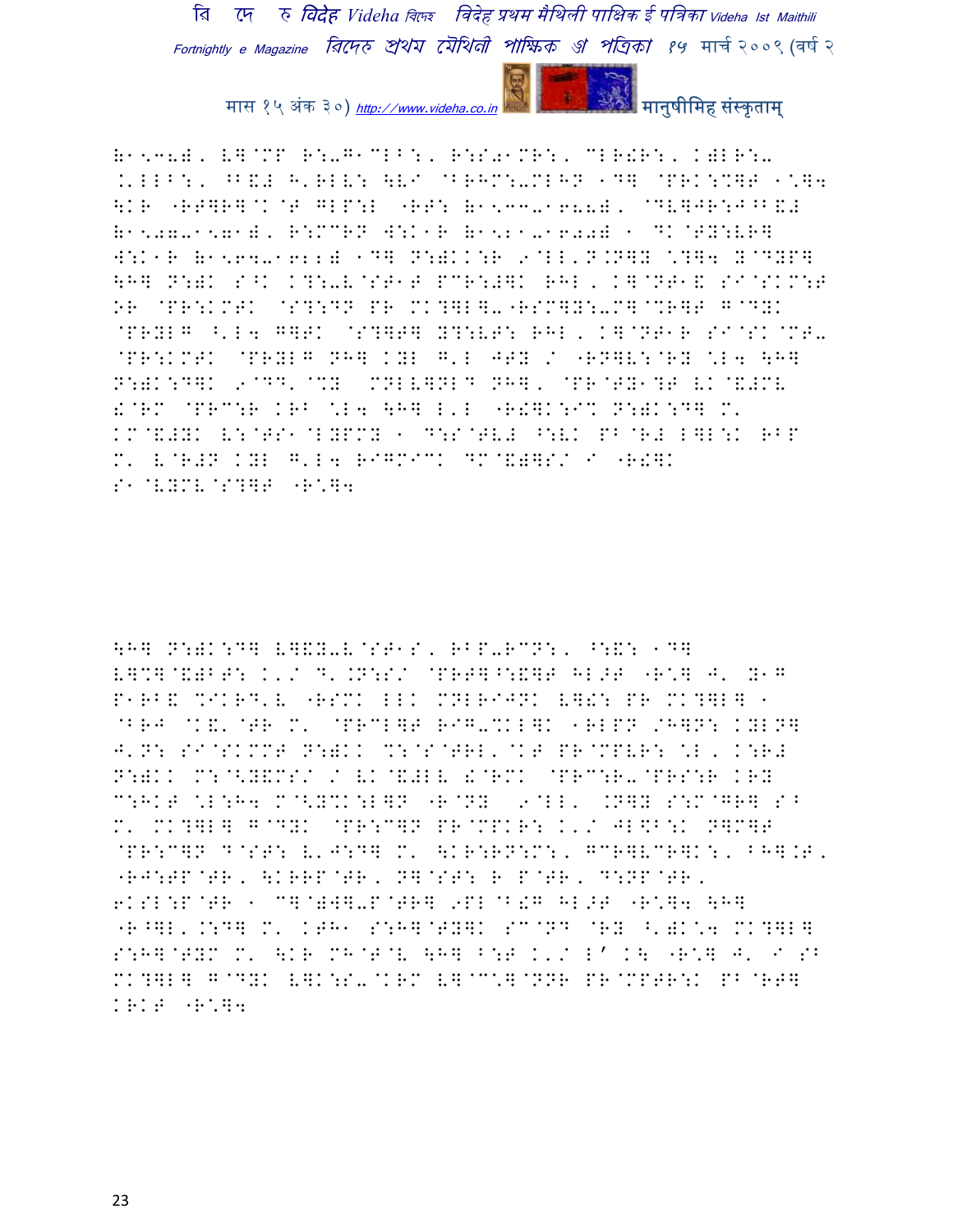मास १५ अंक ३०) <u>http://www.videha.co.in स्थिति क्रिके</u>टी **मानुषीमिह संस्कृताम्** 



(1538), V]@MP R:-G1CLB:, R:S01MR:, CLR!R:, K)LR:-  $L$  Beat  $\sim$   $B$  and  $\sim$   $B$  are  $\sim$  MeV  $\sim$  MeV  $\sim$  MPR  $\sim$  MPR  $\sim$  MPR  $\sim$  MPR  $\sim$  MPR  $\sim$  $R: P$  (1533-1688) of the RT: (1533-1688), and  $R$  and  $R$  is considered in  $R$ (1507-1571), R:MCRN W:K1R (1521-1600) 1 DK@TY:VR] W:K1R (1564-1622) 1D: K1R (1564-1622) 1D: KK: R (1564-1622) 1D: KK: R (1564-1622) 1D: N \H] N:)K S^K K?:-V@ST1T PCR:#]K RHL, K]@NT1& SI@SKM:T OR @PR:KMTK @S?:DN PR MK?]L]-"RSM]Y:-M]@%R]T G@DYK @PRYLG ^'L4 G]TK @S?]T] Y?:VT: RHL, K]@NT1R SI@SK@MT- @PR:KMTK @PRYLG NH] KYL G'L JTY / "RN]V:@RY \*L4 \H] N:)K:D]K 9@DD'@%Y MNLV]NLD NH], @PR@TY1?T VK@&#MV !@RM @PRC:R KRB \*L4 \H] L'L "R!]K:I% N:)K:D] M' KM VEGEN AN NEW YORK OF SALE OF THE REAL PROPERTY OF THE SALE REPORT M. B'RAD (OR ALEA RYAGY) SM'NAARZ' (SRAA) S1@VYMV@S?]T "R\*]4

 $\#$  H)  $\#$  Then  $\#$  is the mean of  $\#$  of  $\mathcal{L}$  ,  $\#$  for  $\#$  1D  $\mathcal{L}$  ,  $\#$  1D  $\mathcal{L}$  ,  $\#$  1D  $\mathcal{L}$ BATEMBER V. M. DINI, MIRRENBER RIJE (RVA 4. B) P1RB& %IKRD'V "RSMK LLK MNLRIJNK V]!: PR MK?]L] 1 @BRJ @K&'@TR M' @PRCL]T RIG-%KL]K 1RLPN /H]N: KYLN] J'N: SI@SKMMT N:)KK %:@S@TRL'@KT PR@MPVR: \*L, K:R# N:)KK M:@<Y&MS/ / VK@&#LV !@RMK @PRC:R-@PRS:R KRY C:HKT \*L:H4 M@<Y%K:L]N "R@NY 9@LL' .N]Y S:M@GR] S^ M' MK?]L] G@DYK @PR:C]N PR@MPKR: K'/ JL\$B:K N]M]T @PR:C]N D@ST: V'J:D] M' \KR:RN:M:, GCR]VCR]K:, BH].T, "RJ:TP@TR, \KRRP@TR, N]@ST: R P@TR, D:NP@TR, 6KSL:P@TR 1 CARD 1 CAPE SHE TRANSPORTED 1 CHAPTER 1  $R$ PRESSING MY KTHIN STAGENHOUS SCORE OF BUILDING WITHER S:H]@TYM M' \KR MH@T@V \H] B:T K'/ L' K\ "R\*] J' I SB MAKPED GODY CONSISTED AND CONTROL CONTROL CONTROL PROPERTY AND INCOME. IN 1980 WHEN  $R$ KRKT "R\*]4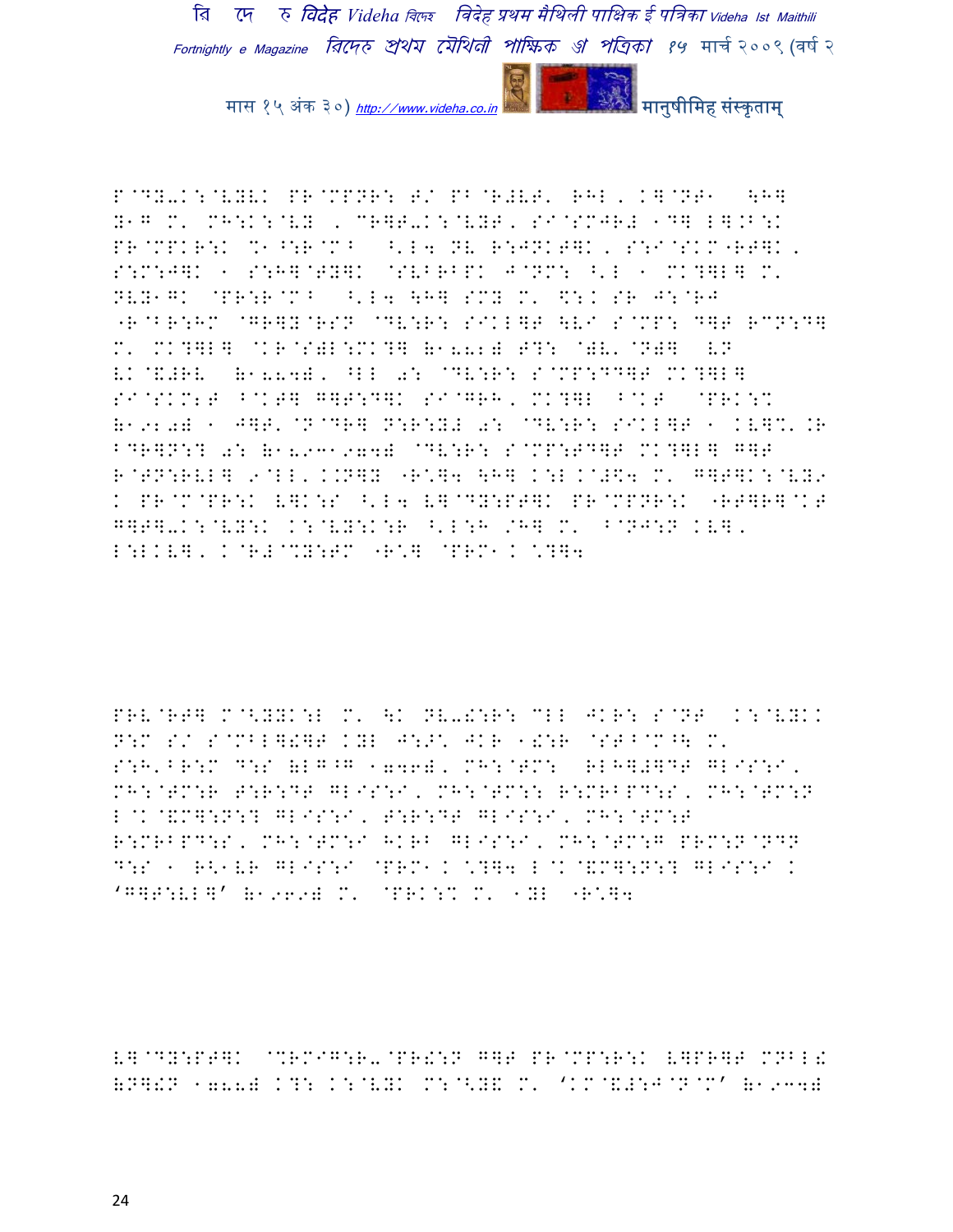मास १५ अंक ३०) http://www.videha.co.in स्थितीया मानुषीमिह संस्कृताम्



POST PRODUCER PRODUCER PRODUCER PRODUCER PRODUCER PRODUCER PRODUCER PRODUCER PRODUCER PRODUCER PRODUCER PRODUC YOU AN INCREASE IN THE CONTROL CONTROL OF THE STREET PR@MPKR:K %1^:R@M^ ^'L4 NV R:JNKT]K, S:I@SKM"RT]K, SS:MORE A STARTENE SIN HOUR ATEN ALL A NINHER N. NVY1GK @PR:R@M^ ^'L4 \H] SMY M' \$:. SR J:@RJ  $R$  . The state  $\mathcal{R}$  are the sign of the sign of the sign of  $\mathcal{R}$  and  $\mathcal{R}$ M' M' HE? HE? WARRANT MARKET AN INDIANA AND THE SALE KO (B.B. S. Branner, 1988), and (1981), S. Converting County SIMPLICE FOR FURNISHING SIMPLE, MARINE FOR A MERISH (1920) 1 J]T'@N@DR] N:R:Y# 0: @DV:R: SIKL]T 1 KV]%'.R BORDER IS GREET MAN STRIP OF STRIP OF SALE OF SALE OF SALE OF SALE OF SALE OF SALE OF SALE OF SALE OF SALE OF SALE OF SALE OF SALE OF SALE OF SALE OF SALE OF SALE OF SALE OF SALE OF SALE OF SALE OF SALE OF SALE OF SALE OF R THORSE RECKLIE I I NORRE CHE SAN ARABIC THAT A CHI CHI KE MI GILE K K PROMOTES K PROVINCE SOME REDUCED PROVINCE IN STREET AND THE SALE OF THE PROVINCE IN A REDUCED ON A REDUCED OF GREALLY MANIS (IN MANINE (R.1NH) 200 M. (COMPAN ILO), L:LIK, MAR MAR SHOW: THE SALE

PRV@RT] M@<YYK:L M' \K NV-!:R: CLL JKR: S@NT K:@VYKK  $X:Y \to Y \to Y$  is the second of  $X:Y \to Y$  is a second or  $Y$  . The  $Y$  is a second or  $Y$ S:H'BR:M D:S (LG^G 1746), MH:@TM: RLH]#]DT GLIS:I, MH:@TM:R T:R:DT GLIS:I, MH:@TM:: R:MRBPD:S, MH:@TM:N L@K@&M]:N:? GLIS:I, T:R:DT GLIS:I, MH:@TM:T R:MRBPD:S, MH:@TM:I HKRB GLIS:I, MH:@TM:G PRM:N@NDN D:S 1 RENE WENTH TERN I NIME E N MENHENI WENTH I

'GH:VLIN' Green T. THIT: T. T. T. T. T. T.

V]@DY:PT]K @%RMIG:R-@PR!:N G]T PR@MP:R:K V]PR]T MNBL! (N]!N 1788) K?: K:@VYK M:@<Y& M' 'KM@&#:J@N@M' (1934)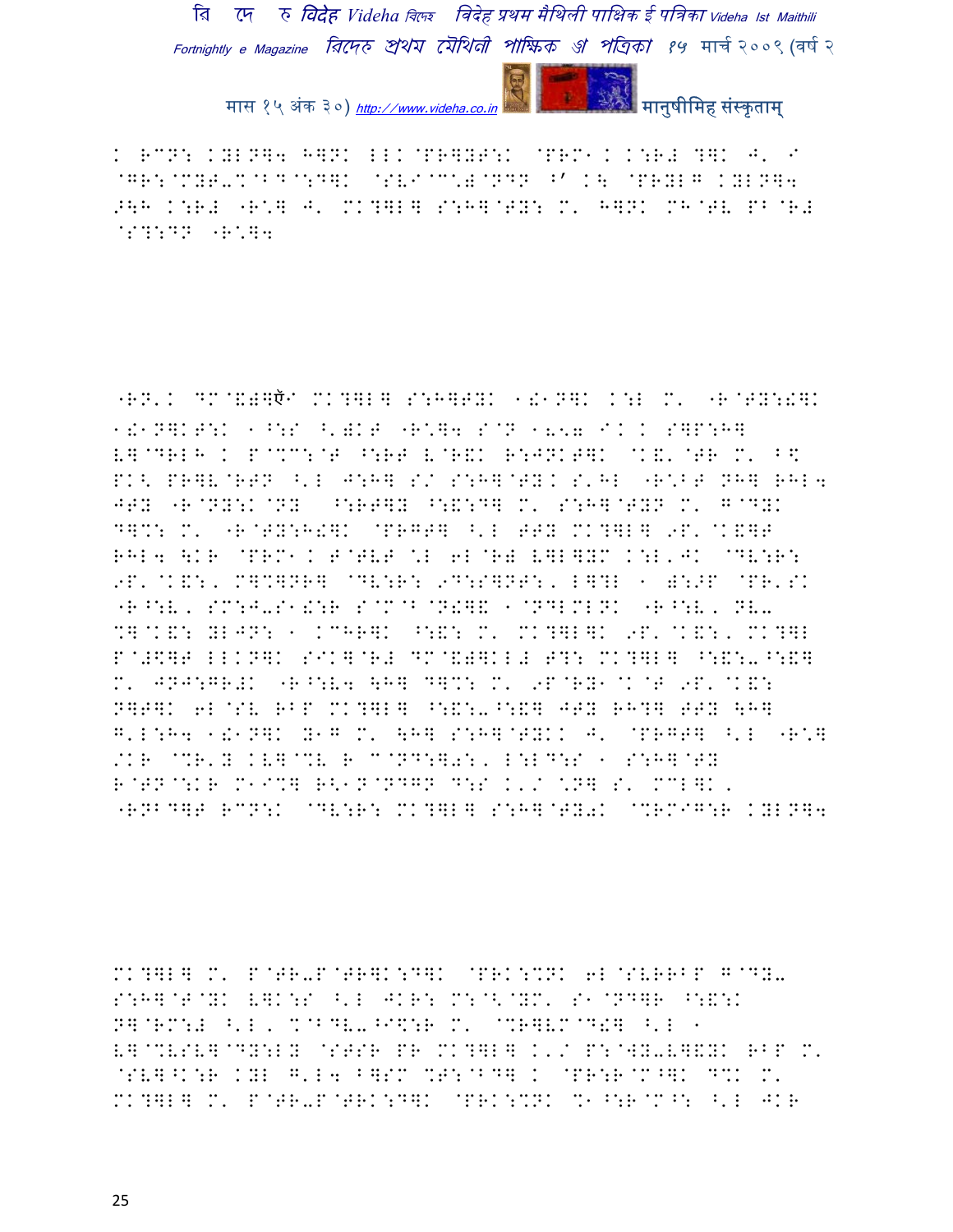मास १५ अंक ३०) http://www.videha.co.in स्थितीया मानुषीमिह संस्कृताम्

K RCN: KORPOR HINK LLK MARRIEN, MARY KING MIN 4. K @GR:@MYT-%@BD@:D]K @SVI@C\*)@NDN ^' K\ @PRYLG KYLN]4 >\H K:R# "R\*] J' MK?]L] S:H]@TY: M' H]NK MH@TV PB@R# @S?:DN "R\*]4

"ARN'I MY MENY "Y MHE FIRANE" (E MA "PE" I N' "A' "ROTH") 11. TH: A: ( ) San I. A: ( ) San I. ( ) No. ( ) San I. ( ) BURGH K POST CONSTRUCTION CONTROL CONTROL CONTROL CONTROL CONTROL CONTROL CONTROL CONTROL CONTROL CONTROL CONT PCA PRALINER AL HIGH SY SIGHTED SLAP (BOFF RHE BHP) JTY "R@NY:K@NY ^:RT]Y ^:&:D] M' S:H]@TYN M' G@DYK D]%: M' "R@TY:H!]K @PRGT] ^'L TTY MK?]L] 9P'@K&]T RHL4 ACR (TRIVI) #10E# (2. ACR) VAL 6.HI 4.HI (16. AC (TECH) 9P'@K&:, M]%]NR] @DV:R: 9D:S]NT:, L]?L 1 ):>P @PR'SK  $R:V\to V$  . So the same of the some section is the second section of  $R$  . The second  $R$ %]@K&: YLJN: 1 KCHR]K ^:&: M' MK?]L]K 9P'@K&:, MK?]L P@#\$]T LLKN]K SIK]@R# DM@&)]KL# T?: MK?]L] ^:&:-^:&] M' JOURNAL HERE RAD MONTH WAS BEEN TO DESCRIPT NAPAR SHI NI PIR MKARA SHINI NEA API PATA PPI API APA G'L:H4 1!1N]K Y1G M' \H] S:H]@TYKK J' @PRGT] ^'L "R\*] /KR @%R'Y KV]@%V R C@ND:]0:, L:LD:S 1 S:H]@TY R@TN@:KR M1I%] R<1N@NDGN D:S K'/ \*N] S' MCL]K, "RNBD; RNBD; RNBD; RNBD; RNBD; RNBD; RNBD; RNBD; RNBD; RNBD; RNBD; RNBD; RNBD; RNBD; RNBD; RNBD; RNBD; RNBD; R<br>Die RNBD; RNBD; RNBD; RNBD; RNBD; RNBD; RNBD; RNBD; RNBD; RNBD; RNBD; RNBD; RNBD; RNBD; RNBD; RNBD; RNBD; RNB

MK?]L] M' P@TR-P@TR]K:D]K @PRK:%NK 6L@SVRRBP G@DY-STAR TO THE VALUE OF STATE OF THE VALUE OF THE STATE OF THE STATE OF THE STATE OF THE STATE OF THE STATE OF THE STATE OF THE STATE OF THE STATE OF THE STATE OF THE STATE OF THE STATE OF THE STATE OF THE STATE OF THE STATE NESE A EL ARMITER EN 1999, EN 1999, EN 1999, EN 1999, EN 1999, EN 1999, EN 1999, EN 1999, EN 1999, EN 1999, EN<br>De la tradició de la tradició de la tradició de la tradició de la tradició de la tradició de la tradició de la V]@%VSV]@DY:LY @STSR PR MK?]L] K'/ P:@WY-V]&YK RBP M' @SV]^K:R KYL G'L4 B]SM %T:@BD] K @PR:R@M^]K D%K M' MK?]L] M' P@TR-P@TRK:D]K @PRK:%NK %1^:R@M^: ^'L JKR

25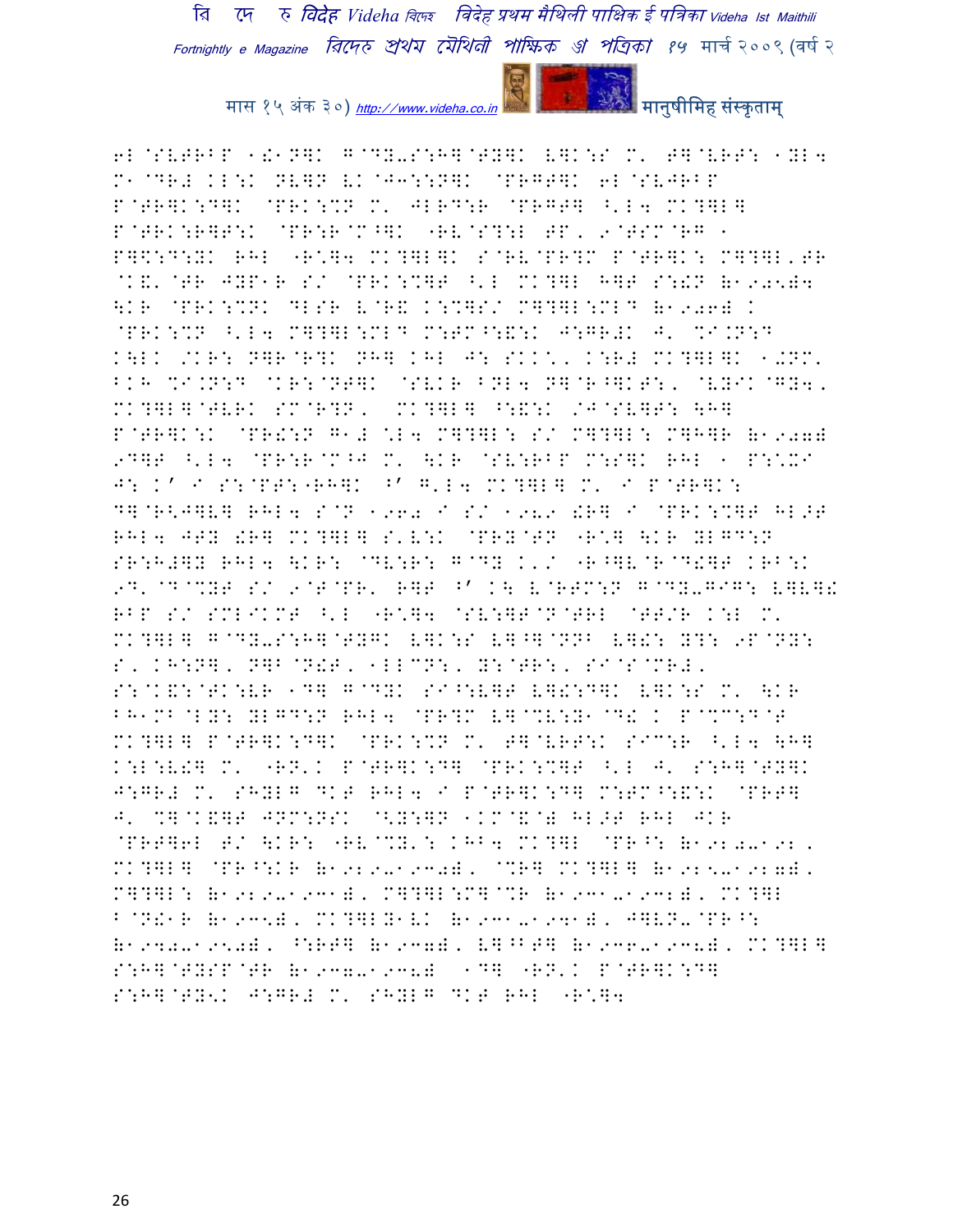मास १५ अंक ३०) <u>http://www.videha.co.in NASA सानु</u>षीमिह संस्कृताम्



6E TREADER 1 | 200 YOM OF TREADER 1 | 100 YOM OF THE TANK IN THE SERVE IN THE TERM IN THE SERVE IN THE SERVE IN M1@DR# KL:K NV]N VK@J3::N]K @PRGT]K 6L@SVJRBP POHRECHS: OPRINING N. MIRTH: OPRAH S.IN NICHER P@TRK:R]T:K @PR:R@M^]K "RV@S?:L TP, 9@TSM@RG 1 P]\$:D:YK RHL "R\*]4 MK?]L]K S@RV@PR?M P@TR]K: M]?]L'TR @K&'@TR JYP1R S/ @PRK:%]T ^'L MK?]L H]T S:!N (1905)4  $\mathcal{R}$  , which is a proposition of  $\mathcal{R}$  , and  $\mathcal{R}$  is a proposition of  $\mathcal{R}$  , and  $\mathcal{R}$ @PRK:%N ^'L4 M]?]L:MLD M:TM^:&:K J:GR#K J' %I.N:D K\LK / KR: NEW YORK / STANDARD / STANDARD / STANDARD / STANDARD / STANDARD / STANDARD / STANDARD / STANDARD / BKH %I.N:D @KR:@NT\_MENT\_MENT\_POOR @ROWIK@GYA, @VYIK@GYA, @VYIK@GYA, @VYIK@GYA, @VYIK@GYA, @VYIK@GY4, MAK?N, MAKE SMARY SMARY SMARY SMART SMART SMART SMART SMART SMART SMART SMART SMART SMART SMART SMART SMART SM P@TRIK: MPR:N G4 ME 79981 (1) M9981 (7998) B.And 9998 (RIA MPRESONA D. RIE SVENARD DNIHL 891 ( PYLOS J: K' I S:@PT:"RH]K ^' G'L4 MK?]L] M' I P@TR]K: DR THA PRESS (HARRY STORY SPACE OF STORY SERVICE STORY TEND STREET HE PRE RHL4 JTY !R] MK?]L] S'V:K @PRY@TN "R\*] \KR YLGD:N SR:H#]Y RHL4 \KR: @DV:R: G@DY K'/ "R^]V@R@D!]T KRB:K 9D'@D@%YT S/ 9@T@PR' R]T ^' K\ V@RTM:N G@DY-GIG: V]V]! RBP S/ SMLIKMT ^'L "R\*]4 @SV:]T@N@TRL @TT/R K:L M' MK?]L] G@DY-S:H]@TYGK V]K:S V]^]@NNB V]!: Y?: 9P@NY: S, CRGPB, PH:TRGE, FEETR:, SI@SBN:, STR:CPED, S: CONSTRAIN (THE PINC SINGER BHATH, BHIST C. C. BIF BH1MB@LY: YLGD:N RHL4 @PR?M V]@%V:Y1@D! K P@%C:D@T MK 1988 BY POTRERIC N MEN DI POTRO MILITIER PER CONTINENTIAL ARE ARREST K:L:V!] M' "RN'K P@TR]K:D] @PRK:%]T ^'L J' S:H]@TY]K J:GR# M' SHYLG DKT RHL4 I P@TR]K:D] M:TM^:&:K @PRT] J' %]@K&]T JNM:NSK @<Y:]N 1KM@&@) HL>T RHL JKR @PRT]6L T/ \KR: "RV@%Y': KHB4 MK?]L @PR^: (1920-192, MCPHP (PROVE) Brysylvanic (1959-11989-Brysylvanic) MARIN GERMAN SERVICE CONTROL CONTROL CONTROL B@N!1R (1935), MK?]LY1VK (1931-1941), J]VN-@PR^: (1940-1950), ^:RT] (1937), V]^BT] (1936-1938), MK?]L] S:NER (POPP) (PER OB) DAHBUR DAHBUR (1938) 1947-1038 (POPPR) NARR STORY SINCE A SHOWLG DATA RHOUGHT RELEASED AND RHOUGHT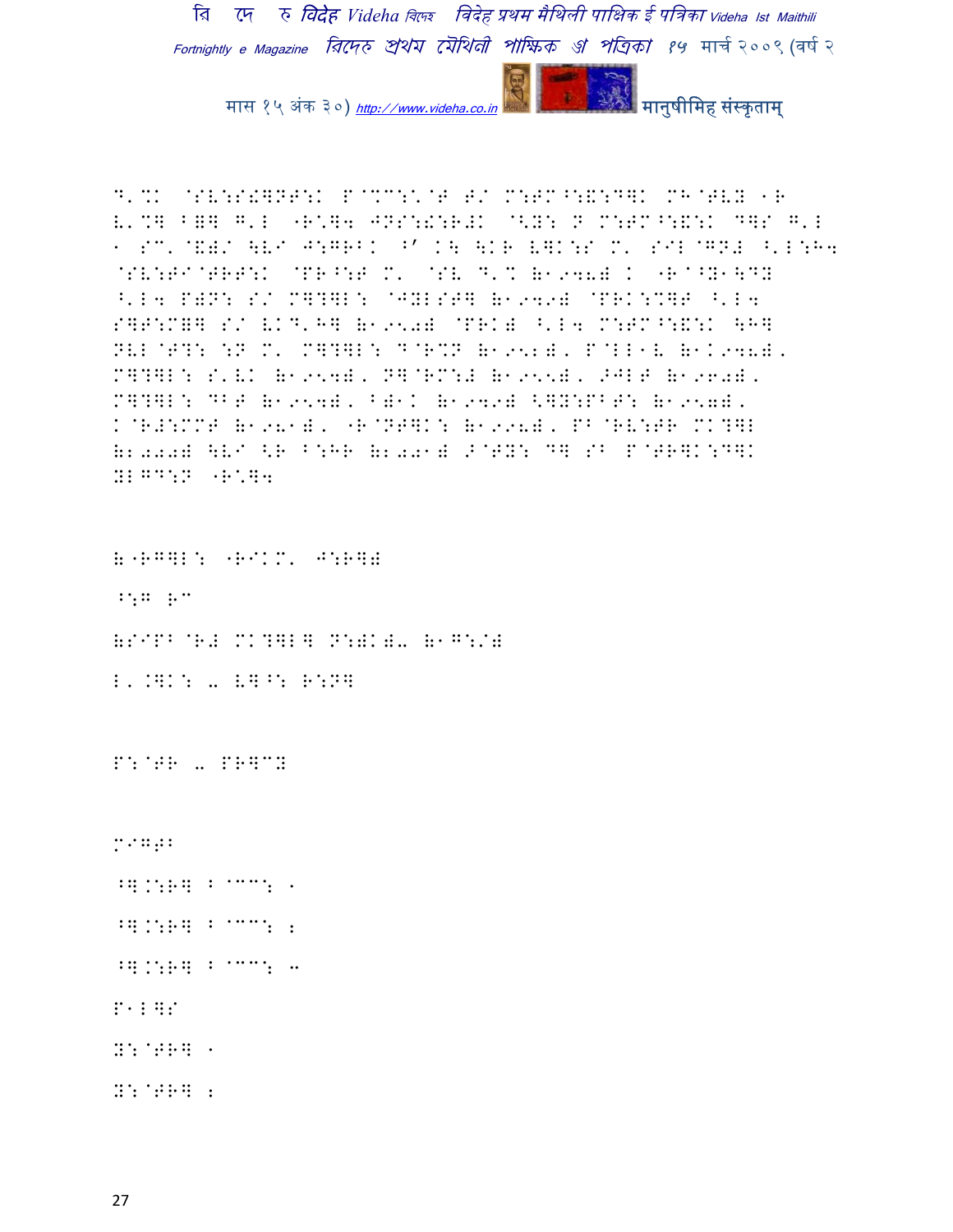मास १५ अंक ३०) http://www.videha.co.in स्थितीया मानुषीमिह संस्कृताम्



D'%K @SV:S!]NT:K P@%C:\*@T T/ M:TM^:&:D]K MH@TVY 1R B. TH FEB A.: (PNAN APPIRABEL) SURF & TARTAIRI SAR A.:  $1$  SCC  $\overline{1}$  and  $\overline{1}$  are  $\overline{1}$  and  $\overline{1}$  and  $\overline{1}$  is the simulation of  $\overline{1}$  and  $\overline{1}$ MONDAY MARKET MOREON CONSTRUCTION AND ANNOUNCED ARTIST ^'L4 P)N: S/ M]?]L: @JYLST] (1949) @PRK:%]T ^'L4 SARADOR SZ KORONA (1960) ZOKOR (1960) A LA DYADOR (1960) NVL@T?: :N M' M]?]L: D@R%N (1952), P@LL1V (1K948), MATHER STILL BROKEN, MATHOLIC BROKKE, OFFF BROKKE, M]?]L: DBT (1954), B)1K (1949) <]Y:PBT: (1957), K@R#:MMT# (1981), "R@NT##! (1998), PB@RX:TR MK?## (2000) Brand (2001) REPORT (2001) Brand (2002) 98 PM (2001) PMP SPRING YLGD:N "R\*]4

("RAGAL: "RICH" J:RIKM'  $\langle \cdot, \cdot, \cdot \rangle$ (SIPB@R# MK?]L] N:)K)- (1G:/) L'.]K: - V]^: R:N]

P:@TR - PR]CY

 $\mathbb{C} \cdot \mathbb{R}$  is a set of  $\mathbb{R}$ 

^].:R] B@CC: 1

 $\mathbb{R}^n$  becomes a second part of  $\mathbb{R}^n$ 

 $\mathbf{1}$   $\mathbf{2}$   $\mathbf{3}$   $\mathbf{4}$   $\mathbf{5}$   $\mathbf{5}$   $\mathbf{6}$   $\mathbf{7}$   $\mathbf{8}$   $\mathbf{8}$   $\mathbf{9}$   $\mathbf{1}$   $\mathbf{1}$   $\mathbf{1}$   $\mathbf{1}$   $\mathbf{1}$   $\mathbf{1}$   $\mathbf{1}$   $\mathbf{1}$   $\mathbf{1}$   $\mathbf{1}$   $\mathbf{1}$   $\mathbf{1}$   $\mathbf{1}$   $\mathbf{$ 

PHILE

Y:@TR] 1

Y:@TR] 2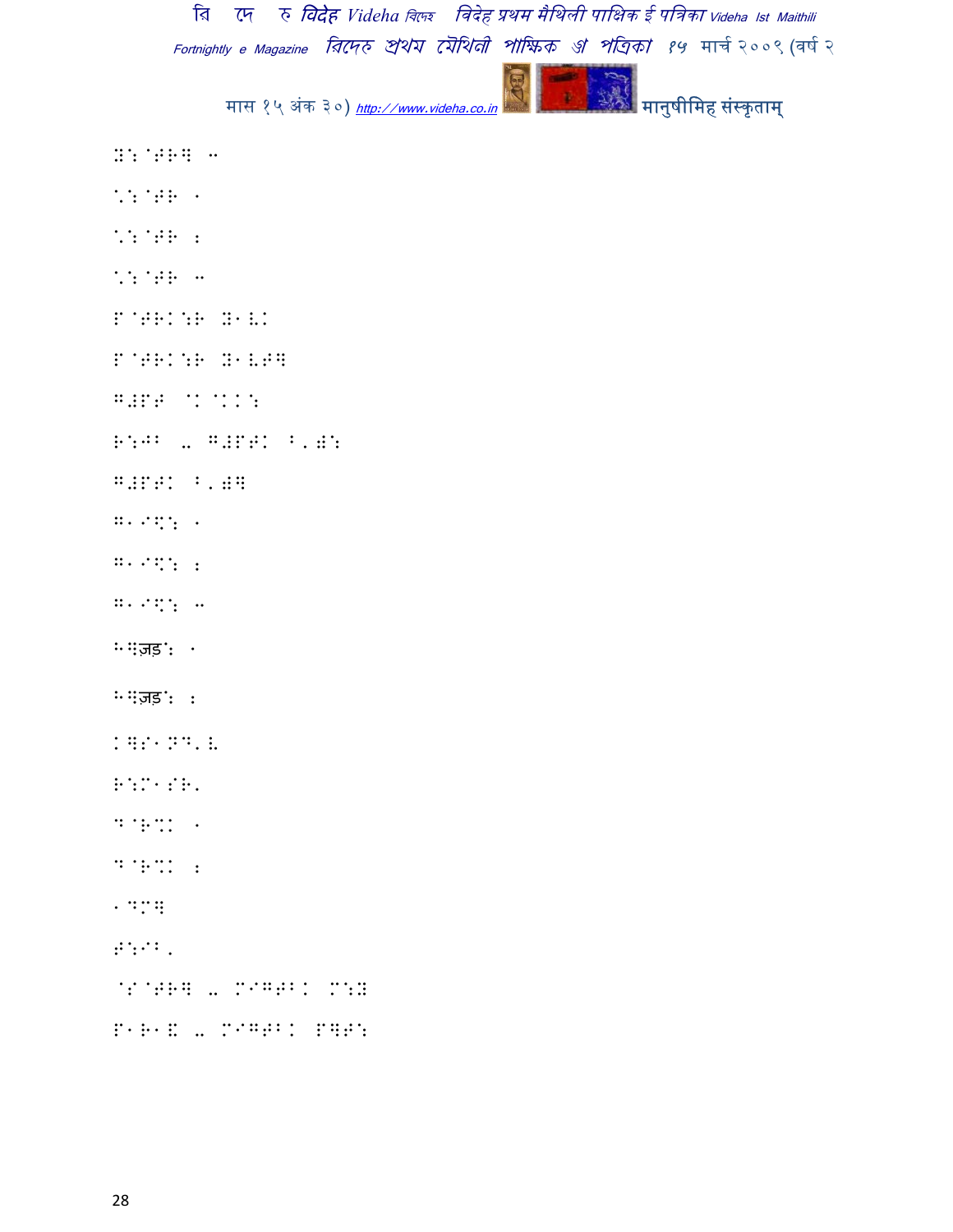िव दे ह िवदेह *Videha* িবেদহ िवदह ᮧथम म े ैिथली पािक्षक ई पिᮢका Videha Ist Maithili Fortnightly e Magazine *तिरमह शेशेरा त्रिशिती পांश्किक शे পंजिको १५* मार्च २००९ (वर्ष २

मास १५ अंक ३०) <u>http://www.videha.co.in</u> स्थिती सानुषीमिह संस्कृताम्

Y:@TR] 3

\*:@TR 1

\*:@TR 2

\*:@TR 3

PORTHON STAT

POSSES RECEIVED

BHB CONDITI

R:JB - G#PTK B'):

GHE BY

 $\mathfrak{m}: \mathbb{C} \mathbb{Q}_1 \to \mathbb{C}$ 

 $\cdots$   $\cdots$   $\cdots$ 

G1I\$: 3

 $\cdot$  मंज़ड़ $\cdot$  1

 $\cdot$   $\cdot$   $\cdot$   $\cdot$   $\cdot$   $\cdot$ 

KH21NDC

R:M1SR'

BOR K 1981

BOR COMPART

 $1.929$ 

 $\mathcal{G}^1(\mathcal{F}^1)$  .

@S@TR] - MIGTBK M:Y

PHILA TEMPIO PHIL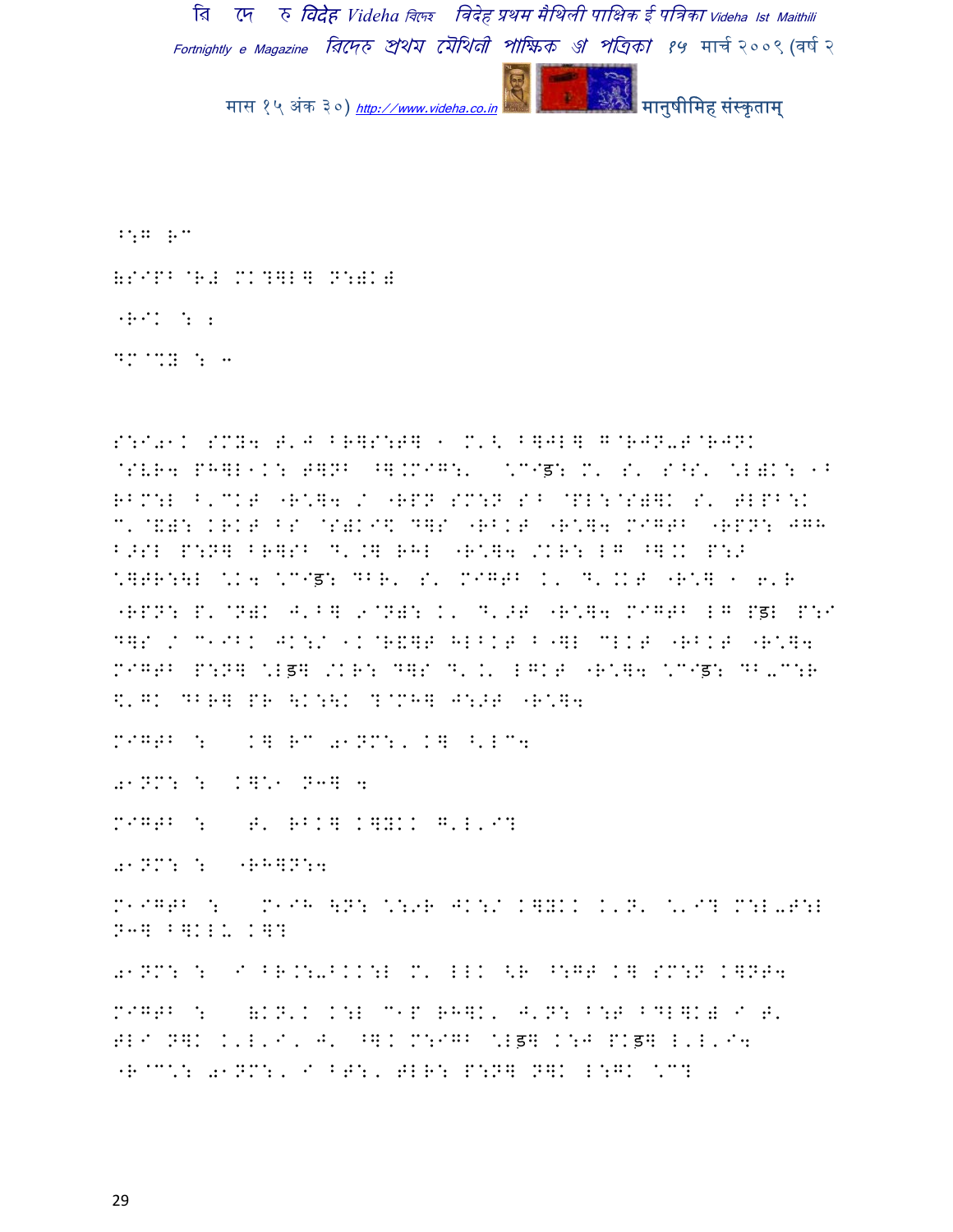मास १५ अंक ३०) http://www.videha.co.in | सामानिक मानुषीमिह संस्कृताम्

 $\langle \cdot, \cdot, \cdot \rangle$ (SIPB@R# MK?]L] N:)K) "RIK : 2012 DM@%Y : 3

S:ION: INTERNATIONS IN BRIDGE IN THE BASIC BASIC @SVR4 PH]L1K: T]NB ^].MIG:' \*CIड़: M' S' S^S' \*L)K: 1B RBM:L B'CKT "R\*]4 / "RPN SM:N S^ @PL:@S)]K S' TLPB:K C'@&): KRKT BS @S)KI\$ D]S "RBKT "R\*]4 MIGTB "RPN: JGH BSRI PYR PHOR SLOW HAI (ANG) ZIPS IF MUIL PY \*]TR:\L \*K4 \*CIड़: DBR' S' MIGTB K' D'.KT "R\*] 1 6'R "RPN: P'@N)K J'B] 9@N): K' D'>T "R\*]4 MIGTB LG Pड़L P:I DHE / C1IBK: 1K#: 1K#: 1K## HE LAN F HE CLKT HE LAN F HE MIGHB P:NE WEST CONSTRUCTED AND PEOPLE THOSE TO DATE  $\mathcal{D}_\mathcal{D}$  , the property of  $\mathcal{D}_\mathcal{D}$  ,  $\mathcal{D}_\mathcal{D}$  ,  $\mathcal{D}_\mathcal{D}$  ,  $\mathcal{D}_\mathcal{D}$  ,  $\mathcal{D}_\mathcal{D}$  ,  $\mathcal{D}_\mathcal{D}$  ,  $\mathcal{D}_\mathcal{D}$  ,  $\mathcal{D}_\mathcal{D}$  ,  $\mathcal{D}_\mathcal{D}$  ,  $\mathcal{D}_\mathcal{D}$ 

MIGHT : KID RC 01NM:, KID REAL

01NM: 101NM: 101NM: 101NM: 101NM: 101NM: 101NM: 101NM: 101NM: 101NM: 101NM: 101NM: 101NM: 101NM: 101NM: 101NM:

MIGHT : T' RESIDENCE CHARGE : THE

001NM: 01NM: 01NM: 01NM: 01NM: 01NM: 01NM: 01NM: 01NM: 01NM: 01NM: 01NM: 01NM: 01NM: 01NM: 01NM: 01NM: 01NM: 0

MN PRESS : MINIGTE : RESERVE : PORT OF BOOK (NOT WORKERS) N3] B]KLU K]?

01N: BOTA: SACARA E PALES CONTAET ON A BACK EN HARBER OF SOME DEPENDENT

MIGHT : (KNORIC C1P RHIK: AND PIGE PHILE KE. TLI N]K K'L'I, J' ^]. M:IGB \*Lड़] K:J PKड़] L'L'I4  $R$  . I do not consider the constant of the constant of the constant of the constant of the constant of the constant of the constant of the constant of the constant of the constant of the constant of the constant of the co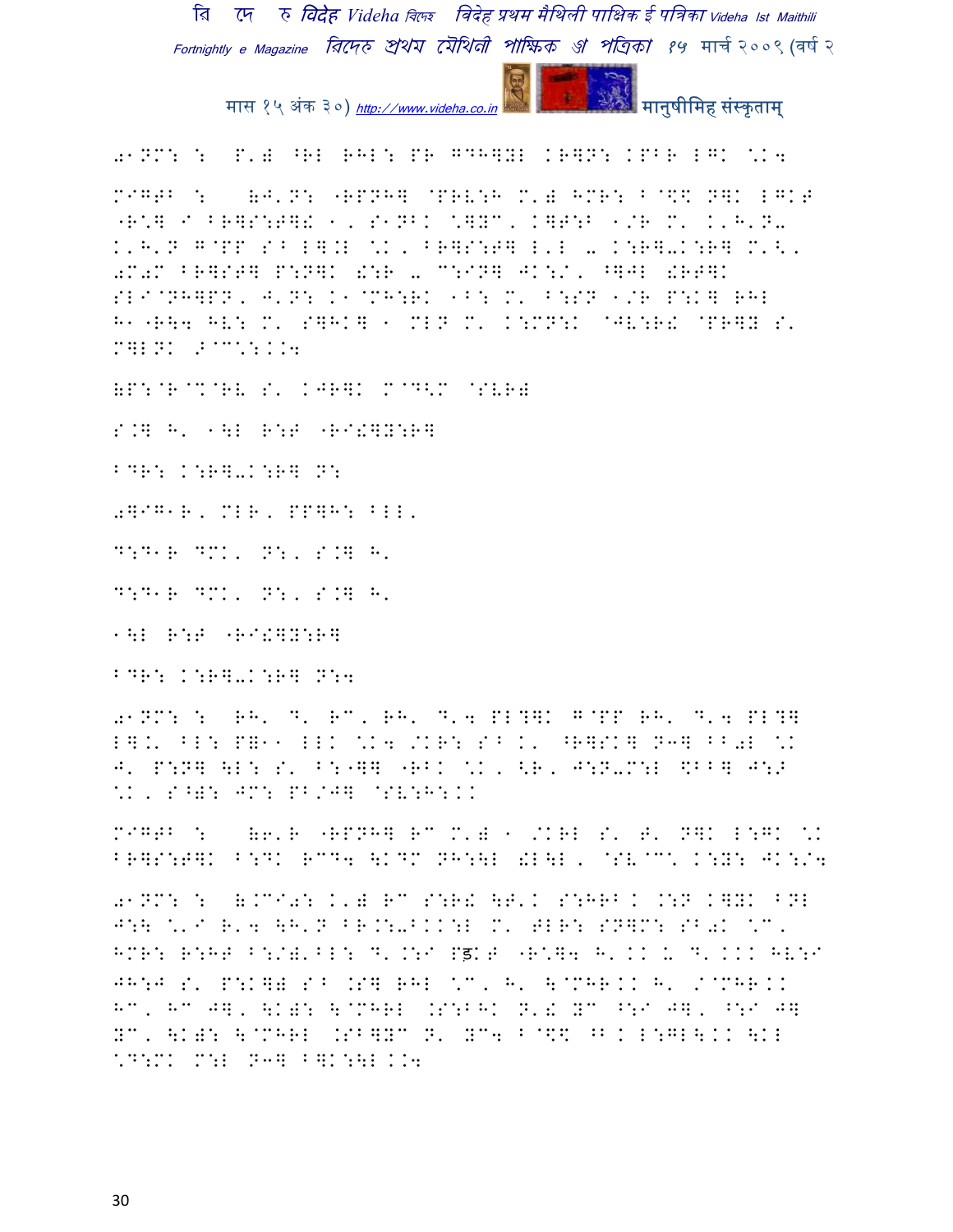मास १५ अंक ३०) <u>http://www.videha.co.in</u> स्थिति स्थिति सानुषीमिह संस्कृताम्

01NM: : P') ^RL RHL: PR GDH]YL KR]N: KPBR LGK \*K4

MIGHER : (J'A: "REAL DES "PRANDER" (FOR ES A) HOUR: BOOK AND BOOK OF BOOK AT THE BOOK IN MESS NUMBER OF BOOK I "R\*] I BR]S:T]! 1, S1NBK \*]YC, K]T:B 1/R M' K'H'N-K'H'N G@PP SY LAND NIV 'PHENHA LIL A LNPAALINPA TIRI OMOM BRISH P:PH C:R - C: INGIR H (100) JEH (200) SLIM STORE I REDIGENT STORE I REDIGENT DER STORE I DER STORE I DER STORE I DER STORE I DER STORE I DER STORE I H) ABAA HEA D. SAHIA MU CID O. CADDAY SYARABE (PRHAISE)  $M$ 

BEGOR (THE RV SHERD STURY OFFICE

S.H' H' RI RI REAGHAIN

BDR: K:R]-K:R] N:

0]IG1R, MLR, PP]H: BLL'

D:DNK' N:D1R DMK' N:

D:D1R DMK' N:, S.] H'

1\L R:T "RI!]Y:R]

BDR: K:R]-K:R] N:4

01NM: : RH' D' RC, RH' D'4 PL?]K G@PP RH' D'4 PL?] LAI. 'EN PO'' BL: NIA VIEN S'' L. 'BASIA PHO'' SKAD NI J. P:N. SER B: ST. ST. HE FRAME TO A BETWEEN THE WAR \*K, S^): JM: PB/J] @SV:H:..

MIGTB : (6'R "RPNH] RC M') 1 /KRL S' T' N]K L:GK \*K BREGHE BYD RTH ROT PHYS WHY AT HER TO CYMING ACTIVE

01NM: : (.CI0: K') RC S:R! \T'K S:HRB. .:N K]YK BNL J:\ \*'I R'4 \H'N BR.:-BKK:L M' TLR: SN]M: SB0K \*C, HORS: RSPECTSCHLIFES "PLICSKT P\$DECTSPESTS". U D'OLIGIC PESS JH:J S' P:K]) S^ .S] RHL \*C, H' \@MHR.. H' /@MHR.. HC, HC J], \K): \@MHRL .S:BHK N'! YC ^:I J], ^:I J] YC, \\X): \\X); \\X); \\X); \\X); \\X); \\X); \\X); \\X); \\X); \\X); \\X); \\X); \\X); \\X); \\X); \\X); \\X);  $\frac{1}{2}$  .  $\frac{1}{2}$  .  $\frac{1}{2}$  .  $\frac{1}{2}$  .  $\frac{1}{2}$  .  $\frac{1}{2}$  .  $\frac{1}{2}$  .  $\frac{1}{2}$  .  $\frac{1}{2}$  .  $\frac{1}{2}$  .  $\frac{1}{2}$  .  $\frac{1}{2}$  .  $\frac{1}{2}$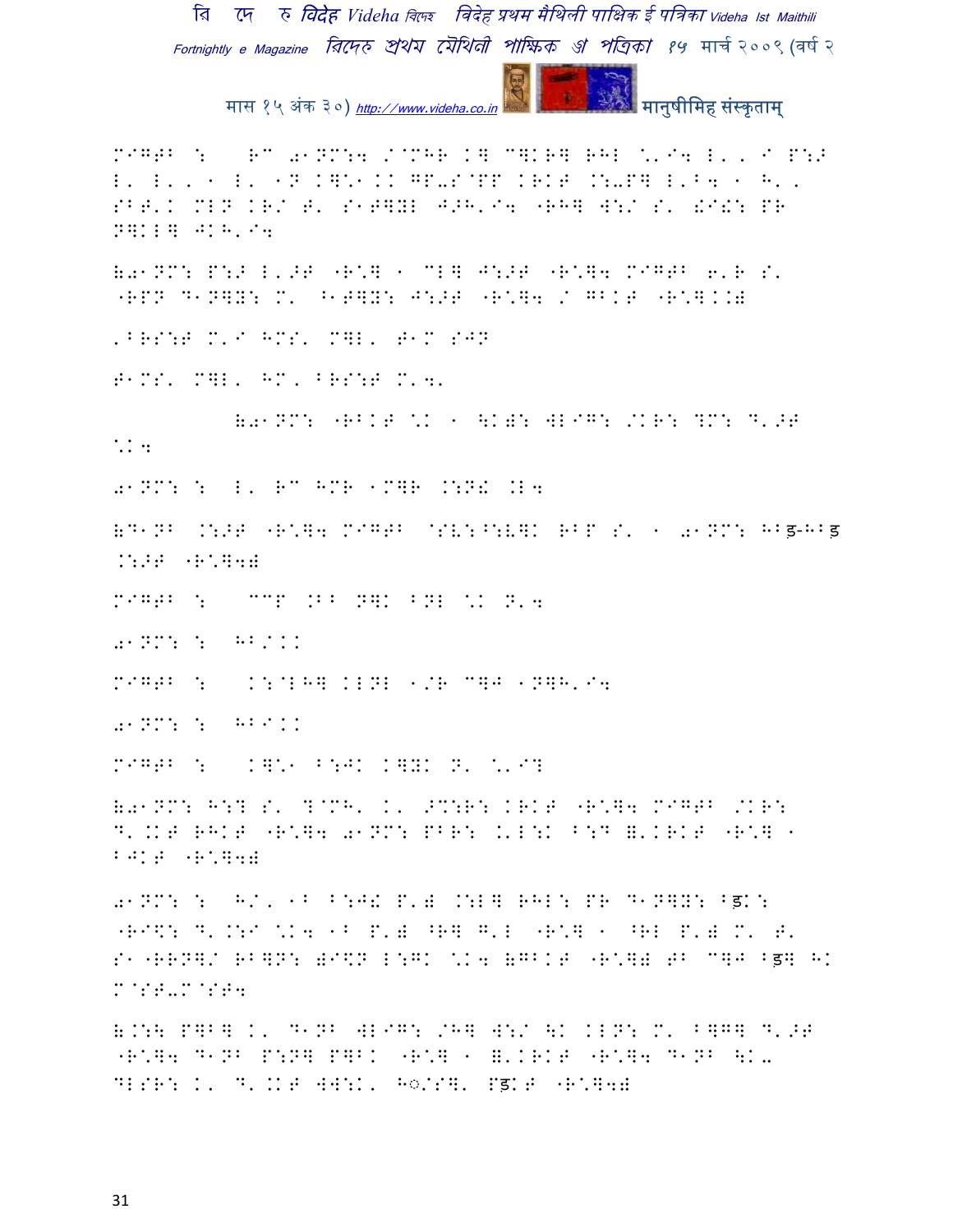मास १५ अंक ३०) http://www.videha.co.in स्थितीया मानुषीमिह संस्कृताम्

MIGHT : RC 01NM: RC 01NM: RC 01NM: RHL ## (## 1 NM: 1 L , I P:11 L' L', 1 L' 1N K]\*1.. GP-S@PP KRKT .:-P] L'B4 1 H', SBT'K MLN KR/ T' S1T]YL J>H'I4 "RH] W:/ S' !I!: PR **NATIONAL AREA** 

(01) DIG PER P. PROPORT (1998) REPRISE (1998) DIGREE (2005) R "RPN D1N]Y: M' ^1T]Y: J:>T "R\*]4 / GBKT "R\*]..)

'BRS:T M'I HMS' M]L' T1M SJN

T1MS' M]L' HM, BRS:T M'4'

 $(0.10, 0.01)$  and  $(0.10, 0.01)$  and  $(0.01, 0.01)$  and  $(0.01, 0.01)$  $\ddots$  :

01NM: : L' RC HMR 1M]R .:N! .L4

 $B^H$  .: The state  $B^H$  and  $B^H$  . The state  $B^H$  and  $B^H$  is the state  $B^H$  $\ldots$ 

MANGER : CAPTER IN A BHL \*K NI BL #K

01 NM: 101 NM: 101 NM: 101 NM: 101 NM: 101 NM: 101 NM: 101 NM: 101 NM: 101 NM: 101 NM: 101 NM: 101 NM: 101 NM:

MIGHT : K:@LHE CIDE : K:@MH4 + PHA.Y4

01 NM: 101 NM: 101 NM: 101 NM: 101 NM: 101 NM: 101 NM: 101 NM: 101 NM: 101 NM: 101 NM: 101 NM: 101 NM: 101 NM:

MARE : K] : KIRN KIYE KIRIN B: NIYE

(01NM: H:? S' ?@MH' K' >%:R: KRKT "R\*]4 MIGTB /KR: D'.KT RHKT "R\*]4 01NM: PBR: .'L:K B:D ='KRKT "R\*] 1 **BATH R** The Control

 $0.1$  ,  $0.01$  is the state of the D1N B:  $\alpha$  , and the D1N B:  $\alpha$  , and  $\alpha$  is the D1N  $\alpha$  state of the D1N  $\alpha$ "RI\$: D'.: D'AC (10 A) A P', EU A (10 A) PUAI (10 A) P') A P', EU A' D'U (16 A) S1"RRN]/ RB]N: )I\$N L:GK \*K4 (GBKT "R\*]) TB C]J Bड़] HK M@ST-M@ST4

(.:\ P]B] K' D1NB WLIG: /H] W:/ \K KLN: M' B]G] D'>T "R\*]4 D1NB P:N] P]BK "R\*] 1 ='KRKT "R\*]4 D1NB \K-DESPESSION DE AANSTE "HONSTE "PSIA" (PSIA)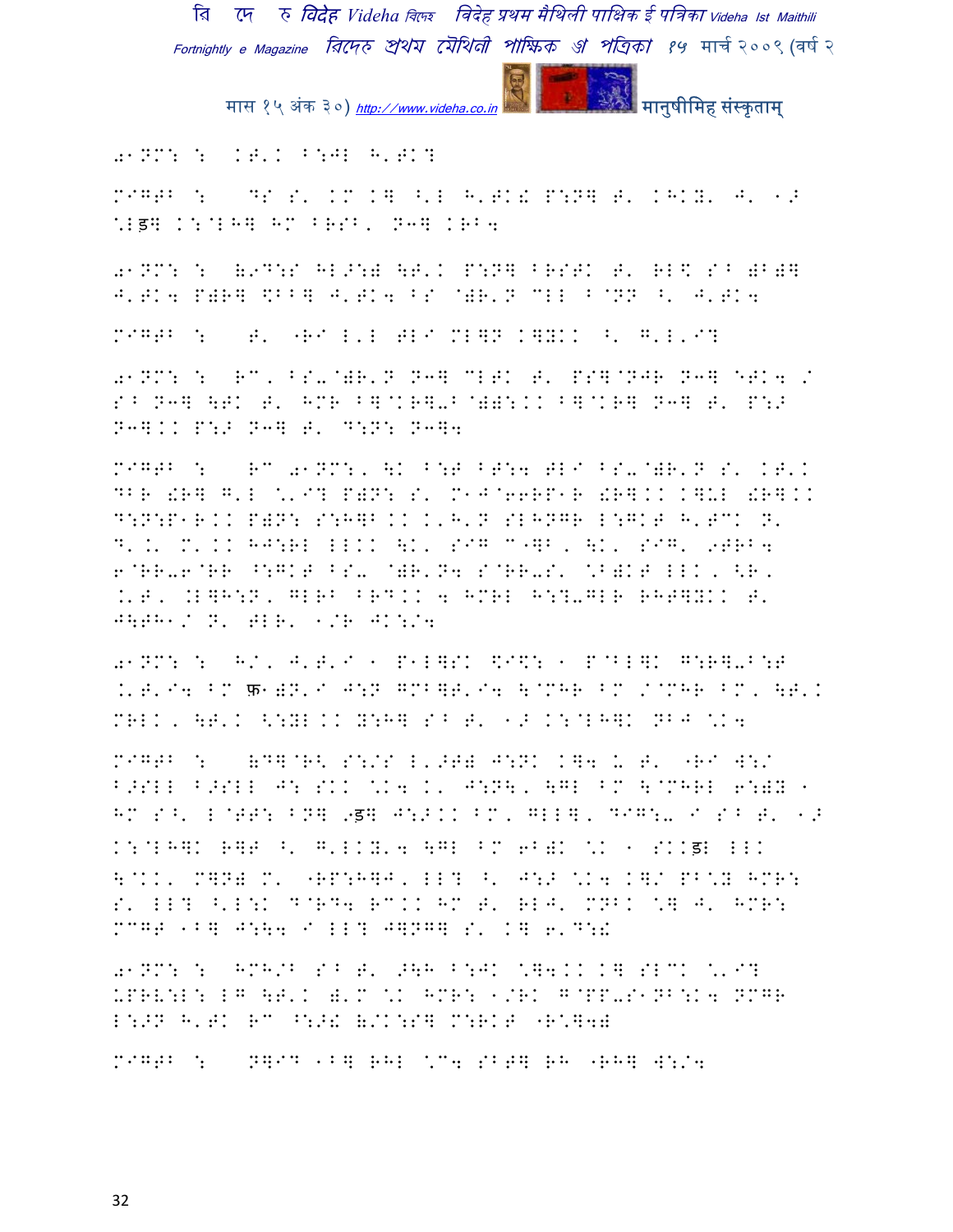मास १५ अंक ३०) <u>http://www.videha.co.in</u><br>| मानुषीमिह संस्कृताम्

01NM: : KT'K B:JL H'TK?

MARBER : DS S' KR (KAM K) DE STATE : P. BI AN KIRI PER SEL (1951) IL HE STATE \*Lड़] K:@LH] HM BRSB' N3] KRB4

01NM: : (9D:S HLPSTK P:NS:) BRSTK TYPE FIRST SOME BRITK TO BEER J'TK4 PARA SPIR J.A. D'A J'T MAN BONN I J'TH J. JA. D.A

MIGTE : T' "RI L'ISLE DE RI L'ISLE DE RI L'ISLE DE RI L'ISLE DE RI L'ISLE DE RI L'ISLE DE RI L'ISLE DE RI L'I

01NM: : RC, BS-@)R'N N3] CLTK T' PS]@NJR N3] ETK4 /  $S^{\prime}$  S N3]  $\overline{B}$  HMR B HO FOR BLICK THAN BY PIC HOSPITAL IN THE  $\overline{B}$  $9.4$  T:n P:n P:n P:n N3]  $9.4$ 

MIGTB : RC 01NM:, \K B:T BT:4 TLI BS-@)R'N S' KT'K DR BY BERECHT IN LANG (MERSO BY CONFIDENTATION BERGING BERGING) D:N:P1R.. P)N: S:H]B.. K'H'N SLHNGR L:GKT H'TCK N' D'. I. D'. II RAGBE EEIL AL. SCOR D'AB, SACR, SORPOA 6@RR-6@RR ^:GKT BS- @)R'N4 S@RR-S' \*B)KT LLK, <R, .'T, .L]H:N, GLRB BRD.. 4 HMRL H:?-GLR RHT]YKK T' J\TH1/ N' TLR' 1/R JK:/4

01NM: : H/, J'T'I 1 P1L]SK \$I\$: 1 P@BL]K G:R]-B:T .'T'I4 BM फ़1)N'I J:N GMB]T'I4 \@MHR BM /@MHR BM, \T'K MRLK, SALL KSBEID BERBER KALLAR DISTRIK PARTIKA

MIGHT : (DIMIGRAPHENT : SILLER SERIES IN THE SERIES OF STATE OF THE SERIES OF STATE OF THE SERIES OF THE SERIES OF THE SERIES OF THE SERIES OF THE SERIES OF THE SERIES OF THE SERIES OF THE SERIES OF THE SERIES OF THE SERIE BSLL BOOK THIS CONTROL STORE TO BUILD AND A HM SON, ECHER FOR GER HIST, FM, HEER, DOWN, POSTER IN S K:@LH]K R]T ^' G'LKY'4 \GL BM 6B)K \*K 1 SKKड़L LLK \@KK' M]N) M' "RP:H]J, LL? ^' J:> \*K4 K]/ PB\*Y HMR: S' LL? ^'L:K D@RD4 RC.. HM T' RLJ' MNBK \*] J' HMR: MCGT 1BO 1999 STATE 1BO 1BO 1BO 1BO 1BO

 $0.1$  Bility of the Bility of the Bility Bility of the SLCK for the SLCK for the SLCK  $\mu$  such that UPRV:L: LG \T'K )'M \*K HMR: 1/RK G@PP-S1NB:K4 NMGR L:>N H'TK RC ^:>! (/K:S] M:RKT "R\*]4)

MIGTB : N]ID 1B] RHL \*C4 SBT] RH "RH] W:/4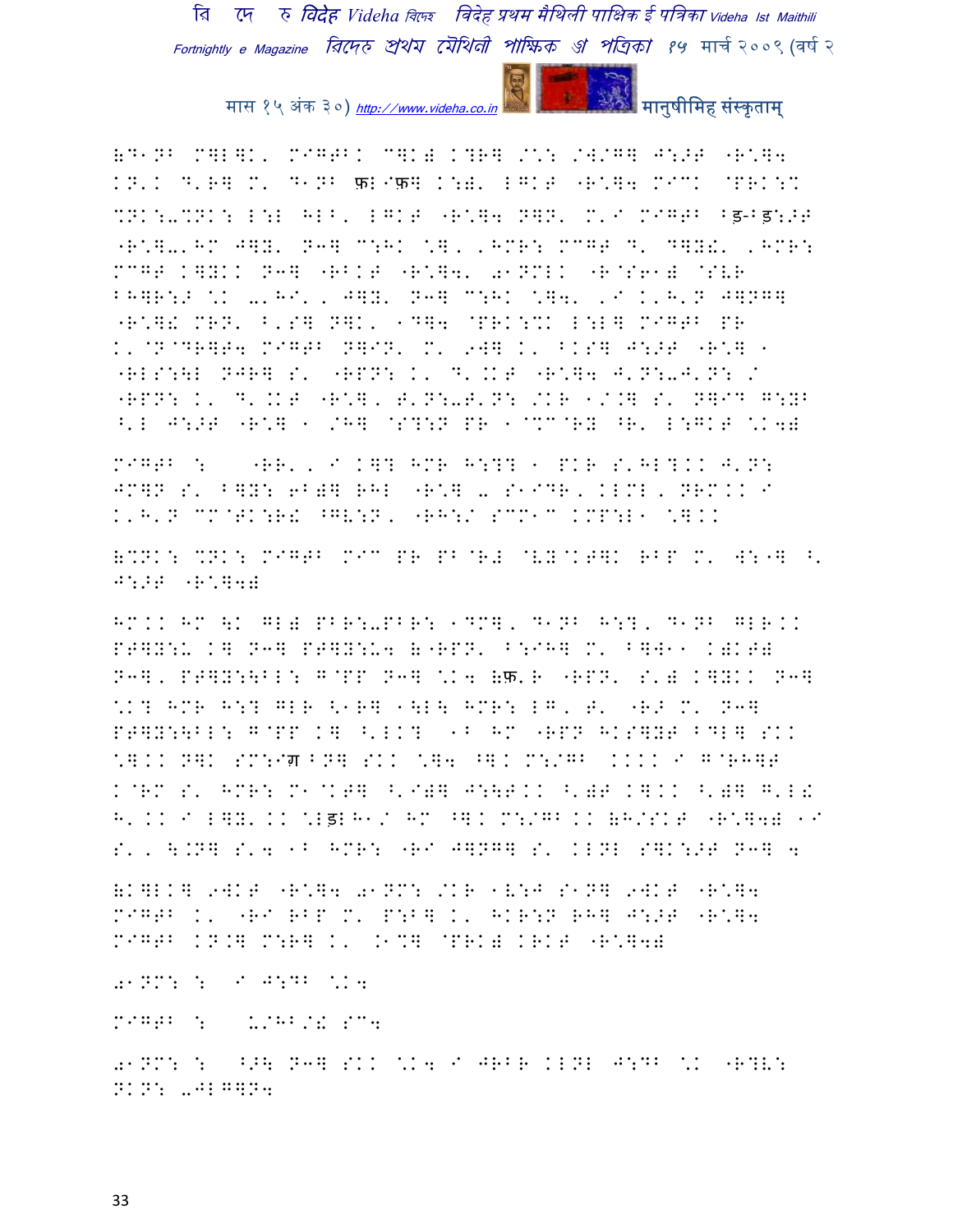

(D1NB M]L]K' MIGTBK C]K) K?R] /\*: /W/G] J:>T "R\*]4 KN'K D'AIRE CLOUR D'RI MERSE (1982) EPRE "RENNE CHRIST" %NK:-%NK: L:L HLB' LGKT "R\*]4 N]N' M'I MIGTB Bड़-Bड़:>T "R\*]-'HM J]Y' N3] C:HK \*], 'HMR: MCGT D' D]Y!' 'HMR: MCGT K]YKK N3] "RBKT "R\*]4' 01NMLK "R@S61) @SVR BH]R:: \*K -'HI', HI', JI, HI', JI, HI', JI, HI, JI, HI, HI, HI, HI, HI, HI, HI, H  $R$  . The probability of the probability of the probability  $R$  is the probability of the probability  $R$ K'@NDRITH NIN' MIGTET AND DRIVE IN THE STATE OF THE STATE OF THE STATE OF THE STATE OF THE STATE OF THE STATE O "RLS:\L NJR] S' "RPN: K' D'.KT "R\*]4 J'N:-J'N: / "RPN: K' D'.KT "R\*IL", THE PILE OF STANDARD AND THE PROPERTY ^'L J:>T "R\*] 1 /H] @S?:N PR 1@%C@RY ^R' L:GKT \*K4)

MIGTB : "RRY, I KI, I AT LICHT : "RRY HIS TROOP : "HIS IN THE TROOP : "ALSO JADRIE ST. (FRIEN GRAAF BREIGHAND, KLYNKREIG IEITEIG IPBOIDD KL K'H'N COMME RH: R'A'N CHEAN SCONG KOMING (SEI)

(%NK: %NK: MIGTB MIC PR PB@R# @VY@KT]K RBP M' W:"] ^'  $J:II \rightarrow M:HH$ 

HM.. HM \K GL) PBR:-PBR: 1DM], D1NB H:?, D1NB GLR.. PT]Y:U K] N3] PT]Y:U4 ("RPN' B:IH] M' B]W11 K)KT) N3], PT]Y:\BL: G@PP N3] \*K4 (फ़'R "RPN' S') K]YKK N3] \*K? HMR H:? GLR <1R] 1\L\ HMR: LG, T' "R> M' N3] POSITIC GODS IS A HIM IN HAMILTONIC CONTROLLER  $N=1.1$   $\ldots$  . The small state of  $\ldots$  is the small  $\ldots$  in the small  $\ldots$  is the small  $\ldots$ KOM S' MARS C'HOLL AN SERIE AN AN SERIE D'AN SERIE D'AN SERIE D'AN SERIE D'AN SERIE D'AN SERIE DE L'AU  $H$ . I I  $\leq$  190. I LIGH-1 HM  $\leq$  HI. Thin II define  $\leq$ S', \.N] S'4 1B HMR: "RI J]NG] S' KLNL S]K:>T N3] 4

KONSTRUCT SERVER ARTIS ZIE PENA PRIN 2414 PRIN 1 MIGHT K' "RI RI M' P:B' RI K' MIGHT PHR' ANIB (1818) MARR KN. MIGTA KN. (1919) MIGTA KRAKT "RYSK" (1919)

01NM: : I J:DB \*K4

 $M$  ,  $M$  ,  $M$  ,  $M$  ,  $M$  ,  $M$  ,  $M$  ,  $M$  ,  $M$  ,  $M$  ,  $M$  ,  $M$  ,  $M$  ,  $M$  ,  $M$  ,  $M$  ,  $M$  ,  $M$  ,  $M$  ,  $M$  ,  $M$  ,  $M$  ,  $M$  ,  $M$  ,  $M$  ,  $M$  ,  $M$  ,  $M$  ,  $M$  ,  $M$  ,  $M$  ,  $M$  ,  $M$  ,  $M$  ,  $M$  ,  $M$  ,  $M$  ,

01NM: : ^>\ N3] SKK \*K4 I JRBR KLNL J:DB \*K "R?V: NKN: -JLG]N4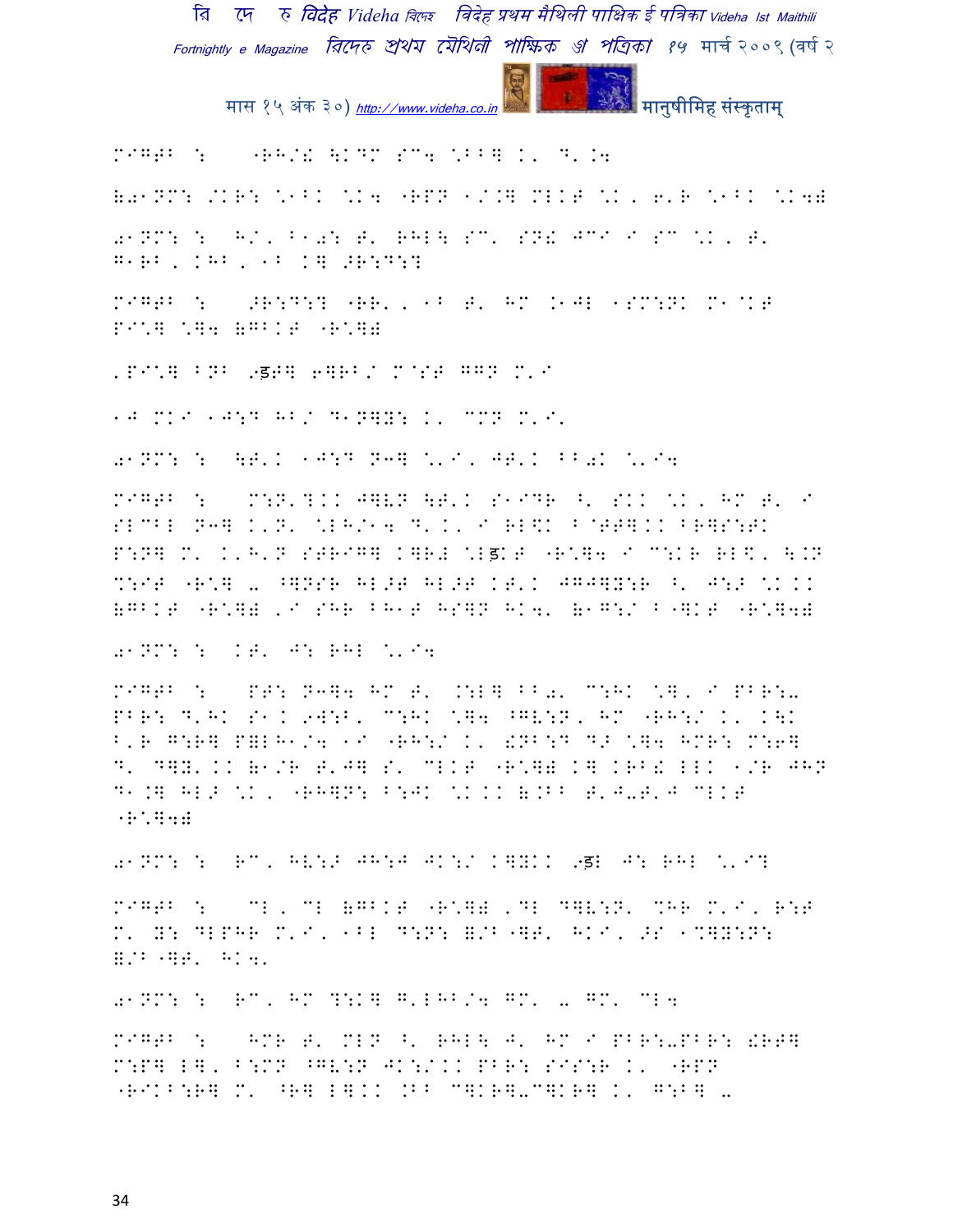मास १५ अंक ३०) <u>http://www.videha.co.in</u> स्थिति स्थिति सानुषीमिह संस्कृताम्

MANUEL : "RH/I SC4 \*BB (1998) SC4

(01NM: /KR: \*1BK \*K4 "RPN 1/.] MLKT \*K, 6'R \*1BK \*K4)

01NM: : H/, B10: T' RHL\ SC' SN! JCI I SC \*K, T' GREEN CONTROL CONTROL

MARRIS : RESTAURAR, 1995 B. "ROSAR SECRET CHOIR PI\*] \*]4 (GBKT "R\*])

'PI\*] BNB 9ड़T] 6]RB/ M@ST GGN M'I

1J MKI 1J:D HB/ D1N]Y: K' CMN M'I'

010 BM: : \T'K 1J:D N31 # I, JT'K BB0K \*'I'41 MAY \*'

MIGHT : M:N'?. JIN SIDR Y SHEET : SHEET : MY SHEET : SAN THE SAN TIME IN THE SAN TIME IN THE SAN SLCBL N3] K'N' \*LH/14 D'., I RL\$K B@TT].. BR]S:TK PYPE C. C.A.P PERSAN CHRE WERE "RYNH" & CYM REN A CP %:IT "R\*] - ^]NSR HL>T HL>T KT'K JGJ]Y:R ^' J:> \*K.. (GBKT) 'BHIT HAT I SHR BHAT HAN BHIT HAN BHIT "BHIT" I SHE BHIT BHIT "RAN BHAT BH

01NM: : KT' J: RHL \*'I4

MIGTB : PT: N3]4 HM T' .:L] BB0' C:HK \*], I PBR:- PRES P.H. SKI SANK, TNAD CHA FRENZ . AT SEANZ I, IAD B:R G:REC PELGY/4 IV SEGN D: MPPNS TRONG AND STRE D', CORREL D'IN BAUTEC EL PRIMEIX (CORREL D'ANTIENNE DE L'ARDIENNE DE L'ANTIEC APPE D1.] HL> \*K, "RH]N: B:JK \*K.. (.BB T'J-T'J CLKT  $R$  .  $R$  ,  $R$  ,  $R$  ,  $R$ 

01001 : RC, HOO JH: RC, HOO JH: RC, RHL #1

MIGHT : CL, CL, CL, GBKT : CHINE, CL, CHINE, CHE MINISTRY (PH) M' Y: DLPHR M'I, 1BL D:N: =/B"]T' HKI, >S 1%]Y:N:  $\mathbf{H}$ ,  $\mathbf{H}$   $\mathbf{H}$   $\mathbf{H}$   $\mathbf{H}$   $\mathbf{H}$   $\mathbf{H}$   $\mathbf{H}$   $\mathbf{H}$ 

01NM: : RC, HM ?:K] G'LHB/4 GM' - GM' CL4

MIGHER : NEW THOMAS : MEDICAL DEFENSE (ALL AN I PER BNOLES BNOLES ELECT M:P] L], B:MN ^GV:N JK:/.. PBR: SIS:R K' "RPN "RIKB:R] M' ^R] L].. .BB C]KR]-C]KR] K' G:B] -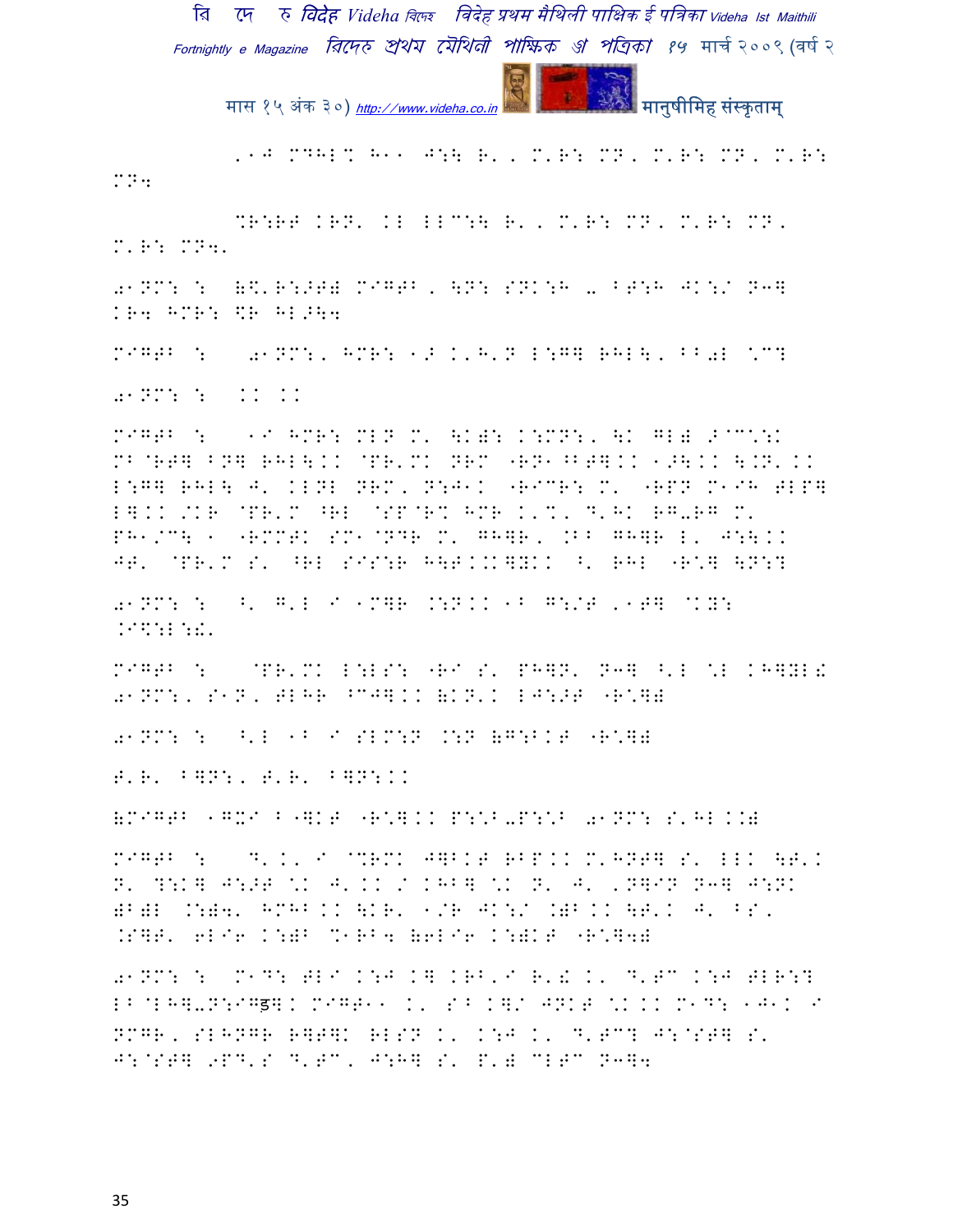मास १५ अंक ३०) <u>http://www.videha.co.in National Acco</u>ssib**lity मानुषीमिह संस्कृताम्** 

 '1J MDHL% H11 J:\ R', M'R: MN, M'R: MN, M'R:  $\mathbb{C} \mathbb{P}$ 

 %R:RT KRN' KL LLC:\ R', M'R: MN, M'R: MN, M'R: MN4'

01NM: : (\$'R:>T) MIGTB, \N: SNK:H - BT:H JK:/ N3] KR4 HMR: \$R HR: \$R HR

MIGTB : 01NM:, HMR: 1> K'H'N L:G] RHL\, BB0L \*C?

010 THE SECTION OF STREET

MIGTB : 1I HMR: MLN M' \K): K:MN:, \K GL) >@C\*:K MB@RT] BN] RHL\.. @PR'MK NRM "RN1^BT].. 1>\.. \.N'.. LIGH RHLA JI KLOBI NEM, NIGH "REMORI M, SEMPLO MASH BER L].. /KR @PR'M ^RL @SP@R% HMR K'%, D'HK RG-RG M' PHILOPE STARTURE SON CORRECT SHARR, .BB GHARR E. SANGIO JTE, MIRISI SI MARY AREA DI RHISI NA SHEMARA RINI

01NM: : ^' G'L I 1M]R .:N.. 1B G:/T '1T] @KY: .I\$:L:!'

MANGER : MIGTE : PRINT : PRODUCT PHINE : NORTH : LANGER 01NM:, S1N, TLHR ^CJ].. (KN'K LJ:>T "R\*])

010 SM P I SLM: I SLM: N (G:BKT "R\*) .: N (G:BKT "R\*) .: N (G:BKT "R\*) .: N (G:BKT "R\*) .: N (G:BKT "R\*) .: N (

T'R' BOOT BOOT BOOT BOOT BOOT

(MIGTER 1GAN) REAGNERS IN PICK WEIGHT WORKING IN A DISCOVERED ONLY

MIGTER : D'ANNEL A MORTIN GERLE ERTIC D'ARBEIT D'ARTIEL AU N' AO ANNE ANN AN DAOINE AN DAOINE ANN A-DAOINE AN DAOINE AN DAOINE ANN AN DAOINE AN DAOINE ANN AN DAOINE AN A B)B: (NBR) PTPPIS RES (20 PTR 2011) IBS (10010 PT) .STAR, BEYR CABE SHAN BREYR CABLE (BSCAR

01NM: : M1D: TLI K:J K] KRB'I R'! K' D'TC K:J TLR:? LB@LH]-N:IGड़]. MIGT11 K' S^ K]/ JNKT \*K.. M1D: 1J1K I NOGR, SLEGO REEK RICK KY KY KY KY KONGRESK J:@ST] 9PD'S D'TC, J:H] S' P') CLTC N3]4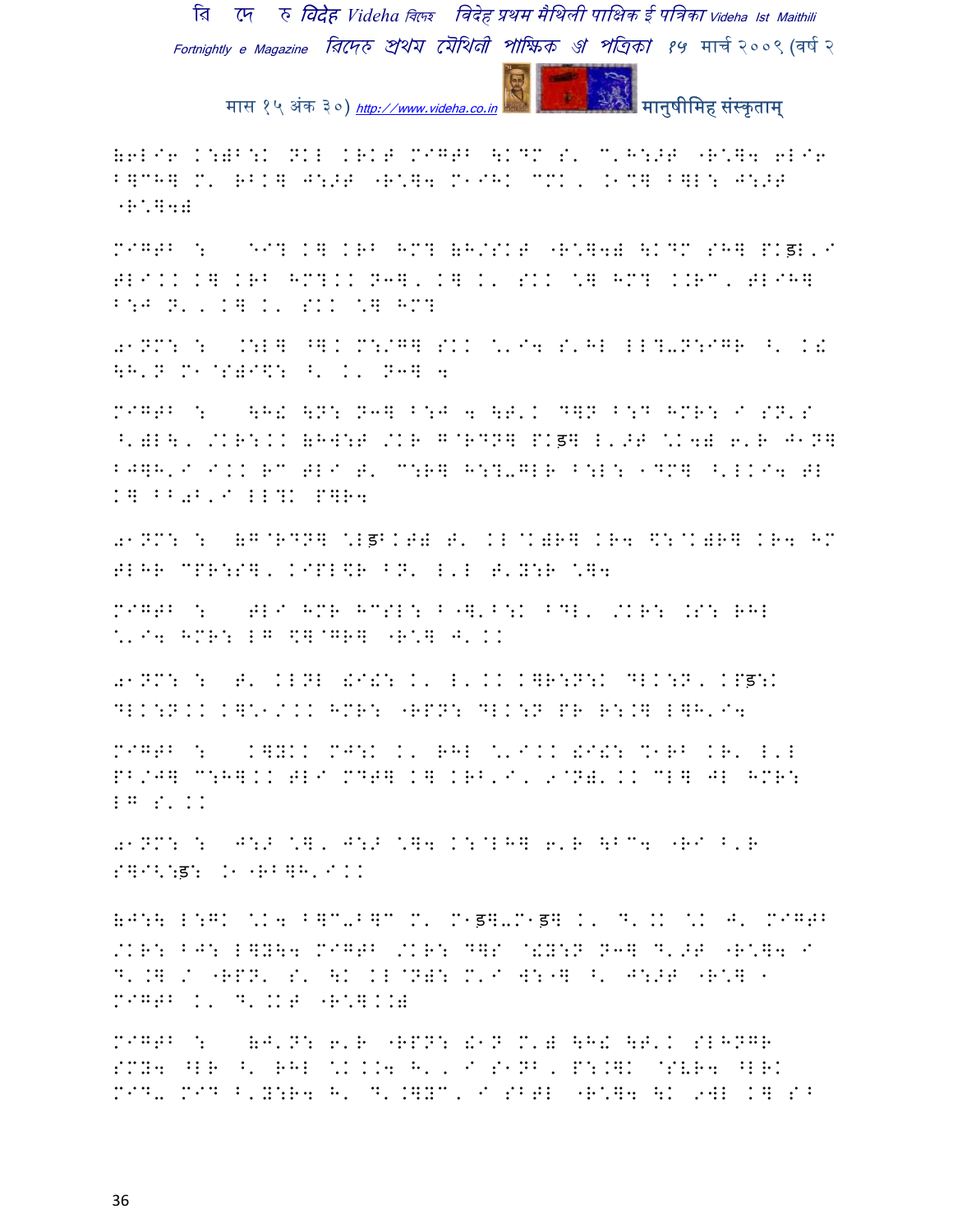मास १५ अंक ३०) <u>http://www.videha.co.in</u> स्थिति क्रिकेट मानुषीमिह संस्कृताम्

(6LI6 K:)B:K NKL KRKT MIGTB \KDM S' C'H:>T "R\*]4 6LI6 BERNAM CO. BICH AND HOME CHAN MOVING CHINE HER AND "R\*]4)

MIGTB : EI? K] KRB HM? (H/SKT "R\*]4) \KDM SH] PKड़L'I TLI.. KIRB HARRY HARRY STATES IN THE REPORT OF THE REPORT OF THE REPORT OF THE REPORT OF THE REPORT OF THE REPORT OF THE REPORT OF THE REPORT OF THE REPORT OF THE REPORT OF THE REPORT OF THE REPORT OF THE REPORT OF THE REP B:J N', K' SKY SKY \* SKY \* SKY

01NM: : .:L] ^]. M:/G] SKK \*'I4 S'HL LL?-N:IGR ^' K!  $\#N$  ,  $\#N$  ,  $\#N$  ,  $\#N$  ,  $\#N$  ,  $\#N$  ,  $\#N$  ,  $\#N$ 

MARREY : N: NI: NARREY BOARD : NARREY AGENCY DATA BETWEEN A NORTH IN STRIKE ^')L\, /KR:.. (HW:T /KR G@RDN] PKड़] L'>T \*K4) 6'R J1N] BJPD I. ROMAN I. ROMAN BILLE BILL TILL THE STATE OF THE RESIDENCE TO A TURN BE STATED OF THE UPSTALL TRANSPORT K) BOOK PROPERTY AND RESERVE

01NM: : (G@RDN] \*Lड़BKT) T' KL@K)R] KR4 \$:@K)R] KR4 HM THE CREATED INTIGHT BOOK BOOK CAN

MIGHT : TLI HAR HCSL: B" (B") BOL' / BOL' / FLI / COLLECTION (STATE) \*'I4 HMR: LG \$]@GR] "R\*] J'..

01NM: : T' KLNL !I!: K' L'.. K]R:N:K DLK:N, KPड़:K DLK:N.. K]\*1/.. HMR: "RPN: DLK:N PR R:.] L]H'I4

MANHET : KINK MANHET : KAT KAT KAN KAR KE KE KE PR/JAB (MAHE) E:HER (MAHE) EB (BR) KI, 2019B, ED MEB (AE AMBA) LG S'..

018: BOTA: G:: J:: ATAC, J:: ATAC, J:: ATAC, T:: ARC, B'AC, ARC, ARC, AC, B'AC, AC, B' SEPREMENT CONTROLLED

 $\Xi$ (Fig. ) (J:G)  $\Xi$  = Fig. (G)  $\Xi$  (M)  $\Xi$  (M)  $\Xi$  (G)  $\Xi$  (G)  $\Xi$  (M)  $\Xi$  (M)  $\Xi$  (M)  $\Xi$  (M)  $\Xi$  (M)  $\Xi$  (M)  $\Xi$  (M)  $\Xi$  (M)  $\Xi$  (M)  $\Xi$  (M)  $\Xi$  (M)  $\Xi$  (M)  $\Xi$  (M)  $\Xi$  (M)  $\Xi$  (M)  $\Xi$  (M)  $\Xi$  (M /KR: BJ: L]Y\4 MIGTB /KR: D]S @!Y:N N3] D'>T "R\*]4 I D'.] / "RPN' S' \K KL@N): M'I W:"] ^' J:>T "R\*] 1 MAGGER K' D'ALLES AND SERVERS KE

MIGHT : (J'A: 6'R "RPN: 10'R "RPN: 10'R "RPN: 10'R "RPN: 10'R "RPN: 10'R "RPN: 10'R "RPN: 10'R "RPN: 10'R "RPN SMY4 ^ RHL \*K..4 HO, I STRACH \* RHL \* RHL \* RHL \* RHL \* RHL \* RHL \* RHL \* RHL \* RHL \* RHL \* RHL \* RHL \* RHL \* RHL \* RHL \* RHL \* RHL \* RHL \* RHL \* RHL \* RHL \* RHL \* RHL \* RHL \* RHL \* RHL \* RHL \* RHL \* RHL \* RHL \* RHL \* RHL MID- MID B'Y:R4 H' D'.]YC, I SBTL "R\*]4 \K 9WL K] S^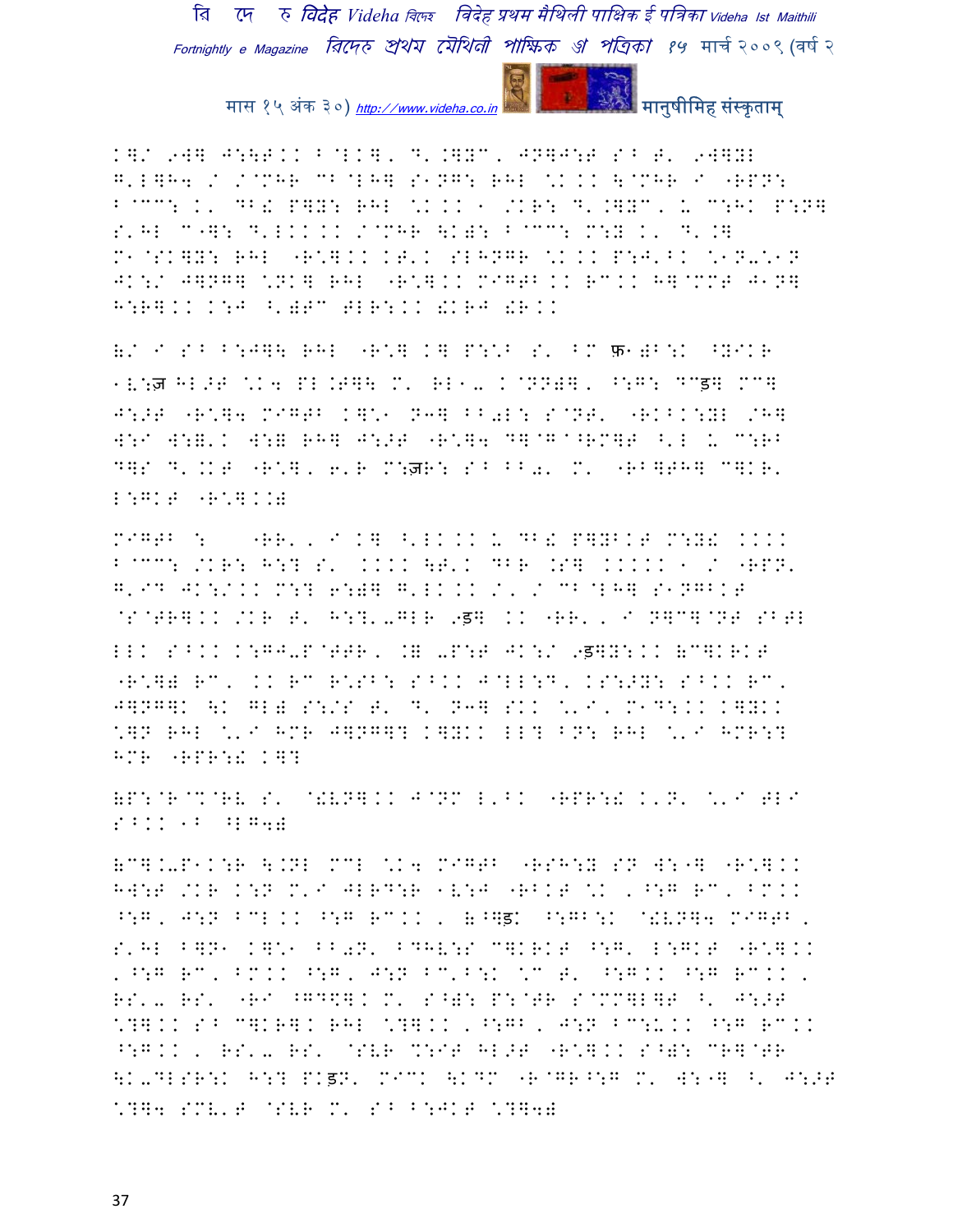मास १५ अंक ३०) <u>http://www.videha.co.in</u><br>| मानुषीमिह संस्कृताम्

KA), SHI J:REC (1999), D'. BO. BO. BO. BO. BO. BO. B. EARS / / / MMHR CROLER SYSTEM RHE \*K.. (2010) A "MHR I "RENT BOCC: K' DA PHIL PHIOLIC AND ALTHRO A CHILL FINE S'HL C"]: D'LKK.. /@MHR \K): B@CC: M:Y K' D'.] M10SK100 RHL "RATIONS FROM THE SLIP FOR TO NORTH JK::/ JUNG MORE RHL "RMUSI MYUR II RMOS HU MMT J1N R H:R].. K:J ^')TC TLR:.. !KRJ !R..

 $E(X,Y;T)$  is a sequent of  $F$  and  $F$  is a big strongly become  $F$  of  $F$  and  $F$  by  $F$  and  $F$  by  $F$  $+1.1$ ज़ HLOS  $+1.1$  and  $+1.1$  and  $+1.1$  and  $+1.1$  and  $+1.1$  and  $+1.1$  and  $+1.1$ JOSE "BONA TYNHO CHO" THE PRINT FOR SON SHIP CAN CAN W: W:E.: W:E RHE W:SE SRIER TETRITER R.E I TETR DAS D'.KT BO. (654), 6'R ME D'AGRETE SO ROPAL, COLO (66 BBC APROFES) List "Rate"

MIGTB : "RR', I K] ^'LK.. U DB! P]YBKT M:Y! .... BOOTS ALBEEMENT .... IN LITTLE . THE .... IN LITTLE ... . .... .... . G'ID JK:/.. M:? 6:)] G'LK.. /, / CB@LH] S1NGBKT OS CORRECT .. (CONTROLS 95 ASSESSED .. . "RESPONSE .. "PROTECTIVE .. "RESPONSE .. LLC SO. COMALE SARRO . . CHO LEGA ACOLO 25900111 LESAIR RIVE  $R$  . Recover and the recover of the solution of the solution of the solution  $R$ JANGAN SI ANG KILI SA GLORI SA SKIBILI  $\Delta$ HDP) RHE ( $\Delta$ ) KI (HDR) (HHDRHHI) (1900) (1900) E HO (FDR) BHE:  $\Delta$  I  $\Delta$  (FDR) BH HMR "RPR" (1995) (1995)

(P:@R@%@RV S' @!VN].. J@NM L'BK "RPR:! K'N' \*'I TLI S^.. 1B ^LG4)

(C].-P1K:R \.NL MCL \*K4 MIGTB "RSH:Y SN W:"] "R\*].. HW:T /KR K:T /K MI PTIP \*ENA 'HA:T /K ( PH BM. BM.) ^:G, J:N BCL.. ^:G RC.. ' (^]ड़K ^:GB:K @!VN]4 MIGTB, S'HL BIBON' S'HL S'HL BD', S'HAL GEOMH DE SA CHAIL "B' GHT BON' L'GAT "R'  $\cdot$  :G RC, BM.  $\cdot$  :G RC, AND BOLE, IN BC. IN BC  $\cdot$  . RS'- RS' "RI ^GD\$]. M' S^): P:@TR S@MM]L]T ^' J:>T \*?].. S^ C]KR]. RHL \*?].. '^:GB, J:N BC:U.. ^:G RC.. ^:G.. ' RS'- RS' @SVR %:IT HL>T "R\*].. S^): CR]@TR \K-DLSR:K H:? PKड़N' MICK \KDM "R@GR^:G M' W:"] ^' J:>T \*?]4 SMV'T @SVR M' S^ B:JKT \*?]4)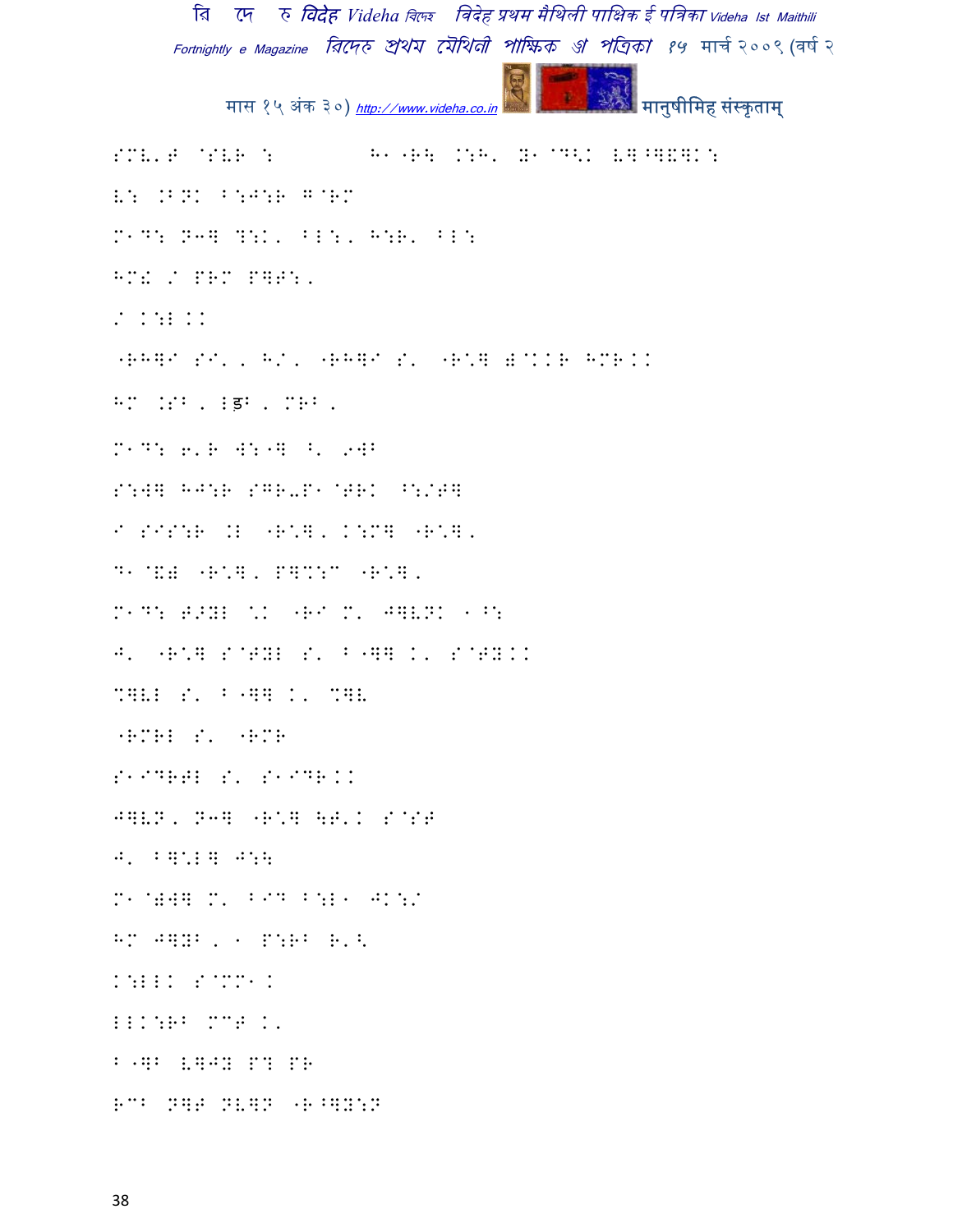मास १५ अंक ३०) <u>http://www.videha.co.in</u> स्थिती सामानि स स्कृताम् SMV'T @SVR : H1"R\ .:H' Y1@D<K V]^]&]K: V: .BNK B:J:R G@RM **MANUEL READS**  $H: \mathbb{R} \to \mathbb{R}$  ,  $H: \mathbb{R} \to \mathbb{R}$  ,  $H: \mathbb{R} \to \mathbb{R}$  , / K:L.. "RH]I SI', H/, "RH]I S' "R\*] )@KKR HMR..  $H$  . See . See . See . Assume that  $H$ W1D: 6: R W: 9WB: 9WB: 9WB S:W] HJ:R SGR-P1@TRK ^:/T] I SIS:R .L "R\*I", K:MI", H:MI DOCH SPORT RECORDS T-TE BRIDGE AND HEAT (1981) (1981) J', "ANN S'AND, S. FANN S. STANDI **TALE STATE BOOKS TALK** "RMRL S' "RMR STREET SINDSPIECE JUN, PHE GRIEGE, CONTR  $\mathcal{F}_1$  and  $\mathcal{F}_2$  is a set of  $\mathcal{F}_2$ W. MERR W. PROP BA:L1 ANNIV HM JURE , 1 PHP RT K:LLK S@MM1.

LLK:RB MCT K'

B VI PROVINCE

RCB NAME NAMES AND REAL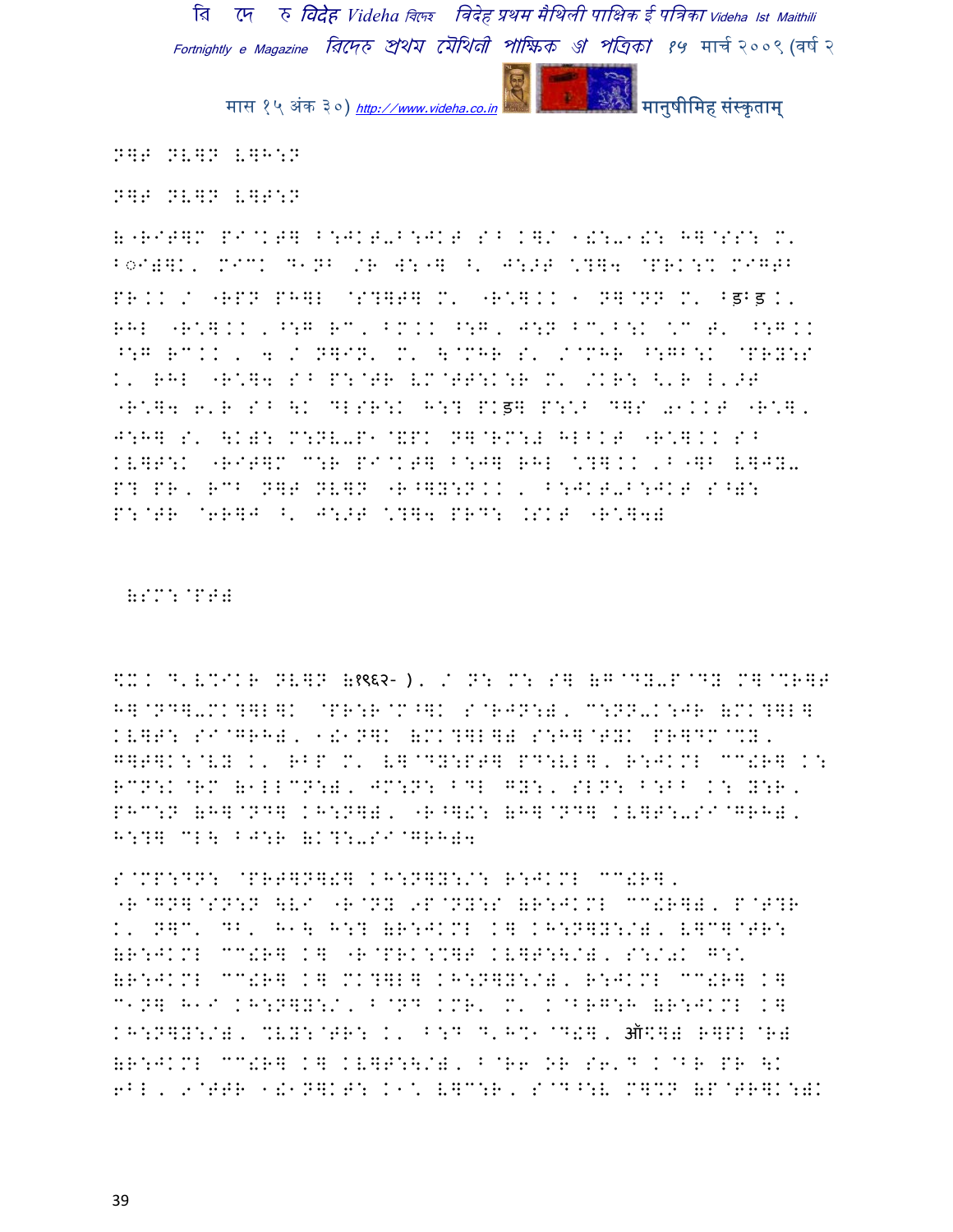मास १५ अंक ३०) <u>http://www.videha.co.in</u> स्थिति स्थिति सानुषीमिह संस्कृताम्

N, 1991, 1992, 1993, 1994, 1995, 1995, 1995, 1995, 1995, 1995, 1995, 1995, 1995, 1995, 1995, 1995, 1995, 1995,

N, 1999, 1999, 1999, 1999, 1999, 1999, 1999, 1999, 1999, 1999, 1999, 1999, 1999, 1999, 1999, 1999, 1999, 1999,

("RIT]M PI@KT] B:JKT-B:JKT S^ K]/ 1!:-1!: H]@SS: M' Borghi (Michael Michael Die Gerichten der Schriften (Michael Michael Die Gerichten) PR.. / "RPN PH]L @S?]T] M' "R\*].. 1 N]@NN M' Bड़Bड़ K' RHL "RECHOLL THE BM. FOLL THE "RHD FM.FH. CM" B. THEO. ^:G RC.. ' 4 / N]IN' M' \@MHR S' /@MHR ^:GB:K @PRY:S K' RHI "ANTA S' PINTAR LO GAINIR OL VIRI K.R L'*JA* "R#10 8'R So Row Row Participate in the Pilot of Pietro and Carlo Renail. J:H] S' \K): M:NV-P1@&PK N]@RM:# HLBKT "R\*].. S^ KAVARIT MERIT MERITAN BERGEL TERRITORIA BERGEL P? PR, RCB N]T NV]N "R^]Y:N.. ' B:JKT-B:JKT S^): P: CHR CHARACT, ANDRE NYHA PROVINSI SKT "RYDHA

 $B: T: T: T: H$ 

\$X. D'V%IKR NV]N (१९६२- ), / N: M: S] (G@DY-P@DY M]@%R]T H]@ND]-MK?]L]K @PR:R@M^]K S@RJN:), C:NN-K:JR (MK?]L] KV]T: SI@GRH), 1!1N]K (MK?]L]) S:H]@TYK PR]DM@%Y, G]T]K:@VY K' RBP M' V]@DY:PT] PD:VL], R:JKML CC!R] K: RCN:K@RM (1LLCN:), JM:N: BDL GY:, SLN: B:BB K: Y:R, PHC:N (HH:CPPH (PHOH), "R^PHZ: (HH:CPPH (EHP),277-PHH), H:TH TER FAND BITELEY TADAGE

SOMP:DN: OPREHING: CANDRING: RNEWST CCORE. "R@GN]@SN:N \VI "R@NY 9P@NY:S (R:JKML CC!R]), P@T?R K', NDB' DON' DAY HIS (REGALINE), CHINA HIS (REGALINE), ILEN' BI GEHE (R:JKML COPER (R) AR TERINTARY (RAPINIE), PILAI, ANN (R: JK) R: THE COMMON CONSTRUCTS ( R: JK), R: JK ( R: JK), R: JK ( R: JK), R: JK, R: JK, R: JK, R: JK, R: JK, R C1N] H1I KH:N]Y:/, B@ND KMR' M' K@BRG:H (R:JKML K] KH:N]Y:/), %VY:@TR: K' B:D D'H%1@D!], ऑ\$]) R]PL@R) (R:JKML CC!R] K] KV]T:\/), B@R6 OR S6'D K@BR PR \K 6BL, 9 TRAN (K. VAL) (PAT RIS 1, S. SADIAN), K. TA TRANS (PATR) K. S. TA RANG (P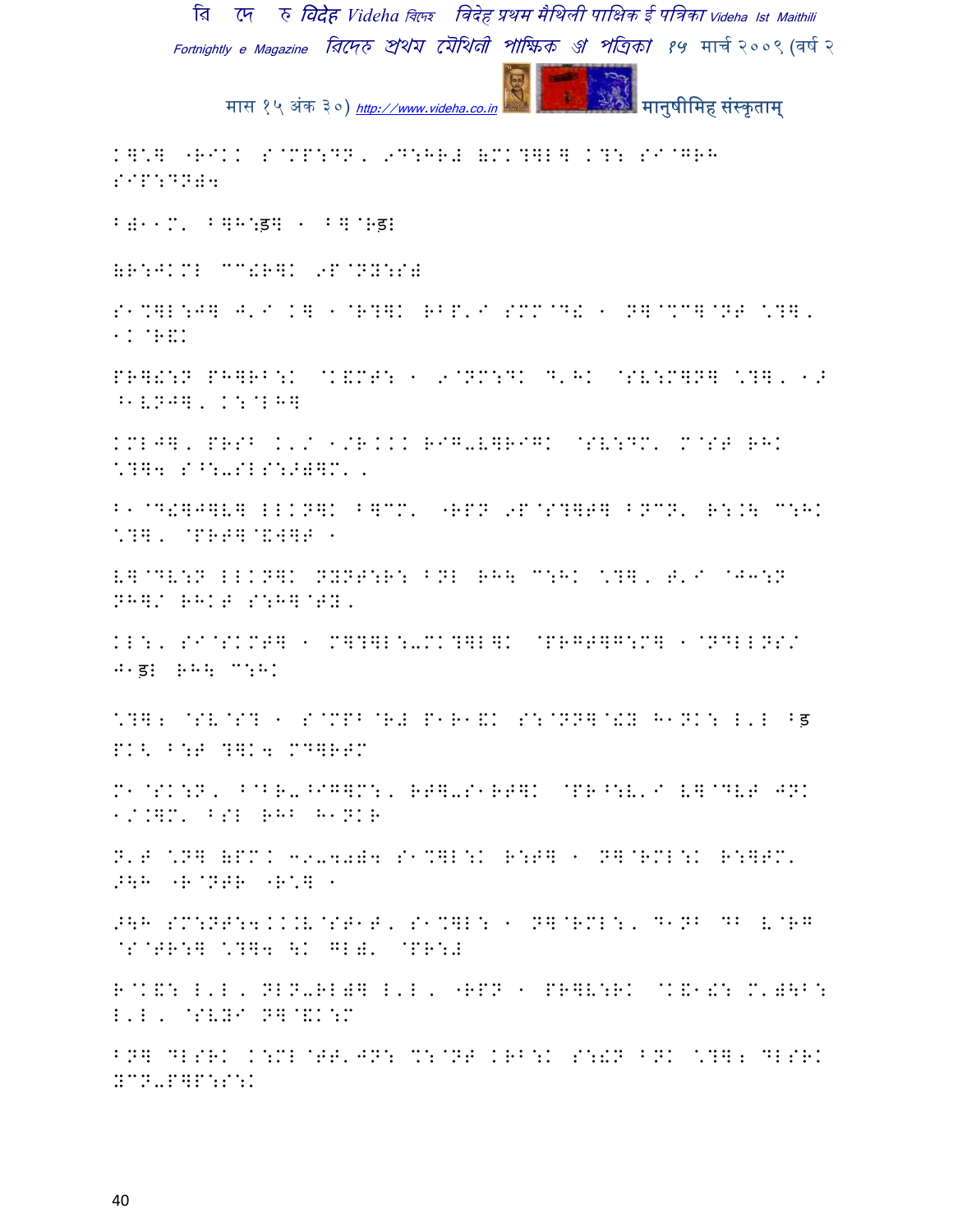मास १५ अंक ३०) <u>http://www.videha.co.in</u> स्थिति स्थिति । मानुषीमिह संस्कृताम्

K]\*] "RIKK S@MP:DN, 9D:HR# (MK?]L] K?: SI@GRH SSIP: THE

 $B: B \rightarrow B$  and  $B: B \rightarrow B$  and  $B: B \rightarrow B$  and  $B: B \rightarrow B$ 

(R:JKML CCP) (R:JKML) (R:JKML) (R:JKML) (R:JKML) (R:JKML) (R:JKML) (R:JKML) (R:JKML) (R:JKML) (R:JKML) (R:JKML) (R:JKML) (R:JKML) (R:JKML) (R:JKML) (R:JKML) (R:JKML) (R:JKML) (R:JKML) (R:JKML) (R:JKML) (R:JKML) (R:JKML) (R

 $\mathcal{L}:\mathcal{L}:\mathcal{L}:\mathcal{L} \rightarrow \mathcal{L}:\mathcal{L}:\mathcal{L} \rightarrow \mathcal{L}:\mathcal{L}:\mathcal{L} \rightarrow \mathcal{L}:\mathcal{L} \rightarrow \mathcal{L}:\mathcal{L} \rightarrow \mathcal{L}:\mathcal{L} \rightarrow \mathcal{L}:\mathcal{L} \rightarrow \mathcal{L}$  $1.1$  THET

PREGOR PHERG: MEDEG & SMORGE MAC MEGORIE NIE. XX ^1VNJ], K:@LH]

KMLAWI, PRSB KI/7 (2011), POWING-MEOW: DELENGY, DOGETOR \*\*\*\*\*\*\*\*\*\*\*\*\*\*\*\*\*\*\*\*\*\*\*\*\*\*\*\*\*\*\*\*\*

B1@D: POSSER REGISTER REGISTER REGISTER REGISTER REGISTER REGISTER REGISTER REGISTER REGISTER REGISTER REGISTER \*\*\*\*\*\*\*\*\*\*\*\*\*\*\*\*\*\*\*\*\*\*\*\*\*

V]@DV:N LLKN]K NYNT:R: BNL RH\ C:HK \*?], T'I @J3:N NH]/ RHKT S:H]@TY,

KL:, SI@SKMT\_MARIA 1, SIMPLE 1, SIMPLE 1, SIMPLE 1, SIMPLE 1, SIMPLE 1, SIMPLE 1, SIMPLE 1, SIMPLE 1, SIMPLE 1  $H\cdot$  and  $H\cdot H\cdot H$  is a contribution of  $H\cdot H$ 

\*?]; @SV@S? 1 S@MPB@R# P1R1&K S:@NN]@!Y H1NK: L'L Bड़ PK PRESIDENT

M1@SK:N, OBSERVED MANUFACTURE 1/.]M' BSL RHB H1NKR

N.# NPH ANTI SV.SAARS POHIN PYRH ( PHORING PYRRI)  $\mathcal{P}$  H  $\mathcal{P}$  (Fig. )  $\mathcal{P}$  (Fig. )

>\H SM:NT:4...V@ST1T, S1%]L: 1 N]@RML:, D1NB DB V@RG @S@TR:] \*?]4 \K GL)' @PR:#

R M BR (E.E.) (PERLANDAR (E.E.) ("RPN 1 PRABARI" (MIR BR) MIGHTA  $\ddot{\ddot{\bf x}}$  ,  $\ddot{\bf x}$  ,  $\ddot{\bf y}$  ,  $\ddot{\bf y}$  ,  $\ddot{\bf x}$  ,  $\ddot{\bf y}$  ,  $\ddot{\bf x}$  ,  $\ddot{\bf y}$  ,  $\ddot{\bf y}$  ,  $\ddot{\bf x}$  ,  $\ddot{\bf y}$  ,  $\ddot{\bf x}$  ,  $\ddot{\bf y}$  ,  $\ddot{\bf y}$  ,  $\ddot{\bf x}$  ,  $\ddot{\bf y}$  ,  $\ddot{\bf x}$  ,  $\ddot{\bf y}$  ,  $\$ 

BOND OR RESERVED AND CONTROL STANDARD AND CONTROL SEED. YCN-P]P:S:K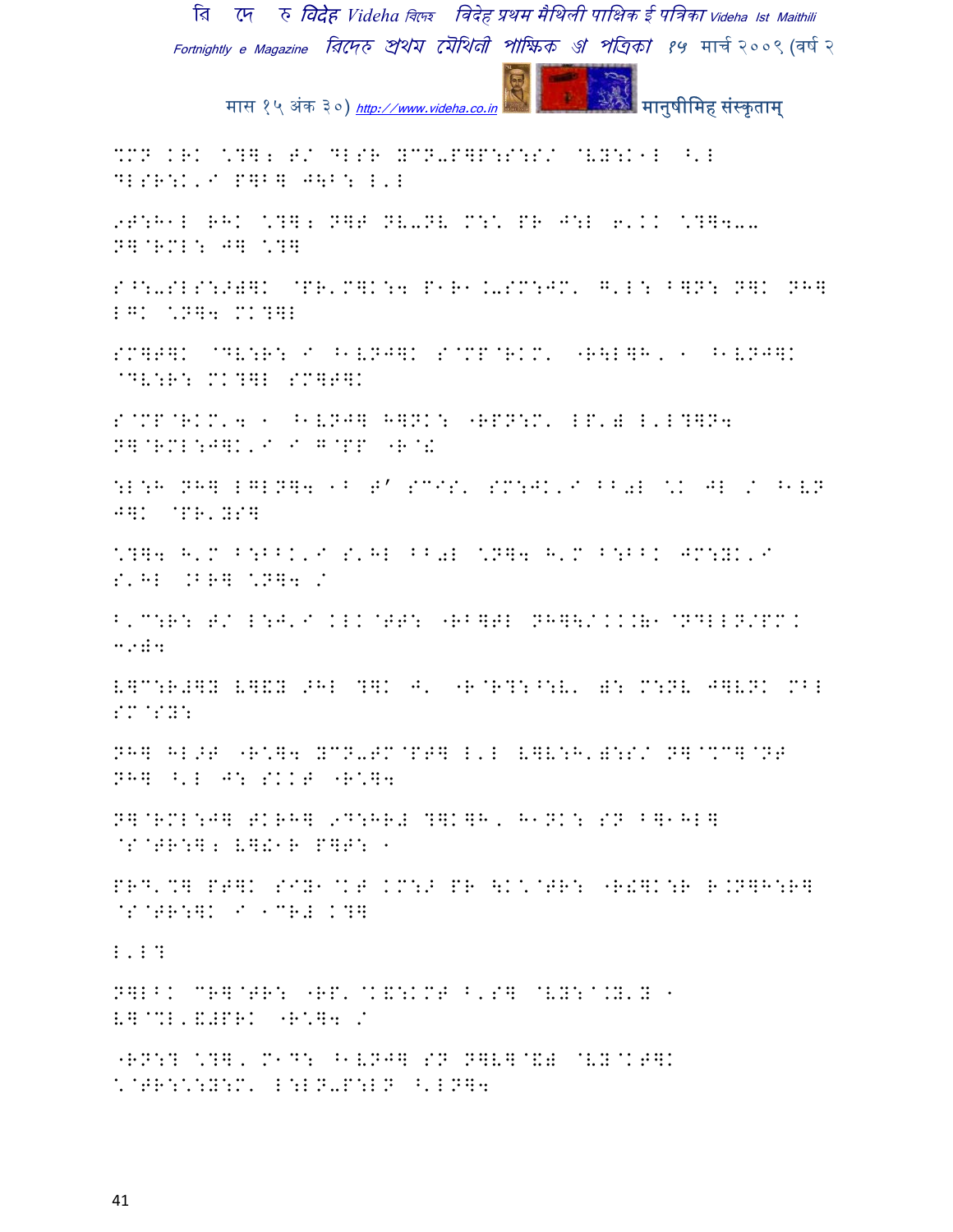मास १५ अंक ३०) <u>http://www.videha.co.in</u> स्थिति स्थिति सानुषीमिह संस्कृताम्

%MN KRK \*?]; T/ DLSR YCN-P]P:S:S/ @VY:K1L ^'L DLSR:K'I P]B] J\B: L'L

9T:H1L RHK \*?]; N]T NV-NV M:\* PR J:L 6'KK \*?]4--  $\frac{1}{2}$  . The second second second second second second second second second second second second second second second second second second second second second second second second second second second second second sec

S^:-SLS:>)]K @PR'M]K:4 P1R1.-SM:JM' G'L: B]N: N]K NH] LGK \*N]4 MK?]L

SM]T]K @DV:R: I ^1VNJ]K S@MP@RKM' "R\L]H, 1 ^1VNJ]K W:R: MARINEY SMORTH

SOMETHING IN THE REPORT OF THE REPORT OF THE REPORT OF THE REPORT OF THE REPORT OF THE REPORT OF THE REPORT OF N]@RML:J]K'I I G@PP "R@!

:L:H NH] LGLN]4 1B T' SCIS' SM:JK'I BB0L \*K JL / ^1VN JAK MERINA

\*?]4 H'M B:BBK'I S'HL BB0L \*N]4 H'M B:BBK JM:YK'I S'HL .BR .BR .BR

B'C:M:R: THE REAL POST OF THE SAME REPORTED TO THE COMPATION TO THE REPORT  $\cdots$   $\cdots$ 

 $U$  : Response to the control  $V$   $\rightarrow$   $V$   $\rightarrow$   $V$   $\rightarrow$   $V$   $\rightarrow$   $V$   $\rightarrow$   $V$   $\rightarrow$   $V$   $\rightarrow$   $V$   $\rightarrow$   $V$   $\rightarrow$   $V$   $\rightarrow$   $V$   $\rightarrow$   $V$   $\rightarrow$   $V$   $\rightarrow$   $V$   $\rightarrow$   $V$   $\rightarrow$   $V$   $\rightarrow$   $V$   $\rightarrow$   $V$   $\rightarrow$   $V$   $\rightarrow$   $V$   $\rightarrow$   $V$   $\rightarrow$   $V$ SM SYSTEM

NH] HL>T "R\*]4 YCN-TM@PT] L'L V]V:H'):S/ N]@%C]@NT NH] ^'L J: SKKT "R\*]4

NAME OF THE STREET STANDERS OF THE STATE STATES OF THE STATE STATES OF THE SALE OF THE SALE OF THE SALE OF THE SALE OF THE SALE OF THE SALE OF THE SALE OF THE SALE OF THE SALE OF THE SALE OF THE SALE OF THE SALE OF THE SAL @S@TR:]; V]!1R P]T: 1

PRD'S REPORTED AN INCORPORATION IN A REPORT OF TRANSPORTED AND RELEASED AT  $R$ WE TRIED AND THE STREET

L'L?

NALBK CRIMES CRIMINAL BISH CRIMINIS B V]@%L'&#PRK "R\*]4 /

 $R$  -PPS of the summer states of the summer states  $R$  and  $R$  and  $R$  and  $R$ \*@TR:\*:Y:M' L:LN-P:LN ^'LN]4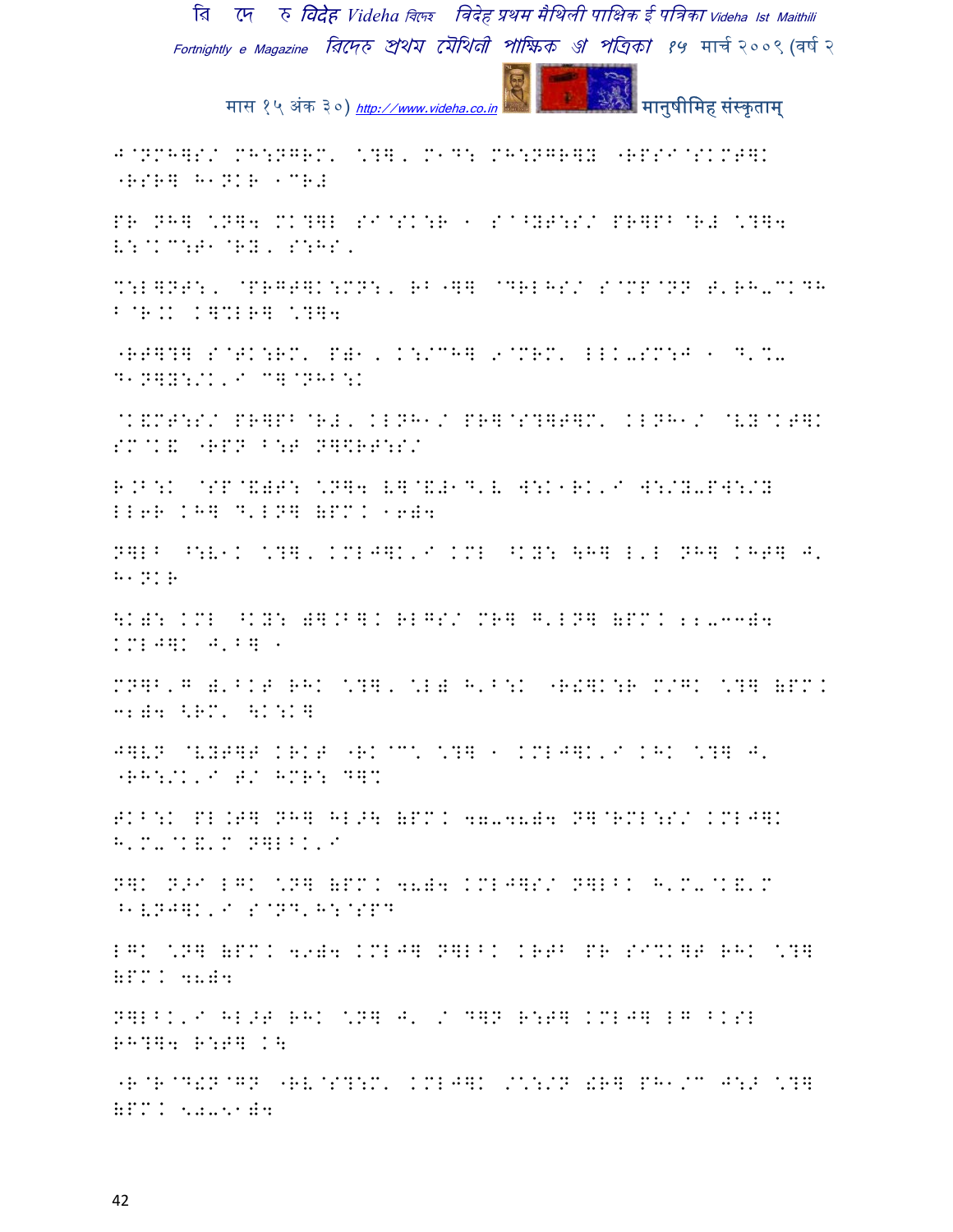मास १५ अंक ३०) http://www.videha.co.in | सामानिक मानुषीमिह संस्कृताम्

J@NMH]S/ MH:NGRM' \*?], M1D: MH:NGR]Y "RPSI@SKMT]K "RSR] H1NKR 1CR#

PR NH] \*N]4 MK?]L SI@SK:R 1 S@^YT:S/ PR]PB@R# \*?]4  $\frac{1}{2}$  ,  $\frac{1}{2}$  ,  $\frac{1}{2}$  ,  $\frac{1}{2}$  ,  $\frac{1}{2}$  ,  $\frac{1}{2}$  ,  $\frac{1}{2}$  ,  $\frac{1}{2}$  ,  $\frac{1}{2}$  ,  $\frac{1}{2}$  ,  $\frac{1}{2}$  ,  $\frac{1}{2}$  ,  $\frac{1}{2}$  ,  $\frac{1}{2}$  ,  $\frac{1}{2}$  ,  $\frac{1}{2}$  ,  $\frac{1}{2}$  ,  $\frac{1}{2}$  ,  $\frac{1$ 

%:L]NT:, @PRGT]K:MN:, RB"]] @DRLHS/ S@MP@NN T'RH-CKDH  $\ddot{a}$  ,  $\ddot{a}$  ,  $\ddot{a}$  ,  $\ddot{a}$  ,  $\ddot{a}$  ,  $\ddot{a}$  ,  $\ddot{a}$  ,  $\ddot{a}$  ,  $\ddot{a}$  ,  $\ddot{a}$  ,  $\ddot{a}$  ,  $\ddot{a}$  ,  $\ddot{a}$  ,  $\ddot{a}$  ,  $\ddot{a}$  ,  $\ddot{a}$  ,  $\ddot{a}$  ,  $\ddot{a}$  ,  $\ddot{a}$  ,  $\ddot{a}$  ,

"RT]?] S@TK:RM' P)1, K:/CH] 9@MRM' LLK-SM:J 1 D'%- BOOKS OF THE SERVICE

@K&MT:S/ PR]PB@R#, KLNH1/ PR]@S?]T]M' KLNH1/ @VY@KT]K SMAKE "REN B:T NE SHIRPS!"

R.B: ASP @SP@&BAN\_NDHA\_AR\_TELE\_RUAL\_4NS\_PASS\_Y-PANDALPHNSCH LL6R KH] D'LN] (PM. 16)4

NALB A:VIK \*\*\* NAMLIK'I KONG \*\*\* NAMLIK'I KAMPATER KAN MALI  $H_1$   $H_2$   $H_3$ 

\K): KML ^KY: )].B]. RLGS/ MR] G'LN] (PM. 22-33)4  $\mathbf{R}^{\text{max}}$ 

MN]B'G )'BKT RHK \*?], \*L) H'B:K "R!]K:R M/GK \*?] (PM. 32) 42) 432 432 432 432 433 434 435 437 438 439 430 431 432 433 434 435 437 438 439 439 430 431 432 433 434 435

JON DE LA MARINA DE LA MARINA DE LA MARINA DE LA MARINA DE LA MARINA DE LA MARINA DE LA MARINA DE LA MARINA DE "RH:/K'I T/ HMR: DIRECTOR

THE RESIDENCE OF THE RELEASE OF THE VEHICLE HAS IMPOUNDED A RELEASE. H.M.MAMAY NHERE

N) K NORTH A REAL AND HIS HOLD COMPANY AND HIS HOLD COMPANY AND HIS HOLD COMPANY AND HIS HOLD COMPANY AND HIS ^1VNJ]K'I S@ND'H:@SPD

LAGK \*ND FOR THE SIGN AND THE SIGN AND THE SIGN AND SIGNALLITY OF THE SIGN RHADE PRODUCTS AND ALL RESOLUTIONS O (PM. 48)4

NALBAR DI REGIO DI REGIO DI PARTI RICHA E LA REGIO DI RESERVA E LA RICHI LA REGIO DI REGIO DI REGIO DI REGIO D **RH?** R:TH

 $R$  . The restriction of the set of the set of the set of the set of the set of the set of the set of the set of the set of the set of the set of the set of the set of the set of the set of the set of the set of the set of  $\mathbb{R}^n$  ,  $\mathbb{R}^n$  ,  $\mathbb{R}^n$  ,  $\mathbb{R}^n$  ,  $\mathbb{R}^n$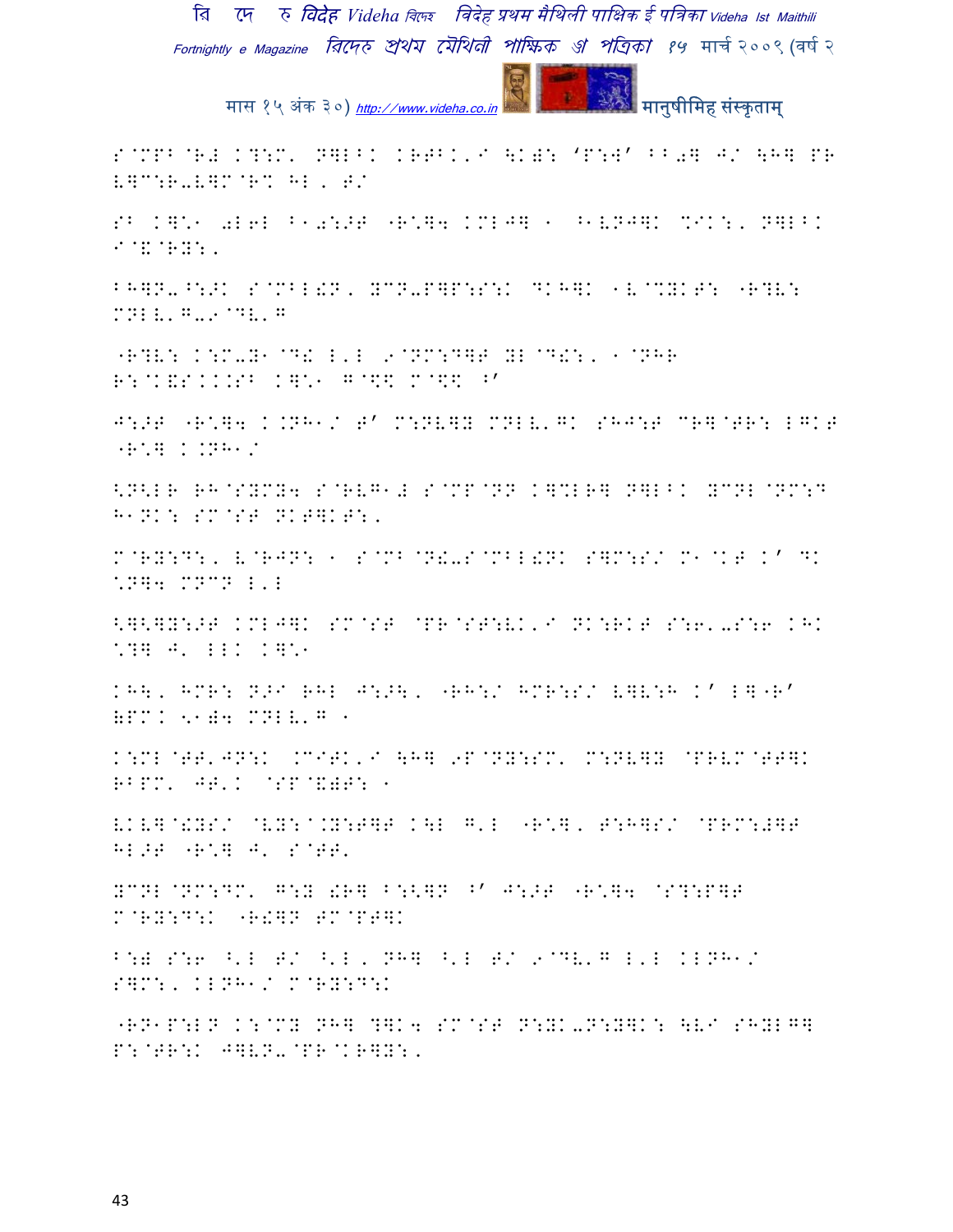मास १५ अंक ३०) <u>http://www.videha.co.in</u> स्थिति स्थिति सानुषीमिह संस्कृताम्

S@MPB@R# K?:M' N]LBK KRTBK'I \K): 'P:W' BB0] J/ \H] PR  $\frac{1}{2}$ ,  $\frac{1}{2}$ ,  $\frac{1}{2}$ ,  $\frac{1}{2}$ ,  $\frac{1}{2}$ ,  $\frac{1}{2}$ ,  $\frac{1}{2}$ ,  $\frac{1}{2}$ ,  $\frac{1}{2}$ ,  $\frac{1}{2}$ ,  $\frac{1}{2}$ ,  $\frac{1}{2}$ ,  $\frac{1}{2}$ ,  $\frac{1}{2}$ ,  $\frac{1}{2}$ ,  $\frac{1}{2}$ ,  $\frac{1}{2}$ ,  $\frac{1}{2}$ ,  $\frac{1}{2}$ ,  $\frac{1}{2}$ ,  $\$ 

SB KIR, WINDOWS REPORT TO THE RESIDENCE IN THE RESIDENCE IN THE RESIDENCE IN THE RESIDENCE IN THE RESIDENCE IN I@&@RY:,

BIH BING, PIS DE SAMBLEN, YCONOMISE DE SAMBLEN, YCHER IN SENSIGE THE SECOND PERSON WAS ARRESTED FOR VEHICLE TO MNLV'G-9

"R?V: K:M-Y1@D! L'L 9@NM:D]T YL@D!:, 1@NHR R:@K&S...SB K]\*1 G@\$\$ M@\$\$ ^'

J:: T "R\* T "R\*" T "R\*" T "R\* T " DE " T " LA " T " CR" T " T " T " T " T " E " I " I " E " C  $R$  Report Followski (1999)

 $\frac{1}{2}$  , the state of the state of the state of the state of the state of the state of the state of the state of H1NK: SM@ST NKT]KT:,

M@RY:D:, V@RJN: 1 S@MB@N!-S@MBL!NK S]M:S/ M1@KT K' DK \*N]4 MNCN L'L

T KOR STORE AND A STORE AND A STORE AND A STORE AND A STORE AND A STORE AND A STORE AND A STORE AND A STORE AN \*?] J' LLK K]\*1

KH\, HMR: N>I RHL J:>\, "RH:/ HMR:S/ V]V:H K' L]"R' (PM. 51)4 MNLV'G 1

K:ML@TT'JN:K .CITK'I \H] 9P@NY:SM' M:NV]Y @PRVM@TT]K RBPM' JEAN TEACHER

VKV]@!YS/ @VY:@.Y:T]T K\L G'L "R\*], T:H]S/ @PRM:#]T HIST "RATH" (1995)

HTH: THIRT B: HIS CHR PRESS PRESS RELEASED TO THE MORY TO A REPORT OF THE REAL PROPERTY.

B:) S:6 ^ L, E (B, L, C, THE (R, E (B, L, C, TH, H, E (B, C, E TH) C Ship (1989) (1989) (1989) (1989) (1989) (1989) (1989) (1989) (1989) (1989) (1989) (1989) (1989) (1989) (1989)

"RNIP: POST DO STOCK (PRA STALL STOCKER (POD) WI SHIALG. A SHIP SERAHAAN P:@TR:K J]VN-@PR@KR]Y:,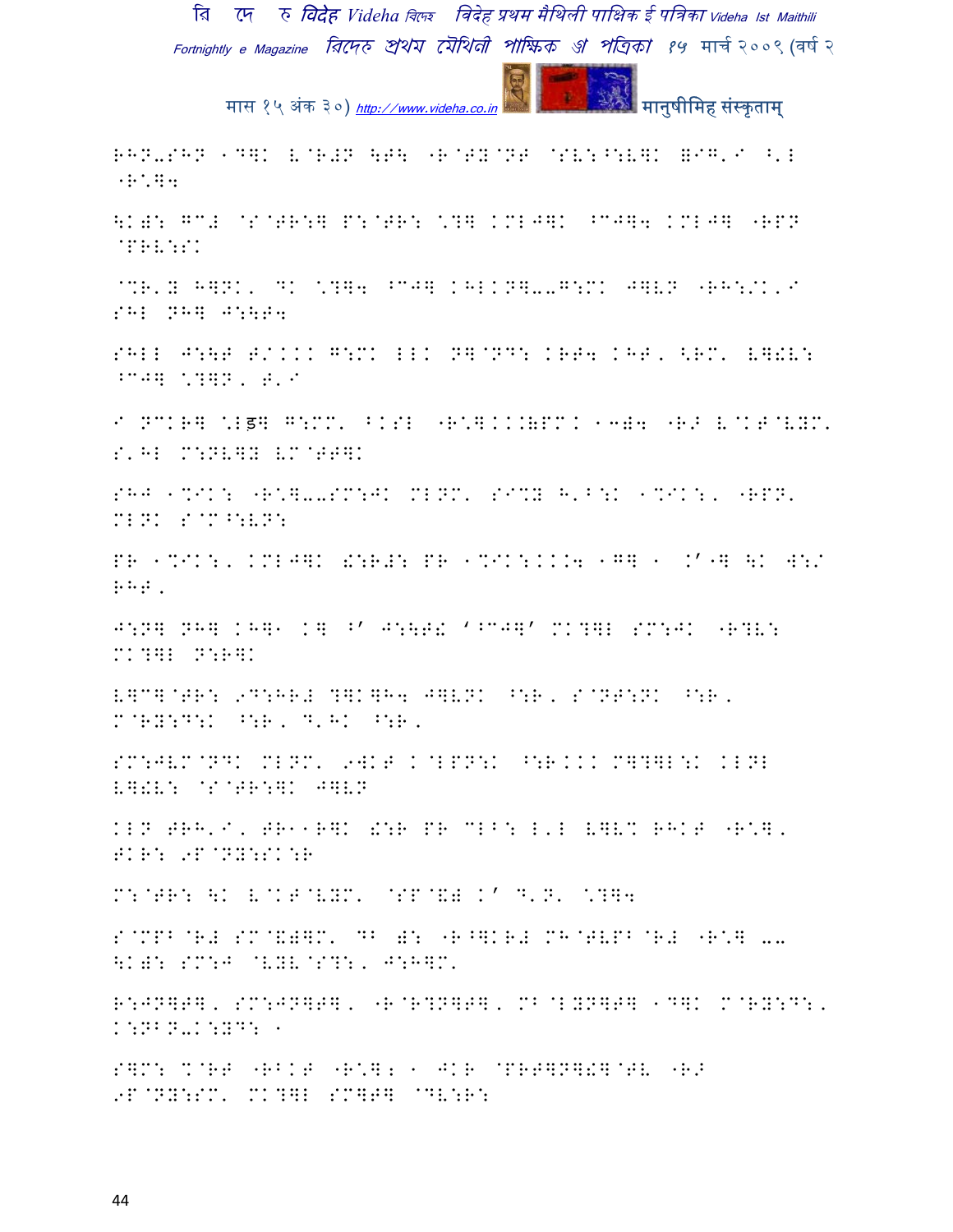मास १५ अंक ३०) <u>http://www.videha.co.in</u> स्थिति स्थिति सानुषीमिह संस्कृताम्

RHN-SHN 1D]K V@R#N \T\ "R@TY@NT @SV:^:V]K =IG'I ^'L  $\cdot$  For  $\mathbb{R}^n$ 

\K): GC# @S@TR:] P:@TR: \*?] KMLJ]K ^CJ]4 KMLJ] "RPN arrest:

@%R'Y H]NK' DK \*?]4 ^CJ] KHLKN]--G:MK J]VN "RH:/K'I SHI NHQ ANGGUN

SHIL ANDE BILL MND: II: MM CMM: CHA CHA, CHT, EMEEN ^CJ] \*?]N, T'I

I NCKR] \*Lड़] G:MM' BKSL "R\*]...(PM. 13)4 "R> V@KT@VYM' S'HL M:NV VM@TTL M:NV VM@TTL

SHJ 1%IK: "R\*]--SM:JK MLNM' SI%Y H'B:K 1%IK:, "RPN' MLNK S@M^:VN:

PR 1%IK:, KMLJE EEN PR 1%IK:....4 1G 1 .'Y G 1. 2K  $H$   $H$   $H$   $H$   $H$   $H$ 

J:N] H:N] KH]1 KH] KI:N (HI) MK? H:N (HI) MK? (HI) MK? (HI) MK? MK?]L N:R]K

LATA VALLEY STEED AND AN AND SOME REPORT OF THE SAME REPORT OF THE SAME REPORT OF THE SAME REPORT OF THE SAME REPORT OF THE SAME REPORT OF THE SAME REPORT OF THE SAME REPORT OF THE SAME REPORT OF THE SAME REPORT OF THE SAM MORYSON REVOCATION

SM:JVM@NDK MLNM' 9WKT K@LPN:K ^:R... M]?]L:K KLNL  $\vdots$   $\vdots$   $\vdots$   $\vdots$   $\vdots$   $\vdots$   $\vdots$   $\vdots$   $\vdots$ 

KLOR TRHEI, TRILIGHE, PRECISSIONER "PRINT EIGEN "RELIGIEATIES" (PENTH), I TKR: 9P@NY:SK:REPORT PRODUCT PRODUCT PRODUCT PRODUCT PRODUCT PRODUCT PRODUCT PRODUCT PRODUCT PRODUCT PRODUCT P<br>The particle product product product product product product product product product product product product p

M:@TR: \K V@KT@VYM' @SP@&) K' D'N' \*?]4

SOMPE SMA SMOKET SMARE SHOW DRAFT SMARE THAN SHOW THAT IS NOT THE SMARING OF THE MANUFACTURE "REPORT OF THE SMA \K): SM:J @VYV@S?:, J:H]M'

R:JN]T], SM:JN]T], "R@R?N]T], MB@LYN]T] 1D]K M@RY:D:, K:NBN-K:YD: 1

 $\mathcal{L}$  . The matrix  $\mathcal{L}$  is the matrix  $\mathcal{L}$  and  $\mathcal{L}$  . The matrix  $\mathcal{L}$  is the matrix  $\mathcal{L}$ 9P@NY:SM' MK?]L SM]T] @DV:R: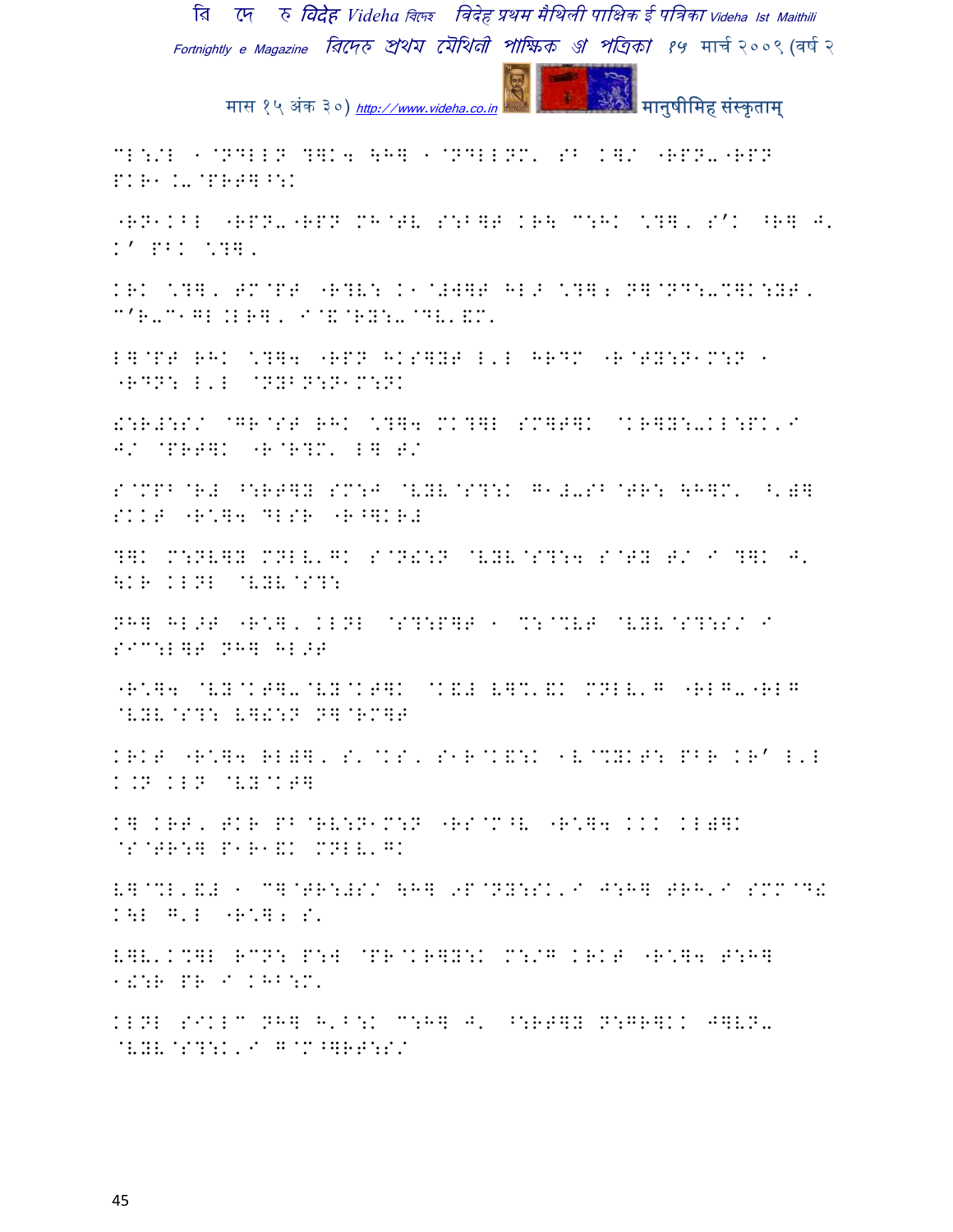मास १५ अंक ३०) http://www.videha.co.in/ मानषीिमह स ु ंस्कृताम्

CL:/L 1@NDLLN ?]K4 \H] 1@NDLLNM' SB K]/ "RPN-"RPN PKR1.-@PRT]^:K

"RNNIKBL "REND-"REND-"RIK SYRJER" (PROTIFIC SINGLES"), SPN-96  $M$  PBK  $M$   $M$ 

KRK \*?], TM@PT "R?V: K1@#W]T HL> \*?]; N]@ND:-%]K:YT, C'HACH HOPES, PORCHELLOR, ED.

LA TRA (BA) (NIAH) (BRD) AL PADA (ELL) ABTO (BATHID) PADA "RDN: L'ANN PORT (1999) - L'ANN PORT (1999) - L'ANN PORT (1999) - L'ANN PORT (1999) - L'ANN PORT (1999) - L'AN<br>NATIONALE DE L'ANN PORT (1999) - L'ANN PORT (1999) - L'ANN PORT (1999) - L'ANN PORT (1999) - L'ANN PORT (1999)

!:R#:S/ @GR@ST RHK \*?]4 MK?]L SM]T]K @KR]Y:-KL:PK'I J/ @PRT]K "R@R?M' L] T/

S@MPB@R# ^:RT]Y SM:J @VYV@S?:K G1#-SB@TR: \H]M' ^')] SKIR "RYAN "RYA" (R\*RIBA)

THI CHINANA CHIALUM I MANIP (ANALYSTIN I MANIPER ) A THIS A \KR KLNL @VYV@S?:

NHE "RESPECTIVE "STORE" IN THE THE "RECOVERED AS IN THE STORE IN THE THEORY OF THE STORE IN THE STORE IN THE S SIC:LINE NHI HISP

"AND HE WARDER OF A VIOLENCE AND A VIOLENCE AND A VEHICLE AND HE WAS ARRESTED ON A VEHICLE AND A VEHICLE AND A YEWE YATE CHEEF AND THE TEST OF THE SET OF THE SET OF THE SET OF THE SET OF THE SET OF THE SET OF THE SET OF THE SET OF THE SET OF THE SET OF THE SET OF THE SET OF THE SET OF THE SET OF THE SET OF THE SET OF THE SET OF THE

KRKT "PRAN PENN SYMMON SYRMONY" (ENGINE PRIMEMAL) K.N KRN MARTING

KART, TKR PROGRESS IN DIE RUISINGSTE REIN (1992) IN DIE REINER VON DIE REINER VON DIE REINER VON DIE REINER VO @S@TR:] P1R1&K MNLV'GK

V]@%L'&# 1 C]@TR:#S/ \H] 9P@NY:SK'I J:H] TRH'I SMM@D! KAL GEL SERVER EN

V]V'K%]L RCN: P:W @PR@KR]Y:K M:/G KRKT "R\*]4 T:H] 1.:R PR 2001

KLN SIKL SIKLA SIKLOGI NG KALENDAR NG KALENDAR NG KALENDAR NG KALENDAR NG KALENDAR NG KALENDAR NG KALENDAR NG MANIFEST CONTROL CONTROL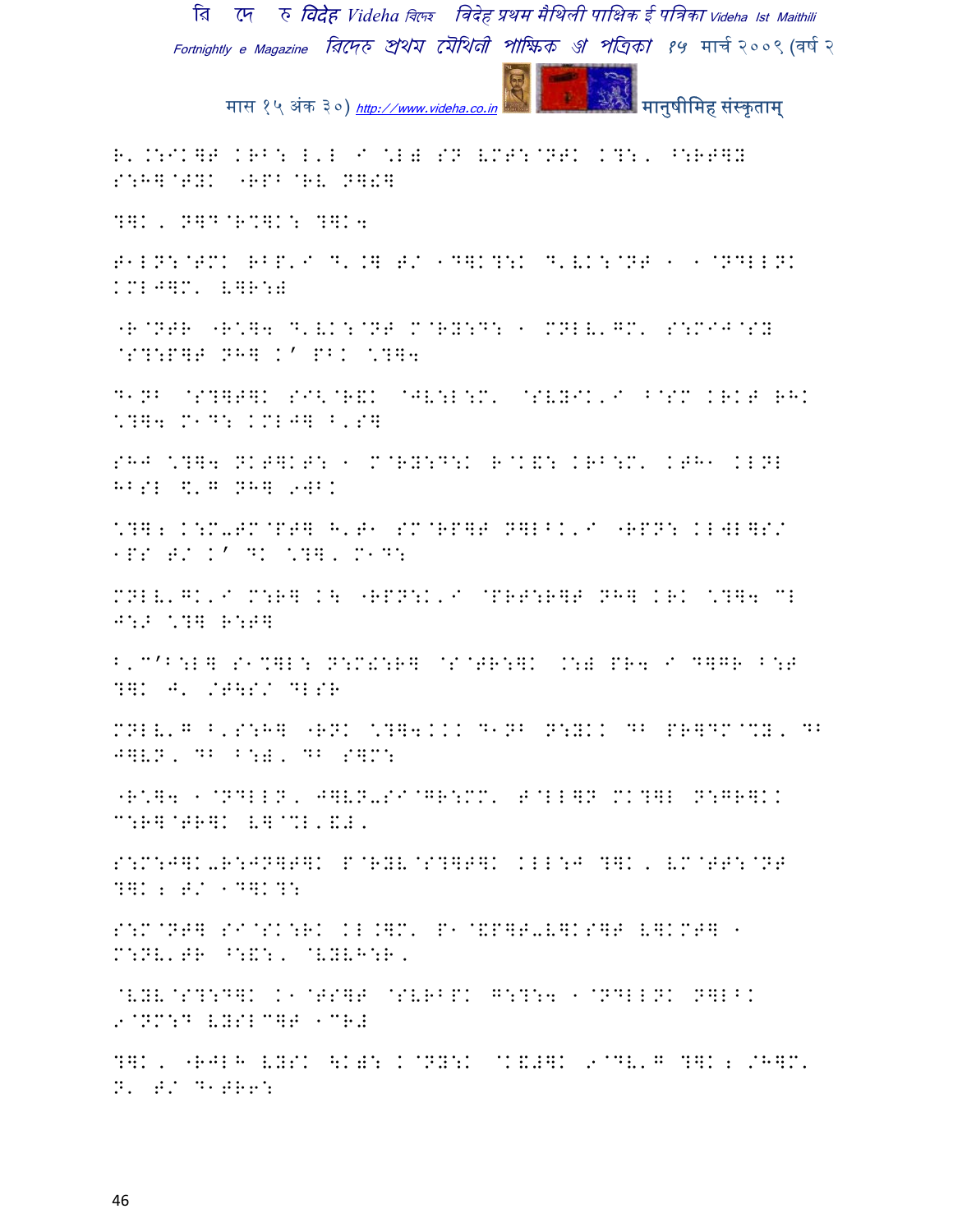मास १५ अंक ३०) http://www.videha.co.in स्थिती स्थिति**में भानुषीमिह संस्कृताम्** 

R'.: IK.: IK.: IK.: L'AN VAT KRB: L'AN VAT KRB: L'AN VAT KRB: L'AN VAT KRB: L'AN VAT KRB: L'AN VAT KRB: L'AN V S: Henrich (1988) (1989) (1989) (1989) (1989) (1989) (1989) (1989) (1989) (1989) (1989) (1989) (1989) (1989) (<br>S: Henrich (1989) (1989) (1989) (1989) (1989) (1989) (1989) (1989) (1989) (1989) (1989) (1989) (1989) (1989)

?]K, N]D@R%]K: ?]K4

T1LN:@TMK RBP'I D'.] T/ 1D]K?:K D'VK:@NT 1 1@NDLLNK KMLJ]M' V]R:)

"R@NTR "R\*]4 D'VK:@NT M@RY:D: 1 MNLV'GM' S:MIJ@SY @S?:P]T NH] K' PBK \*?]4

D1NB @S?]T]K SI<@R&K @JV:L:M' @SVYIK'I ^@SM KRKT RHK \*?]4 M1D: KMLJ] B'S]

SHJ \*?]4 NKT]KT: 1 M@RY:D:K R@K&: KRB:M' KTH1 KLNL HBSL \$'G NH 9WBK

\*?]; K:M-TM@PT] H'T1 SM@RP]T N]LBK'I "RPN: KLWL]S/ 1PS T/ K' DK \*?], M1D:

MALLAN VY MARE (19) (PRANIL KO MARRABER (299) I NABEL ME J:> \*?] R:T]

B'C'B:L] S1%]L: N:M!:R] @S@TR:]K .:) PR4 I D]GR B:T ?]K J' /T\S/ DLSR

MNLLV'S:HE HRI (1961) DAR PRID NO PRID J]VN, DB B:), DB S]M:

"R\*]4 1@NDLLN, J]VN-SI@GR:MM' T@LL]N MK?]L N:GR]KK C:R]K V:R]K V:R]K V:R]K V:R]K V:R]K V:R]K V:R]K V:R]K V:R]K V:R]K V:R]K V:R]K V:R]K V:R]K V:R]K V:R]K V:R]K V:

S:M:J]K-R:JN]T]K P@RYV@S?]T]K KLL:J ?]K, VM@TT:@NT ?]K; T/ 1D]K?:

STAT TRANS STATES THAT I DO DATES THAT RELATIONS THAT HAS PLAY AS M:NV'TR ^:&:, @VYVH:R,

@VYV@S?:D]K K1@TS]T @SVRBPK G:?:4 1@NDLLNK N]LBK 9@NM:D VYSLC]T 1CR#

?]K, "RJLH VYSK \K): K@NY:K @K&#]K 9@DV'G ?]K; /H]M' N' T/ D1TR6: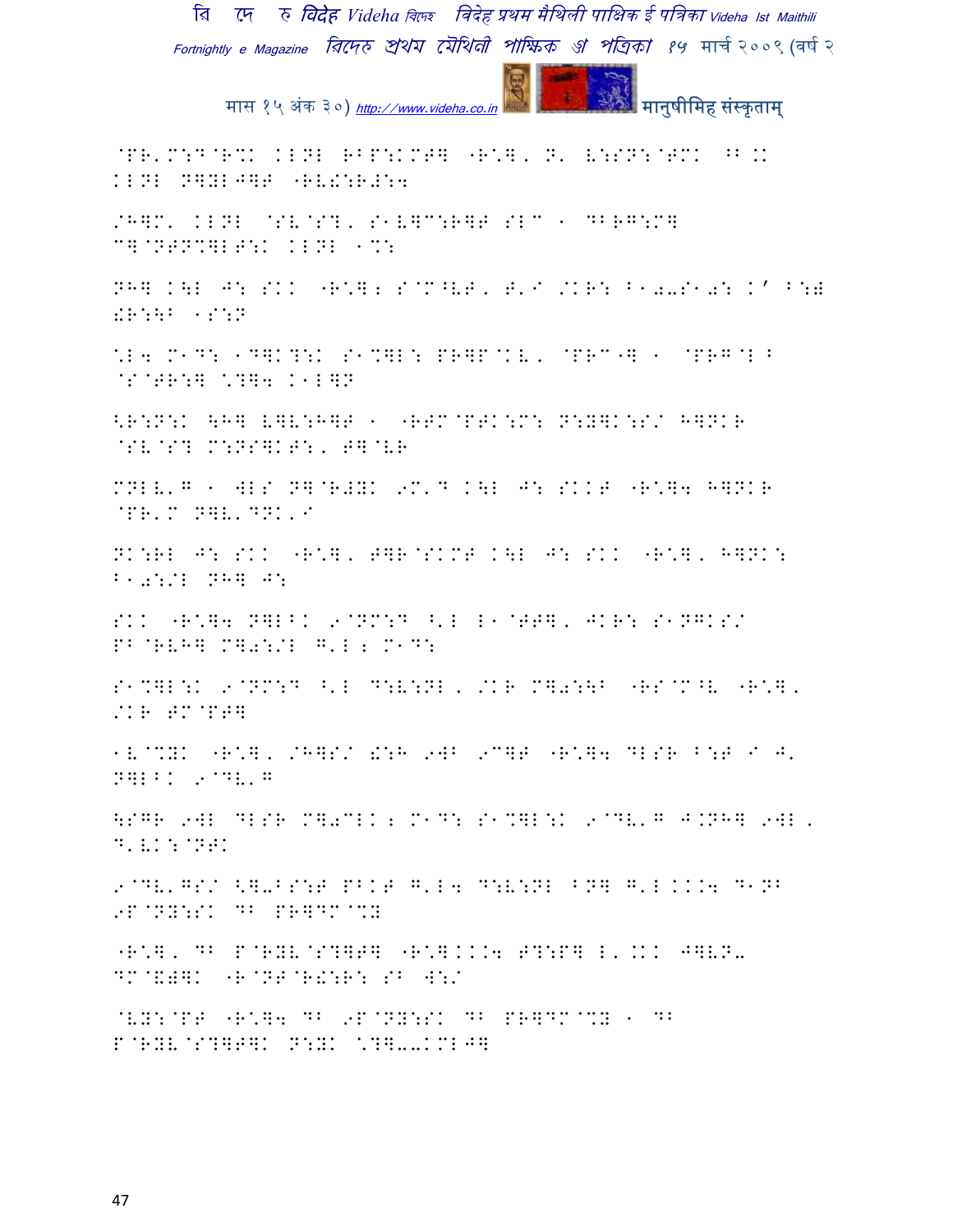मास १५ अंक ३०) <u>http://www.videha.co.in National Acco</u>ssib**lity मानुषीमिह संस्कृताम्** 

@PR'M:D@R%K KLNL RBP:KMT] "R\*], N' V:SN:@TMK ^B.K  $K$  , and the set of the set of the set of the set of the set of the set of the set of the set of the set of t

/H]M' KLNL @SV@S?, S1V]C:R]T SLC 1 DBRG:M] CONSTRUCTION CONTROL CONTROL

NHE CAL AN INI (HOURS FOR HER BIR) SOMETH FRANKLY IN THE !R:\B 1S:N

\*L4 M1D: 1D]K?:K S1%]L: PR]P@KV, @PRC"] 1 @PRG@L^ @S@TR:] \*?]4 K1L]N

<R:N:K \H] V]V:H]T 1 "RTM@PTK:M: N:Y]K:S/ H]NKR  $\frac{1}{2}$  ,  $\frac{1}{2}$  ,  $\frac{1}{2}$  ,  $\frac{1}{2}$  ,  $\frac{1}{2}$  ,  $\frac{1}{2}$  ,  $\frac{1}{2}$  ,  $\frac{1}{2}$  ,  $\frac{1}{2}$  ,  $\frac{1}{2}$  ,  $\frac{1}{2}$  ,  $\frac{1}{2}$  ,  $\frac{1}{2}$  ,  $\frac{1}{2}$  ,  $\frac{1}{2}$  ,  $\frac{1}{2}$  ,  $\frac{1}{2}$  ,  $\frac{1}{2}$  ,  $\frac{1$ 

MNLV STRAND HER Y GENERAL HER Y GENERAL HER Y GENERAL HER Y SKYLDER I SKYLDER I SKRIVER I SKRIVER OG DET SKRIV @PR'M N]V'DNK'I

NK:RE JP: SKK "RENE, PHR SKKRE (RE) PR SKK "RENE, RHDK: B10://L NH 90

SKK "R\*DHA"DHEFK "D'ONGH" F.E. ER MAAH , ANAS SRIMGED PRODUCED MARXING MODEL

SNOW: K 9 ON DISPONSIVE CONTROL OF THE CONTROL OF CONTROL OF CONTROL OF CONTROL OF CONTROL OF CONTROL OF CONTR /KR TM@PT]

1V@%YK "R\*], /H]S/ !:H 9WB 9C]T "R\*]4 DLSR B:T I J' N]LBK 9@DV'G

\SGR 9WL DLSR M]0CLK; M1D: S1%]L:K 9@DV'G J.NH] 9WL, D'ALLE NOTES

9@DV'GS/ <]-BS:T PBKT G'L4 D:V:NL BN] G'L...4 D1NB 9P@NY:SK DB PR]DM@%Y

"R\*), David Paris, David Paris, Paris, Paris, Paris, Paris, Paris, Paris, Paris, Paris, Paris, Paris, Paris, P<br>"R\*), David Paris, Paris, Paris, Paris, Paris, Paris, Paris, Paris, Paris, Paris, Paris, Paris, Paris, Paris, DM@&)]K "R@NT@R!:R: SB W:/

@VY:@PT "R\*]4 DB 9P@NY:SK DB PR]DM@%Y 1 DB POST POST PRESENT PRODUCED PRODUCED PRODUCED PRODUCED PRODUCED PRODUCED PRODUCED PRODUCED PRODUCED PRODUCED PR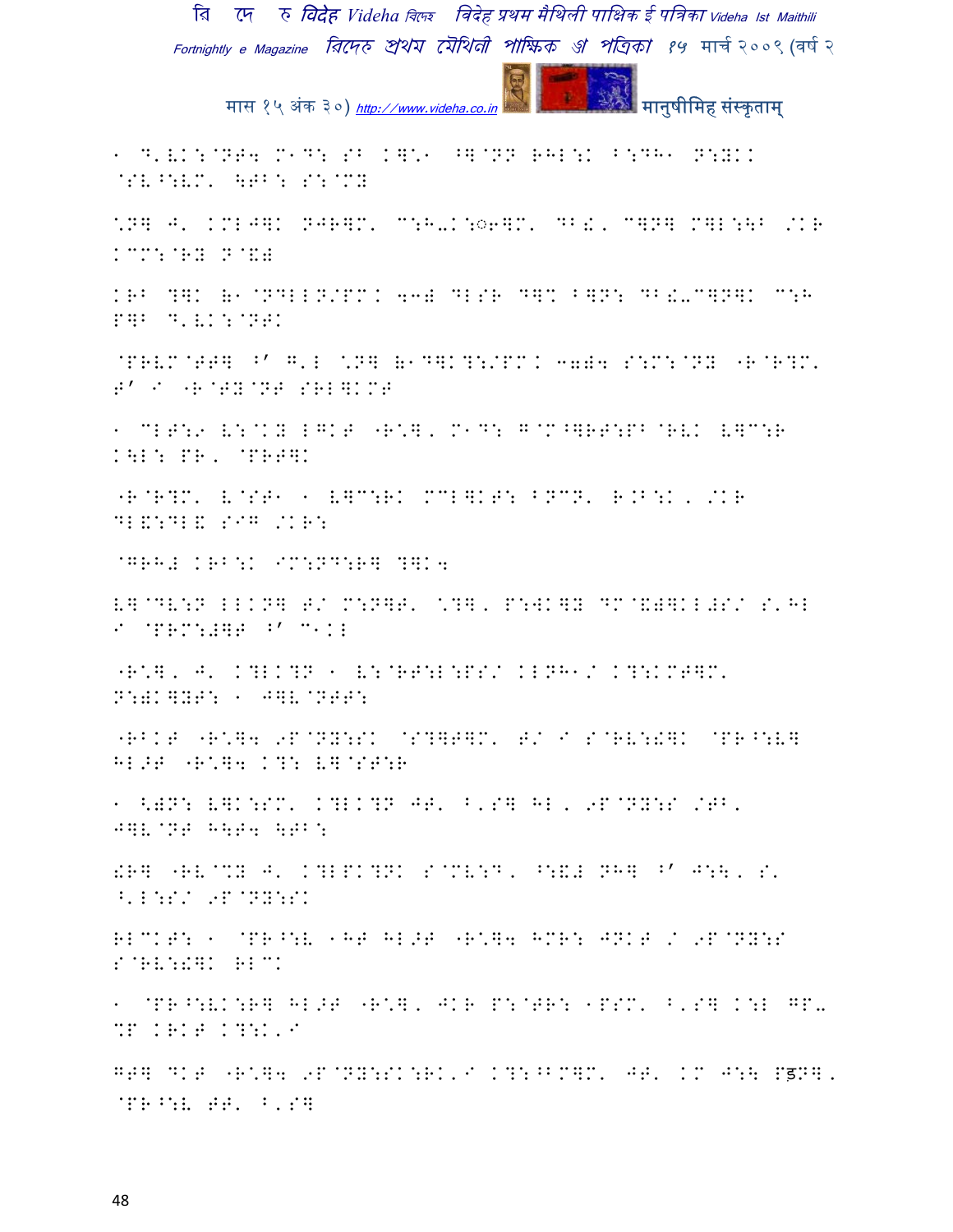मास १५ अंक ३०) http://www.videha.co.in | सामानिक मानुषीमिह संस्कृताम्

1 D'VK:@NT4 M1D: SB K]\*1 ^]@NN RHL:K B:DH1 N:YKK @SV^:VM' \TB: S:@MY

\*N] J' KMLJ]K NJR]M' C:H-K:◌6]M' DB!, C]N] M]L:\B /KR KCM:@RY N@&)

KRB ?) CHE POSTED AND THE PROPERTY BELOW BEING DISCUSSED BY A RELEASED AND DURING BELOW AS A RELEASED ON DURIN P]B D'VK:@NTK

@PRVM@TT] ^' G'L \*N] (1D]K?:/PM. 37)4 S:M:@NY "R@R?M' F' I GROSS SRLED SRL

1 CLT:9 V:@KY LGKT "R\*], M1D: G@M^]RT:PB@RVK V]C:R **TH: PR, PREED** 

"R@R?MY@ST1 1 V@ST1 1 V@ST1 1 V@ST1 1 V@ST1 1 V@ST1 1 V@ST1 1 V@ST1 1 V@ST1 1 V@ST1 1 V@ST1 1 V@ST1 1 V@ST1 1 V DL&:DL& SIG /KR:

@GRH# KRB:K IM:ND:R] ?]K4

V]@DV:N LLKN] T/ M:N]T' \*?], P:WK]Y DM@&)]KL#S/ S'HL I @PRM:#]T ^' C1KL

 $R$  . The set of the set of the set of the set of the set of the set of the set of the set of the set of the s N:)K]YT: 1 J]V@NTT:

 $R$  , and the state of the state  $R$  satisfies  $R$  . The state  $R$  is the state  $R$ HIST SECRETIS RETERIE

1 NEBEN ERONYOL ORBOREN HAL (FLYR) HE LOAR ORBOR OARD  $\overline{\mathcal{Y}}$  ,  $\overline{\mathcal{Y}}$  ,  $\overline{\mathcal{Y}}$  ,  $\overline{\mathcal{Y}}$  ,  $\overline{\mathcal{Y}}$  ,  $\overline{\mathcal{Y}}$  ,  $\overline{\mathcal{Y}}$  ,  $\overline{\mathcal{Y}}$  ,  $\overline{\mathcal{Y}}$  ,  $\overline{\mathcal{Y}}$  ,  $\overline{\mathcal{Y}}$  ,  $\overline{\mathcal{Y}}$  ,  $\overline{\mathcal{Y}}$  ,  $\overline{\mathcal{Y}}$  ,  $\overline{\mathcal{Y}}$  ,  $\overline{\mathcal{Y}}$ 

!R] "RV@%Y J' K?LPK?NK S@MV:D, ^:&# NH] ^' J:\, S' ^'L:S/ 9P@NY:SK

RECOVER AN OPENEEN A RECAR JACARE A PRESIDENT IN VIENS OPENE S@RV:!]K RLCK

1 @PR^:VK:R] HL>T "R\*], JKR P:@TR: 1PSM' B'S] K:L GP- %P KRKT K?:K'I

GTA RECORD "REPORT "RECORDED "RECORDED "RECORDED "RECORDED" (PSP)"), PSP (PSP), PSP (PSP), PSP (PSP), PSP (PSP),  $\Gamma$ @PR^:V TT' B'S]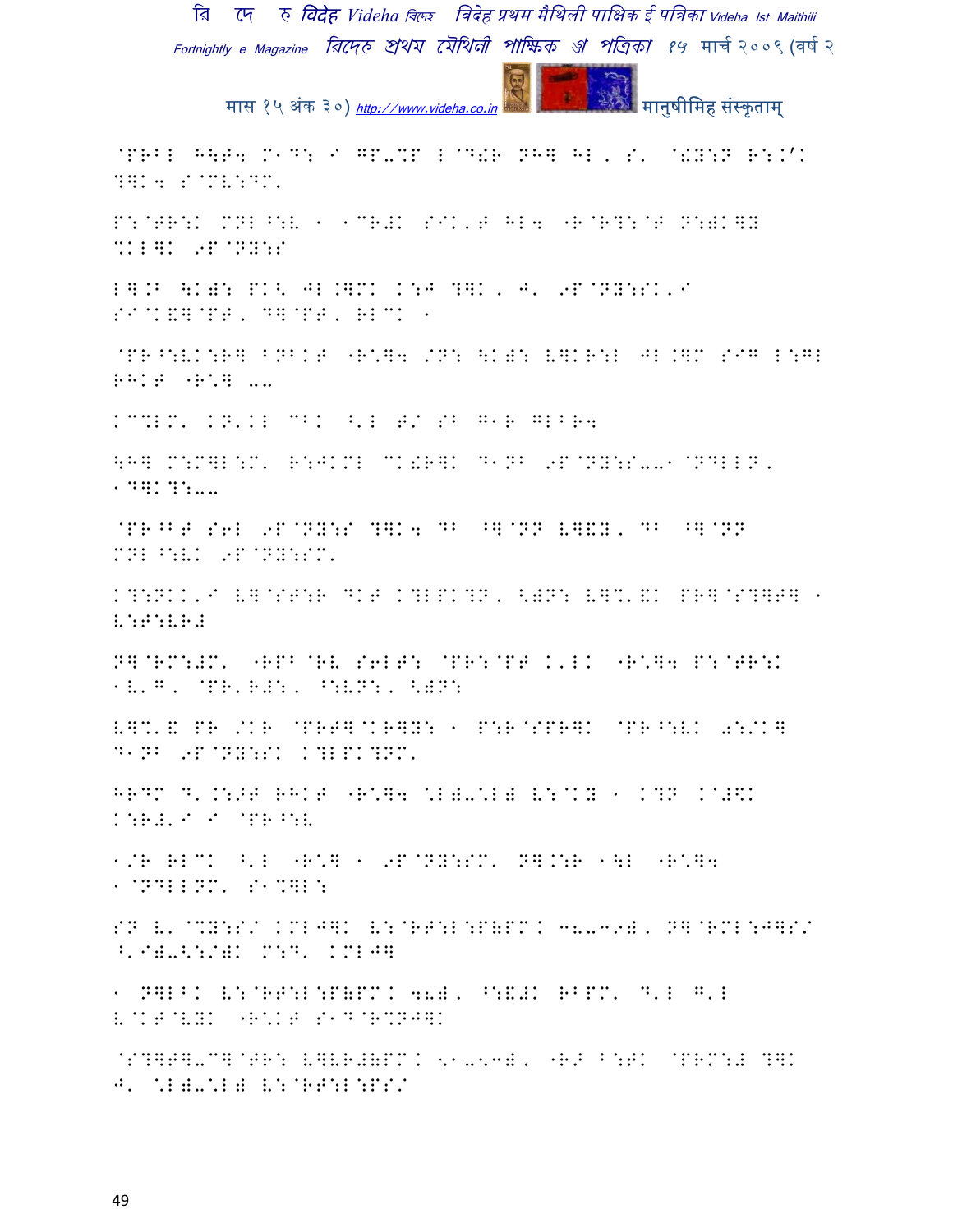मास १५ अंक ३०) <u>http://www.videha.co.in NASA सानु</u>षीमिह संस्कृताम्

@PRBL H\T4 M1D: I GP-%P L@D!R NH] HL, S' @!Y:N R:.'K ?<br>K4 Samuel (1999) (1999) (1999) (1999)<br>K4 Samuel (1999) (1999) (1999) (1999)

P:@TR:K MNL^:V 1 1CR#K SIK'T HL4 "R@R?:@T N:)K]Y %KL]K 9P@NY:S

L].B \K): PK< JL.]MK K:J ?]K, J' 9P@NY:SK'I  $\mathcal{S}$  , and the proposition of  $\mathcal{S}$  ,  $\mathcal{S}$  ,  $\mathcal{S}$  ,  $\mathcal{S}$  ,  $\mathcal{S}$  ,  $\mathcal{S}$  ,  $\mathcal{S}$  ,  $\mathcal{S}$  ,  $\mathcal{S}$  ,  $\mathcal{S}$  ,  $\mathcal{S}$  ,  $\mathcal{S}$  ,  $\mathcal{S}$  ,  $\mathcal{S}$  ,  $\mathcal{S}$  ,  $\mathcal{S}$  ,  $\mathcal{S}$  ,

@PR^:VK:R] BNBKT "R\*]4 /N: \K): V]KR:L JL.]M SIG L:GL RHKT "RAHKT" "R

KC'SLAM' KALL CAR SERIES SAN GLADE GERE

\H] M:M]L:M' R:JKML CK!R]K D1NB 9P@NY:S--1@NDLLN, 1D]K?:--

@PR^BT S6L 9P@NY:S ?]K4 DB ^]@NN V]&Y, DB ^]@NN MNLOSH MANL

KRYST: NA SERVERSE (PDE CONTINE), KAPY KAN KO PEN YONNER  $\mathbb{R}$  Y: The Section

N]@RM:#M' "RPB@RV S6LT: @PR:@PT K'LK "R\*]4 P:@TR:K 1V'G, @PR'R#:, ^:VN:, ^:VN:, ^:VN:, ^:VN:, ^:VN:, ^:VN:, ^:VN:, ^:VN:, ^:VN:, ^:VN:, ^:VN:, ^:VN:, ^:VN:, ^:VN:, ^:VN:, ^:VN:, ^:VN:, ^:VN:, ^:VN:, ^:VN:, ^:VN:, ^:VN:, ^:VN:, ^:VN:, ^:VN:, ^:VN:, ^:VN:, ^:VN:, ^:VN:, ^:VN

V]%'& PR /KR @PRT]@KR]Y: 1 P:R@SPR]K @PR^:VK 0:/K] D1NB 9P@NY:SK K?LPK?NM'

HRDM D'.: T RHKT "REN THAT "LI GLI LI GTE "LI GTE "L' LI GET" "L' LI GET" " K:R#'I I I OPPOR

1/PRO RECTO 10 POL 1 9P NY MAO 1 NA PORTABA ENGLISH NA POLITIKA ENGLISH NA POLITIKA 1@NDLLNM' S1%]L:

SN B. MORAZ (MERU) BACHEALAPHENI HELHZE, NUCH AND ARUZ ^'I)-<:/)K M:D' KMLJ]

1 N]LBK V:@RT:L:P(PM. 48), ^:&#K RBPM' D'L G'L KOVERSE "RATION" STATES

@S?]T]-C]@TR: V]VR#(PM. 51-53), "R> B:TK @PRM:# ?]K J' \*L)-\*L) V:@RT:L:PS/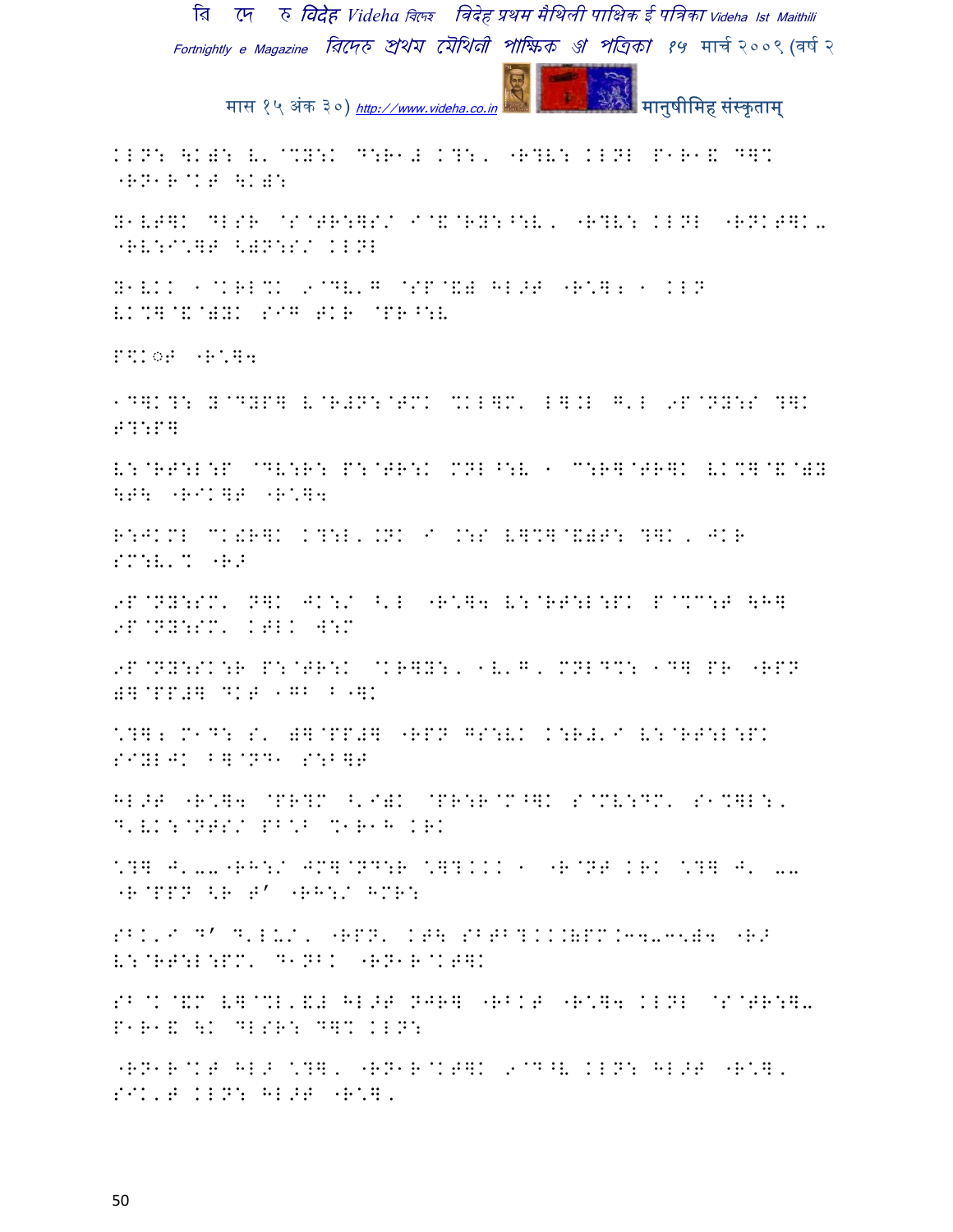मास १५ अंक ३०) <u>http://www.videha.co.in</u> New York कर सानुषीमिह संस्कृताम्

KLN: \K): V'@%Y:K D:R1# K?:, "R?V: KLNL P1R1& D]% "RN1R" RN1R

Y1VT]K DLSR @S@TR:]S/ I@&@RY:^:V, "R?V: KLNL "RNKT]K- "RU: I\* T & SHIPS & SHIPS & SHIPS & SHIPS & SHIPS & SHIPS & SHIPS & SHIPS & SHIPS & SHIPS & SHIPS & SHIPS & SH

YOUR AND THE REAL PROPERTY OF THE REAL PROPERTY OF THE REAL PROPERTY OF THE REAL PROPERTY OF THE REAL PROPERTY VK%]@&@)YK SIG TKR @PR^:V

PRIOF (PLA)

1D]K?: Y@DYP] V@R#N:@TMK %KL]M' L].L G'L 9P@NY:S ?]K PRINTER:

V:@RT:L:P @DV:R: P:@TR:K MNL^:V 1 C:R]@TR]K VK%]@&@)Y  $\Pi$  : RIK  $\Pi$  and  $\Pi$  and  $\Pi$  and  $\Pi$ 

R:JKML CK!R]K K?:L'.NK I .:S V]%]@&)T: ?]K, JKR SM:V: SPR

9P@NY:SM' N]K JK:/ ^'L "R\*]4 V:@RT:L:PK P@%C:T \H] 9P@NY:SM' KTLK W:M' KTLK W:M' KTLK W:M' MONTH

9P@NY:SK:R P:@TR:K @KR]Y:, 1V'G, MNLD%: 1D] PR "RPN )]@PP#] DKT 1GB B"]K

\*?]; M1D: S' )]@PP#] "RPN GS:VK K:R#'I V:@RT:L:PK SIYLLO BETH BILL

HL>T "R\*]4 @PR?M ^'I)K @PR:R@M^]K S@MV:DM' S1%]L:, D'VK:@NTS/ PB\*B %1R1H KRK

\*?] J'--"RH:/ JM]@ND:R \*]?... 1 "R@NT KRK \*?] J' -- "ROPPLY RESPUTED AND

SBK'I D' D'LU/, "RPN' KT\ SBTB?...(PM.34-35)4 "R> V:@RT:L:PM' D1NBK "RN1R@KT]K

SB@K@K@K@XQ&M VIRGON THE TELL PARTIES IN THE SAME TO A REAL AND THE TELL OF THE SAME IN THE TELL OF THE SAME O P1R1& \K DLSR: D]% KLN:

"RN1R@KT HL> \*?], "RN1R@KT]K 9@D^V KLN: HL>T "R\*], SIK'T KLAN: HE HARD "RATH"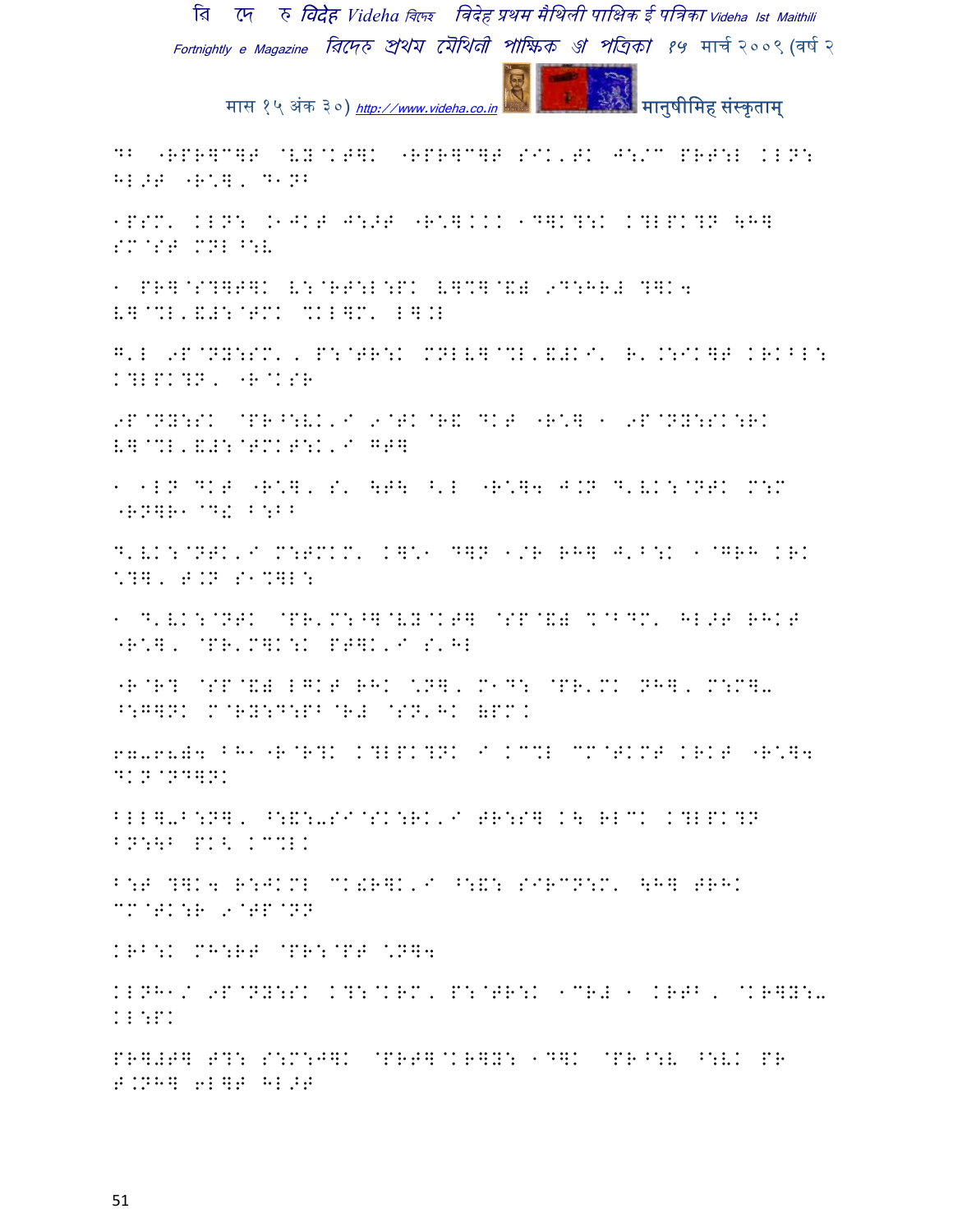मास १५ अंक ३०) <u>http://www.videha.co.in</u><br>सास १५ अंक ३०) <u>http://www.videha.co.in</u>

DB "RPR]C]T @VY@KT]K "RPR]C]T SIK'TK J:/C PRT:L KLN: HIST "RANGEL"

1PSM: .1195 1:412 4530 10101111 190101111111111111111  $\mathcal{S}$  , which may be a set of  $\mathcal{S}$  , which is a set of  $\mathcal{S}$ 

1 PR]@S?]T]K V:@RT:L:PK V]%]@&) 9D:HR# ?]K4 L'A VI L'ELES ( HI L'OLI ALL'ILLE ( HI LE

G'L 9P@NY:SM', P:@TR:K MNLV]@%L'&#KI' R'.:IK]T KRKBL: K?LPK?N, "R@KSR

9P@NY:SK @PROFILE PORT #PROFILE PORT #PROFILE PORT #PROFILE PORT #PROFILE PORT #PROFILE PORT #PROFILE PORT #PR<br>And profile port #Profile Port #Profile Port #Profile Port #Profile Port #Profile Port #Profile Port #Profile V]@%L'&#:@TMKT:K'I GT]

1 1LN DKT "R\*], S' \T\ ^'L "R\*]4 J.N D'VK:@NTK M:M "RND", "RND", "POD", "

D'VK:@NTK'I M:TMKM' K]\*1 D]N 1/R RH] J'B:K 1@GRH KRK \*\*\*\*\*\*\*\*\*\*\*\*\*\*\*\*\*\*\*\*\*

1 D'VK:@NTK @PR'M:^]@VY@KT] @SP@&) %@BDM' HL>T RHKT "R\*], @PR'M]K:K PT]K'I S'HL

 $R$  and the first resolution of  $R$  . The space of  $R$  is the  $R$ ^:G]NK M@RY:D:PB@R# @SN'HK (PM.

68-68-64) BH1 (1980) ROKER I KOMMERCHER KRKT SER DECEMBER 1

BLL]-B:N], ^:&:-SI@SK:RK'I TR:S] K\ RLCK K?LPK?N **BN:** PKK COND

B:T ?; R:JKML CK!R; R:JKML CHE ?; R:JKML CK!R; R:JKML CK!R; SIRCN:M' \H] TRHKK'I ^: CM@TK:R 9@TP@NN

KRB:K MH:RT @PR:@PT \*N]4

KLAHIN/ 9P@NY:SK KRAM, P:@KRX, P:@TR:K 1CR# 1 KRTB, @KR KL:PK

PREAPS POR PRINCES OPRPOINCERS CORD OPROVING PRO T.NH 6198 H.H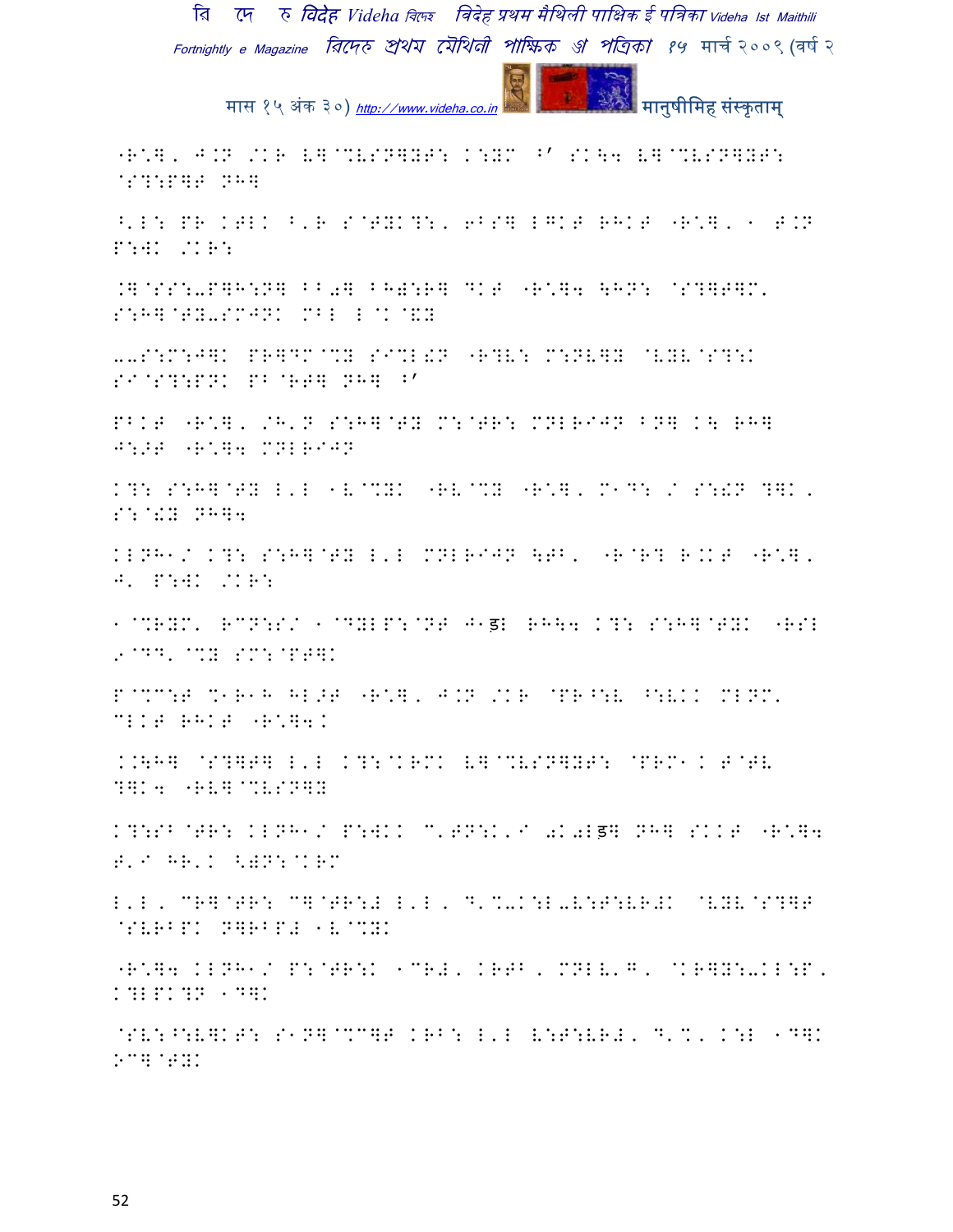मास १५ अंक ३०) http://www.videha.co.in | सामानिक मानुषीमिह संस्कृताम्

"R\*), J.N /KR VSN), J.N /KR VSN), J.N /KR VSN), J.N /KR VSN), J.N /KR VSN), J.N /KR VSNJ. J.N /KR VSNJ. J.N /K @S?:P]T NH]

^'L: PR KTLK B'R S@TYK?:, 6BS] LGKT RHKT "R\*], 1 T.N PHI /KR:

.18 SEES.DRASTRO RAGHOR BHD "POR OBSTRO "RATH" SERRET. STERBORG MARK WAR IN THE SMALL

-S:S:M:JK PRIDG@%Y SIXLE PRIDG@%Y PRIDG@%Y SIXLE PRIDG@%Y AND THE PRIDGE PRIDGE PRIDGE PRIDGE PRIDGE PRIDGE PR SIMSTRI PP@RTPRPPP

PBKT "R\*], /H'N S:H]@TY M:@TR: MNLRIJN BN] K\ RH] J:>T "R\*]4 MNLRIJN

KT: S:HIGH| LI-L 100, HETC SENT, MARINE MINDS S: NHE NHEA

KLANDI, KORNER KAN SERIKAN DI SERIKAN DI SERIKA DI SERIKA DI SERIKA DI SERIKA DI SERIKA DI SERIKA DI SERIKA DI J' PHI /KR:

1@%RYM' RCN:S/ 1@DYLP:@NT J1ड़L RH\4 K?: S:H]@TYK "RSL 9@DD'@%Y SM:@PT]K

P@%C:T %1R1H HL>T "R\*], J.N /KR @PR^:V ^:VKK MLNM' TILE RHIF (ROMAN)

..\H] @S?]T] L'L K?:@KRMK V]@%VSN]YT: @PRM1. T@TV **THE SECRET CONSTRUCT** 

K?:SB@TR: KLNH1/ P:WKK C'TN:K'I 0K0Lड़] NH] SKKT "R\*]4 T'I HR'K HR'K HRYK HRYK

L'L, CRA L'ARE COMPOSTAVA L'EL, D'AL, CLL DE L'EDAPARA D'ON CELL COMMAN @SVRBPK N]RBP# 1V@%YK

"R\*]4 KLNH1/ P:@TR:K 1CR#, KRTB, MNLV'G, @KR]Y:-KL:P, KRETTER STR

@SV:^:V]KT: S1N]@%C]T KRB: L'L V:T:VR#, D'%, K:L 1D]K DOW: 1932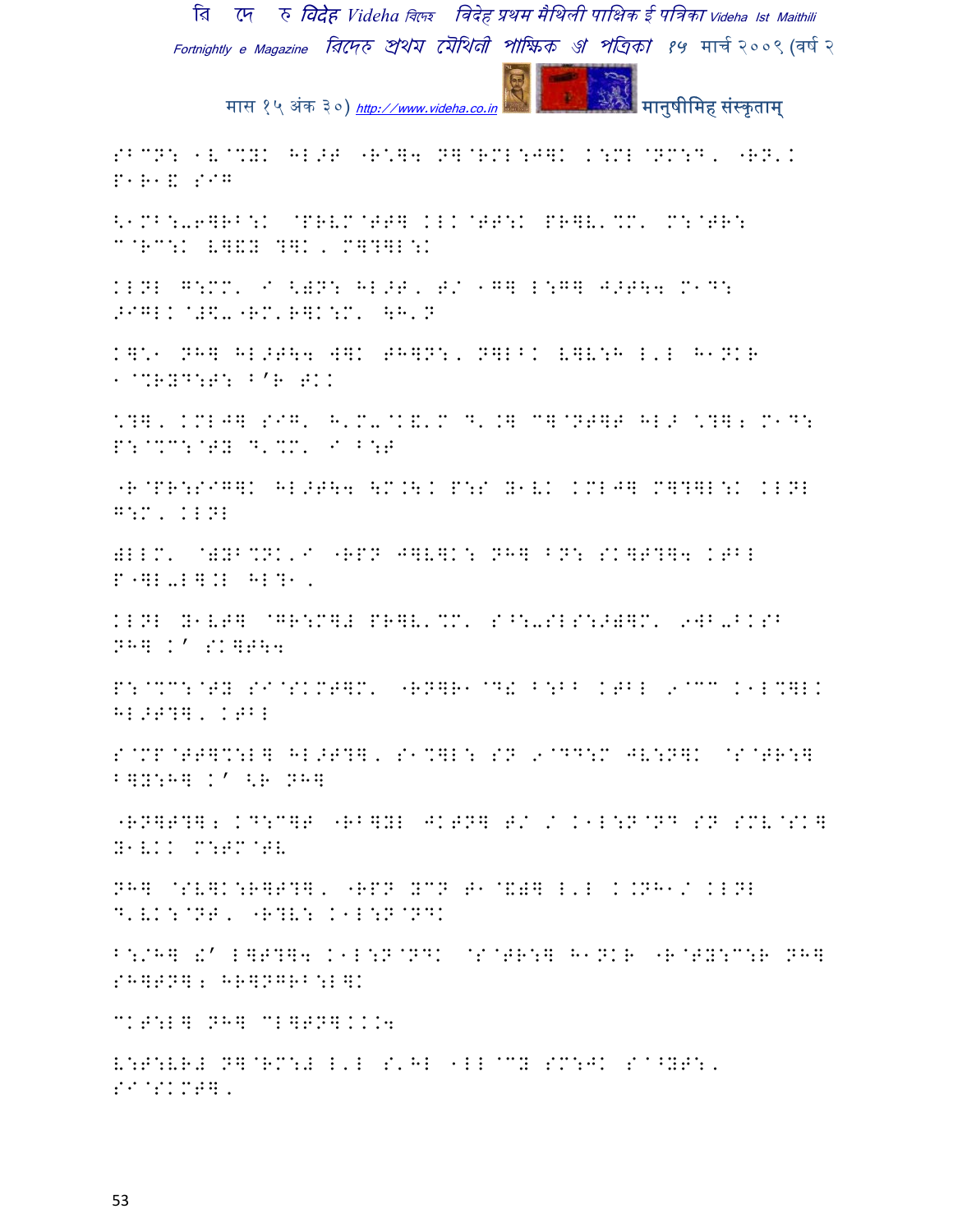मास १५ अंक ३०) http://www.videha.co.in | सामानिक मानुषीमिह संस्कृताम्

SBCN: 1V@%YK HL>T "R\*]4 N]@RML:J]K K:ML@NM:D, "RN'K P1R1B1 SIG

<1MB:-6]RB:K @PRVM@TT] KLK@TT:K PR]V'%M' M:@TR: C@RC:K V&Y ?]K, MORE ?

KLNL G:MM' I <)N: HL>T, T/ 1G] L:G] J>T\4 M1D: >IGLK@#\$-"RM'R]K:M' \H'N

K]\*1 NH] HL>T\4 W]K TH]N:, N]LBK V]V:H L'L H1NKR 1@%RYD:T: B'R TKK

\*?], KMLJ] SIG' H'M-@K&'M D'.] C]@NT]T HL> \*?]; M1D: P:@%C:@TY D'%M' I B:T

 $R$  . Problem the sign and the sign of the sign of the sign  $R$ B:M, KLIPE

)LLM' @)YB%NK'I "RPN J]V]K: NH] BN: SK]T?]4 KTBL P"]L-L].L HL?1,

KLNL YNTER YN YN YN YN SYSIED ALLE YN SAN YN SYSIED OAN AS YN SYSIED AS YN SYSIED AS YN Y DIWYS BERGHAM OAN DA  $P+T$  ( $\leq$   $\leq$   $\leq$   $\leq$   $\leq$   $\leq$   $\leq$   $\leq$   $\leq$   $\leq$   $\leq$   $\leq$   $\leq$   $\leq$   $\leq$   $\leq$   $\leq$   $\leq$   $\leq$   $\leq$   $\leq$   $\leq$   $\leq$   $\leq$   $\leq$   $\leq$   $\leq$   $\leq$   $\leq$   $\leq$   $\leq$   $\leq$   $\leq$   $\leq$   $\leq$   $\leq$ 

P:@%C:@TY SI@SKMT]M' "RN]R1@D! B:BB KTBL 9@CC K1L%]LK HISTORY (1991)

SM TO BOOK COMPANY IN THE SAME OF STRAINING AN INTERFERING AN INTERFERING AN INTERFERING AN INTERFERING AN INT FHINH I/ AF NH

"RN]T?]; KD:C]T "RB]YL JKTN] T/ / K1L:N@ND SN SMV@SK] Y1VKK M:TM@TV

NH] @SV]K:R]T?], "RPN YCN T1@&)] L'L K.NH1/ KLNL D'VK:@NT, "R?V: K1L:N@NDK

B:204 B:/ LATA CHINOK MONDA MARIA AND ENTRANDENT SHARD; HRANGRB:

CONTROLLER CHANGES CONTROLLER

V:T:VR# N]@RM:# L'L S'HL 1LL@CY SM:JK S@^YT:, SI@SKMT],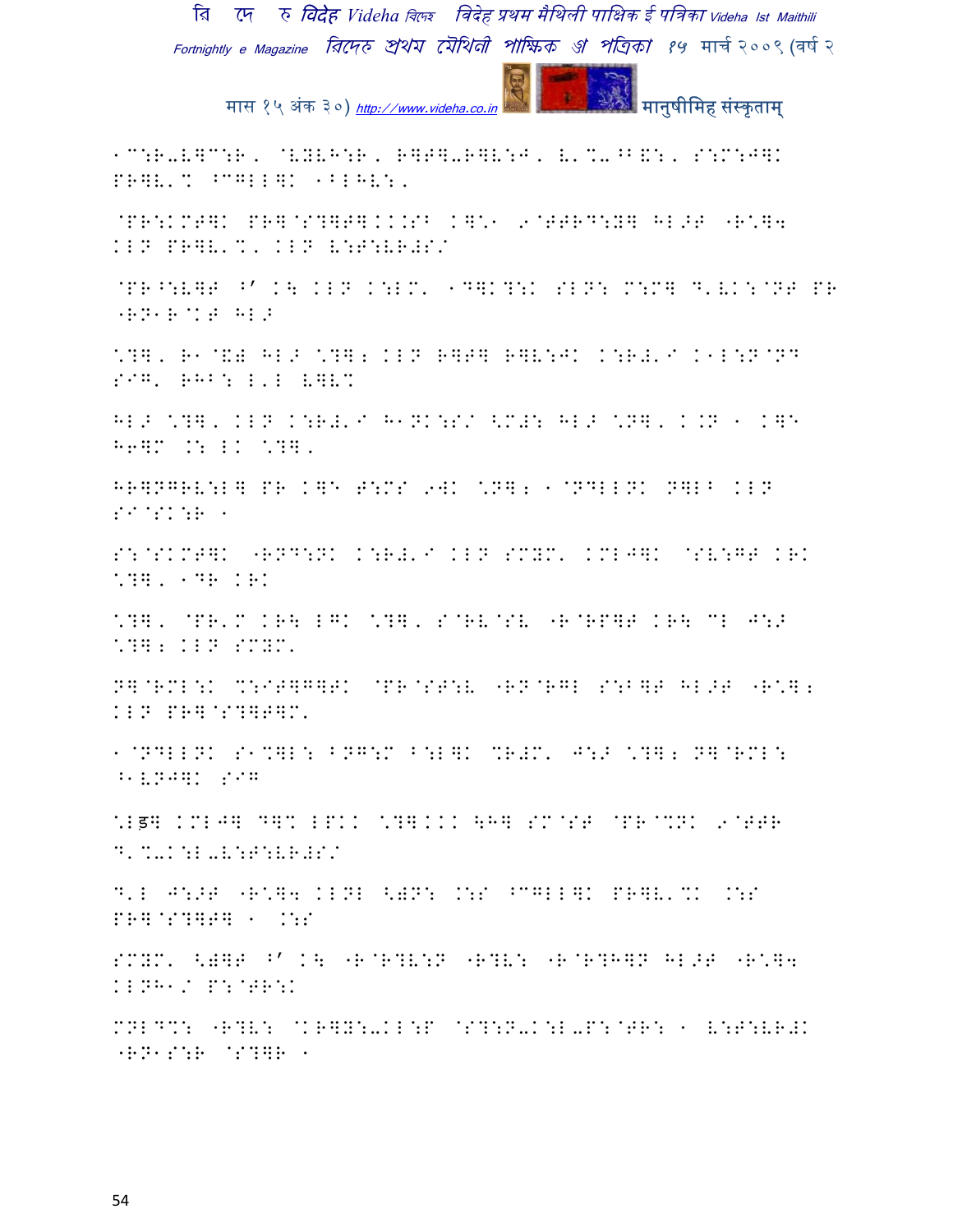मास १५ अंक ३०) http://www.videha.co.in स्थितीया मानुषीमिह संस्कृताम्

1C:R-V]C:R, @VYVH:R, R]T]-R]V:J, V'%-^B&:, S:M:J]K PRODUCED PRODUCED AND ALL AND ALL AND ALL AND ALL AND ALL AND ALL AND ALL AND ALL AND ALL AND ALL AND ALL AND

@PR:KMT]K PR]@S?]T]...SB K]\*1 9@TTRD:Y] HL>T "R\*]4 KRN PROVINCI IN BIRING

@PR^:V]T ^' K\ KLN K:LM' 1D]K?:K SLN: M:M] D'VK:@NT PR "RN1R@KT HL>

\*?], R1@&) HL> \*?]; KLN R]T] R]V:JK K:R#'I K1L:N@ND SIG' RHB: L'EST

HEVE AND HIS SERVICE AND HOUSE AND HOUSE ARE A NOT HAVE A RESPONSE TO THE SAME OF THE SAME SERVICE AND HOUSE A Health .: Link .:

HR]NGRV:L] PR K]E T:MS 9WK \*N]; 1@NDLLNK N]LB KLN SI@SK:R 1

S: SECTED (BUTHE CHELF CHR STORY CONFER TELEPICIE \*?], 1DR KRK

\*?], @PR'M KR\ LGK \*?], S@RV@SV "R@RP]T KR\ CL J:> \*?]; KLN SMYM'

NAMES OF THE RANGE OF STRAINING SERVICES OF THE RESOURCE SERVICE SERVICE SERVICE SERVICE SERVICE SERVICE SERVICES **TER PRESIDENT** 

1@NDLLNK S1%]L: BNG:M B:L]K %R#M' J:> \*?]; N]@RML:  $\{1, 1, 2, 3, 5\}$  ,  $\{1, 2, 3, 6\}$ 

\*Lड़] KMLJ] D]% LPKK \*?]... \H] SM@ST @PR@%NK 9@TTR D' + L-V:T:VR#S/AL-V:T:VR#S/AL-V:T:VR#S/AL-V:T:VR#S/AL-V:T:VR#S/AL-V:T:VR#S/AL-V:T:VR#S/AL-V:T:VR#S/AL-V:T:VR#<br>D' + L-V:T:VR#S/AL-V:T:VR#S/AL-V:T:VR#S/AL-V:T:VR#S/AL-V:T:VR#S/AL-V:T:VR#S/AL-V:T:VR#S/AL-V:T:VR#S/AL-V:T:VR#

D. B:: ANDER (ANDERS AND STREET COMMUNISTIES) . SOME PR]@S?]T] 1 .:S

SMYM' RABA V (1991) ANDRE AND RIN HOME RAD RADIO KLNH1/ P:

MNLD%: "R?V: @KR]Y:-KL:P @S?:N-K:L-P:@TR: 1 V:T:VR#K  $R$  ,  $R$  ,  $R$  ,  $R$  ,  $R$  ,  $R$  ,  $R$  ,  $R$  ,  $R$  ,  $R$  ,  $R$  ,  $R$  ,  $R$  ,  $R$  ,  $R$  ,  $R$  ,  $R$  ,  $R$  ,  $R$  ,  $R$  ,  $R$  ,  $R$  ,  $R$  ,  $R$  ,  $R$  ,  $R$  ,  $R$  ,  $R$  ,  $R$  ,  $R$  ,  $R$  ,  $R$  ,  $R$  ,  $R$  ,  $R$  ,  $R$  ,  $R$  ,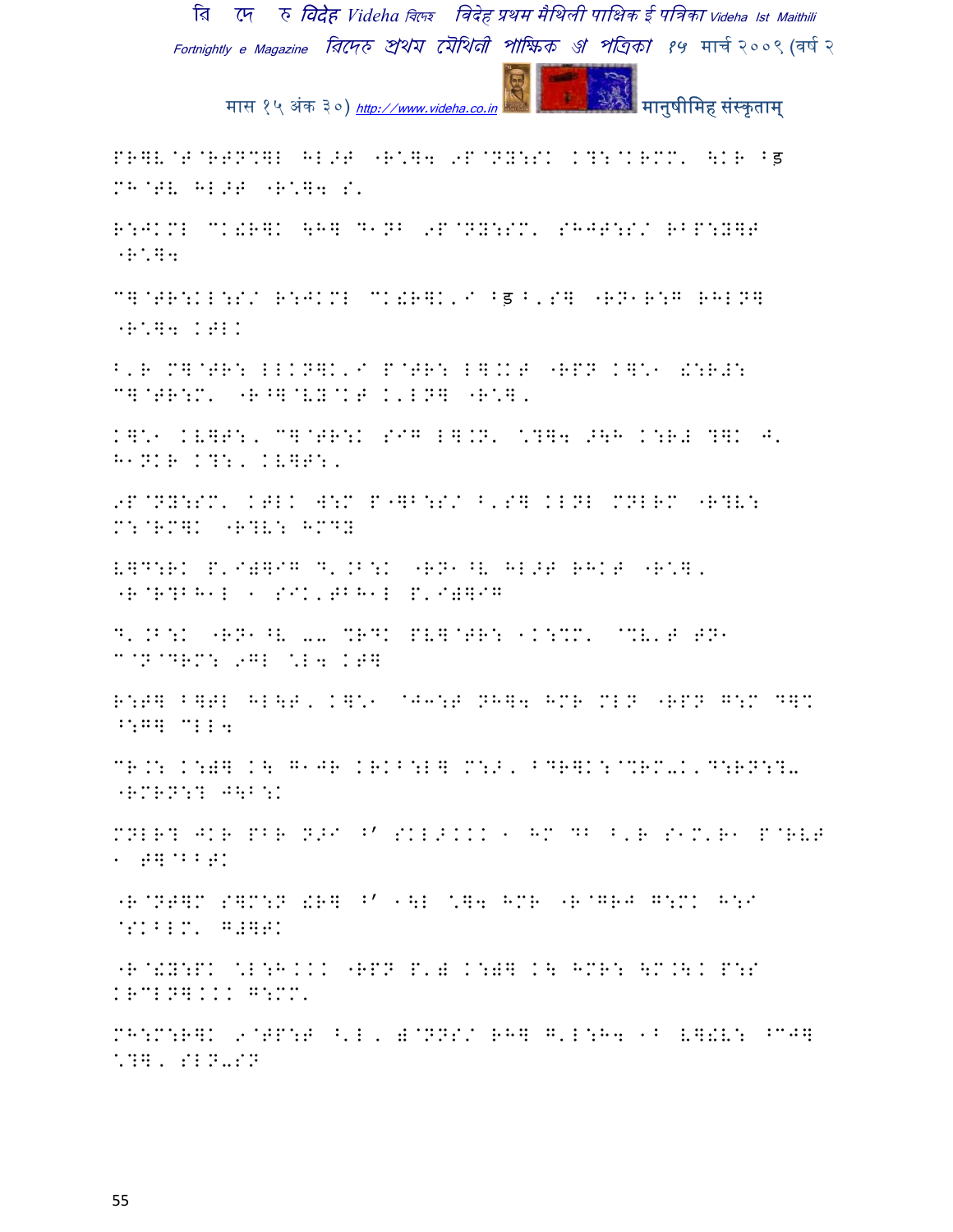मास १५ अंक ३०) http://www.videha.co.in स्थितीया मानुषीमिह संस्कृताम्

PRANCIS TRAPORTE CARDAR CHROMAGE ORIGINAL CONTROL CARDIOGEN A.S. THOR HIS "ROBERT

R:JKML CHE CHE DIN DIN DIN DIN DIN DIN SHIJT:S. SHIKHINI SHIT:SI REPORT  $R$  and  $R$  and  $R$ 

CAL:SP:KL:S/ S/ R/SHLOI RIKONISING BYSING BYSING BYSING BYSING "R\*D##"

B'R M]@TR: LLKN]K'I P@TR: L].KT "RPN K]\*1 !:R#: C]@TR:M' "R^]@VY@KT K'LN] "R\*],

KALAMAT KALENDARYA KATA SIGIR KALENDARYA KATA SIGIR SALAH SALAH SALAH SALAH SALAH SALAH SALAH SALAH SALAH SALA H1NKR K?:, KV]T:,

9P@NY:SM' KTLK W:M P"]B:S/ B'S] KLNL MNLRM "R?V: M:@RM]K "R?V: HMDY

BUTHE P. CHUCH T. D'AL (AP) H. AESH BALB (ANDE)  $R$  and  $R$  is the position of the position  $R$ 

D'.B:K "ROMAN ROMAN PROVINCIAL PROVINCIAL PROVINCIAL POINT MODRAM: 99 CONSTRUCT

R:TH FAR HIR HAS TANGE BANK AND MED HIN MAN  $T:G\to G$ 

CR.: K:)] K\ G1JR KRKB:L] M:>, BDR]K:@%RM-K'D:RN:?- "RMRN: 1999

MNLRA JKR PBR NJA SKLIBILI V RM DB BLEVTIR PORT  $1 - \frac{1}{2}$  The  $\frac{1}{2}$   $\frac{1}{2}$ 

"RENTRABLE SPECIES SERVES AN "ABELICABLE" ROMANIA HIS NAMES AND DESCRIPTIONS @SKBLM' G#]TK

"R@!Y:PK \*L:H... "RPN P') K:)] K\ HMR: \M.\. P:S KRCLN]... G:MM'

MH:M:R:R]K 900 (R)K 900 (R) (PHE R):H4 1B V: LEALS (PHE \*?], SLN-SN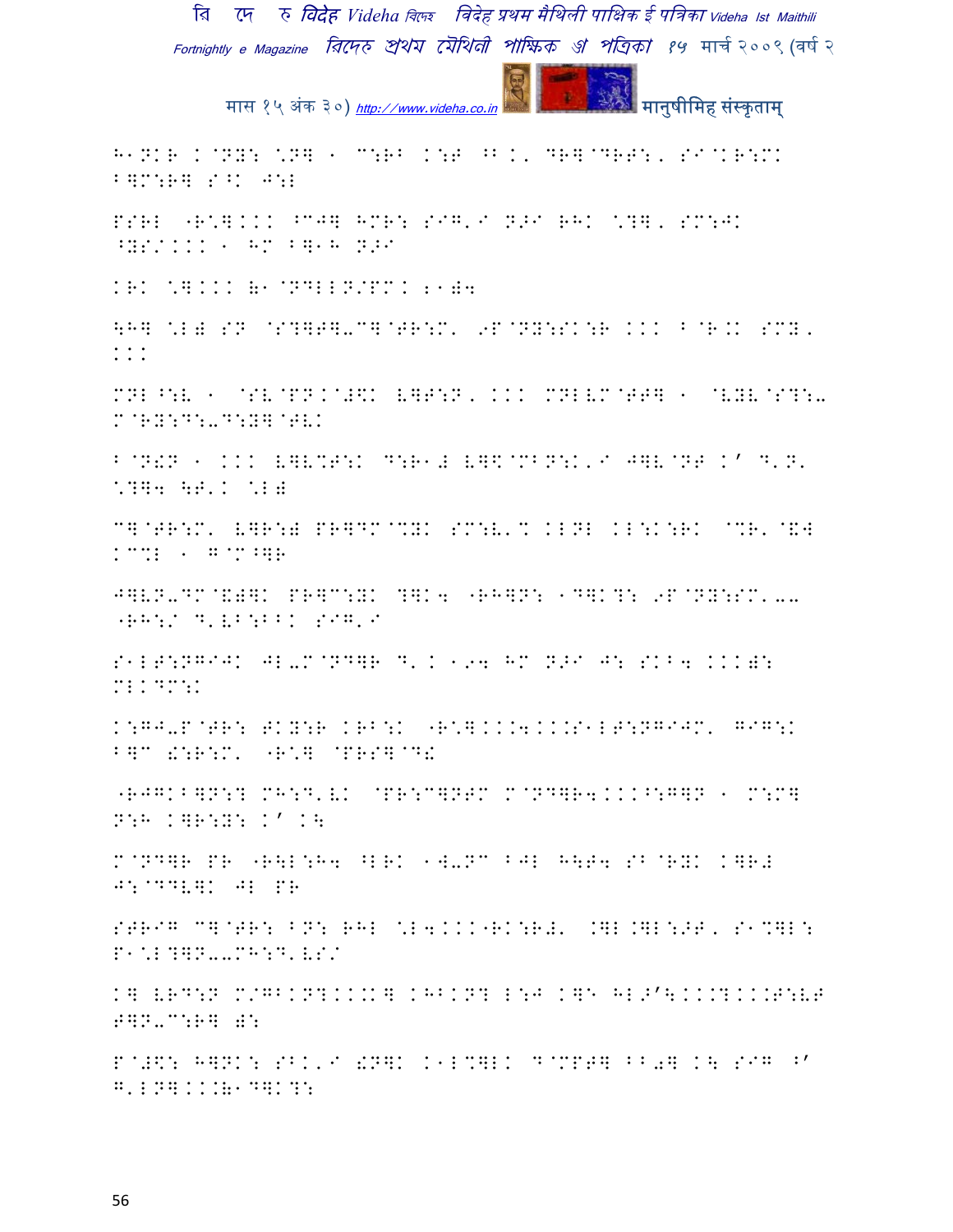मास १५ अंक ३०) http://www.videha.co.in | सामानिक मानुषीमिह संस्कृताम्

H1NKR K@NY: \*N] 1 C:RB K:T ^B., DR]@DRT:, SI@KR:MK B:R] Society (1999)

PSRL "RESULT THE RTRE SHULP BAY RHI SIGE, STEP, ^YS/... 1 HM B]1H N>I

KRK \*]... (1@NDLLN/PM. 21)4

\H] \*L) SN @S?]T]-C]@TR:M' 9P@NY:SK:R KKK B@R.K SMY,  $\mathbb{R}^n$ 

MNL^:V 1 @SV@PNLVM@TTHE MANUFACTURE AND A SV@PN.  $\ddot{\phantom{a}}$  ,  $\ddot{\phantom{a}}$  ,  $\ddot{\phantom{a}}$  ,  $\ddot{\phantom{a}}$  ,  $\ddot{\phantom{a}}$  ,  $\ddot{\phantom{a}}$  ,  $\ddot{\phantom{a}}$  ,  $\ddot{\phantom{a}}$  ,  $\ddot{\phantom{a}}$  ,  $\ddot{\phantom{a}}$  ,  $\ddot{\phantom{a}}$  ,  $\ddot{\phantom{a}}$  ,  $\ddot{\phantom{a}}$  ,  $\ddot{\phantom{a}}$  ,  $\ddot{\phantom{a}}$  ,  $\ddot{\phantom{a}}$ 

B@N!N 1 KKK V]V%T:K D:R1# V]\$@MBN:K'I J]V@NT K' D'N' \*?]4 \T'K \*L)

C]@TR:M' V]R:) PR]DM@%YK SM:V'% KLNL KL:K:RK @%R'@&W  $\ddotsc$   $\ddotsc$   $\ddotsc$   $\ddotsc$   $\ddotsc$   $\ddotsc$   $\ddotsc$ 

JARED DA MONDER SING PRINCIPAL CHANGER THAT A PROTO DA MARCELLO ANNO 100 ANNO 100 ANNO 100 ANNO 100 ANNO 100 A "RH:/ D'VB:BBK SIG'I

S1LT:NGIJK JL-M@ND]R D'. 194 HM N>I J: SKB4 KKK): MLKDM:K

K:GA-P@TR: TKY:R KRB:K "REDRESSINGI" GIG:K "R#J. BOOK : RICHARD : RICHARD : RICHARD : RICHARD : RICHARD : RICHARD : RICHARD : RICHARD : RICHARD : RICHARD : RIC

"RJGKB]N:? MH:D'VK @PR:C]NTM M@ND]R4...^:G]N 1 M:M]  $1: H \times Y \times Y \times Y \times Y$ 

MONDER RESIDENT RENT FROM HARTING IN THIS SPEED J:@DDV]K JL PR

STRIG CAR STRIG CARD TO STRIGG CARD THE STRIGGE STRIGGE P1\*L?]N--MH:D'VS/

KA KENYE MYANI MILIKA LANIMI ENA LAN AEJYA DI MILIHIKE THE STREET STREET

P@#\$: H]NK: SBK'I !N]K K1L%]LK D@MPT] BB0] K\ SIG ^' G'LNESS COMMENT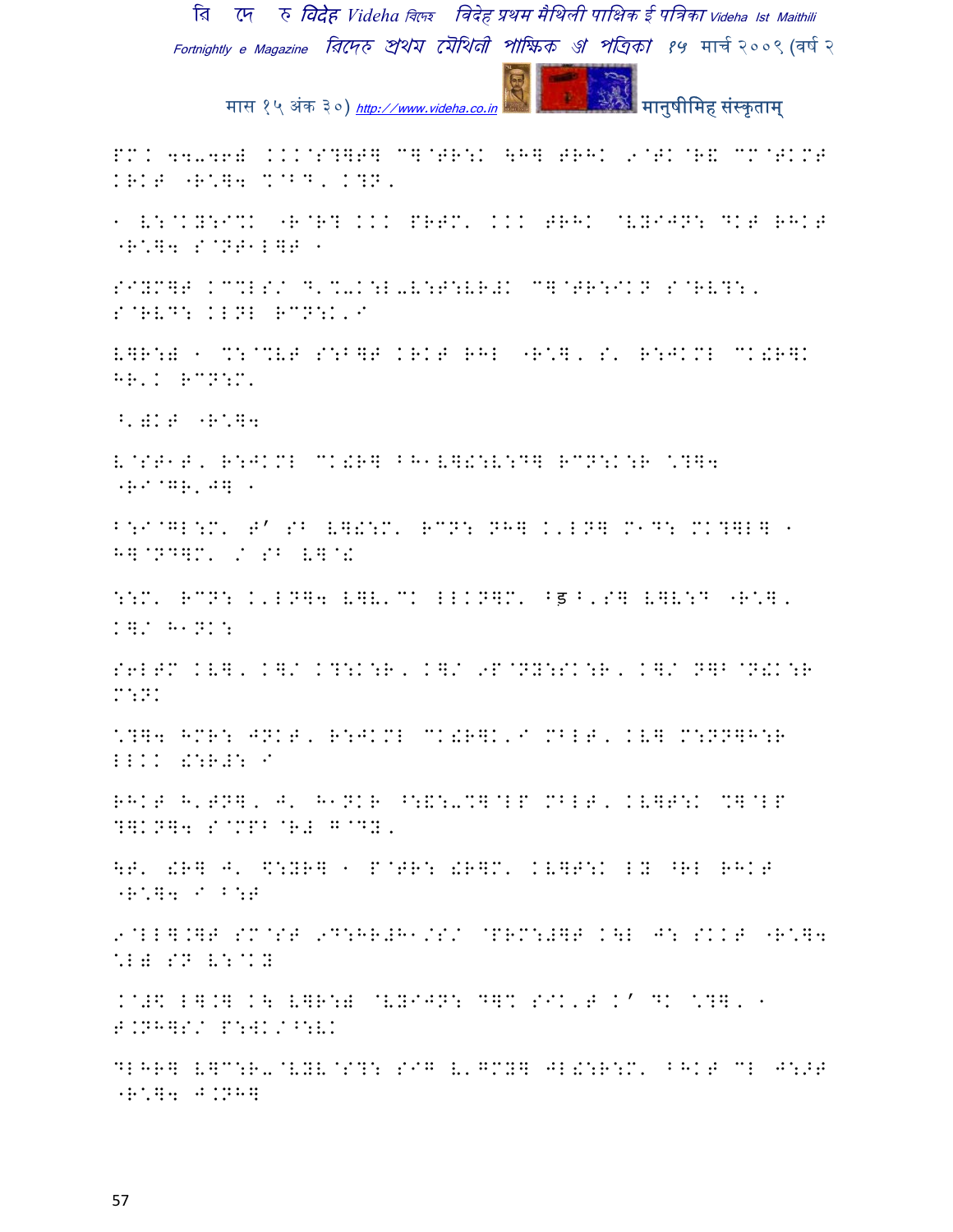मास १५ अंक ३०) <u>http://www.videha.co.in</u> स्थिति स्थिति सानुषीमिह संस्कृताम्

PM. 44-46) ...@S?]T] C]@TR:K \H] TRHK 9@TK@R& CM@TKMT KRKT "R\*D, KRKT"

1 V:@KY:I%K "R@R? KKK PRTM' KKK TRHK @VYIJN: DKT RHKT "R\*]4 S@NT1L]T 1

SIYM]T KC%LS/ D'%-K:L-V:T:VR#K C]@TR:IKN S@RV?:, SORGER SERVERSEN

RHPAR V TETOR PRINCIPE RHL "BARL PLANTE TERRI HRT: HTPHT.

 $\ddot{\phantom{a}}$   $\ddot{\phantom{a}}$   $\ddot{\phantom{a}}$   $\ddot{\phantom{a}}$   $\ddot{\phantom{a}}$   $\ddot{\phantom{a}}$   $\ddot{\phantom{a}}$   $\ddot{\phantom{a}}$   $\ddot{\phantom{a}}$   $\ddot{\phantom{a}}$   $\ddot{\phantom{a}}$   $\ddot{\phantom{a}}$   $\ddot{\phantom{a}}$   $\ddot{\phantom{a}}$   $\ddot{\phantom{a}}$   $\ddot{\phantom{a}}$   $\ddot{\phantom{a}}$   $\ddot{\phantom{a}}$   $\ddot{\$ 

V@ST1T, R:JKML CK!R] BH1V]!:V:D] RCN:K:R \*?]4 "RI@GR'J] 1

B:I@GL:M' T' SB V]!:M' RCN: NH] K'LN] M1D: MK?]L] 1 H]@ND]M' / SB V]@!

::M' RCN: K'LN]4 V]V'CK LLKN]M' Bड़ B'S] V]V:D "R\*], K]/ H1NK:

S6LFR, KLAV, KAR, KARIAN, KAR, KETRANISKI, KAJ, KAR, PARTISKI KE M:NK

\*?]4 HMR: JNKT, R:JKML CK!R]K'I MBLT, KV] M:NN]H:R LLI SHEER

RHC HOL HITHO, J' H1NKR (B), INKR 2018 OF BLOTH HITS, COLARHY CONTROL B ?]KN]4 S@MPB@R# G@DY,

 $\,$  591  $\,$  -RI  $\,$  R)  $\,$  R)  $\,$  R)  $\,$   $\,$  FDFR:  $\,$  RHT  $\,$   $\,$  RHT  $\,$   $\,$  RHT  $\,$  RHT  $\,$  RHT  $\,$  RHT  $\,$  RHT  $\,$  RHT  $\,$  RHT  $\,$  RHT  $\,$  RHT  $\,$  RHT  $\,$  RHT  $\,$  RHT  $\,$  RHT  $\,$  RHT  $\,$  RHT "R\*]4 I B:T

9@LL].]T SM@ST 9D:HR#H1/S/ @PRM:#]T K\L J: SKKT "R\*]4 \*L) SN V:@KY

 $\sim$  100  $\pm$  100  $\pm$  100  $\pm$  100  $\pm$  100  $\pm$  100  $\pm$  100  $\pm$  100  $\pm$  100  $\pm$  100  $\pm$  100  $\pm$  100  $\pm$ T.NH]S/ P:WK/^:VK

DLHR] V]C:R-@VYV@S?: SIG V'GMY] JL!:R:M' BHKT CL J:>T "R\*]4 J.NH]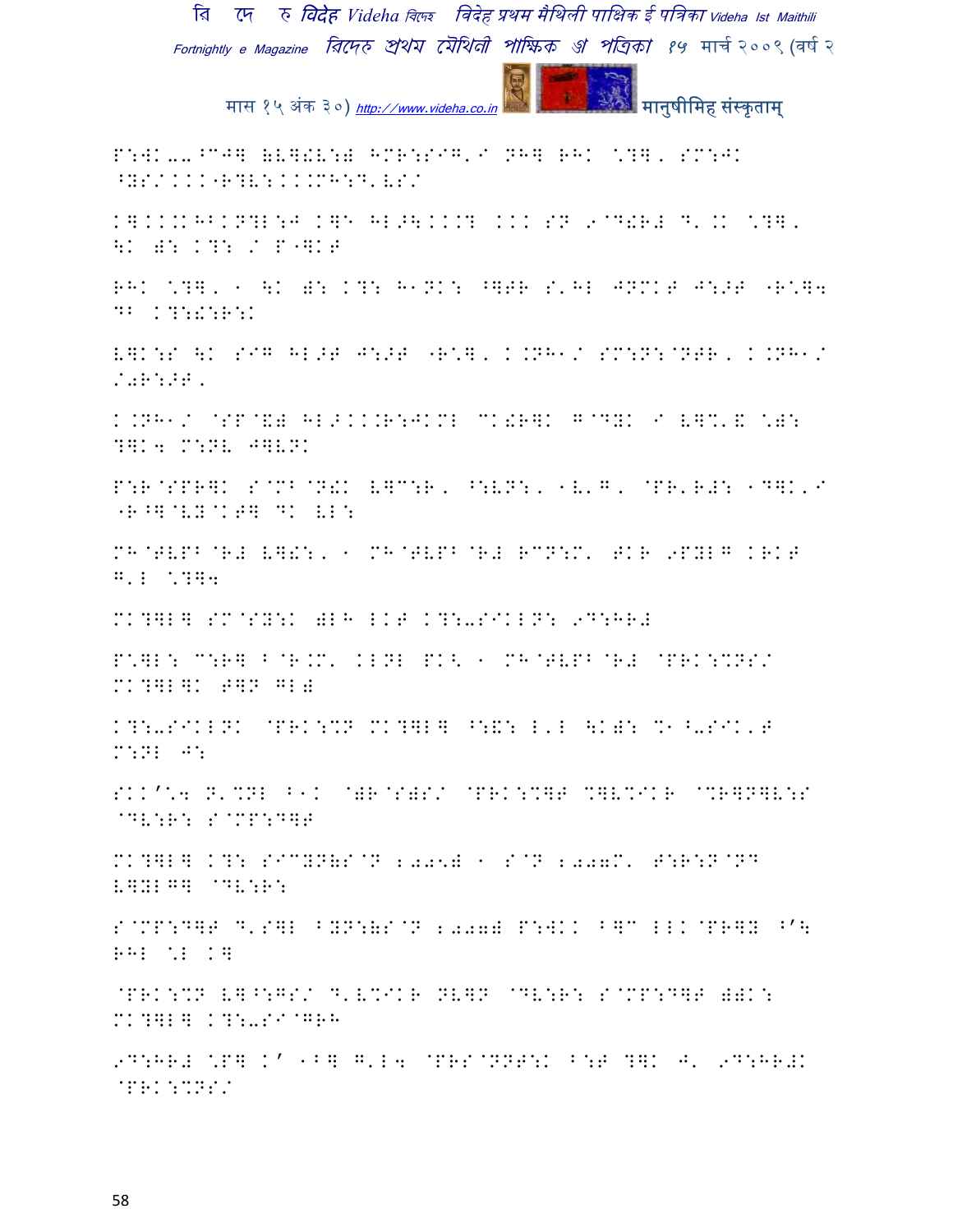मास १५ अंक ३०) http://www.videha.co.in | सामानिक मानुषीमिह संस्कृताम्

P:WK--^CJ] (V]!V:) HMR:SIG'I NH] RHK \*?], SM:JK \*\*\*\*\*\*\*\*\*\*\*\*\*\*\*\*\*\*\*\*\*\*\*\*\*\*\*\*\*

K]...KHBKN?L:J K]E HL>\...? ... SN 9@D!R# D'.K \*?],  $\mathcal{H}$  :  $\mathcal{H}$  :  $\mathcal{H}$   $\mathcal{H}$  :  $\mathcal{H}$  ,  $\mathcal{H}$  :  $\mathcal{H}$ 

RHK \*\*XIRH V: KONG 1 YEA: HIST SYNCHOL DIE HETRE IN SYNCHOLOGIE IN SYNCHOLOGIE IN SYNCHOLOGIE DB KRISTING KORREN BEGIN

V]K:S \K SIG HL>T J:>T "R\*], K.NH1/ SM:N:@NTR, K.NH1/ /0R:>T,

K.NH1/ @SP@&) HL>...R:JKML CK!R]K G@DYK I V]%'& \*): **THIS MILLER** 

P:R@SPR; \$P:R; \$P:R; \$P:R; \$P:R; \$P:R; \$P:R; \$P:R; \$P:R; \$P:R; \$P:R; \$P:R; \$P:R; \$P:R; \$P:R; \$P:R; \$P:R; \$P:R;<br>\$P:R:R; \$P:R; \$P:R; \$P:R; \$P:R; \$P:R; \$P:R; \$P:R; \$P:R; \$P:R; \$P:R; \$P:R; \$P:R; \$P:R; \$P:R; \$P:R; \$P:R; \$P:R; \$ "R^]@VY@KT] DK VL:

MH@TVPB@R# V]!:, 1 MH@TVPB@R# RCN:M' TKR 9PYLG KRKT  $H_1$  :  $H_2$   $H_3$   $H_4$ 

MK?]L] SM@SY:K )LH LKT K?:-SIKLN: 9D:HR#

P\*]L: C:R] B@R.M' KLNL PK< 1 MH@TVPB@R# @PRK:%NS/ **MANUEL CONSTRAINS** 

K?:-SIKLNK @PRK:%N MK?]L] ^:&: L'L \K): %1^-SIK'T M:NL J:

SKKY'S ROOMS IN BIKIT WAS ALLER THE THE CONTROLLER @DV:R: S@MP:D]T

MACHE SICK STREET WALLER TO SAN 2008 2007 1 SON V]YLG] @DV:R:

S@MP:D]T D'S]L BYN:(S@N 2007) P:WKK B]C LLK@PR]Y ^'\ **RHL ME TH** 

@PRK:%N V]^:GS/ D'V%IKR NV]N @DV:R: S@MP:D]T ))K: MAKRED CONSINUES

9D:HR# \*P] K' 1B] G'L4 @PRS@NNT:K B:T ?]K J' 9D:HR#K @PRK:%NS/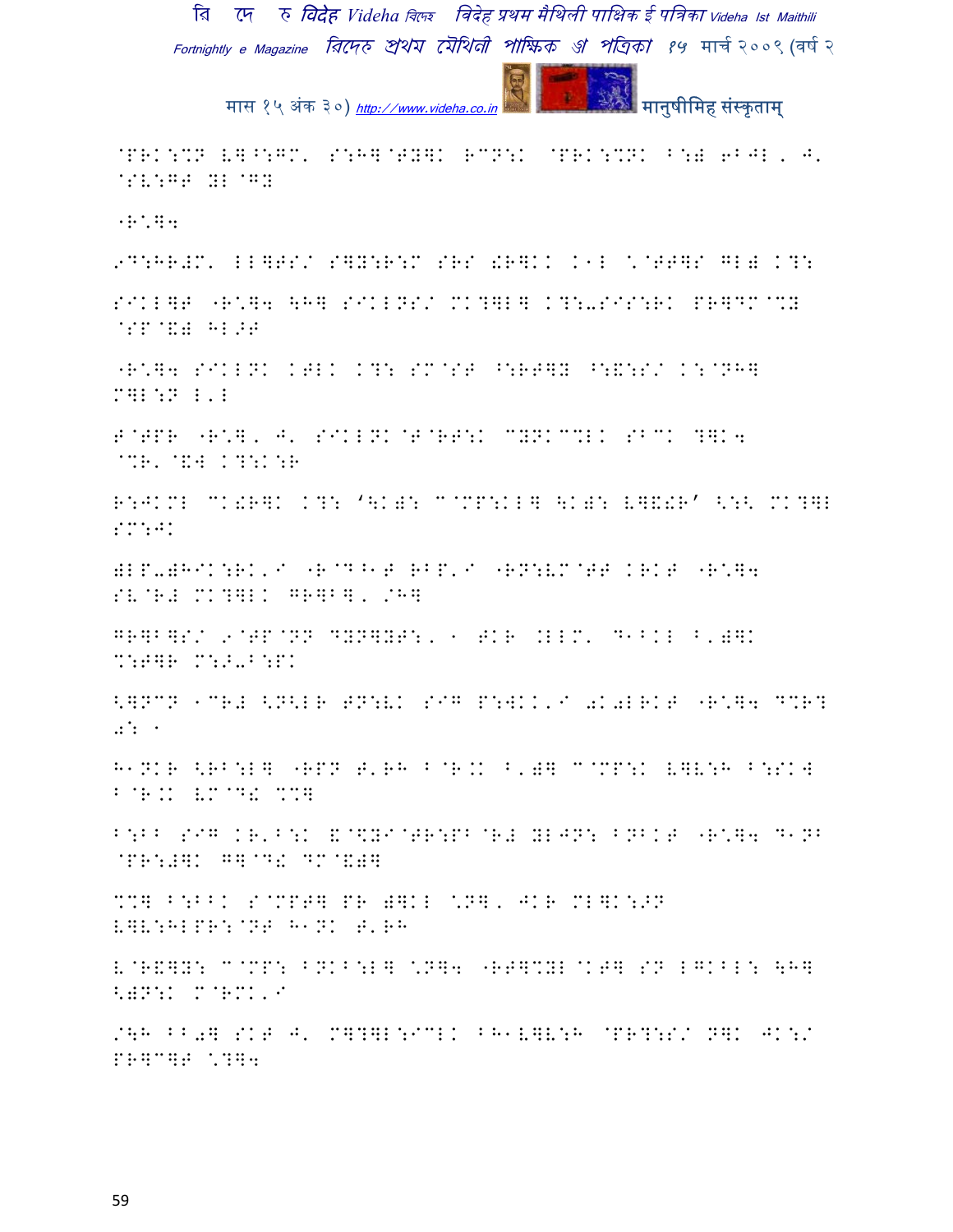मास १५ अंक ३०) <u>http://www.videha.co.in</u> स्थिति स्थिति**में मानुषीमिह संस्कृताम्** 

@PRK:%N V]^:GM' S:H]@TY]K RCN:K @PRK:%NK B:) 6BJL, J' @SV:GT YL@GY  $\cdot \vdots \cdot \vdots \cdot \cdot$ 9D:HR#M' LL]TS/ S]Y:R:M SRS !R]KK K1L \*@TT]S GL) K?: SIKLE THAN SIKLONS ARE CENTED AND THE HIST CHALLENGARD. THE HAT CUL  $\overline{\mathcal{L}}$  . Here  $\overline{\mathcal{L}}$  is the set of  $\overline{\mathcal{L}}$  $R$  . The sixteen state  $R$  is the state  $R$  state  $R$  is the state  $R$  such that  $R$ M]L:N L'L T@TPR "R\*], J' SIKLNK@T@RT:K CYNKC%LK SBCK ?]K4 @%R'@&W K?:K:R R:JK: '\X:PH: \X: '\\X: X\\X: \\X: C#! \X: C#! SM: 41 )LP-)HIK:RK'I "R@D^1T RBP'I "RN:VM@TT KRKT "R\*]4 SECOND MARKS CONDUCTS GR]B]S/ 9@TP@NN DYN]YT:, 1 TKR .LLM' D1BKL B')]K **W:TH: PRESSING** NASHIR STEER SHIEL SOMETIGE I SIG BILL SIGNE TOPS  $\mathbf{a}$ :  $\mathbf{b}$ H1NKR <RB:L] "RPN T'RH B@R.K B')] C@MP:K V]V:H B:SKW BOR.K VM WAD B:BB SIG KR'B:K &@\$YI@TR:PB@R# YLJN: BNBKT "R\*]4 D1NB @PR:#]K G]@D! DM@&)] %%] B:BBK S@MPT] PR )]KL \*N], JKR ML]K:>N V]V:HLPR:@NT H1NK T'RH  $\ddot{z}$  . The complete  $\ddot{z}$  and  $\ddot{z}$  is the complete  $\ddot{z}$  . The complete  $\ddot{z}$  is the state  $\ddot{z}$ N:K MORMAN /\H BB0] SKT J' M]?]L:ICLK BH1V]V:H @PR?:S/ N]K JK:/ PR9999 (2004)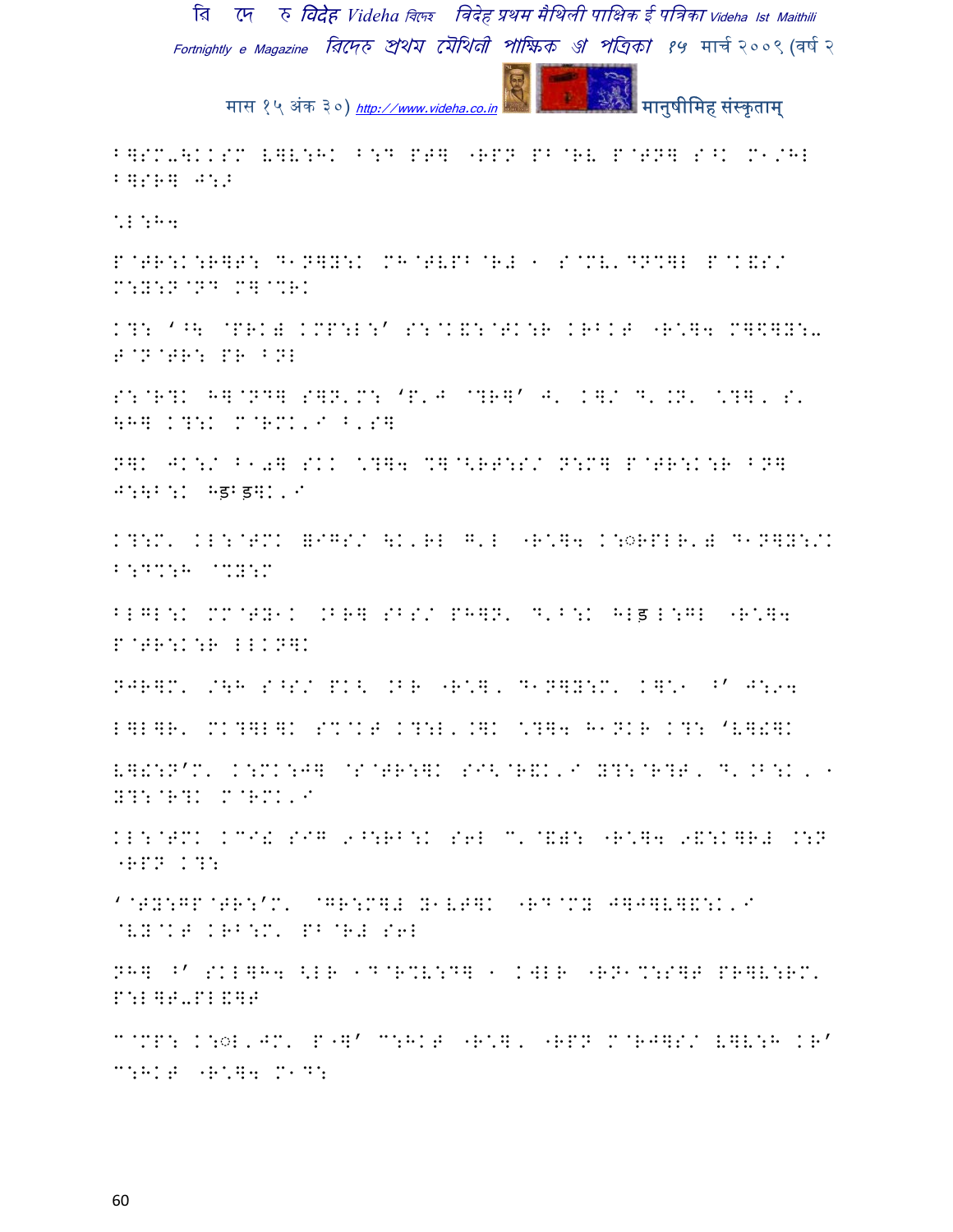मास १५ अंक ३०) <u>http://www.videha.co.in</u> स्थिति क्रिकेट मानुषीमिह संस्कृताम्

BURGARIZAN BURGAN BAT PAUL PER PER PADA PRANU PANGERANA BB: 1991

 $\mathcal{L}: \mathcal{L}: \mathcal{H} \rightarrow \mathcal{L}$ 

P@TR:K:R]T: D1N]Y:K MH@TVPB@R# 1 S@MV'DN%]L P@K&S/  $\ldots$  . The mass of  $\ldots$  and  $\ldots$  and  $\ldots$ 

K.: TERM ARE STRACHT "RECORDS" KOMPONENT "RECORDS" "RECORDS" "RECORDS" "RECORDS" "RECORDS" "RECORDS" "RECORDS" The property of the property of the property of the property of the property of the property of the property of<br>The property of the property of the property of the property of the property of the property of the property o

SS: THIS (AND THIS SEEN TO AND A CHEAP (A) (ONLY CONSIDERATE) SO \H] K?:K M@RMK'I B'S]

N]K JK:/ B10] SKK \*?]4 %]@<RT:S/ N:M] P@TR:K:R BN]  $\exists$  $\exists$ :  $\exists$ :  $\exists$ :  $\exists$   $\exists$ :  $\exists$ :  $\exists$ :  $\exists$ :  $\exists$ :  $\exists$ :  $\exists$ :  $\exists$ :  $\exists$ :  $\exists$ :  $\exists$ :  $\exists$ :  $\exists$ :  $\exists$ :  $\exists$ :  $\exists$ :  $\exists$ :  $\exists$ :  $\exists$ :  $\exists$ :  $\exists$ :  $\exists$ :  $\exists$ :  $\exists$ :  $\exists$ :  $\exists$ :  $\exists$ :  $\exists$ :  $\exists$ :  $\exists$ :  $\exists$ :  $\exists$ :  $\$ 

KIRI KIR'NI BARI KILE ALI GIHI KOMPILI A TATURI B:D%:H @%Y:M

BLGL:K WORLD:BRISH:K PHER. C.FRISHESI:WE SBS P@TR:K:R LLKN]K

NJRU / MATH (BI) RI SASA RENE . DI RUSI DI RATI KATA

LA BARA LO MARE ALL'. KOMMA LO MARI LO MANO NOMA A PASSAR A MANO NE ARABI

V]!:N'M' K:MK:J] @S@TR:]K SI<@R&K'I Y?:@R?T, D'.B:K, 1 Y?:@R?K M@RMK'I

KL: SIG 90: KOMMA KCI SIG 90: "R#" .: "R#" .: "R#" .: "R#" .: "R#" .: N#" .: N#" .: N#" .: N#" .: N# **RPN KRY** 

'@TY:GP@TR:'M' @GR:M]# Y1VT]K "RD@MY J]J]V]&:K'I @VY@KT KRB:M' PB@R# S6L

NHA (PKL)H4 ARA (RED) - POD 101 SALA PROVINCE (PRIPA PRA TO BARDINE). P:LIT-PLANE

COMP: K:00.4T. PHM TEACH RENE, HER TORARI ENERGY T:HKT "RATH" TO THE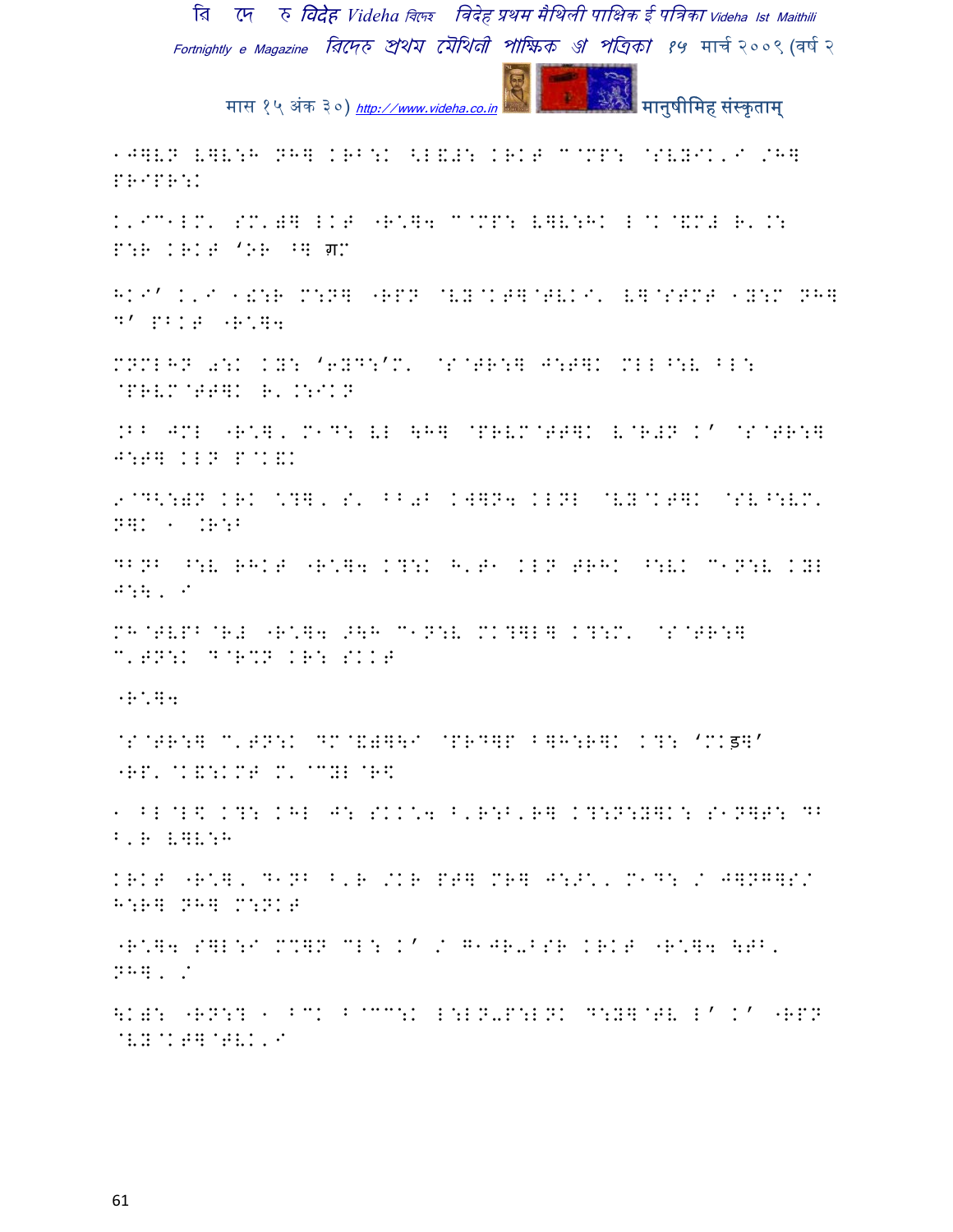मास १५ अंक ३०) http://www.videha.co.in स्थिति कर अपने मानुषीमिह संस्कृताम्

1J]VN V]V:H NH] KRB:K <L&#: KRKT C@MP: @SVYIK'I /H] PRIPRIN

K'IC'IC SM'AN BIR 'RYNH "YMP: LALYS 'B'I'C'HE R'.'S PHE CRIP 'OR 'OR 'OR T

HKI' K'I 1!:R M:N] "RPN @VY@KT]@TVKI' V]@STMT 1Y:M NH] D' PRIS PARTIES

MANMED ON MANY MANUSCHE SERVICE DER SER @PRVM@TT]K R'.:IKN

.BB JML "R\*], M1D: VL \H] @PRVM@TT]K V@R#N K' @S@TR:] J:TH CONTROL

9@D<:)N KRK \*?], S' BB0B KW]N4 KLNL @VY@KT]K @SV^:VM'  $H$  :  $H$ 

DBNB \$:VERTH "RANGER" (PERTHER TRHKT" KYLN TRHK A:  $J: \mathbb{N}_1 \times \mathbb{N}_2$ 

MH@TVPB@R# "R\*]4 >\H C1N:V MK?]L] K?:M' @S@TR:] T.HI: DOMAN KR: SKK

 $R$   $R$   $R$   $R$   $R$   $R$   $R$ 

@S@TR:] C'TN:K DM@&)]\I @PRD]P B]H:R]K K?: 'MKड़]' "RP'@K&:KMT M'@CYL@R\$

 $1.$  BLM BLOCK CONTROLLED AND CONTROLLED AT  $R:$  SECTION CONTROLLED AT  $R:$ B'ER V:HER

KRKT "RAND", DIR IS IND BYRD AND AN AN IS AN ANDREW H:R] NH] M:NKT

 $\sim$  R\*1 ST  $\sim$  M Clinical State of the State of the State of the State of the State of the State of the State of the State of the State of the State of the State of the State of the State of the State of the State of the  $39.9, 7.$ 

 $K: R\to R$  and  $K: R\to R$  is the contract of the problem of  $R$  . The contract  $R$  is the problem of  $R$  $\overline{\mathcal{X}}$  . The state of the state of the state of the state of the state of the state of the state of the state of the state of the state of the state of the state of the state of the state of the state of the state of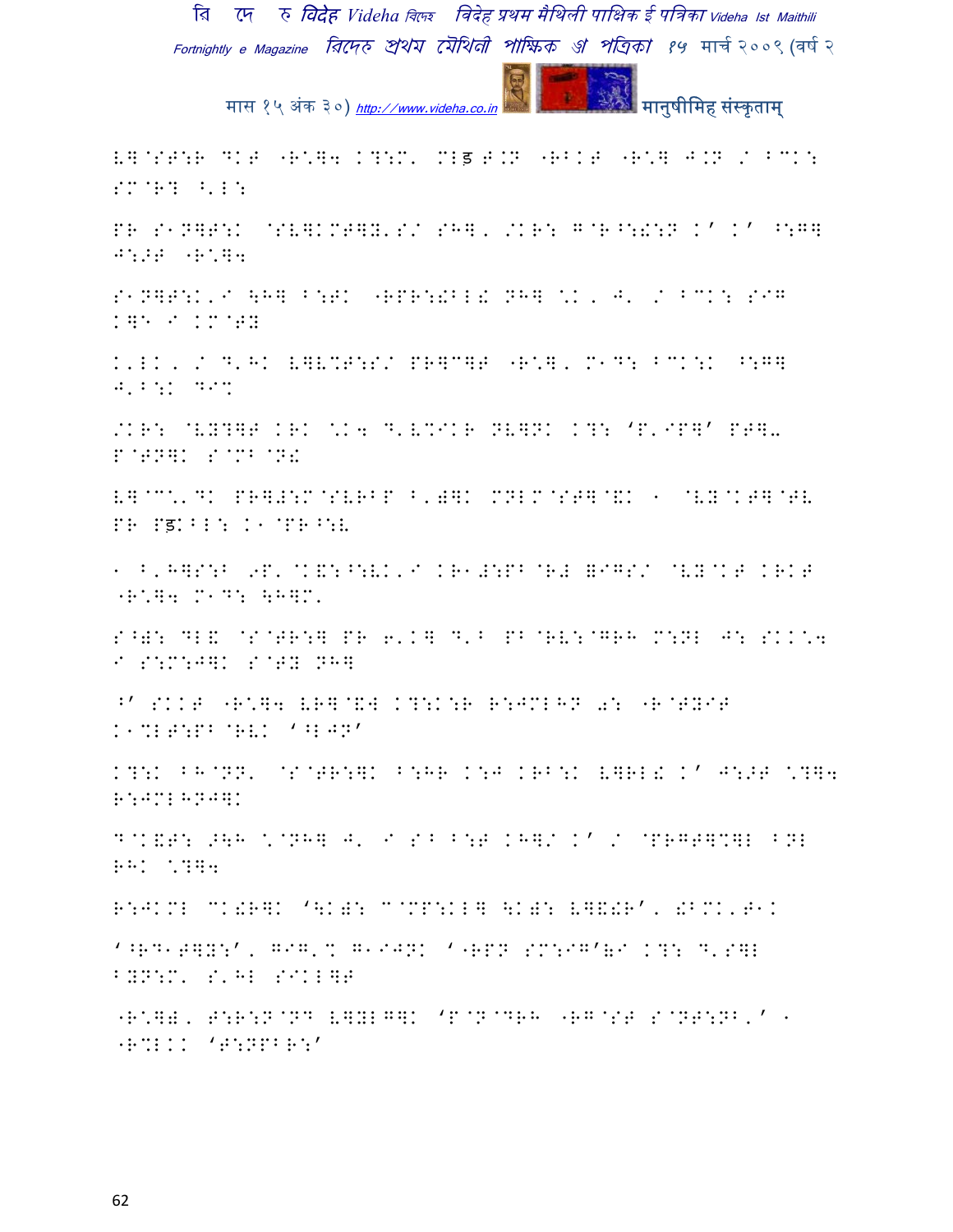मास १५ अंक ३०) <u>http://www.videha.co.in</u> स्थिति स्थिति सानुषीमिह संस्कृताम्

V]@ST:R DKT "R\*]4 K?:M' MLड़ T.N "RBKT "R\*] J.N / BCK: SM PRODUCED

PR S1N]T:K @SV]KMT]Y'S/ SH], /KR: G@R^:!:N K' K' ^:G]  $37.14 - 49.444$ 

S1N]T:K'I \H] B:TK "RPR:!BL! NH] \*K, J' / BCK: SIG KAN KAMPAT

K'L'AN, O'H, AN ABBANY THE THE SPORT OF THE BOYS AND BEEN  $H_1$ :  $H_2$ :  $H_3$ 

/MORN \* MEDITHE \* DRIVING \* PUBLICIE \* PERPIT \* DITY- \* PT]-CPH \* PERPIT. POSSED FOR THE

V]@C\*'DK PR]#:M@SVRBP B')]K MNLM@ST]@&K 1 @VY@KT]@TV  $P$  Ps:  $P$  Property  $P$  and  $P$ 

1 B'H]S:B 9P'@K&:^:VK'I KR1#:PB@R# =IGS/ @VY@KT KRKT "R\*]4 M1D: \H]M'

S^): DL& @S@TR:] PR 6'K] D'B PB@RV:@GRH M:NL J: SKK\*4 I S:M:JH S:M:JH S:M:JH

^' SKKT "R\*]4 VR]@&W K?:K:R R:JMLHN 0: "R@TYIT KNOWER THE SAME READY

K?:K BH@NN' @S@TR:]K B:HR K:J KRB:K V]RL! K' J:>T \*?]4 R:JMLHNJ]K

DE COMBAT: DE FAN DON DE FAN DE FAN DON BAT (DON) DE FAN BEGINNE DE FAN DON BOAT (DON) RHK \*?]4

RSADOR (TO CRADO (NADARA) TOORSDER (ADARA) ERDERKO, 'CRIODO (RAD

''HOLFHIY', GAG, TARRY'''', SHET INSTRANT ITE TEEH BYN:M' S'HL SIKLIN

 $R$  ), The control of the conduction of the second second second second second second second second second second second second second second second second second second second second second second second second second sec "R%LKK 'T:NPBR:'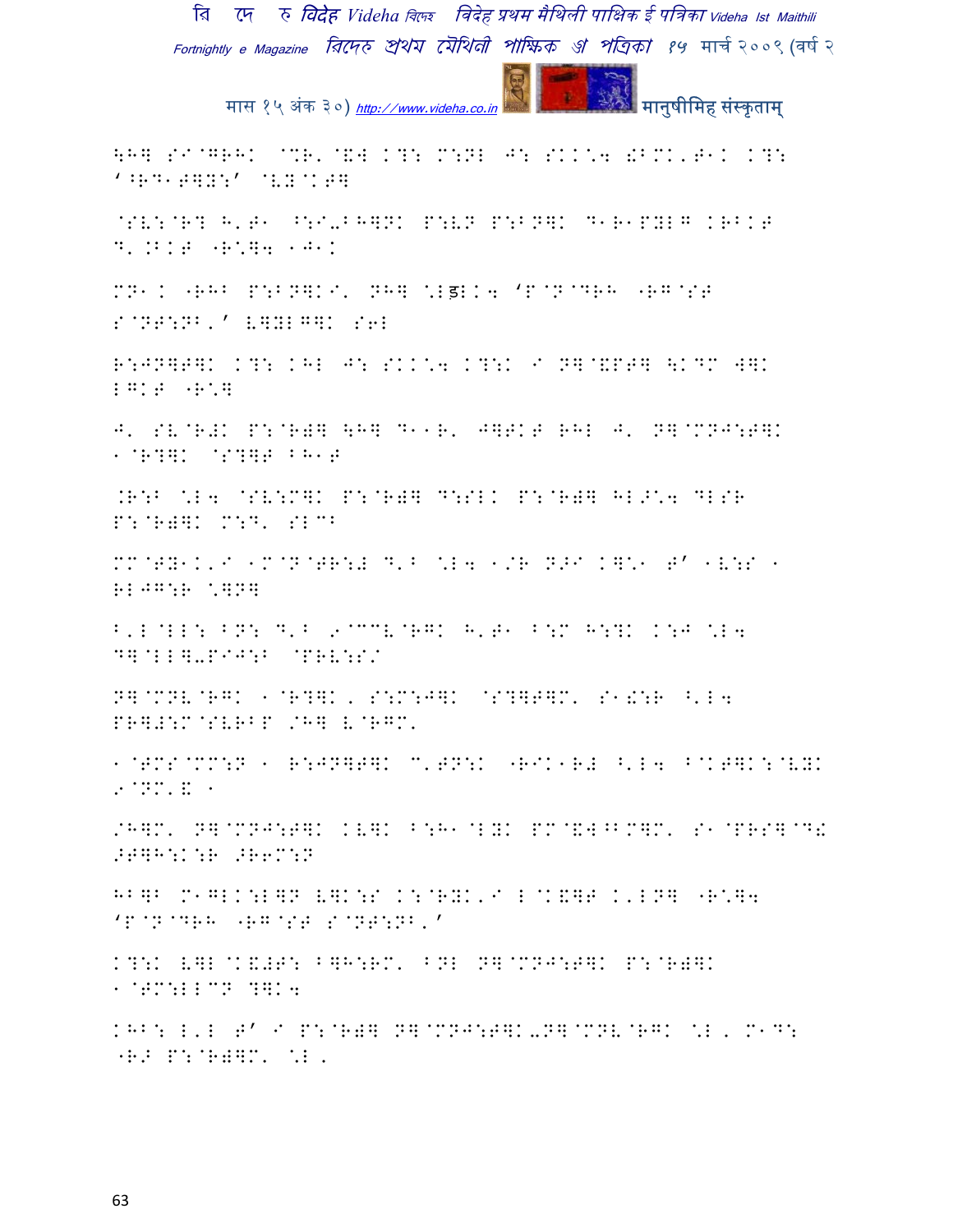मास १५ अंक ३०) http://www.videha.co.in स्थिती स्थिति**में भानुषीमिह संस्कृताम्** 

\H] SI@GRHK @%R'@&W K?: M:NL J: SKK\*4 !BMK'T1K K?: '^RD1T]Y:' @VY@KT]

@SV:@R? H'T1 ^:I-BH]NK P:VN P:BN]K D1R1PYLG KRBKT B. BKT "RYAN "

MNI. "RHB P:BNDIKI" NHE NESELA 'PONGONHA 'RHB'ER S@NT:NB'' V|Y|| 1911 1911 1912 1914

R:JAPARAN (TA: IA: A: KI(N) (TH) & PA NIPAR ANTV AN LEGGE "BOR

J' SV@R#K P:@R)] \H] D11R' J]TKT RHL J' N]@MNJ:T]K 10 THIS CONSIDER STATE

.R:B \*L4 @SV:M]K P:@R)] D:SLK P:@R)] HL>\*4 DLSR P: P: D' SLC

MM TYPIS I 1 MARTY TO THE DESIGN TO A 19 HOURS IN THE THINK IN THE USE IN A BIGGET A RLANGE (RRD

B'L@LL: BN: D'B 9@CCV@RGK H'T1 B:M H:?K K:J \*L4 D]@LL]-PIJ:B @PRV:S/

NA MUNICIPAL 1 (PART 1 SING 2010) SING ANG ANG PINA PRANCYCLESS /HE LORES.

1@TMS@MM:N 1 R:JN]T]K C'TN:K "RIK1R# ^'L4 ^@KT]K:@VYK  $\mathcal{P}^{\text{max}}(\mathbb{R}^d)$ 

/H]M' N]@MNJ:T]K KV]K B:H1@LYK PM@&W^BM]M' S1@PRS]@D! >T]H:K:R >R6M:N

HB M1GLK:LIN LANDING MANAGER WAS ARRESTED AND THE SERVE 'P@N@DRH "RG@ST S@NT:NB''

KT:K LAN MILAN FANGEN FRE PA MURPHEN TO BANK 1@TM:LLCN ?]K4

KHB: LI FY TRIBE FORDHEILTON ORDING TO ALL TITL "R> P:@R)]M' \*L,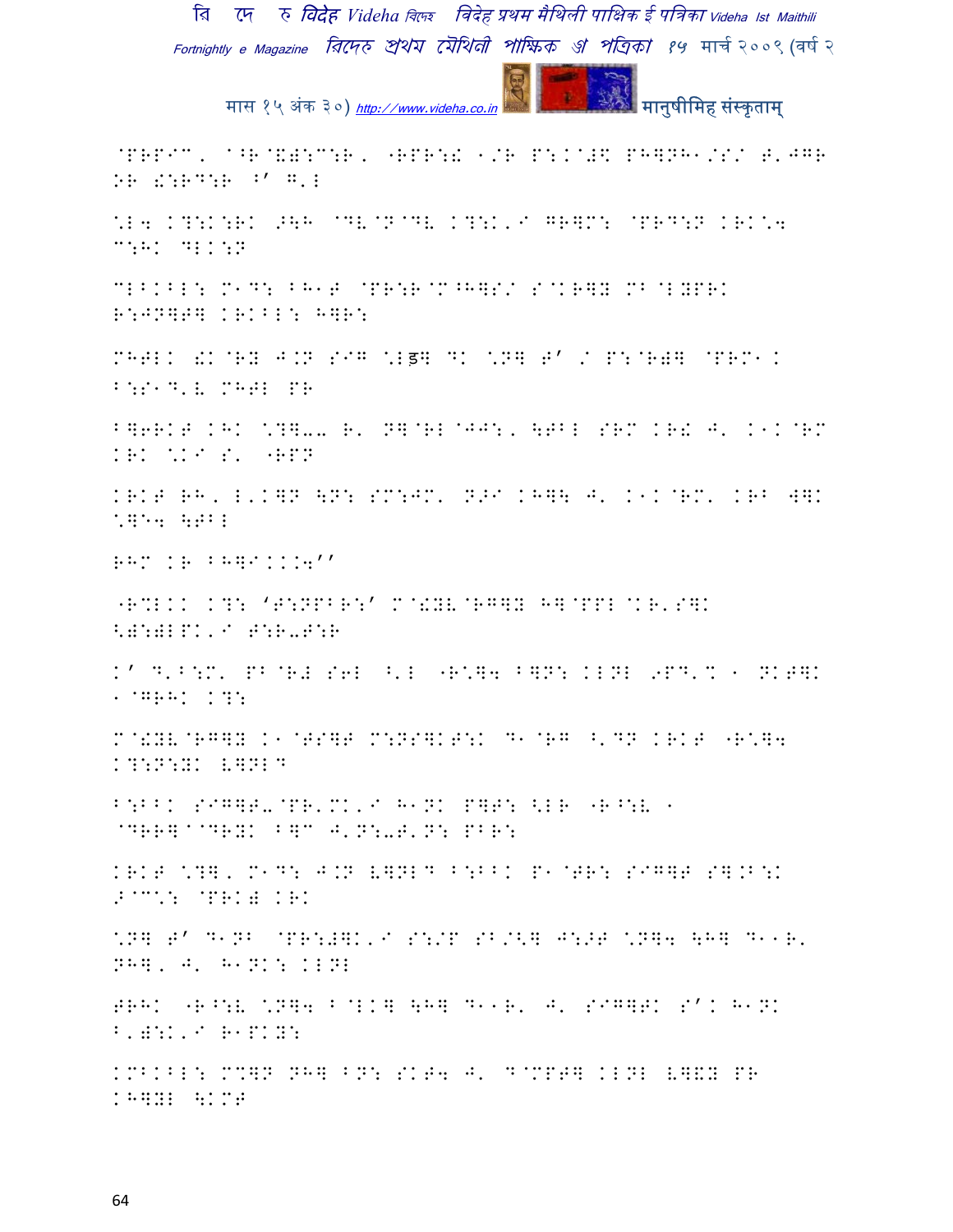मास १५ अंक ३०) <u>http://www.videha.co.in</u> स्थिति स्थिति सानुषीमिह संस्कृताम्

@PRPIC, @^R@&):C:R, "RPR:! 1/R P:.@#\$ PH]NH1/S/ T'JGR OR ENDING WARD

\*L4 K?:K:RK >\H @DV@N@DV K?:K'I GR]M: @PRD:N KRK\*4 C:HK DRK:NE

CLBKBL: MID: MID: BH1T @PR:R@MORE @PR:R@MORE @READ @READ @READ @READ @READ @READ @READ R:JN]T] KRKBL: H]R:

MHTLK : ROOMS IN SIGN IN SIGN IN SIGNAL IN SIGNAL IN THE FORMALE OF  $\mathbb{R}^n$ B:S1D'S1D'S1D'S1D

BAGE RESORT KAN SA TERRITORIA EN REGIO DE SAN KRIGISTIS KRK \* KI STREET

KRKT RH, LINSO NSK KONGO, SAM KHO WI KI KATA WARA  $\mathcal{L}$  Henry  $\mathcal{L}$  and  $\mathcal{L}$ 

RHM KR BH]I...4''

"R#MEDO" O NA "YYRNER" BAY "O NADEL NAARD "AR'SPER" OO BLIZAN <):)LPK'I T:R-T:R

K' MIRING D'ART PAGE SAL E L'ARNA A RANGE D'E DEL GAME D'AC DE BAD 10000001011

M NORD NEWSLEY KNOWN WARREN BY A NEW STATES OF A SERIES OF A REAL KR:N:X:X:X:X:X

B:BEK SIGHE SIGNED AND RESOURCE THE ROOM OF THE SIGNED AND RESOURCE THE ROOM OF THE SIGNED AND RESOURCE THE ROOM OF THE ROOM OF THE ROOM OF THE ROOM OF THE ROOM OF THE ROOM OF THE ROOM OF THE ROOM OF THE ROOM OF THE ROOM O @DRR]@@DRYK B]C J'N:-T'N: PBR:

KRAT "BILL" " MINDEN BERLEICH " SIGNER BERLEICH BERLEICH BERLEICH SICH SEIT SEIT SEIT SEIT SEIT SEIT SEIT SEI >@C\*: @PRK) KRK

\*N] T' D1NB @PR:#]K'I S:/P SB/<] J:>T \*N]4 \H] D11R' NH], J' H1NK: KLNL

TRHK "PROVINS NORTH "PICH" HON PO PO AL TECHNIC TECHNIC B'):K'I R1PKY:

KMBKBL: MARKET PRINS SKRIFT AV POMPER SKRIFT KRISTER **THRID RITE**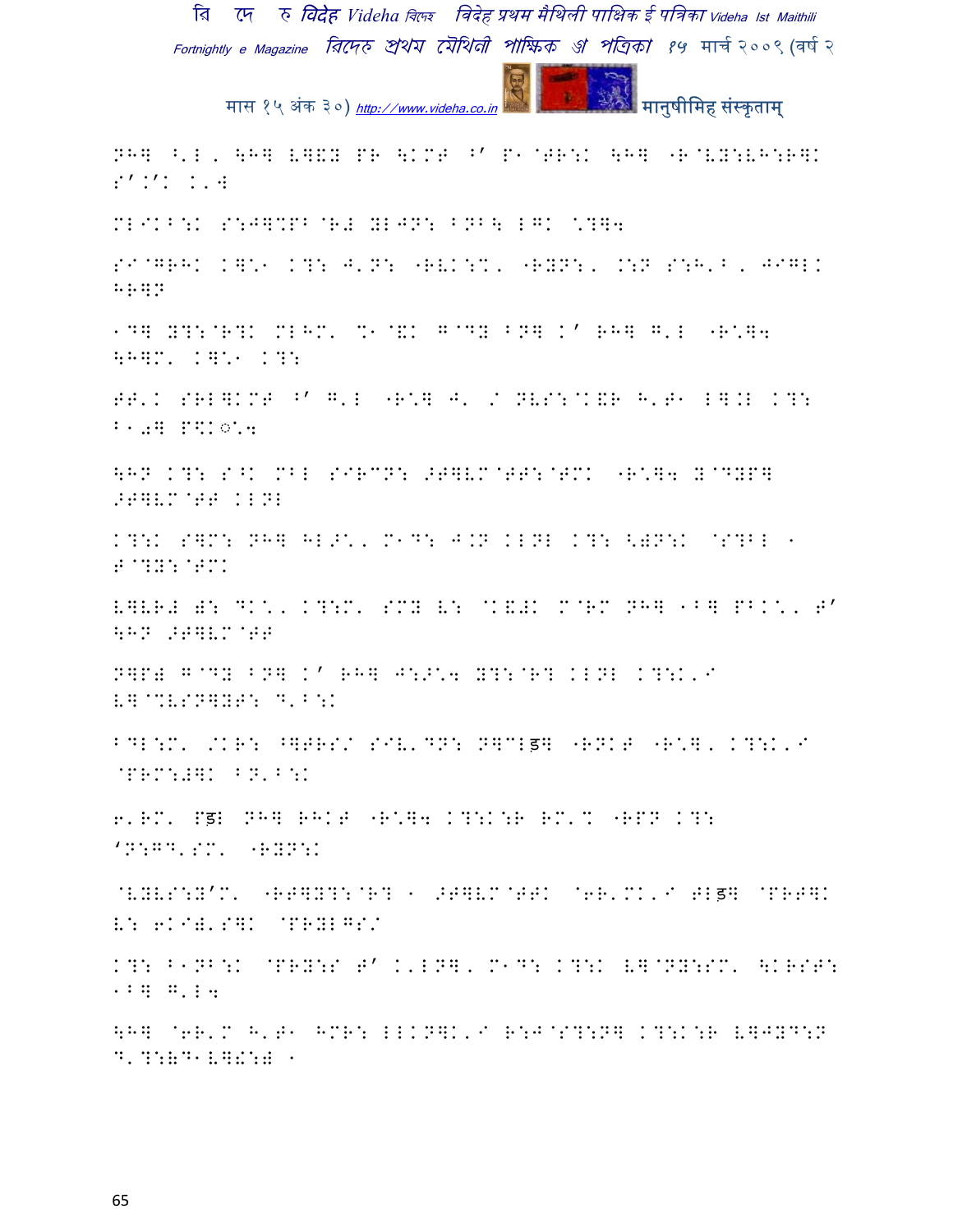मास १५ अंक ३०) <u>http://www.videha.co.in</u> स्थिति स्थिति सानुषीमिह संस्कृताम्

NH] ^'L, \H] V]&Y PR \KMT ^' P1@TR:K \H] "R@VY:VH:R]K  $S'$ .' $K$   $K'$   $K'$   $K'$   $K'$   $K'$   $K'$ 

MLIKES: MARINE YALDER ARA YANG ERI SING

SIMOREAL KIRIN KIRI ALDIN AREI SIMO, ARBITI, KIRI SIMA, PASARI I HRS.

1D] Y?:@R?K MLHM' %1@&K G@DY BN] K' RH] G'L "R\*]4 \H]M' K]\*1 K?:

TERNIST AT THE RESIDENT PROPERTY IN SALE IN SECTION AND RELEASED AT THE CENTER. IN THIS IS NOT THE RELEASED OF  $H_1$   $H_2$   $H_3$   $H_4$   $H_5$   $H_6$   $H_7$ 

\HN K?: S^K MBL SIRCN: >T]VM@TT:@TMK "R\*]4 Y@DYP] >T]VM@TT KLNL

K::K SERS PHE HEV, MYS HIP (191 (91 KERK (291) 1 T@?Y:@TMK

V]VR# ): DK\*, K?:M' SMY V: @K&#K M@RM NH] 1B] PBK\*, T'  $\Pi$ 

N]P) G@DY BN] K' RH] J:>\*4 Y?:@R? KLNL K?:K'I  $\frac{1}{2}$  , decrease to the state of the state of the state of the state of the state of the state of the state of the state of the state of the state of the state of the state of the state of the state of the state of th

BOL:M' /KR: FREEZ PALOTE FROM SIVE "ROCK" AND AND where the control of the control of the control of the control of the control of the control of the control of<br>A BN'B: K BN'B: K BN'B: K BN'B: K BN'B: K BN'B: K BN'B: K BN'B: K BN'B: K BN'B: K BN'B: K BN'B: K BN'B: K BN'B

GRI RICI NE PSE NICH RHAT RE RHAT REGION "RELEVATION "REPORT A RELEVATION N:GB'SM' (FILM) (RYNIS

WARE THE REAL PROPERTY OF THE REAL PROPERTY AND THE REAL PROPERTY OF THE REAL PROPERTY OF THE REAL PROPERTY OF THE REAL PROPERTY OF THE REAL PROPERTY OF THE REAL PROPERTY OF THE REAL PROPERTY OF THE REAL PROPERTY OF THE RE V: 6KI)'S]K @PRYLGS/

KR: B1NB: CREAR AVI.ER, CHRIST: KRIBEC, KIEDAR 1919 GOLF

 $\{A,B,B\}$  , the position of  $\{A,B,B\}$  and  $\{A,B\}$  are constant in the set of  $\{A,B\}$  and  $\{A,B\}$ D'?:(D1V]!:) 1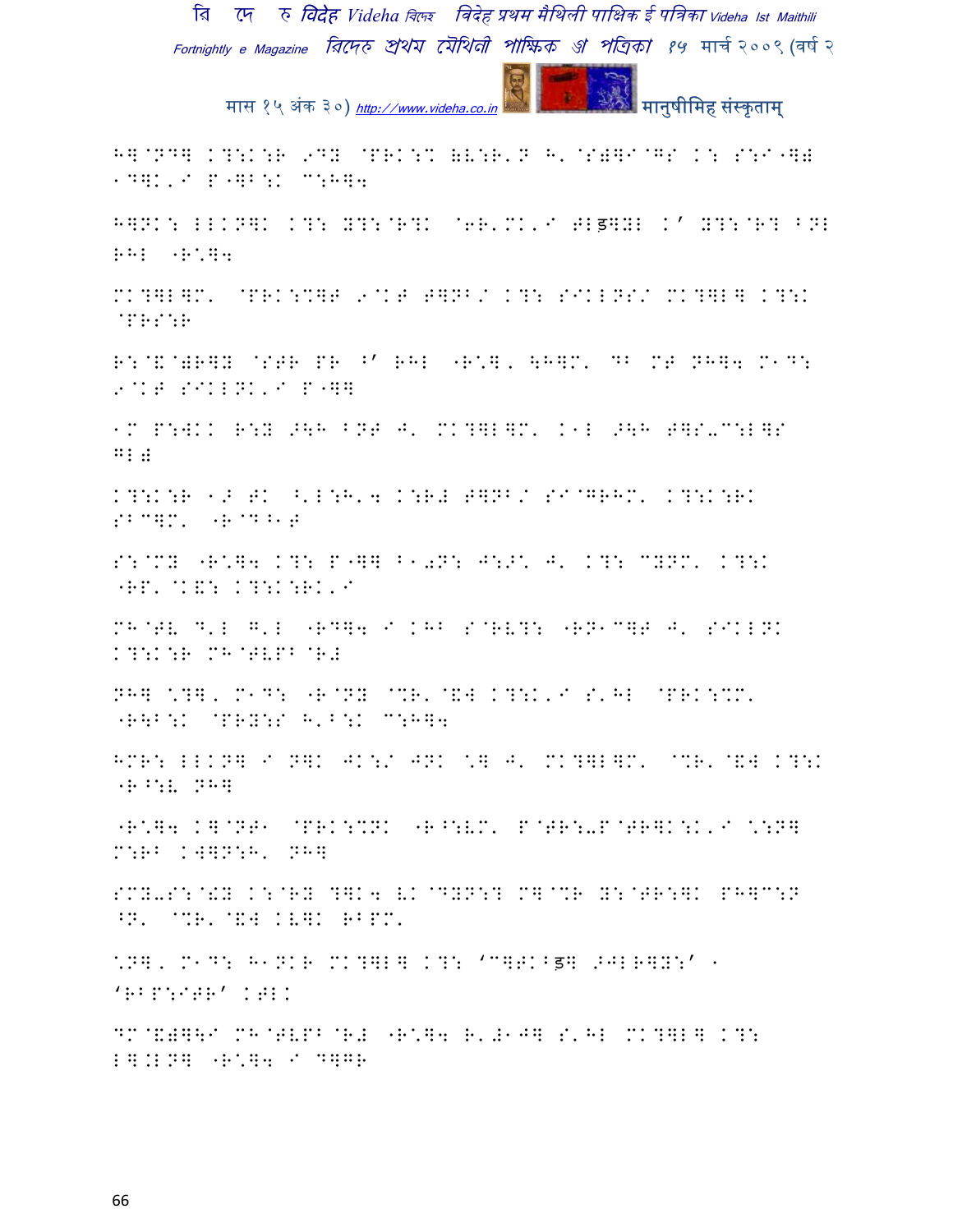मास १५ अंक ३०) <u>http://www.videha.co.in</u> स्थिति स्थिति सानुषीमिह संस्कृताम्

H]@ND] K?:K:R 9DY @PRK:% (V:R'N H'@S)]I@GS K: S:I"]) 1991 K'I P'4911 C'1094

H]NK: LLKN]K K?: Y?:@R?K @6R'MK'I TLड़]YL K' Y?:@R? BNL RHL SENA

MCC THE HIS LOCATED CONTROL OF BEING CONTROL STOLE DESCRIPTION THE HOLOGIES. @PRS:R

R:@&@)R]Y @STR PR ^' RHL "R\*], \H]M' DB MT NH]4 M1D: 9@KT SIKLNK'I P"]]

1M P:WK: BYN JAP (20 A. M. MONG B. L. JAP JAR 201. MIN  $\mathbb{R}$ :

KIREN BERGHAL I KERANG TINBU SERPETI KATERPORT, KITA TARI SI  $S$  are respectively and  $S$  . The problems of  $\mathbb{R}^n$ 

S:@MY "R\*I4" I: P" "P" F" F" APROVATE PARTY (F. 1914) MODY (F. 1914) "RP' CONTROL CONTROL CONTROL CONTROL CONTROL CONTROL CONTROL CONTROL CONTROL CONTROL CONTROL CONTROL CONTROL C

MH@TV D'L G'L "RD]4 I KHB S@RV?: "RN1C]T J' SIKLNK K?:K:R MH@TVPB@R#

NH] \*?], M1D: "R@NY @%R'@&W K?:K'I S'HL @PRK:%M' "R\B:K @PRY:S H'B:K C:H]4

HMR: LLOYE I NIME I NOON INK OUR HOLD THE WOOD ONE ONE ONE  $R:Y$   $H:Y$   $H:Y$ 

"R\*) #A\_C # 19 A = 19 A = 19 A = 19 A = 14 A = 10 A = 10 A = 10 A = 10 A = 10 A = 10 A = 10 A = 10 A M:RB KW]N:H' NH]

SMY-S:@!Y K:@RY ?]K4 VK@DYN:? M]@%R Y:@TR:]K PH]C:N ^N' @%R'@&W KV]K RBPM'

 $\mathbb{R}$ ), Manuscript  $\mathbb{R}$  , Middle  $\mathbb{R}$  ,  $\mathbb{R}$  ,  $\mathbb{R}$  ,  $\mathbb{R}$  ,  $\mathbb{R}$  ,  $\mathbb{R}$  ,  $\mathbb{R}$  ,  $\mathbb{R}$  ,  $\mathbb{R}$  ,  $\mathbb{R}$  ,  $\mathbb{R}$  ,  $\mathbb{R}$  ,  $\mathbb{R}$  ,  $\mathbb{R}$  ,  $\mathbb{R}$  ,  $\mathbb{R}$  ,  $\mathbb{$ 'RBP:ITR' KTLK

DM@&)]\I MH@TVPB@R# "R\*]4 R'#1J] S'HL MK?]L] K?: L].LN] "R\*]4 I D]GR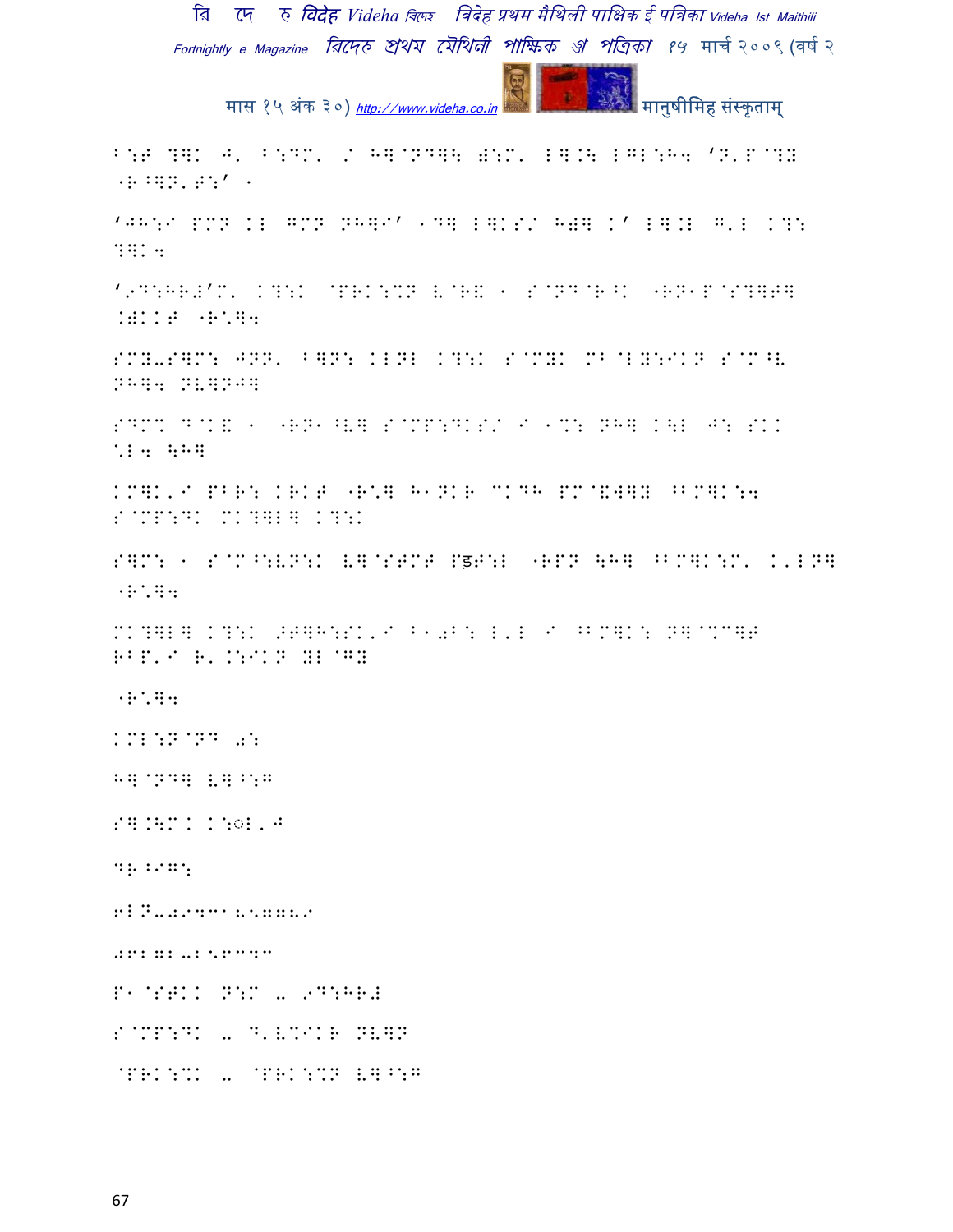मास १५ अंक ३०) <u>http://www.videha.co.in स्थिति क्रिके</u>टी **मानुषीमिह संस्कृताम्** 

B:T ?]K J' B:DM' / H]@ND]\ ):M' L].\ LGL:H4 'N'P@?Y  $R$  . The state  $R$  is the state  $R$  is the state  $R$ 'JH:I PMN KL GMN NH]I' 1D] L]KS/ H)] K' L].L G'L K?: THIS HO '9D:HR#'M' K?:K @PRK: HR#'W@R^K # 1 S@ND@R^K "RNN1P###  $\ldots$ SMY-S]M: JNN' B]N: KLNL K?:K S@MYK MB@LY:IKN S@M^V **NHE NUBBER** SOM DO DO SOM DE SOM DE SOM DE SOM DE SOM DE SOM DE SOM DE SOM DE SOM DE SOM DE SOM DE SOM DE SOM DE SOM DE S  $\mathcal{N}$  is the  $\mathcal{N}$  -contribution of  $\mathcal{N}$ K'I PARSY PARTIES IN THE REPORT OF THE REPORT OF THE REPORT OF THE REPORT OF THE REPORT OF THE REPORT OF THE R  $S^1$  . The main  $S^1$  and  $S^1$  and  $S^1$  and  $S^1$  and  $S^1$  and  $S^1$  and  $S^1$  and  $S^1$  and  $S^1$  and  $S^1$  and  $S^1$  and  $S^1$  and  $S^1$  and  $S^1$  and  $S^1$  and  $S^1$  and  $S^1$  and  $S^1$  and  $S^1$  and  $S^1$  and  $S^1$ SART: 1 SMM PSERS, EACYBIE PSBY: 1987 ART ARD PORTSIN, MY EPR  $\cdot$   $\vdots$   $\cdot$   $\vdots$   $\cdot$ MAK?) MAKRISH: ANG INDIANG MAKALI BILANG MAKALI BILANG MAKALI BILANG MAKALI BILANG MAKALI BILANG MAKALI BILANG RBP'I R'.: IKN YL  $R^2$  and  $R^2$  and  $R^2$ KML:N@ND 0: H]@ND] V]^:G SHIBITI TEORIA dr. bran 6. Charles Communication 06272-256343 P1@STKK N:M - 9D:HR# SOMETHING - DIRECTOR NEWSFILM @PRK:%K - @PRK:%N V]^:G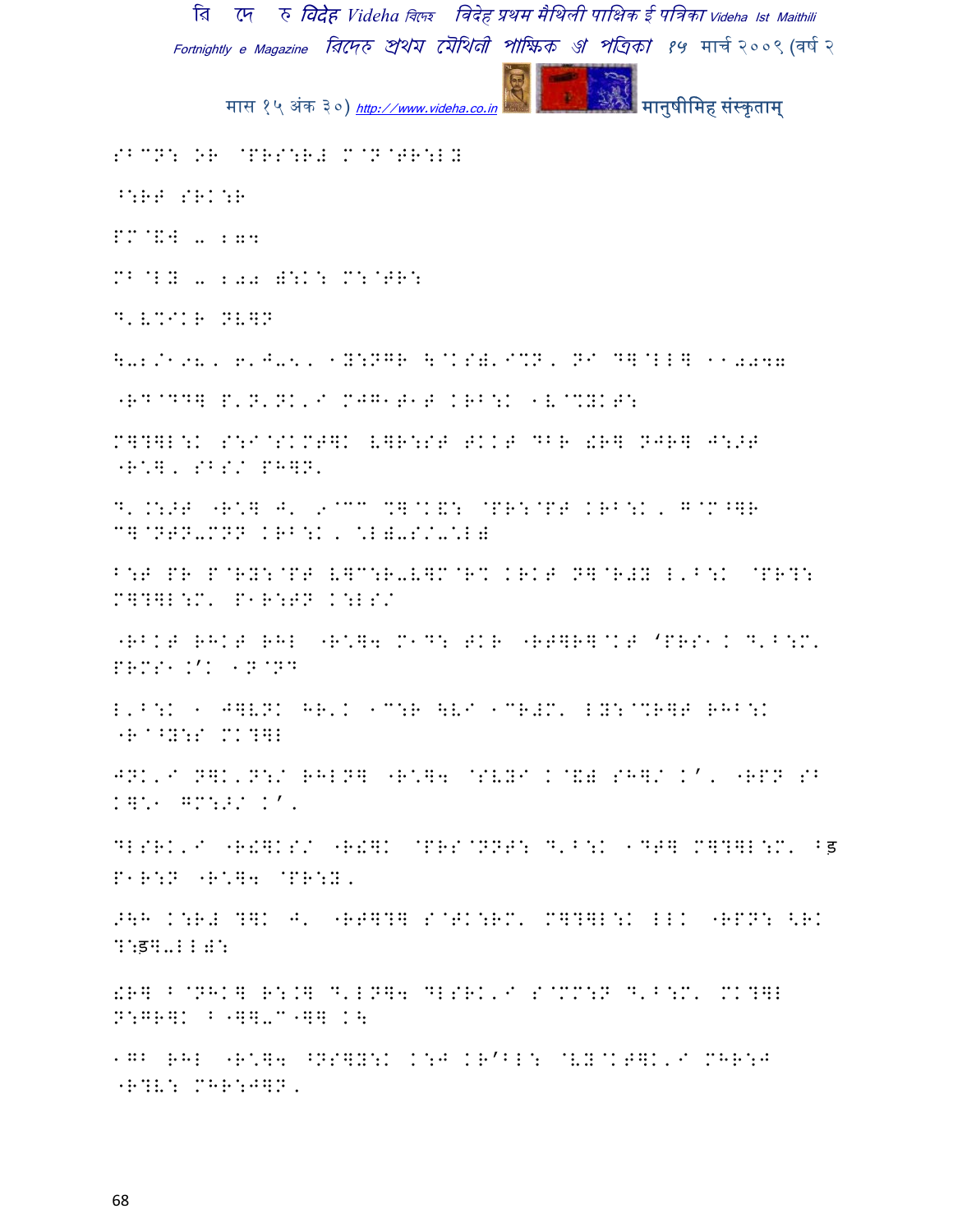मास १५ अंक ३०) <u>http://www.videha.co.in</u><br>सास १५ अंक ३०) <u>http://www.videha.co.in</u> SBCN: OR @PRS:R# M@N@TR:LY \*SRK:PROSE PM@&W - 274 MB@LY - 200 ):K: M:@TR: D'AR D'ANN AN D'AIRD A \-2/198, 6'J-5, 1Y:NGR \@KS)'I%N, NI D]@LL] 110047 "RODOTE P.D.D. P'N'NH'R'A' I M'N' (A 'NO'N M]?]L:K S:I@SKMT]K V]R:ST TKKT DBR !R] NJR] J:>T "R\*", SBS/ PH) D'.:>T "R\*] J' 9@CC %]@K&: @PR:@PT KRB:K, G@M^]R THORE CHINA CHANNAIR B:T PR P@RY:@PT V]C:R-V]M@R% KRKT N]@R#Y L'B:K @PR?: M]?]L:M' P1R:TN K:LS/ "RBKT RHKT RHL "R\*]4 M1D: TKR "RT]R]@KT 'PRS1. D'B:M' PRMS1.'X 1NM L'B:K 1 J]VNK HR'K 1C:R \VI 1CR#M' LY:@%R]T RHB:K "R@^Y:S MK?" MARX 1999 JNK'I N]K'N:/ RHLN] "R\*]4 @SVYI K@&) SH]/ K', "RPN SB **KANSAS GENERAL BELLEVILLE** DESERK ' "REBRET" "REBRETTER' DRUG DE L'ANNE D'BYBERT: "S P1R:N "R\*]4 @PR:Y, >\H K:R# ?]K J' "RT]?] S@TK:RM' M]?]L:K LLK "RPN: <RK  $7:5:1:1:1$ : !R] B@NHK] R:.] D'LN]4 DLSRK'I S@MM:N D'B:M' MK?]L  $1:G$  B",  $1:G$  ,  $1:G$  ,  $1:G$  ,  $1:G$  ,  $1:G$  ,  $1:G$ 1GB RHL "R\*]4 ^NS]Y:K K:J KR'BL: @VY@KT]K'I MHR:J "R: Miller March 2019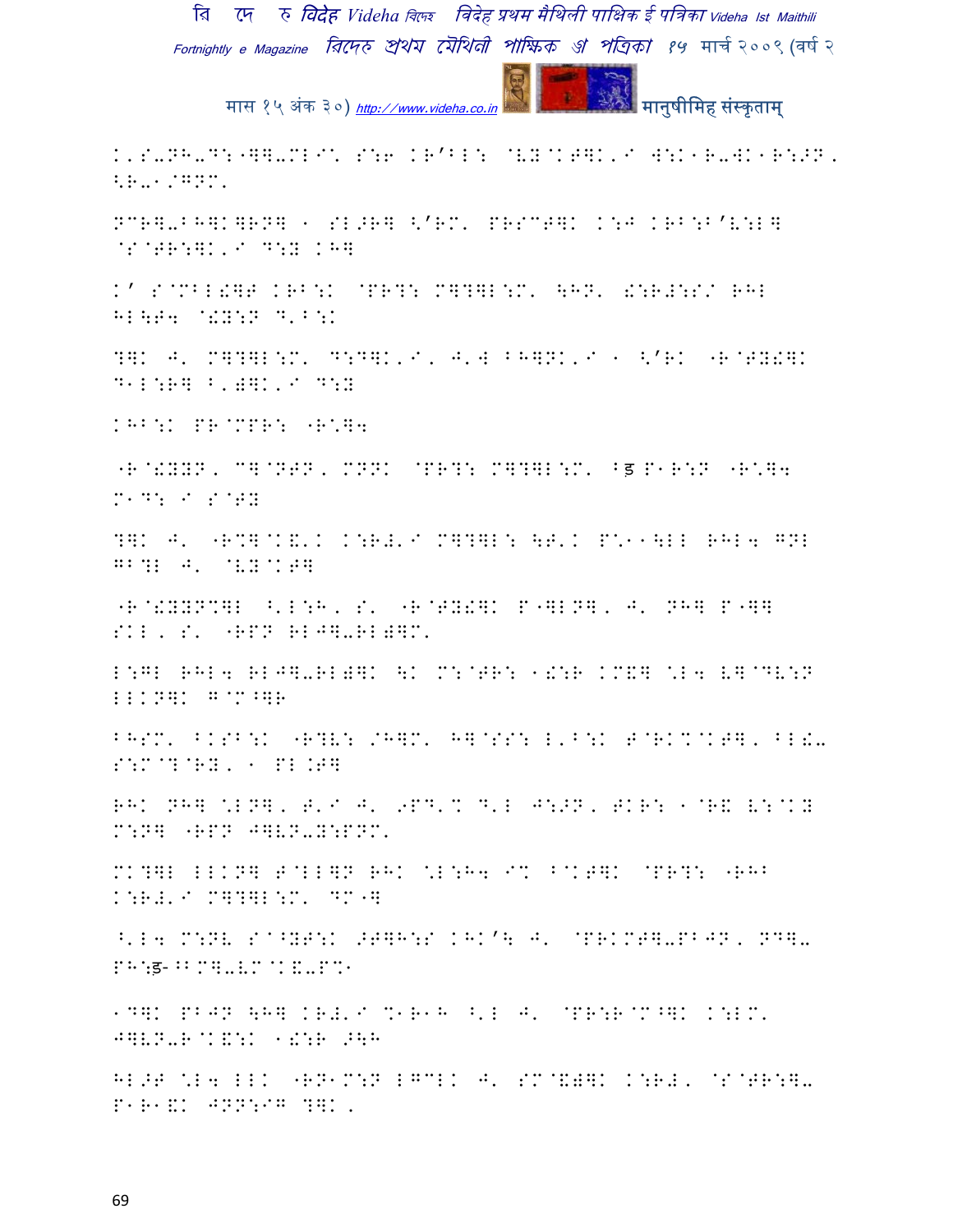मास १५ अंक ३०) http://www.videha.co.in स्थितीया मानुषीमिह संस्कृताम्

K'S-NH-D:"]]-MLI\* S:6 KR'BL: @VY@KT]K'I W:K1R-WK1R:>N,  $E:U \times U \times U$ 

NCR]-BH]K]RN] 1 SL>R] <'RM' PRSCT]K K:J KRB:B'V:L] @S@TR:]K'I D:Y KH]

K' SOMBLEM SHILL: THE CHINES AND SHER SHILL: HL\T4 @!Y:N D'B:K

?]K J' M]?]L:M' D:D]K'I, J'W BH]NK'I 1 <'RK "R@TY!]K D1L:R] B')]K'I D:Y

KHB:K PROMISSION

 $R$  (ROIN)  $R$  (ROINT)  $R$  (ROINT)  $R$  (ROINT)  $R$  (ROINT)  $R$  (ROINT)  $R$  (ROINT)  $R$ D: In Same

?]K J' "R%]@K&'K K:R#'I M]?]L: \T'K P\*11\LL RHL4 GNL BRY HE WAS CITED AND RESIDENT

 $\mathcal{L}$  . The probability  $\mathcal{L}$  is a set of  $\mathcal{L}$  . The probability  $\mathcal{L}$  is a set of  $\mathcal{L}$  . Then  $\mathcal{L}$ SKL, S' "RPN RLJ]-RL)]M'

L:GH: GH:A B:AH.B:GH: 1: TR:GH: 1:R: 1:R KIH (14 LH)963 LLKN]K G@M^]R

BHSM' BKSB:K "R?V: /H]M' H]@SS: L'B:K T@RK%@KT], BL!- S: MORT PRODUCT PRODUCT PRODUCT PRODUCT PRODUCT PRODUCT PRODUCT PRODUCT PRODUCT PRODUCT PRODUCT PRODUCT PRODUCT PRODUCT PRODUCT PRODUCT PRODUCT PRODUCT PRODUCT PRODUCT PRODUCT PRODUCT PRODUCT PRODUCT PRODUCT PRODUCT PRODUC

RHK NH] \*LN], T'I J' 9PD'% D'L J:>N, TKR: 1@R& V:@KY M:N] "RPN J]VN-Y:PNM'

MARRIE DE LAN RHEID RHK MENHE FAN IN FRIEDEN FRHE IN 1994 K:R#'I M]?]L:M' DM"]

 $^1$  . The contribution of  $\overline{\mathcal{A}}$  is the contribution of  $\overline{\mathcal{A}}$  . The contribution of  $\overline{\mathcal{A}}$  $P^{\text{H}}$ :  $P^{\text{H}}$   $P^{\text{H}}$   $P^{\text{H}}$   $P^{\text{H}}$   $P^{\text{H}}$   $P^{\text{H}}$   $P^{\text{H}}$   $P^{\text{H}}$   $P^{\text{H}}$   $P^{\text{H}}$   $P^{\text{H}}$   $P^{\text{H}}$   $P^{\text{H}}$   $P^{\text{H}}$   $P^{\text{H}}$   $P^{\text{H}}$   $P^{\text{H}}$   $P^{\text{H}}$   $P^{\text{H}}$   $P^{\text{H}}$   $P^{\text{H}}$ 

1D]K PBJN \H] KR#'I %1R1H ^'L J' @PR:R@M^]K K:LM'  $\frac{1}{2}$  ,  $\frac{1}{2}$  ,  $\frac{1}{2}$  ,  $\frac{1}{2}$  ,  $\frac{1}{2}$  ,  $\frac{1}{2}$  ,  $\frac{1}{2}$  ,  $\frac{1}{2}$  ,  $\frac{1}{2}$  ,  $\frac{1}{2}$  ,  $\frac{1}{2}$  ,  $\frac{1}{2}$  ,  $\frac{1}{2}$  ,  $\frac{1}{2}$  ,  $\frac{1}{2}$  ,  $\frac{1}{2}$  ,  $\frac{1}{2}$  ,  $\frac{1}{2}$  ,  $\frac{1$ 

HL>T \*L4 LLK "RN1M:N LGCLK J' SM@&)]K K:R#, @S@TR:]- P1R1&K JNN: IG ?<br>P1R1&K JNN: IG ?<br>K, P1R1&K JNN: IG ?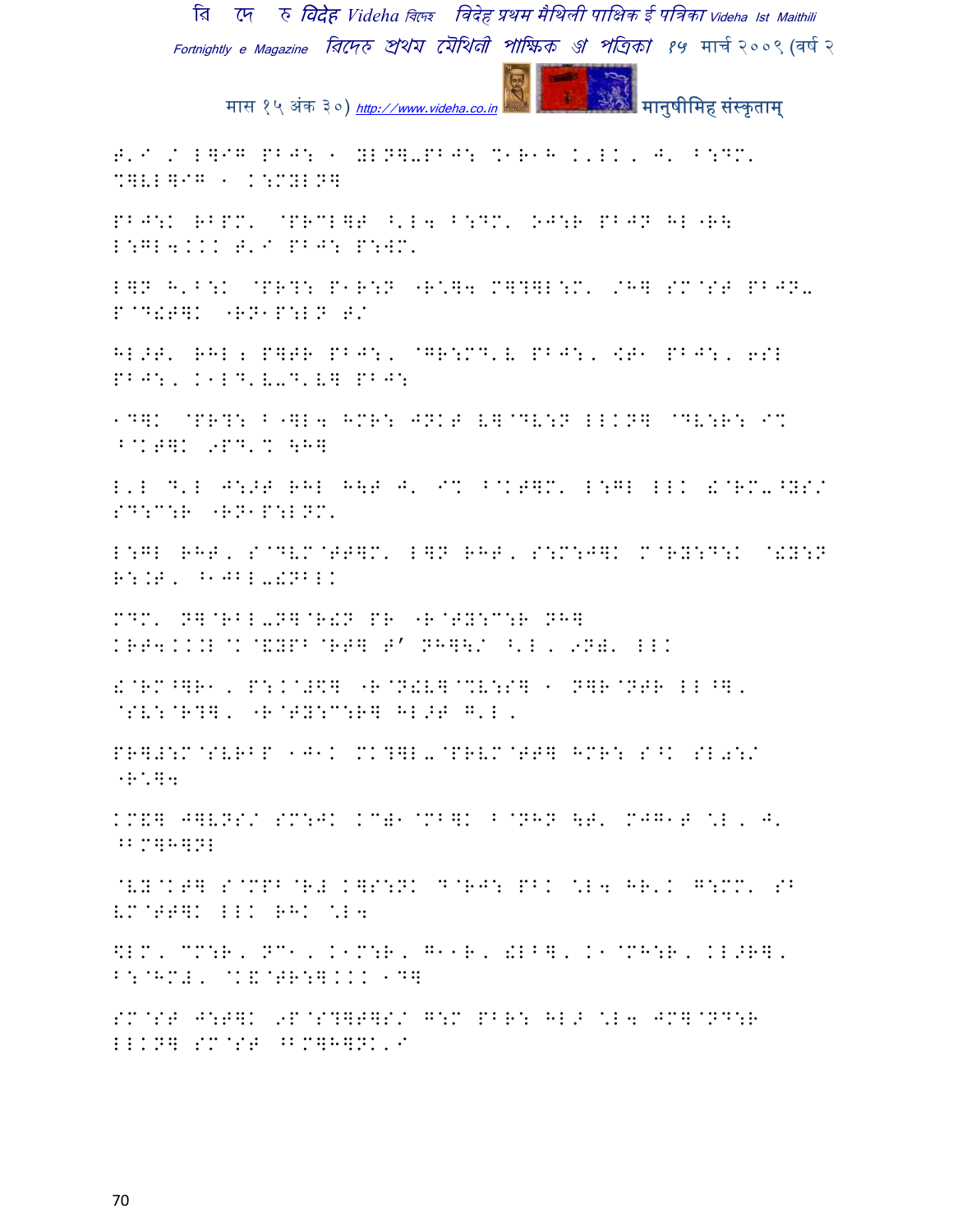मास १५ अंक ३०) <u>http://www.videha.co.in</u><br>सास १५ अंक ३०) <u>http://www.videha.co.in</u>

T'I / L]IG PBJ: 1 YLN]-PBJ: %1R1H K'LK, J' B:DM'  $\ldots$  :  $\ldots$   $\ldots$   $\ldots$   $\ldots$   $\ldots$   $\ldots$  :  $\ldots$ 

PRANCH PROVINCE PRODUCED PROVINCE AND ARREST ARRANGEMENT OF A PRODUCED ARRANGEMENT OF A PRODUCT OF DISPUTE A D L:GL4... T'I PBJ: P:WM'

L]N H'B:K @PR?: P1R:N "R\*]4 M]?]L:M' /H] SM@ST PBJN-P@D!T]K "RN1P:LN T/

HL>T' RHL; P]TR PBJ:, @GR:MD'V PBJ:, [T1 PBJ:, 6SL PBJ:, K1LD'V-D'V] PBJ:

1D]K @PR?: B"]L4 HMR: JNKT V]@DV:N LLKN] @DV:R: I% ^@KT]K 9PD'% \H]

L'ANNE L'ANNE L'ANNE L'ANNE L'ANNE L'ANNE L'ANNE L'ANNE L'ANNE L'ANNE L'ANNE L'ANNE L'ANNE L'ANNE L'ANNE L'AN SOURCE TO A REPORT OF THE RESIDENCE OF THE RESIDENCE OF THE RESIDENCE OF THE RESIDENCE OF THE RESIDENCE OF THE

L:GL RHT, S@DVM@TT]M' L]N RHT, S:M:J]K M@RY:D:K @!Y:N R:.T, WARELERIE

MOMENT NEWSTAPPY OF THE RECEIVED AND MADE. KRT4...L@K@&YPB@RT] T' NH]\/ ^'L, 9N)' LLK

!@RM^]R1, P:.@#\$] "R@N!V]@%V:S] 1 N]R@NTR LL^], @SV:@R?], "R@TY:C:R] HL>T G'L,

PR]#:M@SVRBP 1J1K MK?]L-@PRVM@TT] HMR: S^K SL0:/  $\cdot$   $\vdots$   $\cdot$   $\cdot$   $\vdots$   $\cdot$ 

KORB ABIRK KORBI INDI MURIN TERRITORI DI MUSI ^BM]H]NL

@VY@KT] S@MPB@R# K]S:NK D@RJ: PBK \*L4 HR'K G:MM' SB KM MARK (BBC) RHK (VER)

\$LM, CM:R, NC1, K1M:R, G11R, !LB], K1@MH:R, KL>R], B: 000 B: 000 B: 000 B: 000 B: 000 B: 000 B: 000 B: 000 B: 000 B: 000 B: 000 B: 000 B: 000 B: 000 B: 000 B: 00

SMOST PRESS SMOKES READS TO BE AND THE SAME OF THE SAME OF THE SAME OF THE SAME OF THE SAME OF THE SAME OF THE LLAND SMART COMPONENT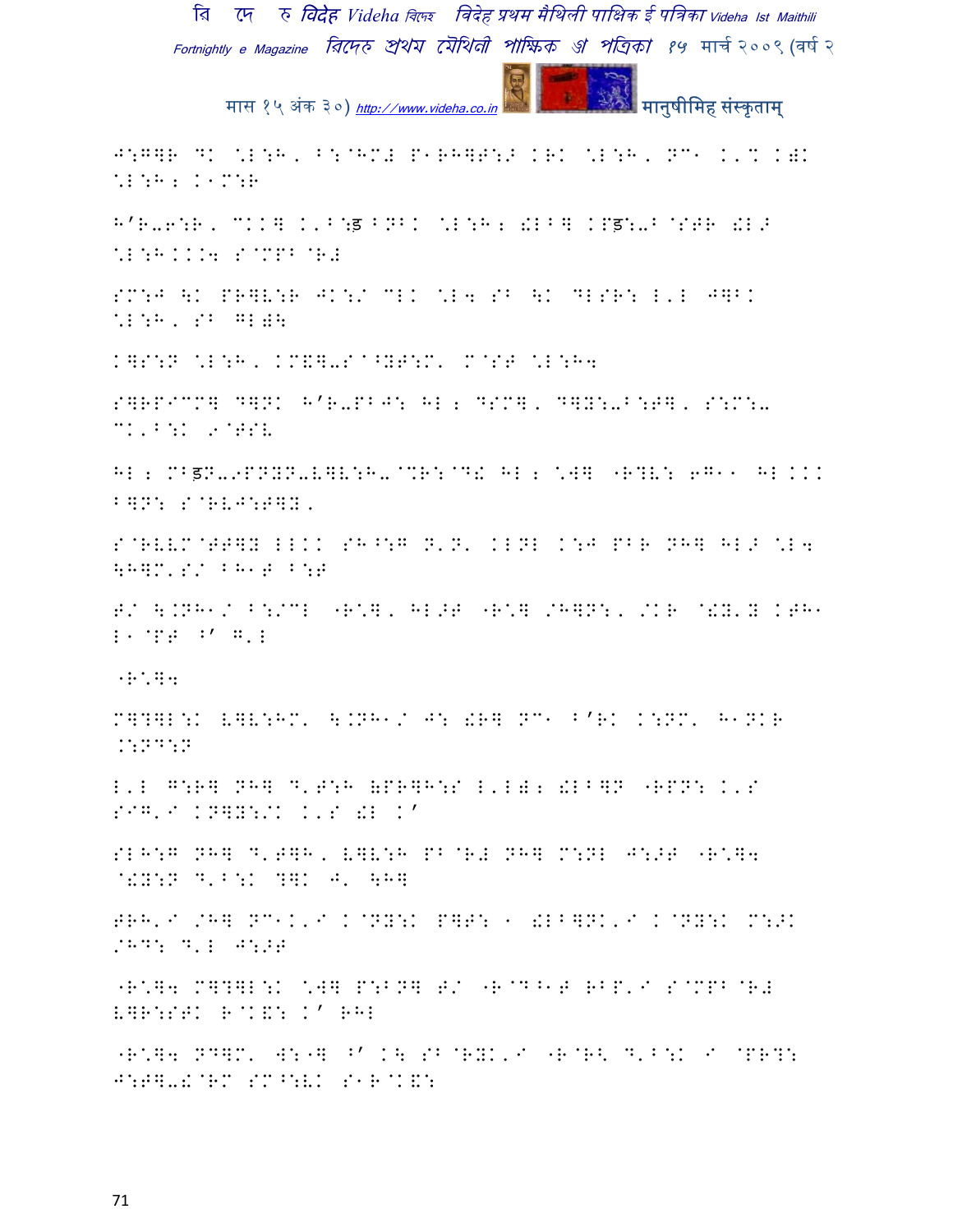मास १५ अंक ३०) http://www.videha.co.in | सामानिक मानुषीमिह संस्कृताम्

J:G]R DK \*L:H, B:@HM# P1RH]T:> KRK \*L:H, NC1 K'% K)K \*L:H; K1M:R

H'BLAND KOMMON KORS BOOK THE FUND OF THE STREET IN THE RESERVE TO THE RESERVE THAT IN A BOOK IN THE INDICATE IN \*L:H...4 S@MPB@R#

SM:J R: PREDGE ADGEN MED SEA SB AD MESCH ELE ARD \*L:H, SB GL)\

KARAM MARAHAT MARAH MARAH SERING TERSEBUT

S]RPICM] D]NK H'R-PBJ: HL; DSM], D]Y:-B:T], S:M:- CONSTRUCTION

HL: MBS...PROSENED HE MONTH ON AN INTERFERING WAR TO A Bandara Roma, Paris, Paris, Paris, Paris, Paris, Paris, Paris, Paris, Paris, Paris, Paris, Paris, Paris, Paris, Paris, Paris, Paris, Paris, Paris, Paris, Paris, Paris, Paris, Paris, Paris, Paris, Paris, Paris, Paris, Paris

SOMBELICK SHARIB (EES IS) SHAFFAR (D. D. C. P. PERS NHA) BR HIG PAR NH DA NI HIG A \H]M'S/ BH1T B:T

THO AS CORRELO A RICHTELL ARE DESCRIPTED ON HIS CASE OF THE ONE OF DEREST  $\mathbf{i}$  . The control  $\mathbf{E}$ 

 $R$  and  $R$  and  $R$ 

M]?]L:K V]V:HM' \.NH1/ J: !R] NC1 B'RK K:NM' H1NKR .:ND:N

L'L G:R] NH] D'T:H (PR]H:S L'L); !LB]N "RPN: K'S SIG'I KANADIA NG KATIBALAN NA MAY NA MAY NA MAY NA MAY NA MAY NA MAY NA MAY NA MAY NA MAY NA MAY NA MAY NA MAY

SLHYM DHE M.ANH. BHEYM DROBE DHE MYNE (AYIA (AFIN) @!Y:N D'B:K ?]K J' \H]

TRH'I /H] NC1K'I K@NY:K P]T: 1 !LB]NK'I K@NY:K M:>K /HD: D'L J:>T

"R\*]4 M]?]L:K \*W] P:BN] T/ "R@D^1T RBP'I S@MPB@R# RANDRAND ROCK ROCK RAND

"R\*DRA" (PFRID) | RYKYR'I MYSON PRODUCED "ROKY "R#SON" "ROKYK'I "ROKYK'I J:T]-!@RM SM^:VK S1R@K&: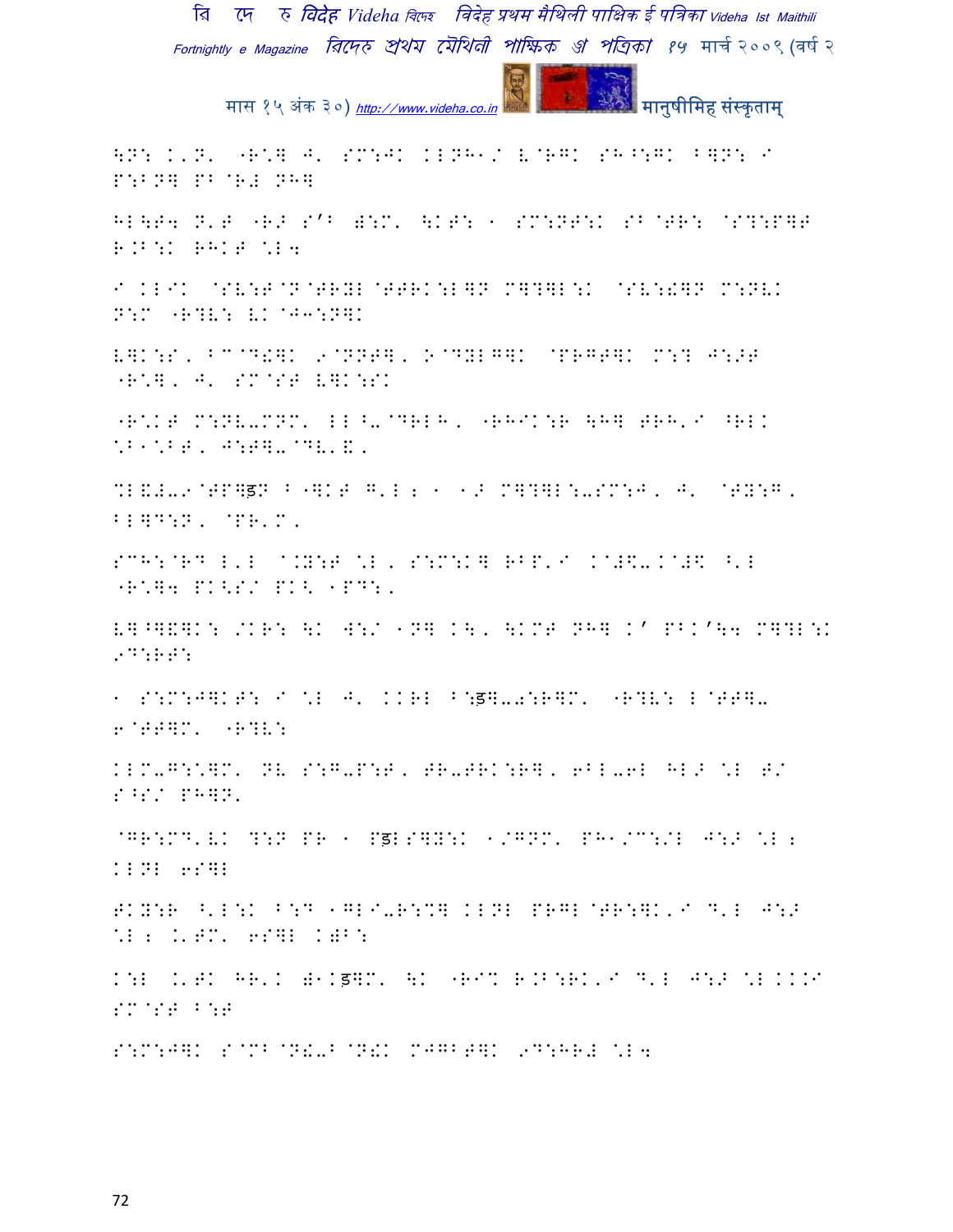मास १५ अंक ३०) <u>http://www.videha.co.in</u> स्थिति स्थिति सानुषीमिह संस्कृताम्

\N: K'N' "R\*] J' SM:JK KLNH1/ V@RGK SH^:GK B]N: I P:BN] PB@R# NH]

HL\T4 N'T "R> S'B ):M' \KT: 1 SM:NT:K SB@TR: @S?:P]T R.B:K RHKT \* L

I KLIK @SV:T@N@TRYL@TTRK:L]N M]?]L:K @SV:!]N M:NVK N: M "R?V: VX" (1991) (1992) (1993) (1993) (1993) (1993) (1993) (1993) (1993) (1993) (1993) (1993) (1993) (19

V]K:S, BC@D!]K 9@NNT], O@DYLG]K @PRGT]K M:? J:>T  $R$  (RT SMA), SMART SENSION

"PENDER" DROBLINORIN, "EE FILMPEER", "PERFORE" RHR, BREK, FORBED \*B1\*BT, J:T]-@DV'&,

%L&#-9@TP]ड़N B"]KT G'L; 1 1> M]?]L:-SM:J, J' @TY:G, BLOCK COMPANY OF THE COMPANY OF THE COMPANY OF THE COMPANY OF THE COMPANY OF THE COMPANY OF THE COMPANY OF THE

SCH:@RD L'L @.Y:T \*L, S:M:K] RBP'I .@#\$-.@#\$ ^'L "R\*\*" PK\* 1999 PK\* 1999 PK\* 1999 PK\* 1999 PK\* 1999 PK\* 1999 PK\* 1999 PK\* 1999 PK\* 1999 PK\* 1999 PK\* 1999 PK\* 1

 $\&$  R)  $\&$  (R)  $\&$  (R)  $\&$  (R)  $\&$  (R)  $\&$  (R)  $\&$  (R)  $\&$  (R)  $\&$  (R)  $\&$  (R)  $\&$  (R)  $\&$  (R)  $\&$  (R)  $\&$  (R)  $\&$  (R)  $\&$  (R)  $\&$  (R)  $\&$  (R)  $\&$  (R)  $\&$  (R)  $\&$  (R)  $\&$  (R)  $\&$  (R)  $\&$  (R)  $\&$  ( 9D:RT:

1 S:M:H:H: I Y M: H. CORE PSSHLAGHHO. SHILL E SHAHL  $\mathbf{F}$  with  $\mathbf{F}$   $\mathbf{F}$   $\mathbf{F}$   $\mathbf{F}$   $\mathbf{F}$   $\mathbf{F}$   $\mathbf{F}$   $\mathbf{F}$ 

KLM-G:\*]M' NV S:G-P:T, TR-TRK:R], 6BL-6L HL> \*L T/ SOSY PHER.

@GR:MD'VK ?:N PR 1 Pड़LS]Y:K 1/GNM' PH1/C:/L J:> \*L; **KLASS** SECTION

TKY:R YOU IS A SECOND A REPORT OF THE PERPETUANCY OF THE CONSTRUCTION OF THE CONSTRUCTION OF THE CONSTRUCTION \*L; .'TM' 6S]L K)B:

K:L .'TK HR'K )1Kड़]M' \K "RI% R.B:RK'I D'L J:> \*L...I SM@ST B:T

S:M:JABD S:M:H:MBQA:M:BQD (24P:BBD) 2914881 (104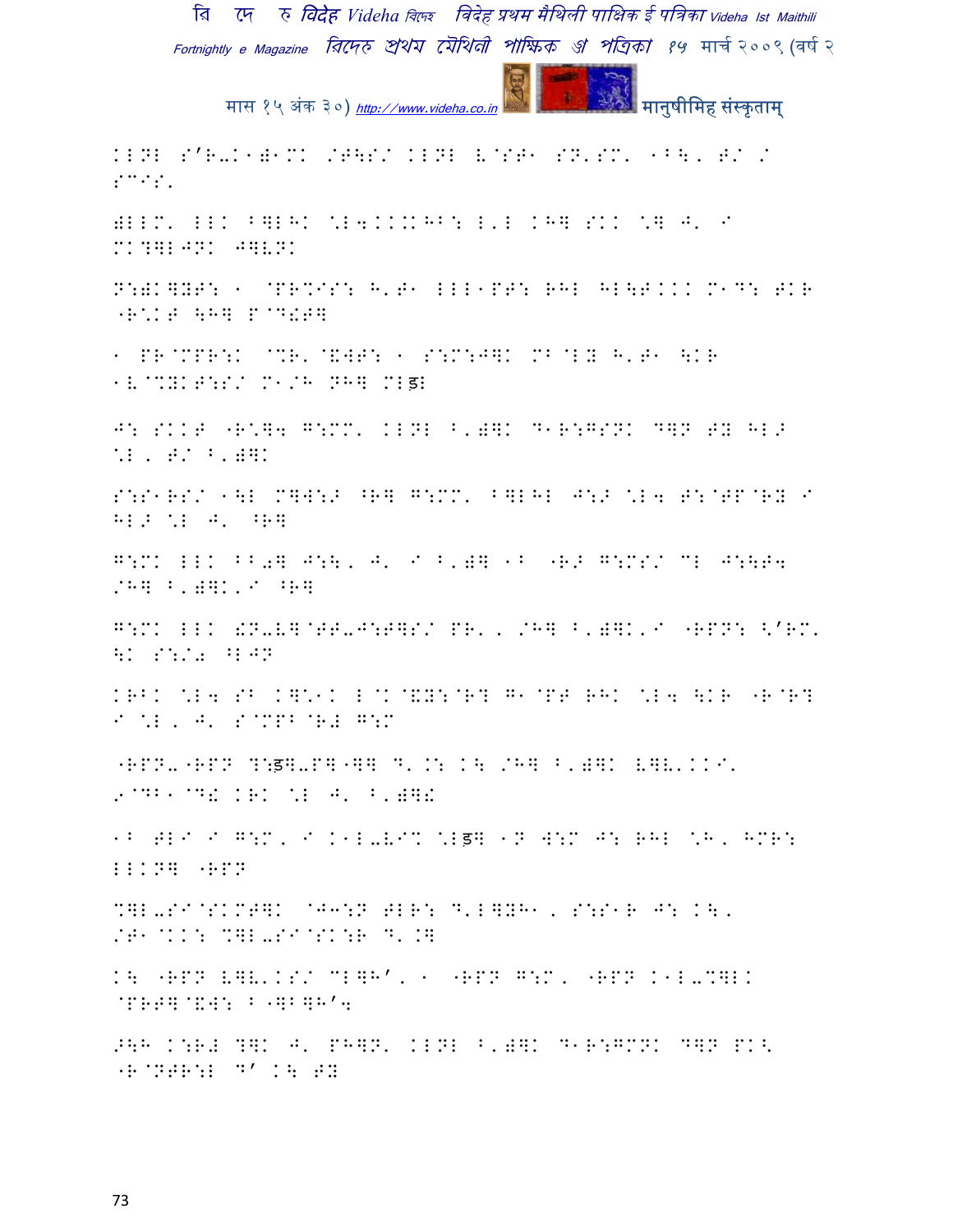मास १५ अंक ३०) <u>http://www.videha.co.in</u> स्थिति स्थिति सानुषीमिह संस्कृताम्

KLNL S'R-K1)1MK /T\S/ KLNL V@ST1 SN'SM' 1B\, T/ /  $S^{\prime\prime}$  such that

)LLM' LLK B]LHK \*L4...KHB: L'L KH] SKK \*] J' I MK?]LJNK J]VNK

N:)K]YT: 1 @PR%IS: H'T1 LLL1PT: RHL HL\T... M1D: TKR  $\mathcal{R}$  . The parameter  $\mathcal{R}$  and  $\mathcal{R}$  are parameter  $\mathcal{R}$ 

1 PR@MPR:K @%R'@&WT: 1 S:M:J]K MB@LY H'T1 \KR  $1\leq N/2$  . The  $N/2$  matrix  $N$  of  $N$  and  $N$  and  $N$  and  $N$  and  $N$  and  $N$  and  $N$  and  $N$  and  $N$  and  $N$  and  $N$  and  $N$  and  $N$  and  $N$  and  $N$  and  $N$  and  $N$  and  $N$  and  $N$  and  $N$  and  $N$  and  $N$  and  $N$  and

J: SKKT "R\*]4 G:MM' KLNL B')]K D1R:GSNK D]N TY HL> \*L, T/ B')]K

S:S1RS-BIRGY 1\R MESS (PHOTOR IN THE THE DISPOSITION IN THE TERRITORY IS THE TIME IN THE UPP.  $H$   $\vdots$   $H$   $\vdots$   $H$   $\vdots$   $H$   $\vdots$ 

B:MI LES PRINT G:MI J: J: AN BILLE B:MI BILL TE SPINA /H] B')]K'I ^R]

G:MA LE LE SI DE LA TE PLANER DI DI PRI LI DI PRI L'A DI BENE SI POSTI L'AMBIDI.  $\mathcal{H} \subset \mathcal{H} \subset \mathcal{H} \subset \mathcal{H} \subset \mathcal{H} \subset \mathcal{H}$ 

KRBK \*LEG FRANK FLANK \*LEG FRANK \*LANK \*LANK \*LANK \*LEG \*LANK \*LANK \*LANK \*LANK \*LANK \*LANK \*LANK \*LANK \*LANK I \*L, J' S@MPB@R# G:M

"RPNPL RPNP" (1989)...PH RHPN (1980) D'AC (1989) F. HHI (1989)................... 9@DB1@D! KRK \*L J' B')]!

1B TLI I G:M, I K1L-VI% \*Lड़] 1N W:M J: RHL \*H, HMR: LLIBN "SPN

%BLACKMOONERS MANGEMENT WIREHAM STOCK AN INVITATI /T1@KK: %]L-SI@SK:R D'.]

KA "RPN KALIKIN" MERKI "PRN GYN "RPN K11 "RIK W: BELLEVILLEY, BOOKSTEAM PROPERTY

>\H K:R# ?]K J' PH]N' KLNL B')]K D1R:GMNK D]N PK< "R@NTR:L D' K\ TY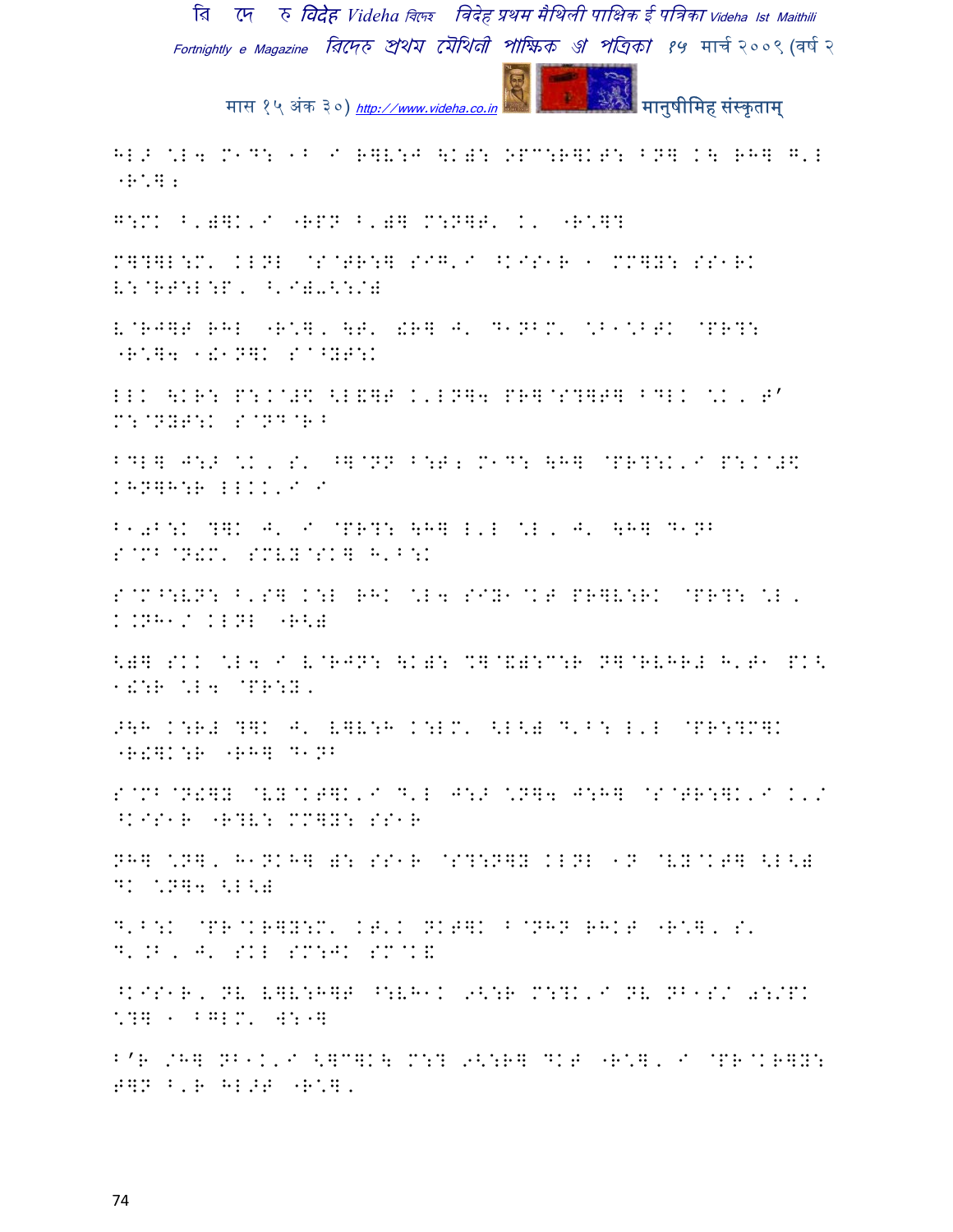मास १५ अंक ३०) <u>http://www.videha.co.in</u> स्थिति स्थिति सानुषीमिह संस्कृताम्

HL> \*L4 M1D: 1B I R]V:J \K): OPC:R]KT: BN] K\ RH] G'L  $\cdot$   $\vdots$   $\cdot$   $\vdots$   $\cdot$ 

G:MK B') HELL AT "RPN" BY WE AN INDIAL TO A "RENEW

MARINE MODEL OF SIGNED STRIPS IN THE STRIP SIGNED V:@RT:L:P, ^'I)-<:/)

V@RJ]T RHL "R\*], \T' !R] J' D1NBM' \*B1\*BTK @PR?: "R\*]4 1!1N]K S@^YT:K

LLK \KR: P:.@#\$ <L&]T K'LN]4 PR]@S?]T] BDLK \*K, T' M:@NYT:K S@ND@R^

BDL] J:> \*K, S' ^]@NN B:T; M1D: \H] @PR?:K'I P:.@#\$  $\mathcal{L}$  . Hence, i.e., i.e., i.e., i.e., i.e., i.e., i.e., i.e., i.e., i.e., i.e., i.e., i.e., i.e., i.e., i.e., i.e., i.e., i.e., i.e., i.e., i.e., i.e., i.e., i.e., i.e., i.e., i.e., i.e., i.e., i.e., i.e., i.e., i.e.,

BIA: BERT DI I DI L'ANNOIRE PER DE LE COLE DI L'ALL I APPENDANCE. SMVY SMVY SMVY SKINNER

S@M^:VN: B:L RHK \*L, RHK \*L, RHK \*L, RHK \*L, RHK \*L, RHK \*L, RHK \*L, RHK \*L, RHK \*L, RHK \*L, RHK \*L, RHK \*L, R K.NH1/ KLNL "R<)

<)] SKK \*L4 I V@RJN: \K): %]@&):C:R N]@RVHR# H'T1 PK< 1!:R \*L4 @PR:Y,

>\H K:R# ?]K J' V]V:H K:LM' <L<) D'B: L'L @PR:?M]K "R!]K:R "RH] D1NB

SMOTA MPERED ME BOOLARIC KONFUEL ANA ACTRIBUTAN MANARITIC KOOLONG  $\mathcal{R}^{\mathcal{R}}$  ,  $\mathcal{R}^{\mathcal{R}}$  ,  $\mathcal{R}^{\mathcal{R}}$  ,  $\mathcal{R}^{\mathcal{R}}$  ,  $\mathcal{R}^{\mathcal{R}}$  ,  $\mathcal{R}^{\mathcal{R}}$  ,  $\mathcal{R}^{\mathcal{R}}$  ,  $\mathcal{R}^{\mathcal{R}}$  ,  $\mathcal{R}^{\mathcal{R}}$  ,  $\mathcal{R}^{\mathcal{R}}$  ,  $\mathcal{R}^{\mathcal{R}}$  ,  $\mathcal{R}^{\mathcal{R}}$  ,  $\mathcal{$ 

NH] \*N], H1NKH] ): SS1R @S?:N]Y KLNL 1N @VY@KT] <L<) DK \*N]4 <L<)

D'B:K @PR@KR]Y:M' KT'K NKT]K B@NHN RHKT "R\*], S' D'.B, J' SKL SM:JK SM@K&

^KISIR, NY VIII) | 1911. NY NISIR, NY NISIR, NY NISIR, NY NISIR, NY NISIR, NY NISIR, NY NISIR, NY NISIR, NY NI  $139: 1911: 919: 919:$ 

B'AN (1991-1991) (C) REMELS INSTRUMENT MIN (1913) (C) DE NIMER FR B'R HIST "RT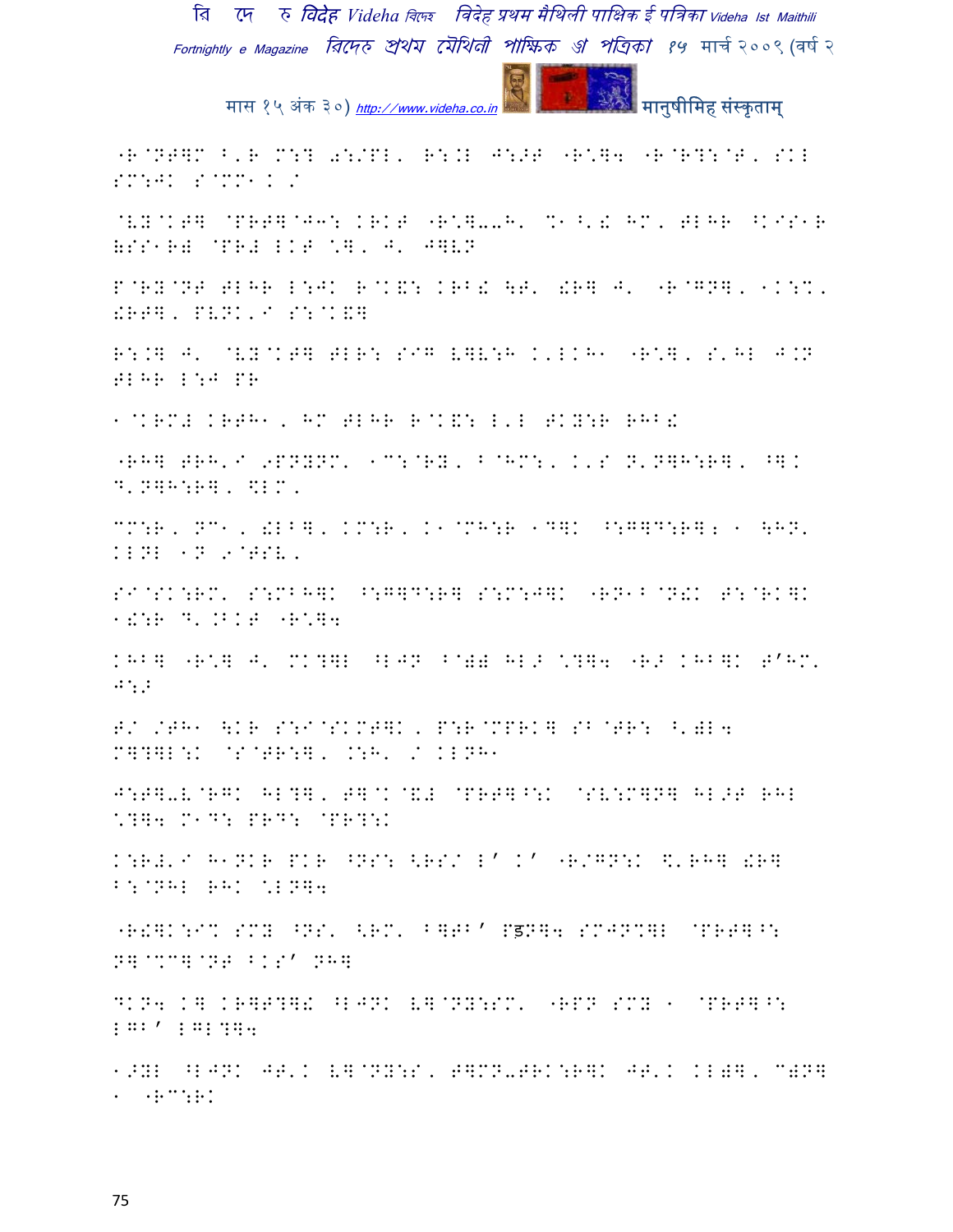मास १५ अंक ३०) <u>http://www.videha.co.in</u> स्थिति स्थिति सानुषीमिह संस्कृताम्

"RONTER" R. B (THE GRITE, "BRIE "RIE "RONE" (B'RENTER SKIL SM:JK SM:JK SM:JK

MESORE MEREMAN IRIR ARTELLA, TVALIA AT L'EFAR AISPIR (SST) DE TOPA LIST (DE LATITUM) AND

P. TRIBOTER LIFE REPORT TO INCOLLER LIGHT WE HAVE THE LIGHT AND TRIPE LIGHT CONTINUES. !RT], PVNK'I S:@K&]

R:... J' MARIN TERRITORI TRANSPORTATION IN TERRITORISME IN THE SIGNAL TRANSPORTATION IN THE SIGNAL TRANSPORTATION H: WHO PR

1@KRM# KRTH1, HM TLHR R@K&: L'L TKY:R RHB!

"RH] TRH'I 9PNYNM' 1C:@RY, B@HM:, K'S N'N]H:R], ^]. D'N]H:R], \$LM,

CM:R, NC1, !LB], KM:R, K1@MH:R 1D]K ^:G]D:R]; 1 \HN'  $\ldots$   $\ldots$   $\ldots$   $\ldots$ 

SIMBIK:RM' SIMBIK SIMBIK SIMBIK SIMBIK TILI SIMBIK SIMBI 1:R D'.BKT "R\*D".

KHB "BNB" A. INIBE "BAR" FNBE ALA NIBA "BA KHPBI" BMAN.  $\mathcal{H}^{\bullet}(\mathcal{G})$ 

T/ /TH1 A:B: Y:RASHER, P:R:TH1 SB: P:RESS WHISH: WHIPPER CONTROLLER

J:T]-V@RGK HL?], T]@K@&# @PRT]^:K @SV:M]N] HL>T RHL \*?]4 M1D: PRD: @PR?:K

K:R# I K:R Y B BI HIN RHI B K I K "R/GNIN R.BAB I IRB B: 0.000 0.000 0.000 0.000 0.000 0.000 0.000 0.000 0.000 0.000 0.000 0.000 0.000 0.000 0.000 0.000 0.000 0.000

"REWEIT SOMY FILM (PSI) BELIEVE BERY PISPAN FILMPITHE (PERPHAP) NAME OF STRAIN BEST PARTIES.

DEN ALLE KIR STREED IN FARIO BEVOLGEN IN DIE POLITIE IN DIE PREFIELEN.  $\pm$  HP  $\pm$  2001  $\pm$  410  $\pm$  410  $\pm$ 

 $+3\text{H}$  (B)  $4\text{H}$  (A), ( E (MH); , HTTLAR((H), A),  $-4\text{H}$  ((E )N], C)NH  $\cdot$   $\cdot$   $\vdots$   $\cdot$   $\cdot$   $\vdots$   $\cdot$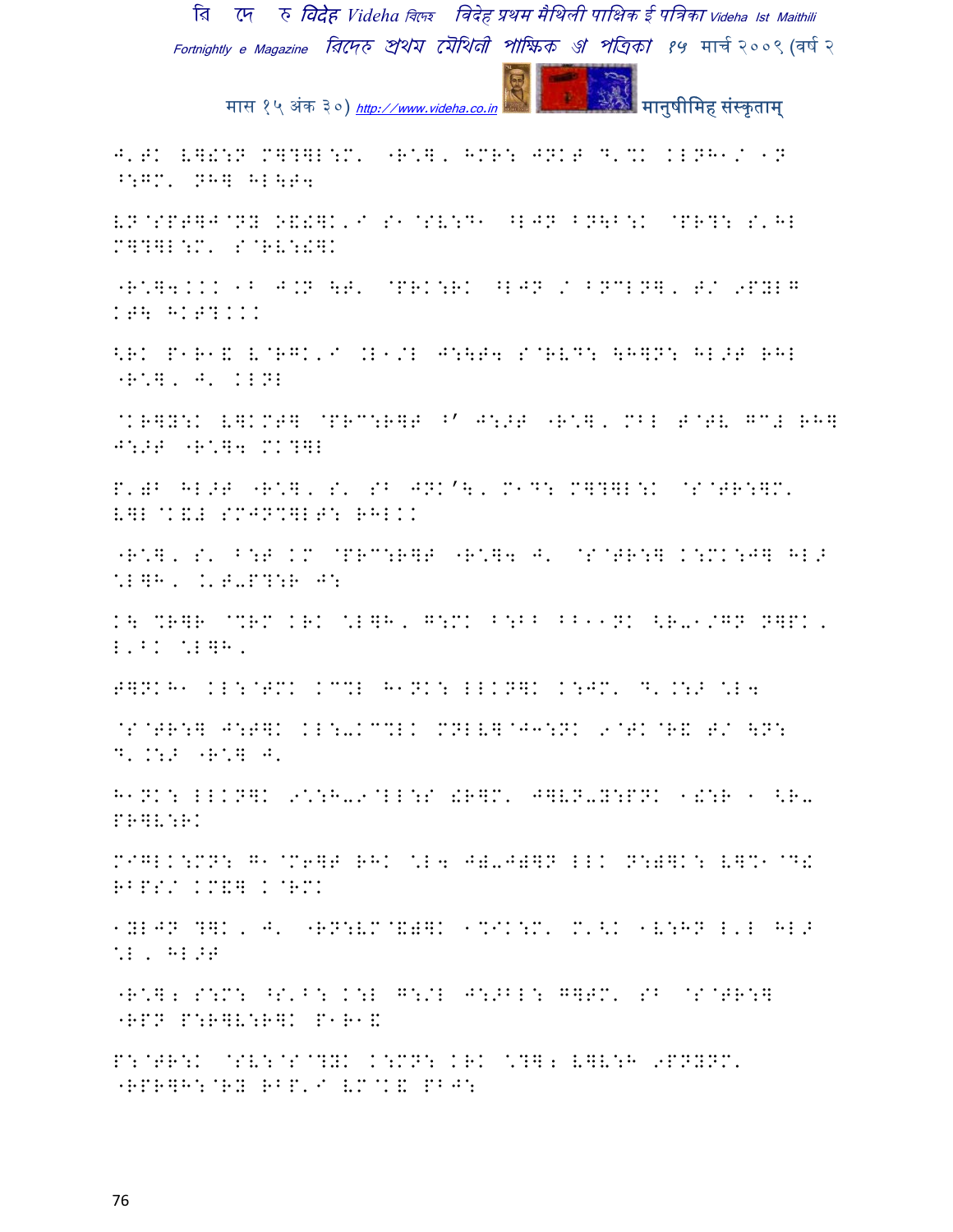मास १५ अंक ३०) <u>http://www.videha.co.in</u> स्थिति स्थिति सानुषीमिह संस्कृताम्

J'TK V]!:N M]?]L:M' "R\*], HMR: JNKT D'%K KLNH1/ 1N ^:GM' NH] HL\T4

ROSPIE VAN DE SPIEL VAN DIE STERN BEREIN DIE STERN BLANDE M]?]L:M' S@RV:!]K

"R\*]4... 1B J.N \T' @PRK:RK ^LJN / BNCLN], T/ 9PYLG KATH HKTP

RAC PHRILIPS ON SPACE SHARR PORTH AND READ "R\*D; J' A, (1999)

@KR]Y:K V]KMT] @PRC:R]T ^' J:>T "R\*], MBL T@TV GC# RH]  $H: H \to H \to H \to H \to H \to H$ 

P')B HL>T "R\*], S' SB JNK'\, M1D: M]?]L:K @S@TR:]M' V]L@K&# SMJN%]LT: RHLKK

"R\*], S' B:T KM @PRC:R]T "R\*]4 J' @S@TR:] K:MK:J] HL> \*L]H, .'T-P?:R J:

KA SHE MBINING KARA BERADA KARA BERADA BERADA BERADA BERADA BERADA BERADA DI DI DI DI DI DI DI DI DI DI DI DI L'BK \*L]H,

THE RIGHT COMMUNIST COMMUNIST COMMUNIST CONTINUES.

@S@TR:] J:T]K KL:-KC%LK MNLV]@J3:NK 9@TK@R& T/ \N: D'.: That we have the

H1NK: LLKN]K 9\*:H-9@LL:S !R]M' J]VN-Y:PNK 1!:R 1 <R-PRHESE:

MIGLK:MN: G1@M6]T RHK \*L4 J)-J)]N LLK N:)]K: V]%1@D! RBPS/ KM&] K@RMK

1YLJN ?]K, J' "RN:VM@&)]K 1%IK:M' M'<K 1V:HN L'L HL> \*L, HL>T

 $R$  (RTC); Since  $R$  is the set of the set of  $R$  and  $R$  is set of  $R$  and  $R$ "RPN P:RHINAPIN P:RHIN

P: Source And Transaction (1999) (1999) (1999) (1999) (1999) (1999) (1999) (1999) (1999) (1999) (1999) (1999) "RPR]H:@RY RBP'I VM@K& PBJ: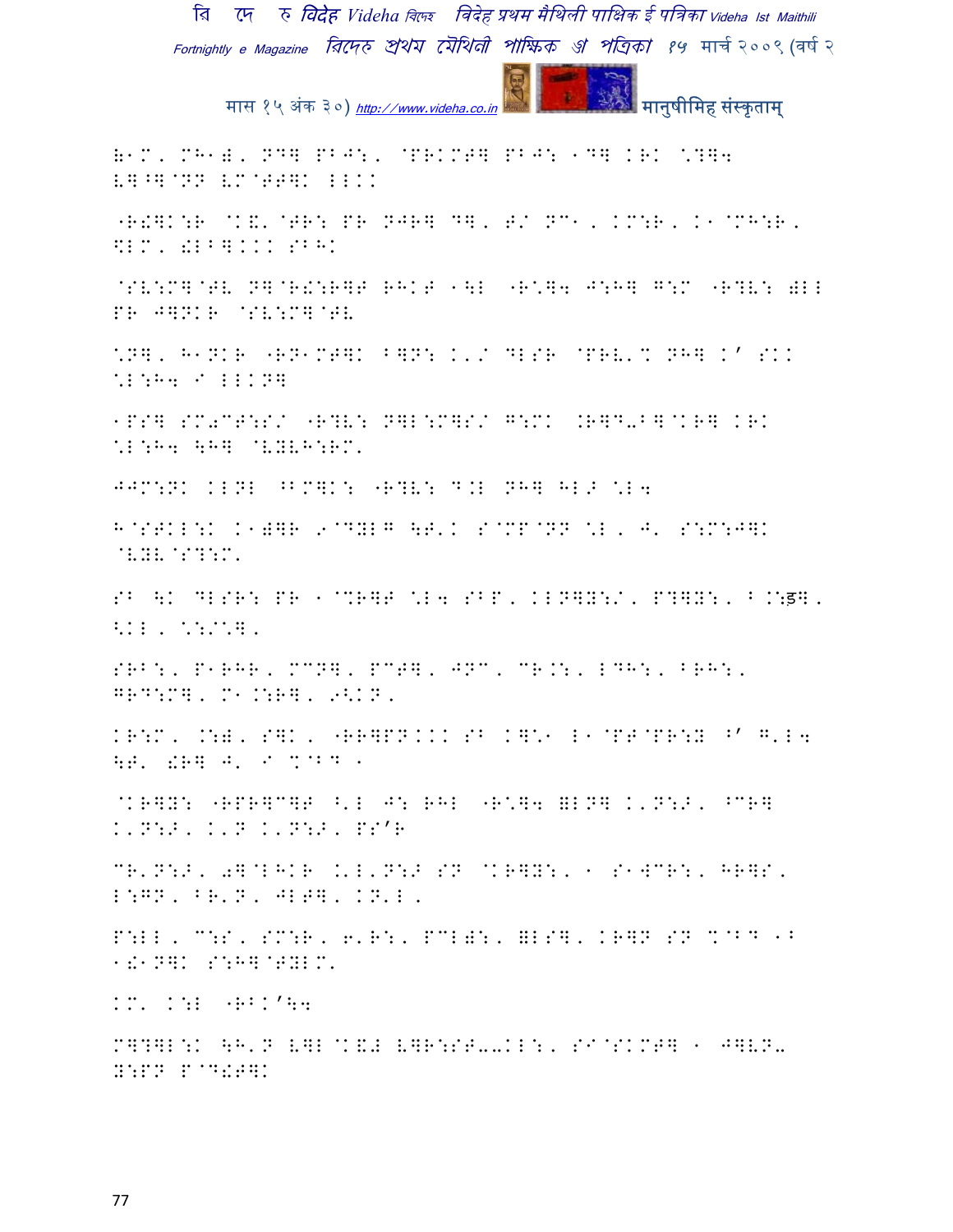मास १५ अंक ३०) <u>http://www.videha.co.in</u> स्थिति स्थिति सानुषीमिह संस्कृताम्

(1M, MH1), ND] PBJ:, @PRKMT] PBJ: 1D] KRK \*?]4 Van die kaar van die kaar van die kaar van die kaar van die kaar van die kaar van die kaar van die kaar van di<br>Naar van die kaar van die kaar van die kaar van die kaar van die kaar van die kaar van die kaar van die kaar v

"R!]K:R @K&'@TR: PR NJR] D], T/ NC1, KM:R, K1@MH:R, \$LM, !LB]... SBHK

@SV:MIGTV PHOTOGRAPH 1000 PHOTOGRAPH 1000 PHOTOGRAPH 1000 PHOTOGRAPH 1000 PHOTOGRAPH 1000 PHOTOGRAPH 1000 PHOTO PR WHEN BY MENTH WHO

\*N], H1NKR "RN1MT]K B]N: K'/ DLSR @PRV'% NH] K' SKK \*L:H4 I LLKN]

 $\sim$  PSP  $\approx$  SM0CF  $\sim$  SMOCT: NO SMOCT: NET  $\sim$  SMOCT: NET  $\sim$  SMOCT: NET  $\sim$  SMOCT: NET  $\sim$  SMOCT: NET  $\sim$  $\mathbf{u}:H_1 \times H_2 \times H_3 \times H_4$ 

JJM:NK KLNL ^BM]K: "R?V: D.L NH] HL> \*L4

HASTRIK: STAL: K 1998 (2007) BE SAMPLIN TO STATE TO A SIGN AND THE STATE OF STATE OF STATE OF STATE OF STATE O  $\overline{\phantom{a}}$  where  $\overline{\phantom{a}}$  and  $\overline{\phantom{a}}$  and  $\overline{\phantom{a}}$  and  $\overline{\phantom{a}}$  and  $\overline{\phantom{a}}$ 

 $S\bar{B}$  or the special space of  $\bar{B}$  . The space of  $\bar{B}$  is a set  $\bar{B}$  ,  $\bar{B}$  is a set  $\bar{B}$  , and  $\bar{B}$  is a set  $\bar{B}$  is a set  $\bar{B}$  is a set  $\bar{B}$  is a set  $\bar{B}$  is a set  $\bar{B}$  is a set  $\bar{B$ <KL, \*:/\*],

SRB:, P1RHR, MCN], PCT], JNC, CR.:, LDH:, BRH:, GRD:MIN. MORE COMMUNIST COMMUNIST COMMUNIST COMMUNIST COMMUNIST COMMUNIST COMMUNIST COMMUNIST COMMUNIST COMMUNIST COMMUNIST COMMUNIST COMMUNIST COMMUNIST COMMUNIST COMMUNIST COMMUNIST COMMUNIST COMMUNIST COMMUNIST COMMUNIS

KR:M, .:), S]K, "RR]PN... SB K]\*1 L1@PT@PR:Y ^' G'L4  $\text{R}\text{R}$  ,  $\text{R}\text{R}$   $\text{R}$   $\text{R}$   $\text{R}$   $\text{R}$   $\text{R}$   $\text{R}$   $\text{R}$   $\text{R}$   $\text{R}$   $\text{R}$   $\text{R}$   $\text{R}$   $\text{R}$   $\text{R}$   $\text{R}$   $\text{R}$   $\text{R}$   $\text{R}$   $\text{R}$   $\text{R}$   $\text{R}$   $\text{R}$   $\text{R}$   $\text{R}$   $\text$ 

@KR]Y: "RPR]C]T ^'L J: RHL "R\*]4 =LN] K'N:>, ^CR] K'N:>, K'N K'N:>, PS'R

CR'N:: 00 DESERTE .'L'EVREST .'L'EGGEN .'L'ASSERT .'HEGEN L:GN, BR'N, JLT], KN'L,

PHIL, MIL. STHE RENG POINT, BRANCHINGER CROSS AR 11.1ND S:HINDS

KM' K:L "RBK'\4

MARAH SI YA ROJI KATE MENE KATRA SELI ING LAI MAMPINDA YA ARENA. Y:PN P@D!T]K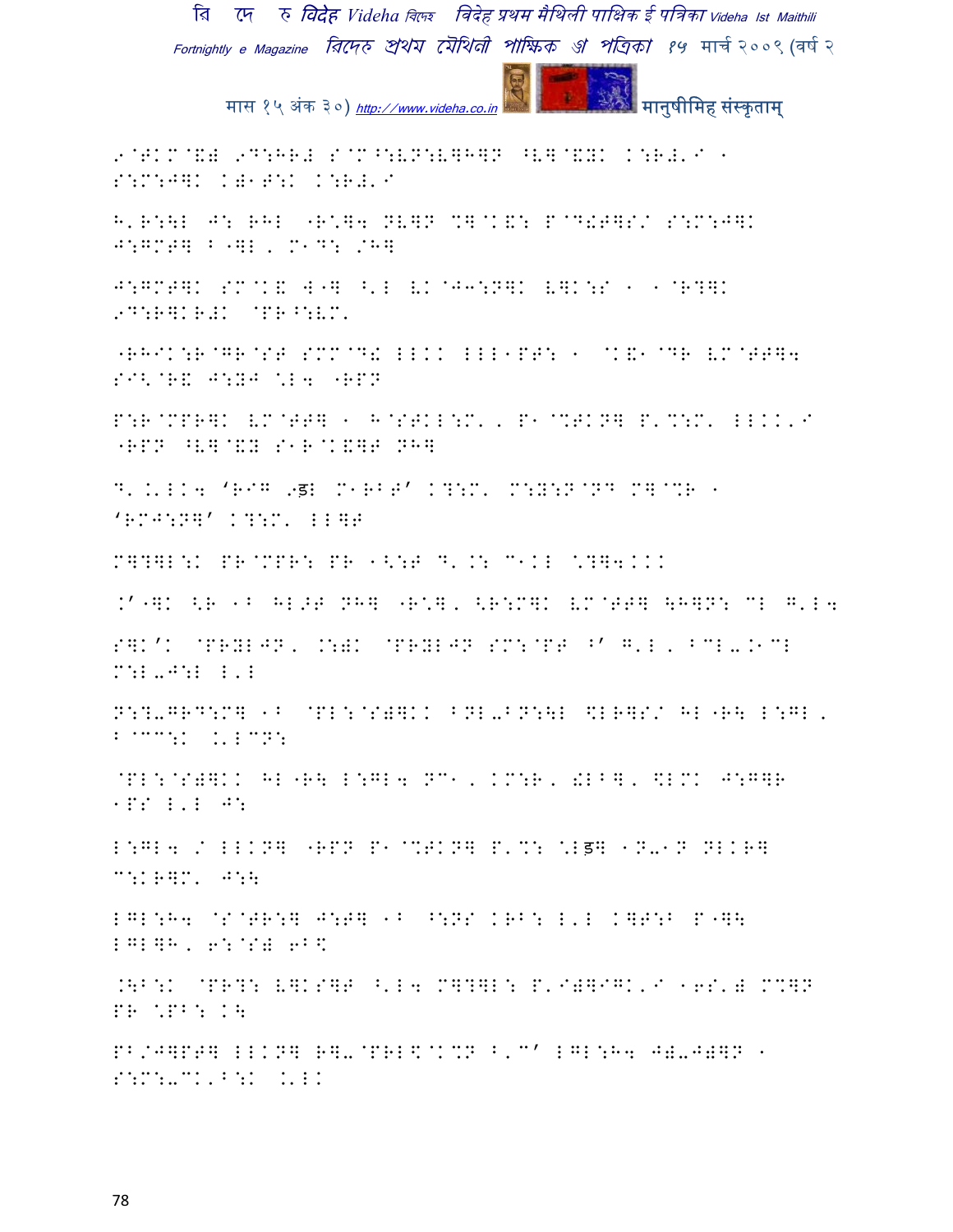मास १५ अंक ३०) http://www.videha.co.in | सामानिक मानुषीमिह संस्कृताम्

9@TKM@&) 9D:HR# S@M^:VN:V]H]N ^V]@&YK K:R#'I 1 S:M:J]K K)1T:K K:R#'I

H.PGHL 4G PHL "ROBE PEBP TH'NEN B'TENBBN SGNORBE J:GMT] B"]L, M1D: /H]

JOSHIN KINDE HYR SVE EN MANIHE ERINE VOORTHE 9D:R]KR#K @PR^:VM'

 $R$  . Respectively the control of the control of the control problem  $R$ SIM THE SIM REPORT

P:R@MPR]K VM@TT] 1 H@STKL:M', P1@%TKN] P'%:M' LLKK'I  $R$  . Renovation is the problem of the problem  $R$ 

B. LANG YEAR GENT-BIAN INDIA CONDISTING THOUGH Y: MI:NI: M' L'ILL | HI:

MARINE MARKET COMMANDER PRODUCED AND ARRESTS OF THE CONTRACTOR

.'"]K <R 1B HL>T NH] "R\*], <R:M]K VM@TT] \H]N: CL G'L4

STAD YOU CAR BALLARY ON ONE OF PRYLIN SAMILY SMILL BOOK OF THE WORLD OF THE WORLD OF THE WORLD OF THE WORLD OF W:L:L:L:L

N:?-GRD:M] 1B @PL:@S)]KK BNL-BN:\L \$LR]S/ HL"R\ L:GL, BOOK: C: ESTIMA

@PL:@S)]KK HL"R\ L:GL4 NC1, KM:R, !LB], \$LMK J:G]R 1PS LL PR

L:GL4 / LLKN] "RPN P1@%TKN] P'%: \*Lड़] 1N-1N NLKR] C:KRI G:

LGL:H4 @STR:H4 @STR:H4 @TR:H4 @TR:H4 & LL K\_L K LGL]H, 6:@S) 6B\$

.\B:K @PR?: V]KS]T ^'L4 M]?]L: P'I)]IGK'I 16S') M%]N PR NEWS 18

PROVINCE LECTS RELIGIOS SOME LOW LACKS HELFER A S: M: CH'B: CA'B: CA'B: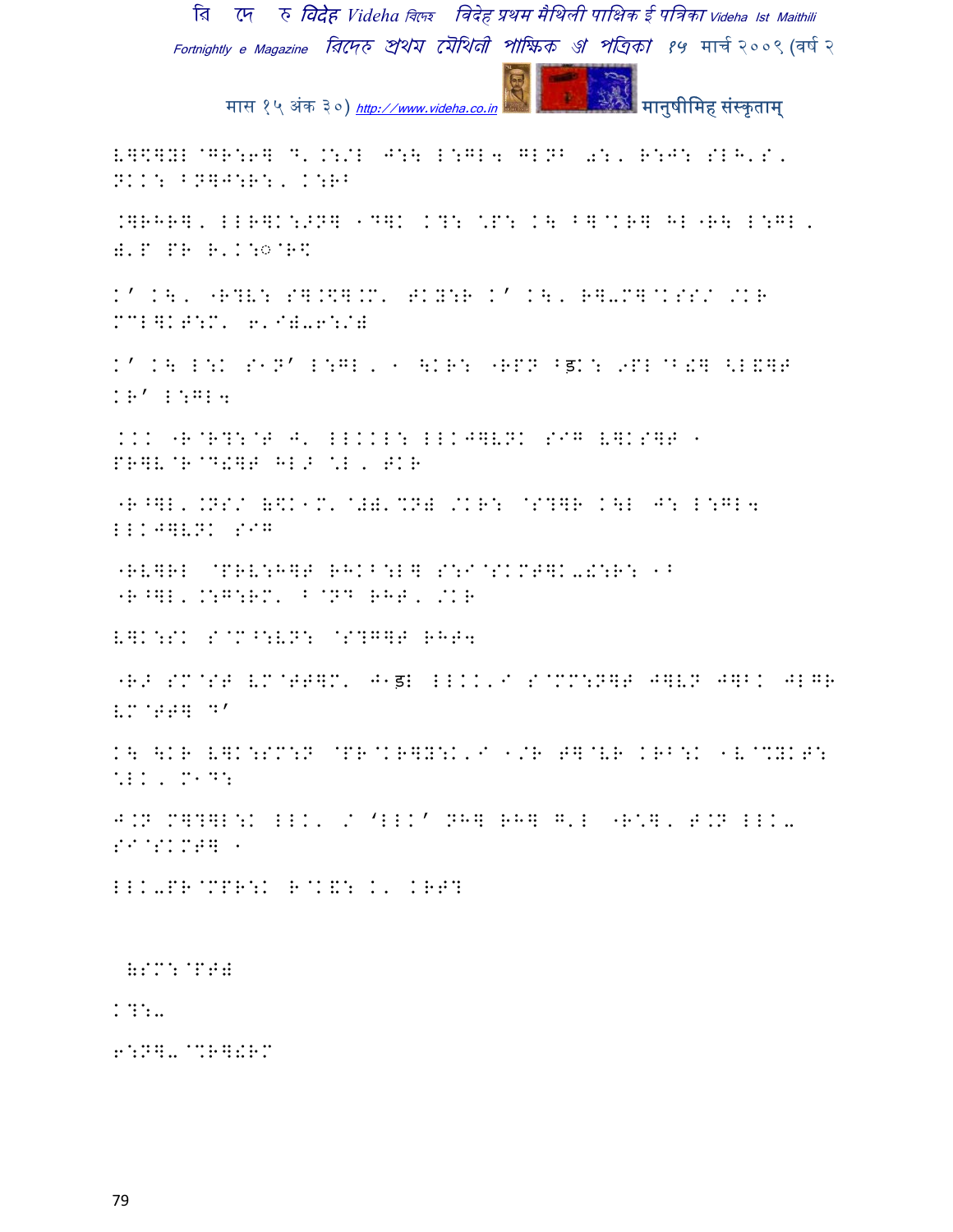मास १५ अंक ३०) http://www.videha.co.in स्थितीया मानुषीमिह संस्कृताम्

V]\$]YL@GR:6] D'.:/L J:\ L:GL4 GLNB 0:, R:J: SLH'S, NKK: BNJ.

.]RHR], LLR]K:>N] 1D]K K?: \*P: K\ B]@KR] HL"R\ L:GL, )'P PR R'K:◌@R\$

 $K\setminus K$  is the second of the control  $K$  . The control  $K$  is the control  $K$  control  $K$  and  $K$ MCLINE AND ALL AND AND ALL AND ALL AND ALL AND ALL AND ALL AND ALL AND ALL AND ALL AND ALL AND ALL AND ALL AND

K' KOR' BOAT KOMPONIE KOMMUNIST (1991) (1991) EEN BEGING BEGIN BEGING BEGING BEGING BEGING BEGING BEGING BEGIN KR' L:GL4

 $.111$  ,  $.011$  ,  $.011$   $.011$  ,  $.011$   $.011$   $.011$   $.011$   $.011$   $.011$   $.011$   $.011$   $.011$   $.011$   $.011$   $.011$   $.011$ PR PRIME A POST PRESS, PRIME A POST PRIME A POST PRIME AND A POST PRIME AND A POST PRIME AND A POST PRIME AND <br>POST PRIME A POST PRIME A POST PRIME A POST PRIME AND A POST PRIME AND A POST PRIME AND A POST PRIME AND A POS

 $R$ L'.NS/ ( $R$ ).NS/ ( $R$  ,  $R$  ,  $R$  ,  $R$  ,  $R$  ,  $R$  ,  $R$  ,  $R$  ,  $R$  ,  $R$  ,  $R$  ,  $R$  ,  $R$  ,  $R$  ,  $R$  ,  $R$  ,  $R$  ,  $R$  ,  $R$  ,  $R$  ,  $R$  ,  $R$  ,  $R$  ,  $R$  ,  $R$  ,  $R$  ,  $R$  ,  $R$  ,  $R$  ,  $R$  ,  $R$  ,  $R$  ,  $R$  ,  $R$ LLIMAR SIGNAL

"REDIES" (TELESAIR BASSASI DENGAN KANAL KERA "R^]L'.:G:RM' B@ND RHT, /KR

KA:SK SMOG SAMPLE CHANNEL

 $R$  . The small contribution of  $\overline{S}$  is the same  $\overline{S}$  in  $\overline{S}$  is the same  $\overline{S}$  and  $\overline{S}$  and  $\overline{S}$  and  $\overline{S}$  and  $\overline{S}$  and  $\overline{S}$  and  $\overline{S}$  and  $\overline{S}$  and  $\overline{S}$  and  $\overline{S}$  and  $\overline{S$ VM@TT] D'

K\ \KR V]K:SM:N @PR@KR]Y:K'I 1/R T]@VR KRB:K 1V@%YKT: \*LK, M1D:

J.N M]?]L:K LLK' / 'LLK' NH] RH] G'L "R\*], T.N LLK-SIMPLE 1

LLK-PR@MPR:K R@K&: K' KRT?

(SM: TOP)

 $\mathbb{R}^n$ 

6:N]-@%R]!RM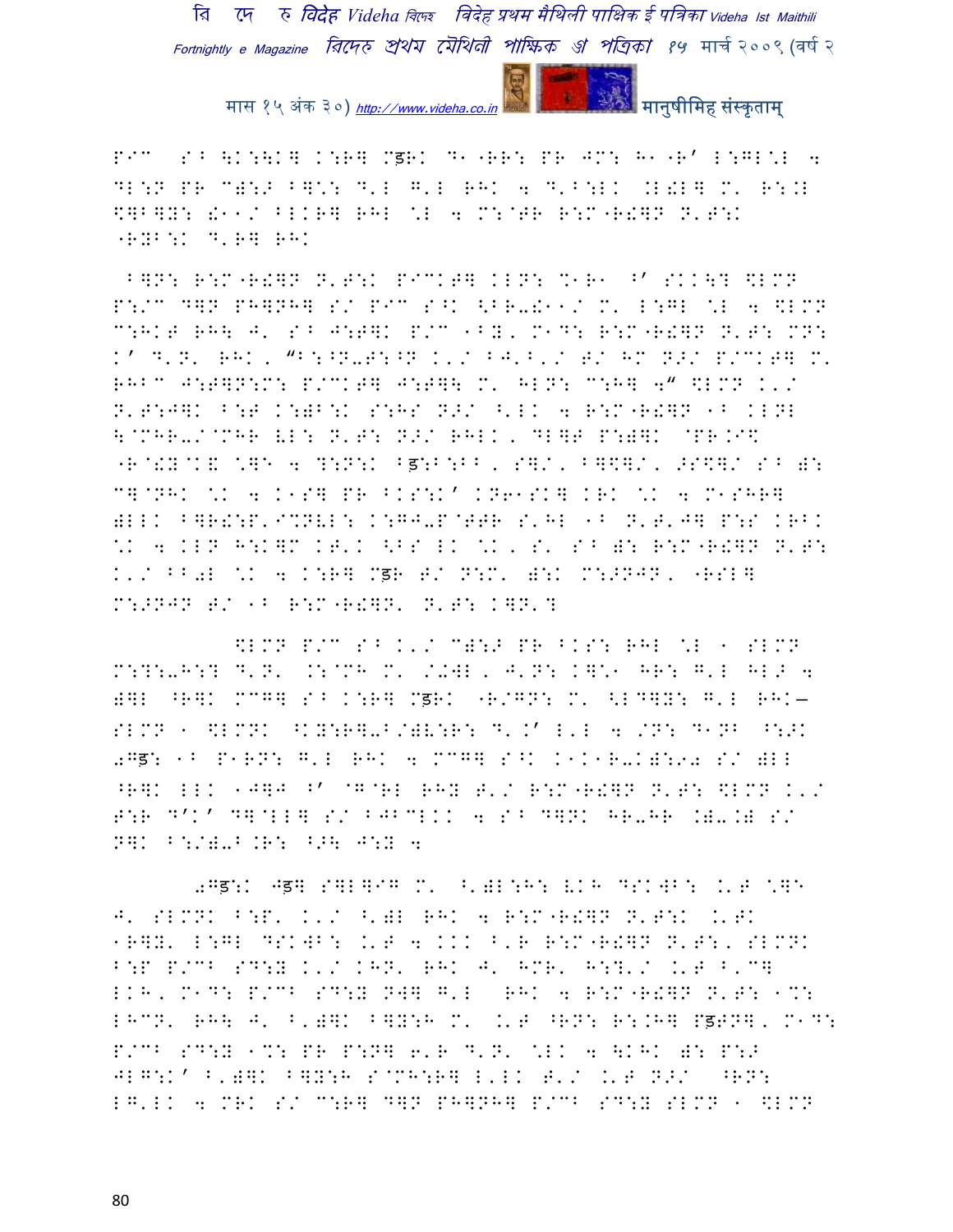मास १५ अंक ३०) <u>http://www.videha.co.in</u><br>| मानुषीमिह संस्कृताम्

PIC SO RESERVE SHE TSH DI HE: PR JM: H1 H1"RY BIHINE 4 DESPITE CASA PRINT DI PLETERIT A DIPRIMI DE ALRICA ESTE \$]B]Y: !11/ BLKR] RHL \*L 4 M:@TR R:M"R!]N N'T:K "RYB:K D'R] RHK

BIN: R:M"R: R:M"R: R:M"R: "R:M"R: R:M"R: "D: Pick" (For State State State State St P:/C D]N PH]NH] S/ PIC S^K <BR-!11/ M' L:GL \*L 4 \$LMN C:HKT RH\ J' S^ J:T]K P/C 1BY, M1D: R:M"R!]N N'T: MN: K' D'AI RHK, "B:`NENEN D'AI BEN' BI BI BI DEI BICHE D' RHBC J:T]N:M: P/CKT] J:T]\ M' HLN: C:H] 4" \$LMN K'/ N'T:J]K B:T K:)B:K S:HS N>/ ^'LK 4 R:M"R!]N 1B KLNL \@MHR-/@MHR VL: N'T: N>/ RHLK, DL]T P:)]K @PR.I\$  $\mathcal{A}$ e tribit in the term of the part of step in the step  $\mathcal{A}$  , and  $\mathcal{B}$  is the step in the step  $\mathcal{B}$ CA MARI KONG PR BKS: KISANG KANG ERANG KANG KANG AK MASAHARI K )LLK BARNING: PORLE S'IS SPALLE SARAH (2008) PER TR SERVE DISENTS SYMBOL \*K 4 KLN H:K]M KT'K <BS LK \*K, S' S^ ): R:M"R!]N N'T: K./ BB0L \*K 4 K:RE TSR F/ PAT, BAN TAPPP, RESER M:>NJN T/ 1B R:M"R!]N' N'T: K]N'?

 \$LMN P/C S^ K'/ C):> PR BKS: RHL \*L 1 SLMN M:?:-H:? D'N' .:@MH M' /+WL, J'N: K]\*1 HR: G'L HL> 4 )]L ^R]K MCG] S^ K:R] Mड़RK "R/GN: M' <LD]Y: G'L RHK— SLMN 1 \$LMNK ^KY:R]-B/)V:R: D'.' L'L 4 /N: D1NB ^:>K 0GS: 1B P1RN: G.E. RHK 4 MCGH 3-R (11) SAN BILL SY 30 S/ ) ^R]K LLK 1J]J ^' @G@RL RHY T'/ R:M"R!]N N'T: \$LMN K'/ T:R D'K' D]@LL] S/ BJBCLKK 4 S^ D]NK HR-HR .)-.) S/  $H:K \to K$  and  $H:K \to K$  and  $H:K \to K$ 

0GS:K JSS SERVE D. T. BINAN ELA TELEN LIG DE NEV J' SLMNK B:P' K'/ ^')L RHK 4 R:M"R!]N N'T:K .'TK 1R]Y' L:GL DSKWB: .'T 4 KKK B'R R:M"R!]N N'T:, SLMNK B:P P/CB SD:Y K'/ KHN' RHK J' HMR' H:?'/ .'T B'C] LKH, M1D: P/CB SD:Y NW] G'L RHK 4 R:M"R!]N N'T: 1%: LHCN' RH\ J' B')]K B]Y:H M' .'T ^RN: R:.H] Pड़TN], M1D: P/CB SON: POSSESSION FOR PORT OF THE REPORT OF THE PICE JLG:K' B')]K B]Y:H S@MH:R] L'LK T'/ .'T N>/ ^RN: LG'LK 4 MRK S/ C:R] D]N PH]NH] P/CB SD:Y SLMN 1 \$LMN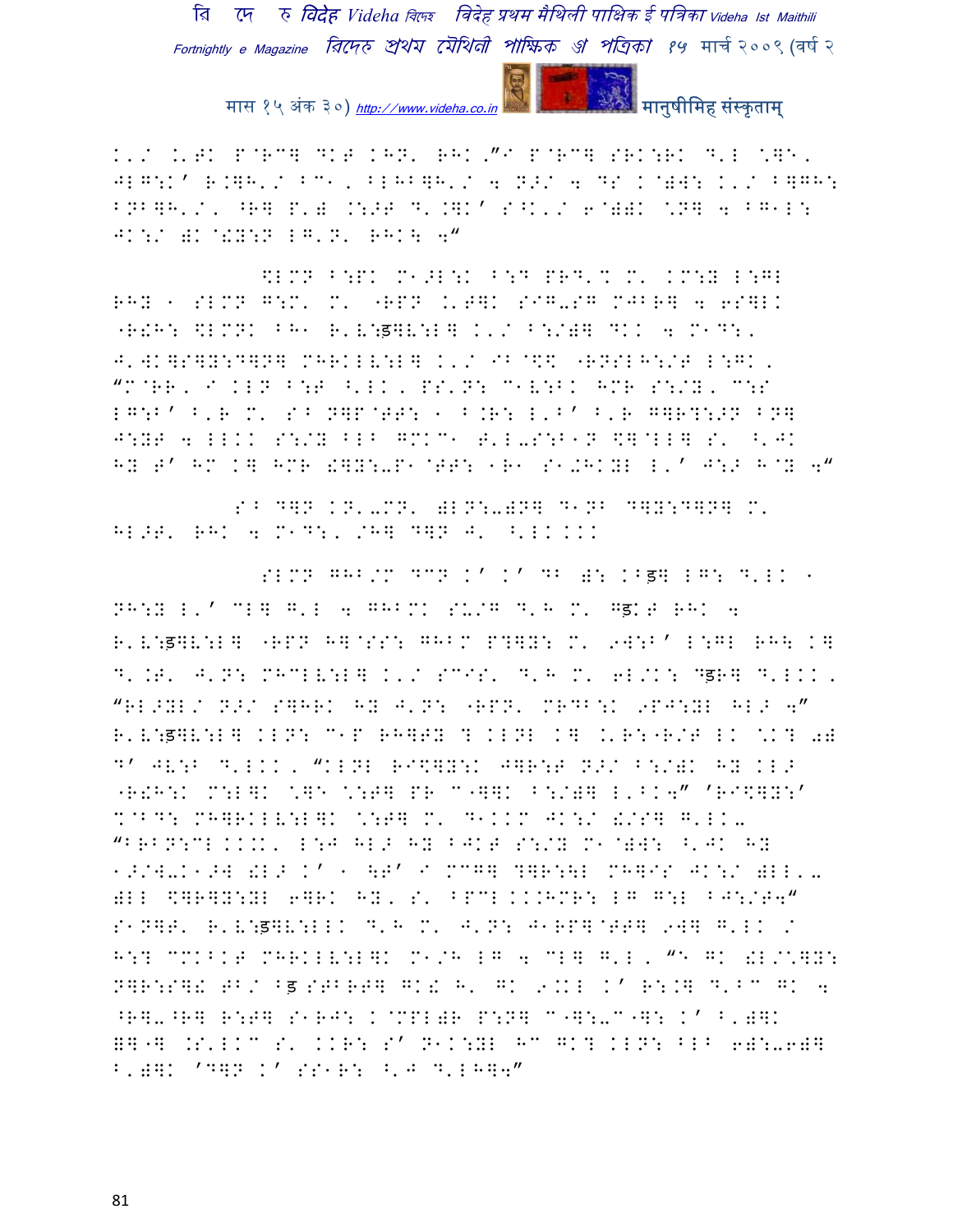मास १५ अंक ३०) http://www.videha.co.in स्थिति क्रिकेश्वरी <mark>मानुषीमिह संस्कृताम्</mark>

K'/ .'TK PORT OF THE THE REPORT OF THE REPORT OF THE REPORT OF THE REPORT OF THE REPORT OF THE REPORT OF THE R JALAMENT ROBAL DO A THOLOGA ARABAL DO ACTAZO ACTA COMBARDO DO DO A BARRE BNBB, MONTHER, BOOK SOME AND A STRING TO A BGIC STATES OF THE REAL INTERFERIES IN THE REAL INTERFERIES OF THE JK:/ )K@!Y:N LG'N' RHK\ 4"

 \$LMN B:PK M1>L:K B:D PRD'% M' KM:Y L:GL RHY 1 SLMN G:M' M' "RPN .'T]K SIG-SG MJBR] 4 6S]LK "RENCH BHORD" FAR CELLES AND LIFE ON DUITER AND HIS CONTROL. JOURN AND THE CONSTRUCTION OF THE SERIES IN THE LI "Married "Married" ("LAN)" ("LAN)" ("LAN)" ("LAN)" ("LAN)" ("LAN)" ("LAN)" ("LAN)" ("LAN)" ("LAN)" ("LAN)" ("L LG:B'R MONT: 1 B.R.: 1 B.R.: 1 B.R.: LAUGHT: 1 B.R.: L'B.R.: L'B.R.: B.R.: L'B.R.: D.B. J:YT 4 LLKK S:/Y BLB GMKC1 T'L-S:B1N \$]@LL] S' ^'JK HO HA PO CH POR ISHONIK "HAN KIKI SA DHO HI LA PAN POR HI

SO DHE SO DIN SHIPLER OF DI DHISTHER D HIST, RHK 4 MANI, /HE NHO 4, ALEXAN

SLOWN GHB/M DON'T AN OUTSTANDING IN THE STATE OF THE STATE OF THE STATE OF THE STATE OF THE STATE OF THE STATE OF THE STATE OF THE STATE OF THE STATE OF THE STATE OF THE STATE OF THE STATE OF THE STATE OF THE STATE OF THE NH:Y L'' CL] G'L 4 GHBMK SU/G D'H M' Gड़KT RHK 4  $R: E: S$  is a constant of  $R$  . The probability of  $R$  is a constant of  $R$  and  $R$  and  $R$  is a constant of  $R$ D'.T' J'N: MHCLV:L] K'/ SCIS' D'H M' 6L/K: Dड़R] D'LKK, "WHI SHIPS TO SHIPLE HIS HIS MINDS OF THE HIS SHIPS IN THE REAL MAND  $\mathcal{P}$ B. L'ISALTI A L'ANTI CHARRE A LIVI (A L'ANTI L'ANTI LE D' JV:B D'LKK, "KLNL RI\$]Y:K J]R:T N>/ B:/)K HY KL> "R!H:K M:L]K \*]E \*:T] PR C"]]K B:/)] L'BK4" 'RI\$]Y:' %@BO: MORE OF MARKED TO MANUSCHE AND DISCOUNT OF DISCOUNT OF MARKED AND DISCOUNT OF DISCOUNT OF DISCOUNT OF DI "BRBN:CL...K' L:J HL> HY BJKT S:/Y M1@)W: ^'JK HY  $\sim$  2008, 2008  $\sim$  2008, 2008, 2008, 2008, 2008, 2008, 2008, 2008, 2008, 2008, 2008, 2008, 2008, 2008, 2008, 2008, 2008, 2008, 2008, 2008, 2008, 2008, 2008, 2008, 2008, 2008, 2008, 2008, 2008, 2008, 2008, 2008, 2008, 20 )LL \$]R]Y:YL 6]RK HY, S' BPCL...HMR: LG G:L BJ:/T4"  $S$ 1900 B: L'ESTINI D'H M' J'N: J'N: J'N: HIT DO H M' H I L H:? CMKBKE MHRKELIE DOOR FAN EN HUTE ALE VIN AN HEIGENSEN N]R:S]! TB/ Bड़ STBRT] GK! H' GK 9.KL K' R:.] D'BC GK 4 ^R]-^R] R:T] S1RJ: K@MPL)R P:N] C"]:-C"]: K' B')]K =]"] .S'LKC S' KKR: S' N1K:YL HC GK? KLN: BLB 6):-6)] B', HHI (ANHIB) IA (BID'EN BID'LHIA (BID'EN BID'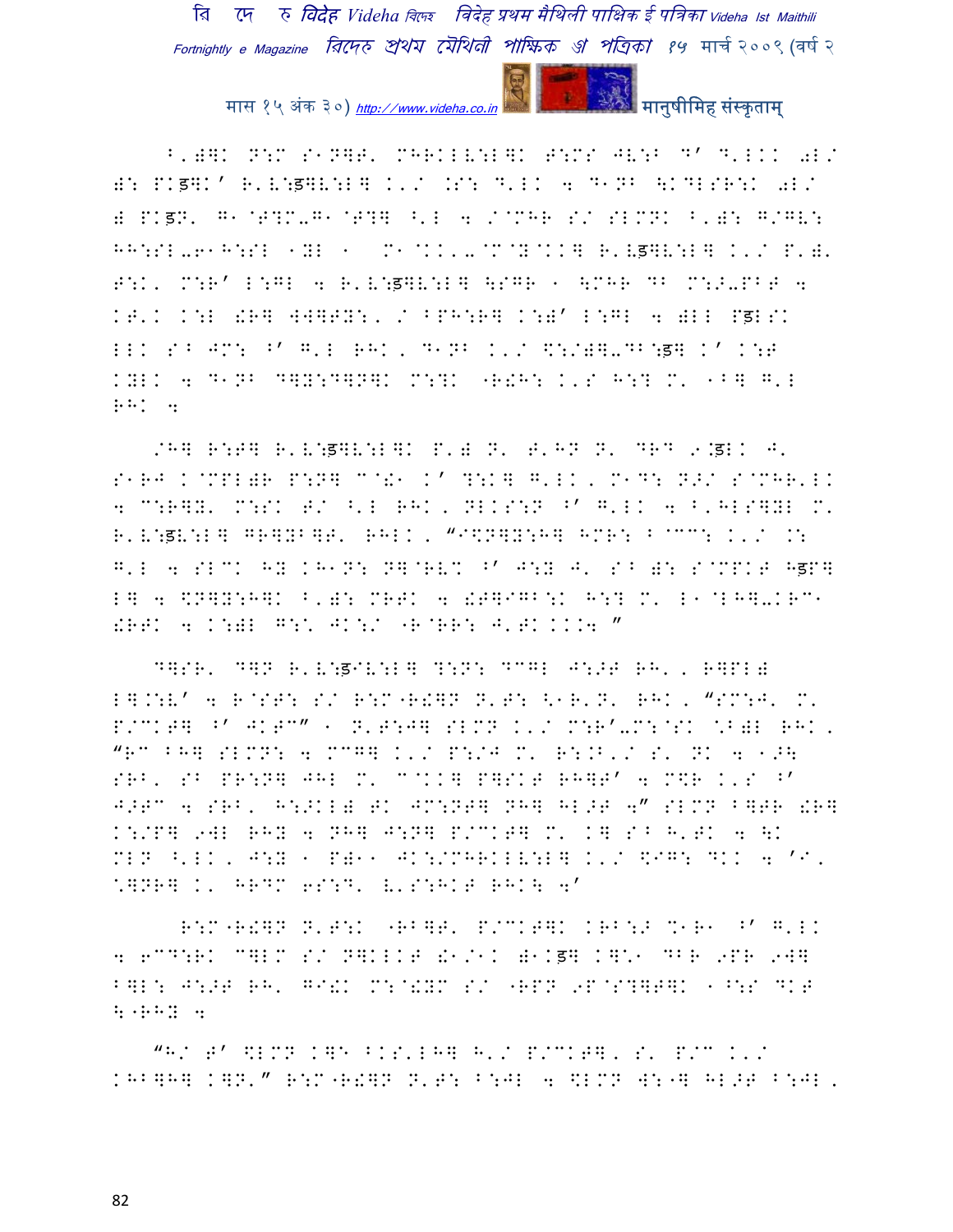मास १५ अंक ३०) http://www.videha.co.in<sup>| सु</sup> सामानीमिह संस्कृताम्

 B')]K N:M S1N]T' MHRKLV:L]K T:MS JV:B D' D'LKK 0L/ ): PKSHI / G. LASHEADH (1.2) (PASTAIL 1 DE PHOP (AICHEAD) (BD ) PKड़N' G1@T?M-G1@T?] ^'L 4 /@MHR S/ SLMNK B'): G/GV: HH:SL-61H:SL 1919 1 M1 1 M1 1 M1 1 M1 1 M1 1 M1 2 M5 20 M1 20 M1 20 M1 20 M1 20 M T:K' M: M' L'ARE A ROLL'EST L'AT AT AT AN DAILY AN DAILY A R KE:L IN WHICH AND ALL IN PERMANENT WAY IN THE CHILIPS OF LLK SO JAME SO JALK SHK, DINAB KILIK KELABANG KELIK KER KYLK 1 D1NB DIYA DIYA DIYA MIRI DIYA MASAR MASA DI SANG DI SA KARA MASAR DI SANG DI SANG DI SANG DI SANG DI SA  $H: \mathbb{R}^n \to \mathbb{R}^n$ 

 /H] R:T] R'V:ड़]V:L]K P') N' T'HN N' DRD 9.ड़LK J' S1RJ K@MPL)R P:N] C@!1 K' ?:K] G'LK, M1D: N>/ S@MHR'LK  $4$  C:There are constructed in eq. ( ). The state  $\mu$  and  $\mu$  are  $\mu$  and  $\mu$  are  $\mu$  and  $\mu$  are  $\mu$ R'V: E. ABEL ARE IN REFERENCE IN HARTS AND BELONG HOT BOOK IN THE HOLDS OF LIGHTING IN LANGUARY BELONGING TO A G'L 4 SLCK HIN: NORTH HIN: NORTH HIN: SOME HIN: SOME LA KRABAHI (LAN TERI 4 EPAPPENI ANT T. E NIPALIET) !RTK 4 K:)L G:\* JK:/ "R@RR: J'TK...4 "

DARY DISRIPS IN REALMENT CARRY OF THE CANADA BAY, I SAFEE BY LA DEL 1994, ROSTER (SIN RESTRATABLE DURA NO REL DURA NO PORTEAU (DURA) P/CORT POSTECT 1 NORTHER PECK IN CONTROL COMMENTS TO A "RC BH] SLMN: 4 MCG] K'/ P:/J M' R:.B'/ S' NK 4 1>\ SRB' SRB' PR:NE MAR MONT RHIT A RAHAM A MAR KYST RM J>TC 4 SRB' H:>KL) TK JM:NT] NH] HL>T 4" SLMN B]TR !R] K:/P# 9WL RHY 4 NH# 41N# P/CH# M. 19 P/F 4.81 & W MLN ^'LK, J:Y 1 P)11 JK:/MHRKLV:L] K'/ \$IG: DKK 4 'I, \*]NR] K' HRDM 6S:D' V'S:HKT RHK\ 4'

R:M R:M R:M N'T: RESERVE EN L'ANGER (1991) P/CH (1991) 4 6CD:RK C]LM S/ N]KLKT !1/1K )1Kड़] K]\*1 DBR 9PR 9W] BOOK GIRS RH' GINE ON SHE'S REPORT OF THE SALE OF THE SALE OF THE SALE OF THE SALE OF THE SALE OF THE SALE OF  $4.4441$ 

MHZ GEK REIDROICHEN FOGOLEHH, HOZOG BIZTOGH, SGO BIZTOOLI KHB HIN HIN KOMA BIN SERING DI RIN SERING DI RINTI DI PERSI DI PERSI DI PERSI L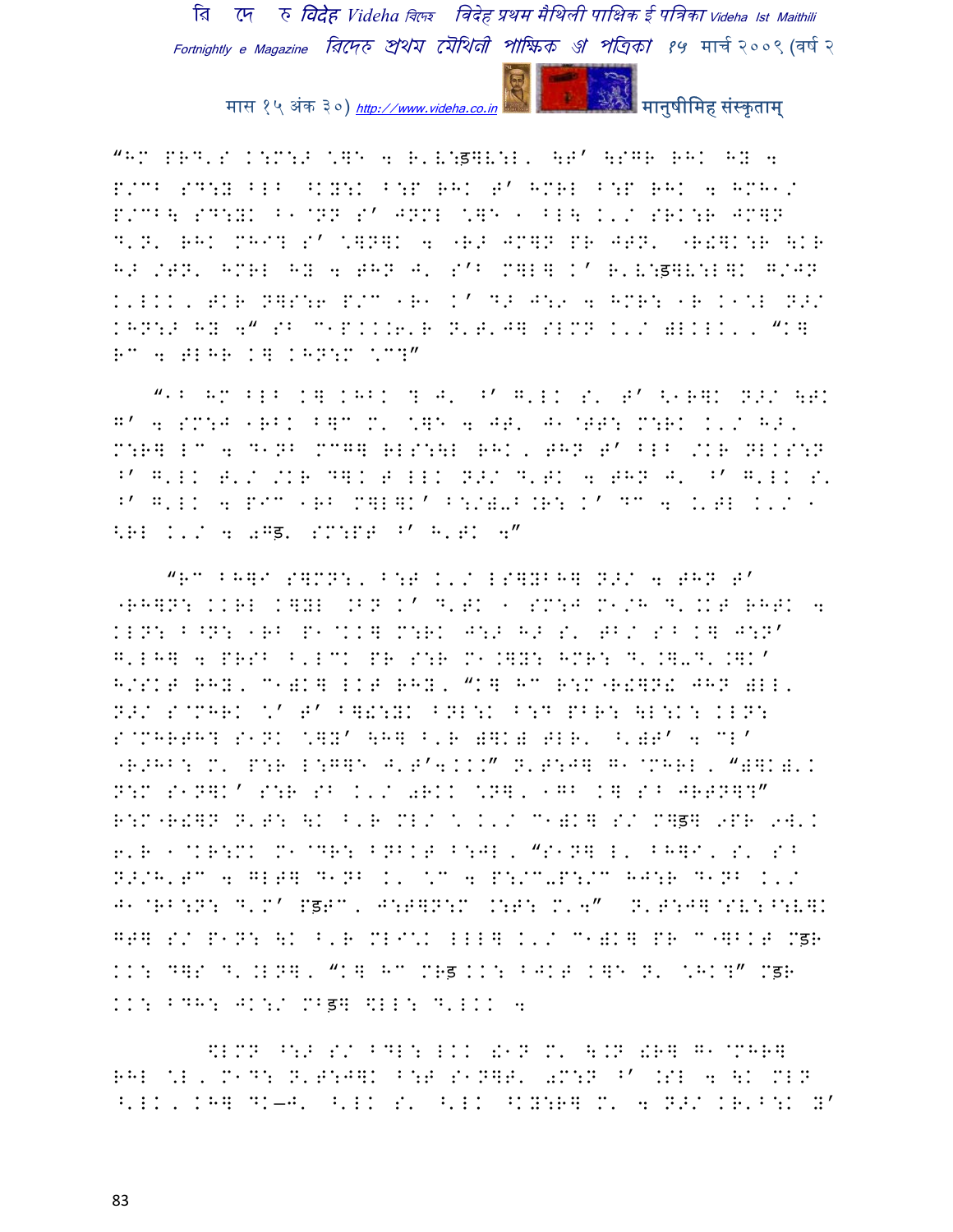मास १५ अंक ३०) <u>http://www.videha.co.in</u><br>| मानुषीमिह संस्कृताम्

"HT PROVISION RED'S KING REALTHERS AND HY 4 P/CB SD:Y BLB ^KY:K B:P RHK T' HMRL B:P RHK 4 HMH1/ P/CB\ SD:YK B1@NN S' JNML \*]E 1 BL\ K'/ SRK:R JM]N D'N' RHK MHI? SY NHIRE A ARA ANG PIR AGE, AREN' NE HI RI HO /HTL HIMP HI 4 HHT 4, 271 THER IY RINGBRINERI RIAT K'LIKK, BIR NAMAR KAN KALIFAT DAN DIRA DI BIRI KHRSA HI 4" SP CHARIOGHLA RLAN SECRITA SLUMANISTIK, "KIN RC 4 HEAR CH CAPET COTA

"N FOL HOST FOR THE RIGHT OF HIS COUNTY HIS CONTROL SERVICE HIS STATEMENT OF THE STATE SERVICE SERVICE SERVICE BY 4 STEP FROM MET TO MEN A PROCHO GREE TEED COONER. MIRE LC 4 DINE MCGRE RLSSHE RHK, RHB RK FIF 218 NHKS:N  $\mathcal{F}^{\prime}$  (F.K. The Decrease of the state  $\mathcal{F}$  and  $\mathcal{F}$  and  $\mathcal{F}^{\prime}$  are stated to  $\mathcal{F}^{\prime}$ A' G'ALK A' BYTH RESTREED AT ANNELLA DENSITY ANN DE BESID LIN (R  $R$  is a control of  $R$  of  $R$  is stated by  $R$  is the  $R$  and  $R$  and  $R$  is  $R$  is  $R$  is  $R$  and  $R$  is  $R$  is  $R$  is  $R$  is  $R$  is  $R$  is  $R$  is  $R$  is  $R$  is  $R$  is  $R$  is  $R$  is  $R$  is  $R$  is  $R$  is  $R$  is  $R$  is  $R$ 

"RC BHE SHIPE, B:B C.Z BSHIPH PRZ 4 FHP F/ "RH]N: KKRL K]YL .BN K' D'TK 1 SM:J M1/H D'.KT RHTK 4 KLN: B^N: 1RB P1@KK] M:RK J:> H> S' TB/ S^ K] J:N' G'LH] 4 PRSB B'LCK PR S:R M1.]Y: HMR: D'.]-D'.]K' H/SKT RHY, C1)K] LKT RHY, "K] HC R:M"R!]N! JHN )LL' N>/ S@MHRK \*' T' B]!:YK BNL:K B:D PBR: \L:K: KLN: SOMMARTH? STRING THROW THAT IT LIFE AT HIS ACLE IT IN A CLIMATE MIL "R>HB: M' P:R L:G]E J'T'4..." N'T:J] G1@MHRL, ")]K)'K N:M S1N]K' S:R SH (100) SHILL NIRTH (1990) IRTH-PREIM R:M"R!]N N'T: \K B'R ML/ \* K'/ C1)K] S/ M]ड़] 9PR 9W'K 6'R 1@KR:MK M1@DR: BNBKT B:JL, "S1N] L' BH]I, S' S^ N>/H'TC 4 GLT] D1NB K' \*C 4 P:/C-P:/C HJ:R D1NB K'/ JA: NEP GOG (P. D'AT' PSETC, JAGAROSON .: DEGETC, HAMI NO. BOBBARG: VELA PGEAD BAR S/ P1N: R/ P.B MENI EER L. CHER PR CHRIFTS KK: DHE RUSHE, "IH AM MHS LIN FALE IHN BU NAI'R MSH KK: BOH: JK: D'ESH SHE: D'ALI

\$LTP ^\$12 EZ FMIN LII & P T. AIP & P # YTHP! RHL \*L, M1D: N. B:PHE \* NR S1NHRL &M:N (8/ .SE) & \$1 .MIN  $\mathcal{H}$  (i.e.  $\mathcal{H}$  )  $\mathcal{H}$  and  $\mathcal{H}$  and  $\mathcal{H}$  are  $\mathcal{H}$  is the state  $\mathcal{H}$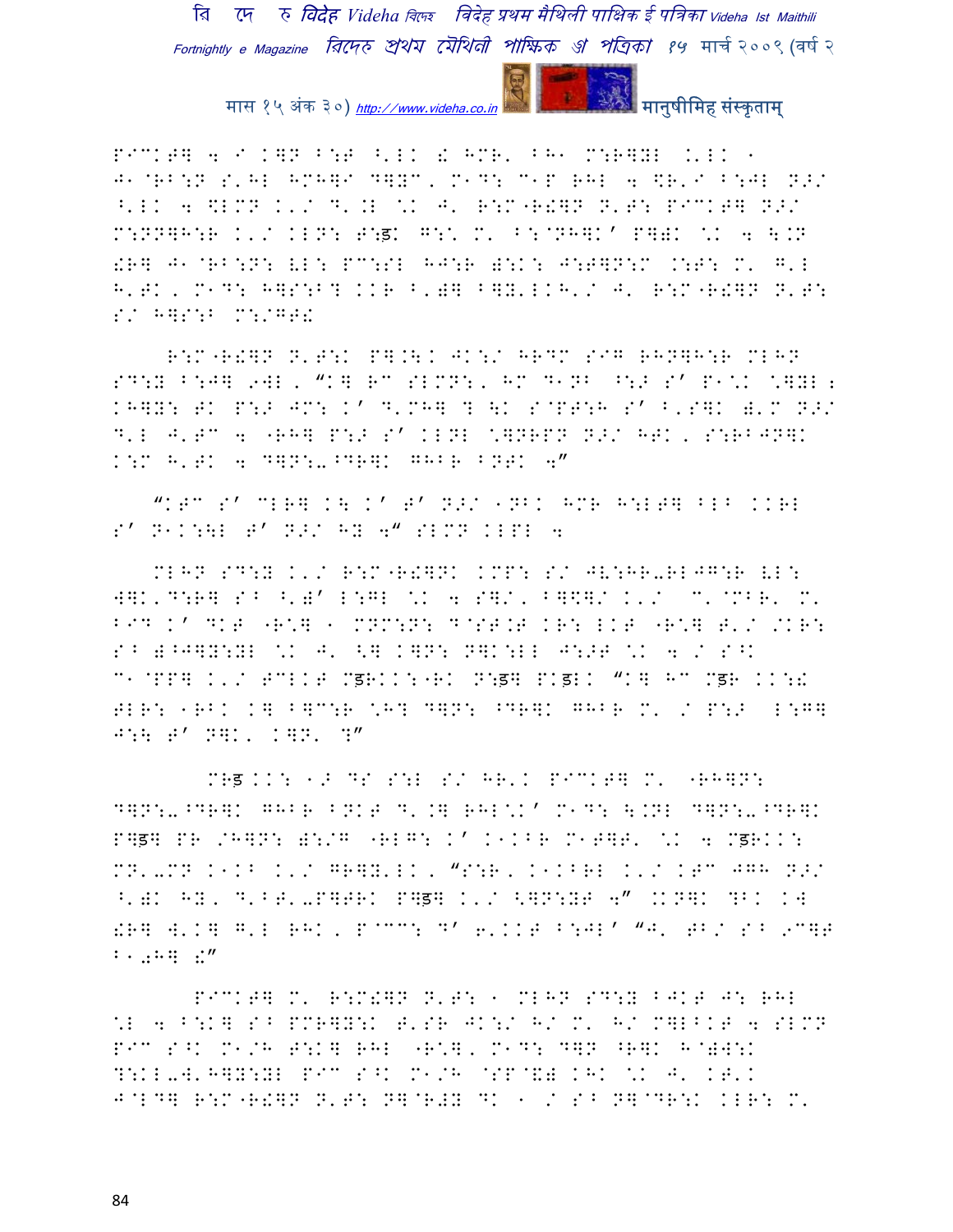मास १५ अंक ३०) <u>http://www.videha.co.in</u><br>| मानुषीमिह संस्कृताम्

PICKT] 4 I K]N B:T ^'LK ! HMR' BH1 M:R]YL .'LK 1 J1@RB:N S'HL HMH]I D]YC, M1D: C1P RHL 4 \$R'I B:JL N>/ ^'LK 4 \$LMN K'/ D'.L \*K J' R:M"R!]N N'T: PICKT] N>/ M:NNEH:R KY/ KENS G:SK G:K MY B: MY BEE A PER A HIS !R] J1@RB:N: VL: PC:SL HJ:R ):K: J:T]N:M .:T: M' G'L HOURD OUTH TH, A BENNA BILO DA CALBERTA BIBLIED AL DICATUR (BHENDICADES) S/ H:B M:/GT M:/GT M:/GT M:/GT M:/GT M:/GT M:/GT M:/GT M:/GT M:/GT M:/GT M:/GT M:/GT M:/GT M:/GT M:/GT M:/GT M

 R:M"R!]N N'T:K P].\. JK:/ HRDM SIG RHN]H:R MLHN SOM: PAR VEL, "ME PT SLOPE, HO D'PLE (P1\*K \*/ P1%) NEBL:  $\mathcal{L}$  PHOSE (FOUR PETS) (2) A satisfies the SMP state problem of  $\mathcal{L}$  and  $\mathcal{L}$  and  $\mathcal{L}$  and  $\mathcal{L}$ D'L J'TC 4 "RH] P:> S' KLNL \*]NRPN N>/ HTK, S:RBJN]K K:M H'TK 4 D]N:-^DR]K GHBR BNTK 4"

"KOLAM" (STACHT SOME HIS KOLAMER HIS KOLAMER HIS KERLING KARLING KARLING KARLING KARLING KARLING KARLING KARLI S' POINT R' NI AM SITE IN A H

 MLHN SD:Y K'/ R:M"R!]NK KMP: S/ JV:HR-RLJG:R VL: WED:PARE 23 ONEX EARD NO A 280, CREED ON THOMAS MOMENTUM BIOT AT DESCRIPTION OF THE THREE REPORTS OF THE RELATIONS OF THE RELATIONS OF THE RELATIONS OF THE R SO PORT ARRESTS AND A CONTROL AND STRIKE A POSSIBLE CONTROL IN THE SOCIAL STATE  $\mathcal{X}^{(k)}$ CHAPPE KIN FORLE MSELLY HE SUSE PISE WIR AS MSE KING TLR: 1RBK K] B]C:R \*H? D]N: ^DR]K GHBR M' / P:> L:G]  $J: \mathbb{R}^n \to \mathbb{R}^n$  (  $\mathbb{R}^n$  )  $\mathbb{R}^n$  . The set of  $\mathbb{R}^n$ 

 MRड़ KK: 1> DS S:L S/ HR'K PICKT] M' "RH]N: DARD BLOG GHBR BOKT DI. BUT DER BAKT DIE MIT DER DIE UNDER WARANT DIE NIEDRICH PASA PR /HAN: 81/8 (REAG) IV (KIPR M) PRAGE MI & MSRIDE MN'-MN K1KB KI/ GRIEGE K'N SIGH KIYIR KILI KETAPA NIN ^')K HY, D'BT'-P]TRK P]ड़] K'/ <]N:YT 4" .KN]K ?BK KW !R] W'K] G'L RHK, P@CC: D' 6'KKT B:JL' "J' TB/ S^ 9C]T  $\mathbb{R}$  be a set of  $\mathbb{R}^n$  :

PATCHE D. GROZER D.HO A DIRAD STOR FROM AN BRI \*L 4 B:K] S^ PMR]Y:K T'SR JK:/ H/ M' H/ M]LBKT 4 SLMN PIC S^K M1/H T:K] RHL "R\*], M1D: D]N ^R]K H@)W:K ?:KL-W'H]Y:YL PIC S^K M1/H @SP@&) KHK \*K J' KT'K J@LD] R:M"R!]N N'T: N]@R#Y DK 1 / S^ N]@DR:K KLR: M'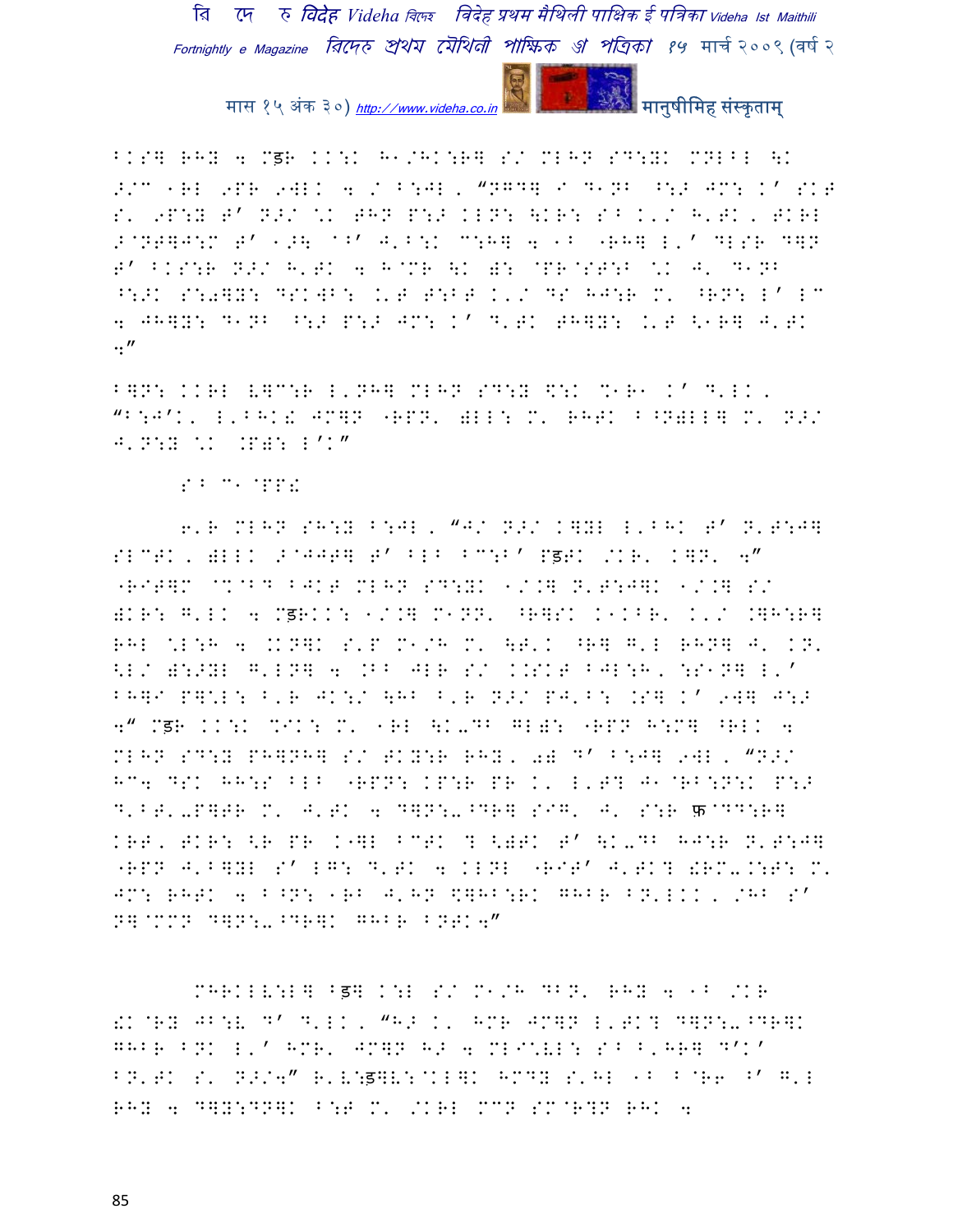मास १५ अंक ३०) <u>http://www.videha.co.in</u><br>सास १५ अंक ३०) <u>http://www.videha.co.in</u>

BK:H RHY 4 MSR KK:K HING:RRIE SA MIRY SPRY SONIE NI >/C 1RL 9PR 9WLK 4 / B:JL, "NGD] I D1NB ^:> JM: K' SKT S' 9P:Y T' N>/ \*K THN P:> KLN: \KR: S^ K'/ H'TK, TKRL >@NT]J:M T' 1>\ @^' J'B:K C:H] 4 1B "RH] L'' DLSR D]N T' BKS:R N>/ H'TK 4 H@MR \K ): @PR@ST:B \*K J' D1NB ^:>K S:0]Y: DSKWB: .'T T:BT K'/ DS HJ:R M' ^RN: L' LC 4 JHEN THI Y: DATE YE ANG IY TIN AHEN IIK KAR AIR  $\cdot$ :  $^{\prime\prime}$ 

B'ADS (1981) EATSE EVIRAG DERD BIRG KSD (DVER) 17 M.E.C.V "P:J'A'K' L'O B'L'A' ROSH BOYN' (PERDI )L'ABHK BOYN'LLI MA PORTABLE BOYN'LLI D'AVIL J'N: WORLD AND THE ROOM OF A STATE OF A STATE OF A STATE OF A STATE OF A STATE OF A STATE OF A STATE OF A STATE

So Control

 6'R MLHN SH:Y B:JL, "J/ N>/ K]YL L'BHK T' N'T:J] SLCTRI , ALLE I ACTARARE AN FIFT BCTH MUSS CONSTRUCTION AN "RIT]M @%@BD BJKT MLHN SD:YK 1/.] N'T:J]K 1/.] S/ )KR: G'LK 4 Mड़RKK: 1/.] M1NN' ^R]SK K1KBR' K'/ .]H:R] RHL \*L:H 4 .KNAN K.K.T.K.H M. GALI (BH) A. SANA G.K. <L/ ):>YL G'LN] 4 .BB JLR S/ ..SKT BJL:H, :S1N] L'' BHAN PANEN BIR ADNI AR SUR DAI PAIRN INA DIA D'AAR ANA 4" Mड़R KK:K %IK: M' 1RL \K-DB GL): "RPN H:M] ^RLK 4 MLHN SD:Y PH]NH] S/ TKY:R RHY, 0) D' B:J] 9WL, "N>/ HT4 DSK HHSK FER HHERE CESE ER C. FLAT HHIS SPECTORS D. PEL LEARE ON SALES SURFACEARE PORT OF SIGN WORKER KRT, TKRISK RE PR . 1981 (PORT RARI) PA SLOVE APRIL D. PRAG "RPN J'B]YL S' LG: D'TK 4 KLNL "RIT' J'TK? !RM-.:T: M' JM: RHTK 4 B^N: 1RB J'HN \$]HB:RK GHBR BN'LKK, /HB S' N]@MMN D]N:-^DR]K GHBR BNTK4"

 MHRKLV:L] Bड़] K:L S/ M1/H DBN' RHY 4 1B /KR !K@RY JB:V D' D'LK, "H> K' HMR JM]N L'TK? D]N:-^DR]K BHF BN FORD GEL YN HOPBYL GROBBR HOP GEL OF POLEER GER D'K D'HRBEN DYC Y BN'TK S' NORMA R'EST STEATH S' S' G'UN S' G'LL 19 BO BO G'LL RHY 4 D]Y:DN]K B:T M' /KRL MCN SM@R?N RHK 4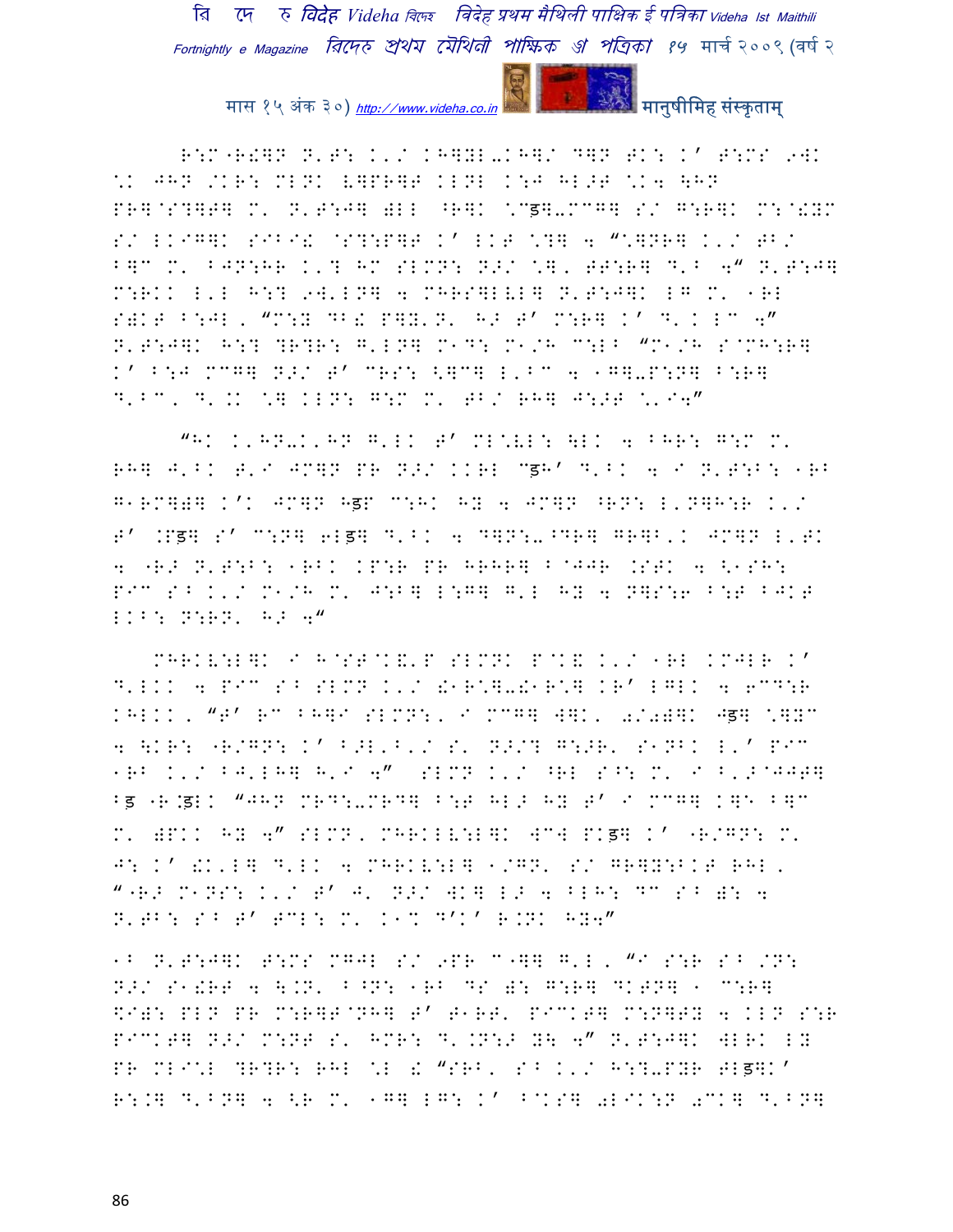मास १५ अंक ३०) <u>http://www.videha.co.in</u><br>| मानुषीमिह संस्कृताम्

RYM READY RIGHT IN A CHANNEL HAN DAN HIS 17 STATE 1981 T. J. HAR VI EN VERD KINNER I FRED TIE ALDE ALDE TIE HUNDE PRESERVENT DIG ANDER ALL SPRINGS SINGER AN ANGEL ON SALT S/ EC/PHI S/PP/S/ METHE C/ ECF NTH 4 "NHPPH C.2 FP/ BET M. PARTHE K. BAN SLMAT RAN NE. SATES T.P. AN D. STAR MYEN LO HOLE CHERT WHO ESPECIAL MENSIONES HORE IN A MEN DOWN A HERO S)KT B:JL, "M:Y DB! P]Y'N' H> T' M:R] K' D'. LC 4" D:JR HAI: ?R H G'E GEGER HI: E DIROCTA MA CONTA MORT MONT D'A COMPARA HI K' B:J MCG] N>/ T' CRS: <]C] L'BC 4 1G]-P:N] B:R] D'EST, D'INSTERT HIT TU AND ANAM NUMBER

MAI KILABULI ABHALI HA GA MINIBI GOBI A DOGO A BAGO BGDOMI RHE JR, FOC BUS CADED (BR) DIANCON BE COBA 4 IN NO. 1891 IN NORTH A RE GH) BOTHER (1991) (HORD). HISP (1994). HO: HO HORD: LIPPER (1994). LOCAL COMPONENTS TE AIL .PESTE S' C'AILET D'AILS BRITAIN L'ON D'ANNE D'AIL .PRIS D'AILS D'AILS D'AILS D'AILS D'AILS D'AILS D'AI 4 "R> N'T:B: 1RBK KP:R PR HRHR] B@JJR .STK 4 <1SH: PIC S^ K'/ M1/H M' J:B] L:G] G'L HY 4 N]S:6 B:T BJKT LKB: N:RN' H> 4"

 MHRKV:L]K I H@ST@K&'P SLMNK P@K& K'/ 1RL KMJLR K' D'LKK 4 PIC S^ SLMN K'/ !1R\*]-!1R\*] KR' LGLK 4 6CD:R KHLKK, "WA BH" PHON SLOVE, I MCHO AND AND WIND ASH NAO' 4 ACHA (BOMBA CY BULLICA) SOCH MADE (PIDE L'ELY BY" 1RB K'/ BJ'LH] H'I 4" SLMN K'/ ^RL S^: M' I B'>@JJT] Ps (P.S) New Server Process (P.S. Head and A. S. School Co. P. MI (BECO) PG (41 SEMBO MPROFESED PC (474) ECBR O11 (PROPPECT) J: K' !K'L] D'LK 4 MHRKV:L] 1/GN' S/ GR]Y:BKT RHL, "HIS TRINING IN HOURS: HIS 418 BLF 4 FERR TO STEER 4 N'TB: S^ T' TCL: M' K1% D'K' R.NK HY4"

1B N'T:J]K T:MS MGJL S/ 9PR C"]] G'L, "I S:R S^ /N: NO STANDA A NO STATA DE SERVAS DE PIDA DISPARA VIGOS \$I): PLN PR M:R]T@NH] T' T1RT' PICKT] M:N]TY 4 KLN S:R PATCHE DUL TADE PL'HTEA D'.NDAU DE HK DLEAHED HEED EO PR MESSE ?RRIEL RHE SE & MERRO ER LOS PIELPIR REȘHOY R:.] D'BN] 4 <R M' 1G] LG: K' ^@KS] 0LIK:N 0CK] D'BN]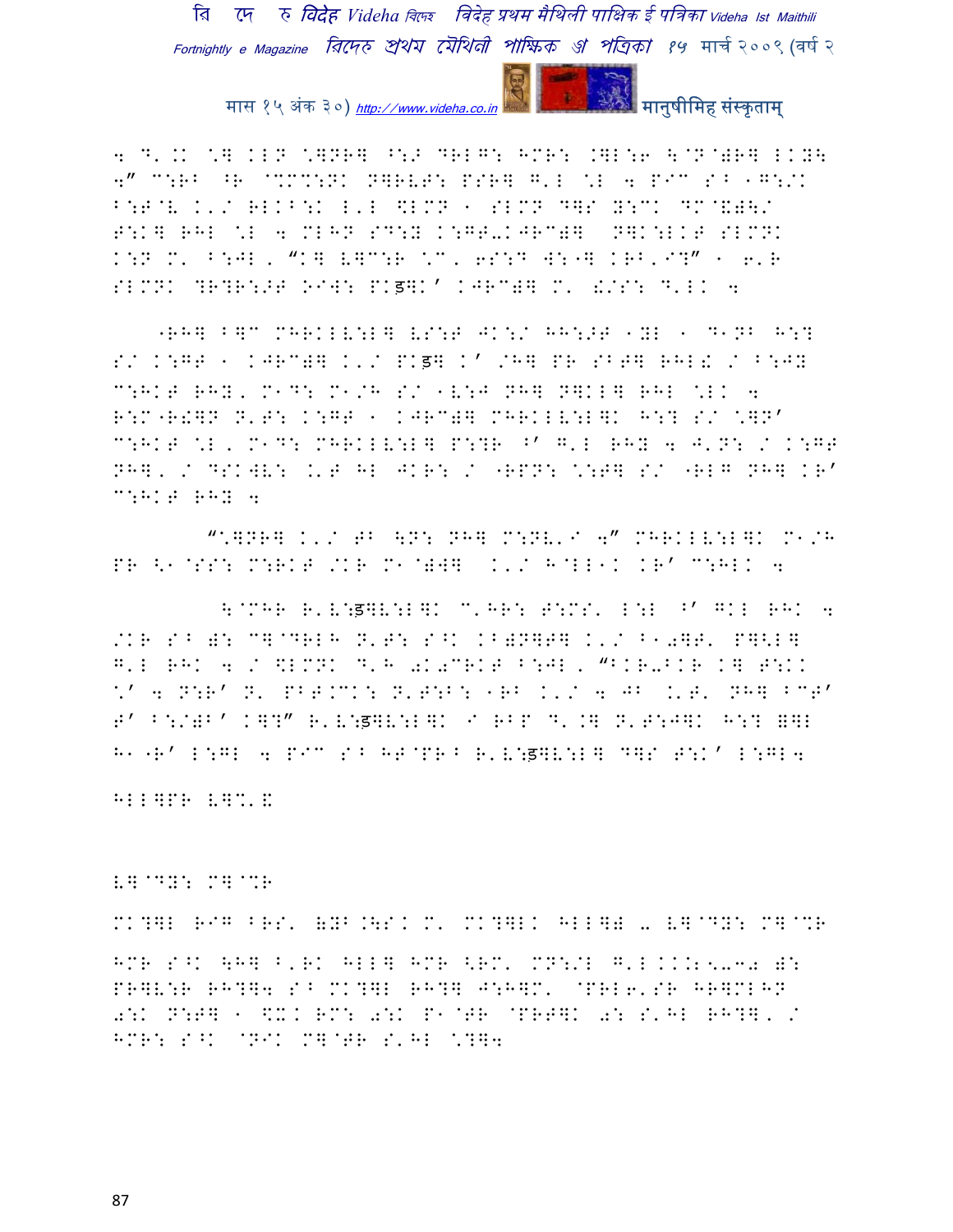मास १५ अंक ३०) <u>http://www.videha.co.in</u><br>सास १५ अंक ३०) <u>http://www.videha.co.in</u>

4 J.K \*: DAR \*: DRLG: HMR: HMR: HMR: . DRLG: HMR: 10 DRLG: 10 DR  $4$ " T:RP (R) COURSE, PHRING PERR P.E AL 4 PIC EP (R) (PG) B:T@VELLENCESSEE REPORTS TO STAND THE SECOND DISTURBANCE T:K] R: RHL \* NL 4 ML 71 HR. SOMAR SOMARALI HROGHE (1981) NASSA SLORIS K:N MY B:JL, "KI LETER AT, 6S:D GRAE (BRIAT" ) 6.5 SLOWN REPORT OFFICING PASSED AND ARREST MONEY WORLD A

 "RH] B]C MHRKLV:L] VS:T JK:/ HH:>T 1YL 1 D1NB H:? S/ K:GT 1 KJRC)] K'/ PKड़] K' /H] PR SBT] RHL! / B:JY C:HKT RHY, M1D: M1/H S/ 1V:J NH] N]KL] RHL \*LK 4 R:M"R!]N N'T: K:GT 1 KJRC)] MHRKLV:L]K H:? S/ \*]N' C:HKT \*L, MID: MHRKLEN: R THIR (F #LE) PHI 4 JULIE / KI:GT NH], / DSKWV: .'T HL JKR: / "RPN: \*:T] S/ "RLG NH] KR' THIS RHY 4

"NRDHE COONER ADY DHE CYPELY A" CHECEEYEEN CYON PR AN GEORGIAN MIR WHERE SIZE AND RELATIVE CONTROL AT

 $\#$  (2008) (B): ENSTEEMENT (T): ARN (BANK) (H): T:MS' (H): H: H:MS' (H): H: /KR S^ ): C]@DRLH N'T: S^K KB)N]T] K'/ B10]T' P]<L] B. B'ANN 4 / BENDING DAN BENDING BERKER BERKER BERK \*' 4 N:R' N' PBT.CK: N'T:B: 1RB K'/ 4 JB .'T' NH] BCT'  $H'$  B:1)B' KIN BY ROLLER I ROLLER DO . IN RUSSEL I RESPONSE HERE How How I L:GL 4 PIC SO REPORT RESIDENCE SHE SHE SHE SAID AND A LIGHT  $\epsilon$ 

HILL ROOM

 $\frac{1}{2}$  ,  $\frac{1}{2}$  ,  $\frac{1}{2}$  ,  $\frac{1}{2}$  ,  $\frac{1}{2}$  ,  $\frac{1}{2}$  ,  $\frac{1}{2}$  ,  $\frac{1}{2}$  ,  $\frac{1}{2}$  ,  $\frac{1}{2}$  ,  $\frac{1}{2}$  ,  $\frac{1}{2}$  ,  $\frac{1}{2}$  ,  $\frac{1}{2}$  ,  $\frac{1}{2}$  ,  $\frac{1}{2}$  ,  $\frac{1}{2}$  ,  $\frac{1}{2}$  ,  $\frac{1$ 

MARS' MARK AND MARK ON MY MARK HALL AND MARK ON MARK

HMR SOME SOME RESOURCES SOME SOME SOME SOME SOME SOME SOME PRAGGE RHYS SO MARK RHYS AND ANNO SPRESS SR HRYSHY 0:K N:T] 1 \$X. RM: 0:K P1@TR @PRT]K 0: S'HL RH?], / HMR: S^K @NIK M]@TR S'HL \*?]4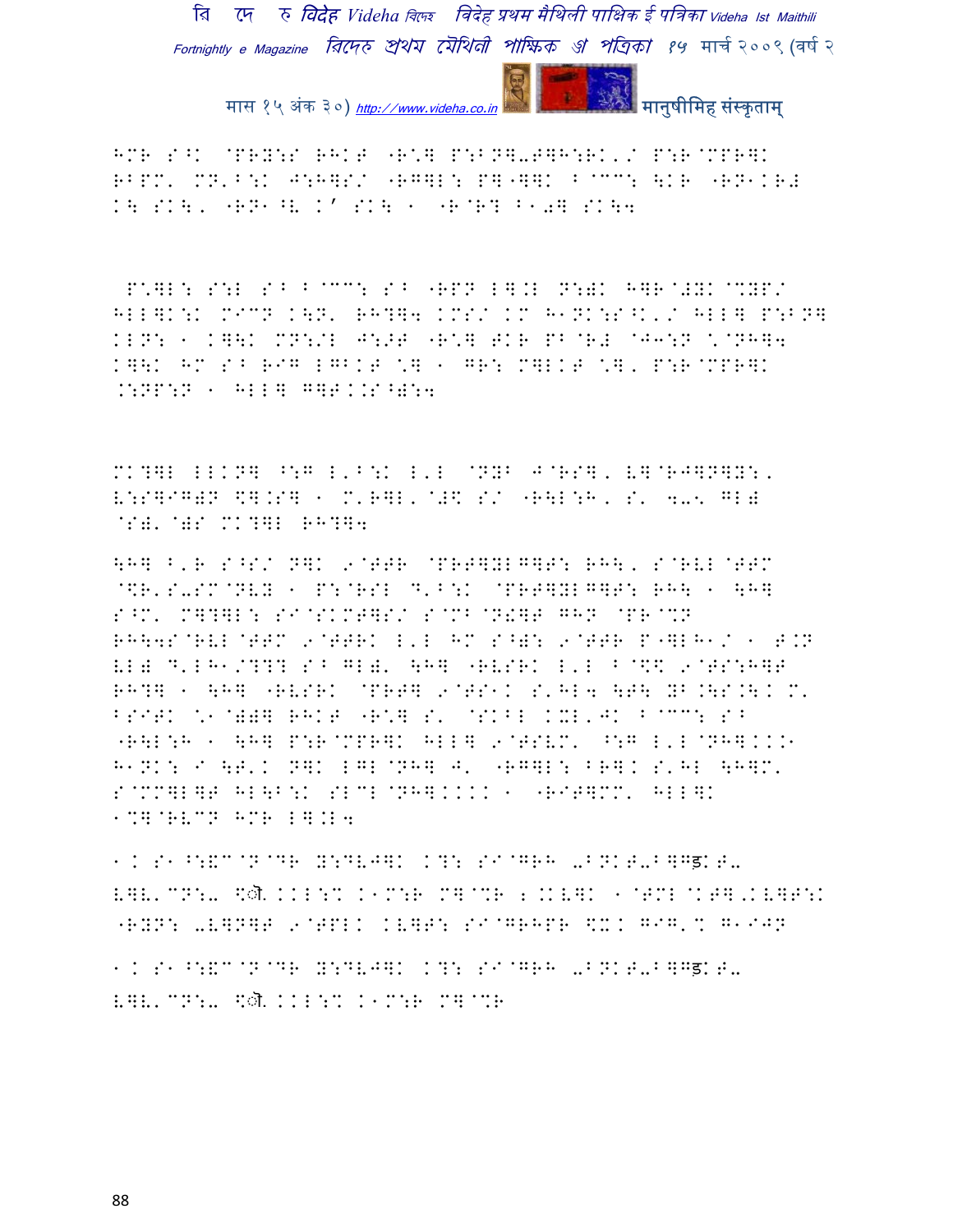मास १५ अंक ३०) http://www.videha.co.in | सामानिक मानुषीमिह संस्कृताम्

HMR S^K @PRY:S RHKT "R\*] P:BN]-T]H:RK'/ P:R@MPR]K RBPM' MN'B:K J:H]S/ "RG]L: P]"]]K B@CC: \KR "RN1KR# KARRISTA SKARR I SKRIFT FRANNSK SKRIFT FRANNSK

POSE S: S:L S:L S:L SO SERVER LE SERVER LIGHT SHE SERVER S HELLED KOMMON CHR. HHRRH CONNO CO HINRI SAN HILLO HELLE BOARDH KLN: 1 K]\K MN:/L J:>T "R\*] TKR PB@R# @J3:N \*@NH]4 KARA SA RIG LAGA SA RIG LGBKT \* 1 GREGORIA ARAB PRI SA RIGHT \* .:NP:N 1 HELP 996 10 MAG

MARRIE LEADER (PAR LISTA) LLE MORD (AMPIREL LE GRANDER),  $\ddotsc$  is the state of  $\ddotsc$  in the same  $\ddotsc$  of  $\ddotsc$  . Since  $\ddotsc$  and  $\ddotsc$ @S)'@)S MK?]L RH?]4

\H] B'R S^S/ N]K 9@TTR @PRT]YLG]T: RH\, S@RVL@TTM @\$R'S-SM@NVY 1 P:@RSL D'B:K @PRT]YLG]T: RH\ 1 \H] SOM MATHIS SOMETHIS SOMETHING WAR ON ME RH\4S@RVL@TTM 9@TTRK L'L HM S^): 9@TTR P"]LH1/ 1 T.N LEB VLEH ZTIT PR MEB. AHR (BLPB) ELE R VON L'HPYRKE RH?BOXORHBOXREZHI "TERRBOX" PRTXIONIAL ALARA DE IRE IRI DOL BSITK THAT RHIE STRIEG AND AN INCOLOR  $\sim$  F-R-1  $\sim$  1  $\sim$  1  $\sim$  HP H  $\sim$  1  $\sim$  1  $\sim$  1  $\sim$  1  $\sim$  1  $\sim$  1  $\sim$  1  $\sim$  1  $\sim$  1  $\sim$  1  $\sim$  1  $\sim$  1  $\sim$  1  $\sim$  1  $\sim$  1  $\sim$  1  $\sim$  1  $\sim$  1  $\sim$  1  $\sim$  1  $\sim$  1  $\sim$  1  $\sim$  1  $\sim$  1  $\sim$  1  $\sim$  1  $\sim$ HA DI NICH NA LIGU DHI JI ARA TURAH JALI SA HHI NIGHA HI DI ALI SHI NIGHA TI " SMONTH REAL AND REAL AND MY HALL COMPANY IN THE REAL AND MY HALL COMPANY IN THE REAL AND MY HALL COMPANY IN TH 1%]@RVCN HMR L].L4

1. S1^:&C@N@DR Y:DVJ]K K?: SI@GRH -BNKT-B]Gड़KT-V]V'CN:- \$◌ॊ. KKL:% K1M:R M]@%R 2.KV]K 1@TML@KT],KV]T:K "RHIPS LEADAR STATES SEARCH \$PTAPPR \$X. GPPLY AVRUP

1. S1^:&C@N@DR Y:DVJ]K K?: SI@GRH -BNKT-B]Gड़KT- $V$  EXECUTE AND RESOURCE AND RELEASED AT  $V$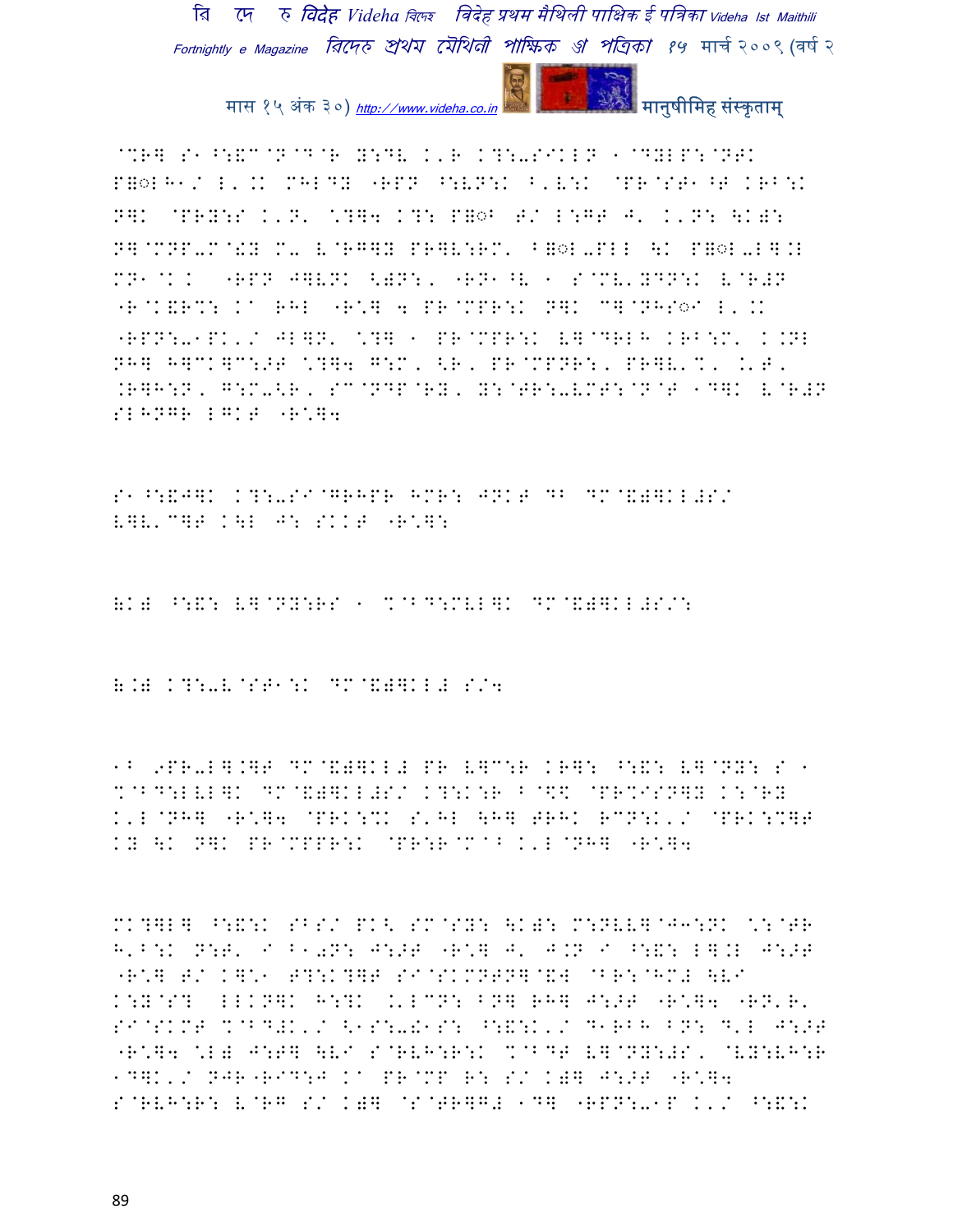मास १५ अंक ३०) http://www.videha.co.in | सामानिक मानुषीमिह संस्कृताम्

@%R] S1^:&C@N@D@R Y:DV K'R K?:-SIKLN 1@DYLP:@NTK PHOEPHIN IS NO THE THOMAS SHERING "RENEW CONSISTENT IN THE CONSISTENT OF THE RENEW OF THE RENEW OF THE RENEW O NAL CARACTER ON THE SALE PHOTOGRAPH CONTROL AND ALL AND ALL AND ALL AND ALL AND ALL AND ALL AND ALL AND ALL AN NA MURELU MES VI M-MARGI PRAEMENT. A BOLIZER (AL INBOLIZAR DE MDA MOKOL "PARDO" PARDO RADORI, "PADA ARTIK" ROMANCI INDIAL DE TRADO "R@K&R%: Ka RHL "R\*] 4 PR@MPR:K N]K C]@NHS◌I L'.K "RPN:-1PK'/ JL]N' \*?] 1 PR@MPR:K V]@DRLH KRB:M' K.NL NH] H]CK]C:>T \*?]4 G:M, <R, PR@MPNR:, PR]V'%, .'T, .R]H:N, G:M-<R, SC@NDP@RY, Y:@TR:-VMT:@N@T 1D]K V@R#N SLHUGH SHIRGHT"

S1^:BB#B2\:B&JK PRPR HMPR HMR: PROPORTED BAC V]V'C]T K\L J: SKKT "R\*]:

(K) ^:&: V]@NY:RS 1 %@BD:MVL]K DM@&)]KL#S/:

(.) K.:-V. K.:-V. K.:-V. K.:-V. K.:-V. K.:-V. K.:-V. K.:-V. K.:-V. K.:-V.

1B 9PR-L].]T DM@&)]KL# PR V]C:R KR]: ^:&: V]@NY: S 1 %@BD:LVL]K DM@&)]KL#S/ K?:K:R B@\$\$ @PR%ISN]Y K:@RY K'L@NHAB| "PRINT TRHK RCH" "RAH" BEAK SEMBELIK NEBKYOHA KY R NA PROVINCE OF REAL PROPERTY OF REAL PROPERTY.

MK?) \*: BERE STORE STORE STORE STORE STORE STORE STORE STORE STORE STORE STORE STORE STORE STORE STORE STORE S H: K N:T' I BN B10N: J: F + G BN B10N: H + P + R I H = LD B10N: L H = L1 = H = L1 = H = B = B "R\*] T/ K]\*1 T?:K?]T SI@SKMNTN]@&W @BR:@HM# \VI K:Y@S? LLKN]K H:RK .LIST .FR PHI H:RK .PINE .PINE SIMT % @BD#KY/ WARD & THE STATE WAS CONSIDERED AND DISCUSSED AND DISCUSSED AND DISCUSSED AND DISCUSSED AND DISCUSSED AND DISCUSSED AND DISCUSSED AND DISCUSSED AND DISCUSSED AND DISCUSSED AND DISCUSSED AND DISCUSSED AND DIS  $\cdot$ 4544 t:Th Sarah and Sarah Sarah Sarah Sarah Sarah Sarah Sang Dan Sarah Sarah Sang Dan Sarah Sarah Sang Dan 1D]K'/ NJR"RID:J Ka PR@MP R: S/ K)] J:>T "R\*]4 S@RVH:R: V@RG S/ K)] @S@TR]G# 1D] "RPN:-1P K'/ ^:&:K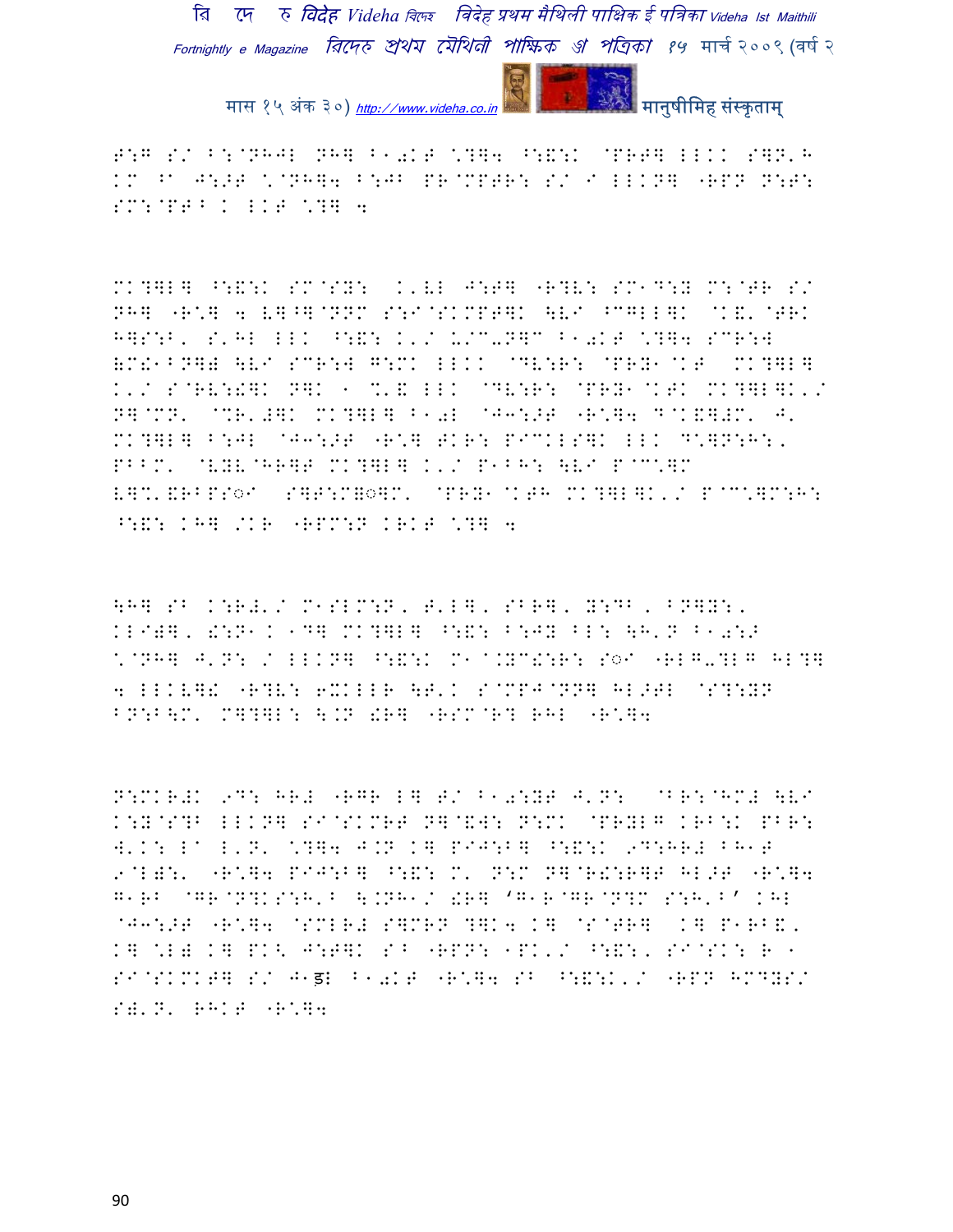मास १५ अंक ३०) http://www.videha.co.in | सामानिक मानुषीमिह संस्कृताम्

T:G S/ B:@NHJL NH] B10KT \*?]4 ^:&:K @PRT] LLKK S]N'H KM ^a J:>T \*@NH]4 B:JB PR@MPTR: S/ I LLKN] "RPN N:T: SM: A LAT A LAT A LAT A LAT A LAT A LAT A LAT A LAT A LAT A LAT A LAT A LAT A LAT A LAT A LAT A LAT A LAT A LA

MK?]L] ^:&:K SM@SY: K'VL J:T] "R?V: SM1D:Y M:@TR S/ NHE "ANDE" A VIETE OVIR SOKMOSISKE DE "ALA" POPIERE "VI EL JAFD HASS: STAR LET SAN TITLE ON HAND AND STREET (M!1BN]) \VI SCR:W G:MK LLKK @DV:R: @PRY1@KT MK?]L] K'/ SORIGH: PHI ( T.E EEI OPENS OPEN MAY 10 THER .. NA MN' MON' ANN AN DISTRICT PROFILE AND MANIFE REPORT OF THE TABLE OF THE TABLE OF THE TABLE OF THE MILITARY OF THE MILITARY OF THE TABLE OF THE TABLE OF THE TABLE OF THE TABLE OF THE TABLE OF THE TABLE OF THE TABLE OF THE MACRES B:THE STANDED SECTION BOOKS IN THE BEST POSSESS. PBBM: OWNER MINE MANIFOLIAN AND MUNICIP  $E$  and  $E$  and  $E$  of  $\mathbb{R}^n$  such that  $\mathbb{R}^n$  is the  $E$  and  $E$  and  $E$  and  $E$  and  $E$  and  $E$ ^:&: KH] /KR "RPM:N KRKT \*?] 4

\H] SB K:R#'/ M1SLM:N, T'L], SBR], Y:DB, BN]Y:, KLI)], !:N1. 1D] MK?]L] ^:&: B:JY BL: \H'N B10:> \*@NH] J'N: / LLKN] ^:&:K M1@.YC!:R: S◌I "RLG-?LG HL?]  $4$  Letter (6416)  $\sim$  601 Ee (43) 1 Contrainter (6126)  $\sim$  yn  $\sim$ BN:BN: MORE RECORDS RECORDS AND RECORDS AND RECORDS RECORDS ARE RECORDS AND RECORDS ARE RELEASED AND RECORDS A

N:MIR#K 9D: HR# "RORE E BIO BILIGHE "RUPS" "PESTRUM BER K:Y@S?B LLKN] SI@SKMRT N]@&W: N:MK @PRYLG KRB:K PBR: W. LA LE LO L'ANNE AND LA PIANEA (NEWSLATIAE BHIT 9@L):' "R\*]4 PIJ:B] ^:&: M' N:M N]@R!:R]T HL>T "R\*]4 G1RB @GR@N?KS:H'B \.NH1/ !R] 'G1R@GR@N?M S:H'B' KHL @J3:>T "R\*]4 @SMLR# S]MRN ?]K4 K] @S@TR] K] P1RB&, K] \*L) K] PK< J:T]K S^ "RPN: 1PK'/ ^:&:, SI@SK: R 1 SIMMED SIMPLE SOME SPACE SOME STANDARD STREET S)'N' RHKT "R\*11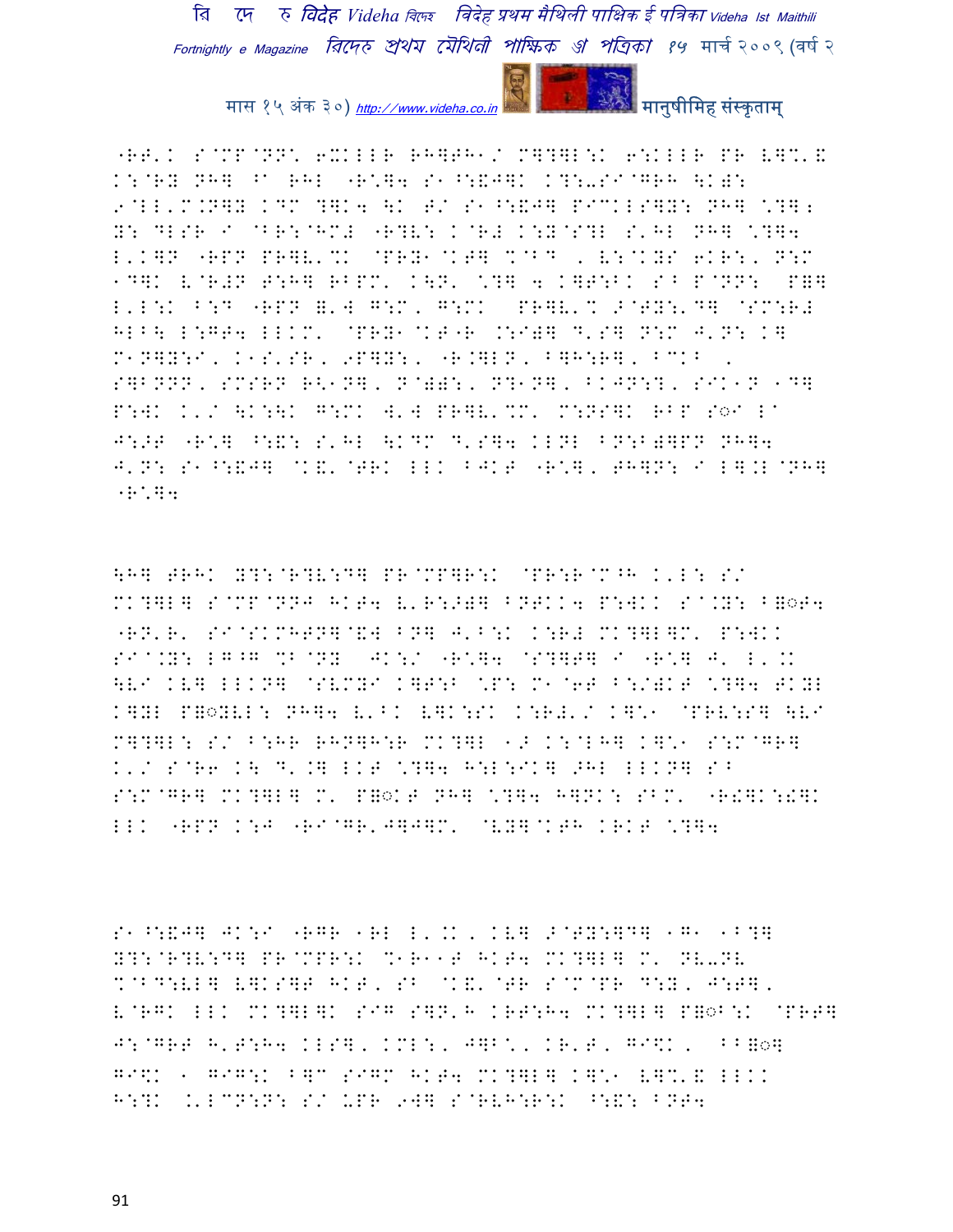मास १५ अंक ३०) http://www.videha.co.in | सामानिक मानुषीमिह संस्कृताम्

 $R$  . The same results of the set of the same results of the same results of the same results of the same results of the same results of the same results of the same results of the same results of the same results of the s K:@RY NH] ^a RHL "R\*]4 S1^:&J]K K?:-SI@GRH \K): 9@LL'M.N]Y KDM ?]K4 \K T/ S1^:&J] PICKLS]Y: NH] \*?]; Y: DLSR I @BR: DRS I @BR: KIR# KR# KI: KIR# "RP# KI## L'K]N "RPN PR]V'%K @PRY1@KT] %@BD , V:@KYS 6KR:, N:M 1D]K V@R#N T:H] RBPM' K\N' \*?] 4 K]T:BK S^ P@NN: P=] L'L:K B:D "RPN ='W G:M, G:MK PR]V'% >@TY:'D] @SM:R# HI:B'IGT4 IICD, 'PRBYLFYR CRAB T.PB PRO 4.PR CB M1N]Y:I, K1S'SR, 9P]Y:, "R.]LN, B]H:R], BCKB , S]BNNN, SMSRN R<1N], N@)):, N?1N], BKJN:?, SIK1N 1D] P:WE K'A'/ B:SH: MARY WAY PRAIL TO PRESS REP SOME J:>T "R\*] ^:&: S'HL \KDM D'S]4 KLNL BN:B)]PN NH]4 J'N: S1^:&J] @K&'@TRK LLK BJKT "R\*], TH]N: I L].L@NH]  $\cdot$  P  $\cdot$  H  $\cdot$ 

\H] TRHK Y?:@R?V:D] PR@MP]R:K @PR:R@M^H K'L: S/ MKRRIE SOMPORTA ANGALISATING PRINTA PANING SOMBOLA "RN'R' SI@SKMHTN]@&W BN] J'B:K K:R# MK?]L]M' P:WKK SI@.Y: LG^G %B@NY JK:/ "R\*]4 @S?]T] I "R\*] J' L'.K  $\overline{u}$  and the state of the state of the state  $\overline{u}$  and K#II: P#@#II: NHQ#II: NH|4 IVA: NH|4 V'BK VIBK VIBK VIBK VIBK VIBK VIBK VIBK M]?]L: S/ B:HR RHN]H:R MK?]L 1> K:@LH] K]\*1 S:M@GR] K./ Sarah Katang Kalimatan Sarah Sarah Sarah Sarah Sarah Samura Sarah Sarah Sarah Sarah Sarah Sarah Sarah Sara SO:MAGRI MATHIT MAGRI MAGRI AND SHINK: SBANGHI MAG LLK "REN KI:J "RIGHE", "RIGHT", "CLIEN "I BASILE", "LIGHE

ST THEAR AND THAN THE TEN RUN LOCKER STARBARD TAN THE REST Y: TO PROTECT THE THE REPORT OF THE REPORT OF THE REPORT OF THE REPORT OF THE REPORT OF THE REPORT OF THE REPORT OF THE REPORT OF THE REPORT OF THE REPORT OF THE REPORT OF THE REPORT OF THE REPORT OF THE REPORT OF THE REPO % MORTH, SAN EXECUTIVE SOME DISTURBANCE OF THE DISTURBANCE OF THE DISTURBANCE OF THE DISTURBANCE. R CHRISTIN MARGARING CONTROL MARGING SIGNER AND STREET J:@GRT H'T:H4 KLS], KML:, J]B\*, KR'T, GI\$K, BB=◌] GREEN A GRAAG: K BIN BRACH MAD HET IN SIGM HAT WAS ALLES AND LIKE H::K .'LEN: SY .'LON: SY .'LLEN: SY .'LLEN: BNT41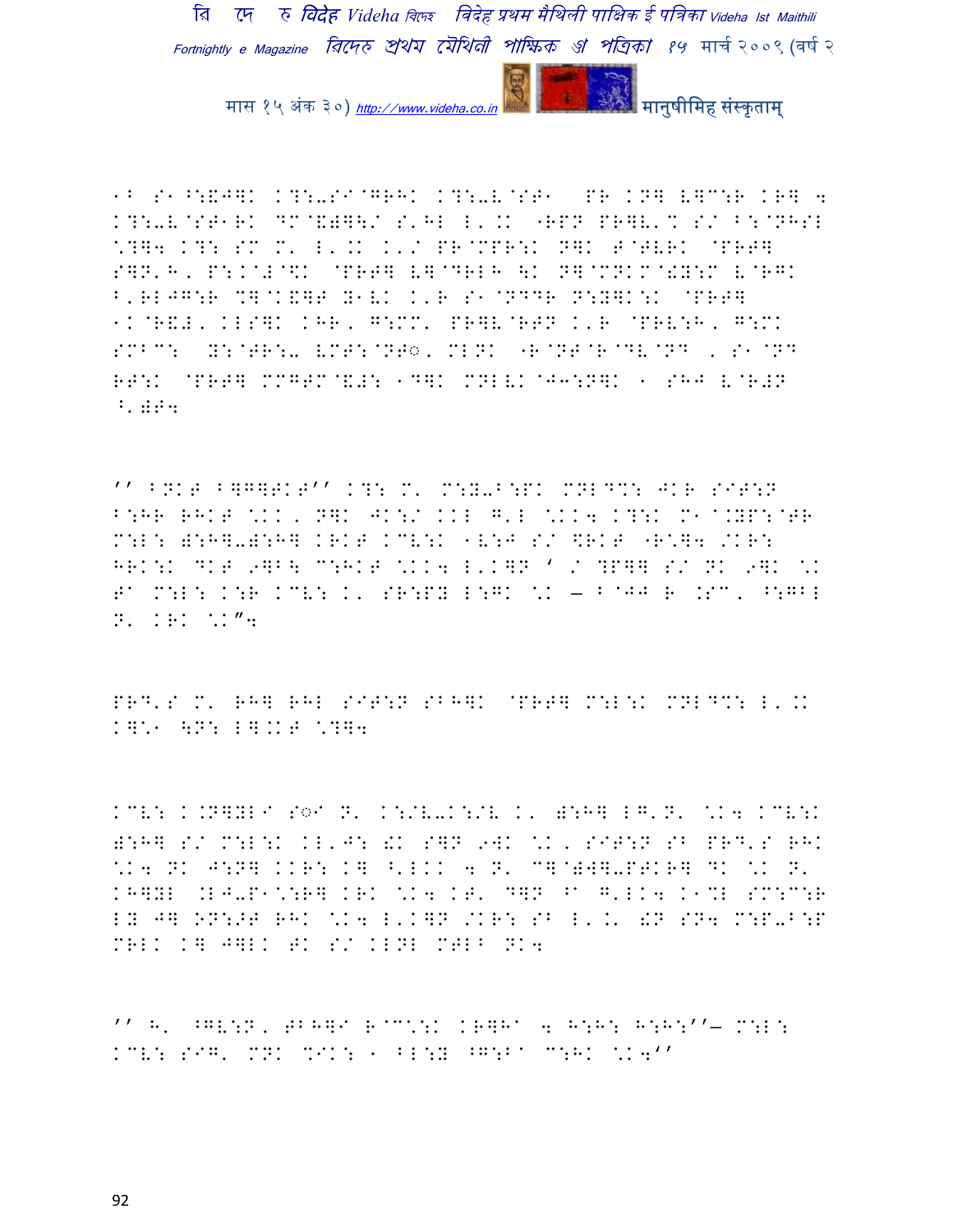मास १५ अंक ३०) http://www.videha.co.in स्थितीया मानुषीमिह संस्कृताम्



1B S1^: S10:A9: (Thirt C90-C (Thirt S2-V (PR (299) L9716 (199) 4 KRYEN SOM DE STORE DE SOME DE SOM DE SOME PRINS SOM DE SOME \*?]4 K?: SM M' L'.K K'/ PR@MPR:K N]K T@TVRK @PRT] SAN HER SAN STRAIN AND HER SAN DER SAN DER SAN DER SAN DER SAN DER SAN DER SAN HER SAN DER SAN DER SAN DER SAN<br>Der san der San der San der San der San der San der San der San der San der San der San der San der San der Sa B'RL, BERLJG:R ST. MARINE ST. MARINE ST. MARINE ST. MARINE ST. MARINE ST. MARINE ST. MARINE ST. MARINE ST. MARINE 1K@R&#, KLS]K KHR, G:MM' PR]V@RTN K'R @PRV:H, G:MK SMBC: Y:@TR:- VMT:@NT◌, MLNK "R@NT@R@DV@ND , S1@ND RT:K @PRT] MMGTM@&#: 1D]K MNLVK@J3:N]K 1 SHJ V@R#N  $T$   $\ddot{\text{H}}$   $\ddot{\text{H}}$   $\ddot{\text{H}}$   $\ddot{\text{H}}$ 

'' BNKT BIGHT BY AN IN THE BIG MY BIGHT BY MAIN B:HR RHKT \*KK, N]K JK:/ KKL G'L \*KK4 K?:K M1@.YP:@TR M:L: BRANDARAN KALA KONSER SERIE KONSERVATORE HRK: MIR SAPA TIMIR NILA ELIAP Y Z NEAR KZ PI SAD NI  $T$  . The M:L:  $T$  is the M:L:  $T$  satisfies the  $K$   $\mathbb{R}$   $\mathbb{R}$  is the  $K$  . The  $T$  $E_i$  ( $E_i$ )  $E_i$  ( $E_i$ )  $m_i$ 

PRD'S M' RH] RHL SIT:N SBH]K @PRT] M:L:K MNLD%: L'.K K: LIN: LIN: LIN: LIN: LIN:

KCRI SOLITI SONO RI SALIZI ANE SI OBAT ET RI NI SCHIA ):H] S/ M:L:K KL'J: !K S]N 9WK \*K, SIT:N SB PRD'S RHK \*K4 NK J:N] KKR: K] ^'LKK 4 N' C]@)W]-PTKR] DK \*K N' KHARA KAN YANG KALENDAR YANG KALENDAR YANG KANG KATA SALAH SALAH SALAH SALAH SALAH SALAH SALAH SALAH SALAH SA LY AN SYSTEM PACTICAL ELINE VIBS EN ELIL (20 EN EN VIRGINE MRLK KALL MED SAMER KALL MAN DE SAMER KALL MED SAMER KALL MED SAMER KALL MED SAMER KALL MED SAMER KALL MED SA

 $\mathcal{F}$  (  $\mathcal{H}$  )  $\mathcal{F}$  and  $\mathcal{H}$  are H: H:  $\mathcal{H}$  and  $\mathcal{H}$   $\mathcal{H}$  are  $\mathcal{H}$   $\mathcal{H}$  and  $\mathcal{H}$  are  $\mathcal{H}$  and  $\mathcal{H}$  are  $\mathcal{H}$  and  $\mathcal{H}$  are  $\mathcal{H}$  and  $\mathcal{H}$  are  $\mathcal{H}$  and  $\mathcal{H$ KCV: SIG' MAKE \$IK: 1 BL:Y & C:HK \* HK: 1 BL:Y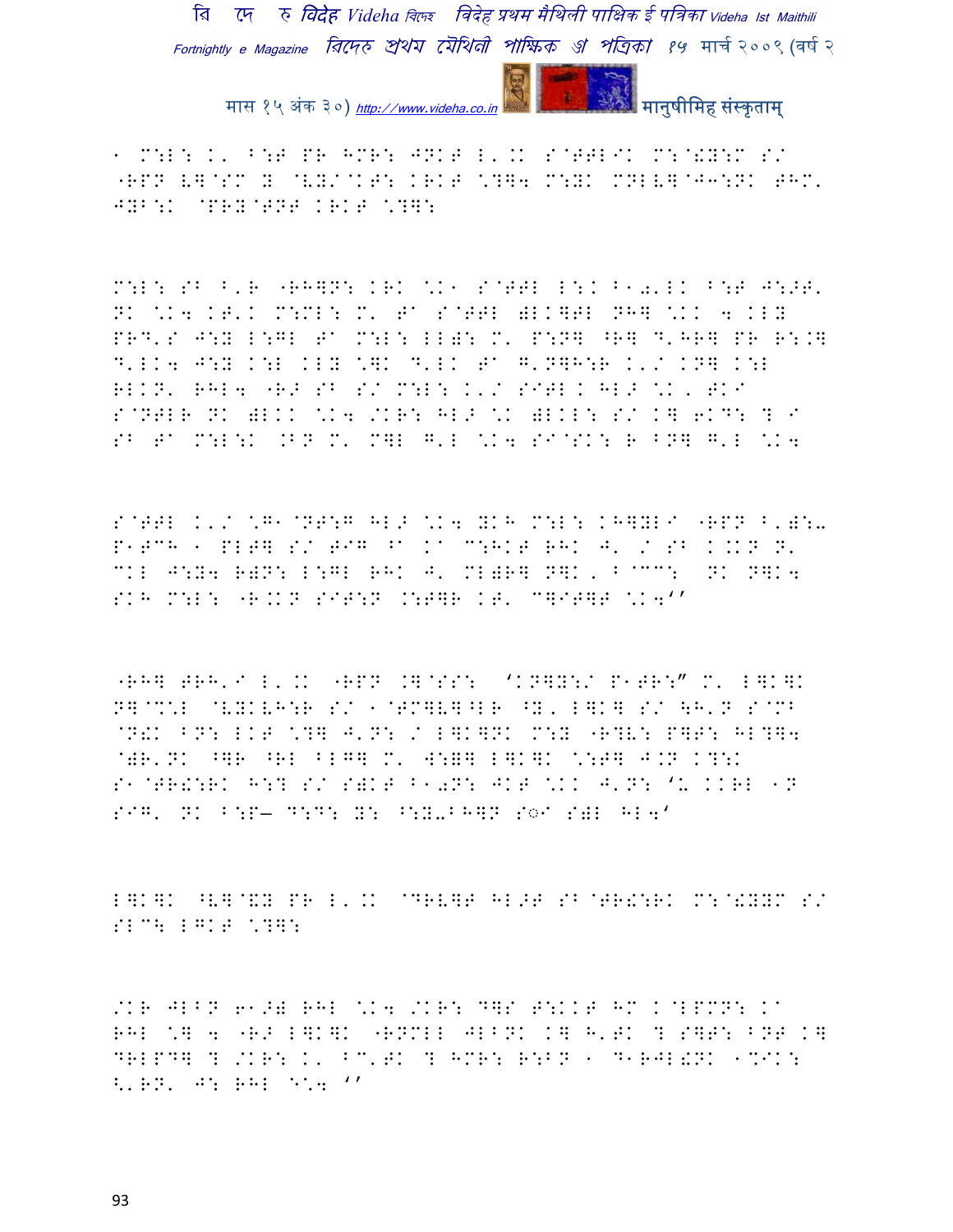मास १५ अंक ३०) <u>http://www.videha.co.in</u> स्थिति कर्मा स्थिति **मानुषीमिह संस्कृताम्** 

1 M:L: K' B:T PR HMR: JNKT L'.K S@TTLIK M:@!Y:M S/ "RPN V]@SM Y @VY/@KT: KRKT \*?]4 M:YK MNLV]@J3:NK THM' JYB: WHENT KREAT THE

M:L: SB B'R "RH]N: KRK \*K1 S@TTL L:. B10'LK B:T J:>T' NK \*KA KJELI TATEG TI BY BJEHE BEINHE THN \*KK \*KE IE PRD'S JOHN PO THE BEN T. PER JER D. PRESERVE D'LA JOL KAN DE LA GREGO DE LA GREGO DE LA GREGO DE LA GREGO DE LA GREGO DE LA GREGO DE LA GREGO DE LA GREGO D RLICH RHL4 "REFORM SITTLE SOMETIME SOMETIME SOMETIME SOMER WORKING WE WE HIS WORKER FOOTH FUNCTION SB Ta M:L:K .BN M' M]L G'L \*K4 SI@SK: R BN] G'L \*K4

S@TTL K'/ \*G1@NT:G HL> \*K4 YKH M:L: KH]YLI "RPN B'):- PARTE A PLAN S/ ARE REST TO MALE AND ALL ZORES ISSUED. CKL J:Y4 R)N: L:GL RHK J' ML)R] N]K, B@CC: NK N]K4 SKH M:L: "R.KN SIT:N .:T]R KT' C]IT]T \*K4''

"RHA TRHII L'I RHIZ IA SSI 'KINATRI' MARAKATI LANG NA MONTH AND AN AN OUTSIDE OF A SALE OF A LINE OF A SALE OF THE @N!K BN: LKT \*?] J'N: / L]K]NK M:Y "R?V: P]T: HL?]4 @)R'NK ^]R ^RL BLG] M' W:=] L]K]K \*:T] J.N K?:K S1@TR!:RK H:? S/ S)KT B10N: JKT \*KK J'N: 'U KKRL 1N SIG' NA B:P— D:D: H: Y:HA:AHB SON SH! A:4'

L]K]K ^V]@&Y PR L'.K @DRV]T HL>T SB@TR!:RK M:@!YYM S/ SLC\ LGKT \*?]:

/KR JLBN 61>) RHL \*K4 /KR: D]S T:KKT HM K@LPMN: Ka RHL (19 A) RHL EST RICH RICHER (PER BIC IS AL PLOTT BREAK A DR. IS S DRLPD] ? /KR: K' BC'TK ? HMR: R:BN 1 D1RJL!NK 1%IK: RN' H: RHL EXAMPLE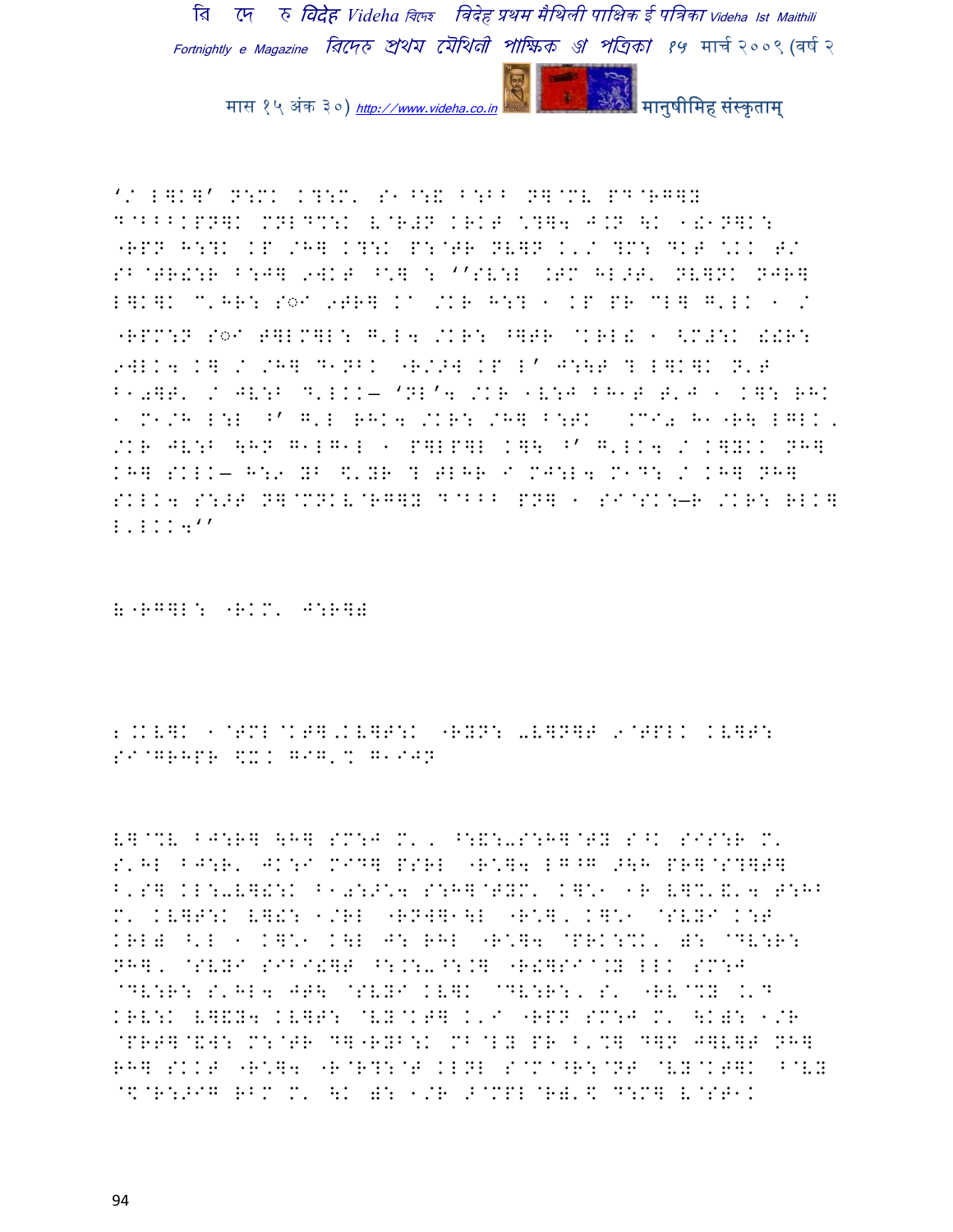मास १५ अंक ३०) http://www.videha.co.in स्थितीया मानुषीमिह संस्कृताम्



'/ L]K]' N:MK K?:M' S1^:& B:BB N]@MV PD@RG]Y D@BBBKPN]K MNLD%:K V@R#N KRKT \*?]4 J.N \K 1!1N]K: "RPN H:?K KP /H] K?:K P:@TR NV]N K'/ ?M: DKT \*KK T/  $S$ : ''Sunday: ''Sunday: ''Sunday: ''Sunday: ''Sunday: ''Sunday: ''Sunday: ''Sunday: ''Sunday: ''Sunday: ''Sunday: ' L]K]K C'HR: S◌I 9TR] Ka /KR H:? 1 KP PR CL] G'LK 1 /  $R$  . The mass of the mass of the south of the south  $R$  is the south of the south  $R$ 9WLK4 K] / /H] D1NBK "R/>W KP L' J:\T ? L]K]K N'T B10]TERES (2000) RESERVING ESSENCE IN DERIVATION OF DESCRIPTION OF THE TERRITORY OF THE THIRD TERRITORY OF THE 1 M1/H L:L OV W. L:LHI, MINI /HU P:H. / MY. W. H. HH LUL /KR 9850 RH2 B-18-1 - PHIPH (96 96 8.11 2 K 1981) 209 KH] SKLK— H:9 YB \$'YR ? TLHR I MJ:L4 M1D: / KH] NH] SCLEA STER PHINKLANDER PIPP PRINT STATE STERNER IN SIG L'LKK4''

("RG) **RG** REFORM THE REFORM  $R$ 

2.KVIK KOMIS 1 AT PERSON TO THE RYNG KOMIS IN THE RYNG KVINING KVINING KVINING KVINING KVINING KVINING KVINING SIMGREED \$X. GRIEGH \$X. GRIEGH

V]@%V BJ:R] \H] SM:J M', ^:&:-S:H]@TY S^K SIS:R M' S. A: (FANE, (A)NK: JK:TH BI:R: (ANIH :FA)H PRA BRENCHHA B'S] KL:-V]!:K B10:>\*4 S:H]@TYM' K]\*1 1R V]%'&'4 T:HB M' KV]T:K V]!: 1/RL "RNW]1\L "R\*], K]\*1 @SVYI K:T KRLB) ALL (K) CHI/ (K): RHL (PACHE (TRIGHI): @DV(MEGRG NH], @SVYI SIBI!]T ^:.:-^:.] "R!]SI@.Y LLK SM:J @DV:R: S'HL4 JT\ @SVYI KV]K @DV:R:, S' "RV@%Y .'D KRAV: KURV: KARV: MANIJE KJY (APP) SMA MJE KJU @PRT]@&W: M:@TR D]"RYB:K MB@LY PR B'%] D]N J]V]T NH] RH] SKKT "R\*]4 "R@R?:@T KLNL S@M@^R:@NT @VY@KT]K ^@VY @\$@R:>IG RBM M' \K ): 1/R >@MPL@R)'\$ D:M] V@ST1K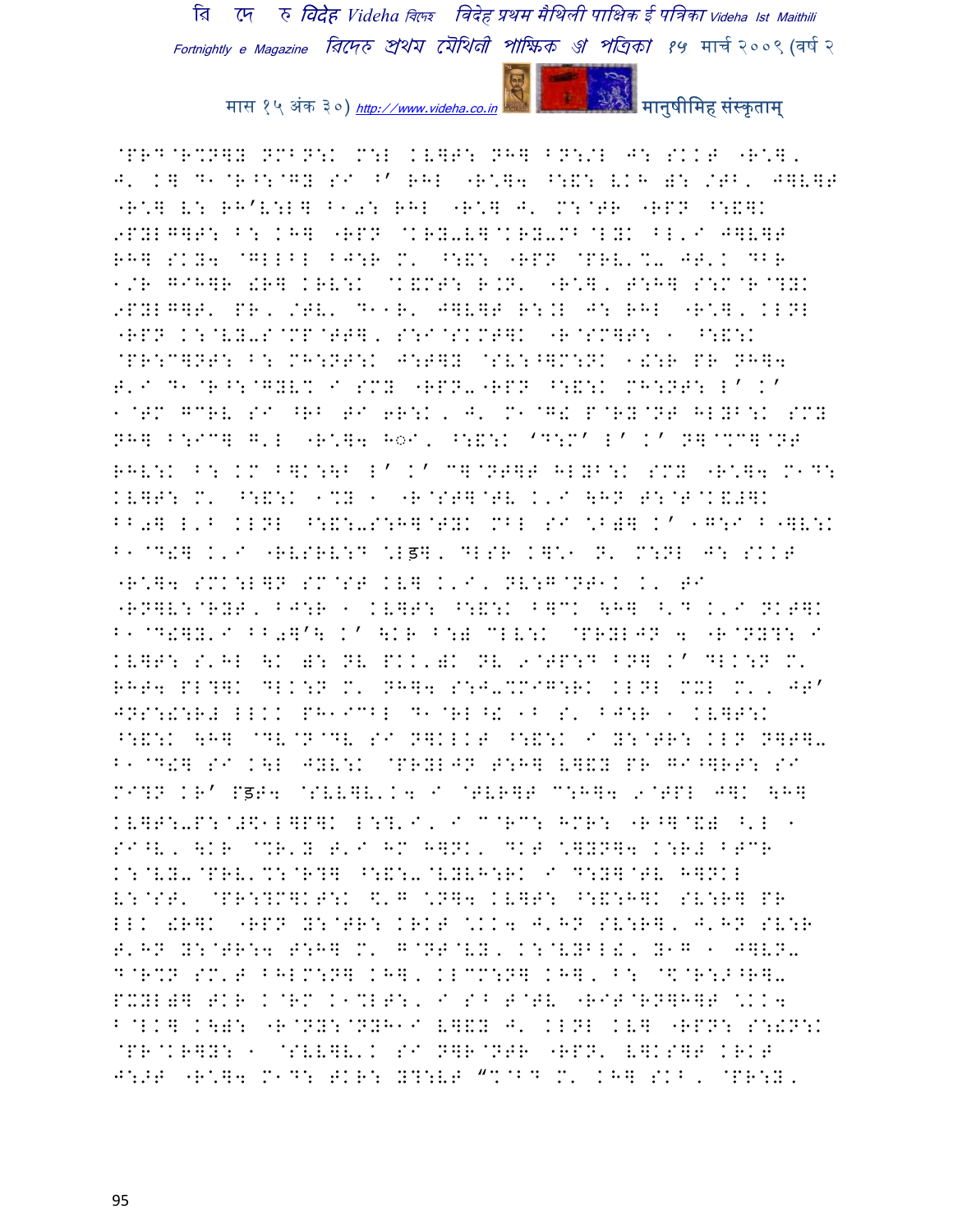मास १५ अंक ३०) <u>http://www.videha.co.in</u><br>| मानुषीमिह संस्कृताम्

@PRD@R%N]Y NMBN:K M:L KV]T: NH] BN:/L J: SKKT "R\*], J' KI D' CHE DI DI SI DI RAGHE "RELEVATION DI RELEVATION" (PELEVATION) "R\*19 K: RH'VE:B10: RHL "R\*19 A. TR "RPN "RPN "REN" 9PYLG]T: B: KH] "RPN @KRY-V]@KRY-MB@LYK BL'I J]V]T RHE SKYA: MRIFI FRHE W. MYN GRY MYRL W. AR. MYN 1/R GIH]R !R] KRV:K @K&MT: R.N' "R\*], T:H] S:M@R@?YK DEGERHAL TE L'ITALL JAK EL ARERA ESTE AS ERE (ASIA) DI DE "RPN K:@VELLENTENBRE. S:I@SKMTLTBEL" (R@SMTBB1) ( ) (PED1 @PR:C]NT: B: MH:NT:K J:T]Y @SV:^]M:NK 1!:R PR NH]4 THIS DIRECT I STORY RPN-"RPN" (RPN: L'AGYV) I SMY "RPN-1@TM GCRV SI ^RB TI 6R:K, J' M1@G! P@RY@NT HLYB:K SMY DHA F:ICTA ALE "BINA HÒN, CANDI NAN EN EN L' MARTITA DE RHIS: KS: KT FALSAR EK CK MA DRAGA HENRIK SMY "REGARD" TEST KVEREN (D. 1998) STOR STORE NEW YORK NEED IN A SEPARATE NO MARK BB0] LE BOOK RESERVED TO DESCRIP A LOT AND SI THE SI TO A 1GO TO A 1GO TO A 1GO TO A 1GO TO A 1GO TO DESCRIPTI BACTROB IN AT ARRIBRITH MESS. TERR KENN ON OTHER AT RICH. "R\*]4 SMK:L]N SM@ST KV] K'I, NV:G@NT1K K' TI "REDREG TRGEN (F. P. B. 1 KV) ER EGYT, BRIT, CRAR (F. P. 1 KV) DI BRIT B1@D!]Y'I BB0]'\ K' \KR B:) CLV:K @PRYLJN 4 "R@NY?: I KV]T: S'HL \K ): NV PKK')K NV 9@TP:D BN] K' DLK:N M' RHATHT4 PLINE M. PHRATHAMISHE SIPE MODE M. JAP JNS:!:R# LLKK PH1ICBL D1@RL^! 1B S' BJ:R 1 KV]T:K ^:&:K \H] @DV@N@DV SI N]KLKT ^:&:K I Y:@TR: KLN N]T]- B1@D\$200 SI K\L JYD: SI K\L JYV: SI KONG ARE ARDED THE GIVE AN INCOME SITE MATH (PK PSP4 MPLLHL) FACK MPLPHF MARRA 200PPL PHD APR KLARANIN MARKIAN INDIAN MURTER HIRI HI CHE LI K SING, BIR MINI HANG PURIS, TIE NADPAR I HE FETH K:@VY-@PRV'%:@R?] ^:&:-@VYVH:RK I D:Y]@TV H]NKL V:@ST' @PR:?M]KT:K \$'G \*N]4 KV]T: ^:&:H]K SV:R] PR LLK !R]K "RPN Y:@TR: KRKT \*KK4 J'HN SV:R], J'HN SV:R T: A CHI Y: TEACHER AND A CHI YEAR OF THE MELTING OF THE MANUFACTURE OF THE MANUFACTURE OF THE MANUFACTURE OF D@R%N SM'T BHLM:N] KH], KLCM:N] KH], B: @\$@R:>^R]- PXH) AN AND MARMARIAN (PRINTING "RITA") THAT IS AN ARRANGEMENT TO A B@LCB\_K&J@NY#1I#I#X&Y LAND\_4. (1917)114 (APP) S1691 @PR@KR]Y: 1 @SVV]V'K SI N]R@NTR "RPN' V]KS]T KRKT J:>T "R\*]4 M1D: TKR: Y?:VT "%@BD M' KH] SKB, @PR:Y,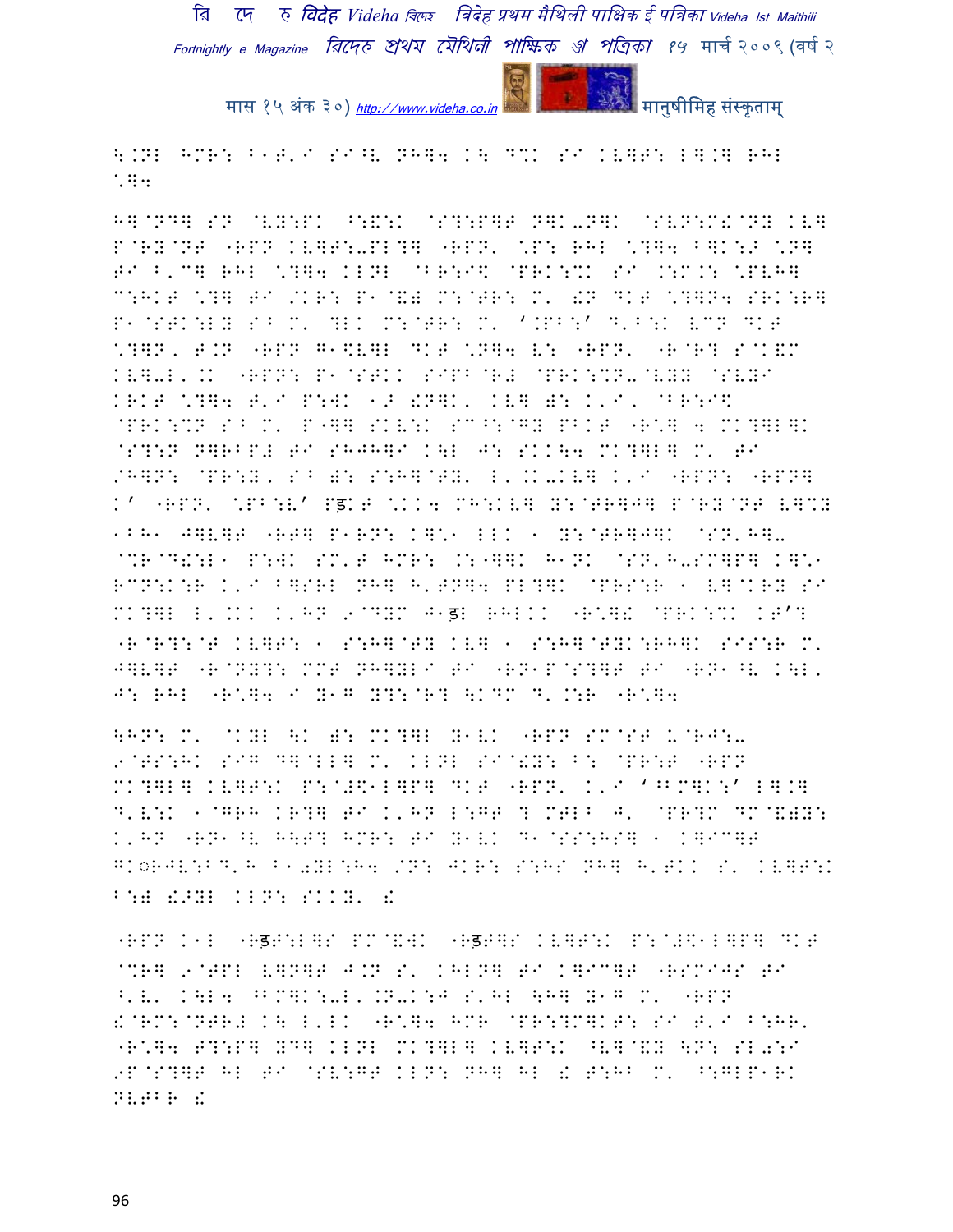मास १५ अंक ३०) http://www.videha.co.in | सामानिक स्वान्तुषीमिह संस्कृताम्



 $\,$  AUSTED FOR, A RATE SPREATE THIS RATION CONFIDENT PRE  $^{\prime}$  . Here  $^{\prime}$ 

HE SPRESS ON SHIP OSTED IN STRING AND STRING CONSTRUCTION OF A REAL MINOR CONTROL OF A REAL MINOR CONTROL OF A P@RY@NT "RPN KV]T:-PL?] "RPN' \*P: RHL \*?]4 B]K:> \*N] TI B'C'HE FI STELL OF DE SA BARI ME SAN SI . MA' . DE SI . ME SHE C:HKT \*?] TI /KR: P1@&) M:@TR: M' !N DKT \*?]N4 SRK:R] PHOTOGRAPH POLITICS OF THE POLITICS OF TRIAL ACTUAL TO BE \*?]N, T.N "RPN G1\$V]L DKT \*N]4 V: "RPN' "R@R? S@K&M KVARLE.K MORPHER PIST PIST STORE OF A SOURCH SIDE ON A SOVIETING SIDE OF A LIGHT KRKAT \*\*\* THE \*\* EVEL IN AN AN INTERFER @PRK:%N S^ M' P"]] SKV:K SC^:@GY PBKT "R\*] 4 MK?]L]K @S?:N N]RBP# TI SHJH]I K\L J: SKK\4 MK?]L] M' TI /HARS (PRSG): Si Analysse Page, Si Millian (1980), Sepper (Pepper K' "RPN' \*PB:V' Pड़KT \*KK4 MH:KV] Y:@TR]J] P@RY@NT V]%Y 1BH1 J]V]T "RT] P1RN: K]\*1 LLK 1 Y:@TR]J]K @SN'H]- @%R@D!:L1 P:WK SM'T HMR: .:"]]K H1NK @SN'H-SM]P] K]\*1 RCON:K:R K'I BISRL DE PLYSEE BISRL NEBS AN ALL THE COMPONENT MK?]L L'.KK K'HN 9@DYM J1ड़L RHLKK "R\*]! @PRK:%K KT'? "R: TE TE TE "D'E HER "KVI E "E HE TE "D'E HI "KVI E "E "E "E "E "E "E "E "E "E "D'E "E "E "E JULUE GETRITE TIE PAULEK EN GERETIGTEE EN GERVOLLIGE. J: RHL "R\*]4 I Y1G Y?:@R? \KDM D'.:R "R\*]4

\HN: M' @KYL \K ): MK?]L Y1VK "RPN SM@ST U@RJ:- 9@TS:HK SIG D]@LL] M' KLNL SI@!Y: B: @PR:T "RPN MK?]L] KV]T:K P:@#\$1L]P] DKT "RPN' K'I '^BM]K:' L].] D'V:K 1@GRH KR?] TI K'HN L:GT ? MTLB J' @PR?M DM@&)Y: K'HN "AN "HONIG" HIR AN D'AIL "TI YN NIVHI" (1979) BIGHALSKS AT BIGHTSHA (NST ALES SSHE SHE HISTI SI TEBAL B: ) : YL KLN: SKKY' ! PRODUCT PRODUCT PRODUCT PRODUCT PRODUCT PRODUCT PRODUCT PRODUCT PRODUCT PRODUCT PRODUCT<br>Product product product product product product product product product product product product product produc

"RPN K1L "RESPIEC PM"CH: "RSPOR (1982) PYNIK EOP PM PH @%R] 9@TPL V]N]T J.N S' KHLN] TI K]IC]T "RSMIJS TI  $V$  K.4  $\mu$  (  $\mu$  )  $\mu$  is the function of the state  $\mu$  -state  $\mu$  ,  $\mu$  and  $\mu$   $\mu$  and  $\mu$   $\mu$   $\mu$  and  $\mu$ !@RM:@NTR# K\ L'LK "R\*]4 HMR @PR:?M]KT: SI T'I B:HR' "R\*]4 T?:P] YD] KLNL MK?]L] KV]T:K ^V]@&Y \N: SL0:I 9P@S?]T HL TI @SV:GT KLN: NH] HL ! T:HB M' ^:GLP1RK NDR : NO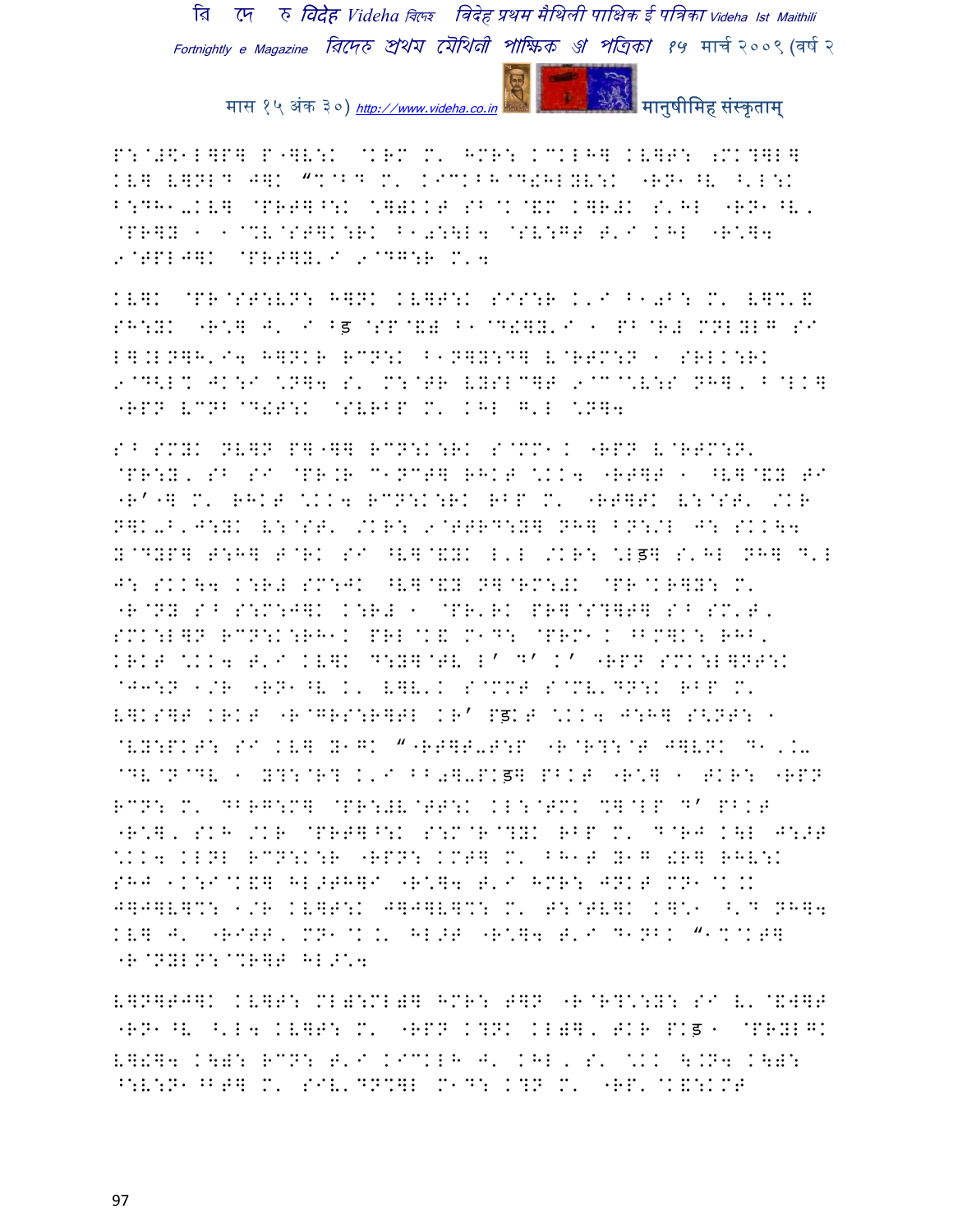मास १५ अंक ३०) <u>http://www.videha.co.in</u><br>| मानुषीमिह संस्कृताम्

P:@#\$1L]P] P"]V:K @KRM M' HMR: KCKLH] KV]T: ;MK?]L] KAR KRIST AR "MYST D. LETTER MARKED. APP BL KILL B:DH4-KVILH-CHB#H PRT (SHBIV# SPON (HD) (HBBK SYHE "PRP" HL " @PR]Y 1 1@%V@ST]K:RK B10:\L4 @SV:GT T'I KHL "R\*]4 9@TPLJ]K @PRT]Y'I 9@DG:R M'4

KVER) (TER STEREDRI HRDI) KERANI (TRISNE) KUR PAGPIN DU (ERIKE) B SH:YK "R#D#" HOW "PSPER BIR" I PB@R# MALLO SIMPLE SIMPLE SIMPLE SIMPLE SIMPLE SIMPLE SIMPLE SIMPLE SIMPLE SIMPLE SIMPLE SIMPLE SIMPLE SIMPLE SIMPLE SIMPLE SIMPLE SIMPLE SIMPLE SIMPLE SIMPLE SIMPLE SIMPLE SIMPLE SIMPLE SIMP LA DE DARK, KALI HADDI EL ENDRE LI PADADARE I BLIGHDIGE I KURDE DA ET SED 9@D<L% JK:I \*N]4 S' M:@TR VYSLC]T 9@C@\*V:S NH], B@LK] "RPN VCNB@D: "RPN VCNBP M' KHL G'L \*ND VCNBP M' KHL G'L \*ND VCNBP M' KHL G'L \*ND VCNBP M' KHL G'L \*ND VCNBP M'

S^ SMYK PLAR PA-AA BYRG'GEL SOMYK LOBER LOBBMG. @PR:Y, SB SI @PR.R C1NCT] RHKT \*KK4 "RT]T 1 ^V]@&Y TI "R'"] M' RHKT \*KK4 RCN:K:RK RBP M' "RT]TK V:@ST' /KR N]K-B'J:YK V:@ST' /KR: 9@TTRD:Y] NH] BN:/L J: SKK\4 BOYEETH WARR WORLD FOR SERVEEN SILE 2194 ALSH FLAH DRAFT WILL J: SKK\4 K:R# SM:JK ^V]@&Y N]@RM:#K @PR@KR]Y: M' "RENTOR "BOAT" STATISTICS IN THE STATE OF STATE REPORT OF STATE STATE IN STATE OF STATE OF STATES IN STATE OF S SMICHER RONNINGER I PRESIDENT MIRTIN PRINT RHB. KRKT \*KK4 T'I KV]K D:Y]@TV L' D' K' "RPN SMK:L]NT:K MAGGE A ZE CABEA FRONT SOMERLIN SMOTTE SMOTTRI FERING BF BOOT. V]KS]T KRKT "R@GRS:R]TL KR' Pड़KT \*KK4 J:H] S<NT: 1 @VY:PKT: SI KV] Y1GK ""RT]T-T:P "R@R?:@T J]VNK D1,.- @DV@N@DV 1 Y?:@R? K'I BB0]-PKड़] PBKT "R\*] 1 TKR: "RPN RCN: M' DBRG:M] @PR:#V@TT:K KL:@TMK %]@LP D' PBKT  $R$  . The state of the state  $R$  and  $R$  is the model of the model  $R$  and  $R$  and  $R$  and  $R$  and  $R$ \*KK4 KLNL RCN:K:R "RPN: KMT] M' BH1T Y1G !R] RHV:K SHARRI 1K:IMK:I HEDDA HARRI "RELEASATION" "RELEASATION" MARKET MARKET MARKET MARKET MARKET MARKET MARKET MARKE JUAN TERRA JERAH JAN TERRA KOMANIS KANA TERRA KANG PANG KAVA, APIRA MANILI RIJE ARITU DI TATI "KILA "RENTHER" REAN

 $N$ N) National Markinson (1998): Moreover, Markinson (1998): Si version (1998): Si version (1998): Si version ( "RNIP" RNOV ROED ALL AND ANNE MODEL AND HOLD PRESS IN THE SECRET IN AN INVESTIGATION OF THE SECRET IN THE SECR V]!]4 K\): RCN: T'I KICKLH J' KHL, S' \*KK \.N4 K\): ^:V:N1^BT] M' SIV'DN%]L M1D: K?N M' "RP'@K&:KMT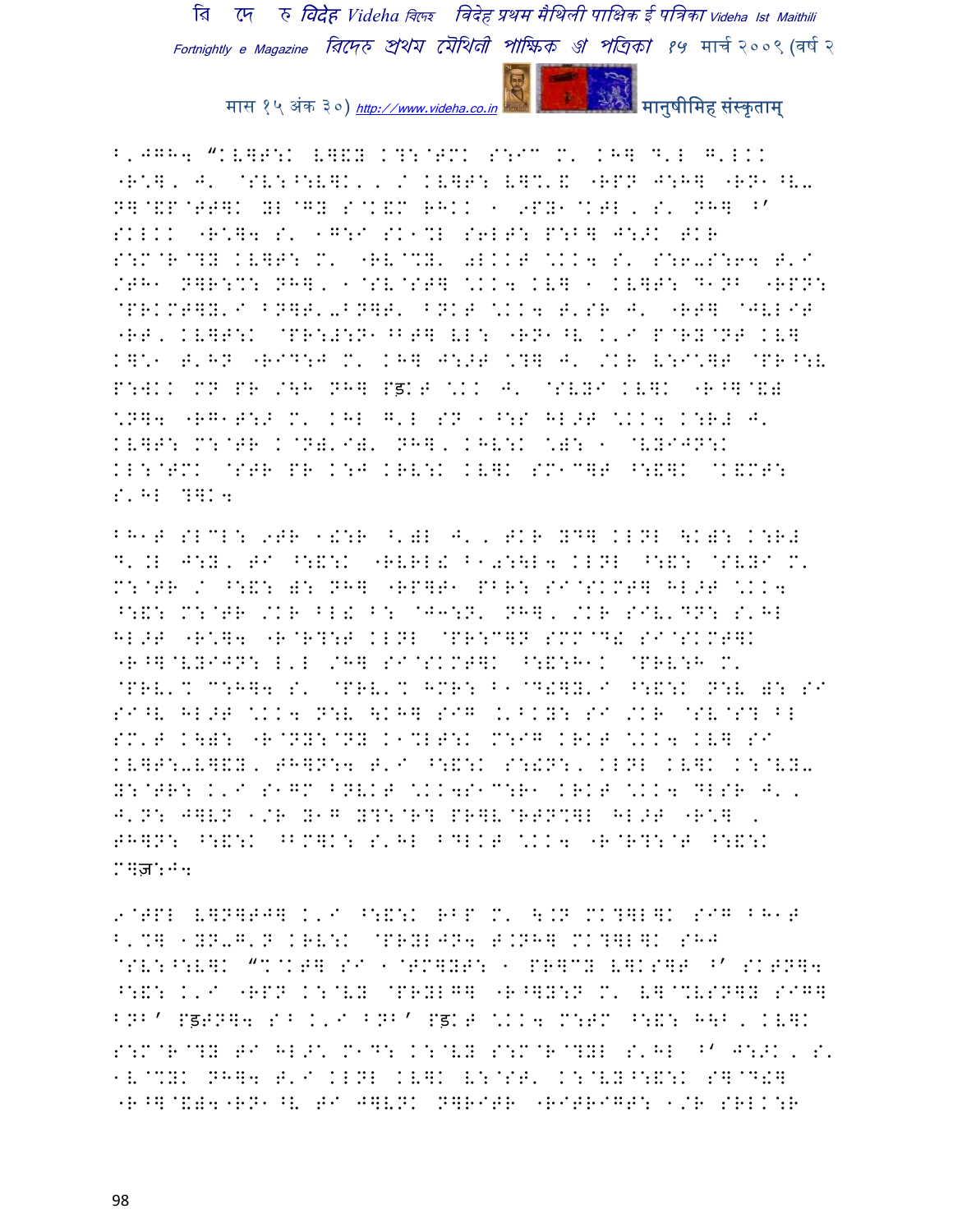मास १५ अंक ३०) <u>http://www.videha.co.in</u> स्थिति स्थिति सानुषीमिह संस्कृताम्



B'JGHAA "KINDARI KAND SIDI SIDI SIDI D'A SA "KILIS" "ARNE", J. P., J. MENNET AND J. J. J. J. D. LEBAN JERU, E. J. ARTIK J. PNAPE J. ARIA JELU. N]@&P@TT]K YL@GY S@K&M RHKK 1 9PY1@KTL, S' NH] ^' SKLKK "PORTHER" STORES STORES STORES IN THE SKIN LINE STORES IN THE SALTING STORES SS:MOR@ TERM T: MAR@ MILL AT THE SIGN STREAMER FOR /TH1 N]R:%: NH], 1@SV@ST] \*KK4 KV] 1 KV]T: D1NB "RPN: OPRODYBRIK KOLF BRAKIME BNKT BNG TOLOG (BLITE) GRI "GRAFF" OG BLIGHT "RE, CLURA "TRAGAN" REU LEA (RES BLOOK PORCHO CLU KAL) THOMAS TO MAKE WHE AN INFORMATION WE CONT P:WKK MN PR /\H NH] Pड़KT \*KK J' @SVYI KV]K "R^]@&) \*N]4 "RG1T:> M' KHL G'L SN 1^:S HL>T \*KK4 K:R# J' KV]T: M:@TR K@N)'I)' NH], KHV:K \*): 1 @VYIJN:K KL:@TMX @STR PR K:GH:CHA:CLBI AND MHE FHANC: MINOR STAR PRINT

BH1T SLCL: 9TR 1!:R ^')L J', TKR YD] KLNL \K): K:R# D'. LE SANG L'ART PINENEI SAN KALANGAN A L'EURE SPINNE MEDROUT. M: TR POST FIELD AN OPPER PRESENT PRINT IN THE PROPERTY OF A ^:&: M:@TR /KR BL! B: @J3:N' NH], /KR SIV'DN: S'HL HL:T "R\*D:T "R\*D:T "R#" R#:T "R#" SIMM:T "R#" SIMM:T "R#:T "R#:T "R#:T "R#:T "R#:  $R$  . The state of the state of the state of the state of the state of the state of the state of the model of the  $R$  model of the state of the state of the state of the state of the state of the state of the state of the @PRV'% C:H]4 S' @PRV'% HMR: B1@D!]Y'I ^:&:K N:V ): SI SV HL>H SIC . THE HIPH SYM ILFIER SY SIR (SECTION FR SM, BOINER (PORTHER IS MEDIC MICHE THIS KILT SINGLE SIN T:-C:-VIII + C:-VIII + C:-VIII + C:-VIII + C:-VIII + C:-VIII + C:-VIII + C:-VIII + C:-VIII + C:-VIII + C:-VIII Y: K'I SIGNER AN DER STRAKT HER STRAKT HER STRAKT HER STRAKT HER STRAKT HER STRAKT HER STRAKT HER STRAKT HER S JPN 1795 1999 BOOK YOU HAVE TO THE TO PERFORM HAVE TO A RELEASED TO A RELEASED TO LARGE TO LARGE THAT THE TO D TH]N: ^:&:K ^BM]K: S'HL BDLKT \*KK4 "R@R?:@T ^:&:K  $\mathbb{C}$  मंज $\mathbb{C}$ :  $\mathbb{H}$ 

9 TREE (EARARAA I) K'I FINEST (BFE) DL (A DR) DI AAR AL WAR FAKR. B'%] 1YN-G'N KRV:K @PRYLJN4 T.NH] MK?]L]K SHJ @SV:^:V]K "%@KT] SI 1@TM]YT: 1 PR]CY V]KS]T ^' SKTN]4 ^:&: K'I "RPN K:@VY @PRYLG] "R^]Y:N M' V]@%VSN]Y SIG] BIDE Y BSBOARY SO KILLY FOR Y BSDA NICLA DIABO FREE ARE LICEAD. SS:MOR@R@R@R@R@?YLTP:MID: KS:MOR@R@?YL S:MOR@R@?YL S:MOR@R@?YL S:MOR@R@?YL SEX, STEERING 10 YO: YH HI HI KI KE I KE KI KI KI KI KO KO KU KU KU "RE FROM A REPORTED A RELIEFT: "DRIE SRLK: RIE SRLK:RIE SRLK:RITRIGT: 1/R SRLK:RIT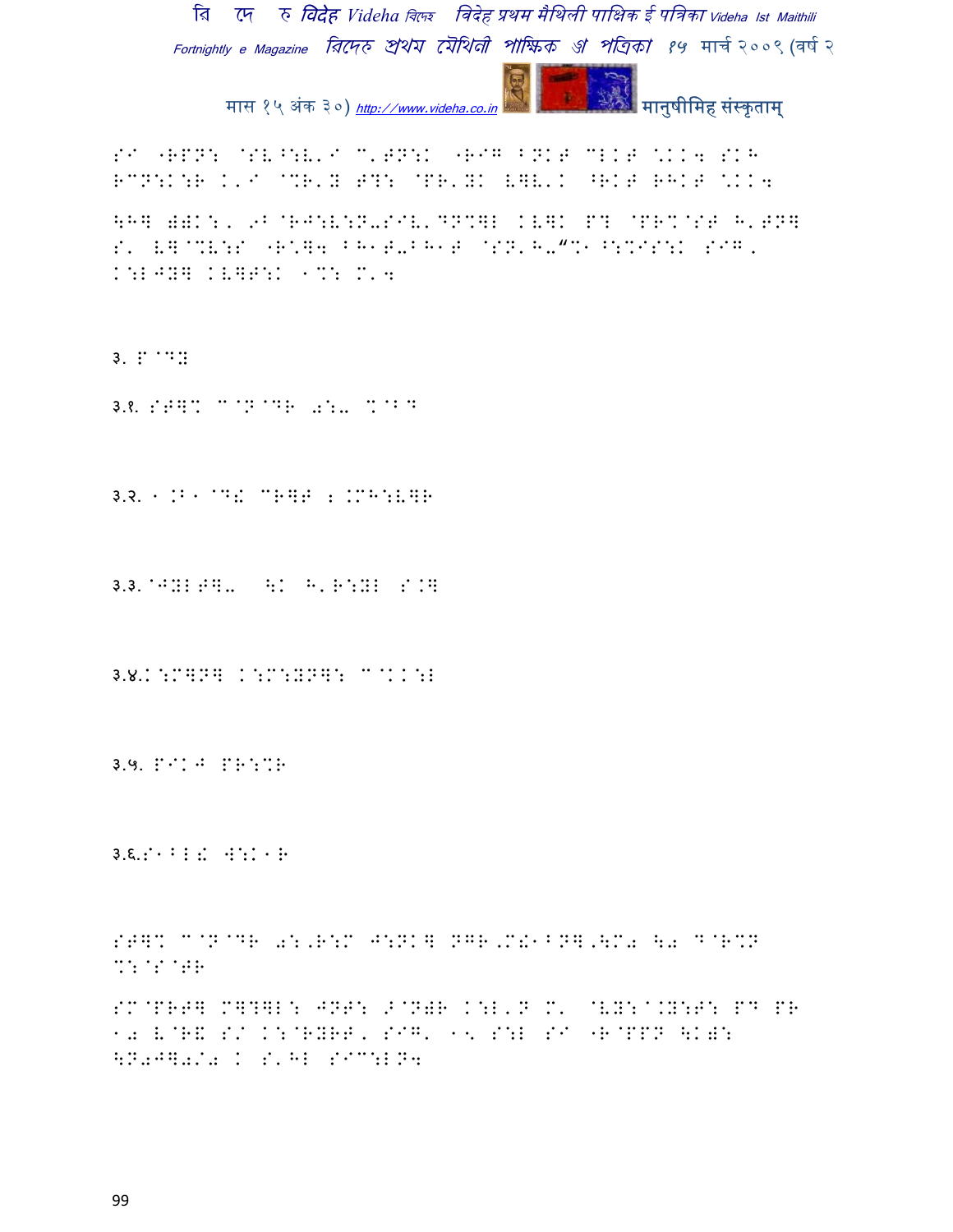मास १५ अंक ३०) <u>http://www.videha.co.in स्थिति क्रिके</u>टी **मानुषीमिह संस्कृताम्** 

SI "RPN: GOVINAT "REND" (BIG BNKT CLKTT) AND A RCAN:K:R K'I @PR'YK WYK WYK WART ARKIT \*KK4 PRIS AND A

 $\#$ H:  $\#$ H: 3  $\#$  ) () ()  $\#$  ()  $\#$  ()  $\#$  (),  $\#$  ()  $\#$  (),  $\#$  (),  $\#$  (),  $\#$  (),  $\#$  (),  $\#$  (),  $\#$  (),  $\#$  (),  $\#$  (),  $\#$  (),  $\#$  (),  $\#$  (),  $\#$  (),  $\#$  (),  $\#$  (),  $\#$  (),  $\#$  (),  $\#$  () S' GO VINE RENTH FARALEAR SYNCHLWY SIGNING SYNCH K:LJY] KV]T:K 1%: M'4

 $3.$   $P^{\text{new}}$ 

3.8. START COMPOSITION AND CONDUCT

 $3.2. + 1.5 + 1.94$ :  $7.8 + 9.1$ .  $1.7 + 1.04$ 

3.3. WHIPPL AND RIPRIES FOR

३.४.K:M]N] K:M:YN]: C@KK:L

3.9. PPIC PRINTR

 $3.6.$ : $3.8.$ : $4.8.$ : $4.3.1.4$ :

STARD CONDITIONS ON A REPORT OF THE UNIT OF THE UNIT OF THE UP OF THE UP OF THE UP OF THE UP OF THE UP OF THE %:@S@TR

SM@PRT] M]?]L: JNT: >@N)R K:L'N M' @VY:@.Y:T: PD PR 10 R: REAR SIGNED POSSESSION IN SIGNED AND REAR REAR AND REAL SIGNAL SIGNAL SIGNAL SIGNAL SIGNAL SIGNAL SIGNAL AFARRACA I FARITY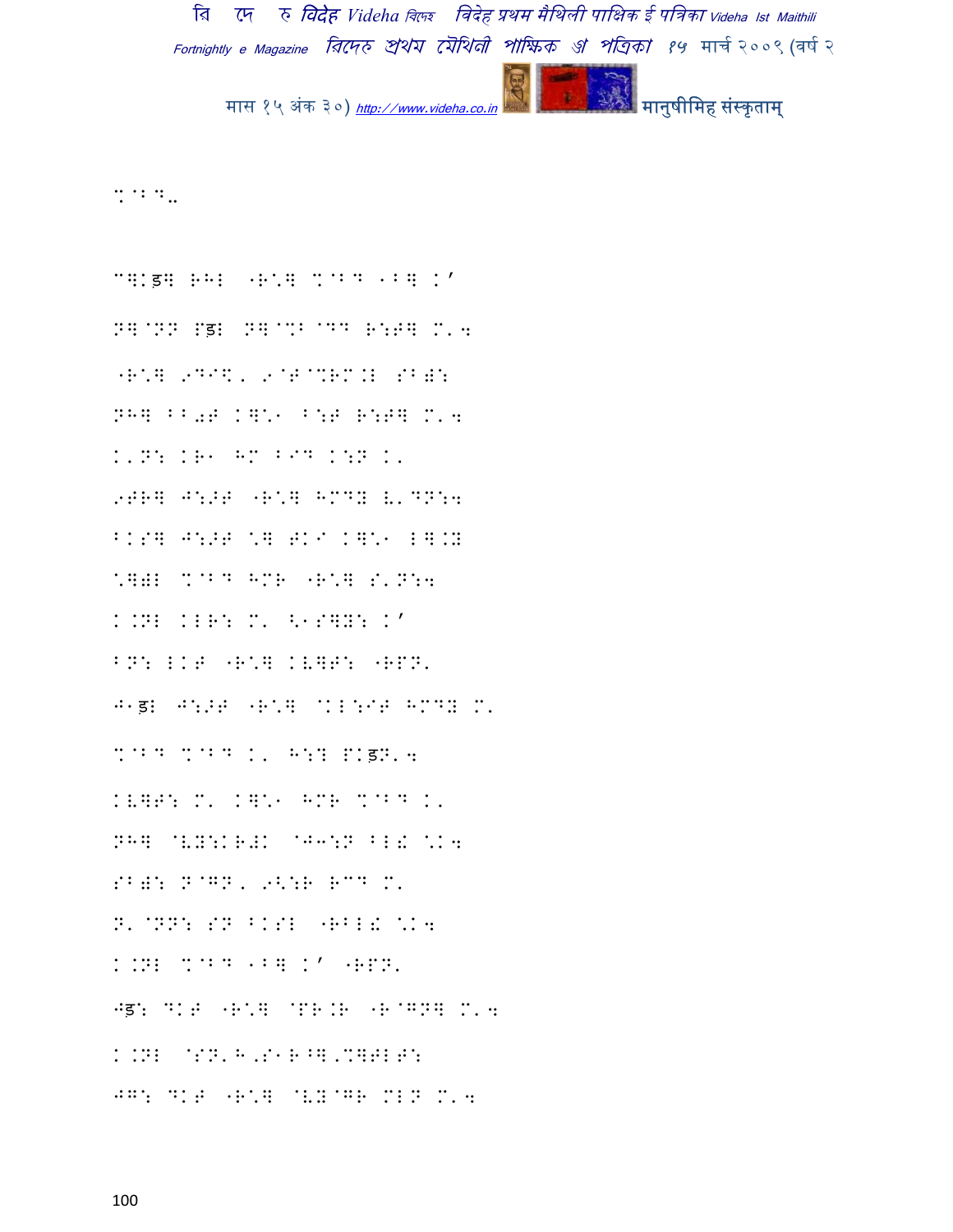मास १५ अंक ३०) <u>http://www.videha.co.in स्थिति क्रिके</u>डी **मानुषीमिह संस्कृताम्** 

 $\mathbb{Z}^{n}$ 

C]Kड़] RHL "R\*] %@BD 1B] K' NA PSE NA PSE NA PORT ROOM "R\*] 9DI\$, 9@T@%RM.L SB): THE BB2B CHIK BIG BIGH T.H K'N: KR1 HM BID K:N K' 9TR] J:>T "R\*] HMDY V'DN:4 BKS1 TKI KI KI KI KI KI KI KI KI \*])L %@BD HMR "R\*] S'N:4 K.NL K.N. MYSTER BN: LKT "R\*D" KOREAN JP: SE "PARE" (PARE MONE MOTER OF  $\frac{1}{2}$  when  $\frac{1}{2}$  is the Higgs  $\frac{1}{2}$  and  $\frac{1}{2}$  and  $\frac{1}{2}$  and  $\frac{1}{2}$  and  $\frac{1}{2}$  and  $\frac{1}{2}$  and  $\frac{1}{2}$  and  $\frac{1}{2}$  and  $\frac{1}{2}$  and  $\frac{1}{2}$  and  $\frac{1}{2}$  and  $\frac{1}{2}$  and  $\frac{1}{2}$  and KAMBER WAR WAR WAS KIT NH] @VY:KR#K @J3:N BL! \*K4  $\mathcal{S}$ : Nagri M' (1991), Nagri M' (1992), Nagri M' (1992), Nagri M' (1992), Nagri M' (1992), Nagri M' (1992), Nagri M' (1992), Nagri M' (1992), Nagri M' (1992), Nagri M' (1992), Nagri M' (1992), Nagri M' (1992), Nagri M' N'@NN: SN BKSL "RBL! \*K4 K.NL %@BD 1B] K' "RPN' Hg: PKT "RACH" (PROGOT "ROBOT") K.NL @SN'H,S1R^],%]TLT: JG: DKT "R\*] @VY@GR MLN M'4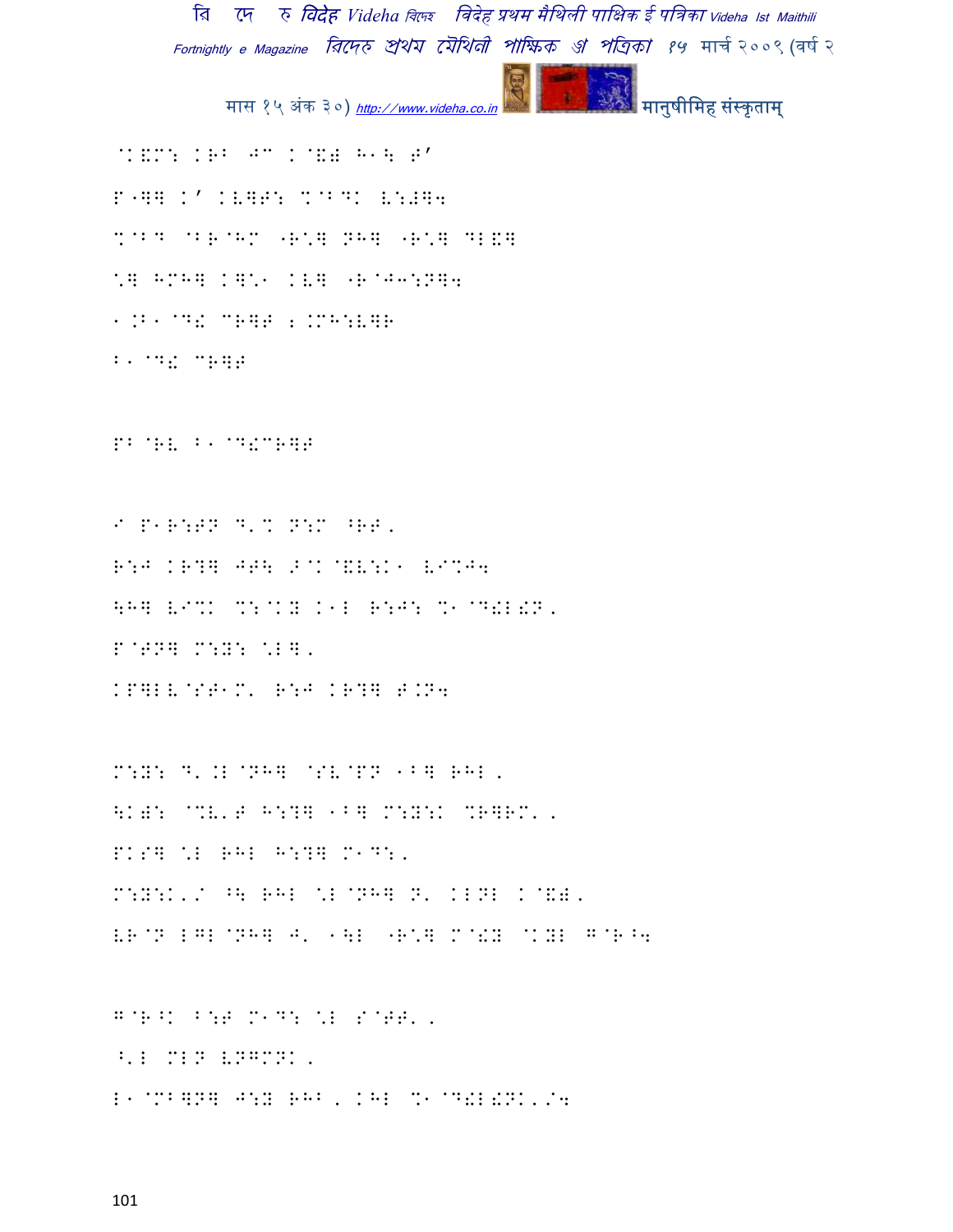मास १५ अंक ३०) <u>http://www.videha.co.in स्थिति क्रिके</u>डी **मानुषीमिह संस्कृताम्** 

@K&M: KRB JC K@&) H1\ T' P"<sup>1</sup> F" K" KENDER VON PROVINSING %@BD @BR@HM "R\*] NH] "R\*] DL&] \*] HMH] K]\*1 KV] "R@J3:N]4 1.B1. THE 1.CR1000 B1. THE THIRD

PB@RV B1@D!CR]T

I P1R:TN D'% N:M ^RT, R:J KRYS ARE STORES INTER \H] VI%K %:@KY K1L R:J: %1@D!L!N, P@TN] M:Y: \*L], KPALLVERT, RYA CRIB ACPA

M:Y: D'.L@NH] @SV@PN 1B] RHL, \K): @%V'T H:?] 1B] M:Y:K %R]RM', PESS REAL HYPE TO TEL M:Y:K'/ ^\ RHL \*L@NH] N' KLNL K@&), RAN LAGRAN LAGRAN DER HAR LAGRAN DER HAR LAGRAN MED WAR DER EIN MAN DER EIN MAN DER EINE MEINE WAR DER EINE MA

B:T MID: T MID: T SOTT  $'$ L MLN ENGMNK, L1@MB]N] J:Y RHB, KHL %1@D!L!NK'/4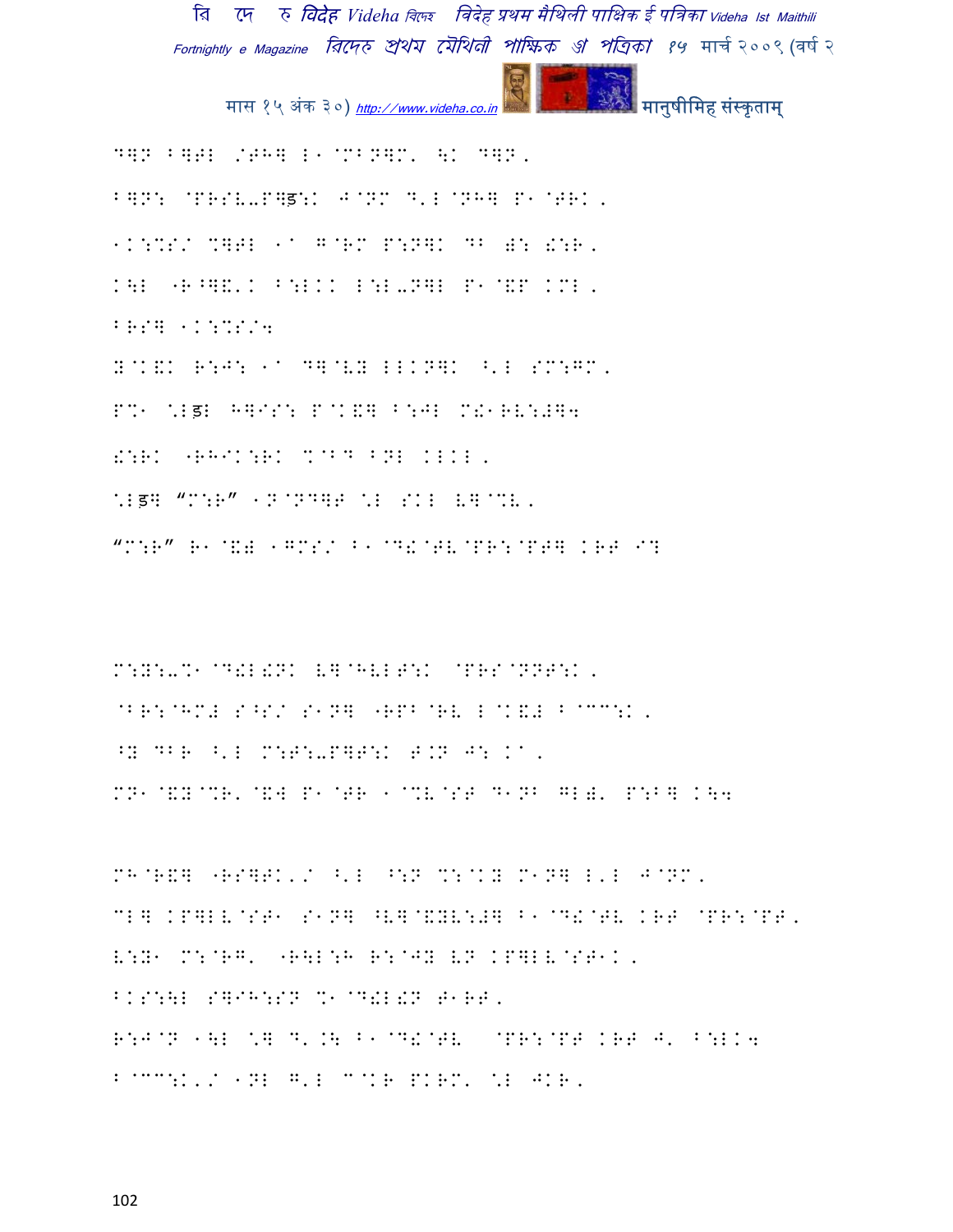मास १५ अंक ३०) <u>http://www.videha.co.in</u> स्थिति स्थिति । मानुषीमिह संस्कृताम्

D]N B]TL /TH] L1@MBN]M' \K D]N, Ban: Marson Party P. Party P. P. P. P. 1K:%S/ %]TL 1a G@RM P:N]K DB ): !:R, KAL "ROBIN'S RELEASE RELEASE POINT POINT AND LI BRS (1802) BY ENGINEER THE BENDER ON BUILDING PW1 MISE HARRY: PW1 MIN MINE PARTNERS !:RK "RHIK:RK %@BD BNL KLKL,  $\mathbb{R}$ : 59  $\mathbb{R}$  "M:  $\mathbb{R}$ "  $\cdot$  3  $\mathbb{R}$  "S  $\mathbb{R}$ "  $\mathbb{R}$  :  $\mathbb{R}$  :  $\mathbb{R}$  :  $\mathbb{R}$  :  $\mathbb{R}$  :  $\mathbb{R}$  :  $\mathbb{R}$  :  $\mathbb{R}$  :  $\mathbb{R}$  :  $\mathbb{R}$  :  $\mathbb{R}$  :  $\mathbb{R}$  :  $\mathbb{R}$  :  $\mathbb{R}$  :  $\$ "M:R" R1@&) 1GMS/ B1@D!@TV@PR:@PT] KRT I?

M:Y:-%1@D!L!NK V]@HVLT:K @PRS@NNT:K, @BR:@HM# S^S/ S1N] "RPB@RV L@K&# B@CC:K, ^Y DBR ^'L M:T:-P]T:K T.N J: Ka, MN 100 YOU PENT OF PICTURE IN THE PICTURE OF THE CONSTRUCTION OF PICTURE IN THE UNION OF DISTURBANCE OF DISTUR

MH@R&] "RS]TK'/ ^'L ^:N %:@KY M1N] L'L J@NM, CL] KP]LV@ST1 S1N] ^V]@&YV:#] B1@D!@TV KRT @PR:@PT, V:Y1 M:@RG' "R\L:H R:@JY VN KP]LV@ST1K, BKS:\L SH \$P\$10 % 100 \$100 \$100 \$1 R:J@N 1\ + H1 | NH | P. (H | F. 1921) PER | TER: TER | LRE | @. | F. H1 LA BOOTH, AND HIS TO HE PART OF HIS HIS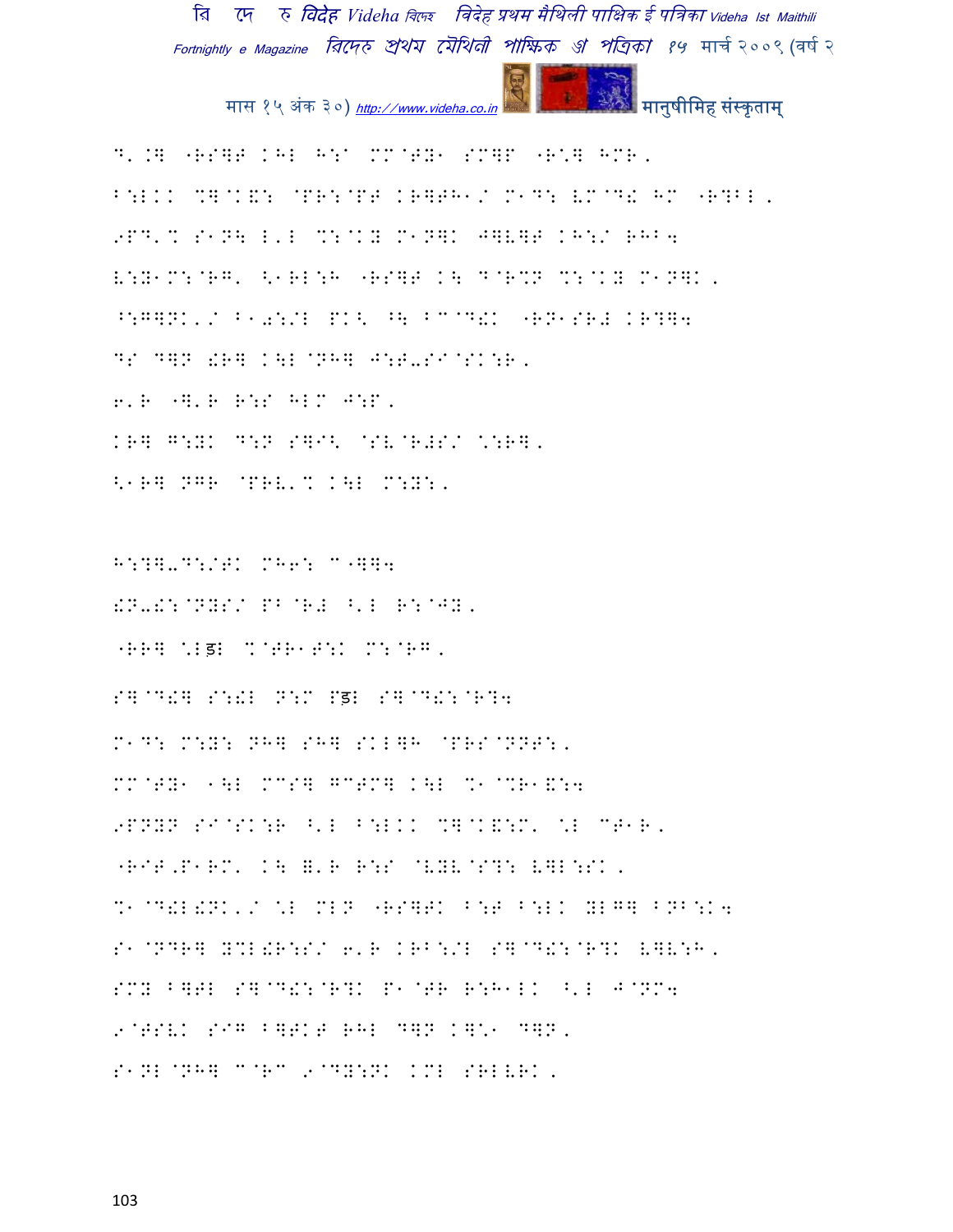मास १५ अंक ३०) <u>http://www.videha.co.in स्थिति क्रिके</u>टी **मानुषीमिह संस्कृताम्** 

D'.] "RS]T KHL H:a MM@TY1 SM]P "R\*] HMR, B:LICK SHOOT WAS SERVED AND THINK WAS ARRESTED FOR A REPORT OF THE ARTICLE OF THE ARTICLE OF THE ARTICLE OF TH 9PD'% S1N\ L'L %:@KY M1N]K J]V]T KH:/ RHB4  $\Omega$  (18) The Secret Construction of the Secret Construction (Secret Construction of the Department Construction of the Department Construction (Secretary Construction of the Department Construction (Secretary Construction ^:G]NK'/ B10:/L PK< ^\ BC@D!K "RN1SR# KR?]4 DS DIR RESERVE THE RESERVE TO THE RESERVE THE RESERVE THE RESERVE THE RESERVE THE RESERVE THE RESERVE THE RESERVE THE RESERVE THE RESERVE THE RESERVE THE RESERVE THE RESERVE THE RESERVE THE RESERVE THE RESERVE THE RESERVE 6'R "]'R R:S HLM J:P, KRIG: G:YK SHAR MERIN SING <1R] NGR @PRV'% K\L M:Y:,

H:?]-D:/TK MH6: C"]]4 !N-!:@NYS/ PB@R# ^'L R:@JY,  $H$ RRI  $H$  : The Million of  $H$  $S$  section and  $S$  is the section of  $S$  sections and  $S$ M1D: M:Y: NH] SH] SKL]H @PRS@NNT:, MM THE STATE STATE CAP (TO MESSING) 9PNYN SI@SK:R ^'L B:LKK %]@K&:M' \*L CT1R, "RIT,P1RM' KONSTANTING" (PRODUCED PRODUCED PRODUCED PRODUCED PRODUCED PRODUCED PRODUCED PRODUCED PRODUCED PRODUCED PRODUCED PRODUCED PRODUCED PRODUCED PRODUCED PRODUCED PRODUCED PRODUCED PRODUCED PRODUCED PRODUCED PRODUCED %1@D!L!NK'/ \*L MLN "RS]TK B:T B:LK YLG] BNB:K4 S1@NDR] Y&L:S:S/ 6'R KRB:/L S#JW:/HI L#BYP. SMY BOOK BEEN STRIKE STATISTICS IN THE REPORT OF THE REPORT OF THE REPORT OF THE REPORT OF THE REPORT OF THE R 9@TSVK SIG B]TKT RHL D]N K]\*1 D]N, STREAM COMPANY CONTROLLED STATES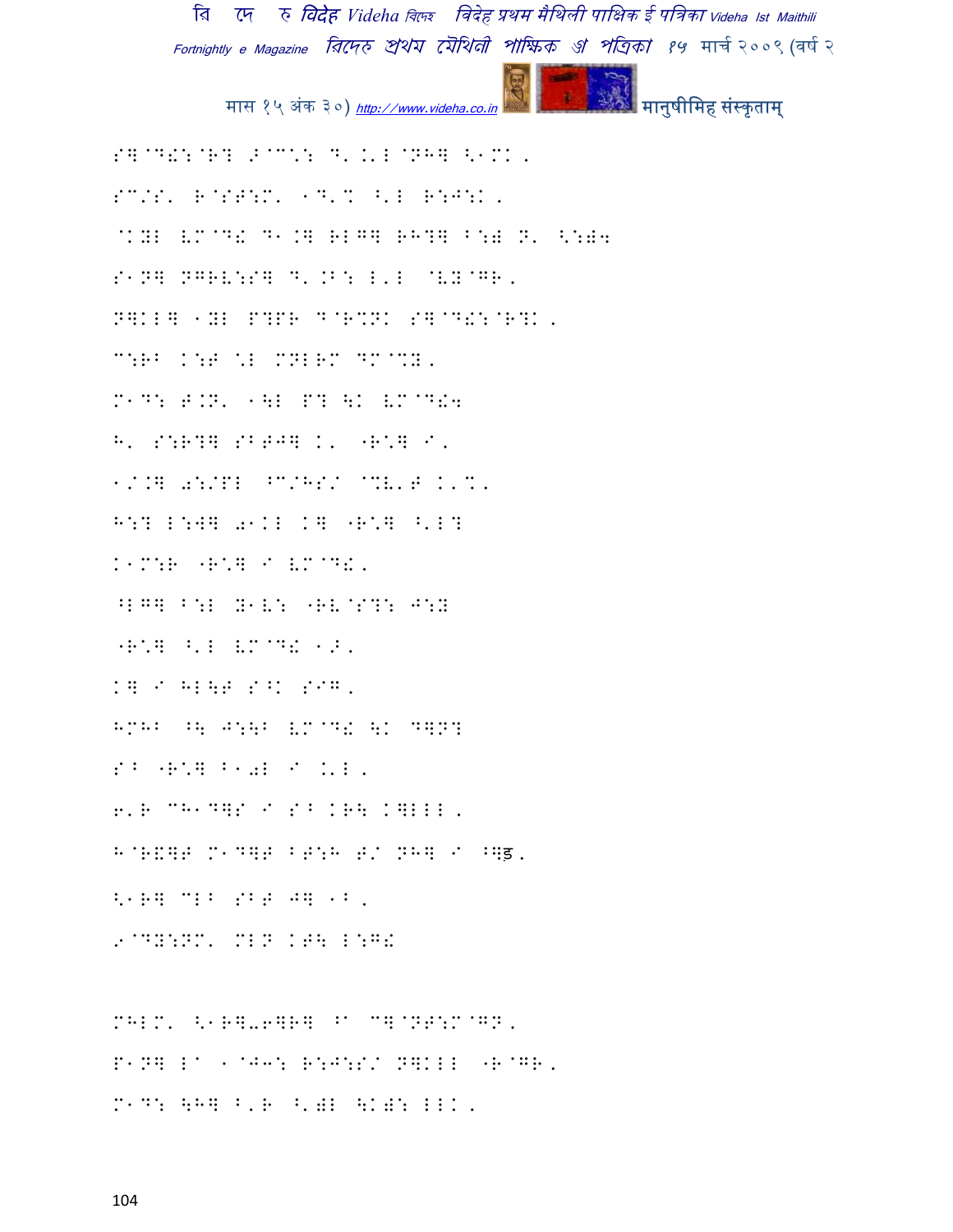मास १५ अंक ३०) <u>http://www.videha.co.in</u> स्थिति स्थिति । मानुषीमिह संस्कृताम्

S]@D!:@R? >@C\*: D'.'L@NH] <1MK, SC/ST:M' 100 (100 P) 100 (100 P) 100 P) 100 P) 100 P) 100 P) 100 P) 100 P) 100 P) 100 P) 100 P) 100 P) 100 P) 100 P @KYL VM@D! D1.] RLG] RH?] B:) N' <:)4 S1N, NGRV:SIN, NGRV:SIN, NGRV:SIN, NGRV:SIN, NGRV:SIN, NGRV:SIN, NGRV:SIN, NGRV:SIN, NGRV:SIN, NGRV:SIN, NGRV: NAKLEA 1YL PRID PORT DARK SERIKA T:RB K:T MNLRM DM DM M1D: T.N' 1\L P? \K VM@D!4 H' S:R?] SBTJ] K' "R\*] I, 1/.] 0:/PL ^C/HS/ @%V'T K'%, H:? L:WE 21KL KI H:WE KI? K1M:R "R\*] I VM@D!, ^LG] B:L Y1V: "RV@S?: J:Y "R\*] ^'L VM@D! 1>,  $H$  I HOMES SIG,  $H$   $\overline{H}$ HMHB OR HAMAS KONG HIS THIN So "Rich Political" So (1991) B.B THORE SO KROBE I SHII . H THER TO THE SETH BY THE I SUBS. 1899 THE SBT DAILY 9@DY:NM' MLN KT\ L:G!

MHINA RABHLAHBH (PO MHONBHINGH) P1NH\_P1N\_A\_MAG\_BGR, PHILE THAT REAL M1D: \H] B'R ^')L \K): LLK,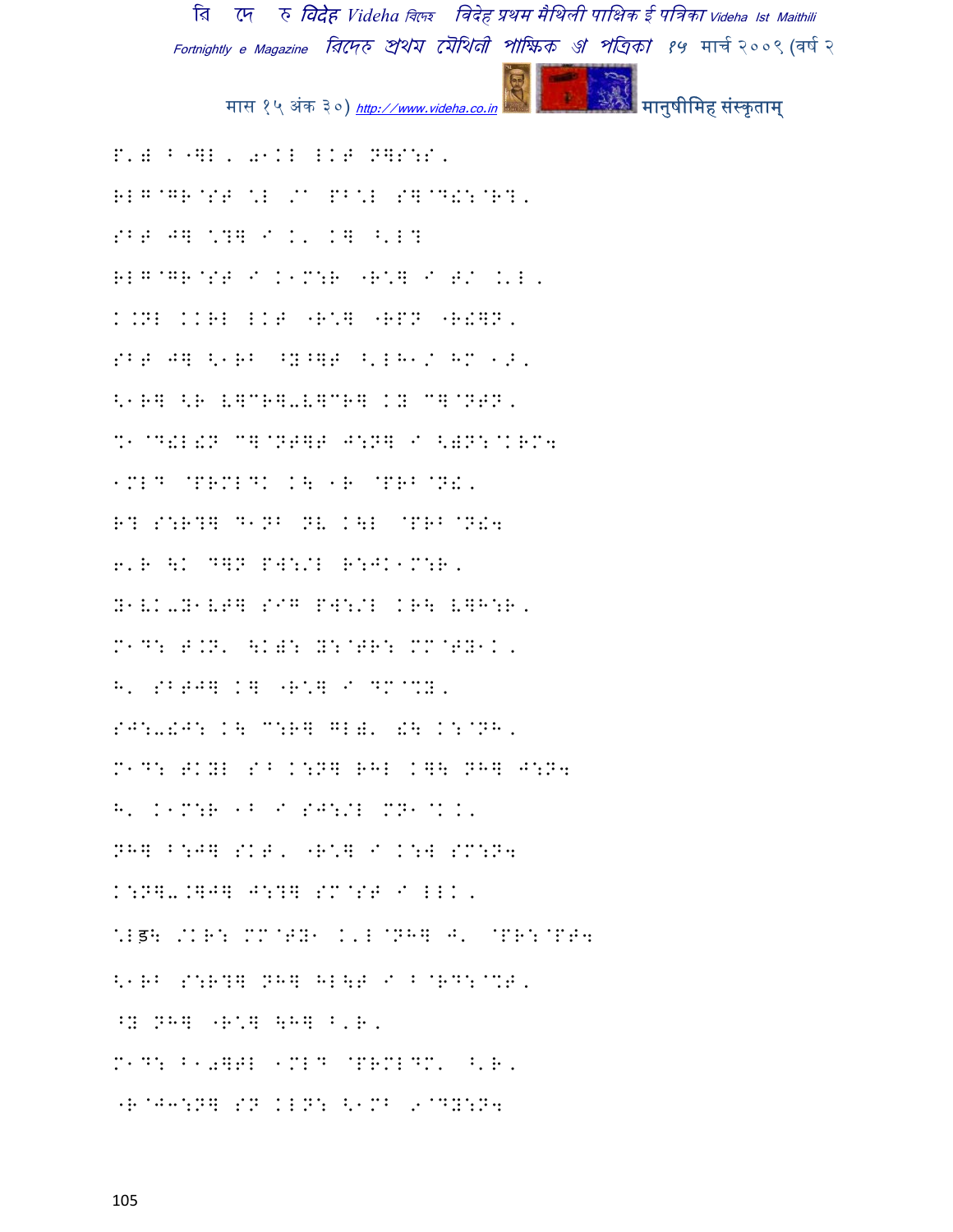मास १५ अंक ३०) <u>http://www.videha.co.in</u> स्थिति स्थिति । मानुषीमिह संस्कृताम्

P.B") HE, 2011 FIR PRESS, RLG@GR@ST \*LG@GR@ST \*LG@GR@ST \*LG@GR@ST  $S$  Fig. 49  $S$  ,  $S$  H  $S$  ,  $S$  ,  $S$  ,  $S$  ,  $S$  ,  $S$  ,  $S$  ,  $S$  ,  $S$  ,  $S$  ,  $S$  ,  $S$  ,  $S$  ,  $S$  ,  $S$  ,  $S$  ,  $S$  ,  $S$  ,  $S$  ,  $S$  ,  $S$  ,  $S$  ,  $S$  ,  $S$  ,  $S$  ,  $S$  ,  $S$  ,  $S$  ,  $S$  ,  $S$  ,  $S$  ,  $S$  ,  $S$  , RLG@GR@ST I K1M:R "RATION" I TO ALL K.NL KKRL LKT "R\*] "RPN "R!]N,  $\mathcal{L} \mathcal{L} \mathcal{L} \mathcal{L} \mathcal{L} \mathcal{L} \mathcal{L} \mathcal{L} \mathcal{L} \mathcal{L} \mathcal{L} \mathcal{L} \mathcal{L} \mathcal{L} \mathcal{L} \mathcal{L} \mathcal{L} \mathcal{L} \mathcal{L} \mathcal{L} \mathcal{L} \mathcal{L} \mathcal{L} \mathcal{L} \mathcal{L} \mathcal{L} \mathcal{L} \mathcal{L} \mathcal{L} \mathcal{L} \mathcal{L} \mathcal{L} \mathcal{L} \mathcal{L} \mathcal{L} \mathcal{L} \mathcal{$  $\mathcal{L}$  , and a set of the set of the set of the set of the set of the set of the set of the set of the set of the set of the set of the set of the set of the set of the set of the set of the set of the set of the set of %1@D!L!N C]@NT]T J:N] I <)N:@KRM4 1MLD @PRMLDK K\ 1R @PRB@N!, R? S:R?H? S:R? D1NB NH NV K 6'R \K D]N PW:/L R:JK1M:R, HOLLARING SYM PHYSICIPH RUPYR. MANY ROOMS IN THE WORKSHIP H' SBTJ] K] "R\*] I DM@%Y,  $S$  . The state  $S$  is a contribution of  $S$  . The state  $S$  is the state  $S$ MATH SO K:N RHL KI:N RHL AND A H. CHTGB I STANDARD TRACTOR, NH] B:J] SKT, "R\*] I K:W SM:N4 K:N]-.]J] J:?] SM@ST I LLK, \*Lड़\ /KR: MM@TY1 K'L@NH] J' @PR:@PT4 REPORTED THE HIGH SOMETIME. ^Y NH] "R\*] \H] B'R, D: B10] FL 2MM (PROPERTY OF BL) "R@J3:N] SN KLN: <1MB 9@DY:N4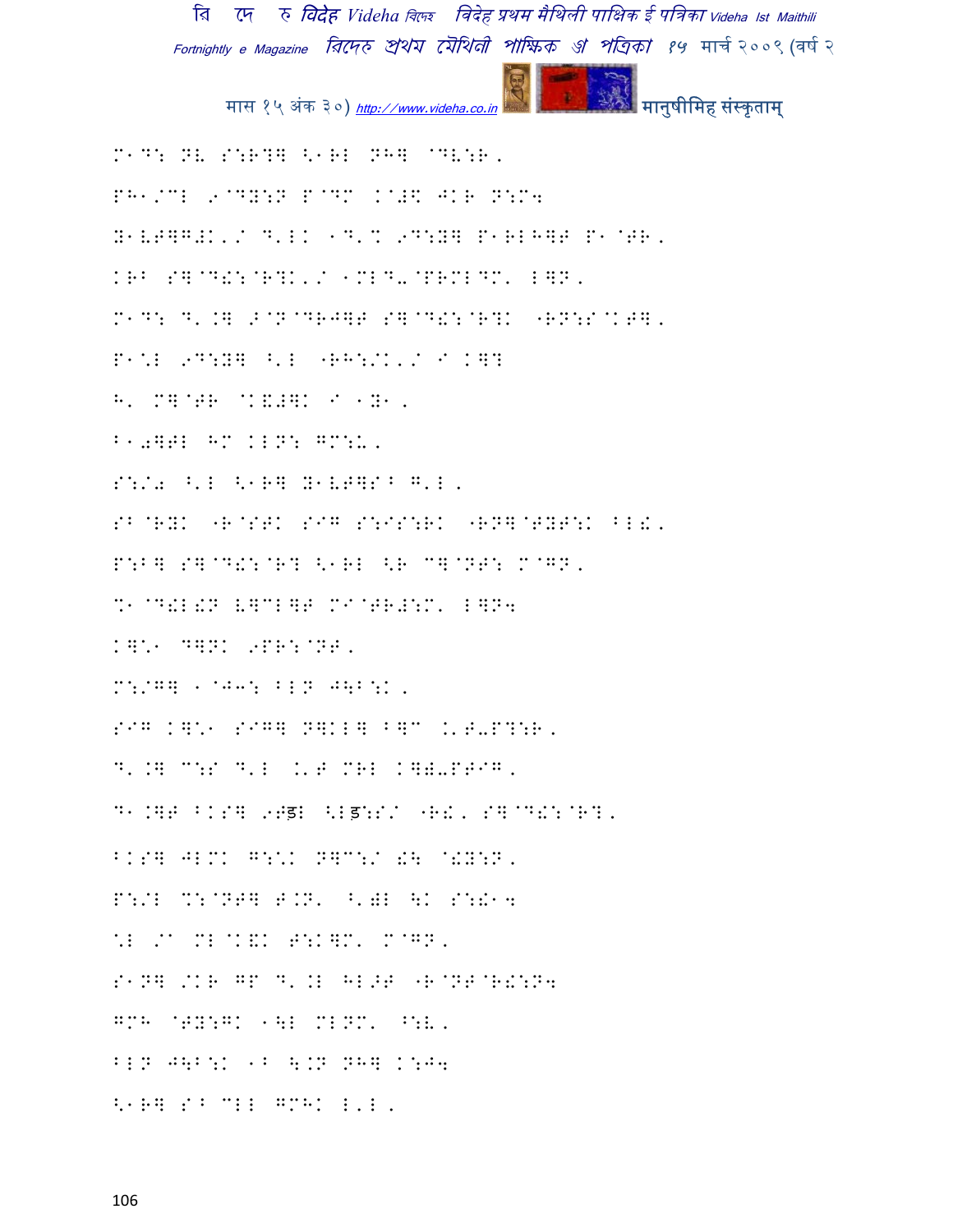मास १५ अंक ३०) <u>http://www.videha.co.in स्थिति क्रिके</u>टी **मानुषीमिह संस्कृताम्** 

MORE SOME REPORT OF STREET PH1/CL 9@DY:N P@DM .@#\$ JKR N:M4 Y1VT]G#K'/ D'LK 1D'% 9D:Y] P1RLH]T P1@TR, KRB SEPTIME SERIOR STRINGER S D: PECTURE SUPERFIER SENTER DE DISPERSIONERS P1\*L 9D:Y] ^'L "RH:/K'/ I K]? H' M]@TR @K&#]K I 1Y1, B10]TL HM KLN: GM: S://organization.com/society/com/society/ SB@RYK "R@STK SIG S:IS:RK "RN]@TYT:K BL!, P:B] S]@D!:@R? <1RL <R C]@NT: M@GN, W. THE ENDING MICHAEL CONTROL COMPANY  $\ddotsc$   $\ddotsc$   $\ddotsc$   $\ddotsc$   $\ddotsc$   $\ddotsc$   $\ddotsc$   $\ddotsc$   $\ddotsc$ **M:/H: Panny F:F H:F:.** SIG KIG KIG KALE SIGA KU SIGA KE SIGA KE SIGA KE SIGA KE SIGA KE SIGA KE SIGA KE SIGA KE SIGA KE SIGA KE SIGA D'.] C:S D'L .'T MRL K])-PTIG, DRICH BOOTS, SESI (SISTEM) (REV. SSCHEDUNG) BKSH GET GRIL GUTEN BE NEDER. P:/L %:@NT] T.N' ^')L \K S:!14  $^{\prime\prime}$   $^{\prime\prime}$   $^{\prime\prime}$   $^{\prime\prime}$   $^{\prime\prime}$   $^{\prime\prime}$   $^{\prime\prime}$   $^{\prime\prime}$   $^{\prime\prime}$   $^{\prime\prime}$   $^{\prime\prime}$   $^{\prime\prime}$   $^{\prime\prime}$   $^{\prime\prime}$   $^{\prime\prime}$   $^{\prime\prime}$   $^{\prime\prime}$   $^{\prime\prime}$   $^{\prime\prime}$   $^{\prime\prime}$   $^{\prime\prime}$   $^{\prime\prime}$   $^{\prime\prime}$   $^{\prime\prime}$   $^{\prime\$ S1N] /KR GP D'.L HL>T "R@NT@R!:N4 GMH @TY:GK 1\L MLNM' ^:V, BLN 48911 (18 NH) SHE (194 RABBER THE BUILDING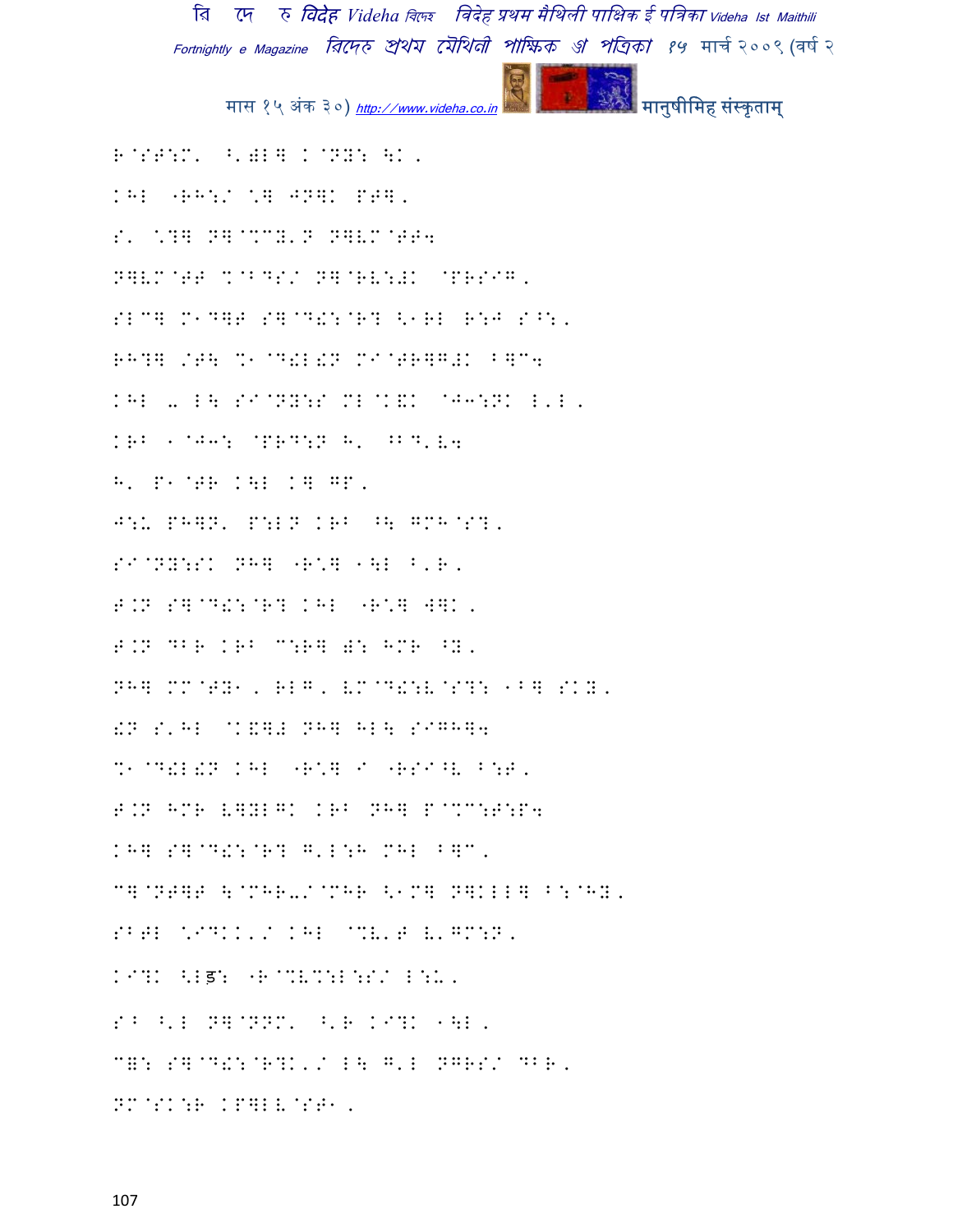मास १५ अंक ३०) <u>http://www.videha.co.in</u> स्थिती सामानि स स्कृताम्

 $R$  , and  $R$  , and  $R$  , and  $R$  is the set of  $R$  , and  $R$  , and  $R$  , and  $R$  , and  $R$  , and  $R$  , and  $R$  , and  $R$  , and  $R$  , and  $R$  , and  $R$  , and  $R$  , and  $R$  , and  $R$  , and  $R$  , and  $R$  , and  $R$  , and  $R$  $K$  , and  $K$  is a set of  $K$  -respectively. The probability  $K$ S' THE NETTHER SHEET THE NAMES OF STREET STREET SERVERS  $\mathcal{S}$  (  $\mathcal{S}$  )  $\mathcal{S}$  ,  $\mathcal{S}$  ,  $\mathcal{S}$  ,  $\mathcal{S}$  ,  $\mathcal{S}$  ,  $\mathcal{S}$  ,  $\mathcal{S}$  ,  $\mathcal{S}$  ,  $\mathcal{S}$  ,  $\mathcal{S}$  ,  $\mathcal{S}$  ,  $\mathcal{S}$  ,  $\mathcal{S}$  ,  $\mathcal{S}$  ,  $\mathcal{S}$  ,  $\mathcal{S}$  ,  $\mathcal{S}$  ,  $\mathcal{S}$  ,  $\$ RH?] /T\ %1@D!L!N MI@TR]G#K B]C4 KHL 2 BH PROVENS OF CORD CHANY: BIB 2 KRB 1@J3: @PRD:N H' ^BD'V4 H, PHONE CHE CH MP, J:U PHEN' PHIN' PHONE PHONE PHONE SIMING THE RENE (RENE) T.N SHIP SAN SHIP SAN SHIP SAN SHIP SAN SHIP SAN SHIP SAN SHIP SAN SHIP SAN SHIP SAN SHIP SAN SHIP SAN SHIP SA T.N DR KRB KRB KRB C:R NH MMMER , RUG, COMMON STRIKING **NOSE OF STATE CONFIDENTIAL SECTION** Whitehorth (RNE) i Renth (Re. T.N HMR V]YLGK KRB NH] P@%C:T:P4 KH] S]@D!:@R? G'L:H MHL B]C, C]@NT]T \@MHR-/@MHR <1M] N]KLL] B:@HY, SBTL \*IDKKY/ KHL #IDKK: NORTH  $K:K \to K$  . Is the contribution of  $K$  . In the contribution of  $K$  . In the contribution of  $K$ So 'L NAM' 'R KI?K 1999' 'N NAME 'N NAME 'N NAME 'N NAME 'N NAME 'N NAME 'N NAME 'N NAME 'N NAME 'N NAME 'N NA C=: S]@D!:@R?K'/ L\ G'L NGRS/ DBR, NM@SK:R KP]LV@ST1,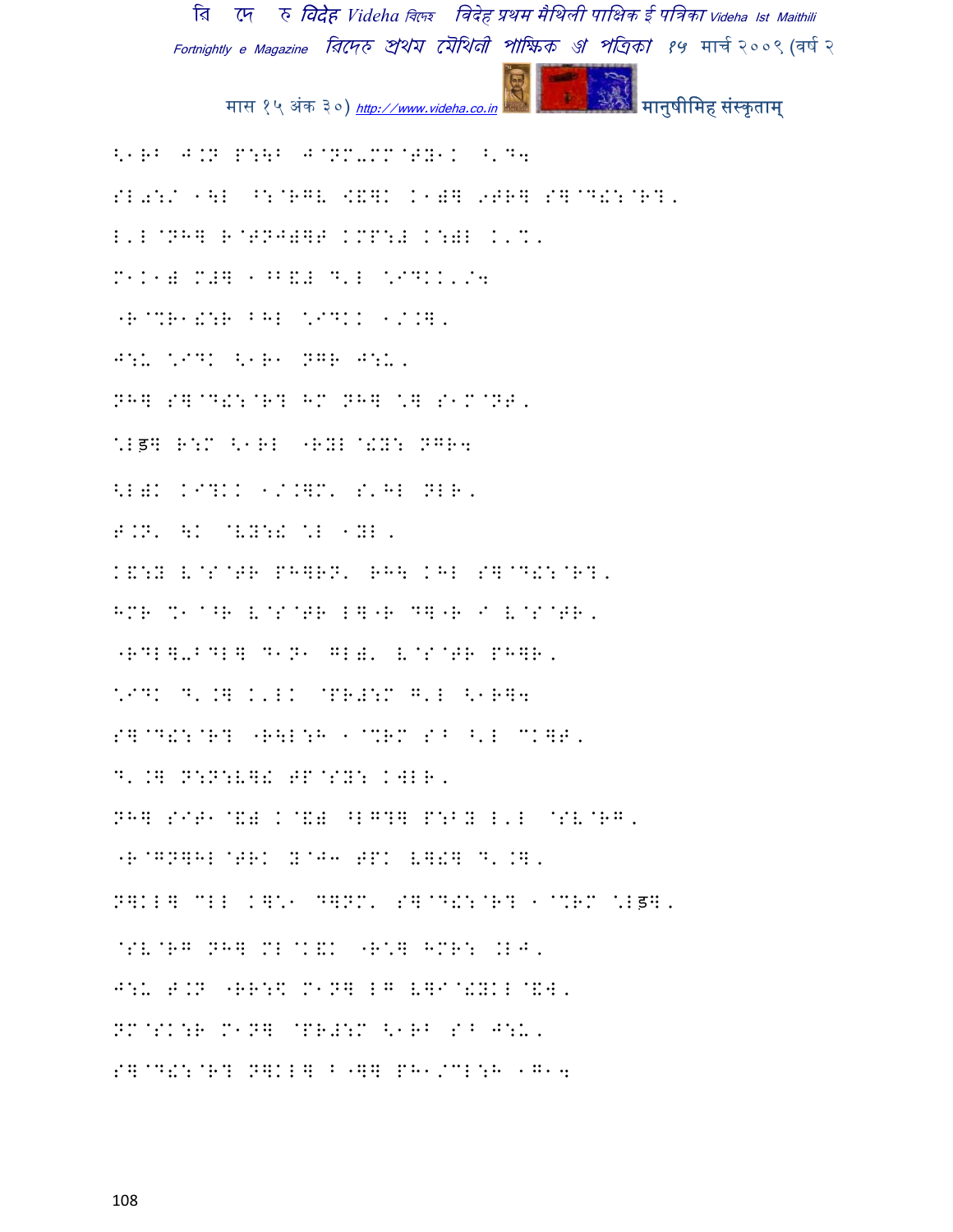मास १५ अंक ३०) http://www.videha.co.in स्थितीया मानुषीमिह संस्कृताम्

R P:\B J.N P:B:\B J.N P:\DAN-MATY SL0:/ 1W | PETHE SERD (1008 (2008) 28 TRIVET. L'ANH, ROMAN ROMAN ROMAN ROMAN ROMAN ROMAN ROMAN ROMAN ROMAN ROMAN ROMAN ROMAN ROMAN ROMAN ROMAN ROMAN ROMAN R M1K1) M#] 1^B&# D'L \*IDKK'/4  $R$  and  $R$  is below  $R$  . And  $R$  is a set  $R$  is a set  $R$  in  $R$  of  $R$  is a set  $R$ J:U \*IDK <1R1 NGR J:U, NH] S]@D!:@R? HM NH] \*] S1M@NT, \*Lड़] R:M <1RL "RYL@!Y: NGR4 K KIRK STANDER STANDER T.N. 1999. T.N. 1999. T.N. 1999. T.N. 1999. T.N. 1999. T.N. 1999. T.N. 1999. T.N. 1999. T.N. 1999. T.N. 1999. KB:X V. V. PHERN' RH\ (PE) SACTOR (PT) HMR %10 PR & SMORE ER PROTHING A WAS GREA "RDL]-BDL] D1N1 GL)' V@S@TR PH]R, \*IOK D'ENNES ER ER ET HANDEL  $\mathcal{S}$  satisfy the control of the control control  $\mathcal{S}$ D'. N: VIII TE ME THE SY: KWLR, I NH] SIT1@&) K@&) ^LG?] P:BY L'L @SV@RG,  $R$  (ROTHER YOU) IN THE VALUE OF THE VEHICLE VALUE OF  $R$ NELES TEE CSLV SSON, PSITER THE VIDEO MESS. @SV@RG NH] ML@K&K "R\*] HMR: .LJ, J:U T.N "RR:\$ M1N] LG V]I@!YKL@&W, NM@SK:R M1N] @PR#:M <1RB S^ J:U, SH CHA SHE SHI B B 1988 FRENCH 1G 1G14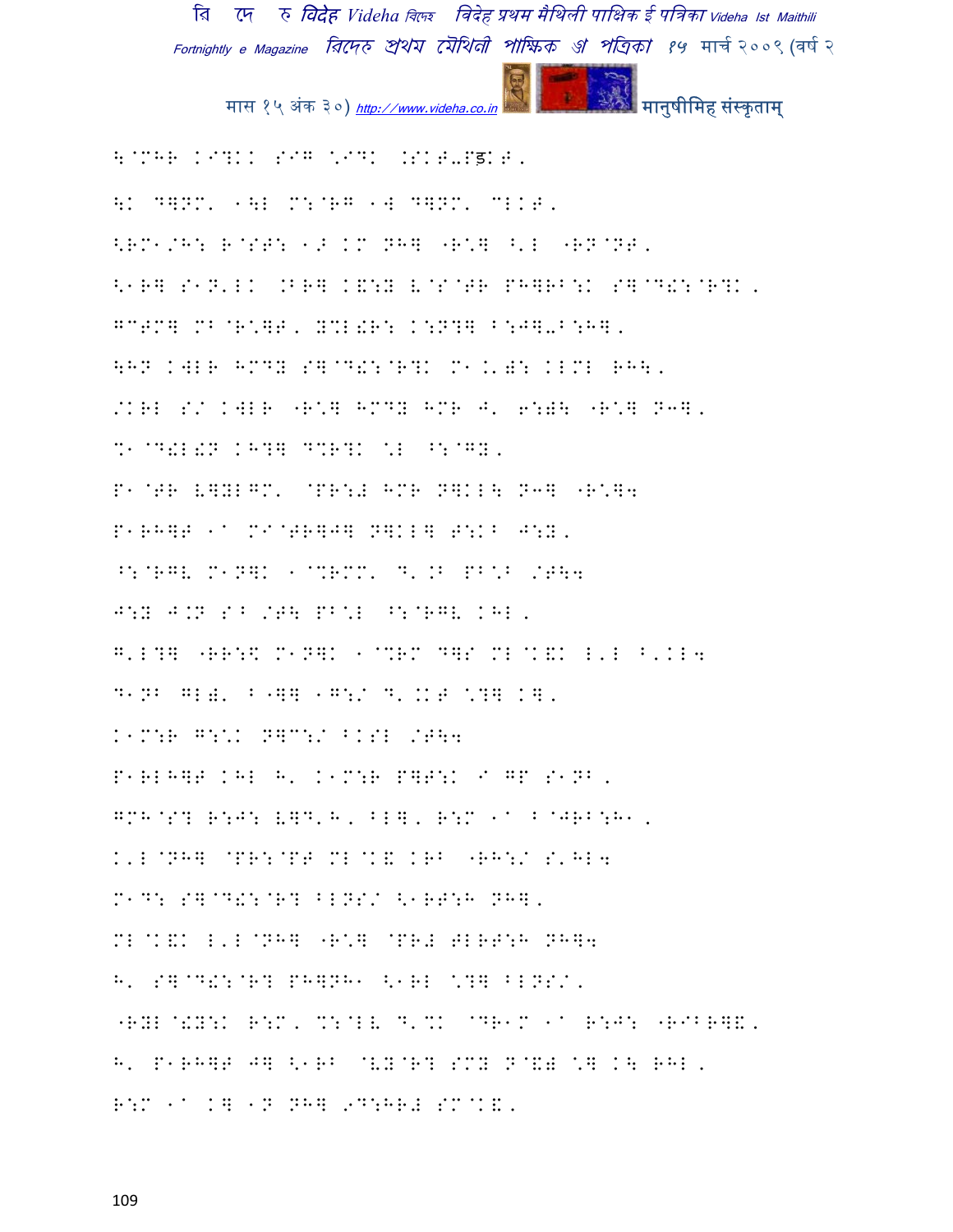मास १५ अंक ३०) http://www.videha.co.in | सामानिक मानुषीमिह संस्कृताम्

\@MHR KI?KK SIG \*IDK .SKT-Pड़KT,  $\overline{W}$  Denotes the Distribution of the Distribution of the Distribution of the Distribution of the Distribution of the Distribution of the Distribution of the Distribution of the Distribution of the Distribution of the D RATE THE ROOM OF THE SPORT REPORT.  $1.8$  BB (1870) In State of Birds and Computer theory of the Philosophers of the Computer of the Computer of the Computer of the Computer of the Computer of the Computer of the Computer of the Computer of the Computer of t GCTM MBORY MARKET READERS AND A \HN KWLR HMDY S]@D!:@R?K M1.'): KLML RH\, /KRL S/ KWLR "R\*] HMDY HMR J' 6:)\ "R\*] N3], %1@D!L!N KH?] D%R?K \*L ^:@GY, P1@TR VIRGON MORE AND PHILE AND MORE P1RH]T 1a MI@TR]J] N]KL] T:KB J:Y, ^:@RGV M1N]K 1@%RMM' D'.B PB\*B /T\4 JA: J.N SO Y.N SA PART (PROPERTIES) B.: 198 | GERT C. 200 | KIND DER CHANNEL ELE BILLE D1NB GL)' B"]] 1G:/ D'.KT \*?] K], K1M:R G:// BHT12 FILE 2859 P1RLH]T KHL H' K1M:R P]T:K I GP S1NB, GMH@S? R:J: V]D'H, BL], R:M 1a B@JRB:H1, K'L@NH] @PR:@PT ML@K& KRB "RH:/ S'HL4 D: WE SHOW: SHIPS (1991) SHERRY CHE, ML MAK LITTE "RYB" MPR HIRRY THA H. SAMARINA PHIPH (1981) NA PARTICI "RHE MOON'S RYL", "WHE RIGHT OF THE PROPERTY ARE RECOVERED. H' P1RH]T J] <1RB @VY@R? SMY N@&) \*] K\ RHL, R:M 1a K] 1N NH] 9D:HR# SM@K&,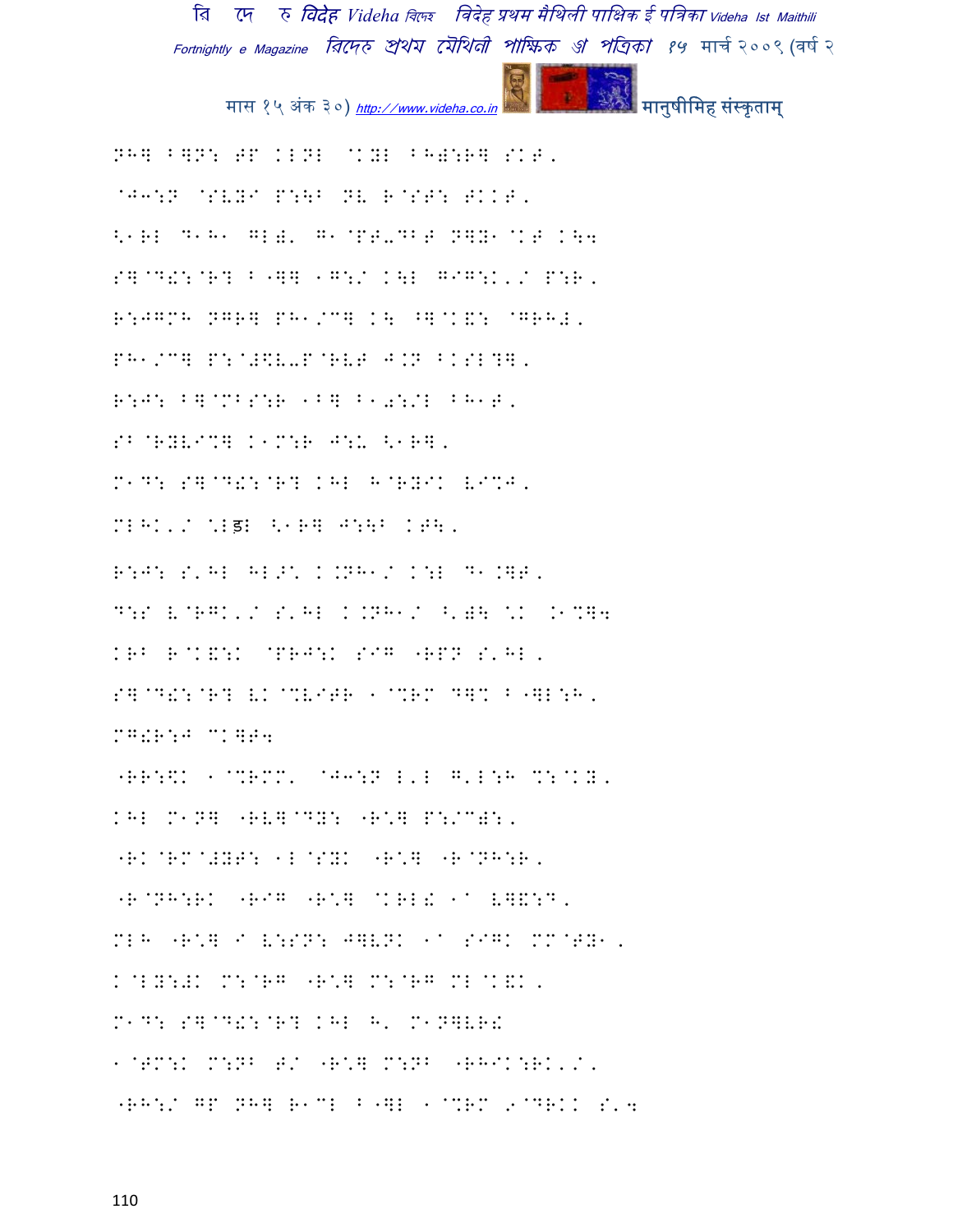मास १५ अंक ३०) http://www.videha.co.in | सामानिक मानुषीमिह संस्कृताम्

NH] B]N: TP KLNL @KYL BH):R] SKT, @J3:N @SVYI P:\B NV R@ST: TKKT, the model week workers had nad the SEPTED BY BURGET ARD CONSTRUCTION OF PORT R:JGMH NGR] PH1/C] K\ ^]@K&: @GRH#, PH1/C] P:@#\$V-P@RVT J.N BKSL?], R:J: B]@MBS:R 1B] B10:/L BH1T, SB@RYVI%] K1M:R J:U <1R], M1D: S]@D!:@R? KHL H@RYIK VI%J,  $TEML$   $T$   $MSE$   $NSE$   $H$   $HSE$   $ISE$   $ISE$   $ISE$ RYAN RIAL HEAN CORAC COM THOMAS D:S V@RGK'/ S'HL K.NH1/ ^')\ \*K .1%]4 KRB R@K&:K @PRJ:K SIG "RPN S'HL,  $\mathcal{S}$  . The same probability of the same probability of the same probability of the same probability of the same probability of the same probability of the same probability of the same probability of the same probabilit TANDA TIAR "RR:\$K 10" MONTH: AND RESOURCES AND RESOURCES KHL MANHL MAN MAN ROOM PARTNERS "RK@RM@#YT: 1L@SYK "R\*] "R@NH:R,  $R$  (PR(B) are reduced the  $R$  and  $R$ MLAH "R\*DEN "R\*DEN" I V:SN: JONESE MM K@L#X:#K M:@RG "R\*##" M1D: S]@D!:@R? KHL H' M1N]VR! 1@TM:K M:NB T/ "R\*] M:NB "RHIK:RK'/, "RH:/ GP NH] R1CL B"]L 1@%RM 9@DRKK S'4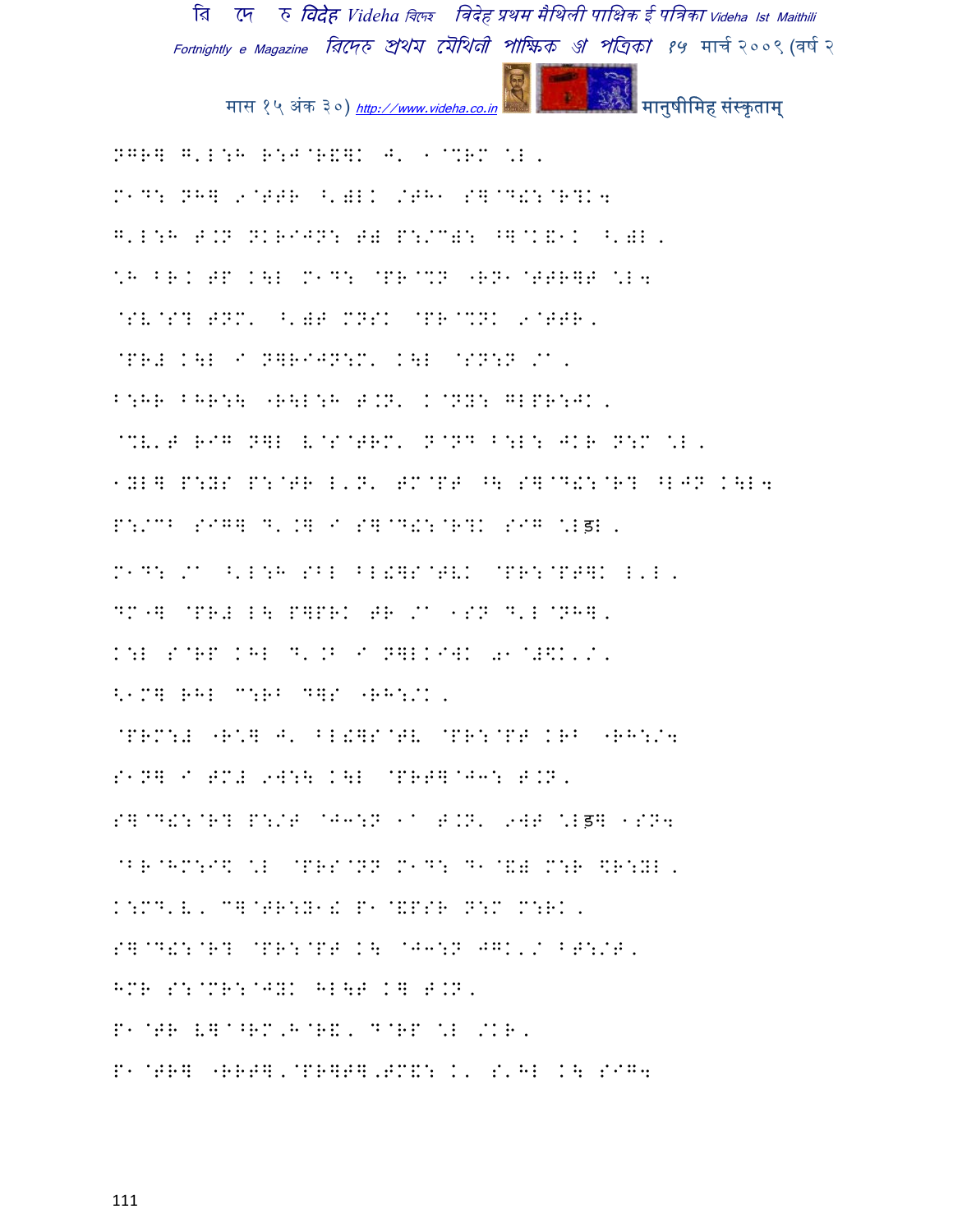मास १५ अंक ३०) <u>http://www.videha.co.in National Acco</u>ssib**lity मानुषीमिह संस्कृताम्** 

NGR] G'L:H R:J@R&]K J' 1@%RM \*L, M1D: NH] 9 MH 9 MH 9 MH 9 MH 9 MH 9 MH 9 B. ENN AN RIBYARY AN TYLING ARMIEN (AND L \*H BR. TP K\L M1D: @PR@%N "RN1@TTR]T \*L4 @SV@S? TNM' ^')T MNSK @PR@%NK 9@TTR, @PR# K\L I N]RIJN:M' K\L @SN:N /a, B:HR:B:HR:HR:H B:HR:HI.H T.NI HE @%V'T RIG N]L V@S@TRM' N@ND B:L: JKR N:M \*L, 1YL] P:YS P:@TR L'N' TM@PT ^\ S]@D!:@R? ^LJN K\L4 P:/TF SIGH R.IH S SHIGHS FRI SIG MISH. D: 71 ON SEEM PER PERMITTED OPEN PREDICEL DM"] @PR# L\ P]PRK TR /a 1SN D'L@NH], K:L SORP KHL DY.B I NDRIVER (BOOK) **1. THRL CHILL CONSTRUCT** @PRM:# "R\*] J' BL!]S@TV @PR:@PT KRB "RH:/4 S1NH 2 BIZ 29GB 19E (TBBH)40G BIR.  $S$  share the position of the state of the state  $S$ @BR@HM:I\$ \*L @PRS@NN M1D: D1@&) M:R \$R:YL, K:MD'V, C]@TR:Y1! P1@&PSR N:M M:RK, SAMPLE SHOW: DO THE CARD COMPLETED AND STOLEN AND LOCAL BILLIONS HMR S:@MR:@JYK HL\T K] T.N, P1@TR V]@^RM,H@R&, D@RP \*L /KR, P1@TRING\_PRESS\_PRESS\_PRIMAGE\_PRESS\_PRESS\_PRESS\_PRESS\_PRESS\_PRESS\_PRESS\_PRESS\_PRESS\_PRESS\_PRESS\_PRESS\_PRESS\_PRESS\_PRESS\_PRESS\_PRESS\_PRESS\_PRESS\_PRESS\_PRESS\_PRESS\_PRESS\_PRESS\_PRESS\_PRESS\_PRESS\_PRESS\_PRESS\_PRESS\_PRESS\_PRESS\_P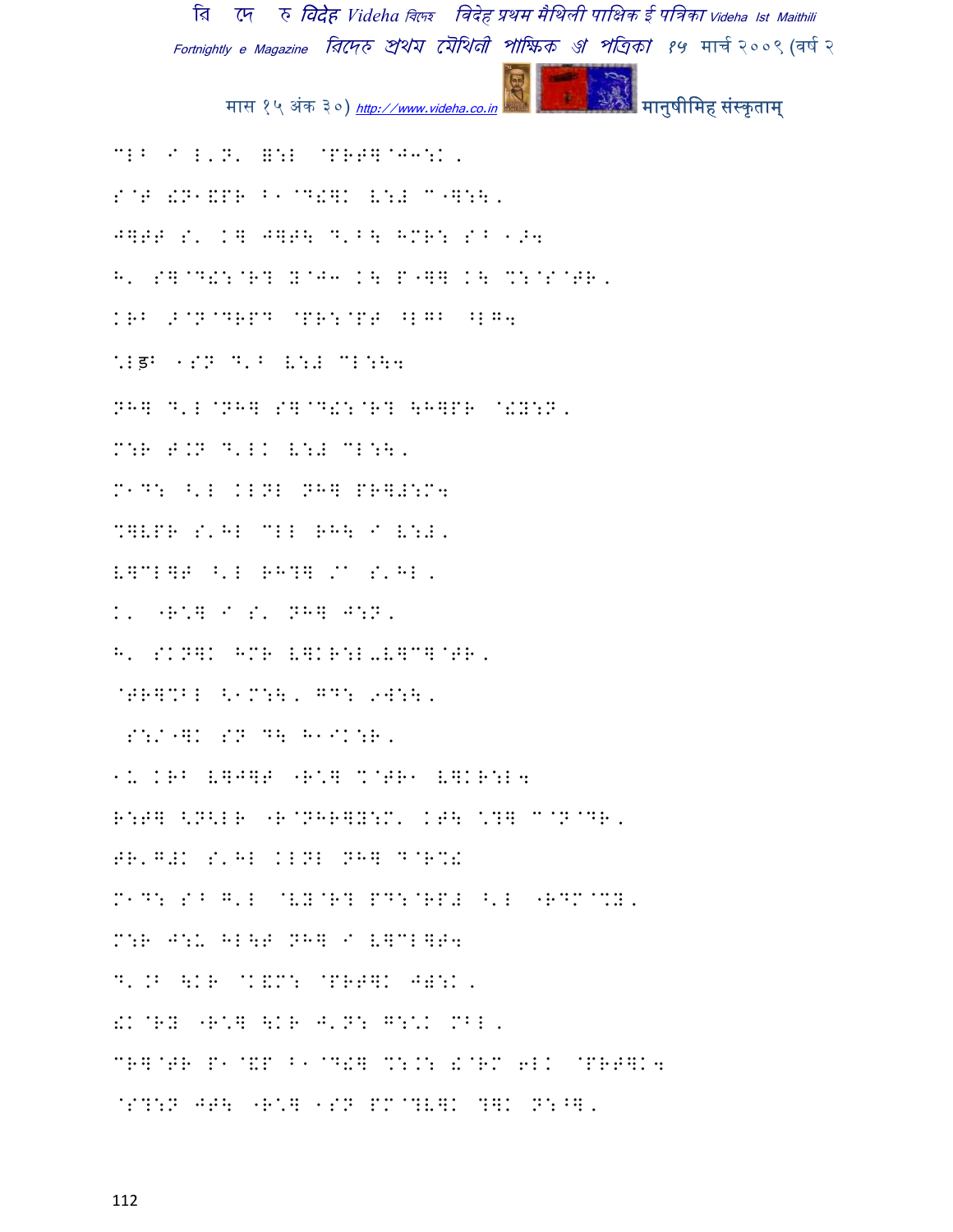मास १५ अंक ३०) <u>http://www.videha.co.in</u> स्थिती सामानि स स्कृताम्

THE CLASS CONSTRUCTION OF THE CONSTRUCTION OF THE CONSTRUCTION OF THE CONSTRUCTION OF THE CONSTRUCTION OF THE S@T !N1&PR B1@D!]K V:# C"]:\, JTE S' TT JTE SY KADAPER SY H, SEMERGE SAM IN PHRIS WITH THE KRB >@N@DRPD @PR:@PT ^LGB ^LG4  $\mathbb{R}$ : $\mathbb{R}$   $\mathbb{R}$  1  $\mathbb{R}$   $\mathbb{R}$   $\mathbb{R}$   $\mathbb{R}$   $\mathbb{R}$   $\mathbb{R}$   $\mathbb{R}$   $\mathbb{R}$   $\mathbb{R}$   $\mathbb{R}$   $\mathbb{R}$   $\mathbb{R}$   $\mathbb{R}$   $\mathbb{R}$   $\mathbb{R}$   $\mathbb{R}$   $\mathbb{R}$   $\mathbb{R}$   $\mathbb{R}$   $\mathbb{R}$   $\mathbb{R}$   $\math$ NH] D'L@NH] S]@D!:@R? \H]PR @!Y:N, M:R T.N D'LI D'AN DIN MANN MANN NHE PRESIDE %]VPR S'HL CLL RH\ I V:#, LATIAN VI RHIA ZO KUNI, K. "RTH S' N. PRH AND. H' SKY HHMR VALUE I HAN SKY LANDER MAN @TR]%BL <1M:\, GD: 9W:\, S:/"]K SN D\ H1IK:R, 1U TAR 1999 (AND VICE TO AN 1916) RYFE RERED (BORDERING CHRONE TOPOR) HR'GH S'HL KLNL NHI DOWN MOND: SO G'L POINT POINT POINT AND AN ANY AND LINE THE AND ALAB JAB & LATIABA D'.B \KR @K&M: @PRT]K J):K, KORB "RY "RE" "RE" "RY "RE" TRAINER PHINE BY THE SIGN 6 SPO WED TERMING @S?:N JT\ "R\*] 1SN PM@?V]K ?]K N:^],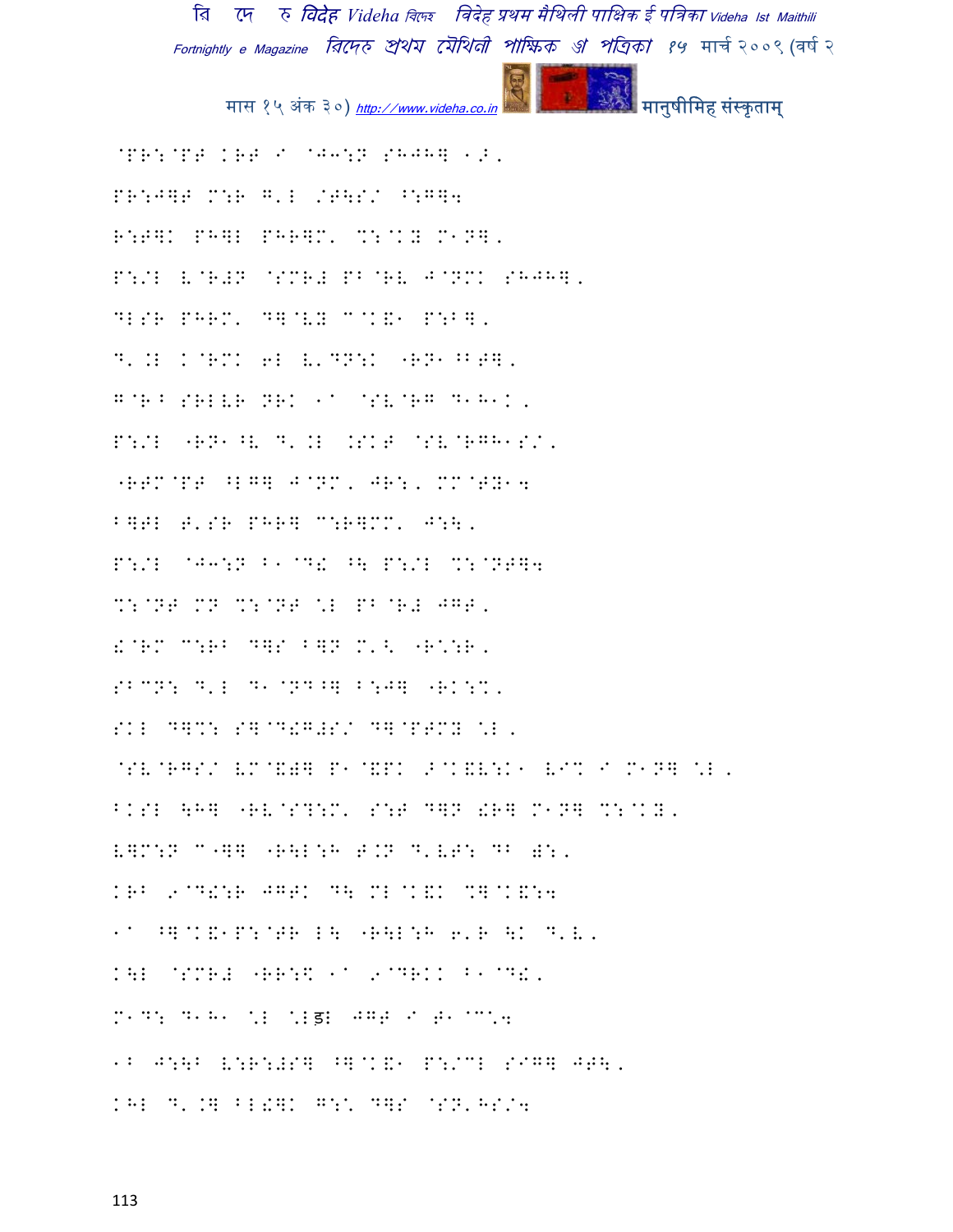मास १५ अंक ३०) <u>http://www.videha.co.in</u> स्थिति स्थिति सानुषीमिह संस्कृताम्

@PR:@PT KRT I @J3:N SHJH] 1>, PR:J]T M:R G'L /T\S/ ^:G]4 R:T]K PH]L PHR]M' %:@KY M1N], P:/L V@R#N @SMR# PB@RV J@NMK SHJH], DLSR PHRM' D]@VY C@K&1 P:B], D'.L KORMAN 6L KORMAN 6L KORMAN 6L KORMAN 6 BORY KRLED DRIVER ON DIRECT PY/L "RN" D'AL .SKT @SV@RGHNY,  $R$  , and the state of the problem  $R$  and  $R$  and  $R$  and  $R$  and  $R$  and  $R$  and  $R$  and  $R$  and  $R$ BOOK CONSIDER THE CONSIDERATION P:/L @J3:N B1@D! ^\ P:/L %:@NT]4  $\mathcal{W}$ : with  $\mathcal{W}$  and  $\mathcal{W}$  and  $\mathcal{W}$  and  $\mathcal{W}$  and  $\mathcal{W}$ !@RM C:RB D]S B]N M'< "R\*:R, SBCN: D'L D1@ND^] B:J] "RK:%, SKL D]%: S]@D!G#S/ D]@PTMY \*L, @SV@RGS/ VM@&)] P1@&PK >@K&V:K1 VI% I M1N] \*L, BKSL HAD "AN MINI", SNA JOR SAD IN PO TYN TY LACY CHAN HANGE A COUNTER TO ANY KRB 9@D!:R JGTK D\ ML@K&K %]@K&:4 1a ^]@K&1P:@TR L\ "R\L:H 6'R \K D'V, KAR MARKA "RRIGHT" "RRIGHT" "RRIGHT" "RRIGHT" "RRIGHT" "RRIGHT" "RRIGHT" "RRIGHT" "BE "RRIGHT" "BE "R M1D: D1H1 \*L \*Lड़L JGT I T1@C\*4 1B J:\B V:R:#S] ^]@K&1 P:/CL SIG] JT\, KHL D'.] BL!]K G:\* D]S @SN'HS/4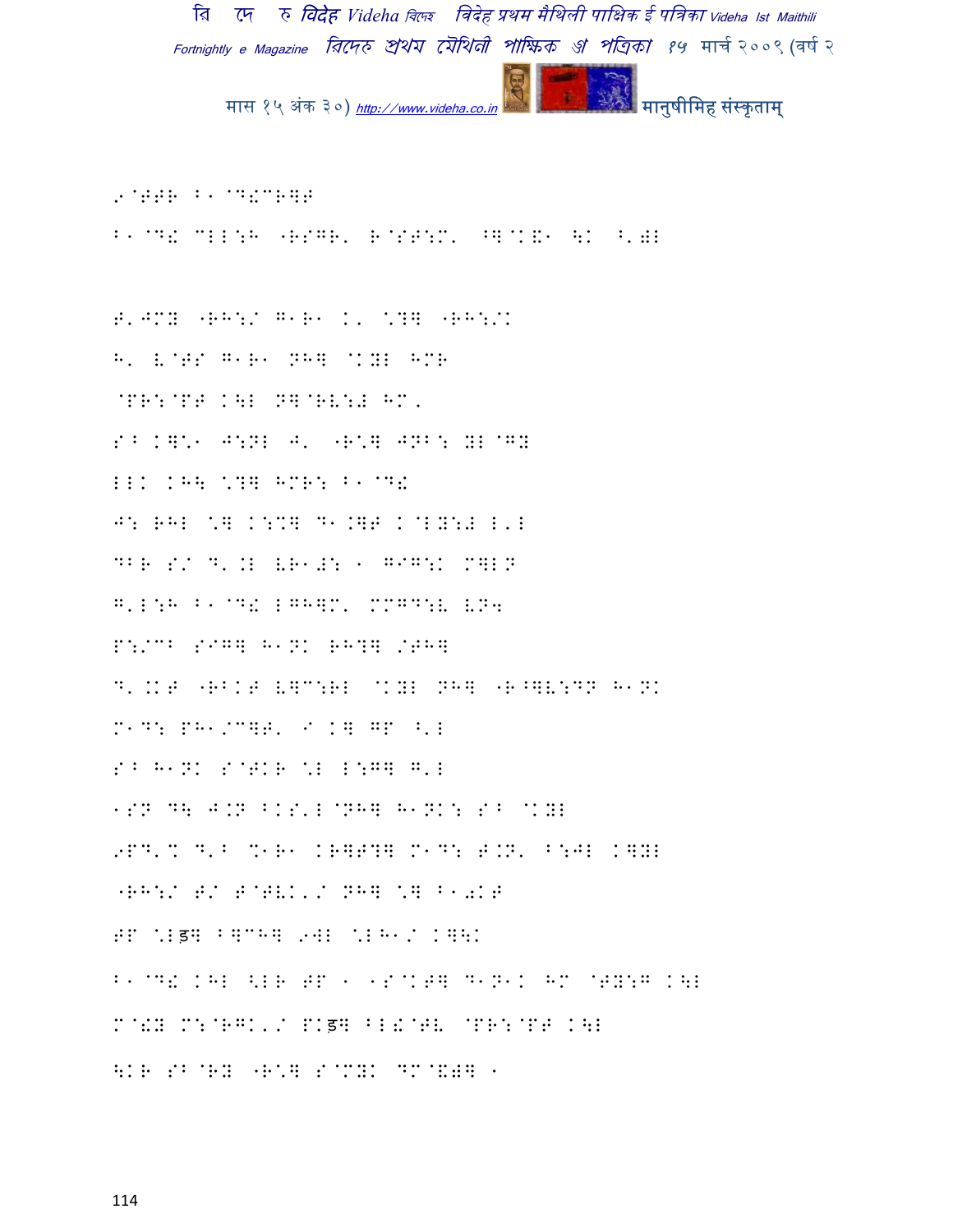मास १५ अंक ३०) <u>http://www.videha.co.in</u> स्थिती सामानि स स्कृताम्

9 DECEMBER 1999 1999 B1@D! CLL:H "RSGR' R@ST:M' ^]@K&1 \K ^')L

T'JMY "RH:/ G1R1 K' \*?] "RH:/K H' V@TS G1R1 NH] @KYL HMR @PR:@PT K\L N]@RV:# HM, S` K` I:NL J` "R`NL J` "R`NL J` "R`NL J` "R`NL J` "R`NL J` "R`NL J` "R`NL J` "R`NL J` "R`NL J` "R`NL J` "R`NL LLK KH\ \*?] HMR: B1@D! J: RHL \*] K:%] D1.]T K@LY:# L'L DR S/ D. L. LEAR (1991) B:B10 B100 MGD:V WARD:V VON P:/TH POWER HITS PHINK CHAN D'.KT "RBKT REDGE "D'E "RAE" "R'HENTR'A'RI M1D: PH1/C]T' I K] GP ^'L SO HONG SOME SATISFIES AND SOME SATISFIES AND SOME SATISFIES AND SOME SATISFIES AND SOME SATISFIES AND SOME 1SN DA J.H.N BKS'L DI J.H.N BKS'L SO DI J.H. 9PD'% D'B %1R1 KR]T?] M1D: T.N' B:JL K]YL "RH:/ T/ T@TVK'/ NH] \*] B10KT  $HT$   $H$   $S$   $H$   $S$   $H$   $S$   $H$   $S$   $H$   $H$   $S$   $H$   $H$ B1@D#2 191 KHP #F 1 1SM1## #PR P1N1 P2 1939# 191 W MO 20 MILLION DISPLACED AND THE CONTROL OF THE CONTROL OF THE CONTROL OF THE CONTROL OF THE CONTROL OF THE CONTROL OF THE CONTROL OF THE CONTROL OF THE CONTROL OF THE CONTROL OF THE CONTROL OF THE CONTROL OF THE CONTROL  $R$  SB  $R$  and  $R$  sampled by the sampled  $R$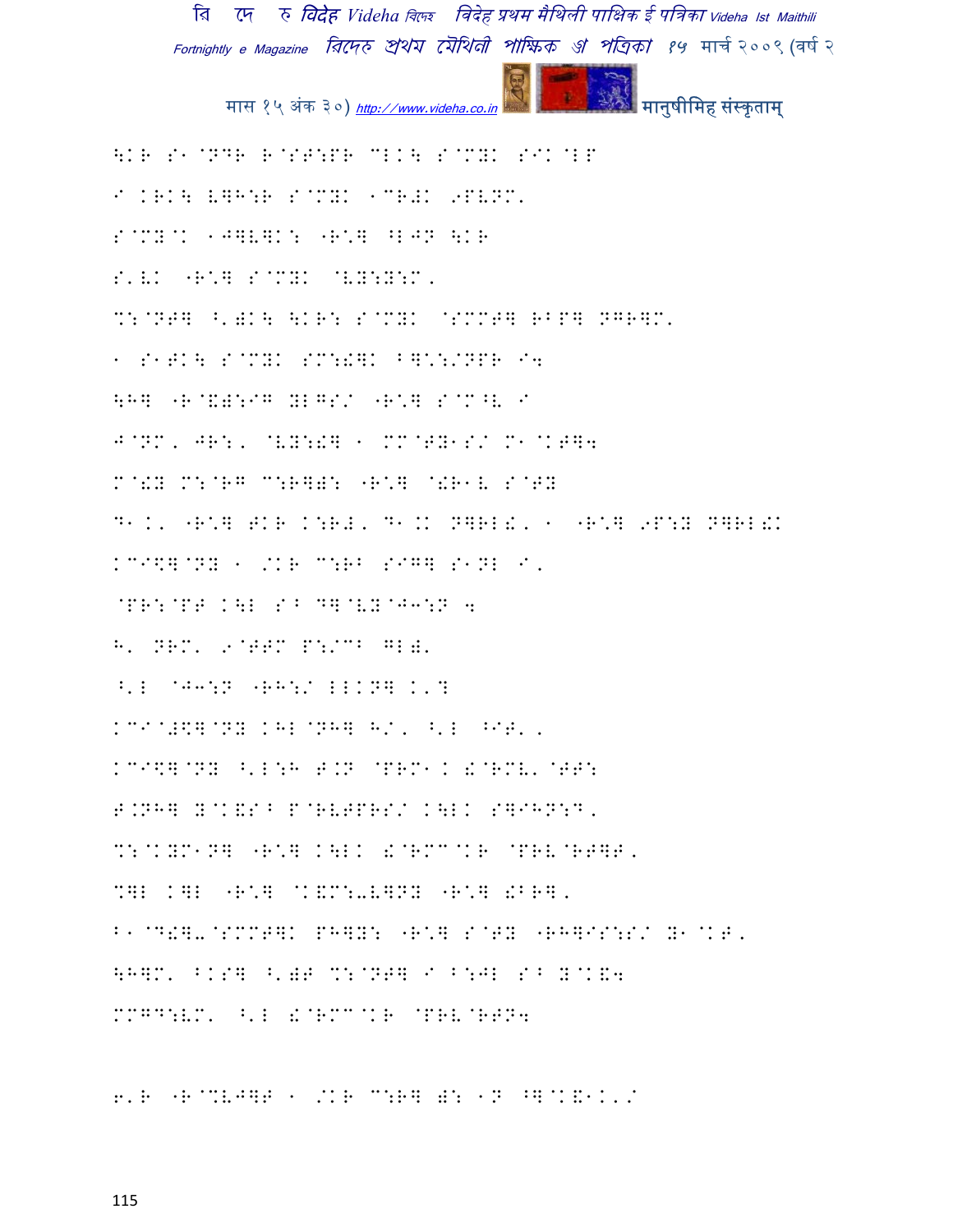मास १५ अंक ३०) <u>http://www.videha.co.in स्थिति क्रिके</u>टी **मानुषीमिह संस्कृताम्** 

\KR S1@NDR R@ST:PR CLK\ S@MYK SIK@LP I KRAMA I KRKO SA MYK NA MARANA I SA MARANA I SA MARANA I SA MARANA I SA MARANA I SA MARANA I SA MARANA I SA M<br>I Sa marana i sa marana i sa marana i sa marana i sa marana i sa marana i sa marana i sa marana i sa marana in SOME IN THE REAL PROPERTY IS A REAL PROPERTY OF A REAL PROPERTY IS A REAL PROPERTY IN THE REAL PROPERTY IS AND S' Robert Start Communications %:@NT] ^')K\ \KR: S@MYK @SMMT] RBP] NGR]M' 1 S1TK\ S@MYK SM:!]K B]\*:/NPR I4 \H] "R@&):IG YLGS/ "R\*] S@M^V I JANM, JAPA, MEDICA MUNCULAN MUNCULAN M@!Y M:@RG C:R]): "R\*] @!R1V S@TY D1., "R\*] TKR K:R#, D1.K N]RL!, 1 "R\*] 9P:Y N]RL!K KCI\$]@NY 1 /KR C:RB SIGHT SIGHT STATE STATE STATE SIGHT STATE SIGHT STATE SIGHT STATE SIGHT STATE SIGHT STATE S @PR:@PT K\L S^ D]@VY@J3:N 4 H' NRM' 9@TTM P:/CB GL)' **'L: '44:L ARH:': LLING'!** KCIMA KALENDAR KALENDARI HARI KCI\$]@NY ^'L:H T.N @NY ^'L:H T.N @PRM1. !@RMV'@TT:H T.N @PRM1. !@RMV'@TT:H T.N @PRM1. !@RMV'@TT:H T.N @PRM1. ! T.NH] Y@K&S^ P@RVTPRS/ K\LK S]IHN:D, %: WHITE THE CHILC ECHINOLE CHELOBERS. %]L K]L "R\*] @K&M:-V]NY "R\*] !BR], B1@D!]-@SMMT]K PH]Y: "R\*] S@TY "RH]IS:S/ Y1@KT, \H]M' BKS] ^')T %:@NT] I B:JL S^ Y@K&4 MONTH REPORT OF THE REPORT OF THE RMC AND A REPORT OF THE RMC AND A REPORT OF THE RMC AND A REPORT OF THE RMC

 $R$  . Reconstruction of the construction of the construction of the construction of the construction of the construction of the construction of the construction of the construction of the construction of the construction o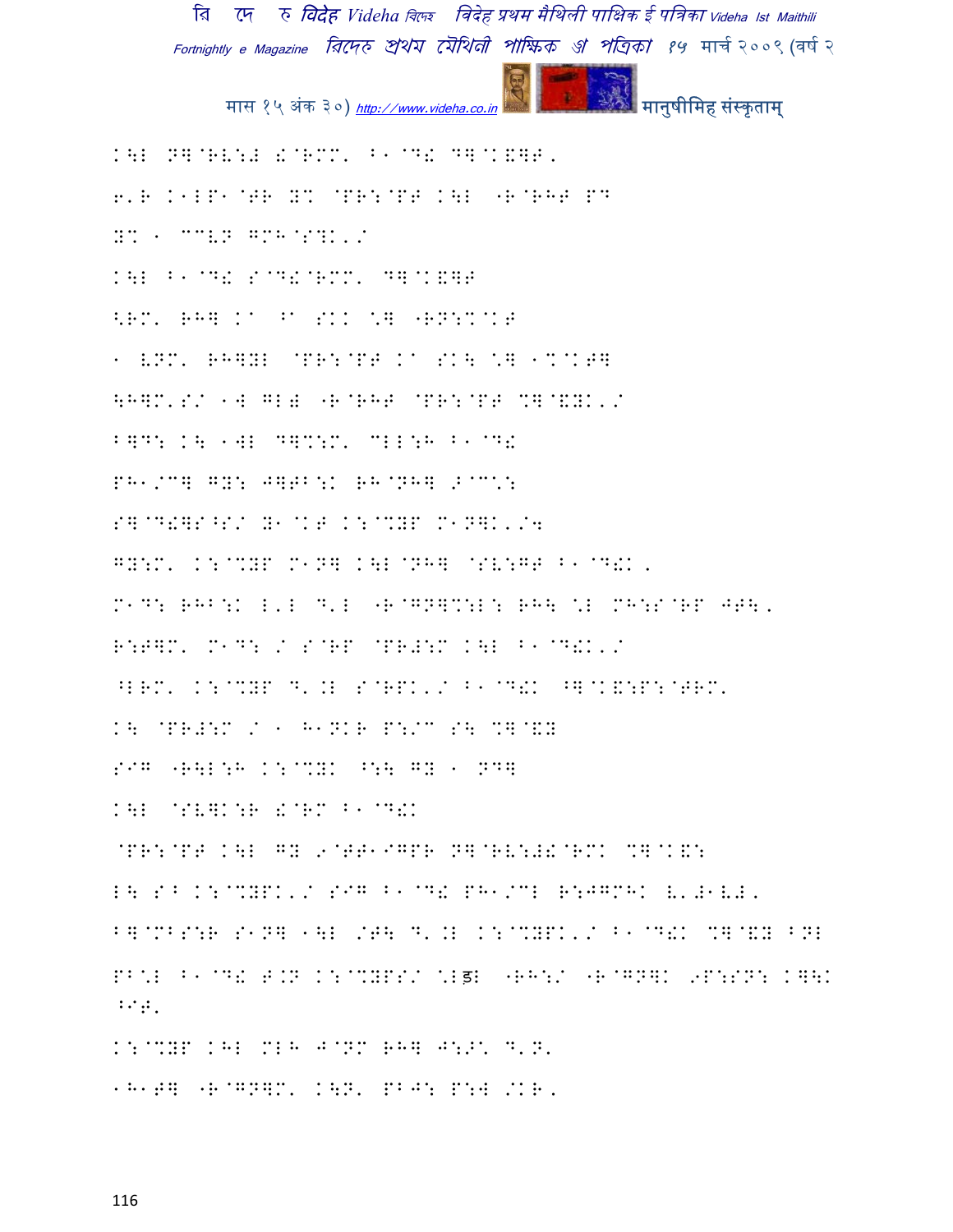मास १५ अंक ३०) <u>http://www.videha.co.in</u> स्थिती सामानि स स्कृताम्

K\L NIMBER BILL AND DESCRIPTION 6'R K1LP1@TR Y% @PR:@PT K\L "R@RHT PD Y COVERED BY CONTROL K\L B1@D! S@D!@RMM' D]@K&]T <RM' RH] Ka ^a SKK \*] "RN:%@KT 1 VNM' RH]YL @PR:@PT Ka SK\ \*] 1%@KT] \H]M'S/ 1W GL) "R@RHT @PR:@PT %]@&YK'/ BBC: KOREAN BERTH BILL: HE BILL: HE BILL: HE BILL: HE BILL: HE BILL: HE BILL: HE BILL: HE BILL: HE BILL: HE BILL: HE BILL: HE BILL: HE BILL: HE BILL: HE BILL: HE BILL: HE BILL: HE BILL: HE BILL: HE BILL: HE BILL: HE BILL: PH1/C] GY: J]TB:K RH@NH] >@C\*: SO YEARS AND MARKED AND MARKED AND MARKED AND MARKED AND MARKED AND MARKED AND MARKED AND MARKED AND MARKED AN GY:M' K:@%YP M1N] K\L@NH] @SV:GT B1@D!K, D: RH: RHF:K L'LE "ROE" (PRIPEDIELE "RHA") NE "DRIEK IRE" PER L R:THIM' MANUSCRIPT OF THE CONTROL BILL BE AN INDUCT ^LRM' K:@%YP D'.L S@RPK'/ B1@D!K ^]@K&:P:@TRM' KA MPANI KA HARIB PENYAN CHATER  $\mathbb{R}^{16}$  . Hence the the true  $\mathbb{R}^{16}$  is the sum of  $\mathbb{R}^{16}$ K\L @SV]K:R !@RM B1@D!K @PR:@PT K\L GY 9@TT1IGPR N]@RV:#!@RMK %]@K&: LA SO KIGINALI SIG BILIMI PHILIP RIGHTER ELERGI B]@MBS:R S1N] 1\L /T\ D'.L K:@%YPK'/ B1@D!K %]@&Y BNL PR\*LE B1# YPS & CR (18 MINER) \*LE\$E "RH:R" "R@GNPH!" AP:SPYR (PR)  $\mathcal{L}^{\mathcal{I}}\mathcal{L}^{\mathcal{I}}\mathcal{L}^{\mathcal{I}}$ K: YOUR KHL ME AND ARM AND THE 1H1T] "R@GN]M' K\N' PBJ: P:W /KR,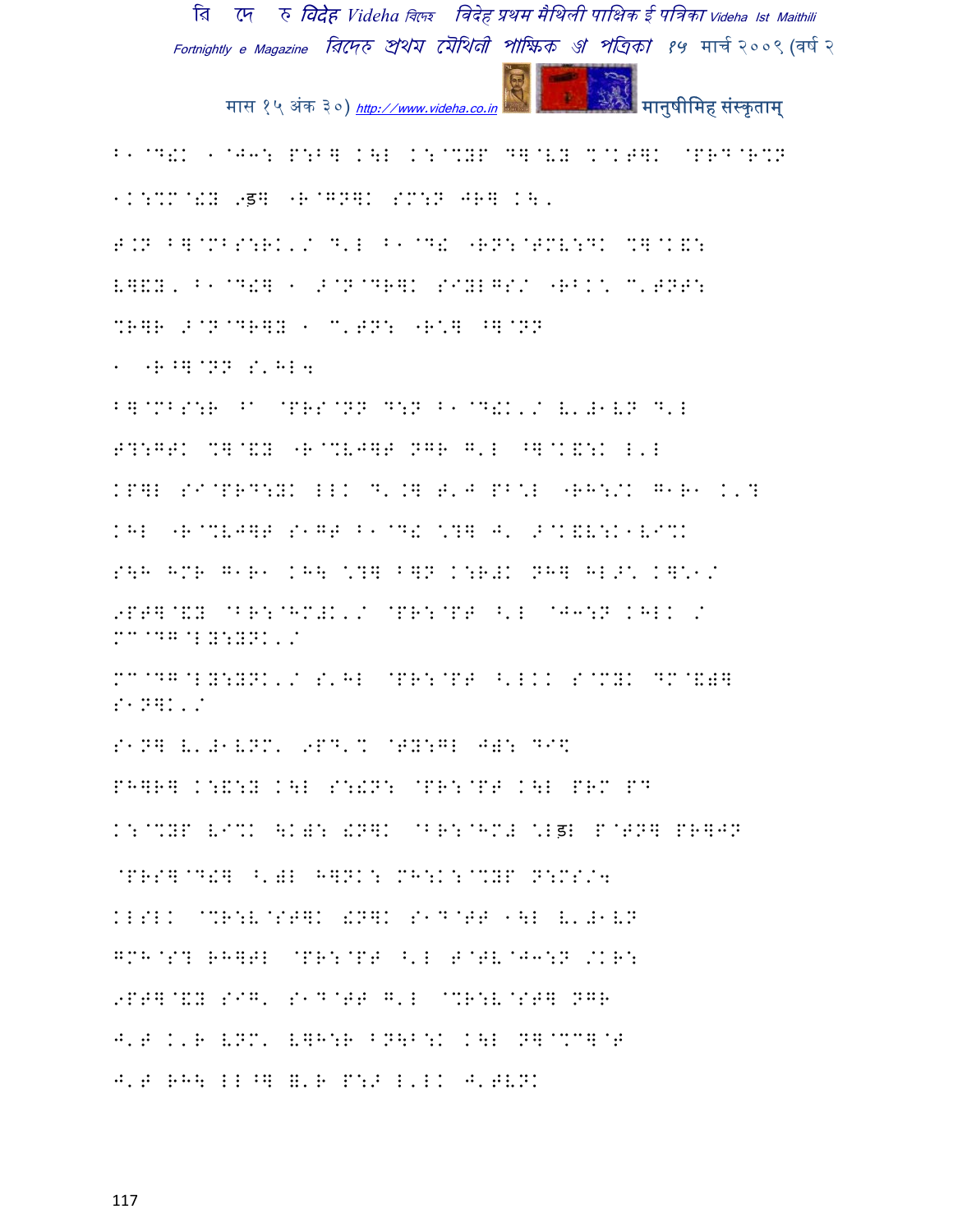मास १५ अंक ३०) http://www.videha.co.in स्थिति कर अति मानुषीमिह संस्कृताम्

B1@D!K 1@J3: P:B] K\L K:@%YP D]@VY %@KT]K @PRD@R%N 1K:%M@!Y 9ड़] "R@GN]K SM:N JR] K\,

T.N BILITIM BILITIM REPORT OF THE REPORT OF THE REPORT OF THE REPORT OF THE REPORT OF THE REPORT OF THE REPORT V]&Y, B1@D!] 1 >@N@DR]K SIYLGS/ "RBK\* C'TNT: %R]R >@N@DR]Y 1 C'TN: "R\*] ^]@NN

1 (1991) The Contract of the Contract of the Contract of the Contract of the Contract of the Contract of the C

BOOK:R ON DIE SONN DIE SONNE DIE SONNE DIE SONNE DIE SONNE DIE SONNE DIE SONNE DIE SONNE DIE SONNE DIE SONNE D T?:GTK %]@&Y "R@%VJ]T NGR G'L ^]@K&:K L'L KPHE KRITERINI III PATH RAHTINI (RHIN GHER IAT KHL "R@%VJL" S1GT B1@D: "PARTICLE PARTICLE PARTICLE PARTICLE PARTICLE PARTICLE PARTICLE PARTICLE PARTICLE PART S\H HMR G1R1 KH\ \*?] B]N K:R#K NH] HL>\* K]\*1/ 9PT]@&Y @BR:@HM#K'/ @PR:@PT ^'L @J3:N KHLK / MC@DG@LY:YNKYONAO MC@PG@LY:YAK#@PPSPF \LICK SMW@\PW SN'SHELL STIME ROOM IN THE STIME OF THE STIME OF THE STIMULE OF THE STIMULE OF THE STIMULE OF THE STIMULE OF THE STIMUL PHORE CHENE CHE SHEEP TO PRESS TO PRESS TO PRESS K: WHICH IS YOU WANT AND THE MANUFACTED IN THE FRIEND @PRS]@D!] ^')L H]NK: MH:K:@%YP N:MS/4 KLSLK @ ROMAN PRODUCER & ROMAN PRODUCER PORT AND A SERVICE STATE OF THE TRANSPORT OF THE TRANSPORT OF THE TRANSPORT GMH@S? RHAD: THE CONSTRUCTION 9PT]@&Y SIG' S1D@TT G'L @%R:V@ST] NGR J'T K'R VNM' VIDEO DE ROMANO DE L'ANNO DE L'ANNO DE L'ANNO DE L'ANNO DE L'ANNO DE L'ANNO DE L'ANNO DE L'ANNO D J'T RHH LLOUIS HONDA I LE POLITIC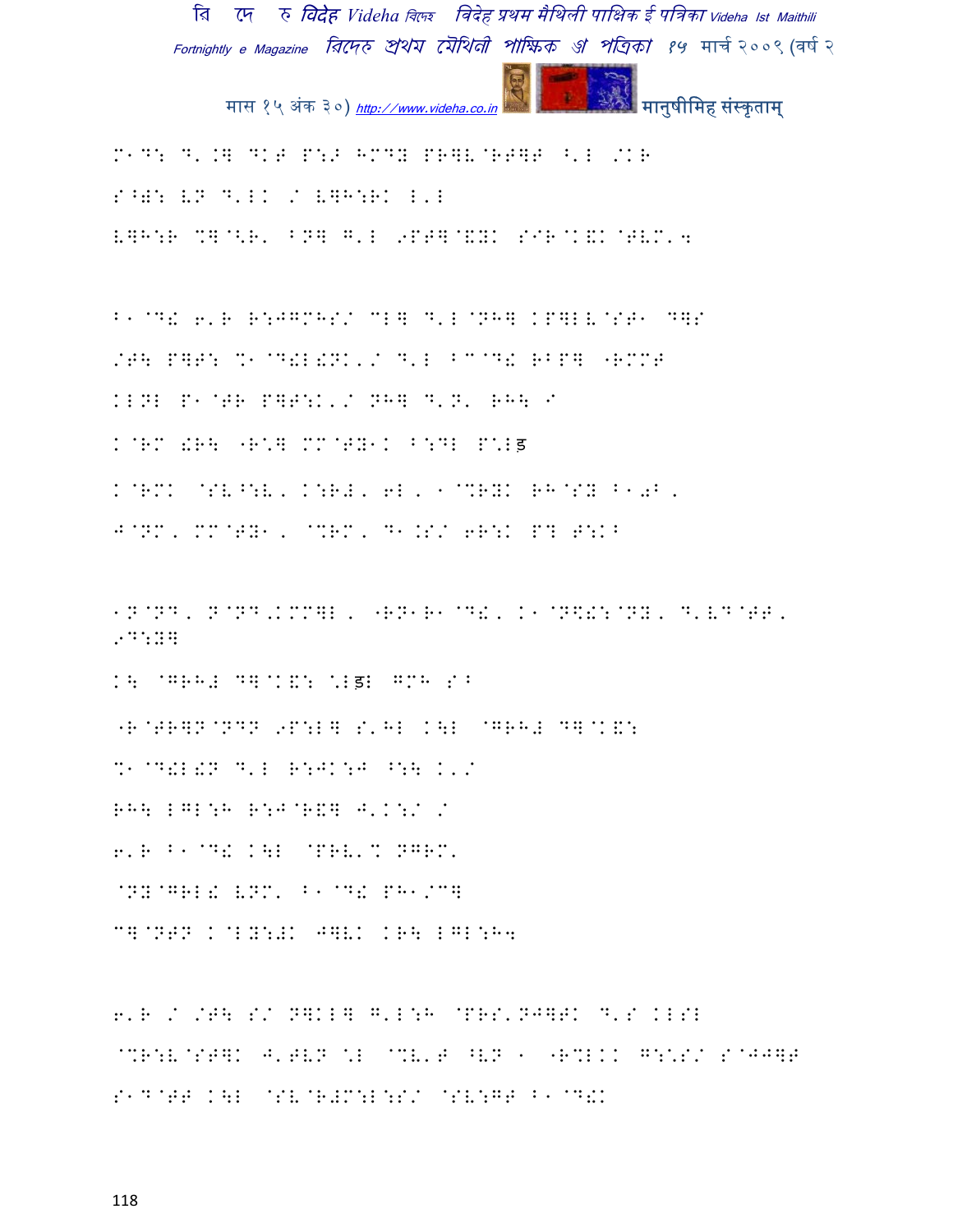मास १५ अंक ३०) <u>http://www.videha.co.in</u> स्थिती सामानि स स्कृताम्

MOTH P: DRIVE P: DONE PRINTER PRINTS S^): VN D'LK / V]H:RK L'L V]H:R %]@<R' BN] G'L 9PT]@&YK SIR@K&K@TVM'4

B1@D" 6'R R:JGMHSP/ CLEAR R: D'ANN (PHILOIR) DHE /T\ P]T: %1@D!L!NK'/ D'L BC@D! RBP] "RMMT KLNL P1@TR P]T:K'/ NH] D'N' RH\ I K 'RT ERR 'R'N TY'RRY 'RYN FYR K@RMK @SV^:V, K:R#, 6L, 1@%RYK RH@SY B10B, J@NM, MM@TY1, @%RM, D1.S/ 6R:K P? T:KB

1N@ND, N@ND,KMM]L, "RN1R1@D!, K1@N\$!:@NY, D'VD@TT,  $999:199$  $\mathcal{L}(\mathbb{R}^d)$  and  $\mathcal{L}(\mathbb{R}^d)$  and  $\mathcal{L}(\mathbb{R}^d)$  and  $\mathcal{L}(\mathbb{R}^d)$  and  $\mathcal{L}(\mathbb{R}^d)$  $R$ R@TR@NDN 9P:LICE STAR CORD DAMAGE PROVIDE %100D!LE R:D R:JK:JK:JK:JK:JK RH\ LGL:H R:J@R&] J'K:/ / 6'R B1@D! K\L @PRV'% NGRM' @NY@GRL! VNM' B1@D! PH1/C] CONTROLLED A CHARLEY CHARLEY CONTROLLED

6'R / /T\ S/ N]KL] G'L:H @PRS'NJ]TK D'S KLSL WHERE YOUR ALONG THE STAND FOR SALE CONSIDERING ST THE SHE MINIMUM STRING BILL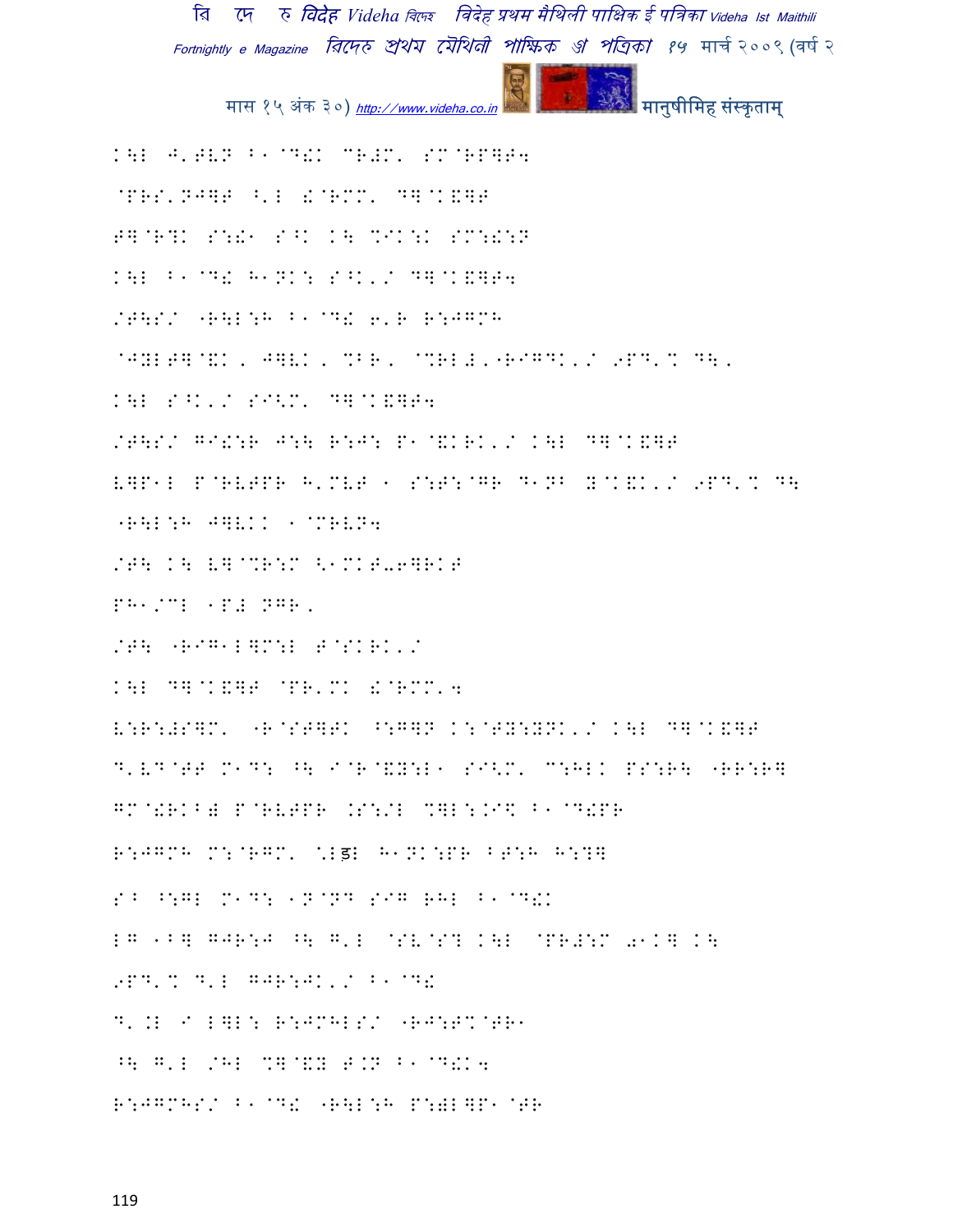मास १५ अंक ३०) http://www.videha.co.in | सामानिक मानुषीमिह संस्कृताम्

KAL ANTILIS SUMMON BILI @PRS'NJ]T ^'L !@RMM' D]@K&]T THE SECRET SERVICE SERVICE SERVICE SERVICE SERVICE SERVICE SERVICE SERVICE SERVICE SERVICE SERVICE SERVICE SE K\L B1@D! H1NK: S^K'/ D]@K&]T4 /T\S/ "R\L:H B1@D! 6'R R:JGMH @JYLT]@&K, J]VK, %BR, @%RL#,"RIGDK'/ 9PD'% D\,  $\frac{1}{2}$  ,  $\frac{1}{2}$  ,  $\frac{1}{2}$  ,  $\frac{1}{2}$  ,  $\frac{1}{2}$  ,  $\frac{1}{2}$  ,  $\frac{1}{2}$  ,  $\frac{1}{2}$  ,  $\frac{1}{2}$  ,  $\frac{1}{2}$  ,  $\frac{1}{2}$  ,  $\frac{1}{2}$  ,  $\frac{1}{2}$  ,  $\frac{1}{2}$  ,  $\frac{1}{2}$  ,  $\frac{1}{2}$  ,  $\frac{1}{2}$  ,  $\frac{1}{2}$  ,  $\frac{1$ /FAI/ W/218 414 F141 F MEDEL/ (A) ME MUSIC V]P1L P@RVTPR H'MVT 1 S:T:@GR D1NB Y@K&K'/ 9PD'% D\ "R\L:H J\L:H J\L:H J\L:H J\L:H J\L /T\ K\ V]@%R:M <1MKT-6]RKT PHILOSOFIC 1999. /T\ "RIG1L]M:L T@SKRK'/ KAR MENTER MENTER EN STRING  $\,$  The State of the State of the State of the State of the State of the State of the State of the State of the State of the State of the State of the State of the State of the State of the State of the State of the State D. ES VER CHIST RE RIGHT MONEY CONT. THEI CENTRE PRESER GM@!RKB) P@RVTPR .S:/L %]L:.I\$ B1@D!PR RGHAMM MESHAM, MESHAMI HISP BESHI So Charles Company Signed Signed Signed Signed Signed Signed Signed Signed Signed Signed Signed Signed Signed LG 1BE GJR: GHR: J MENT IN MIRINE 2016 9PD'% D'L GJR:JK'/ B1@D! D. I C'EAU RYSTERY SPANETORE ^\ G'L /HL %]@&Y T.N B1@D!K4 R:JGMHS/ B1@D:HE:H P:L:H P: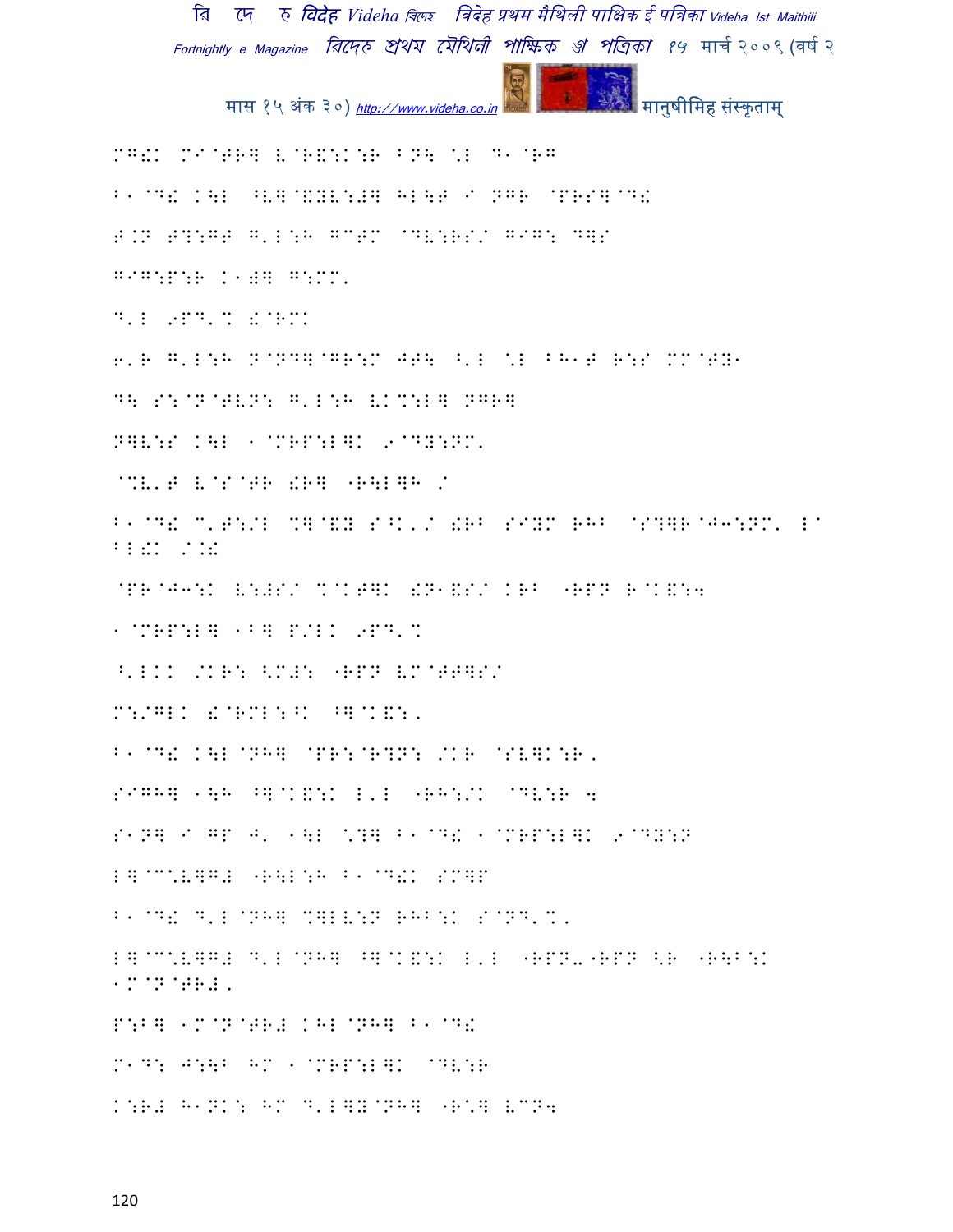मास १५ अंक ३०) <u>http://www.videha.co.in</u><br>सास १५ अंक ३०) <u>http://www.videha.co.in</u>

MG!K MI@TR] V@R&:K:R BN\ \*L D1@RG B1@D#2 K\L \HL#\W:#L\L##\HL\T I NGR @PRS}@D#2 B.N BRIGG GYL:H GOV: DIST SAMPLE CONSIDERED STATES D'E 9PD'S 1999 6'R G'L:H N@ND]@GR:M JT\ ^'L \*L BH1T R:S MM@TY1 DO SERVICE DE L'ANNO DE L'ANNO DE L'ANNO DE L'ANNO DE L'ANNO DE L'ANNO DE L'ANNO DE L'ANNO DE L'ANNO DE L'ANNO<br>D'ANNO DE L'ANNO DE L'ANNO DE L'ANNO DE L'ANNO DE L'ANNO DE L'ANNO DE L'ANNO DE L'ANNO DE L'ANNO DE L'ANNO DE NAMARIA NAMARA NAMARA 2009 BENJAMA 2009 BENJAMA 2009 BENJAMA 2009 BENJAMA 2009 BENJAMA 2009 BENJAMA 2009 BENJA  $\overline{\phantom{a}}$   $\overline{\phantom{a}}$   $\overline{\phantom{a}}$   $\overline{\phantom{a}}$   $\overline{\phantom{a}}$   $\overline{\phantom{a}}$   $\overline{\phantom{a}}$   $\overline{\phantom{a}}$   $\overline{\phantom{a}}$   $\overline{\phantom{a}}$   $\overline{\phantom{a}}$   $\overline{\phantom{a}}$   $\overline{\phantom{a}}$   $\overline{\phantom{a}}$   $\overline{\phantom{a}}$   $\overline{\phantom{a}}$   $\overline{\phantom{a}}$   $\overline{\phantom{a}}$   $\overline{\$ B1@D! C'T:/L %]@&Y S^K'/ !RB SIYM RHB @S?]R@J3:NM' La BL: TH @PR@J3:K V:#S/ %@KT]K !N1&S/ KRB "RPN R@K&:4 1@MRP:L] 1B] P/LK 9PD'% ^'LKK /KR: <M#: "RPN VM@TT]S/ M:/GLK !@RML:^K ^]@K&:, B1@D: AND CONNECTING CONTINUES. SIGHA: 19 CASS CONSTRUCTS AND ALL TO A REAL TELESCOPE OF THE SERVER AND RELEASED AT  $R$ STREET HE AN AND THE FACTOR ACTOREDED SCIENCE LACTER SHIPS "ROOM" STAP B1@D! D'L@NH] %]LV:N RHB:K S@ND'%, L]@C\*V]G# D'L@NH] ^]@K&:K L'L "RPN-"RPN <R "R\B:K 1M@N@TR#, P:B] 1M@N@TR# KHL@NH] B1@D! M1D: J:\B HM 1@MRP:L]K @DV:R K:R# H1NK: HM D'L]Y@NH] "R\*] VCN4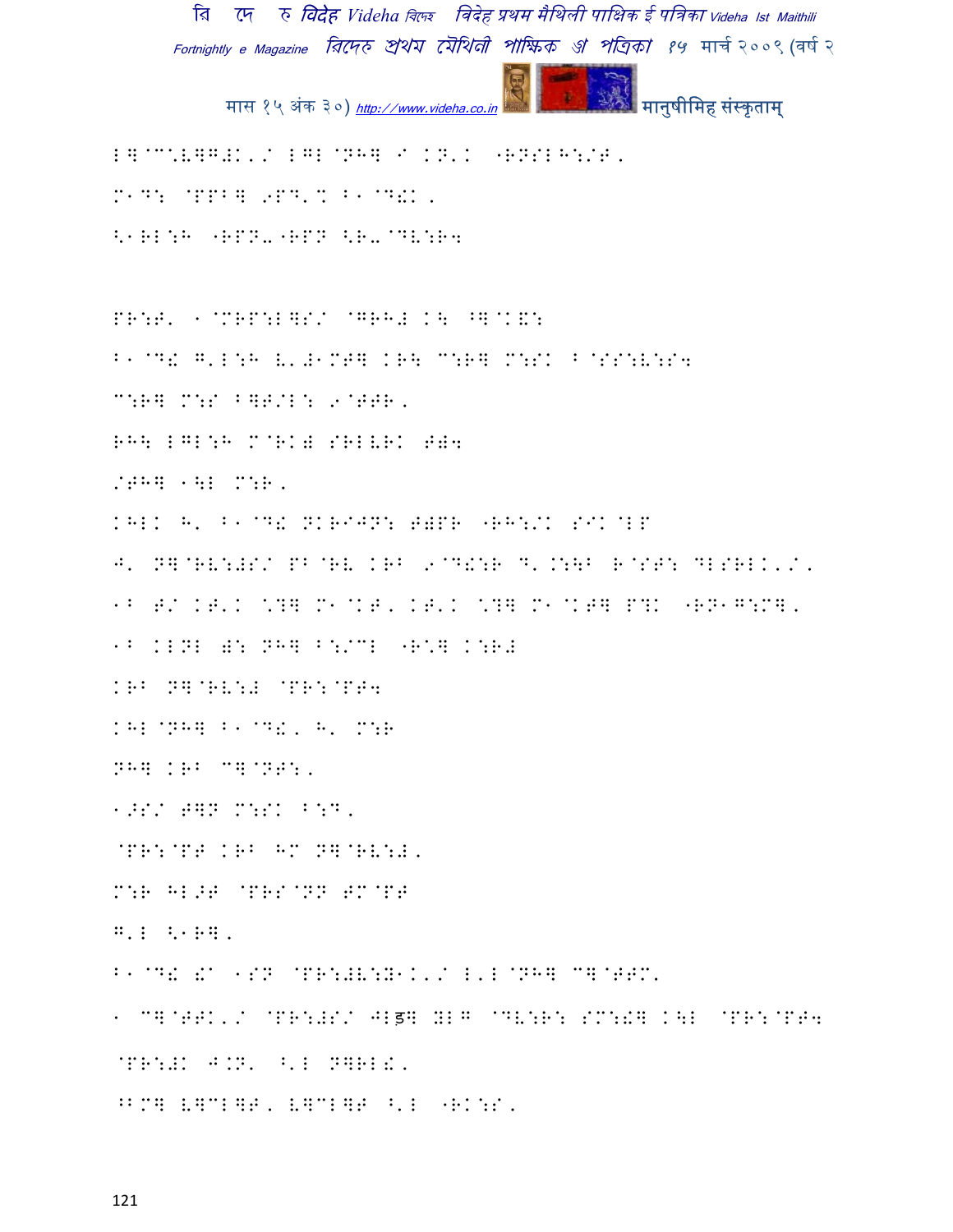िव दे ह िवदेह *Videha* িবেদহ िवदह ᮧथम म े ैिथली पािक्षक ई पिᮢका Videha Ist Maithili Fortnightly e Magazine *ৱিদেড প্ৰথম মৌথিনী পাক্ষিক § পত্ৰিকা १५* मार्च २००९ (वर्ष २ मास १५ अंक ३०) <u>http://www.videha.co.in</u> स्थिती सामानि स स्कृताम् L]@C\*V]G#K'/ LGL@NH] I KN'K "RNSLH:/T, M1D: @PPB] 9PD'% B1@D!K,  $1.1$ :  $1.1$   $1.1$   $1.1$   $1.1$   $1.1$   $1.1$   $1.1$   $1.1$   $1.1$   $1.1$   $1.1$   $1.1$   $1.1$   $1.1$ 

PR:T' 1 NORTH CONTRACT AN ISLAMIC

B1@D#21&B\$:H V#1MT} A:R] M:B#@SS:V:SH B@SS:V:S

C:R; Property C:R; Property C:R; Property C:R; Property C:R; Property C:R; Property C:R; Property C:R; Property C: RHH\ LGL: MARK TO SRLVRK TO SALVE /TH] 1\L M:R, KHLK H' B1@D! NKRIJN: T)PR "RH:/K SIK@LP J' N]@RV:#S/ PB@RV KRB 9@D!:R D'.:\B R@ST: DLSRLK'/, 1B T/ KT'K \*?] M1@KT, KT'K \*?] M1@KT] P?K "RN1G:M], 1B KLNL ): NH] B:/CL "R\*] K:R# KRB N]@RV:# @PR:@PT4 KHIMAN BILANG BILANG MANG **NH** CH CH CHI 19S/ BU DIE DIE 19 @PR:@PT KRB HM N]@RV:#, M:R HLP MINT MORE  $E_i$  :  $E_i$  :  $E_i$  : B1@D#: 2000 | DESTIMATION CONTROL CAN COMPARE COMPARE COMPARE CONTROL CONTROL CONTROL CONTROL CONTROL CONTROL C 1 C]@TTK'/ @PR:#S/ JLड़] YLG @DV:R: SM:!] K\L @PR:@PT4 @PR:#K J.N' ^'L N]RL!,  $B$  varies the control  $B$  and  $B$   $\{C\}$  . In the control  $C$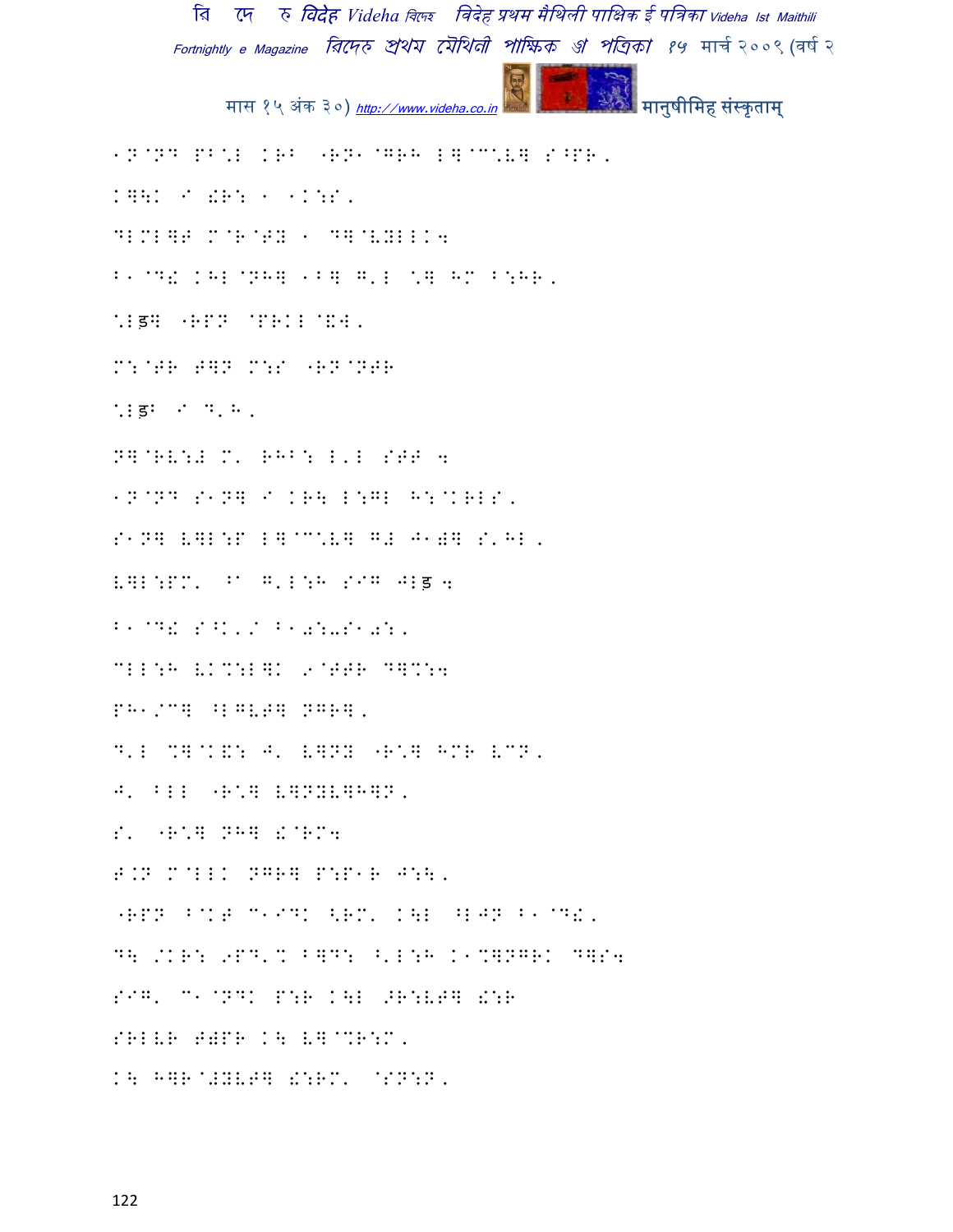मास १५ अंक ३०) <u>http://www.videha.co.in</u> स्थिती सामानि स स्कृताम्

1N@ND PB\*L KRB "RN1@GRH L]@C\*V] S^PR,  $K$  : 1 1  $K$  : 1  $K$  : 1  $K$  : 1  $K$  : 1  $K$  : 1  $K$  : 1  $K$  : 1  $K$  : 1  $K$  : 1  $K$  : 1  $K$  : 1  $K$  : 1  $K$  : 1  $K$  : 1  $K$  : 1  $K$  : 1  $K$  : 1  $K$  : 1  $K$  : 1  $K$  : 1  $K$  : 1  $K$  : 1  $K$  : 1  $K$  : 1  $K$  : 1  $K$  : 1  $K$ DECEMBER OF DECEMBER 1 B1@D" KHL@NHID" IBD B:HR, B:HR, B:HR, B:HR, B:HR, B:HR, B:HR, B:HR, B:HR, B:HR, B:HR, B:HR, B:HR, B:HR, B:HR, B:HR, B:HR, B:HR, B:HR, B:HR, B:HR, B:HR, B:HR, B:HR, B:HR, B:HR, B:HR, B:HR, B:HR, B:HR, B:HR, B:HR, B:HR, B:HR  $\mathbb{R}$ :  $\mathbb{R}$   $\mathbb{R}$   $\mathbb{R}$   $\mathbb{R}$   $\mathbb{R}$   $\mathbb{R}$   $\mathbb{R}$   $\mathbb{R}$   $\mathbb{R}$   $\mathbb{R}$   $\mathbb{R}$   $\mathbb{R}$   $\mathbb{R}$   $\mathbb{R}$   $\mathbb{R}$   $\mathbb{R}$   $\mathbb{R}$   $\mathbb{R}$   $\mathbb{R}$   $\mathbb{R}$   $\mathbb{R}$   $\mathbb{R}$   $\mathbb{R}$   $\mathbb$ M:@TR T]N M:S "RN@NTR  $\mathbb{Z}$ :  $\mathbb{S}^1$   $\rightarrow$   $\mathbb{R}$ ,  $\mathbb{R}$ ,  $\mathbb{R}$ , N]@RV:# M' RHB: L'L STT 4 1N@ND S1N] I KR\ L:GL H:@KRLS, STRING COMPANY OF LIGHT COMPANY OF LIGHT COMPANY V]L:PM' ^a G'L:H SIG JLड़ 4 B10000 STRING B10: S10: THE RETRIES OF SHEETING PH1/CDU REGION NEWS D'L XIII MARINA D'ANN AN D'AIR AN D'AIR AN D'AIR AN D'AIR AN D'AIR AN D'AIR AN D'AIR AN D'AIR AN D'AIR AN D'AI J' BLL "R\*] VI BL. "BLL "R\*] VI BL. "BLL "BLL" S' "R\*H" NHI E NHTH F.N MARK NGR P:P1R J:  $R$ PRN  $R$  (Mean Calibratic Control binary binary  $R$ DR /KR: 9PD', NORDER DISH DISK DISHED DER B SIGNER SIGNER PRODUCTION OF THE RELEASE OF THE RELEASE OF THE RELEASE OF THE RELEASE OF THE RELEASE OF THE REL<br>R:VT (Release of the release of the release of the release of the release of the release of the release of the  $S$  . The state of  $S$  and  $S$  and  $S$  and  $S$  . The state of  $S$  and  $S$  . The state of  $S$  and  $S$  and  $S$  . The state of  $S$  and  $S$  and  $S$  and  $S$  . The state of  $S$  and  $S$  and  $S$  and  $S$  and  $S$  and  $S$  and  $S$  an  $K\subset\mathbb{R}$  :  $K\subset\mathbb{R}$  :  $K\subset\mathbb{R}$  :  $K\subset\mathbb{R}$  :  $K\subset\mathbb{R}$  :  $K\subset\mathbb{R}$  :  $K\subset\mathbb{R}$  :  $K\subset\mathbb{R}$  :  $K\subset\mathbb{R}$  :  $K\subset\mathbb{R}$  :  $K\subset\mathbb{R}$  :  $K\subset\mathbb{R}$  :  $K\subset\mathbb{R}$  :  $K\subset\mathbb{R}$  :  $K\subset\mathbb{R}$  :  $K\subset\mathbb{R}$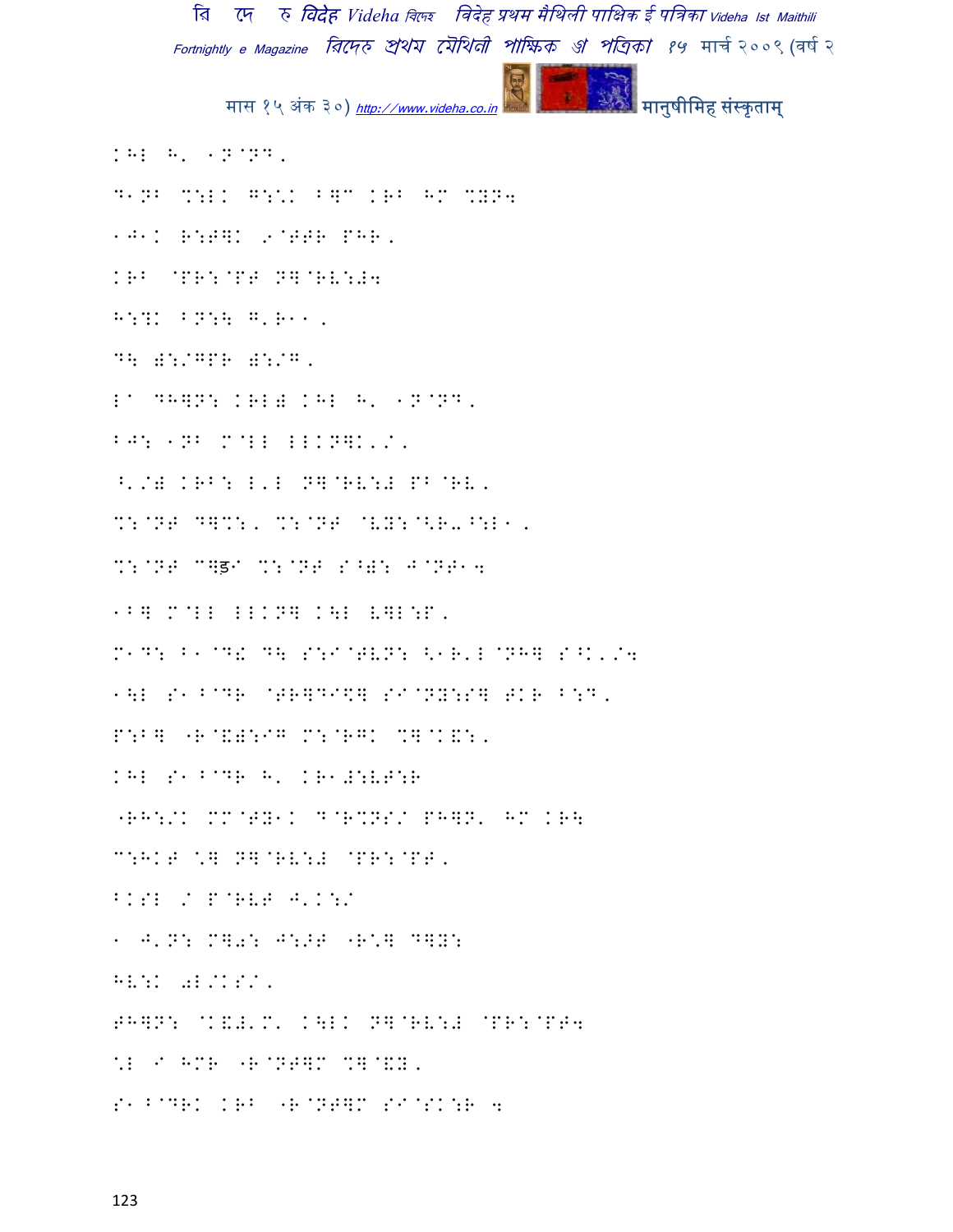मास १५ अंक ३०) <u>http://www.videha.co.in</u> स्थिति स्थिति सानुषीमिह संस्कृताम्

KHL H' 1N@ND,

BR WHILE WILL FAN IBF AT MIRE

1911 R:THE PHR, PHR,

KRB @PR: NEWS PROPERTY

 $H:U \to U$ :  $H:U \to U$ 

D\ ):/GPR ):/G,

La DH]N: KRL) KHL H' 1N@ND,

BB: 1NB MOLL LLCK CONNECTION

 $\ddotsc$  . Let  $\ddotsc$  be the particle of  $\ddotsc$ 

%:@NT D]%:, %:@NT @VY:@<R-^:L1,

When the control with the control of the control of the control of the control of the control of the control o

1B] M@LL LLKN] K\L V]L:P,

D: B1@D: DR S: B1@D: B1@NH\_B1@NH\_B1&Y2

1\L S1^@DR @TR]DI\$] SI@NY:S] TKR B:D,

P:B] "R@&):IG M:@RGK %]@K&:,

KHL S1^@DR H' KR1#:VT:R

 $R$  . The contract of the contract of the contract of the contract of the contract of the contract of the contract of the contract of the contract of the contract of the contract of the contract of the contract of the cont

THIS CONSTRUCTS TO MAKE THE REAL PROPERTY OF A SERVED OF A SERVED OF A SERVED OF A SERVED OF A SERVED OF A SERVED OF

BKSL / PORRVALIN

1 J.P: MAA: PAJF (P18 MAR)

HE: HAVEN,

THE REPORT OF THE REPORT OF THE REPORT OF THE REPORT OF THE REPORT OF THE REPORT OF THE REPORT OF THE REPORT O

 $\mathcal{L}_1$  is the probability of  $\mathcal{L}_2$  . The probability of  $\mathcal{L}_3$ 

SN FOREST CHRO HEODRE SKINLING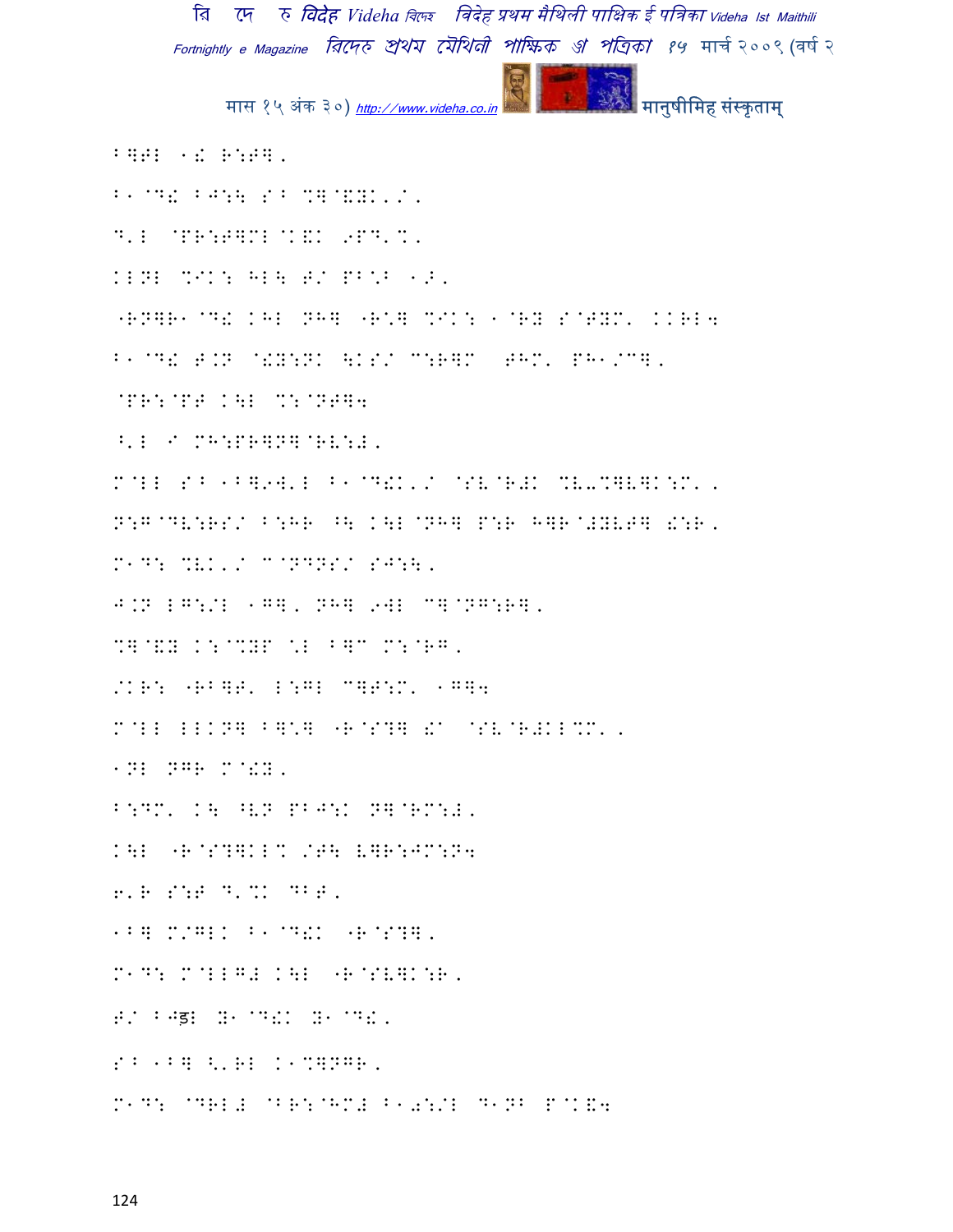मास १५ अंक ३०) <u>http://www.videha.co.in</u> स्थिती सामानि स स्कृताम्

But is a resolution of the second contract of the second contract of the second contract of the second contract of the second contract of the second contract of the second contract of the second contract of the second cont B1000 Bishington, San Stringer, San Stringer, San Stringer, San Stringer, San Stringer, San Stringer, San Stringer, D'L MERSHINI MARY STRING KLNL %IK: HL\ T/ PB\*B 1>, "RNEBH" TRE ISH "RHE" (BSE ISSUE) & TRE ESSEED, ISSUE A B1@D#IR\_G#HR\_AD:C\_CHAR\_ARD\_BH1/CA.  $\frac{1}{2}$  (  $\frac{1}{2}$  ,  $\frac{1}{2}$  ,  $\frac{1}{2}$  ,  $\frac{1}{2}$  ,  $\frac{1}{2}$  ,  $\frac{1}{2}$  ,  $\frac{1}{2}$  ,  $\frac{1}{2}$  ,  $\frac{1}{2}$  ,  $\frac{1}{2}$  ,  $\frac{1}{2}$  ,  $\frac{1}{2}$  ,  $\frac{1}{2}$  ,  $\frac{1}{2}$  ,  $\frac{1}{2}$  ,  $\frac{1}{2}$  ,  $\frac{1}{2}$  ,  $\frac{1}{$  $\ddotsc$   $\ddotsc$   $\ddotsc$   $\ddotsc$   $\ddotsc$   $\ddotsc$   $\ddotsc$   $\ddotsc$   $\ddotsc$   $\ddotsc$ M@LL SO 1999. ESP 19W'LL SO NE NEW SOLUTER WILL N:G@DV:RS/ B:HR ^\ K\L@NH] P:R H]R@#YVT] !:R,  $W_1$  ,  $W_2$  ,  $W_3$  ,  $W_4$  ,  $W_5$  ,  $W_5$  ,  $W_6$  ,  $W_7$  ,  $W_8$  ,  $W_9$  ,  $W_9$  ,  $W_9$  ,  $W_9$  ,  $W_9$  ,  $W_9$  ,  $W_9$  ,  $W_9$  ,  $W_9$  ,  $W_9$  ,  $W_9$  ,  $W_9$  ,  $W_9$  ,  $W_9$  ,  $W_9$  ,  $W_9$  ,  $W_9$  ,  $W_9$  ,  $W_9$ J.N LG:/L 1G], NH] 9WL C]@NG:R], WHO KENT THE MEAN PROPERTY /KR: "RB]T' L:GL C]T:M' 1G]4  $\mathcal{P}^{(1)}$  is a decrease of the construction of the construction of the construction of the construction of the construction of the construction of the construction of the construction of the construction of the construc 1NL NGR MARKAT NGR MARKAT NGR MARKAT NGR MARKAT NGR MARKAT NGR MARKAT NGR MARKAT NGR MARKAT NGR MARKAT NGR MAR B:DM' KONG KOMING PERSONAL KAR (ROS) RASHER (PRODUCED AT A SATISFIED AT A SATISFIED AT A SATISFIED AT A SATISFIED AT A SATISFIED AT A SA 6'R S:T D'%K DBT, 1B] M/GLK B1@D!K "R@S?], MORE MORE REPORT OF THE REPORT OF THE REPORT OF THE REPORT OF THE REPORT OF THE REPORT OF THE REPORT OF THE REPORT OF THE REPORT OF THE REPORT OF THE REPORT OF THE REPORT OF THE REPORT OF THE REPORT OF THE REPORT OF THE RE T/ BJड़L Y1@D!K Y1@D!, SO 189 K.H. C. THING, D: WE CONSERVED BROWN BOOKS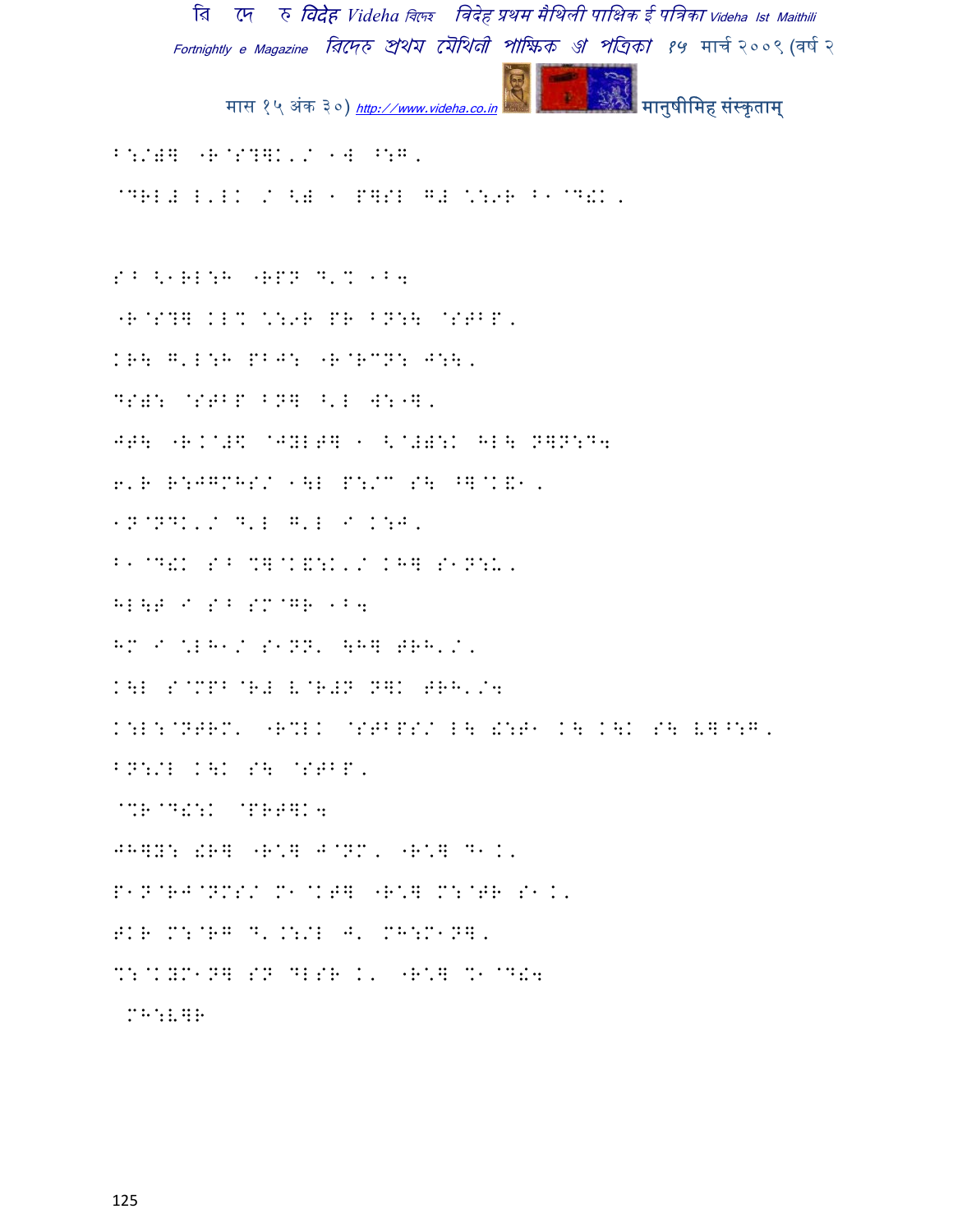मास १५ अंक ३०) <u>http://www.videha.co.in स्थिति क्रिके</u>टी **मानुषीमिह संस्कृताम्** 

B:/)] "R@S?]K'/ 1W ^:G,

@DRL# L'LK / <) 1 P]SL G# \*:9R B1@D!K,

SO REPORT RESIDENCE  $R$  Robert Company and Research and Research and Research and Research and Research and Research and Research KRA G'L:H PBJ: "RONDER" DSD): WHIP BND BLE HEAD, JTH AND MANUTAN AND MANUTAN 6'R R:JGMHS/ 1\L P:/C S\ ^]@K&1, 1N@NDK'/ D'L G'L I K:J, B1@D#L STRINGER STRINGER HIGHT I SMARTING THE HM I TRHY SINN, SHE SHE, A. KAR SOME THE RANGER WAS SERVICE K:L:@NTRM' "R%LK @STBPS/ L\ !:T1 K\ K\K S\ V]^:G, BN:/D KORTAGE @%R@D!:K @PRT]K4 JHAY: 2001 TANA JARAT DI RAMA DI P1N@RJ@NMS/ M1@KT] "R\*] M:@TR S1., TKR M:@RG D'.:/L J' MH:M1N], %: Which is the state of the state of the state of the state of the state of the state of the state of the state of the state of the state of the state of the state of the state of the state of the state of the state of the TH:DRI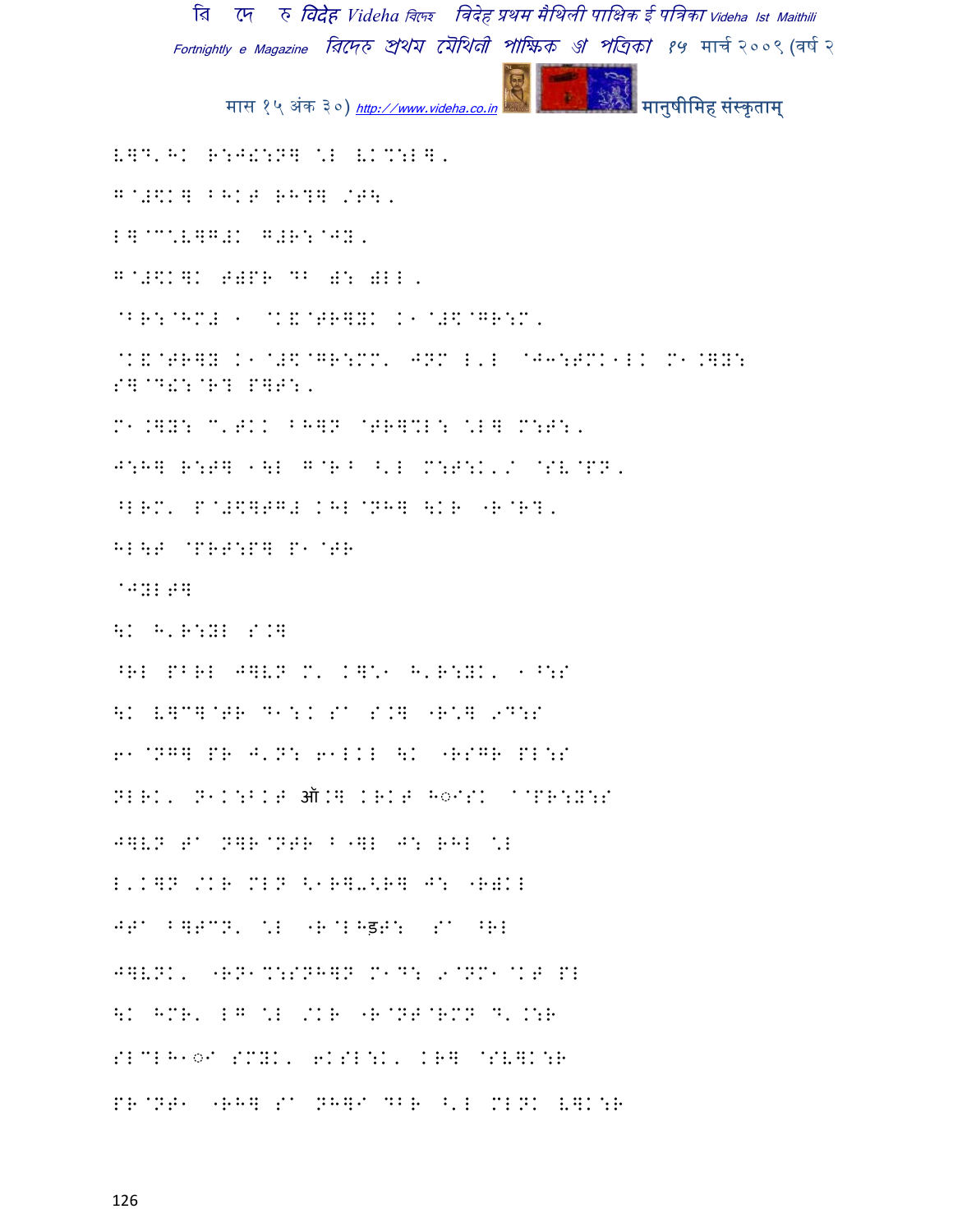मास १५ अंक ३०) <u>http://www.videha.co.in</u><br>| मानुषीमिह संस्कृताम्

V]D'HK R:J!:N] \*L VK%:L],  $\mathbb{R}^n$  ,  $\mathbb{R}^n$  is a set  $\mathbb{R}^n$  ,  $\mathbb{R}^n$  ,  $\mathbb{R}^n$  ,  $\mathbb{R}^n$  ,  $\mathbb{R}^n$  ,  $\mathbb{R}^n$  ,  $\mathbb{R}^n$  $\vdots$  :  $\vdots$   $\vdots$   $\vdots$   $\vdots$   $\vdots$   $\vdots$   $\vdots$   $\vdots$   $\vdots$ BOARD BANK TO AN AND . @BR:@HM# 1 @K&@TR]YK K1@#\$@GR:M, @K&@TR]Y K1@#\$@GR:MM' JNM L'L @J3:TMK1LK M1.]Y:  $S = \{1, 2, \ldots, n\}$ MANDALISM BHO MARKET BHO DO BALL J:H] R:T] 1\L G@R^ ^'L M:T:K'/ @SV@PN, ^LRM' P@#\$]TG# KHL@NH] \KR "R@R?, HL\T @PRT:P] P1@TR  $1401.001$  $\frac{1}{2}$ ,  $\frac{1}{2}$ ,  $\frac{1}{2}$ ,  $\frac{1}{2}$ ,  $\frac{1}{2}$ ,  $\frac{1}{2}$ ,  $\frac{1}{2}$ ,  $\frac{1}{2}$ ,  $\frac{1}{2}$ ,  $\frac{1}{2}$ ,  $\frac{1}{2}$ ,  $\frac{1}{2}$ ,  $\frac{1}{2}$ ,  $\frac{1}{2}$ ,  $\frac{1}{2}$ ,  $\frac{1}{2}$ ,  $\frac{1}{2}$ ,  $\frac{1}{2}$ ,  $\frac{1}{2}$ ,  $\frac{1}{2}$ , RL PRE AND TI VALLATIN MINIST  $\overline{0}$  . Sa  $\overline{0}$  of  $\overline{0}$  ,  $\overline{0}$  ,  $\overline{0}$  ,  $\overline{0}$  ,  $\overline{0}$  ,  $\overline{0}$  ,  $\overline{0}$  ,  $\overline{0}$  ,  $\overline{0}$  ,  $\overline{0}$  ,  $\overline{0}$  ,  $\overline{0}$  ,  $\overline{0}$  ,  $\overline{0}$  ,  $\overline{0}$  ,  $\overline{0}$  ,  $\overline{0}$  ,  $\overline{0}$ 61 THE PR 4.71 6111 RD (6100 PR PLI NLRK' NATHAIR SEE AND HOT SAN HOT SEEKS JAVAN TA NAMA PARTICIPAL PORT AND TANK AND TANK AND TANK AND TANK AND TANK AND TANK AND TANK AND TANK AND TANK L'K]N /KR MLN <1R]-<R] J: "R)KL JTA BETCH AL "ROLLER" SA CHE JUNK' "RNING" "PART OF STREET \K HMR' LG \*L /KR "R@NT@RMN D'.:R SIMIPS OF STILL STILLING ORDER THE STILLING PR@NTHI SA NHI DARK ON ROOM IN DERIVATI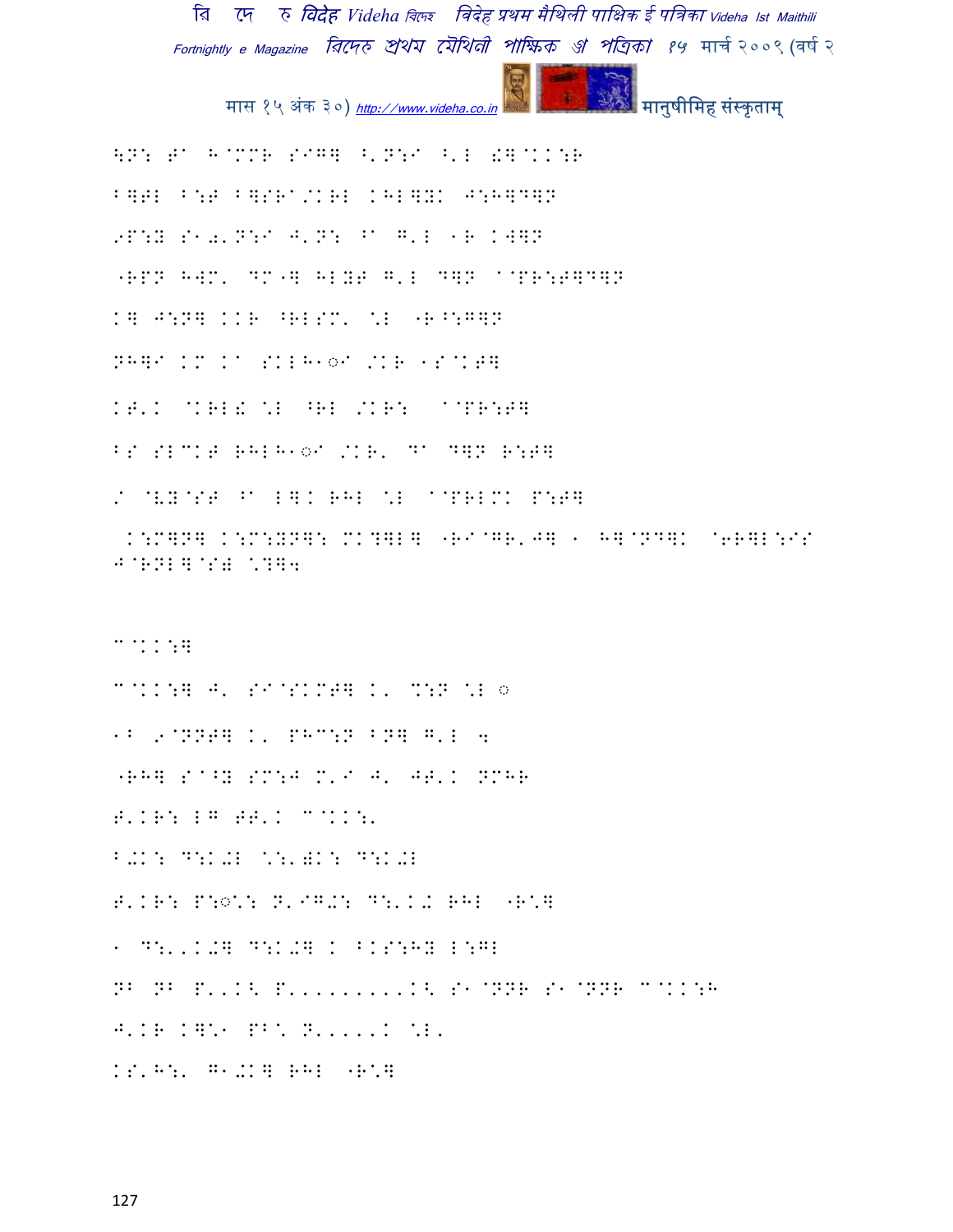मास १५ अंक ३०) <u>http://www.videha.co.in</u> स्थिति स्थिति । मानुषीमिह संस्कृताम्

 $\,$  Ta How: The Signed Signed Signed Signed Signed Signed Signed Signed Signed Signed Signed Signed Signed Signed Signed Signed Signed Signed Signed Signed Signed Signed Signed Signed Signed Signed Signed Signed Signed Si B]TL B:T B]SRa/KRL KHL]YK J:H]D]N 9P:Y S10'N:I J'N: H (18 KW) 19 N KW "RPN HWM, "PN HI HIS W.I "PRN " TRAPPER KA JERO KONSTANTINO MARIA POPULA NHE KONG KA SKLHIV II KT'K @KRL: #L /KRL: #L /KRISTIAN / #L /KRISTIAN / #L /KR: #L /KR: #L /KR: #L /KR: #L /KR: #L /KR: #L /KR: #L / BS SLCKT RHLHID / MILL OF DATA REPORT / @VY@ST ^a L]. RHL \*L @@PRLMK P:T] K:M]N] K:M:YN]: MK?]L] "RI@GR'J] 1 H]@ND]K @6R]L:IS J@RNL]@S) \*?]4  $\ldots$ COMING THE SECRET IS STRIKE OF 1B 9@NNT] K' PHC:N BN] G'L 4 "RH] S@^Y SM:J M'I J' JT'K NMHR T'KR: LG TT'K C@KK:'

B+K: D:K+L \*:')K: D:K+L

THE PERSON REPORTS TO CALL BABY SHOW

1 D:''K+] D:K+] K BKS:HY L:GL

NB NB P'ELLIK BLILLILLILLIK BY MBBE BY MBBE MATITER

J'KR KAJ KALENDARY NA KATALON NA KATALON NA KATALON NA KATALON NA KATALON NA KATALON NA KATALON NA KATALON NA

KS'H: G1+K1+K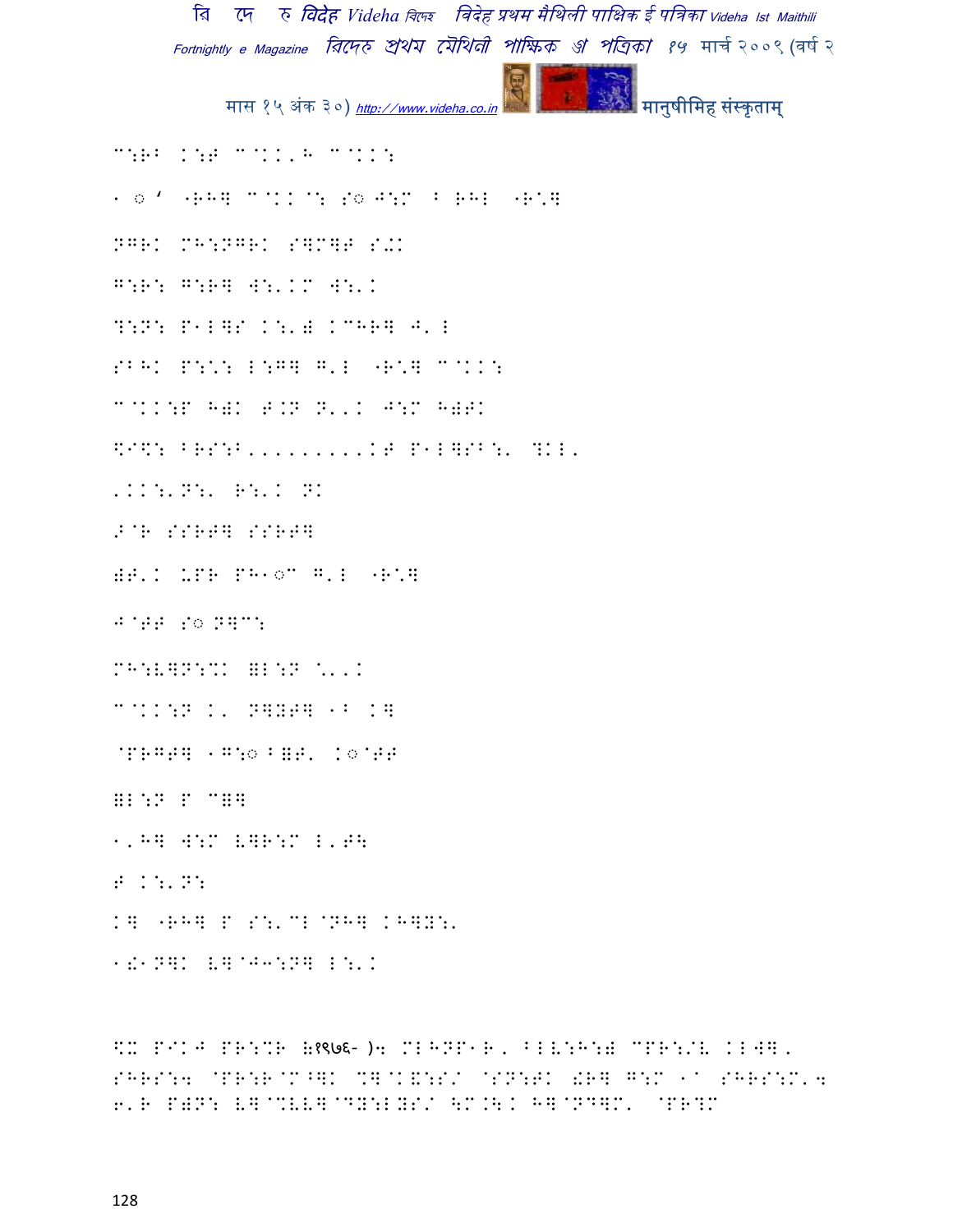मास १५ अंक ३०) <u>http://www.videha.co.in स्थिति क्रिके</u>डी **मानुषीमिह संस्कृताम्** 

T:RB K:RB MONTH: 1 0 N (RHE) TO MY RO FAT (FORE ) RAHL NGRK MH:NGRK S]M]T S+K G:R: G:R] W:'KM W:'K ?:N: P1L]S K:') KCHR] J'\_ SBHK P: L:GHE P: L:GHE P: L:GHE C@KK:P H)K T.N N''K J:M H)TK \$I\$: BRS:B'''''''''KT P1L]SB:' ?KL' 'K:'N:'N:'K NK: 'K NK: >@R SSRT] SSRT] HRID LER PHIOT WIE SPAR Howard Southern MH:V]N:%K =L:N \*''K TO CAN CONSIDER A FOOTH WHICH THE COOLS =L:N P C=] 1'H] W:M V]R:M L'T\ F (19.75) KAL "RHI" P S: CLOSE S: CHANGE 1!1N]K V]@J3:N] L:'K

\$X PIKJ PR:%R (१९७६- )4 MLHNP1R, BLV:H:) CPR:/V KLW], SHRS:4 @PR:R@M^]K %]@K&:S/ @SN:TK !R] G:M 1a SHRS:M'4 6'R P)N: V]@%VV]@DY:LYS/ \M.\. H]@ND]M' @PR?M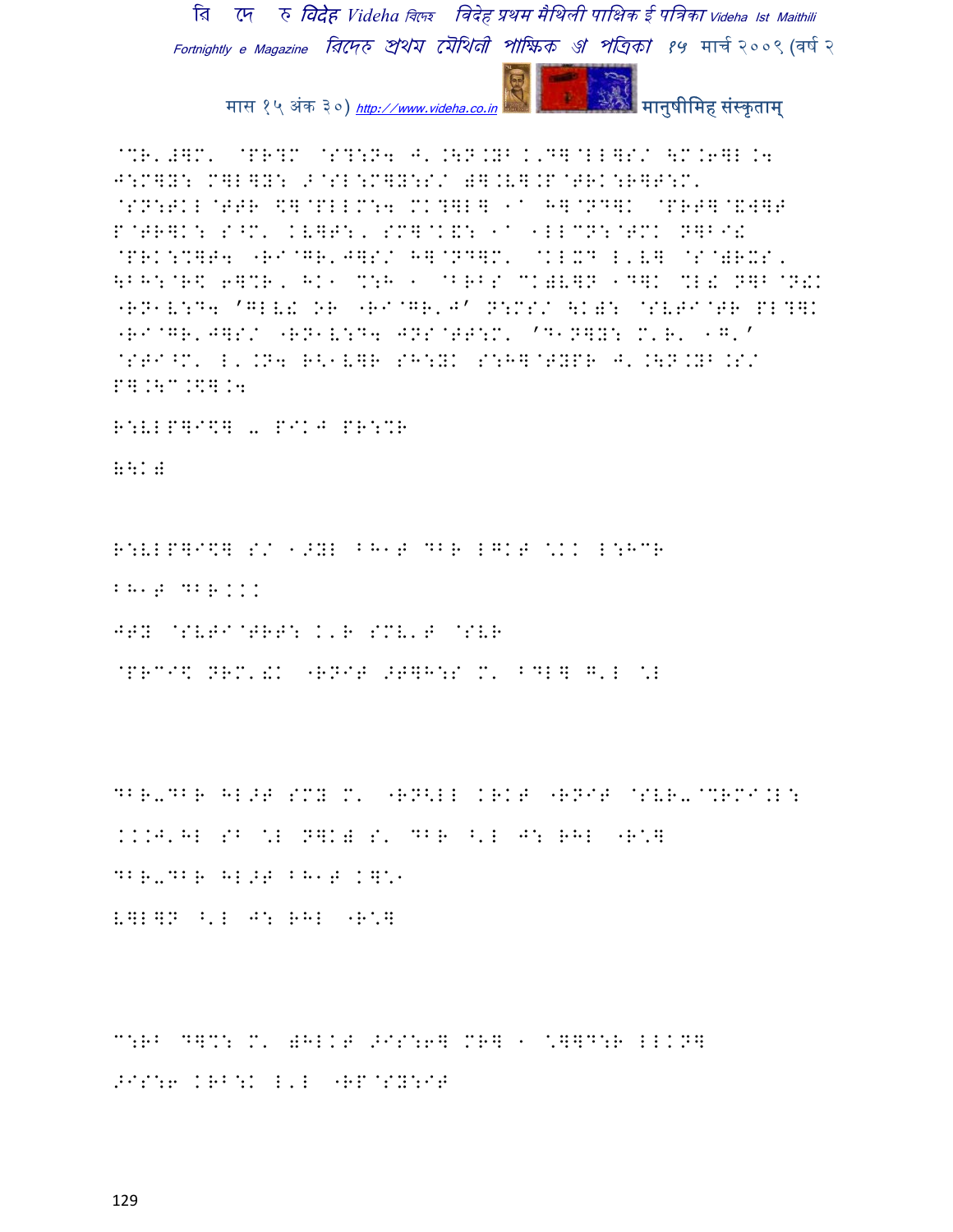मास १५ अंक ३०) <u>http://www.videha.co.in National Acco</u>ssib**lity मानुषीमिह संस्कृताम्** 



@%R'#]M' @PR?M @S?:N4 J'.\N.YB.,D]@LL]S/ \M.6]L.4 J:M]Y: M]L]Y: >@SL:M]Y:S/ )].V].P@TRK:R]T:M' @SN:TKL@TTR \$]@PLLM:4 MK?]L] 1a H]@ND]K @PRT]@&W]T POTRERED SO ROPED I, SMARTRICH: SO THE NILL CONTROL IN THE RESEARCH @PRK:%]T4 "RI@GR'J]S/ H]@ND]M' @KLXD L'V] @S@)RXS, \BH:@R\$ 6]%R, HK1 %:H 1 @BRBS CK)V]N 1D]K %L! N]B@N!K "RNNIG" (ALL SR RIGHTA "PLAT" DETECTION OR DESTRU  $R$  (RIC  $R$  )  $R$  and  $R$  is the set of  $R$  in  $R$  is the set of  $R$  in  $R$  is a set of  $R$  is a set of  $R$  is a set of  $R$  is a set of  $R$  is a set of  $R$  is a set of  $R$  is a set of  $R$  is a set of  $R$  is a set of  $R$  @STI^M' L'.N4 R<1V]R SH:YK S:H]@TYPR J'.\N.YB.S/ PH. 147 141 141

R: VLP PR: PIKI PR: PIKI PR: PIKI PR: PIKI PR: PIKI PR: PIKI PR: PIKI PR: PIKI PR: PIKI PR: PIKI PR: PIKI PR: <br>R: PIKI PR: PIKI PR: PIKI PR: PIKI PR: PIKI PR: PIKI PR: PIKI PR: PIKI PR: PIKI PR: PIKI PR: PIKI PR: PIKI PR:

 $\kappa$  :  $\kappa$ 

R:VLPHOTH S/ 1991 CRIP OF LOCKER RELEASED TO LIGHT

**BHF** DBR.

JTY @SVTI@TRT: K'R SMV'T @SVR

@PRCI\$ NRM'!K "RNIT >T]H:S M' BDL] G'L \*L

DBR-DBR HLVE SVR V. (BVRIE CECE (BVF) (SER) (SER-ODFV) H Y ...J'HL SB \*L N]K) S' DBR ^'L J: RHL "R\*] DBR-DBR-DBR HL-BH1T KING  $L$  H: H:  $V$   $\rightarrow$   $V$ :  $V$   $\rightarrow$   $V$   $\rightarrow$   $V$   $\rightarrow$   $V$   $\rightarrow$   $V$   $\rightarrow$   $V$   $\rightarrow$   $V$   $\rightarrow$   $V$   $\rightarrow$   $V$   $\rightarrow$   $V$   $\rightarrow$   $V$   $\rightarrow$   $V$   $\rightarrow$   $V$   $\rightarrow$   $V$   $\rightarrow$   $V$   $\rightarrow$   $V$   $\rightarrow$   $V$   $\rightarrow$   $V$   $\rightarrow$   $V$   $\rightarrow$   $V$   $\rightarrow$   $V$   $\rightarrow$   $V$   $\rightarrow$ 

C:RB D] MAC:RB D] )HE DIST DISTINGENT PRODUCTION OF LIGHT  $\overline{10}$ >IS:6 KRB:K L'L "RP@SY:IT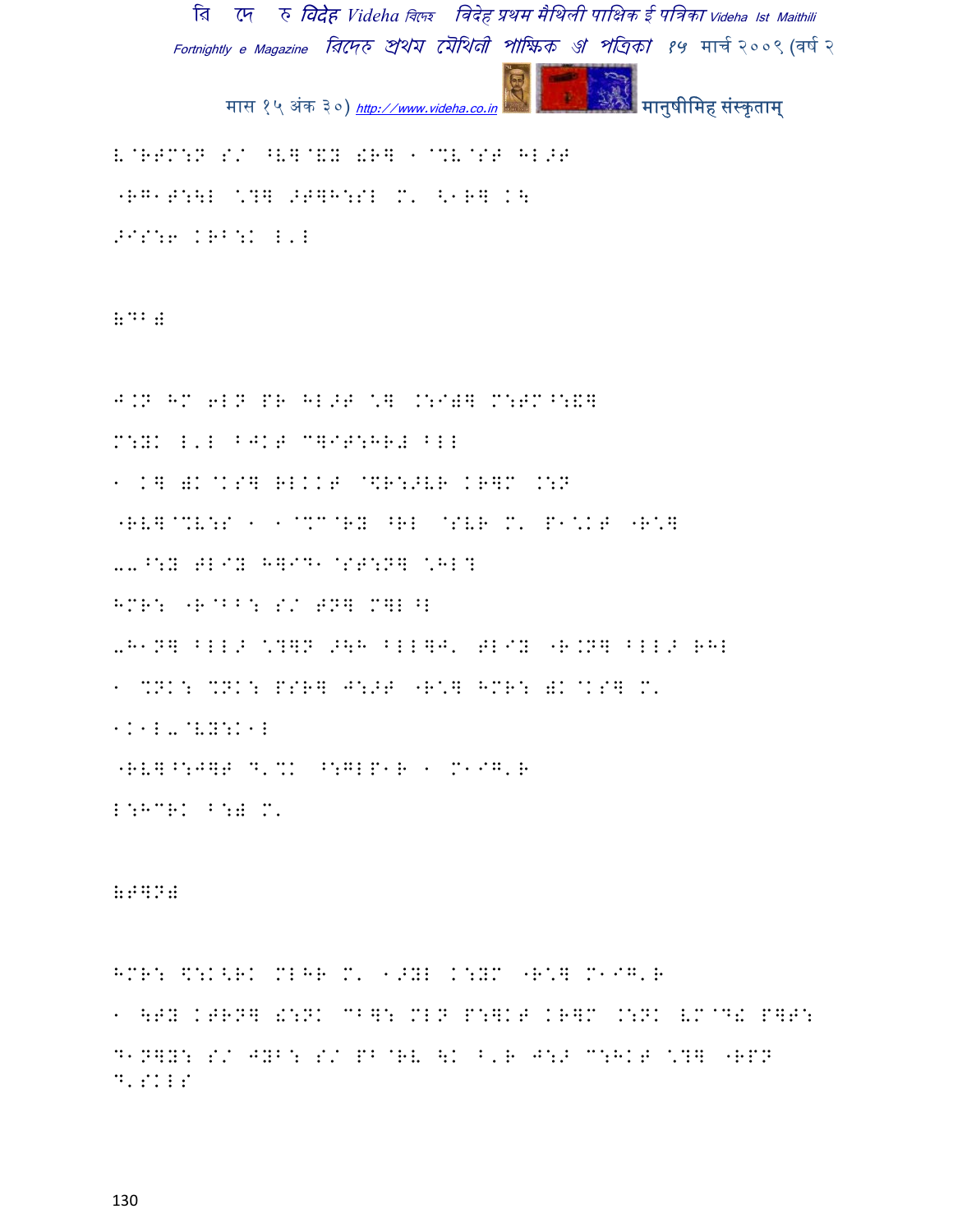मास १५ अंक ३०) <u>http://www.videha.co.in</u> स्थिति स्थिति । मानुषीमिह संस्कृताम्

ROBETTER VON SREITER VER SOME TYP PEUPE  $R$  . The set of  $R$  is the set of  $R$  and  $R$  and  $R$  are  $R$  is the set of  $R$ >IS:6 KRB:K L'L

 $\mathbb{R}^{m \times d}$ 

JA.N HM 61 HM 61 JA 19 JANGE JAAR MEE M:YK L'L BJKT C]IT:HR# BLL 1 K] )K@KS] RLKKT @\$R:>VR KR]M .:N  $\overline{R}$  . The probability of the probability of the probability of the probability of the probability of the probability of the probability of the probability of the probability of the probability of the probability of th --^:Y TLIY H]ID1@ST:N] \*HL? HMR: "ROBB: S/ TO S/ TO S/ TO S/ TO S/ TO S/ TO S/ TO S/ TO S/ TO S/ TO S/ TO S/ TO S/ TO S/ TO S/ TO S/ TO S/ -H1N] BLL> \*?]N >\H BLL]J' TLIY "R.N] BLL> RHL 1 %NK: %NK: PSR HAR: 1818 HMR: 81 % MY W. 1K1L-@VY:K1L "RV]^:J]T D'%K ^:GLP1R 1 M1IG'R L:HCRK B:) M'

 $1:1:1:1$ 

HMR: \$:K<RK MLHR M' 1>YL K:YM "R\*] M1IG'R 1 \TY KTRN] !:NK CB]: MLN P:]KT KR]M .:NK VM@D! P]T: DRIVING AND SALES ON THE RICH AND THE SALES OF SALES AND D'SKLS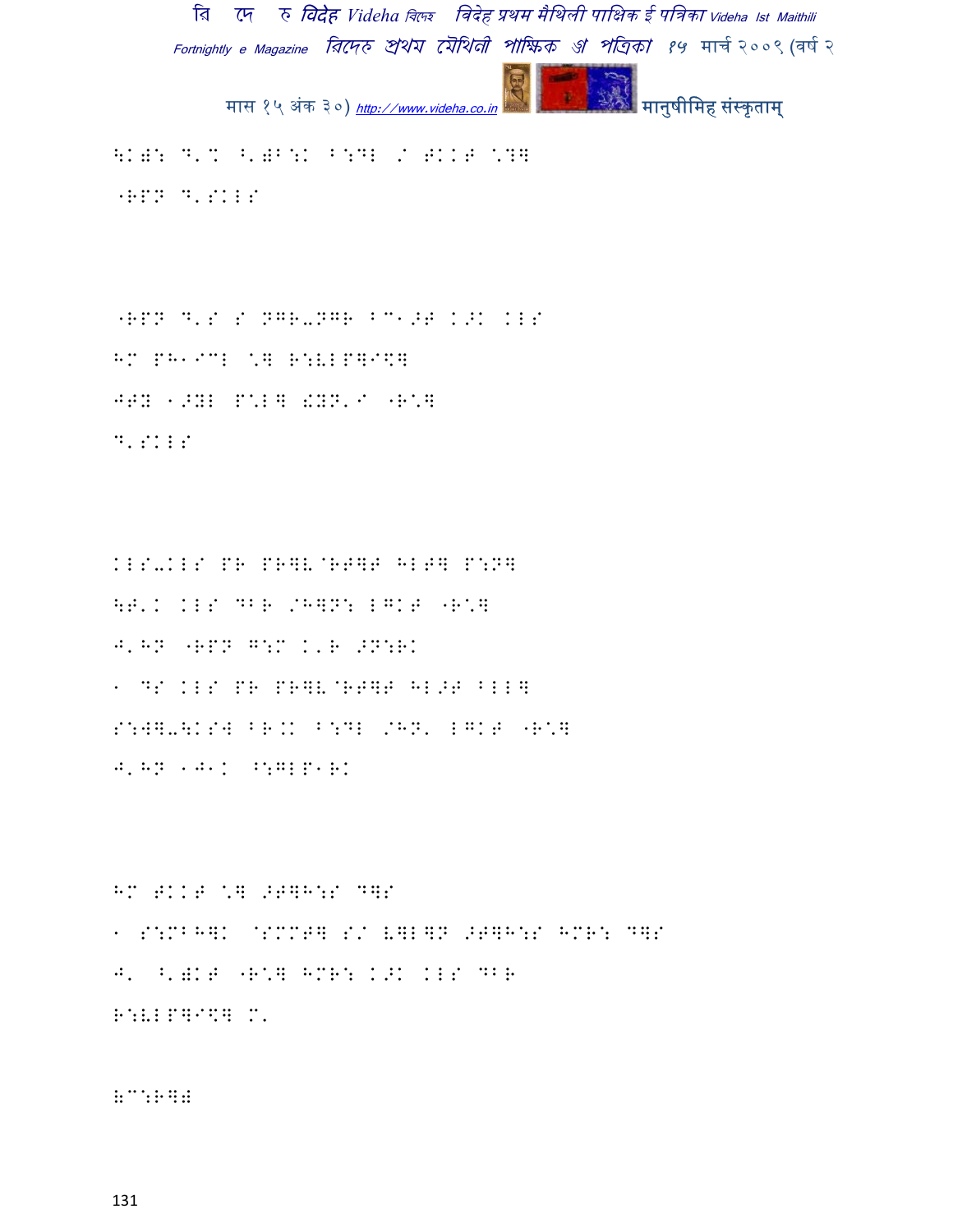मास १५ अंक ३०) <u>http://www.videha.co.in स्थिति क्रिके</u>डी **मानुषीमिह संस्कृताम्** 

\K): D'% ^')B:K B:DL / TKKT \*?] "RPN D'SKLS

"RPN D'S S NGR-NGR BC'S S NGRE HM PH1ICL THE PH1ICL PH1ICL JTY 1>YL P\*L] !YN'I "R\*] D'SKLS

KLS-KLS-KLS-KLS-KLS-HLTLL-ALTIL \T'K KLS DBR /H]N: LGKT "R\*] J'HN "RPN G:M K'R >N:RK 1 TH COOL RESERVEED HOLD BOOK STEERING BRIDGE THE CHRISTER SECTION HOND 1991 FOR

HT BILE TH SHHHE THE 1 S:MBH]K @SMMT] S/ V]L]N >T]H:S HMR: D]S J', KER HAR HOPE DE DE TRE R:VLPHONE N.

 $E''EH$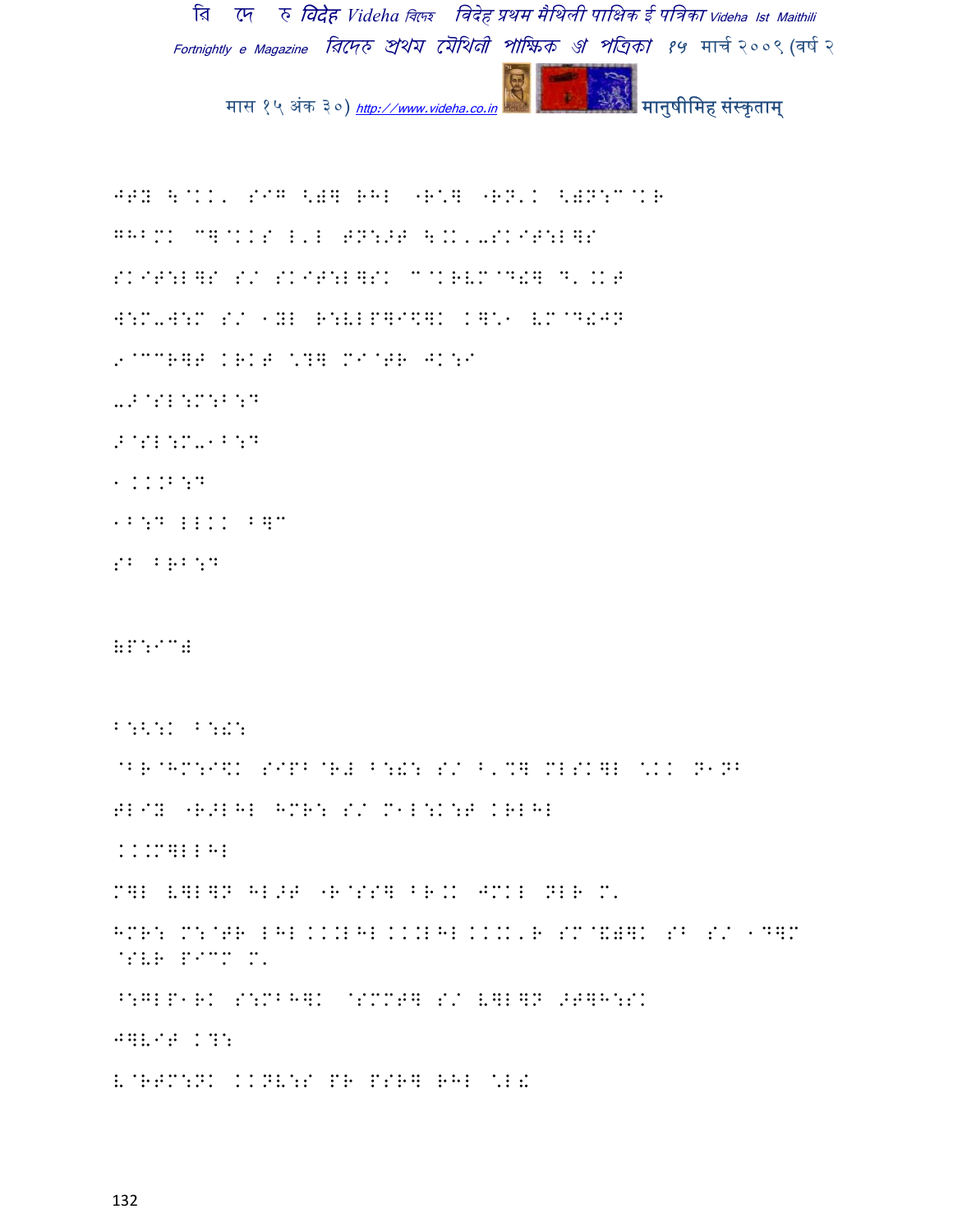मास १५ अंक ३०) <u>http://www.videha.co.in</u> स्थिती सामानि स स्कृताम्

JTY AND SIGN AND RHL "ROBOTH REDUCED AND RELEASED ON REDUCED A REDUCED A REDUCED A REDUCED A REDUCED A REDUCED GHEMA CHAIRS LI THILL AN AN AN EAST SKIT:L]S S/ SKIT:L]SK C@KRVM@D!] D'.KT W:M-W:M S/ 1YL R:VLP]I\$]K K]\*1 VM@D!JN 9@CCR]T KRKT \*?] MI@TR JK:I ->@SL:M:B:D >@SL:M-1B:D 1...B:D 1B:D LLKK B]C SB BRB:D  $E:Y:Y \to Y$ B:<:K B:!: @BR@HM:I\$K SIPB@R# B:!: S/ B'%] MLSK]L \*KK N1NB TLIY "RICH" "RICHL" "RICHLER" ...M]LLHL MIL LAIRA HLAP HENDI BR.K HOLD DIR M HMR: MYSHE LHL...HE...LHL...LHL....KYMBED KR KY 1D1 @SVR PICM M' \*GUERTHIS SSON SINGLE SINGLE SEE SHIPPING **JANE CARDS** V@RTM:NK KKNV:S PR PSR] RHL \*L!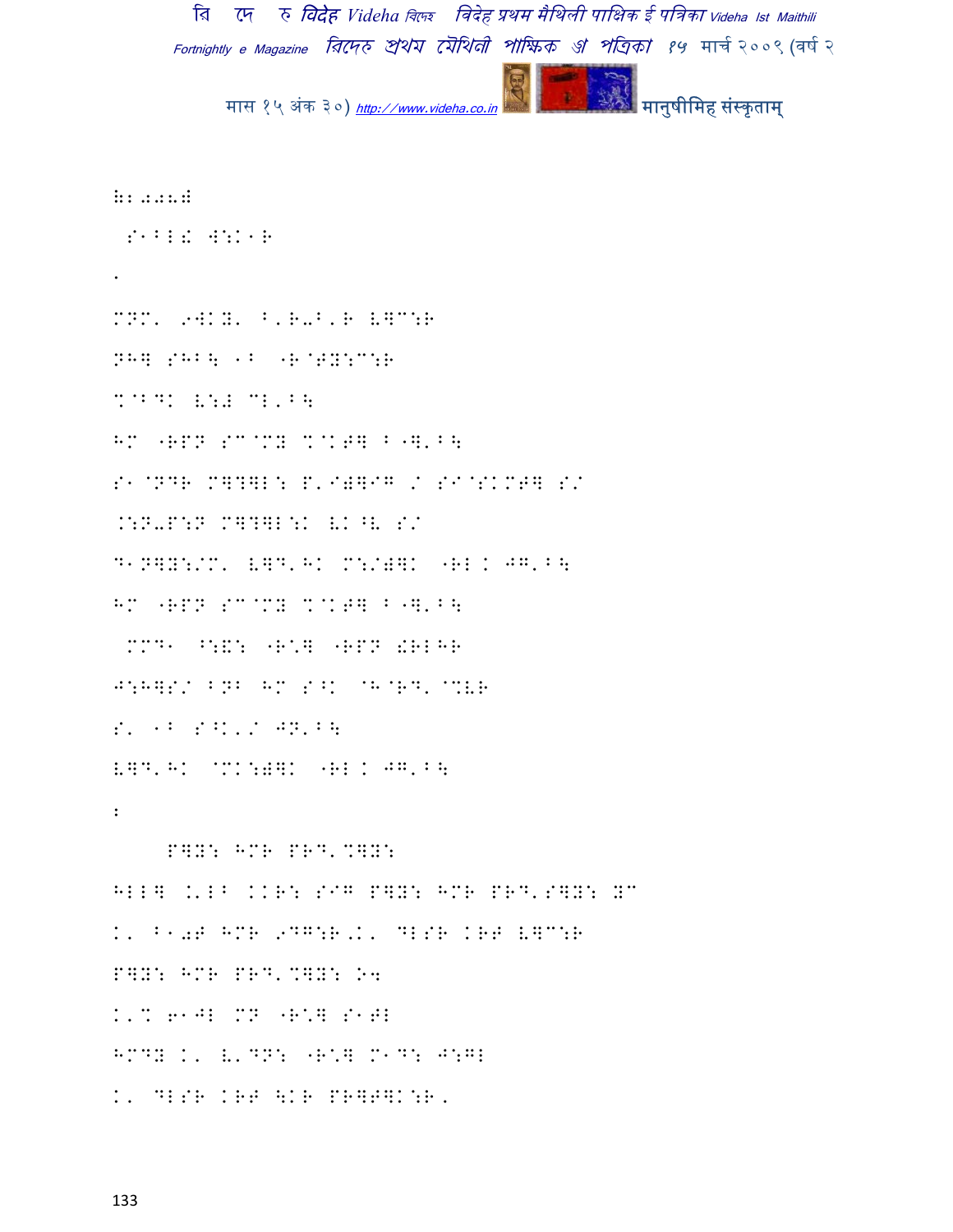मास १५ अंक ३०) <u>http://www.videha.co.in</u> स्थिती सामानि स स्कृताम्

he aund SIMBO STRAIN  $\ddot{\phantom{0}}$ MANMY 9WKY'S BYR-BYR-NH] SHB\ 1B "R@TY:C:R WORDS VI VERSION HM "RPN SC@MY %@KT] B"]'B\ SIMPLE MINIMUM (STREET) .:N-P:N M]?]L:K VK^V S/ DRIMINI ART.RI TANARI (ABI) AR. PA HM "RPN SC@MY %@KT] B"]'B\ MMD1 -: "R#1 -: "R#1 : "R#1 : R#1 : "R#1 : "R#1 : "R#1 : "R#1 : "R#1 : "R#1 : "R#1 : "R#1 : "R#1 : "R#1 : "R#1 J:H]S/ BNB HM S^K @H@RD'@%VR  $S'$  is a strip  $S'$  -  $S'$  -  $S$  -  $S$  -  $S$  -  $S$  -  $S$ V]D'HK @MK:)]K "RL. JG'B\

 $\ddot{\cdot}$ 

PHIR PRD'S PROVINCE HLL] .'LB KKR: SIG P]Y: HMR PRD'S]Y: YC K' B10T HMR 9DG:R, CONSTRUCTION P]Y: HMR PRD'%]Y: O4 K' man "Ration" (1991) HOW K' L'HON (RYS OF WYS AND K. THE CHEART REPORTED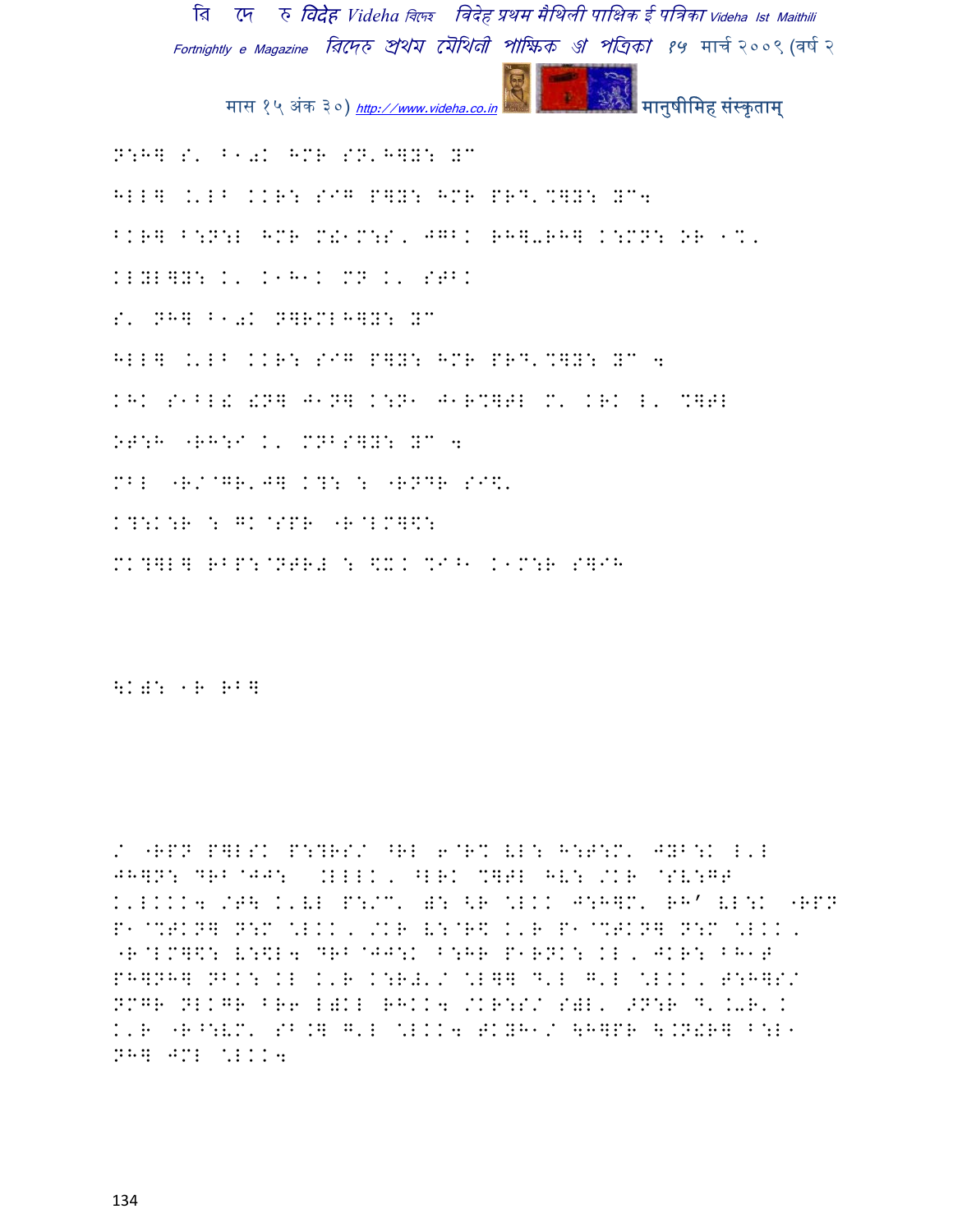मास १५ अंक ३०) http://www.videha.co.in स्थितीया मानुषीमिह संस्कृताम्

N:H] S' B10K HMR SN'H]Y: YC HLLB .'LB .'LB .'LA .'LB .'LB .'LB .'LB .'LB .'LB .'LB .'LB .'LB .' B:B:N:N:L HTE TERTIC HAILDAR CITT: OR 17. KENHANG KALIPAT KANG MANG S' NHE BION NAMES AN HLL] .'LB KKR: SIG P]Y: HMR PRD'%]Y: YC 4 KHK S1BL! : THE S1BL! IN STREET IN THE S1BL! IN STREET IN THE S1BL! IN STREET IN THE S1BL. OF:H "RH:I K' MONDERN HI MBL "RACHEL AN INDIA" (PRINCIPAL K:R : GK@SPR "ROLL" : GK@SPR "R@LM MK?]L] RBP:@NTR# : \$X. %I^1 K1M:R S]IH

 $K: H \to H$  RB  $H$ 

/ "RPN P]LSK P:?RS/ ^RL 6@R% VL: H:T:M' JYB:K L'L JHANS SERVARY (ILLL), ALE: TARE GEN MIR (SENARE K'LEKKA /TH KYLE PAZT, BA RE NEIN AARTZ, BRY EEAN VBPR P1@%TKN] N:M \*LKK, /KR V:@R\$ K'R P1@%TKN] N:M \*LKK, "R@LM]\$: V:\$L4 DRB@JJ:K B:HR P1RNK: KL, JKR: BH1T PH]NH] NBK: KL K'R K:R#'/ \*L]] D'L G'L \*LKK, T:H]S/ NOGRAM SERVICE BROWN SOMETIME SOMETIME SOMETIME SOMETIME SOMETIME SOMETIME SOMETIME SOMETIME SOMETIME SOMETIME K'R "R'R'R "R'E TKYHT "R'R'R "R'R'R "D'L' "B'L' "B'L' "B'L' "B'L' "B'L' "B'L' "B'L' "B'L' "BE "R'R' NH] JML \*LKK4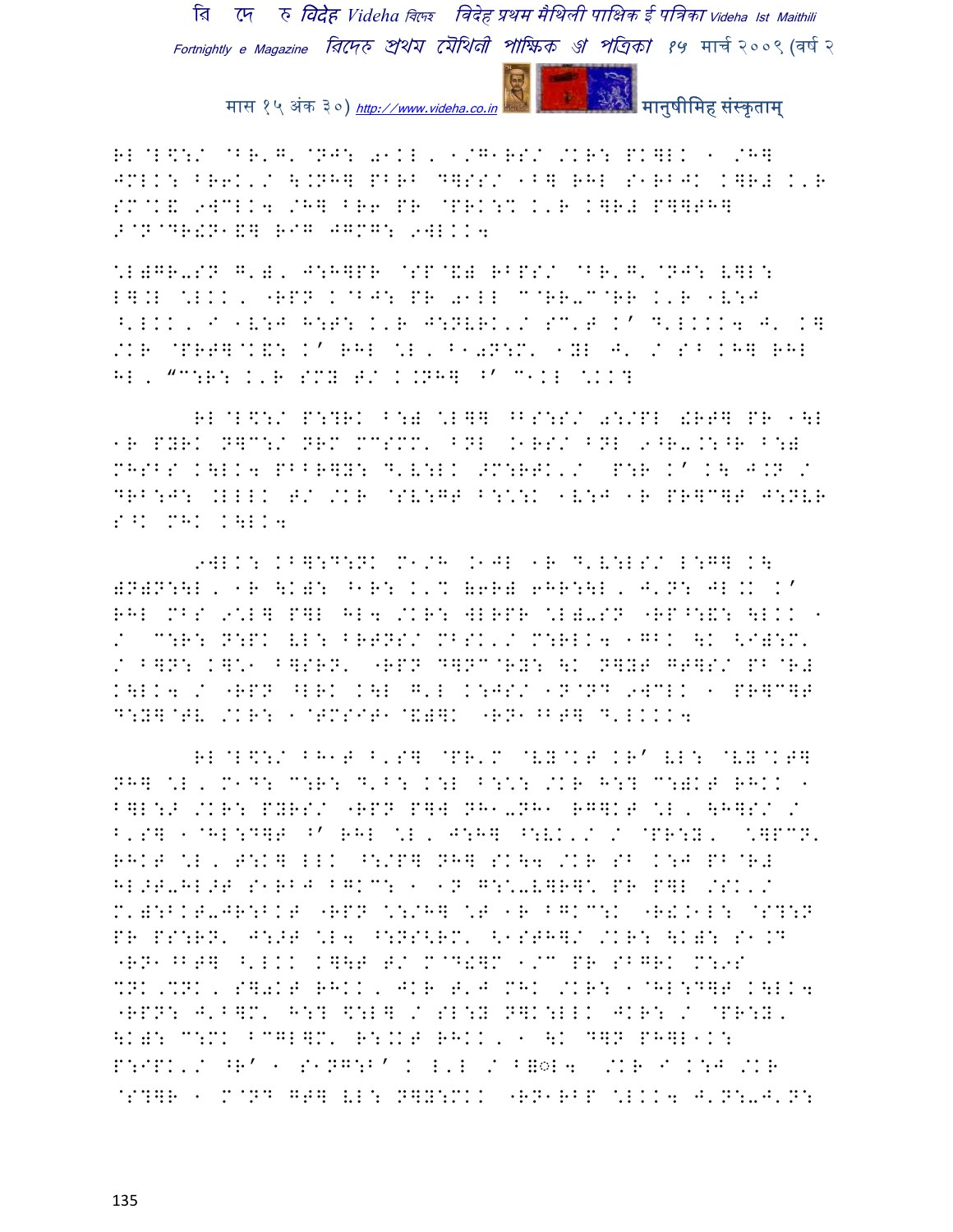मास १५ अंक ३०) http://www.videha.co.in | सामानिक स्वान्तुषीमिह संस्कृताम्

RL@L\$:/ @BR'G'@NJ: 01KL, 1/G1RS/ /KR: PK]LK 1 /H] JMLK: BR6K'/ \.NH] PBRB D]SS/ 1B] RHL S1RBJK K]R# K'R SM@K& 9WCLK4 /H] BR6 PR @PRK:% K'R K]R# P]]TH] >@N@DR!N1&] RIG JGMG: 9WLKK4

\*L)GR-SN G'), J:H]PR @SP@&) RBPS/ @BR'G'@NJ: V]L: L].L \*LKK, "RPN K@BJ: PR 01LL C@RR-C@RR K'R 1V:J ALKII 1V: KARA PYEY I.E AYREEI.Z ET.E I/ PLKIIG AL IR /KR @PRT]@K&: K' RHL \*L, B10N:M' 1YL J' / S^ KH] RHL HL, "THE C.R: KTH R. K.NHH (P/ THIR K.N.N

RL@L\$:/ P:PL@L@L\$:PR\_PYSIZ\_aSOPE\_ARPR\_PR\_1H 1R PYRK NAMMY DRIVING AN INGENIA BOOK BANG BASA MHSBS KALKA PRINGEN SUND AMGED. AT PHONE AN INFORMATION DRB:J: .LLLK T/ /KR @SV:GT B:\*:K 1V:J 1R PR]C]T J:NVR S^K MHK K\LK4

 9WLK: KB]:D:NK M1/H .1JL 1R D'V:LS/ L:G] K\ )N)N:\L, 1R \K): ^1R: K'% (6R) 6HR:\L, J'N: JL.K K' RHL MAS 9. MIN PH MBS 2001 WHIPP (1812-1810) PH "RED "RECOM / C:R: N:PK VL: BRTNS/ MBSK'/ M:RLK4 1GBK \K <I):M' / B]N: K]\*1 B]SRN' "RPN D]NC@RY: \K N]YT GT]S/ PB@R# KALKA / PRD ALRK KAL GYAZY KOURN 2471. V PROGR D:Y]@TV /KR: 1@TMSIT1@&)]K "RN1^BT] D'LKKK4

RL@L\$:/ BH1T BOOK & COMPARY WAS CONSIDERED AND RELEASED AND RELEASED AND RELEASED AND RELEASED AND RELEASED AN NH] \*L, M1D: C:R: D'B: K:L B:\*: /KR H:? C:)KT RHKK 1 FARSE CORPORATION FOR PARTNERS IN REAL RESOURCE. B'STE ROME THE COMMUNICATION CONTROL CONTROL TO A PROPERTY AND RELEASED AT A PROPERTY OF A PROPERTY OF A RELEASED OF A PROPERTY OF A RELEASED OF A RELEASED OF A RELEASED OF A RELEASED OF A RELEASED OF A RELEASED OF A RELEA RHKT #L, T:KET (11) T:KET PHE SKI4 /KR SP KI:T PB@R# HESPAIR SPORT BEKOMPTEN STORES IN BEKOMPTEN BEKOMPTEN STATISTICS. M. BKT-PARKETE "RPN "VALGRE "VALLE "RUNAL" (PED) EN "YOUR PR PS:RN' J:>T \*L4 ^:NS<RM' <1STH]/ /KR: \K): S1.D  $R$  . The contribution of the set of the set of  $R$  and  $R$  is the set of  $R$  set of  $R$  is the set of  $R$ %NK, NATHARA SENING ANG PALAMATAN NATION NATION NATIONAL "APPORT H: PROVIDES TO REPORT OF SPECIES ORDER TO LIFE A LIGHT OF THE SPECIES. \K): C:MK BCGL]M' R:.KT RHKK, 1 \K D]N PH]L1K: P:PROVINCE POSTED AND RIGHT AND RESERVED AT LOCAL CONTROL CONTROL CONTROL CONTROL CONTROL CONTROL CONTROL CONTR @S?]R 1 M@ND GT] VL: N]Y:MKK "RN1RBP \*LKK4 J'N:-J'N: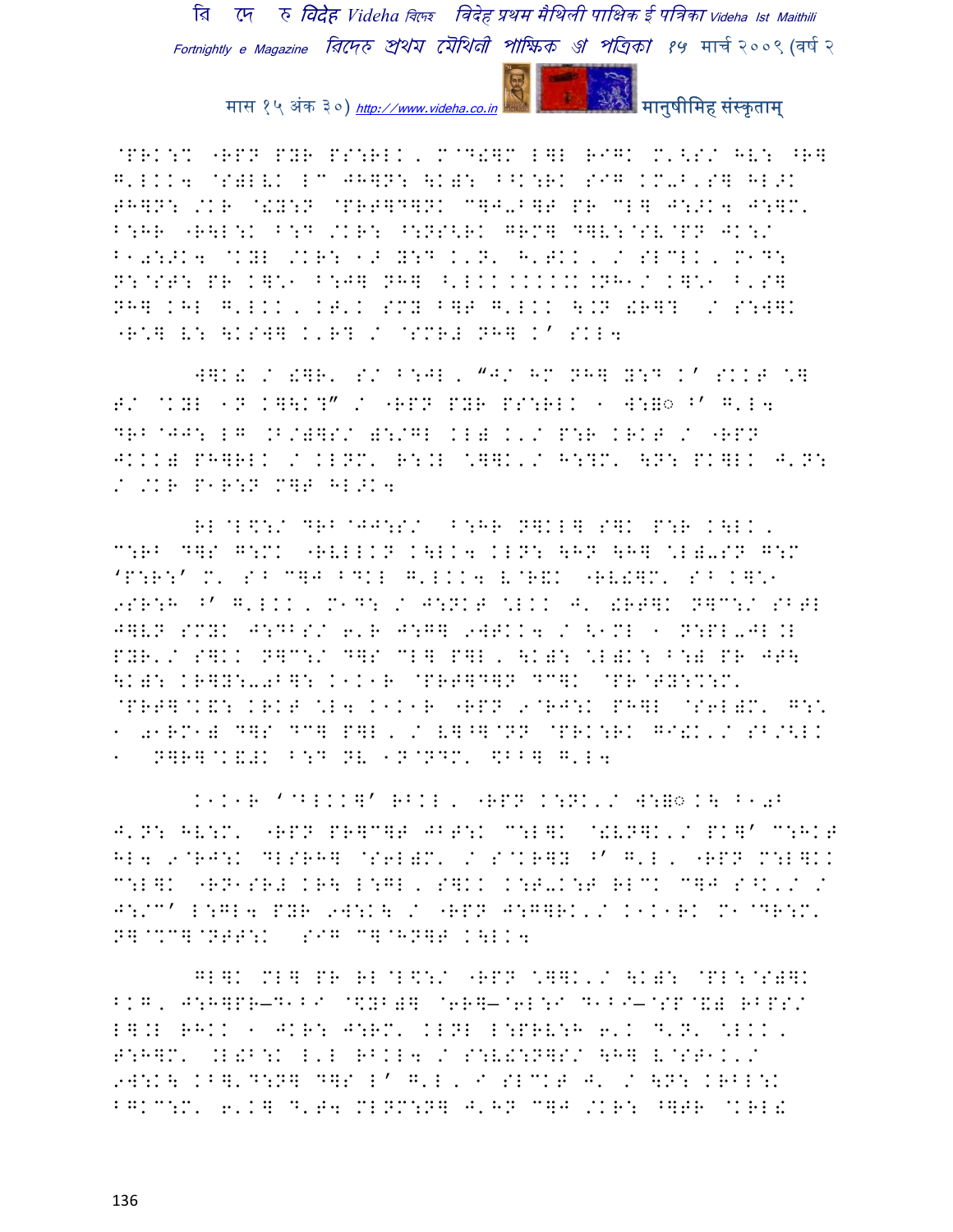मास १५ अंक ३०) http://www.videha.co.in <u>| मार्ग स्क्रिक्षे</u> | मानुषीमिह संस्कृताम्



MPRC: "PRP" PHR PYRRIC, MODERN FUR PYPR MISSING PRP G'LKA DI SIGNILLA DI SIGNILLA LA SIGNILLA DI SIGNILLA DI SIGNILLA DI SIGNILLA DI SIGNILLA DI SIGNILLA DI SIGNI FAND: /KR @ NATH\_ORDER CARDING COMPARED TO THE CLIPS OF CLIPS. B:HR "R\L:K B:D /KR: K B:D /KR: K B:D /KR: K B:D /KR: B / ROD / DIRECT DIRECT DIRECT DIRECT DIRECT DIRECT DIRECT B10:>K4 @KYL /KR: 1> Y:D K'N' H'TKK, / SLCLK, M1D: N:@ST: PR K]\*1 B:J] NH] ^'LKK.....K.NH1/ K]\*1 B'S] NHE CHL G'LICK, CELC SMY BJE G'LLICK AIR SHET (2) SYMBI  $R$  R\*E  $R$  (  $R$  is the state of  $R$  is the state of  $R$  state  $R$ 

WHICH IN EARLY FIRE IN MAIN AT THAN HIM IN THIS MENT THE T/ @KYL 1N K]\K?" / "RPN PYR PS:RLK 1 W:=◌^' G'L4 DRB@JJ: LG .B/)]S/ ):/GL KL) K'/ P:R KRKT / "RPN JKKK) PH]RLK / KLNM' R:.L \*]]K'/ H:?M' \N: PK]LK J'N: / /KR P1R:N M]T HL>K4

RL@ES:/ ORPORATION | PAR NORTH NON-TAR CONSUM C:RB DAR AND: PREFIX KALLE IN LIPS ARP ARA SLEWER AND  $\overline{N}$ P:A: Morton Society (Section Society ), and  $\overline{N}$  social values of  $\overline{N}$  and  $\overline{N}$  social  $\overline{N}$  social values of  $\overline{N}$ 9SR:H ^' G'LKK, M1D: / J:NKT \*LKK J' !RT]K N]C:/ SBTL J]VN SMYK J:DBS/ 6'R J:G] 9WTKK4 / <1ML 1 N:PL-JL.L PYR'/ S]KK N]C:/ D]S CL] P]L, \K): \*L)K: B:) PR JT\ \K): KR]Y:-0B]: K1K1R @PRT]D]N DC]K @PR@TY:%:M' @PRT]@K&: KRKT \*L4 K1K1R "RPN 9@RJ:K PH]L @S6L)M' G:\* 1 01RM1) D]S DC] P]L, / V]^]@NN @PRK:RK GI!K'/ SB/<LK 1 N]R]@K&#K B:D NV 1N@NDM' \$BB] G'L4

KA1KE 'MIRKIEK' REIE ' ARTIK KIRKLIN AIE ON BANGK J'N: HE:M' (HPP PRETH) HE:M' THE: MELTIC CONTROL PRO HL4 9@RARI: MEZHAN (SALAM) / S@KRIN P/ G.E. (APM MGEN) C:L]K "RN1SR# KR\ L:GL, S]KK K:T-K:T RLCK C]J S^K'/ / J:/C' L:GL4 PYR 9W:K\ / "RPN J:G]RK'/ K1K1RK M1@DR:M' NAME OF CASES OF CHARGE CALLS

 GL]K ML] PR RL@L\$:/ "RPN \*]]K'/ \K): @PL:@S)]K BKG, J:H]PR—D1BI @\$YB)] @6R]—@6L:I D1BI—@SP@&) RBPS/ LAN RHKK 1 JKR: JERK 1 LIBER 1 JERUSA 1 D. P. B. (111) T: HI:HE: L'ARBERT AN AN AIR AN AIR AN AIR AN AIR AN AIR AN AIR AN AIR AN AIR AN AIR AN AIR AN AIR AN AIR AIR 9W:K:K: KORINE DIS L' GIL, I SURCH J' (1999) DONNE DIS L' GIL, I SLCKT J' (1999) DONNE DIS BOKC:M' 6'KIN' OLIMPIA DI THUR D'ANN CHANNEL D'ANNEL D'ANNEL D'ANNEL D'ANNEL D'ANNEL D'ANNEL D'ANNEL D'ANNEL D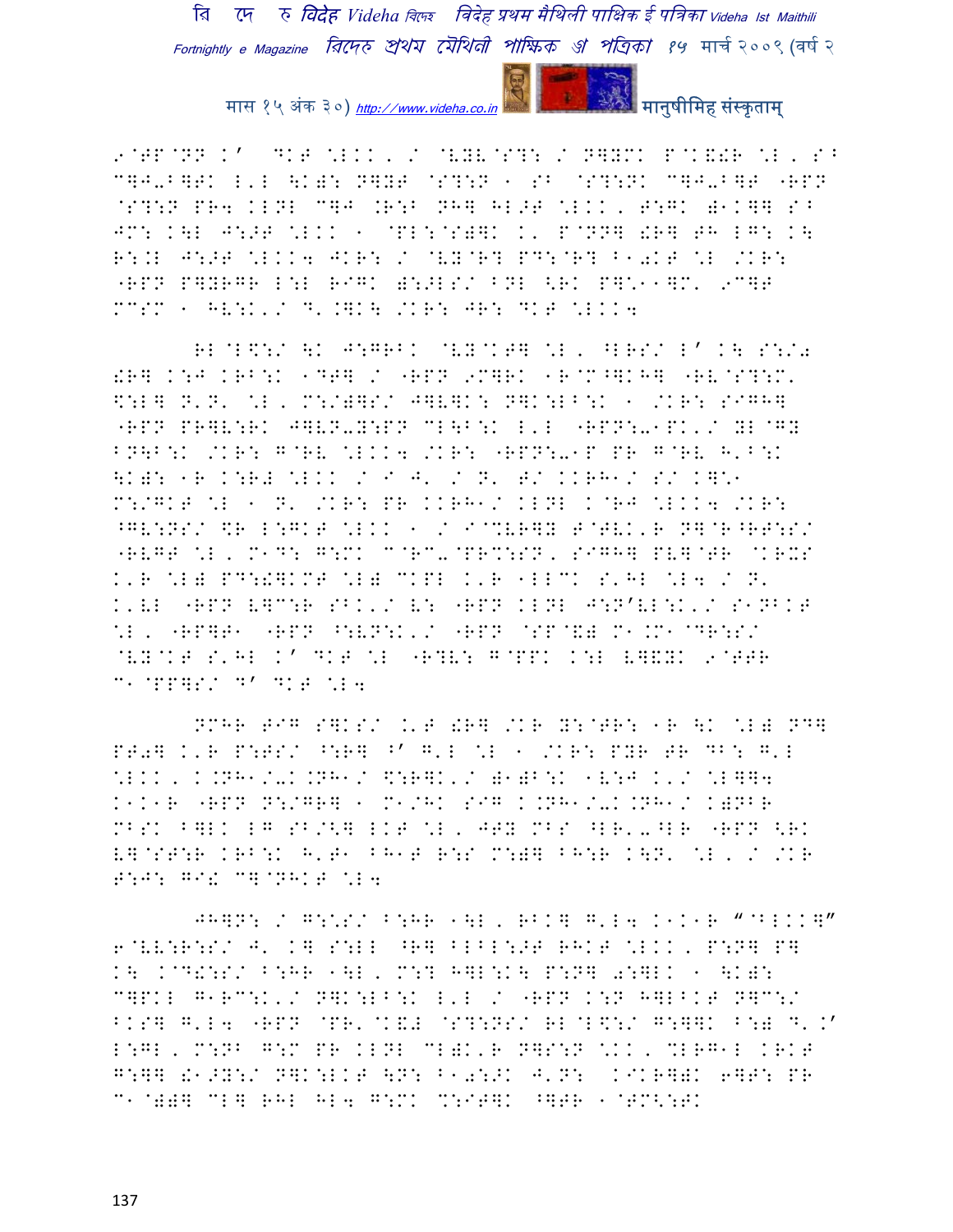

9@TP@NN K' DKT \*LKK, / @VYV@S?: / N]YMK P@K&!R \*L, S^ C]J-B]TK L'L \K): N]YT @S?:N 1 SB @S?:NK C]J-B]T "RPN @S?:N PR4 KLNL C]J .R:B NH] HL>T \*LKK, T:GK )1K]] S^ JM: K\L J:>T \*LKK 1 @PL:@S)]K K' P@NN] !R] TH LG: K\ R: H: #52# JEICH #DR: / @DACHR: PD:@RY@RY@RY@RY@RY "RPN PANDAR LYD BYAN BYDD (PD) (PD) PAN-ANN PAN MCSM 1 HOST IN THE STATE OF THE SERIES

 RL@L\$:/ \K J:GRBK @VY@KT] \*L, ^LRS/ L' K\ S:/0 !R] K:J KRB:K 1DT] / "RPN 9M]RK 1R@M^]KH] "RV@S?:M' \$:L] N'N' \*L, M:/)]S/ J]V]K: N]K:LB:K 1 /KR: SIGH] "RPN PRAGON: AAGNUSING MER'N: E.E. "RPN:A'N:..' WE'PH BORD:K /KR: G@RV #LIKKEN /KR: "RPN:-1P PR G@RV #1P \K): 1R K:R# \*LKK / I J' / N' T/ KKRH1/ S/ K]\*1 MI:GKT \*L 1 NORTH \*LIGHT \*LEGHT \*LOCKER ^GV:NS/ \$R L:GKT \*LKK 1 / I@%VR]Y T@TVK'R N]@R^RT:S/ "REAR "NEW THAT " THAN THE SIGN COMPANY PER THE "SIGN" K'R \*L) PO:: IN THE TRANSPORTER TO THE STATE OF A LILL CHARGE TO THE STATE OF A LILL K'VL "RPN V]C:R SBK'/ V: "RPN KLNL J:N'VL:K'/ S1NBKT \*L, "RPN ^: "RPN @SP@&) "RPN ^: "RPN @SP@&) "RPN @SP@&) "RPN @SP@&) "RPN @SP@&) "RPN @SP@&) "RPN @SP@&} @VY@KT S'HL K' DKT \*L "R?V: G@PPK K:L V]&YK 9@TTR CONSTRUCTION OF DESCRIPTION

NOHE SPRING SOME SERVICE OF THIGHT FROM SOME SPRI PROBLEM PORT PORT PORT OF A CORPORATE PROPERTY  $\Lambda$ E ( )  $\Lambda$  ,  $\Lambda$  ,  $\Lambda$  ,  $\Lambda$  ,  $\Lambda$  ,  $\Lambda$  ,  $\Lambda$  ,  $\Lambda$  ,  $\Lambda$  ,  $\Lambda$  ,  $\Lambda$  ,  $\Lambda$  ,  $\Lambda$  ,  $\Lambda$  ,  $\Lambda$  ,  $\Lambda$  ,  $\Lambda$  ,  $\Lambda$  ,  $\Lambda$  ,  $\Lambda$  ,  $\Lambda$  ,  $\Lambda$  ,  $\Lambda$  ,  $\Lambda$  ,  $\Lambda$  ,  $\Lambda$  ,  $\Lambda$  ,  $\Lambda$  ,  $\Lambda$  ,  $\Lambda$  , K1K1R "RPN N:/GRISH N:/GRISH N:/GRISH N:/GRISH N:/GRISH N:/GRISH N:/GRISH N:/GRISH N:/GRISH N:/GRISH N:/GRISH MBSK BILK IF PROVENES ALL ARE MEN HIRLAND (ART VEN  $\mathbb{E}$ Bitish Bergian Bergian Bergian Bergian Bergian (1981), (1981), /Kristian T:J: GI: CHI

JHANS / G: PANEN CARRO GARD, RANGH PLEACH DO LARCO MARININ 6@VV:R:S/ J' K] S:LL ^R] BLBL:>T RHKT \*LKK, P:N] P] K\ .@D!:S/ B:HR 1\L, M:? H]L:K\ P:N] 0:]LK 1 \K): CARLE GRAPHIC: CONSTRUCTION CONTROLLED AND CONTROL BKS] G'L4 "RPN @PR'@K&# @S?:NS/ RL@L\$:/ G:]]K B:) D'.' L:GL, M:NB G:M PR KLNL CL)K'R N]S:N \*KK, %LRG1L KRKT G:]] !1>Y:/ N]K:LKT \N: B10:>K J'N: KIKR])K 6]T: PR C1@))] CL] RHL HL4 G:MK %:IT]K ^]TR 1@TM<:TK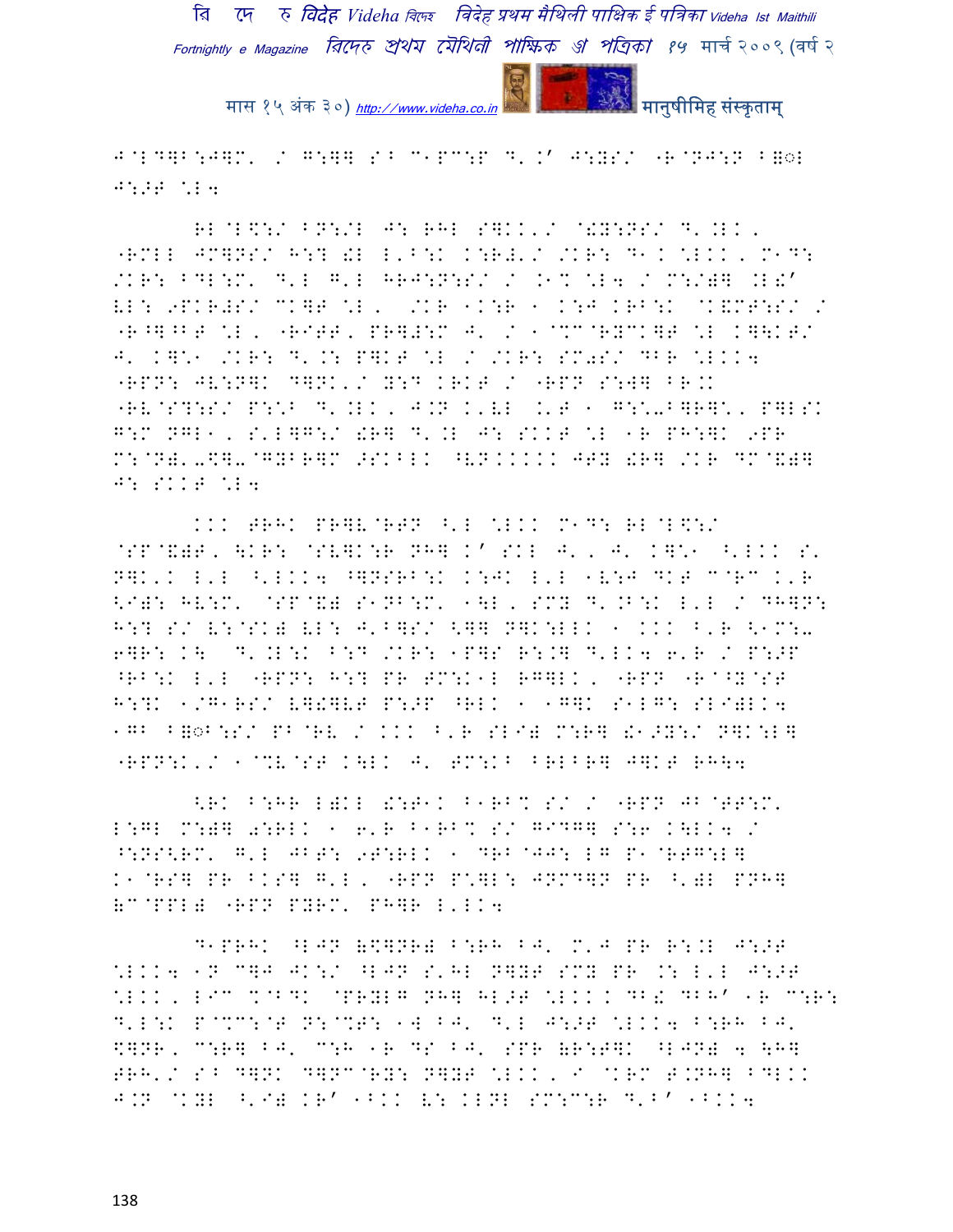मास १५ अंक ३०) http://www.videha.co.in | सामानिक मानुषीमिह संस्कृताम्

J@LD]B:JOURNALLY SOME ROLD PORT RESERVED TO A CONTROL AND THE RESERVED OF THE SOLUTION OF THE DISCUSS OF THE D  $35.74 \div 14.4$ 

RL@RAZ#:/RL@L#N&RHL@RLOZ@NARRZ@R@ROZ HETER ATTERS AND WELL PART CHEER STATES TO MELL POST /KR: BDL:M' D'L G'L HRJ:N:S/ / .1% \*L4 / M:/)] .L!' VL: 9PKR#S/ CK]T \*L, /KR 1K:R 1 K:J KRB:K @K&MT:S/ /  $R$  . The state of  $\Gamma$  is the state of  $R$  is the state of  $R$  is the state of  $R$ JA, IBN /KR: D.: PENE NE / /KR: SM0S/ DBR NEILA "RPN: JV:N]K D]NK'/ Y:D KRKT / "RPN S:W] BR.K "RESTRICTIVE TO HIS PICE IN BY DIE 'N TILBERS PRIES G:M NGL1, S'L]G:/ !R] D'.L J: SKKT \*L 1R PH:]K 9PR M: MA: 2001 - MORINA DATA MENING ON DER SKARE AV DE SKARE (1991) J: SKKT \*L4

KKK TRHK PRINS AND ALL AND MINDS OF THE REAL @SP@&)T, \KR: @SV]K:R NH] K' SKL J', J' K]\*1 ^'LKK S' N]K'K L'L ^'LKK4 ^]NSRB:K K:JK L'L 1V:J DKT C@RC K'R <I): HV:M' @SP@&) S1NB:M' 1\L, SMY D'.B:K L'L / DH]N: H:? S/ V:@SK) VL: J'B]S/ <]] N]K:LLK 1 KKK B'R <1M:- 6]R: K\ D'.L:K B:D /KR: 1P]S R:.] D'LK4 6'R / P:>P ^RB:K L'L "RPN: H:? PR TM:K1L RG]LK, "RPN "R@^Y@ST H: S. T. P. P. P. P. S. P. R. K. R. K. S. P. S. P. L. G. S. S. S. K. K. K. S. S. K. K. K. S. S. S. S 1GB B=◌B:S/ PB@RV / KKK B'R SLI) M:R] !1>Y:/ N]K:L]  $R$ PRISE IS A CONSTRUCTED BRIDGE OF THE RESERVE BRUGE SERVERS IN THE RESERVE BRUGE SERVERS IN THE RESERVE OF T

RRI B:HR LAID &SAN B-HR KI I / "APP AD MARI" L:GH STAND SINCE A GLOBAL CONTROL CONTROL CONTROL STATES ^:NS<RM' G'L JBT: 9T:RLK 1 DRB@JJ: LG P1@RTG:L] K1@RS] PR BKS] G'L, "RPN P\*]L: JNMD]N PR ^')L PNH] (C@PPL) "RPN PYRM' PHONE PHONE PHONE PHONE PHONE PHONE PHONE PHONE PHONE PHONE PHONE PHONE PHONE PHONE PHONE P<br>RPN PYRMY PHONE PHONE PHONE PHONE PHONE PHONE PHONE PHONE PHONE PHONE PHONE PHONE PHONE PHONE PHONE PHONE PHONE

DIPRHI (\$199 BRUDE FIRE FALL) ( \$199 B: SI: J:L J: \*LKK4 1N C]J JK:/ ^LJN S'HL N]YT SMY PR .: L'L J:>T the state of the property of the property of the state of the property in the state of the state of the state o D'E:K P@%C: K PE@%C: 1W BJ' D'L J: 1W B \$18, C:REBOR BJ C:RES BJ C:RING (RIPA) 4 BI SPR (RIPA) 4 DE BI SPR TRH'/ S^ D]NK D]NC@RY: N]YT \*LKK, I @KRM T.NH] BDLKK J.N @KYL ^'I) KR' 1BKK V: KLNL SM:C:R D'B' 1BKK4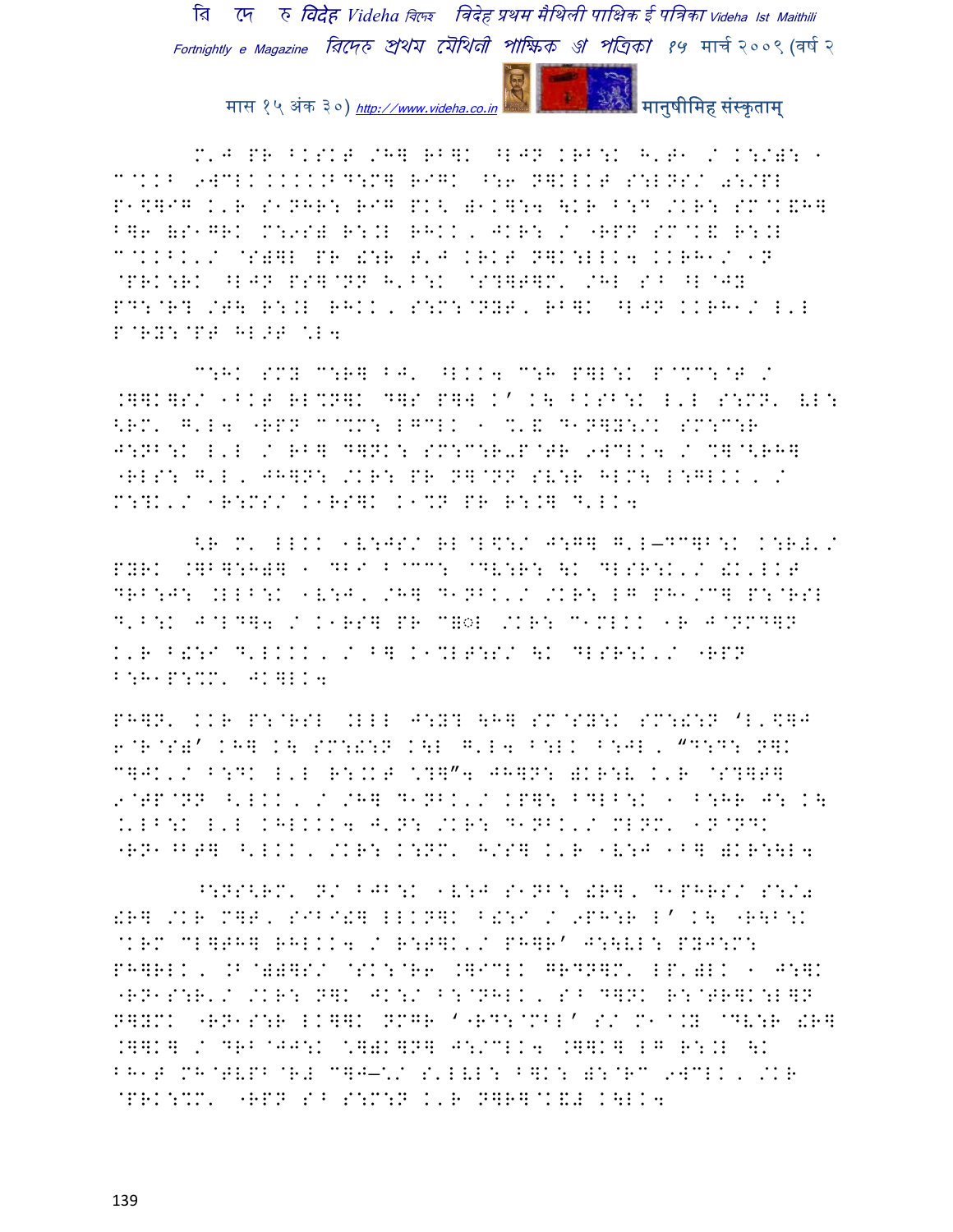मास १५ अंक ३०) http://www.videha.co.in<br>| मानुषीमिह संस्कृताम्

M. A BROARD AND RABIN HAR CHAR HOME AND CHARRY COMA 9WC LAND CONTROL STATES OF THE COMPANY OF THE RIGHT SERVICE. P-5828 IG B S1946 B28 EVE DIR AND BIB PKR CIBS SMOKER BAG (S1GREE) RECORDS RECORDED TO A REPORT OF RECORDS RECORDS RECORDS RECORDS RECORDS RECORDS RECORDS RECORDS R CONSTRUCT OF THE INDIAL PROPERTY OF THE SOLE AND A CONSTRUCT OF THE CONSTRUCTION OF THE CONSTRUCTION OF THE CO @PRK:RK ^LJN PS]@NN H'B:K @S?]T]M' /HL S^ ^L@JY PD:@R? /T\ R:.L RHKK, S:M:@NYT, RB]K ^LJN KKRH1/ L'L P@RY:@PT HL>T \*L4

 C:HK SMY C:R] BJ' ^LKK4 C:H P]L:K P@%C:@T / .1881.831 (PRI)K (BETORE) (PRI) BRACIN NA PICIPAL (ELECTRICAL EEN)  $R$  and  $R$  is the set of the set of the problem construction of the problem  $R$  and  $R$ J:NB:K L'L / RB] D]NK: SM:C:R-P@TR 9WCLK4 / %]@<RH] "RLS: G'L, JH]N: /KR: PR N]@NN SV:R HLM\ L:GLKK, / M:?K'/ 1R:MS/ K1RS]K K1%N PR R:.] D'LK4

REMONI CEEDIN A ENARDO GEORGIA (ANAREL RIEL-PORPINI) D'ABILLO PHRK .DBI BABB . THR FTTT . THIRE BY THIRE . DERIVE DRB:J: .LLB:K 1V:J, /H] D1NBK'/ /KR: LG PH1/C] P:@RSL D'B:K GOU (4) ME MARIE (2) VOIE (2) PR COMO (2) POINT (2) DE COMO (2) ON DE CARDONAIR IN DISPONSIBILE K'R B!:I D'LKKK, / B] K1%LT:S/ \K DLSR:K'/ "RPN B:H1P: MORE

PHRIN' COR PSIERE .LLEE .HSDR BHR RINGBSO RISSEN YEVRRA 6@R@S)' KH] K\ SM:!:N K\L G'L4 B:LK B:JL, "D:D: N]K CARADO ZO A:DARDO E LEO ARDIDO E OLARAM ARRABAN AD BONE DO BOOK MENHERA 9@TP@NN ^'LKK, / /H] D1NBK'/ KP]: BDLB:K 1 B:HR J: K\ .'LB:K L'L KHLKKK4 J'N: /KR: D1NBK'/ MLNM' 1N@NDK "RN1^BT] ^'LKK, /KR: K:NM' H/S] K'R 1V:J 1B] )KR:\L4

\*:NSERM: N/ BJB: NIV: NICH SHIP: SHE. THERM SING  $R$  (F)  $R$  ,  $R$  ,  $R$  is a subset of the signal contract  $R$  . The contract  $R$  is a subset of the  $R$ @KRM CL]TH] RHLKK4 / R:T]K'/ PH]R' J:\VL: PYJ:M: PHARRIC, .B. CASARIC, .DICLY GRAN (ARCTEC), ARCTERO, .B.P., SB 0114 ... (ANARO "RN1S:R'/ /KR: N]K JK:/ B:@NHLK, S^ D]NK R:@TR]K:L]N NAGRO "PARKENE ELAAL"ROAR 'N PARKENORE' KEN OOK 'N DE 'NAGE EEA .]]K] / DRB@JJ:K \*])K]N] J:/CLK4 .]]K] LG R:.L \K BH1T MHOTO MARKET MARKET MARKET AND ARREST AND A START OF START AND A START OF START AND A START OF START OF S @PRESERVISHON: MORE SERVISHON: MORE SERVISHON: MORE SERVISHON: MORE SERVISHON: MORE SERVISHON: MORE SERVISHON:<br>REPRESERVISHON: MORE SERVISHON: MORE SERVISHON: MORE SERVISHON: MORE SERVISHON: MORE SERVISHON: MORE SERVISHON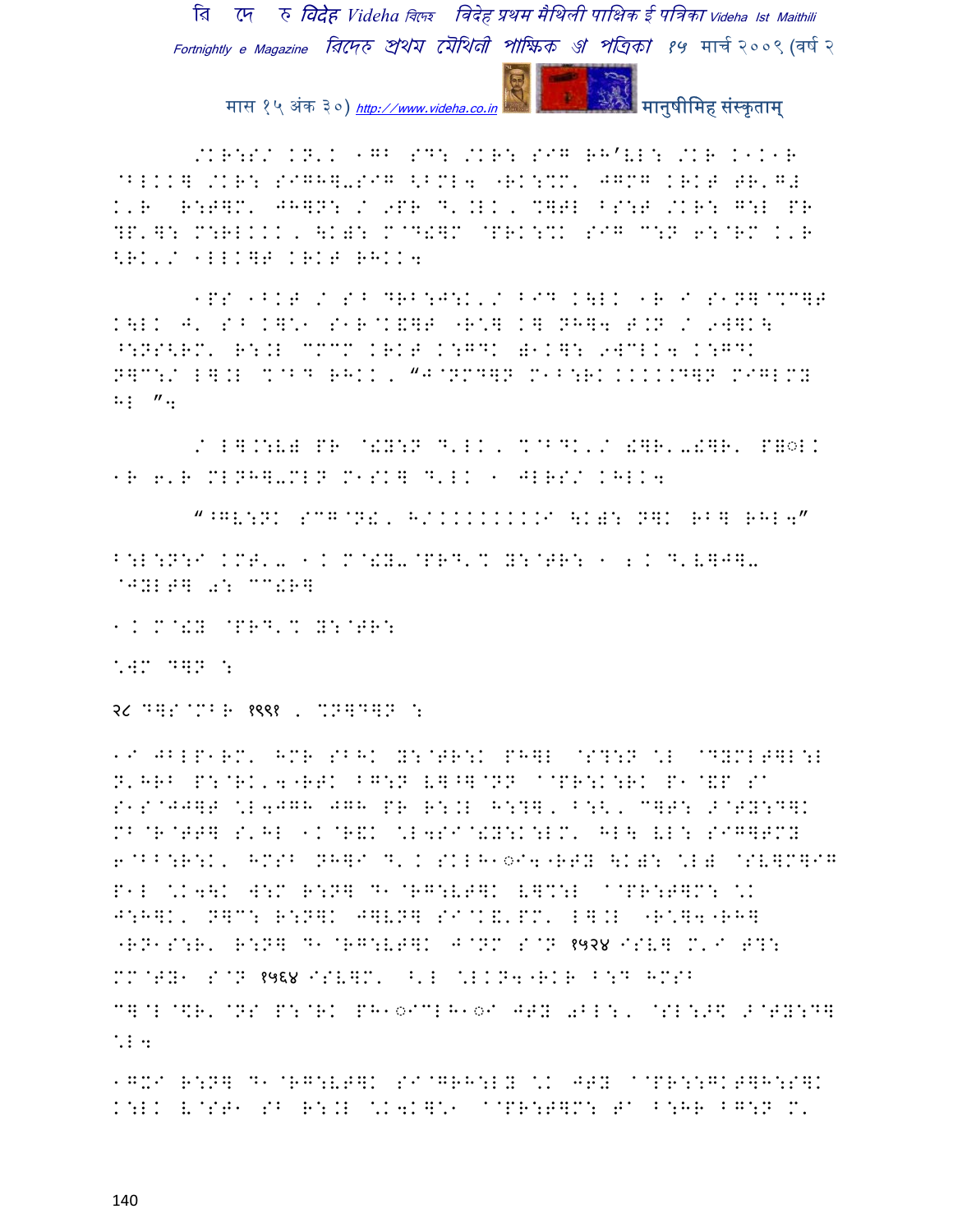मास १५ अंक ३०) <u>http://www.videha.co.in</u><br>| मानुषीमिह संस्कृताम्

 /KR:S/ KN'K 1GB SD: /KR: SIG RH'VL: /KR K1K1R @BLKK] /KR: SIGH]-SIG <BML4 "RK:%M' JGMG KRKT TR'G# K'R R:THE AND A RISE OF THE RISE OF THE RESERVE OF THE R ?P']: M:RLKKK, \K): M@D!]M @PRK:%K SIG C:N 6:@RM K'R  $R$  . The set of the set of the set of the set of the set of the set of the set of the set of the set of the s

 $\sim$  PS  $\sim$  PS 1BKT  $\sim$  DRB: J:K'/ BID KID KONGINEERS (SINNED KONGINEERS). KALK JO STATE STATE TIME SHOW ON THE BOY OF SHUIL ^:NS<RM' R:.L CMCM KRKT K:GDK )1K]: 9WCLK4 K:GDK NAMAN BADE RHIKA, BADE LA MA MAMAR DA PABE DI DI DI MABI DA M  $\vdots$  "4

 / L].:V) PR @!Y:N D'LK, %@BDK'/ !]R'-!]R' P=◌LK 1R 6'R MLNH]-MLN M1SK] D'LK 1 JLRS/ KHLK4

 "^GV:NK SCG@N!, H/........I \K): N]K RB] RHL4" B:L:N:I KMT'- 1. M@!Y-@PRD'% Y:@TR: 1 2. D'V]J]- @JYLT] 0: CC!R]

 $1.1$  Matrix with  $1.1$  Matrix  $1.1$  Matrix  $1.1$ 

**\*WM DEC 1987** 

२८ ममुल १९९१ , % अप्रश्न प्रथम के अध्यक्ष , % अप्रश्न प्रथम के अ

1I JBLP1RM' HMR SBHK Y:@TR:K PH]L @S?:N \*L @DYMLT]L:L N'HRB P:@RK'4"RTK BG:N V]^]@NN @@PR:K:RK P1@&P Sa STACTOR REPORT TO A REPORT FOR RESIDENCE A RELATION TO THE RESIDENCE. MB@R@TTT\_PROVIDENT\_POINT\_POINT\_POINT\_POINT\_POINT\_POINT\_POINT\_POINT\_POINT\_POINT\_POI  $6.9$  B:R:K' HMSB NH42 M. SKI B-044 HMSB NIE NIE NIEM DI. P1L \*K4\K W:M R:N] D1@RG:VT]K V]%:L @@PR:T]M: \*K J:H]K' N]C: R:N]K J]VN] SI@K&'PM' L].L "R\*]4"RH] "RN1S:R' R:N] D1@RG:VT]K J@NM S@N १५२४ ISV] M'I T?: MM THE SAN SAN SENSE IS A SAN RANGER BY AN ACTES CHO CHO CHO PITTE PHOTH WOOD AND AN INC. ON THIS RESERVE  $\ddots$ 

1927 R:N9 P10 D1@RG:PR: 27 PRP:I D10 PRB: CHR:SP:PR:EPR:C K:LK V@ST1 SB R:.L \*K4K]\*1 @@PR:T]M: Ta B:HR BG:N M'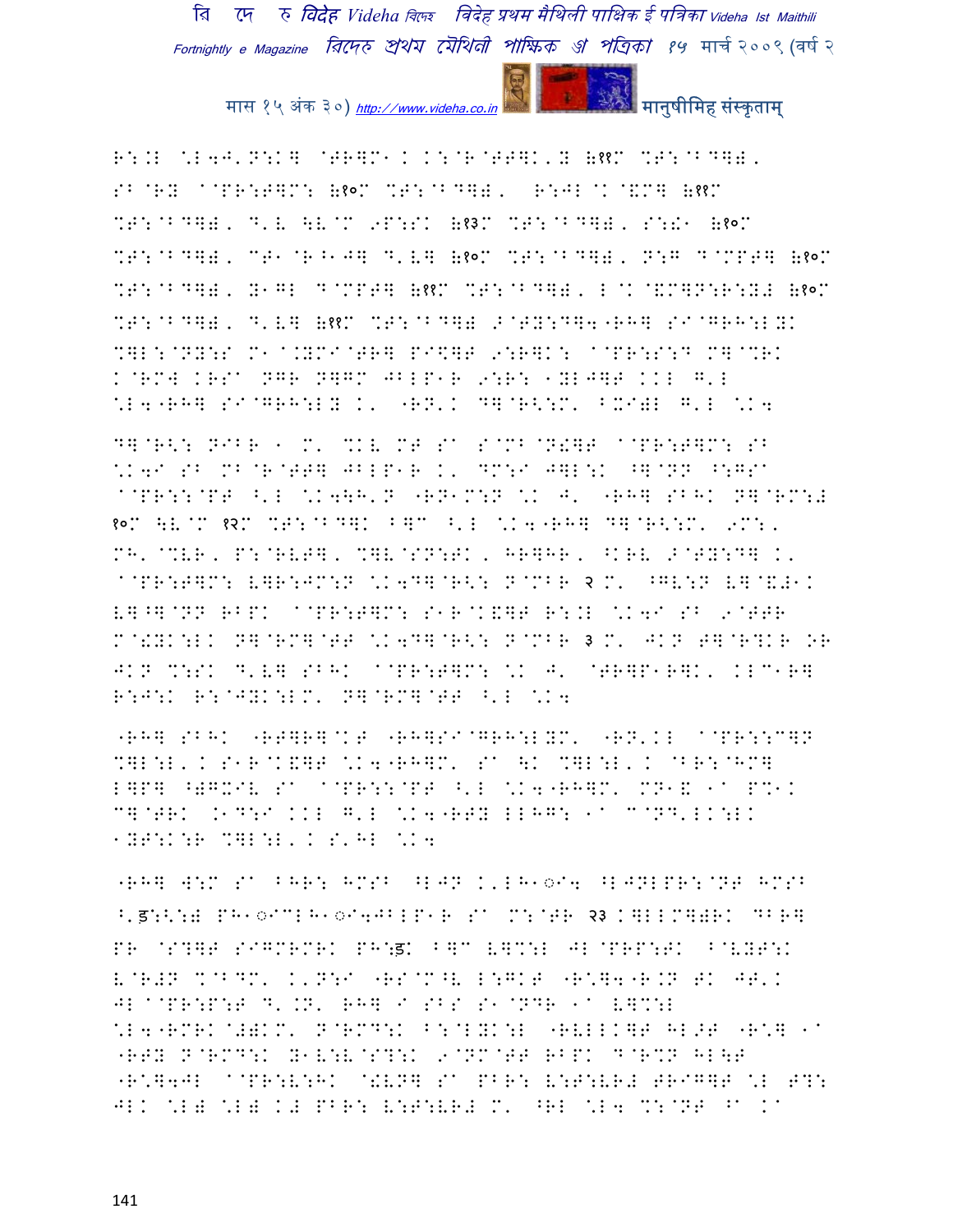मास १५ अंक ३०) <u>http://www.videha.co.in</u><br>| मानुषीमिह संस्कृताम्

R:.L \*L4J'N:K] @TR]M1. K:@R@TT]K'Y (११M %T:@BD]), SB @PR:THEST # RON WARE REPORT & BOOK & BOOK & BOOK & MILLOWS AND MELTIC ARE %T:@BD]), D'V \V@M 9P:SK (१३M %T:@BD]), S:!1 (१०M %T:@BD]), CT1@R^1J] D'V] (१०M %T:@BD]), N:G D@MPT] (१०M %T:@BD]), Y1GL D@MPT] (११M %T:@BD]), L@K@&M]N:R:Y# (१०M %T:@BD]), D'V] (११M %T:@BD]) >@TY:D]4"RH] SI@GRH:LYK %]L:@NY:S M1@.YMI@TR] PI\$]T 9:R]K: @@PR:S:D M]@%RK KORMA KRATO MAR MARA NGA EKA NGARA A DIA AARA NI EUROP \*L4"RH] SI@GRH:LY K' "RN'K D]@R<:M' BXI)L G'L \*K4

D]@R<: NIBR 1 M' %KV MT Sa S@MB@N!]T @@PR:T]M: SB \*K4I SB MB@R@TT] JBLP1R K' DM:I J]L:K ^]@NN ^:GSa @@PR::@PT ^'L \*K4\H'N "RN1M:N \*K J' "RH] SBHK N]@RM:# १०M (RELIGE 83M) एक्टर में में में से साथ रही है। यह क्रम्भी में में में स्थापित के लिए हैं , MH, MIAR, P: P: PRAFR, "NRA" (PRINGE), ARRAH, "OF BA" D' MEINR I. OSTEDENTO LAPATOR OLATASEN FOTER 2 M. CALDE LASENEO  $\langle \mathbb{R} \mathbb{R} \rangle$  for the state of the state of the state of the state of the state of the state of the set of the set M@!YK:LK N]@RM]@TT \*K4D]@R<: N@MBR ३ M' JKN T]@R?KR OR JKN %:SK D'VIER & PRINT OF DRIVING WITH DRIVER OF TRIPPER AND A LOCAL TRIPPER OF TRIPPER AND MILITARY AND RESID R:J:K R:@JYK:LM' N]@RM]@TT ^'L \*K4

 $R$  . The set of the set of the set of the set of the set of the set of the set of the set of the set of the set of the set of the set of the set of the set of the set of the set of the set of the set of the set of the set WHE SEE STORY STORY STORY SANDLED TO THE SAMPLED OF THE SAMPLED OF THE SAMPLED OF THE SAMPLED OF THE SAMPLED OF THE SAMPLED OF THE SAMPLED OF THE SAMPLED OF THE SAMPLED OF THE SAMPLED OF THE SAMPLED OF THE SAMPLED OF THE S LAPA (GARA M' 'TREG'TA 'KI 'N'G'HAR. TA'E Y' PT ( TRIGHT .10 TRK .111 F.E. SIGH-BER 11995 01 TITUR LITTLE 1YT:K:R % 3YT:K:R % 3YT:K:R % 3YT:K:R % 3YT:K:R % 3YT:K:R % 3YT:K:R % 3YT:K:R % 3YT:K:R % 3YT:K:R % 3YT:K:R %

"RHE" ROM SA BHR: HMSB ^ RHAGHA CONT REAGREES ON HAMSB  $^{\circ}$ : 5::) hence the order of  $\alpha$  and if the part of the PCR  $\alpha$  (R) and DR  $\alpha$  and  $\alpha$ PR @S?]T SIGMRMRK PH:ड़K B]C V]%:L JL@PRP:TK ^@VYT:K V@R#N %@BDM' K'N:I "RS@M^V L:GKT "R\*]4"R.N TK JT'K JUL D'ERSESE SLOCK. RHE I SPER SI SPER I SA LECH \*L4"RMRK@#)KM' N@RMD:K B:@LYK:L "RVLLK]T HL>T "R\*] 1a  $R$  radio to the control of the results of the particles of the particles of the  $R$ "ANTAH "MIRALAH" MELPE EN ERA LAPALAJ PRYPER NE PEA JALK \*L) YEN MENGERA MENGENAKAN MENGELAN MENGERAKAN MENGERAKAN MENGERAKAN MENGERAKAN MENGERAKAN MENGERAKAN MEN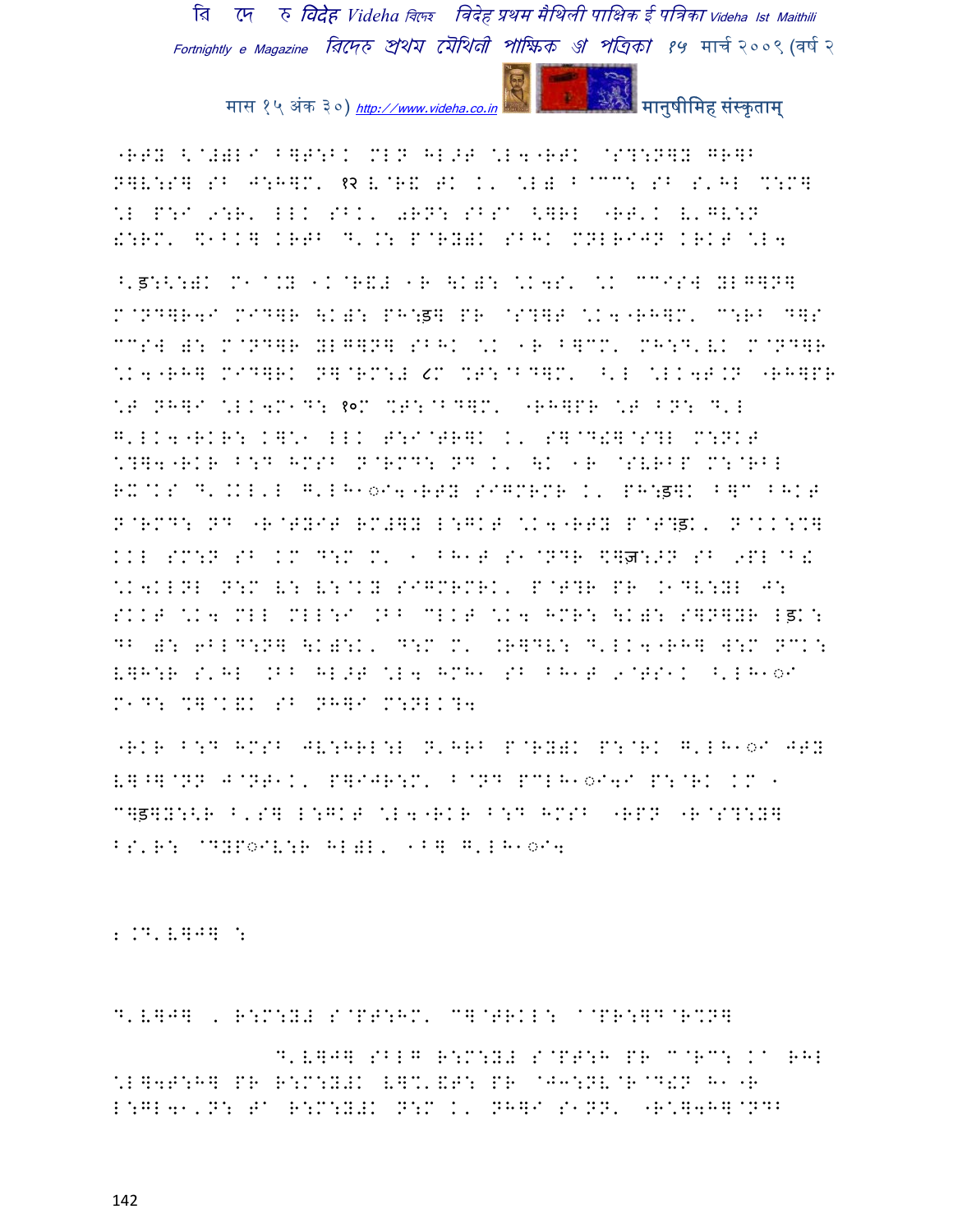मास १५ अंक ३०) <u>http://www.videha.co.in</u><br>| मानुषीमिह संस्कृताम्

"READ A NEW PORTHOL BOOK WE ARRAY ARRESTS ON THE WARD N]V:S] SB J:H]M' १२ V@R& TK K' \*L) B@CC: SB S'HL %:M] \*L P:I 9:R' LLK SBK' 0RN: SBSa <]RL "RT'K V'GV:N !:RM' \$1BK] KRTB D'.: P@RY)K SBHK MNLRIJN KRKT \*L4

's.gt:limit TV TIM (1 THML) (F ALWA) (1 H.M. 11 TTV: 4 MH #H## MONDERHAM MANDER ADEN PH:SE PR @S?]TER OJA: ARBEM, MNRK DER CCSW ): M@ND]R YLG]N] SBHK \*K 1R B]CM' MH:D'VK M@ND]R  $\mathbb{R}$  and  $\mathbb{R}$  middle  $\mathbb{R}$  . The  $\mathbb{R}$  is the proportion of  $\mathbb{R}$  is the  $\mathbb{R}$  -shape  $\mathbb{R}$ \*T NH]I \*LK4M1D: १०M %T:@BD]M' "RH]PR \*T BN: D'L B.BIGHEIRY INN BEI BYTHAN I. SATTANINI TIDI \*?]4"RKR B:D HMSB N@RMD: ND K' \K 1R @SVRBP M:@RBL RX MOKS D'ALLIE BI.HH SIGHER KINDEDE DU CHINISH (1970) BHCH N@RMD: ND "R@TYIT RM#]Y L:GKT \*K4"RTY P@T?ड़K' N@KK:%] KKL SM:N SB KM D:M M' 1 BH1T S1@NDR \$]ज़:>N SB 9PL@B! \*KORO PORT OF SIGNED OF A STANDARD PORT OF THE REPORT OF THE SIGNED OF THE SIGNED OF THE SIGNED OF THE SIGNED SKKT # SKATT #KAN MENT AN HOLD: I .BB CLATTER #K4 HOLD: STATTER # STATTER # STATTER & STATTER & STATTER & STAT DB ): 6BLD:N] \K):K' D:M M' .R]DV: D'LK4"RH] W:M NCK: V]H:R S'HL .BB HL>T \*L4 HMH1 SB BH1T 9@TS1K ^'LH1◌I M1D: %]@K&K SB NH]I M:NLK?4

"RED B: P G T (P TET HIS PARE GE) (D I P E F ) IF CHILE P P D P TH I F H + O T (P H H V]^]@NN J@NT1K' P]IJR:M' B@ND PCLH1◌I4I P:@RK KM 1 MASAGINISH FILIPA (ENAME) DE NIGH (BISH) PINT "POST" (PINT) (BENGHAAR BELEG ORNEGALISM HENDLOG HALLMOGH

 $\overline{1}$  :  $\overline{2}$  :  $\overline{2}$  :  $\overline{2}$  :  $\overline{2}$  :  $\overline{2}$  :  $\overline{2}$  :  $\overline{2}$  :  $\overline{2}$  :  $\overline{2}$  :  $\overline{2}$  :  $\overline{2}$  :  $\overline{2}$  :  $\overline{2}$  :  $\overline{2}$  :  $\overline{2}$  :  $\overline{2}$  :  $\overline{2}$  :  $\overline{2}$  :  $\overline{2}$  :

D'V]J] , R:M:Y# S@PT:HM' C]@TRKL: @@PR:]D@R%N]

 D'V]J] SBLG R:M:Y# S@PT:H PR C@RC: Ka RHL \*L]4T:H] PR R:M:Y#K V]%'&T: PR @J3:NV@R@D!N H1"R L:GL41'N: Ta R:M:Y#K N:M K' NH]I S1NN' "R\*]4H]@NDB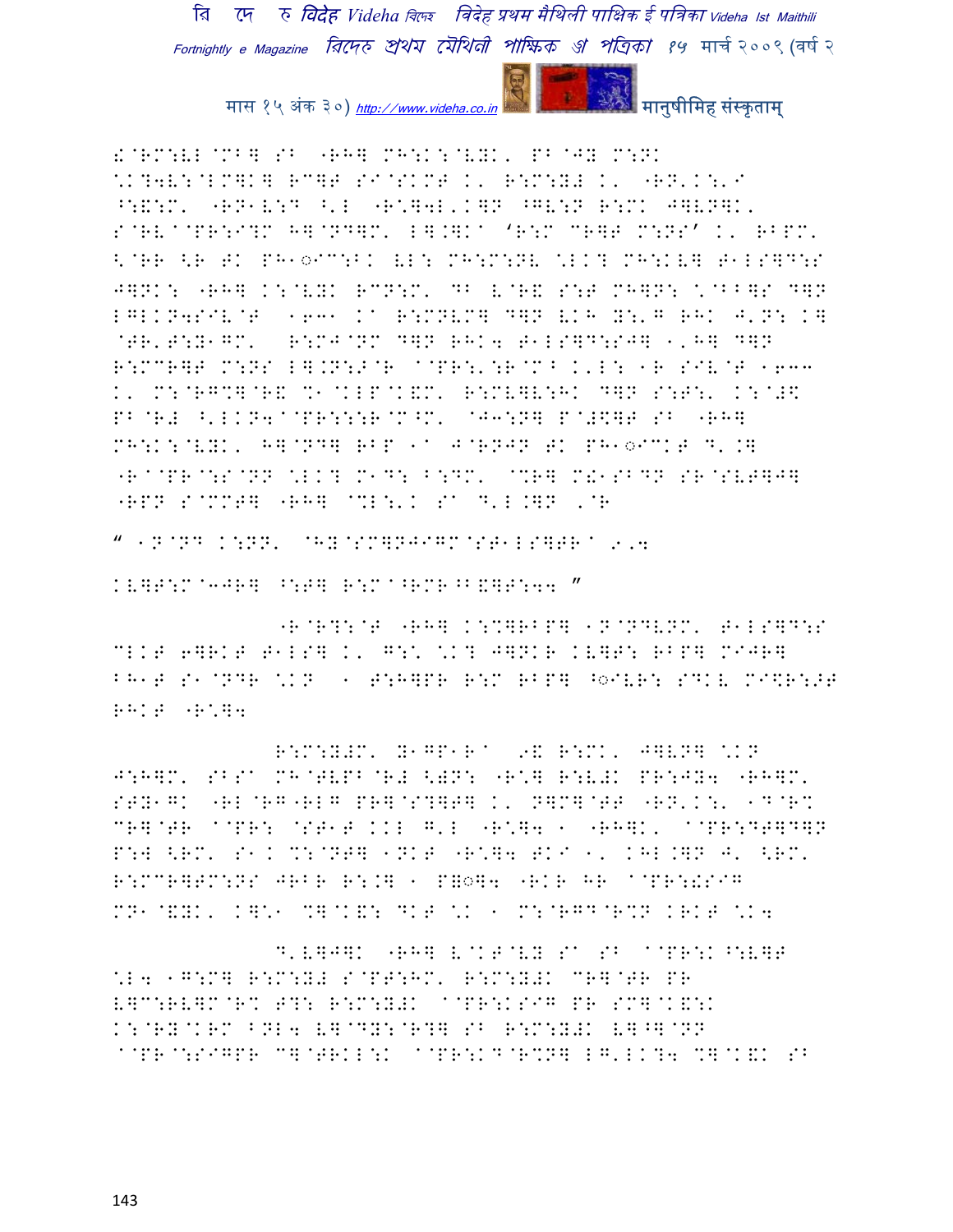मास १५ अंक ३०) <u>http://www.videha.co.in</u><br>| मानुषीमिह संस्कृताम्

!@RM:VL@MB] SB "RH] MH:K:@VYK' PB@JY M:NK \*K?4V:@LM]K] RC]T SI@SKMT K' R:M:Y# K' "RN'K:'I ^:&:M' "RN1V:D ^'L "R\*]4L'K]N ^GV:N R:MK J]VN]K' S@RV@@PR:I?M H]@ND]M' L].]Ka 'R:M CR]T M:NS' K' RBPM' R THE REPORT FROM THE CONSTITUES OF CHICAGO AND ENDING: J]NK: "RH] K:@VYK RCN:M' DB V@R& S:T MH]N: \*@BB]S D]N LGLANASIV DI 1631 KA REAL ANG PARTITED DI REAL DI SA RIGIO DI REAL ALIMA DI SER @TR'T:Y1GM' R:MJ@NM D]N RHK4 T1LS]D:SJ] 1'H] D]N R:MCR]T M:NS L].N:>@R @@PR:':R@M^ K'L: 1R SIV@T 1633 K. M:@RFS#JB& S:MIRSIEN, PSSLALSP, PAR PSPE, ISONIK PR@R# ^FLEX SHIMAGHE ON THE COMMON POSSESSED FOR THE REPORT OF THE RHIDE OF THE SAME REPORTED THE REPORT OF THE REPORT OF THE REPORT OF THE REPORT OF THE REPORT OF THE REPORT OF THE REPORT OF THE REPORT OF THE REPORT OF TH MH:K:WIK: HIMPH PP 1a JAPAN B: PH0211 P. N.  $R$  and the theory of the control of the state of the state of the state of the state of the state of the state of the state of the state of the state of the state of the state of the state of the state of the state of the "RPN S@MMT] "RH] @%L:'K Sa D'L.]N ,@R

" 1NO K:N KI STANDASH MARAHA SHI MARAHA SHI MARAHA SHI MARAHA SHI MARAHA SHI MARAHA SHI MARAHA SHI MARAHA SHI MA

KORAN TEARS OF THE REAL PARTNERS OF REAL PARTNERS OF THE REAL PARTNERS OF THE REAL PARTNERS OF THE REAL PARTNERS

"RECORDS" THE "REPORT OF THE REPORT THAT HE REPORTED THE REPORT THAT THE THE THE THE THE THE THING T CLAT FRANCH SPILSE I. SPIL II ARDIE ILAS EN BIR CHARA BH1T S1 TO THE SIDE OF THE REAL REPORT OF THE SOMEONE SOME SUCH A SUPPORT OF THE SUPPORT OF THE SUPPORT OF THE RHKT "RATH"

R:M:W#M' Y-WE R:MK' JUNEAU YO J:H]M' SBSa MH@TVPB@R# <)N: "R\*] R:V#K PR:JY4 "RH]M' STACH "RLOC" "REAL" REAL PROPERTY TO DEVELOP "REAL THAT "ROOM "ROOM" IN THE "ROOM TRAGGE OTAL GRAFILI ALI GRUAR (GAANI) OTALIHIN PSA RADU SKI TSJRAR (PDA (ARJRA ADVO) U KAJRA (RP) KADU R:MCREAD:NS AND R:NS HR @PROPE (RIGHT) 1 P= 2 PHONE MN1@&YK' K]\*1 %]@K&: DKT \*K 1 M:@RGD@R%N KRKT \*K4

 D'V]J]K "RH] V@KT@VY Sa SB @@PR:K^:V]T \*L4 1G:M] R:M:Y# S@PT:HM' R:M:Y#K CR]@TR PR V]C:RV]M@R% T?: R:M:Y#K @@PR:KSIG PR SM]@K&:K K:@RY@KRM BNL4 VIEW:@RY@RY@RY@RY@RY@RY@RY@RY@RY @@PR@:SIGPR C]@TRKL:K @@PR:KD@R%N] LG'LK?4 %]@K&K SB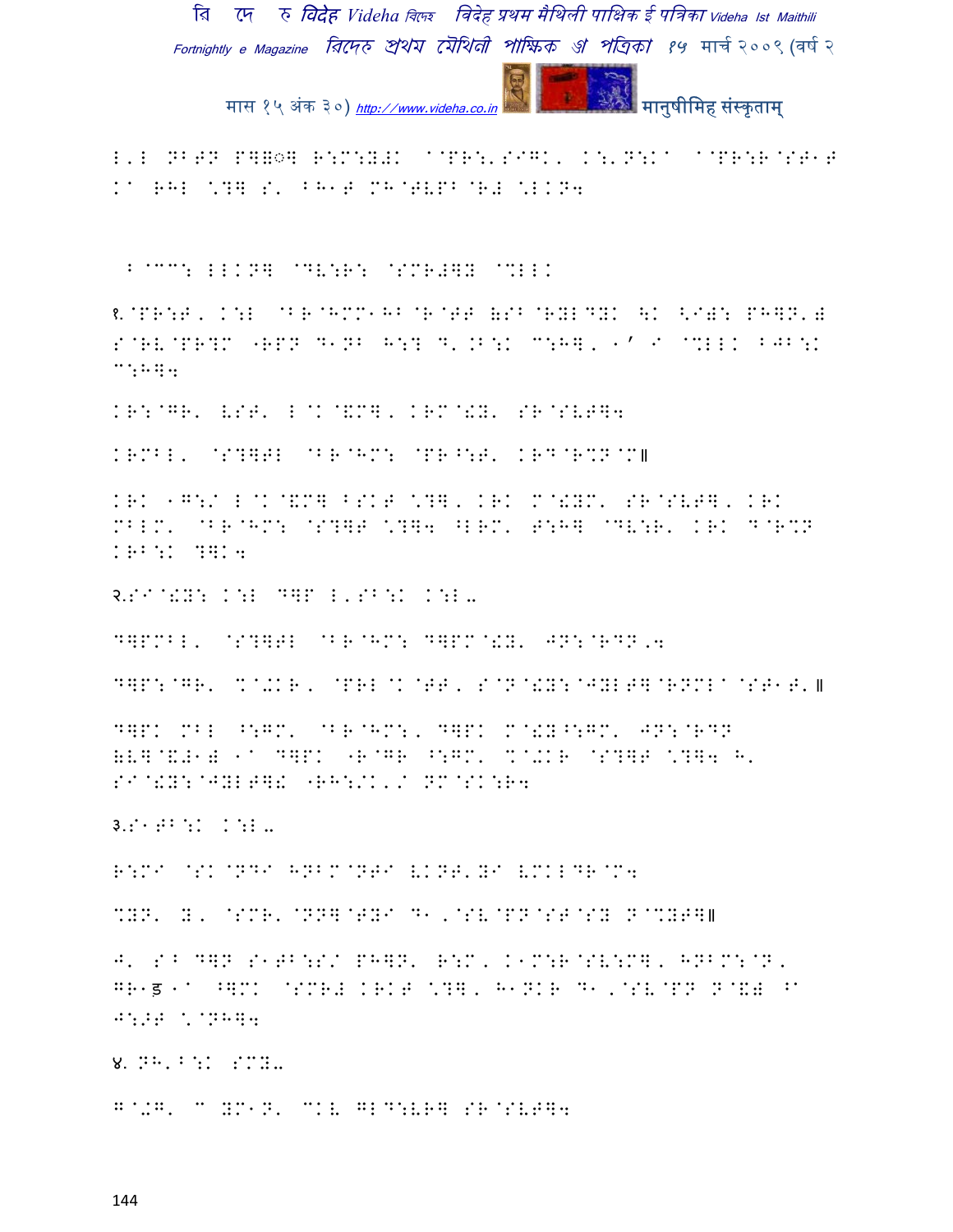मास १५ अंक ३०) <u>http://www.videha.co.in National Acco</u>ssib**lity मानुषीमिह संस्कृताम्** 

LI NBTH PHOT RIMIN CORRIGATION CONTROL TO A KA RHE KAR PHAR THANHLIN MHA KELTH

B@CC: LLKN] @DV:R: @SMR#]Y @%LLK

१. CPR:NAR. (1998) - CR:R, CRODY AR, CR:CARA (BAR) - DRIBO (BD) - RIC (RICARD) - PHADR. (B) S@RV@PR?M "RPN D1NB H:? D'.B:K C:H], 1' I @%LLK BJB:K  $C:4444$ 

KR:@GR' VST' L@K@&MAR\ VST' L@K@AM

KRMBL: @S?PROFINATION: @PROFINATION@R%N@MINI

KRK 1G:// L@K@&M}, KRK M@!YM' SR@SVT MBLM' @BR@HM: @S?]HE: @BRM: #SP# (MESH, IBI # GPN KRB:K ?]K4

२.FV: KH: Y: H: PHP (1. FPH) (1. H: L

D]PMBL' @S?]TL @BR@HM: D]PM@!Y' JN:@RDN,4

D]P:@GR' %@+KR, @PRL@K@TT, S@N@!Y:@JYLT]@RNMLa@ST1T'॥

DEED MBL CHANGE MAN DIE DIE GEBEUR DER GEW (BERTIEFE FT TRID FETH THAT, TILLE TERR CRRETE SI@ Y:@JYLT\_PHILAPPIC.com Profile Profile Profile Profile Profile Profile Profile Profile Profile Profile Profile Profile Profile Profile Profile Profile Profile Profile Profile Profile Profile Profile Profile Profile Prof

 $3.51 \cdot 51.51 \cdot 1.51.51$ 

R:MI @SK@NDI HNBM@NTI VKNT'YI VMKLDR@M4

 $N$  YO Y, and the state of the state of the State of the State of the State of the State of the State of the State of the State of the State of the State of the State of the State of the State of the State of the State of

J' S^ D]N S1TB:S/ PH]N' R:M, K1M:R@SV:M], HNBM:@N, GREES IN A MARINE ON THE CONSTRUCTION OF THE CONSTRUCTION OF THE CONSTRUCTION OF THE CONSTRUCTION OF THE CONST J:>T \*@NH]4

४. NH'B:K SMY-

G@+G' C YM1N' CHANNEL CHANNEL CHANNEL CHANNEL CHANNEL CHANNEL CHANNEL CHANNEL CHANNEL CHANNEL CHANNEL CHANNEL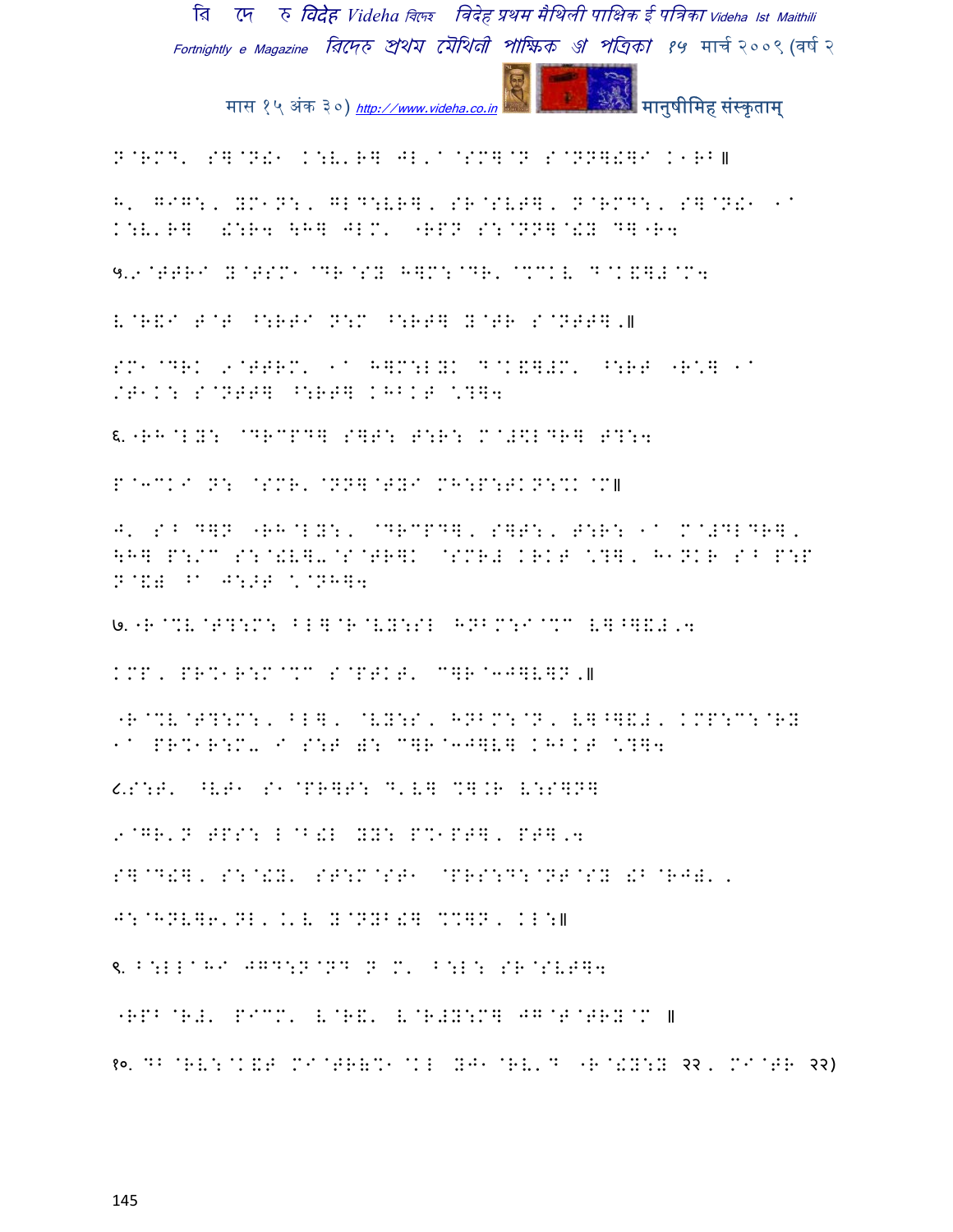मास १५ अंक ३०) http://www.videha.co.in | सामानिक मानुषीमिह संस्कृताम्

N@RMD' S]@N!1 K:V'R] JL'a@SM]@N S@NN]!]I K1RB॥

H. GRARS, GD-PE, RETEERD, SRCOSER, DIRIGEN, SROOK SRO K:V'R] !:R4 \H] JLM' "RPN S:@NN]@!Y D]"R4

५.9@TTRI Y@TSM1@DR@SY H]M:@DR'@%CKV D@K&]#@M4

V@R&I T@T ^:RTI N:M ^:RT] Y@TR S@NTT],॥

SM1@DRK 9@TTRM: 1a HIM:LYK DAKE 10 HIM:LYK DAKE 1 /T1K: S@NTT] ^:RT] KHBKT \*?]4

६."RH@LY: @DRCPD] S]T: T:R: M@#\$LDR] T?:4

P@3CKI N: @SMR'@NN]@TYI MH:P:TKN:%K@M॥

J' S^ D]N "RH@LY:, @DRCPD], S]T:, T:R: 1a M@#DLDR], \H] P:/C S:@!V]-@S@TR]K @SMR# KRKT \*?], H1NKR S^ P:P N@&) ^a J:>T \*@NH]4

७."R@%V@T?:M: BL]@R@VY:SL HNBM:I@%C V]^]&#,4

KMP, PR%1R:MO%C S@PTRTRY CAPTACHE

"RAM MOTA PARTIES" ROOM IN THE SAME ROOM IN THE VALUE OF THE VEHICLE OF THE MALE. AND MANUFACTURE OF THE MANUF 1a PR%1R:M- I S:T ): C]R@3J]V] KHBKT \*?]4

C.PGE. SHEET IN TERRET TO DROP STATE DOCKER

9@GR'N TPS: L@B!L YY: P%1PT], PT],4

S]@D!], S:@!Y' ST:M@ST1 @PRS:D:@NT@SY !B@RJ)',

J:@HNV]6'NL'.'V Y@NYB!] %%]N, KL:॥

९. B:LLAHI HAND HER: SRAWER N MY B:L: SRAWER N MY B:L: SRAWER

"RPB@R##' PICM' V@R#Y: W@R#Y:MATRY@M#Y:M#Y:MI

१०. DB CHARV: DER YOU CHARV: DER YOU HAD TREAT CHATACHER 22, YOU CHARVEY 22)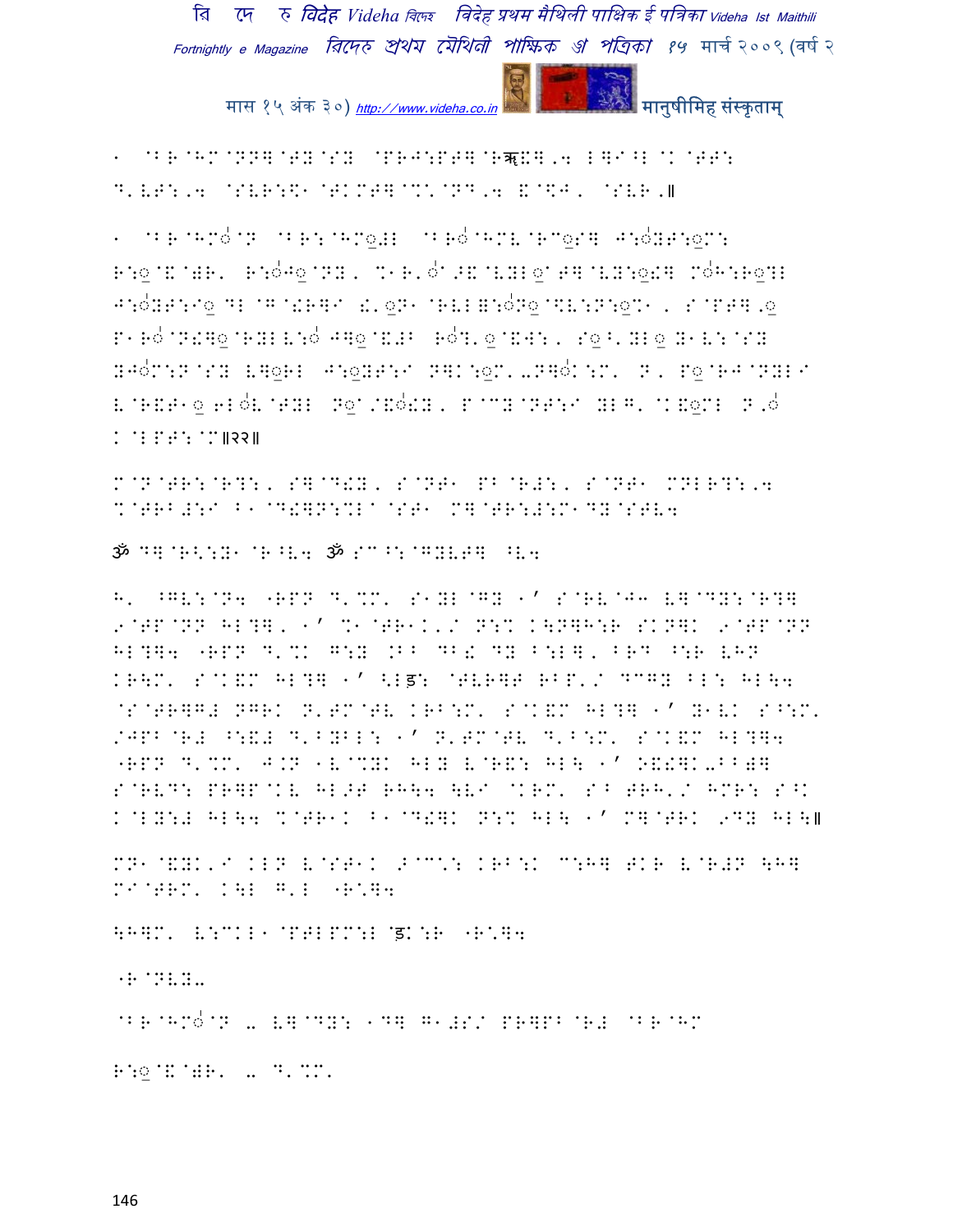मास १५ अंक ३०) <u>http://www.videha.co.in</u> स्थिती सामानि स स्कृताम्

1 @BR@HM@NN]@TY@SY @PRJ:PT]@Rॠ&],4 L]I^L@K@TT: D'IGHE OF THE SPRING THE STRIKE ON THE STRIKE OF THE LINE OF THE SURFLEXION OF THE SURFLEXION OF THE SURFLEXIO

+ @MRC™PON @BR: NORO HORIGE PROPERTY AND DESCRIPTION DESCRIPTION H:SolibliaH: H:SoHoliPG : THH: o' PE (EGH) of PR (EGS)off (ToH:SHoliF) | Hi:Oleito@GPECORDREO EL@POCHEEEE:OP@CREitPi@TOLLECORPEL@ F+ Boʻlik:Hoʻlk:HoʻlkHoʻli.Hoʻl: oʻlik: Vilogo (B) B V: YCH ( BHÓNGE GOB (RHQH) HGQBHGH (PHIGQN, LPHÓNGIN, (P), PolGHH (PB)H ( BOPERHO HIGEORE OP@CYEGABO FOUROPRYHO BIP, NOEQUE OPOG  $\mathbb{R}^n$   $\mathbb{R}^n$   $\mathbb{R}^n$   $\mathbb{R}^n$   $\mathbb{R}^n$   $\mathbb{R}^n$   $\mathbb{R}^n$   $\mathbb{R}^n$ 

M@N@TR:@R?:, S]@D!Y, S@NT1 PB@R#:, S@NT1 MNLR?:,4 %@TRB#:I B1@D\$TRB#:I B1@TRB#:I B1@D\$TR#:M1DY@STV4#:M1DY@STV4#:M1DY@STV4#:M1DY@STV4#:M1DY@STV4#:M1DY@

 $\mathcal{P}$   $\mathcal{P}$   $\mathcal{P}$   $\mathcal{P}$   $\mathcal{P}$   $\mathcal{P}$   $\mathcal{P}$   $\mathcal{P}$   $\mathcal{P}$   $\mathcal{P}$   $\mathcal{P}$   $\mathcal{P}$   $\mathcal{P}$   $\mathcal{P}$   $\mathcal{P}$   $\mathcal{P}$   $\mathcal{P}$   $\mathcal{P}$   $\mathcal{P}$   $\mathcal{P}$   $\mathcal{P}$   $\mathcal{P}$   $\mathcal{P}$   $\mathcal{P}$   $\mathcal{P$ 

\H]M' V:CKL1@PTLPM:L@ड़K:R "R\*]4

H' ^GV:@N4 "RPN D'%M' S1YL@GY 1' S@RV@J3 V]@DY:@R?] 9@TP@NN HL?], 1' %1@TR1K'/ N:% K\N]H:R SKN]K 9@TP@NN HITHE GETS SUIT WHI DIS SUIT SINCE AN AGE OF BILLING KRAM HOW SOME REPORT OF REAL REPORT OF THE REPORT OF THE REPORT OF THE REPORT OF THE BLOCK BLOCK BLOCK BLOCK BLOCK @S@TR]G# NGRK N'TM@TV KRB:M' S@K&M HL?] 1' Y1VK S^:M' /JPB@R# ^:&# D'BYBL: 1' N'TM@TV D'B:M' S@K&M HL?]4 "HPP D.T." AND VENTH HER ENER HER IN SEEK AFFER S@RVD: PRODUCER PRODUCER PRODUCER PRODUCER PRODUCER PRODUCER PRODUCER PRODUCER PRODUCER PRODUCER PRODUCER PRODUCER K@LY: HOW: # HL\4 %@TRIK BIL\4 %@TR1K HL\ 1000 HL\ 1000 HL\ 1000 HL\ 1000 HL\ 1000 HL\ 1000 HL\ 1000 HL\ 1000 H

MN1@&YK'I KLN V@ST1K >@C\*: KRB:K C:H] TKR V@R#N \H] MINERAL MEDICAL CONTROL

@BR@HM◌ ॑@N - V]@DY: 1D] G1#S/ PR]PB@R# @BR@HM

ROBIN, ATACH

"RENT HOME

146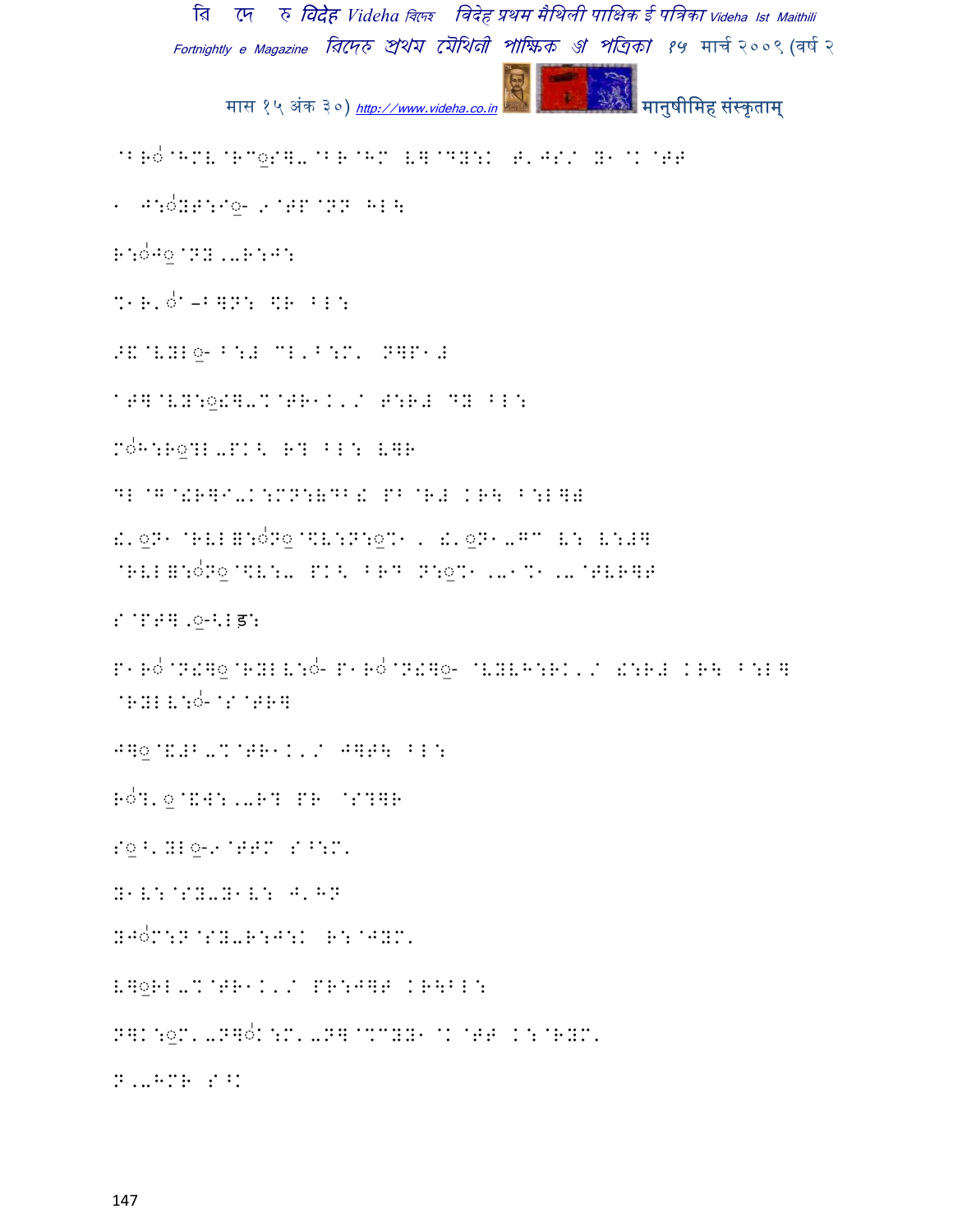मास १५ अंक ३०) http://www.videha.co.in मानसीमिन्न संस्कृताम MOBRO POSTO DE DE DE SERVEDO DE SERVEDO DE SOLOBE + H:0B#1+2@tv:HP@PDP@HL&\ R:◌ ॑J◌॒@NY,-R:J: %1R'◌ ॑a–B]N: \$R BL: >&@VYL◌॒- B:# CL'B:M' N]P1# aTHE SEATS OF THE DESCRIPTION OF THE DESCRIPTION OF THE DESCRIPTION OF THE DESCRIPTION OF THE DESCRIPTION OF T MÖHDER IKK RAR BERT RED RED RAR D DE CASARALINDRIBA E PUBA (BROSHA  $\mathbb{R}, \mathbb{Q}^n$ ) (bestime) which we consider  $\mathbb{R}$  and  $\mathbb{Q}^n$  are  $\mathbb{R}^n$  . In the set of  $\mathbb{R}^n$ OREE BA0P@ VELAWY FIRST PROTO DATE ON CATALERE  $S$ PTP,  $S$ -Western  $S$ PHPÓ NPLARO NEAL LOGÍ PHRÓ NACAROÍ NLALPOBLICIO LOGIE LOGIE (FOGLA). @RYLV:◌ ॑-@S@TR] HHQ'BIF WINDER (100) HHPH (F10) B○P.Q'EAR WET PR @PRP @ SSO THE SOCIETY STATES **With Systems Communist Communist Communist Communist Communist Communist Communist Communist Communist Communist** BA¢TGR(MBGAGG) BG(ABT.) LHORILTIAR (12) PRIMAR (18481) PA: N@MYLPA@MYLWPACTTRB+CMORACTYPEMA N,-HMR S^K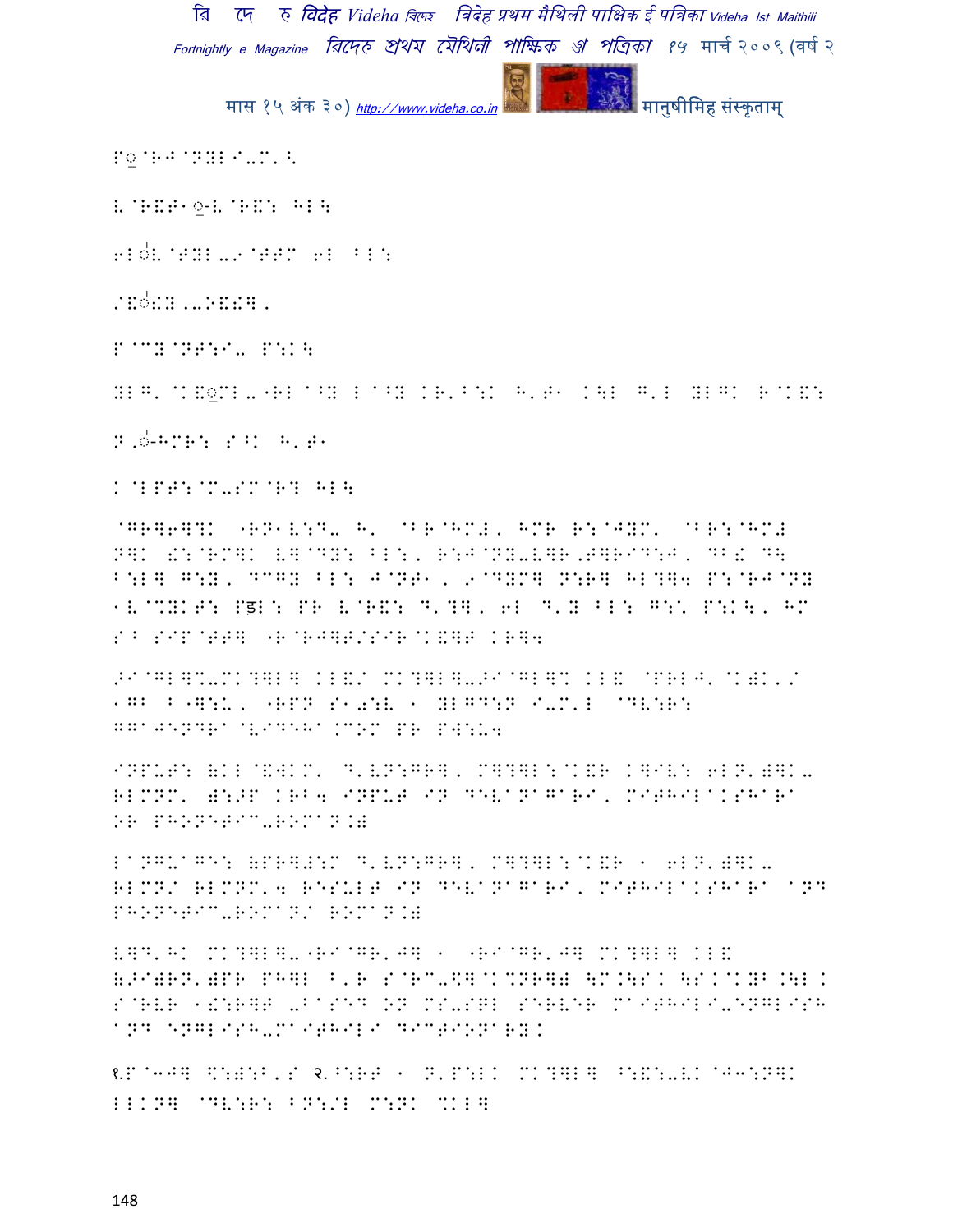मास १५ अंक ३०) <u>http://www.videha.co.in</u><br>सालि मानुषीमिह संस्कृताम्

Political Control of

**WORKER WAREHOUSE** 

eløbjeg: 1980-1990 el Blit

/H01H,...PH1H,

P@CY@NT:I- P:K\

WHAT MESTING IT RESERVED TO A LART THE ALL GEARS ROW WITH

N,◌ ॑-HMR: S^K H'T1

K@LPT: WARRANT

@GR]6]?K "RN1V:D- H' @BR@HM#, HMR R:@JYM' @BR:@HM# NA) | K 'E 18 JAC I KAL'YANG A PIGOL BIGA JIRNIDI, BABIYA BA PIGOLYA DO NA PIGOLYA B:LA: B:L] G:YA, D:L] G:YA, L. L[CANTA B:LA: DAI A: DAI DAI DE 1V@%YKT: Pड़L: PR V@R&: D'?], 6L D'Y BL: G:\* P:K\, HM  $S^{\prime}$  Sipapath (SIP)  $S^{\prime}$  (Sipapath Sipapath Sipapath (Sipapath Sipapath Sipapath Sipapath Sipapath Sipapath Sipapath Sipapath Sipapath Sipapath Sipapath Sipapath Sipapath Sipapath Sipapath Sipapath Sipapath Sipapath

>I@GL]%-MK?]L] KL&/ MK?]L]->I@GL]% KL& @PRLJ'@K)K'/ 1GB B"]:U, "RPN S10:V 1 YLGD:N I-M'L @DV:R: GEB JEN DIRA PRODUKTI PRANA PRODUKTI PRANA PRODUKTI PRODUKTI PRODUKTI PRODUKTI PRODUKTI PRODUKTI PRODUKTI PRODUKTI PRODUKTI PRODUKTI PRODUKTI PRODUKTI PRODUKTI PRODUKTI PRODUKTI PRODUKTI PRODUKTI PRODUKTI PRODUKTI PRODUKTI

INPUT: (KL@&WKM' D'VN:GR], M]?]L:@K&R K]IV: 6LN')]K-RLMNM' ):>P KRB4 INPUT IN DEVaNaGaRI, MITHILaKSHaRa OR PHONETIC-ROMAN PRODUCT

LaNGUaGE: (PR]#:M D'VN:GR], M]?]L:@K&R 1 6LN')]K-RLORN RLORD, 4 RESULT IN DE VANAGARI, MITHILAKSHARI, MITHILAKSHARA aND PHONETIC-ROMaN/ ROMaN.)

 $\langle\,0.417\,,\,0.971\,\,0.0002\,\,0.0001\,\,0.0002\,\,0.00002\,\,0.00002\,\,0.000002\,\,0.000002\,\,0.0000002$ (>I)RN')PR PH]L B'R S@RC-\$]@K%NR]) \M.\S. \S.@KYB.\L. SORE -BASED ON MAITHILIE -BASED ON MAITHILI-ENGLISH and the state of the state of the state of the state of the state of the state of the state of the state of th

१.P@3J## | R&B3+ . P. 9. Past - V. P: P:LK MK PHE | | P:E&LE MAK&PHE LLK NIMBER 1989, 1989, 1989, 1989, 1989, 1989, 1989, 1989, 1989, 1989, 1989, 1989, 1989, 1989, 1989, 1989, 19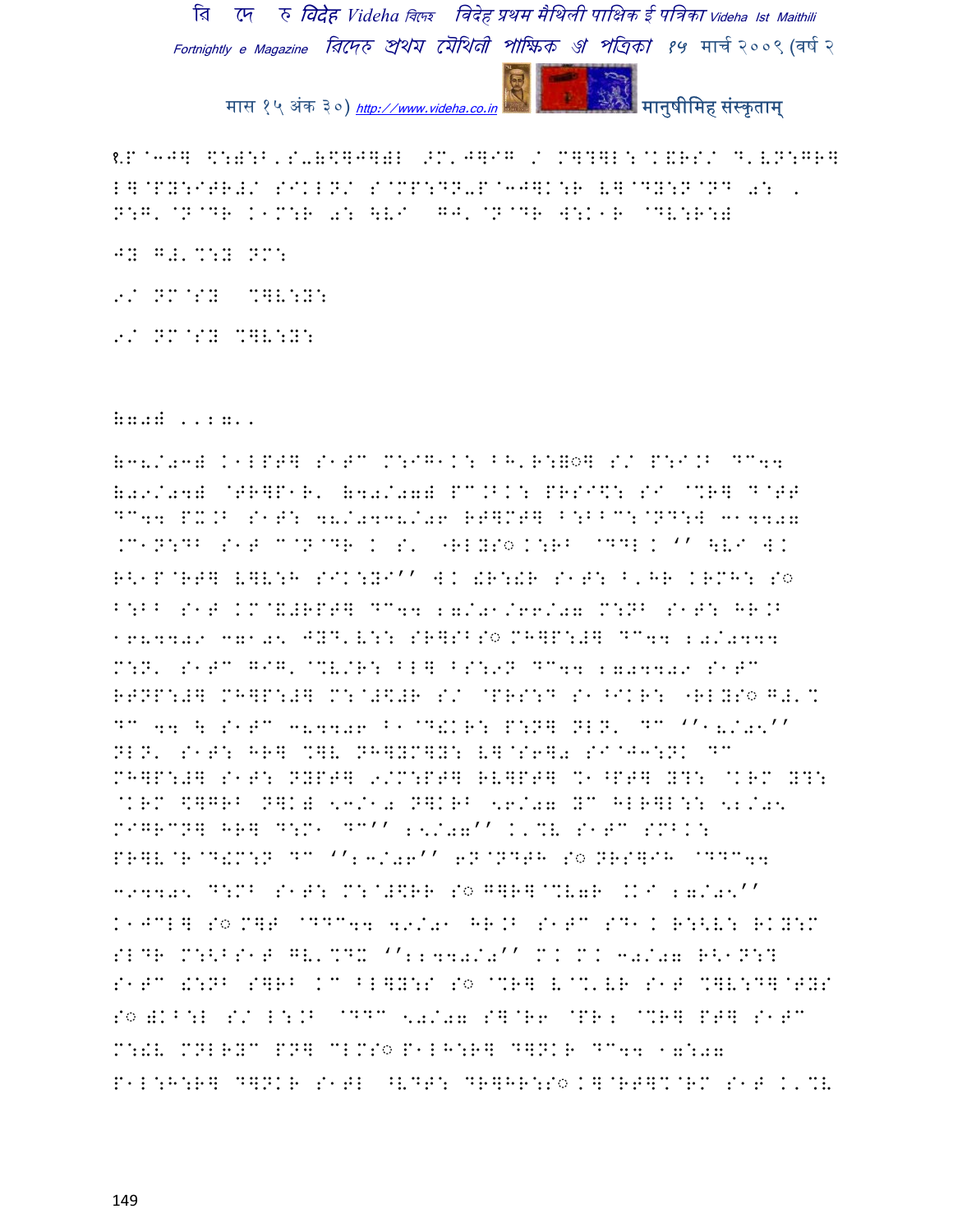मास १५ अंक ३०) <u>http://www.videha.co.in</u> स्थिती सामानि स स्कृताम्

 $8.B)  $3.994$  ,  $4.314$   $3.16$   $3.84$   $4.44$   $4.81$   $3.94$   $4.64$   $3.64$   $4.64$   $4.64$   $4.64$   $4.64$   $4.64$   $4.64$   $4.64$   $4.64$   $4.64$   $4.64$   $4.64$   $4.64$   $4.64$   $4.64$   $4.64$   $4.64$   $4.64$   $4.64$   $4.64$   $4.64$   $4.64$$ L]@PY:ITR#/ SIKLN/ S@MP:DN-P@3J]K:R V]@DY:N@ND 0: , N:G'@N@DR K1M:R 0: \VI GJ'@N@DR W:K1R @DV:R:)

JY G#'%:Y NM:

9/ NM@SY %]V:Y:

9/ NM@SY %]V:Y:

finant . . . . m. .

(380) BHL CAN PORT STATE STATE OF THE BIRGHT STATES IN THE UPSTAL BETWEEN STATES OF THE UPSTAL DESCRIPTION OF (09/04) @TR]P1R' (40/07) PC.BK: PRSI\$: SI @%R] D@TT DC44 PX.B S1T: 48/0438/06 RT]MT] B:BBC:@ND:W 314407 .CN:DB ST SHE ST CRITTEN IN STATE BEOWN THAT A STATE IN MY REPORT RRAT VERT ENEMA RIVER OF SENE PART OF SITE SO B:BB S1T COMMERCE THAN EACH CHECKE COOPS SITE ARCH 1684409 381040 SBS DEBRIEFD DEBRIEFD DEBRIEFD PO MIN: S1TC GIG (MILLEY BIB BS):9N DO44 2744442 S1TC RATTNIN MANHIR TIMIR SY MIRIN SY PRINT (RING#ING DC 44 \ S1TC 384406 B1@D!KR: P:N] NLN' DC ''18/05'' NLN: S1T: HRI %DHE, NHHENDER (EB) SHEEL SINNHER DO MH]P:#] S1T: NYPT] 9/M:PT] RV]PT] %1^PT] Y?: @KRM Y?: @KRM \$]GRB N]K) 53/10 N]KRB 56/07 YC HLR]L:: 52/05 MANDRE HRI DYCK DOMAGEMAN SLOW SKØD SOM S PRALIE TRONG THOMAS DE 'N DE 'PRALIE' SO PRIART OPPRAA 394405 D:MB S1T: M:@#\$RR S◌G]R]@%V7R .KI 27/05'' K14TER POSTRE (TTTAA ASJA) HR.B S1TC STAT STAL BREEK BISK SLOR MYSTER MELTON ''LLARALA'' MI MILARADA BERTHI  $\mathcal{S}_1$  , and the state  $\mathcal{S}_2$  , and the state  $\mathcal{S}_3$  value of  $\mathcal{S}_4$  , and the state  $\mathcal{S}_5$  , and the state  $\mathcal{S}_6$ So B:lik S/ E:.B @DDC 50/08 SPR; @PR; @DDC 507 S DYEE OF: FROUGH OF DYS PHIRTIPLE PURSE IN THE LEGGE P1L: NAN BERTHER: BOOK STORE OF THE RANGEMENT OF DRIVERS IN STOLEN AND STOLEN AS IN CONTROL ON THE RESIDENCE O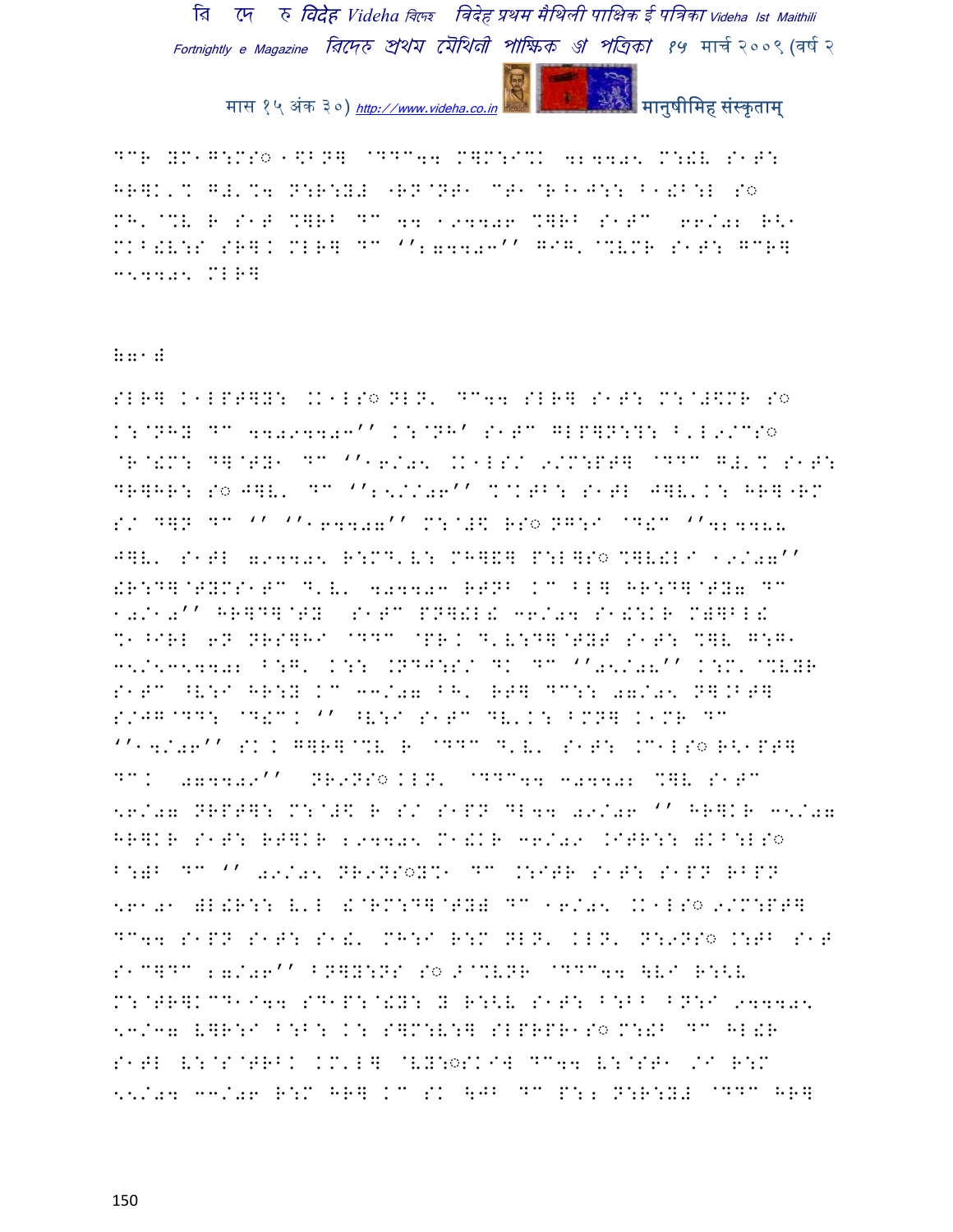मास १५ अंक ३०) <u>http://www.videha.co.in</u><br>सास १५ अंक ३०) <u>http://www.videha.co.in</u>

DOR HISTO (UP DE OUDER DECISION 424405 MILL POPT HRIK'S BELIEF THRIEF HRITH "THATER HAND PARTH TO TR, ME R S1T % WHE ST A4 194406 MHP S1TP (SPIDE RD MCPEERS: SRAIL MERA TO 'Y:BAAGA'' ASA, MEMA SYRI ATRA 354405 MLR]

### $\mathbb{R}^n$  :  $\mathbb{R}^n$

SLRA (SLRAAR) MSLRO ALA, ATAA SLRA SSAN MENGANDA SO K: NHY DOC 4409444'' K: NHY S1TC GLPD AND HIS STATE OF SACTION @R@!M: D]@TY1 DC ''16/05 .K1LS/ 9/M:PT] @DDC G#'% S1T: TREPRISO PELL TO SMERIZIEM STIPPING PER PELLIS PRESPI S/ THE TU '' '' <sub>Thun</sub>g:#'' Th'iE Bro FURT 'TE" ''n: mmaa JAN SITL 794405 RITUS 1994 RITUS 1994 !R:D]@TYMS1TC D'V' 404403 RTNB KC BL] HR:D]@TY7 DC 10/10/10 HRIDENE (PHP) PREALE HR/24 PHRID MERLE MA PARE (1913) DREAMAN (1919) (1919) DOC DOC BERN ARE DESCRIPTION OF SITE SITE SIT 35/5354402 B:G' K:: .NDJ:S/ DK DC ''05/08'' K:M'@%VYR State of the state of the state of the state of the state of the state of the state of the state of the state S/JG@DD: @D!C. '' ^V:I S1TC DV'K: BMN] K1MR DC '''4/dr'' FII MARATTE POTT T.E. PART ITER DEVER DC. 074409'' NR9NS◌KLN' @DDC44 304402 %]V S1TC 56/07 NRPT]: M:@#\$ R S/ S1PN DL44 09/06 '' HR]KR 35/07 HREDE S1TER BEEDE EVAALD MICH ABJEV STERRE BIFRESO B:B DU 'Y SAADA PRAPION'S UT TRAPP IS BY SHIP REPR 56101 )L!R:: V'L !@RM:D]@TY) DC 16/05 .K1LS◌9/M:PT] DC44 SHIPD SHER SHE. THRE BRI DI MI NO I MA NEW CHIN SHE SO THIS SALE AND PUBLIC SO POINT OF THIS SENSE BILL M:@TR]KCD1I44 SD1P:@!Y: Y R:<V S1T: B:BB BN:I 944405 53-2008 B:B: B:B: K: S.P. S. S.P. B: S.P. B:B:B: SO DAE: VIT SE EE STREE SITC VEHEN IN DE TRANSVILLE THE SITTER OF BIN 55/04 33/06 R:M HR] KC SK \JB DC P:; N:R:Y# @DDC HR]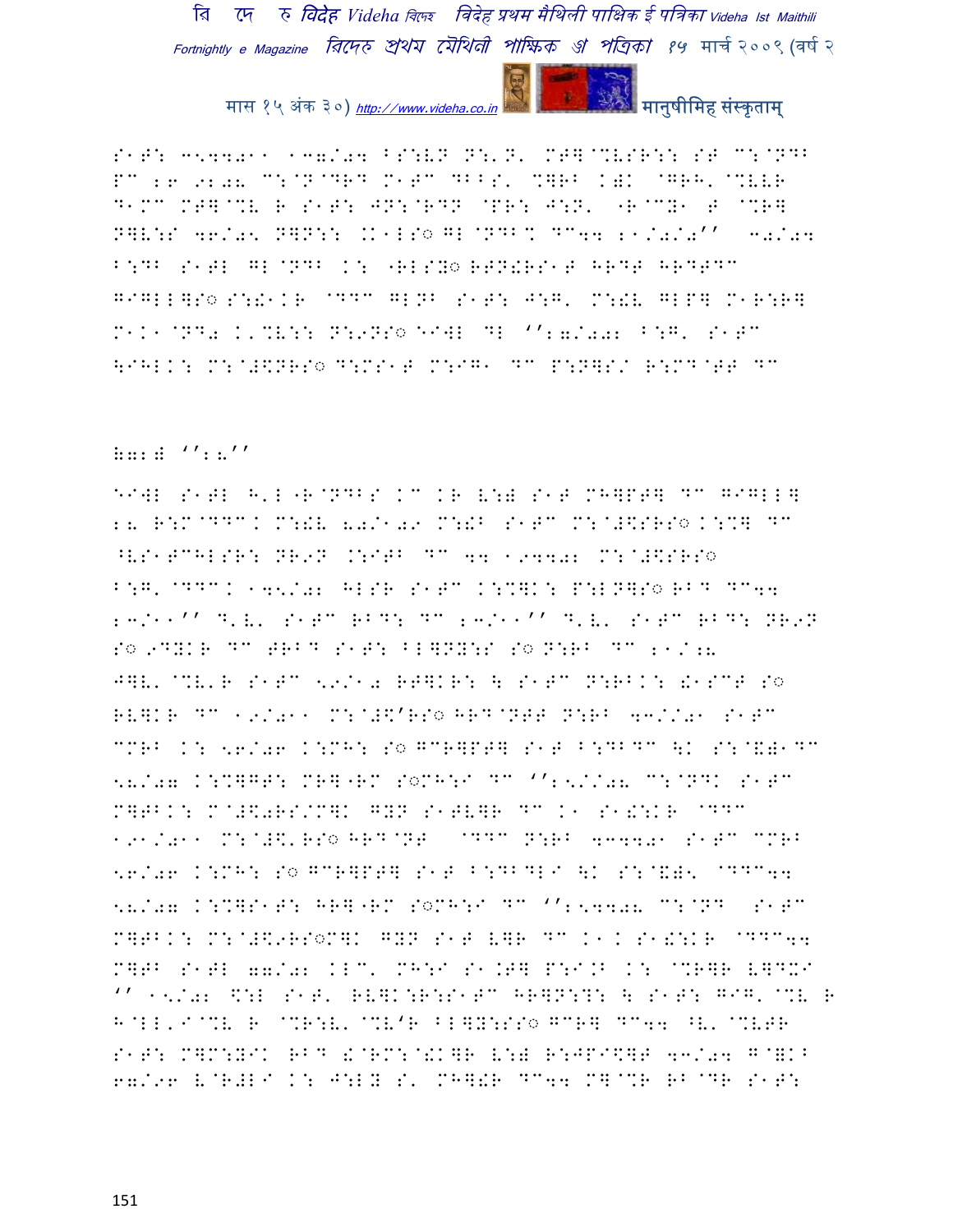मास १५ अंक ३०) <u>http://www.videha.co.in III | मान</u>स्थिति संस्कृताम्

S1T: 3544011 137/04 BS:VN N:'N' MT]@%VSR:: ST C:@NDB PC 26 9208 C:@N@DRD M2TC DBBS' %HP K) & CORP. MILLE D1MC MT]@%V R S1T: JN:@RDN @PR: J:N' "R@CY1 T @%R] NALGE ARIAN NAVAS COSTRO AL CRASCO ATABLES CAIDEMA SALOB B:DB S1TL GLOBOS S1TL GLANDER STREET BOW::#10716.1KP MWW #190 F.H. MIR. TIE WITH TOPIN M1K1 MPH IS TEAT PASTES WANT TO ''Enfance they avail \IHLK: M:@#\$NRS◌D:MS1T M:IG1 DC P:N]S/ R:MD@TT DC

## $\lim_{n\to\infty}$  :  $\lim_{n\to\infty}$  ''

EVAL SITUAL HIGHGAND IN SITUA SITUATION AND PROPERTY 28 R:MODURE 28 R:MOD C. M:MODURE 2000 M: DECEMBER 3000 M: WERE THE SERVICE OF THE SPEED . THREE TO B:GR. 1997. 144.22: HESR S1FC S1TC KINDS FREDHSO BPS 9744 23/11'' D'V' S1TC RBD: DC 23/11'' D'V' S1TC RBD: NR9N SO STILE TO SEPT SHER PIRING SO PRESSTO STATISTIC JAN STERRE STEP SITE STERRE REPORT THAT STEP OF STEP RLADE AT PRIOR TO CARDED FEATURE STEEPHENICS SPECIES CMRB K: 56/06 K:MH: S◌GCR]PT] S1T B:DBDC \K S:@&)1DC 58.Jan ISTURPS TRUGET FOTBER TT MARIJAN TEITU PRET MARTING: MAKING COMPANY STANDARD DOWN STANDARD DOWN 191/011 M: DODC N: PO PER THE 1977 MILE ANGELE SI EN MILE 56/06 K:MH: S◌GCR]PT] S1T B:DBDLI \K S:@&)5 @DDC44 58.Jan Ditherei BRESP Polsky To Messaar Thilt, Pres M]TBK: M:@#\$9RS◌M]K GYN S1T V]R DC K1. S1!:KR @DDC44 MART SPIE AANA (ITS MART PROPERTY IN STREETHER '' 15/02 \$:L S1T ROOM & LOOK \$:L S1T RESOURCE AND A S1T ROOM AND A S1T ROOM AND A S1T ROOM AND A S1T ROOM AND A H@LL\V&%DE\P\\PH\V&\P\$#H&ZYO#M&#\##\$#\$#L\XXL#& S1T: M]M:YIK RBD !@RM:@!K]R V:) R:JPI\$]T 43/04 G@=KB 68/96 ESHIKI K: GHER K: TAHAR TTAA TESTROPIK SARA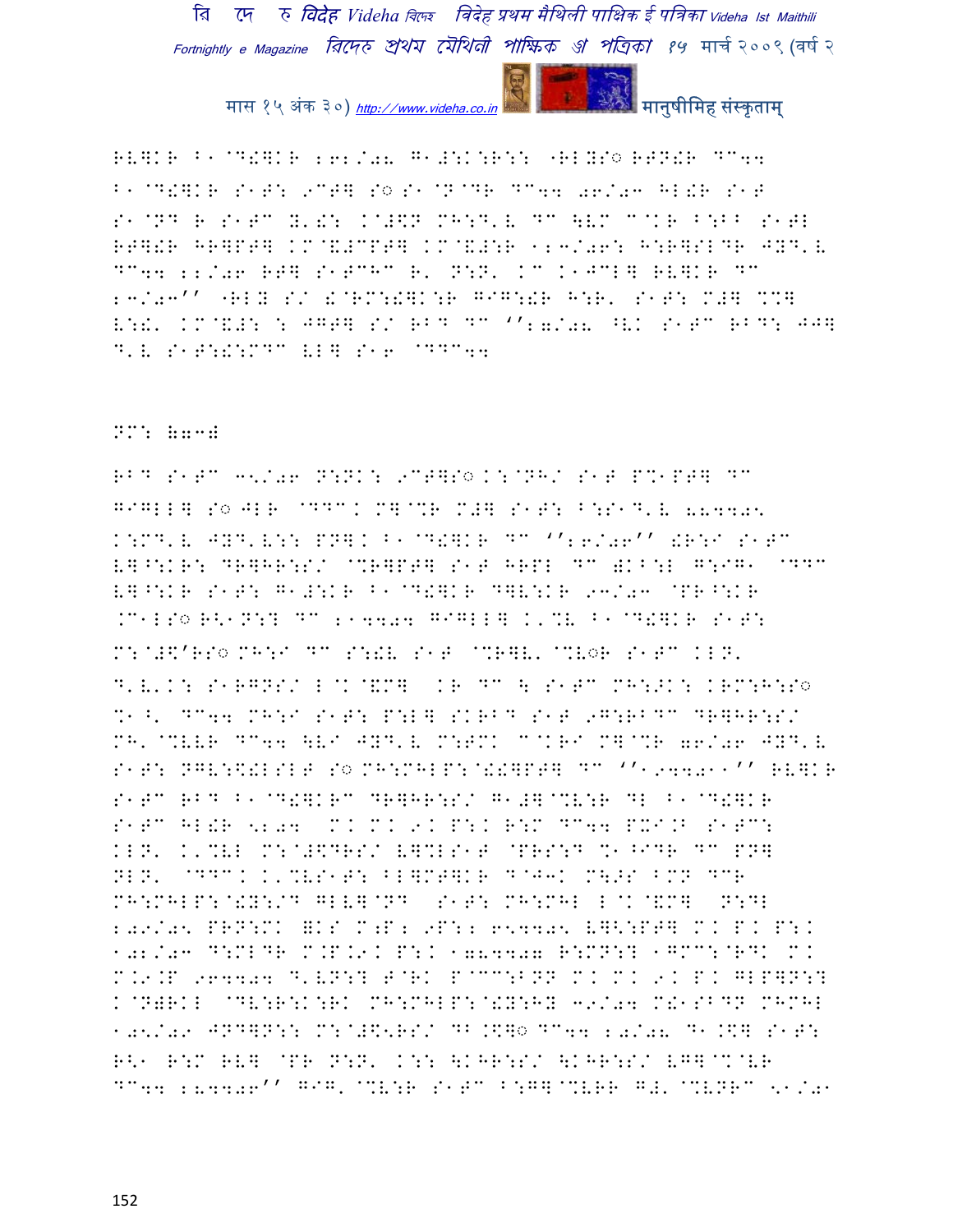मास १५ अंक ३०) http://www.videha.co.in<br>| मानुषीमिह संस्कृताम्



RLAND B1@D: ROOM: RECORDS B1@D: THE RECORDS BY AN B1@DQDED&DR S1T: 9031002004 0744 SHC24 HE2B S1T S1@ND R S1TC Y'!: .@#\$N MH:D'V DC \VM C@KR B:BB S1TL RATER HRTPE COMBATET COMBAR (1920) HIRDRETT HIS 200. DC44 22/06 RT] S1TCHC R' N:N' KC K1JCL] RV]KR DC 23-03-07/03: "PER DESCRIPT "RESPONSE" "REPORTED " "PER DESCRIPT "DE DESCRIPT "DE DESCRIPT " "REPORTED " "DE DE E: E: Y COMBE : JOURNAL SOME DOCTOR DO 'S SAN SITC REPORT OF THE SAME D. B. S. ST. ST. ST. B. S. ST. ST. ST. ST.

## NM: (73)

RBD S1TC 35/06 N:NK: 9CT]S◌K:@NH/ S1T P%1PT] DC GRAMELA SO ALE (MAANI SATING MIR SITE) SITE SATING BELANDING K:MD'V JYD'V:: PN]. B1@D!]KR DC ''26/06'' !R:I S1TC LA: DE DRIHR: DRIHR: DRIH ST. DRIH DO 10 METER DE 1999 LUMIN PHILOP CONTROL DURING DESCRIPTION .C1LS◌R<1N:? DC 214404 GIGLL] K'%V B1@D!]KR S1T: M: MAYERO THIS TO STEED STEED TIME THIS STEP IS TO D'ALIS S'ERREN LONGER (BURGH) KR D'AN DRIEN (BRIENSO %1^' DC44 MH:I S1T: P:L] SKRBD S1T 9G:RBDC DR]HR:S/ MH'@%VVR DC44 \VI JYD'V M:TMK C@KRI M]@%R 76/06 JYD'V ST: NGV: NGC ISLES SO THE THE TENDER OF DOCTORS OF STATES OF THE SALE IS A RESIDENT OF DESCRIPTION OF THE TEND S1TC RBD B1@D!]KRC DR]HR:S/ G1#]@%V:R DL B1@D!]KR STORE HERE SEARCH TO TO SOME THOM BY THAN PICTURE STATES KLAN' KYMBER KALAMAT DA KATA DA KATA DA MARA DA MARA DA MARSAY DA MARSAY DA PORTE DO PORTE DO PORTE DO PORTE D NLN' MONTH, K' MINISTER DE BRITANNE DE BRITANNE DE BRITANNE DE BRITANNE DE BRITANNE DE BRITANNE DE BRITANNE D MH:MHLP: MH:MHLP: PELEPISH | Y://PLVP: MH:MH | DIVER | DIVER 209/05 PRN:MK =KS M;P; 9P:; 654405 V]<:PT] M. P. P:. 102/03 D:MLPR M.P.9. P:. 1784 D:MAG: 1784 R:MAG: 1784407 R:MA: 1784407 R:MA: 1794 M.9.P 964404 D'VN:? T@RK P@CC:BNN M. M. 9. P. GLP]N:? K@NGR:K:RKL @DV:R:K:RECOMETH:ADV:RECOMETH:ADV:RECOMETH:ADV:RECOMETH:ADV:RECOMETH:  $105.03$  JND 404404: M: MERSHIN AF MUHO ATAB PERINT AN INE PRESENT R:M R:M REN TH M:M. II: RIPRIN RIPRIN ENTILE DOG4 284406'' GOR CONSERVED BY STREETHER WAS CONSERVED AND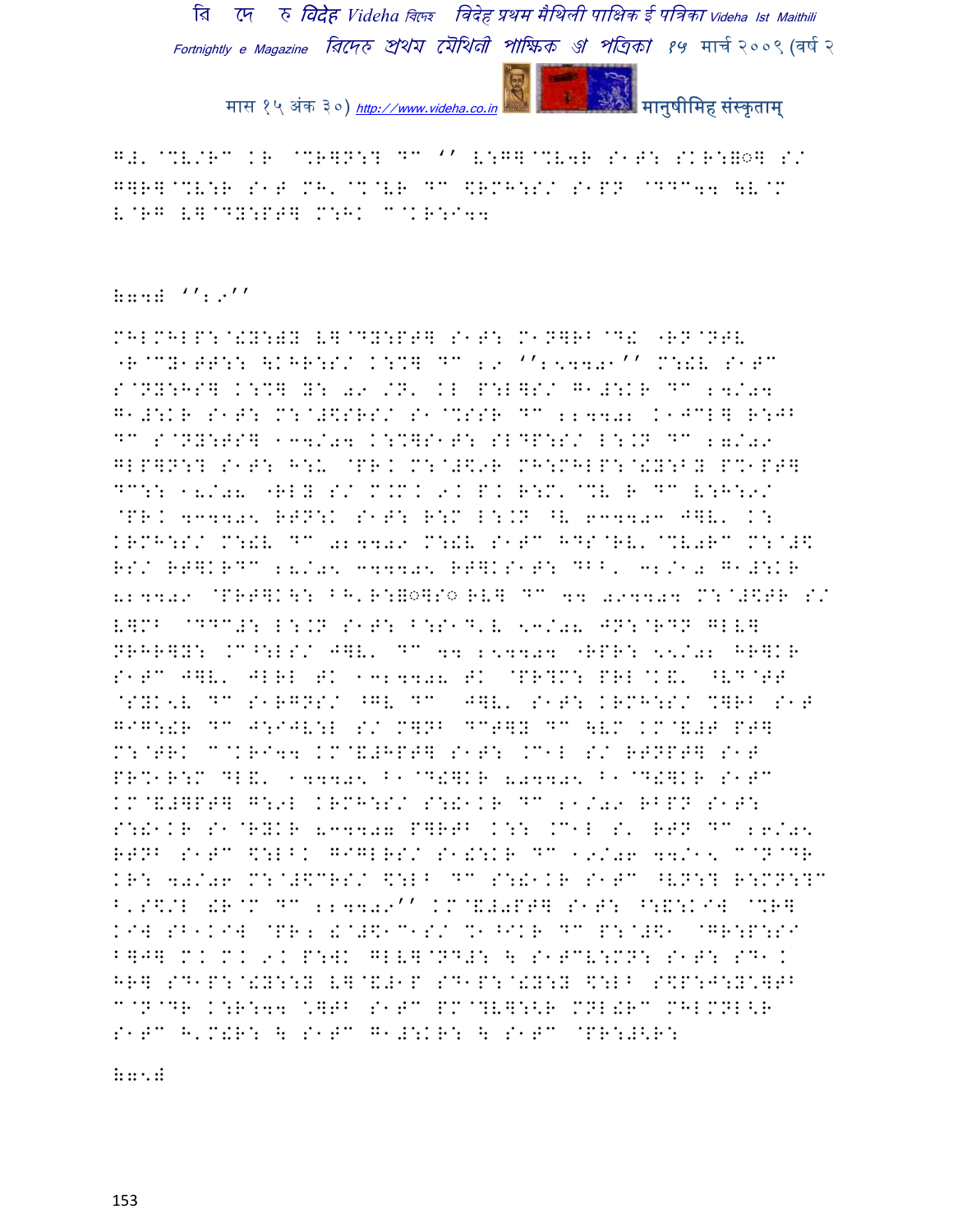मास १५ अंक ३०) <u>http://www.videha.co.in</u><br>सास १५ अंक ३०) <u>http://www.videha.co.in</u>

G#'@%VARIA: DC & " STORE STORE 'T V: CAREFORE' STORE 'S STORE 'S STORE 'S SIT BHBCON:R S1T MH'ON BH'AN DE BELL'S SIT MAN HE'D B: VARG VARGEN VAN DIE VAN DIE VAN DIE VAN DIE VAN DIE VAN DIE VAN DIE VAN DIE VAN DIE VAN DIE VAN DIE VAN DIE

 $\liminf$   $M(z,t')$ 

MHLMHLP:@!Y:)Y V]@DY:PT] S1T: M1N]RB@D! "RN@NTV  $R$  . The contract of the contract of the contract of the contract of  $\mathbb{R}^n$ S@NY:HS] K:%] Y: 09 /N' KL P:L]S/ G1#:KR DC 24/04 B:B:R S1T: M: M:B:R: S1 M:B:R DT 114402 (19918 R:B: DOC SONYSTEM PREJUEST INTERFERING TO THIS CONTROL IN DEVICE GLP]N:? S1T: H:U @PR. M:@#\$9R MH:MHLP:@!Y:BY P%1PT] DC:: 18/08 "RLY S/ M.M. 9. P. R:M'@%V R DC V:H:9/ @PR. 434405 RTN:K S1T: R:M L:.N ^V 634403 J]V' K: KRMH:S/ M:!V DC 024409 M:!V S1TC HDS@RV'@%V0RC M:@#\$ RS/ RAWIRT 28/35 344435 RAWIS-AG TO STATE 32/10 G 824409 @PRTHIN: BH'ROWYO BLA AV 44 094404 MY MERRY S/ BADE CONSTANTING BEEN BEEN SINDS AND ALL AREA OF THE GLUE BA NRHR]Y: .C^:LS/ J]V' DC 44 254404 "RPR: 55/02 HR]KR S1TC J]V' JLRL TK 1324408 TK @PR?M: PRL@K&' ^VD@TT MSHIVE AN EVERENT PRESHOLD SHEET IF SITE IN NORTH SITE GIG:!R DC J:IJV:L S/ M]NB DCT]Y DC \VM KM@&#T PT] M:@TRK COMPARY COMMITTER SHARE CONTROL STREET SITE PR%1R:M DL&' 144405 B1@D!]KR 804405 B1@D!]KR S1TC KM BOOK OF THE SECRET SERVED ON THE SERVED STATE OF STATE STATE STATE STATE STATE OF STATE STATE STATE STATE S STEERING STRIKE BAANDE PREPROTOSI IN BOSTON BALDEN BALDE RATH S1TAN S1EED GRAAIERING STRACH GIGLE AAN STONG VAN TR: 40/06 M:1KMBEN \$:LB DO S:LE S:EN HER:B:B:MN: B. POST ERM TO EFTHANY IN BEATH PRESS MENSEN MURD KIW SB1KIW @PR; @#\$1C1S/ %1C1S/ \$1C1S/ P: SIR DO PERMIS BJBAB (M. M. M. 19. P. BAB) (PE EB 1978 S. S. ST. STENDING STRESS STRESS) HRA SON PSOLOGISH AROBAN POSON PSOLOGISH ASSOCIATIONS CONDITIONS AND CONDITIONS OF THE CONDITIONS OF THE CONDITIONS OF THE CONDITIONS OF THE CONDITIONS OF THE CONDITIONS OF THE CONDITIONS OF THE CONDITIONS OF THE CONDITIONS OF THE CONDITIONS OF THE CONDITIONS OF THE CONDITION S1TC HYM: S1TC G1#: S1TC G1#: S1TC G1#: S1TC @PR: S1TC @PR: S1TC @PR: S1TC @PR: S1TC @PR: S1TC @PR: S1TC @PR:

 $\vdots$   $\vdots$   $\vdots$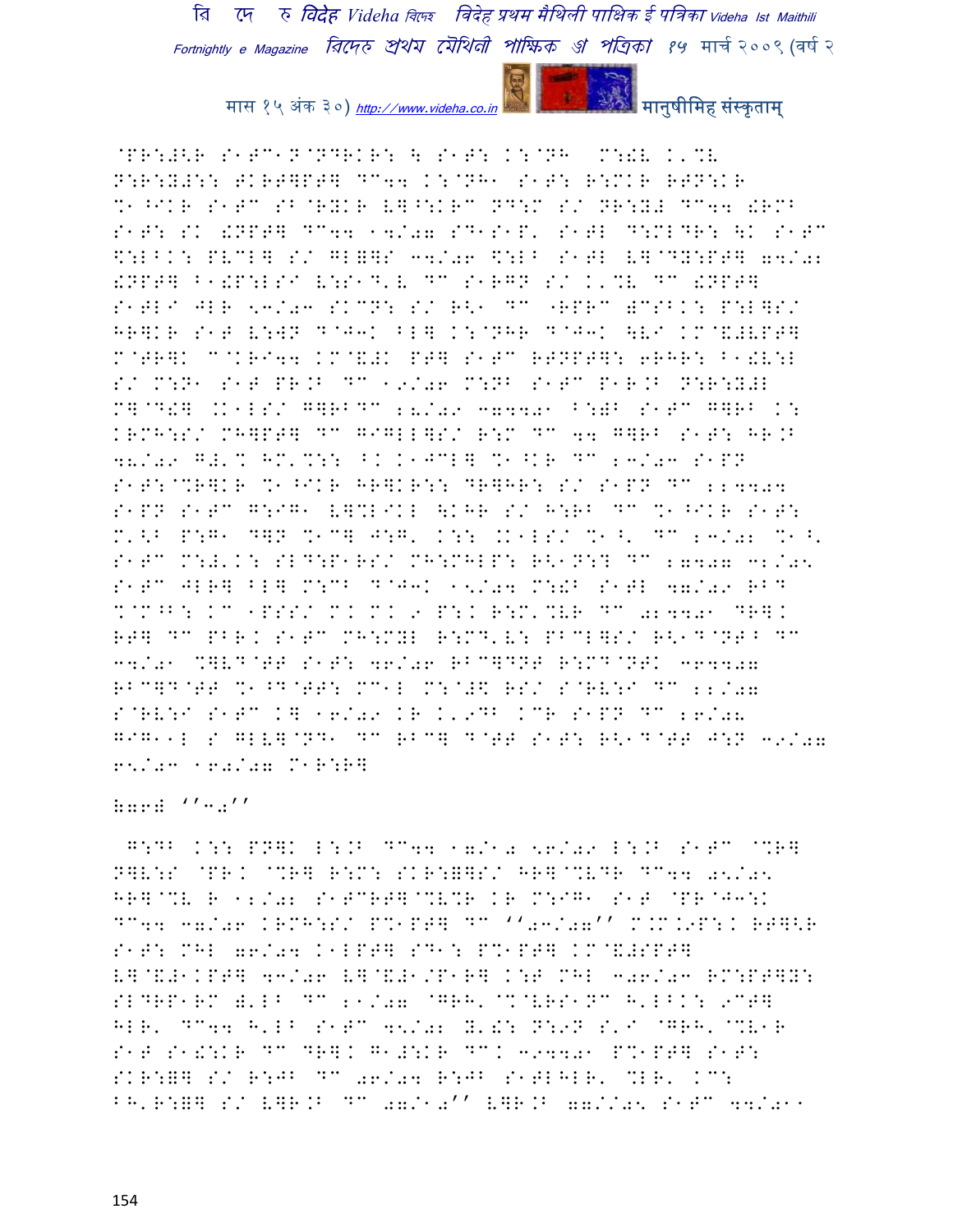मास १५ अंक ३०) <u>http://www.videha.co.in</u> स्थिति स्थिति । मानुषीमिह संस्कृताम्



@PR:#<R S1TC1N@NDRKR: \ S1T: K:@NH M:!V K'%V N:R:Y#:: TKRT]PT] DC44 K:@NH1 S1T: R:MKR RTN:KR %1^IKR S1TC SB@RYKR V]^:KRC ND:M S/ NR:Y# DC44 !RMB S1T: SK !NPT] DO44 14/07 SUPPORT OF THE UNION OF THE UNION OF THE UNION OF THE UNION OF THE UNION OF THE UNION \$:LBK: PVCL] S/ GL=]S 34/06 \$:LB S1TL V]@DY:PT] 74/02 !NPT] B1!P:LSI V:S1D'V DC S1RGN S/ K'%V DC !NPT] STRIP ALE SAZWA SUMPLISZ BRY MM (BEEM BMS) E PHINOS HR]KR S1T V:WN D@J3K BL] K:@NHR D@J3K \VI KM@&#VPT] MOTRE KOMPONER KOMPONER KOMPONER KOMPONER KOMPONER S/ M:N1 S1T PR.B DC 19/06 M:NB S1TC P1R.B N:R:Y#L DO DO DI LE COMBRADO ELIGA ABANAR PIBLICADO AUREO II KRMH:S/ MH]PT] DC GIGLL]S/ R:M DC 44 G]RB S1T: HR.B 48/09 G#'% HM'%:: ^. K1JCL] %1^KR DC 23/03 S1PN STEP MORE IN THING: PRESENT DREPPN S/ STEP ON 2244044 S1PN S1TC G:IG1 V]%LIKL \KHR S/ H:RB DC %1^IKR S1T: M'<B P:G1 D]N %1C] J:G' K:: .K1LS/ %1^' DC 23/02 %1^' S1TC M:#'K: SLD:P1RS/ MH:MHLP: R<1N:? DC 27407 32/05 STOR HER BED DIN MINI-TANG ANG DIN STOR HER HER BED %@M^B: KC 1PSS/ M. M. 9 P:. R:M'%VR DC 024401 DR]. RAN DO PERISTAN CHACH RACHIES PECINIC RUSSES ON A 34/01 %]VD@TT S1T: 46/06 RBC]DNT R:MD@NTK 364407 RBC]D@TT %1^D@TT: MC1L M:@#\$ RS/ S@RV:I DC 22/07 S@RV:I S1TC K] 16/09 KR K'9DB KCR S1PN DC 26/08 BRANCE S GLUEDE CARL AN DE ME A CHE SINE DEL PORTUGE AND ANNO 65/03 160/07 M1R:R]

## $\text{limit}$   $\mathcal{M}$   $\text{in}$   $\mathcal{M}'$

G:DB K:: PHISTIPS CONTROL PROVINCE AND RESERVE TO A CONTROL BELOW AND A CONTROL BELOW AND A CONTROL BELOW AND N]V:S @PR. @%R] R:M: SKR:=]S/ HR]@%VDR DC44 05/05 HR]@%V R 12/02 S1TCRT]@%V%R KR M:IG1 S1T @PR@J3:K DC44 38/06 KRMH:S/ PS-PPR DC ''03-Cam'' M.M.DETEL RPRE S1T: MHL 76/04 K1LPT] SD1: P%1PT] KM@&#SPT] BUTER CIPP 44/06 BUTER SPER COR THE 406/03 RTOIPUD SLORPNER (B. B. DOC 21/07 @GREEN IN DERIVED AN EIGHT AND HLR' DC44 H'LB S1TC 45/02 Y'!: N:9N S'I @GRH'@%V1R ST ST ST S1. ST DRIVE DATA ST DATA THAT ST ST ST ST ST ST DATA AND ST DATA ST DATA ST ST ST ST ST ST ST ST ST SCRYBURY RYBORY WEIGH RYBORYBURY WERE ITY BH.BYNN S/ RHED 77 AAS A' RHED AASSAN PAT AASA F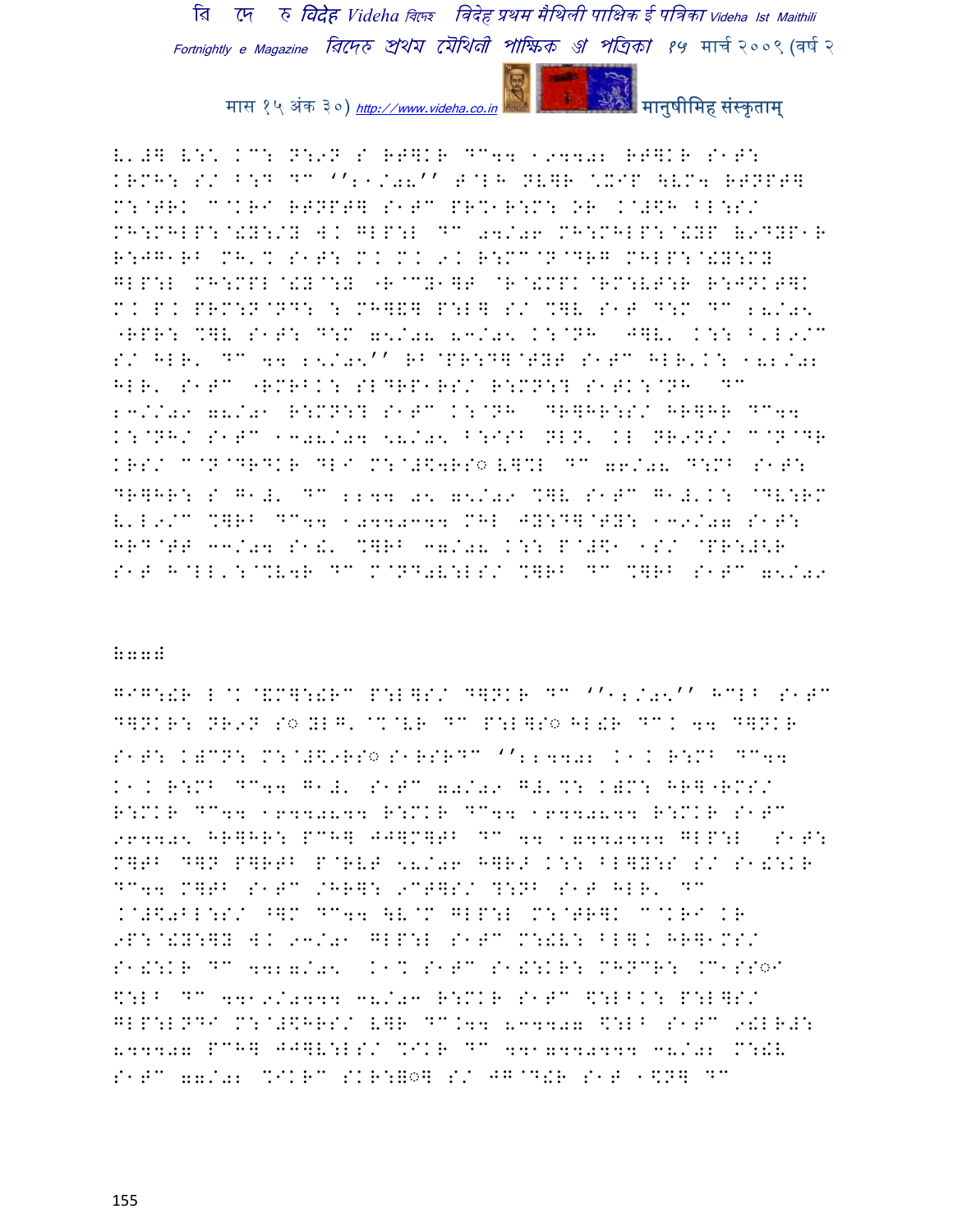

L'## L'# L'# Y: N:0 S RTH! W'HH | 29921 RTH! R TH! KROME: S/ B:D DO 'Y: S/1,21/08' FOR DEMA NOVE RED. THE RED. M: MAR: MYSEY BARPER SVAM PR%PYDS OR .M:SARP BESK MH:MHLP:@!Y:/Y W. GLP:L DC 04/06 MH:MHLP:@!YP (9DYP1R R:JGH-BR MH. T: M. B. M. M. DRG MAN ME MHE MARKET MENTE GLP:L TH:MPL:MATH:MPLWAGE TRIANS RAMAGE PROVIDE M. P. PRM:N@ND: : MH]&] P:L] S/ %]V S1T D:M DC 28/05 "RPR: %]V S1T: D:M 75/08 83/05 K:@NH J]V' K:: B'L9/C S/ HLR' DC 44 25/05'' RB@PR:D]@TYT S1TC HLR'K: 182/02 HLR' S1TC "RMRBK: SLDRP1RS/ R:MN:? S1TK:@NH DC 23//09 78/01 R:MN:? S1TC K:@NH DR]HR:S/ HR]HR DC44 K:@NH/ S1TC 1308/04 58/05 B:ISB NLN' KL NR9NS/ C@N@DR KRS/ C@NDRDKR DRI MISLENO LAN STORMAL DEN SYRP DR]HR: S G1#' DC 2244 05 75/09 %]V S1TC G1#'K: @DV:RM B.B.K.C %THP TC44 1344344 CPE 93199 931 1931 19223 ST HRD@TT 33/04 S1!' %]RB 37/08 K:: P@#\$1 1S/ @PR:#<R SNR POILIEORDE PO COPRAGHY, SHR DO SHR SNR PORTUGAL

 $\liminf$ 

BROWSEN BOOKSERING THERE THINK TO YALLARY HTER PART DHONGH: DEVOIS SOME H. ON DER DO PHEN DE DE SOME HAR DHONG ST: AG (CANDR) CONSTARDO STEPRENO MESERADO (PO DEGON 'NORD K1. R:MB DC44 G1#' S1TC 70/09 G#'%: K)M: HR]"RMS/ R:MKR DC44 16440844 R:MKR DC44 16440844 R:MKR S1TC 964405 HR]HR: PCH] JJ]M]TB DC 44 17440444 GLP:L S1T: MART DAN PAPAN PING SALAH PARJI KINI SIANGKI SI SI SI SI SI DO44 MBB S1 BO SHEBI SOBERI DO4 SIT S1T . DOBINA POSTACIONE ARRAIGNEED IN DIE STAATSGEMEN DIE SOME GEWONE GEWONE GEWONE GEWONE GEWONE GEWONE GEWONE GE 9P:@!Y:]Y W. 93/01 GLP:L S1TC M:!V: BL]. HR]1MS/ State Womening Correct State Character (State \$9:LB DC 4419/0444 38/03 R:MA S1TC \$:LBC \$:LBC \$:LBK: GLP:LNDI M: LNDI M: LNDI M: LNDI M: LNDI M: LNDI M: LNDI M: LNDI M: LNDI M: LNDI M: LNDI M: LNDI M: LNDI M: LN 84468 PTH JJHIN:V:LS/ B TT 44184644 38/02 M:L Star amin's Thier Sienhoff Si Affrika Star (200 Pr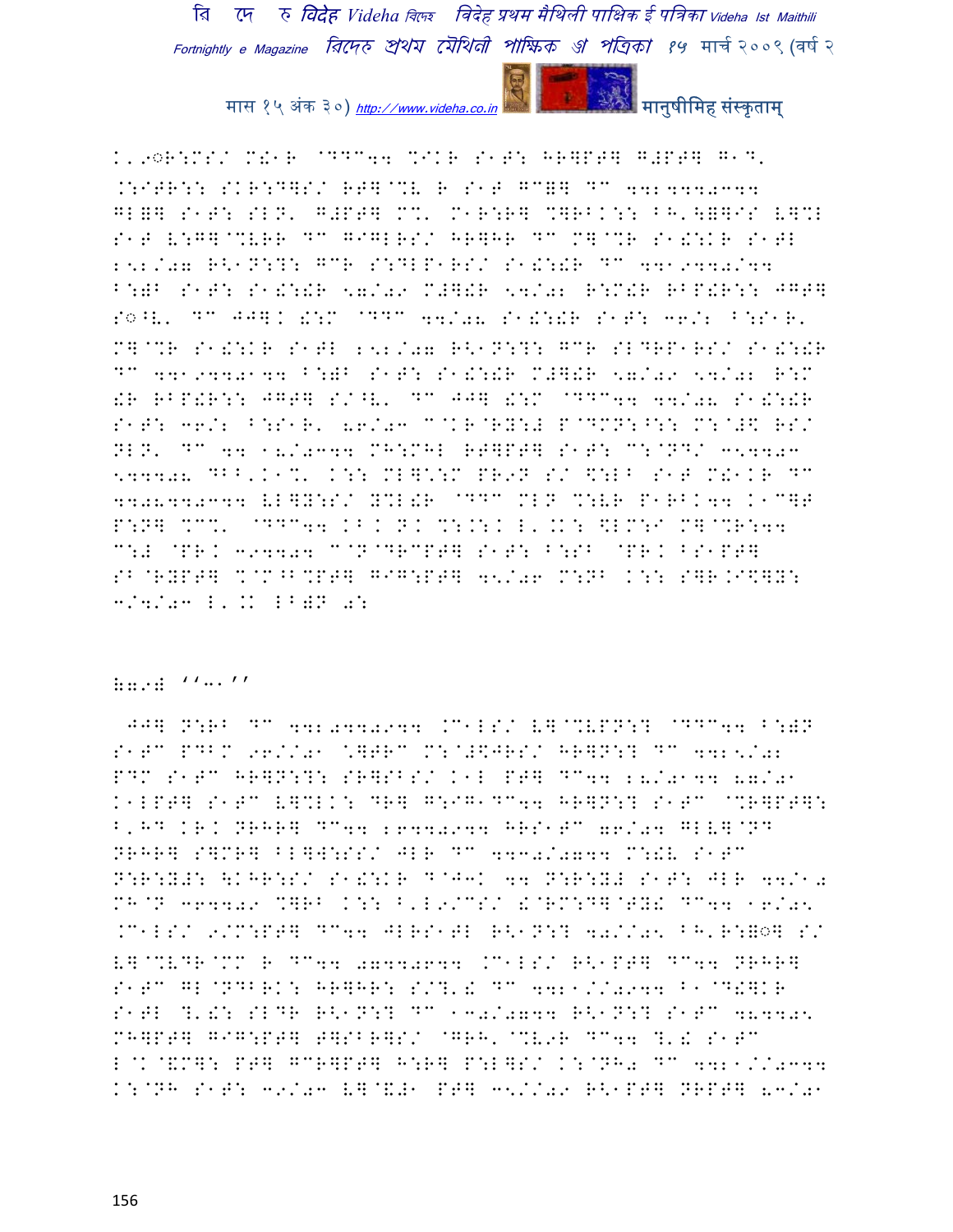

K.POPINIK MIRR MUUTHA MITE SPAN APHRAH WIKAR WPT. .:ITR:: SKR:D]S/ RT]@%V R S1T GC=] DC 4424440344 GL=] S1T: SLN' G#PT] M%' M1R:R] %]RBK:: BH'\=]IS V]%L  $S$  , and the contract of the Gigan Distribution of the state  $S$  state  $S$  states  $S$  . The state  $S$ 252/07 REPORTED THE STATE DIRECT STACK TO AN ENGINEER FGBP S1.85 S1.0906 Records Cubbel Racor B5706 PPP1095 MBPPB SOCH. THE SCHI STATE ANCHE SPENER SPECIES STATES MA SIR SI KOM BOSNE SI SI SI MUNJUH SEN MATA SATU SI PERSEEN BENGI SI KONOR DC 4419440144 B:)B S1T: S1!:!R M#]!R 57/09 54/02 R:M !R RBP!R:: JGT] S/^V' DC JJ] !:M @DDC44 44/08 S1!:!R S1T: 36/2 B:S1R' 86/03 C@KR@RY:# P@DMN:^:: M:@#\$ RS/ NLN' DC 44 18/0344 MH:MHL RT]PT] S1T: C:@ND/ 354403 544408 DBB'K1%' K:: ML]\*:M PR9N S/ \$:LB S1T M!1KR DC 4408440344 VL]Y:S/ Y%L!R @DDC MLN %:VR P1RBK44 K1C]T P:NA COOL (PACHE IFICAI CII) I. L'IS AFINE IA CHE ME C:# CORP. 394404 COMPOSITIES S1T: B:SB @PR. B:SB @PR. BS1PT  $\mathcal{S}$  , and the set of the set of the set of the set of the set of the set of the set of the set of the set of the set of the set of the set of the set of the set of the set of the set of the set of the set of the set o 3/4/03 L'.K LB)N 0:

## $\text{limit}$   $\lambda\lambda\ldots\lambda\lambda$

JAAB DYEK DC 441244244 .CHIEZ ER CENDER (PPC44 BY)NE STORT PURS SANZON SHART MYSIKAREN HRHDYE UT A425/O22 PDM S1TC HRIN:R: SRIP C.C. SR] PPR DOWN EACH ANCH CHILPHA STRAT EACH CA MAA ANTIFICA HRANGIN'S STRAT INCHANAN B.AT CEI PRARO TTAA 19442244 ARSTAT WEIGH ALLO 77 NRHRU SUCHU PIUGESC ALR DC 4440/0044 CEEL SVRC N:R:Y#: \KHR:S/ S1!:KR D@J3K 44 N:R:Y# S1T: JLR 44/10 MH NA 364409 % NABH (1993-1993) E SANTIN E NENGAR NABE (ANG 1605) .C1LS/ 9/M:PT] DC44 JLRS1TL R<1N:? 40//05 BH'R:=◌] S/ V]@%VDR@MM R DC44 07440644 .C1LS/ R<1PT] DC44 NRHR] S1TC GL@NDBRK: HR]HR: S/?'! DC 4421//0944 B1@D!]KR S1TL ?'!: SLDR R<1N:? DC 130/0744 R<1N:? S1TC 484405 MHARA MAHIRAN ANG PARTITI TANG MILAN MUNA NG 2020 L@K@&M]: PT] GCR]PT] H:R] P:L]S/ K:@NH0 DC 4421//0344 K: STORY SINGER (PROGRESS) SERIES (STORY PROGRESS) SERIES STORY SANG AN INTERFERING AN INTERFERING SUPPORT OF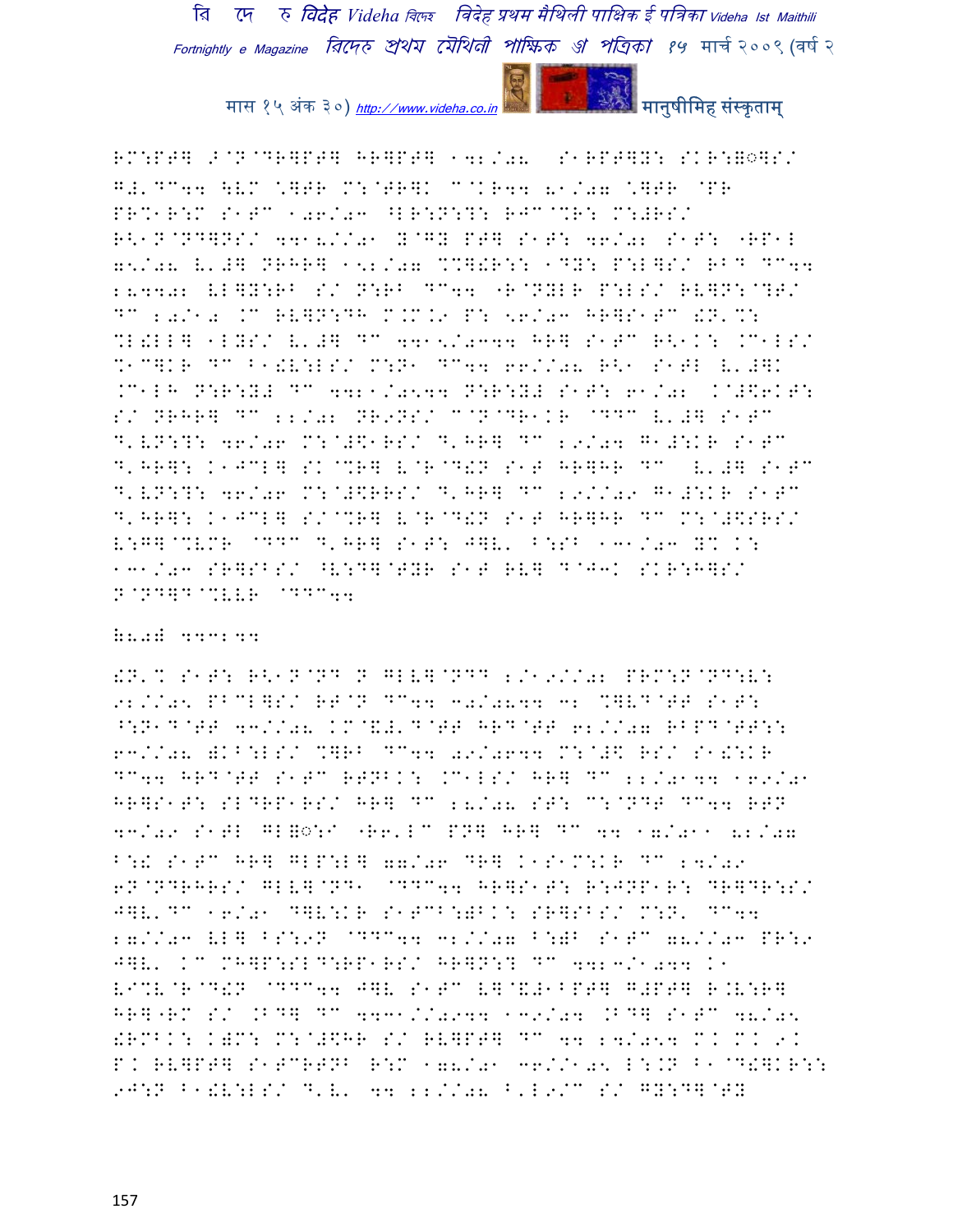मास १५ अंक ३०) <u>http://www.videha.co.in</u><br>सास १५ अंक ३०) <u>http://www.videha.co.in</u>

RM:PT] >@N@DR]PT] HR]PT] 142/08 S1RPT]Y: SKR:=◌]S/ G#'DC44 \VM \*]TR M:@TR]K C@KR44 81/07 \*]TR @PR PR%1R:M S1TC 106/03 ^LR:N:?: RJC@%R: M:#RS/ RS/COURSES ARE SING COURTER PARTIES ANIMAL SYSTEM (APP) 75/08 V'#] NRHR] 152/07 %%]!R:: 1DY: P:L]S/ RBD DC44 284402 VL]Y:RB S/ N:RB DC44 "R@NYLR P:LS/ RV]N:@?T/ DC 20/10 .C RV]N:DH M.M.9 P: 56/03 HR]S1TC !N'%: %LEDE 4 | FIRM | LLIA 197 | AAKS/IAHAN | PRA SKY BSKY IN | C7KEMI %1C]KR DC B1!V:LS/ M:N1 DC44 66//08 R<1 S1TL V'#]K .C1LH N:R:Y# DC 4421/0544 N:R:Y# S1T: 61/02 .@#\$6KT: S/ NRHR] DC 22/02 NR9NS/ C@N@DR1KR @DDC V'#] S1TC D'VN:?: 46/06 M:@#\$1RS/ D'HR] DC 29/04 G1#:KR S1TC D'HR]: K1JCL] SK@%R] V@R@D!N S1T HR]HR DC V'#] S1TC D'VN:?: 46/06 M:@#\$RRS/ D'HR] DC 29//09 G1#:KR S1TC D'HR]: K1JCL] S/@%R] V@R@D!N S1T HR]HR DC M:@#\$SRS/  $3.5$ BB: MSDE (1987) B: BEB: ZHES 14B: J. F. ST: JHH (131/03) 131/03 SR]SBS/ ^V:D]@TYR S1T RV] D@J3K SKR:H]S/  $N$  ,  $N$  ,  $N$  ,  $N$  ,  $N$  ,  $N$  ,  $N$  ,  $N$  ,  $N$  ,  $N$  ,  $N$  ,  $N$  ,  $N$  ,  $N$  ,  $N$  ,  $N$  ,  $N$  ,  $N$  ,  $N$  ,  $N$  ,  $N$  ,  $N$  ,  $N$  ,  $N$  ,  $N$  ,  $N$  ,  $N$  ,  $N$  ,  $N$  ,  $N$  ,  $N$  ,  $N$  ,  $N$  ,  $N$  ,  $N$  ,  $N$  ,  $N$  ,

#### $\frac{1}{2}$   $\frac{1}{2}$   $\frac{1}{2}$   $\frac{1}{2}$   $\frac{1}{2}$   $\frac{1}{2}$   $\frac{1}{2}$   $\frac{1}{2}$   $\frac{1}{2}$   $\frac{1}{2}$   $\frac{1}{2}$   $\frac{1}{2}$   $\frac{1}{2}$   $\frac{1}{2}$   $\frac{1}{2}$   $\frac{1}{2}$   $\frac{1}{2}$   $\frac{1}{2}$   $\frac{1}{2}$   $\frac{1}{2}$   $\frac{1}{2}$   $\frac{1}{2}$

!N'% S1T: R<1N@ND N GLV]@NDD 2/19//02 PRM:N@ND:V: 92//05 PBCL]S/ RT@N DC44 30/0844 32 %]VD@TT S1T: ^:N1D@TT 43//08 KM@&#'D@TT HRD@TT 62//07 RBPD@TT:: 69//08 B:LSHC/ %461 M"44 09/0644 MY345 BEN SYENDR DC44 HRD@TT S1TC RTNBK: .C1LS/ HR] DC 22/0144 169/01 HRASH SITER-RS/ HRACT LEJEN SPN TNOTH TOAL RRD 44/02 Stat Wider Green Titl Greenway and Solomon B: S1TC HRIGH: DIPINE RELAY THE SITC SING OF SALAR 6N@NDRHRS/ GLV]@ND1 @DDC44 HR]S1T: R:JNP1R: DR]DR:S/ JAVEL SUT 16-01 DE STREED BK: SRIP SHEEP STREED SAN DE SAN SUTTING 276//03 BEE FRYST CTTTER HEAVING FYER REPORTS BEEN J]V' KC MH]P:SLD:RP1RS/ HR]N:? DC 4423/1044 K1 BRIN VE DIG DE DIG44 JAN SER LA PERSIKAN ASISTAN SERIKAN HREART SV .BDA SO 4441/22324 139224 .BDA B S1TC 48/05 !RMBK: K)M: M:@#\$HR S/ RV]PT] DC 44 24/054 M. M. 9. P. RV]PT] S1TCRTNB R:M 178/01 36//105 L:.N B1@D!]KR:: 9J:N B1!V:LS/ D'V' 44 22//08 B'L9/C S/ GY:D]@TY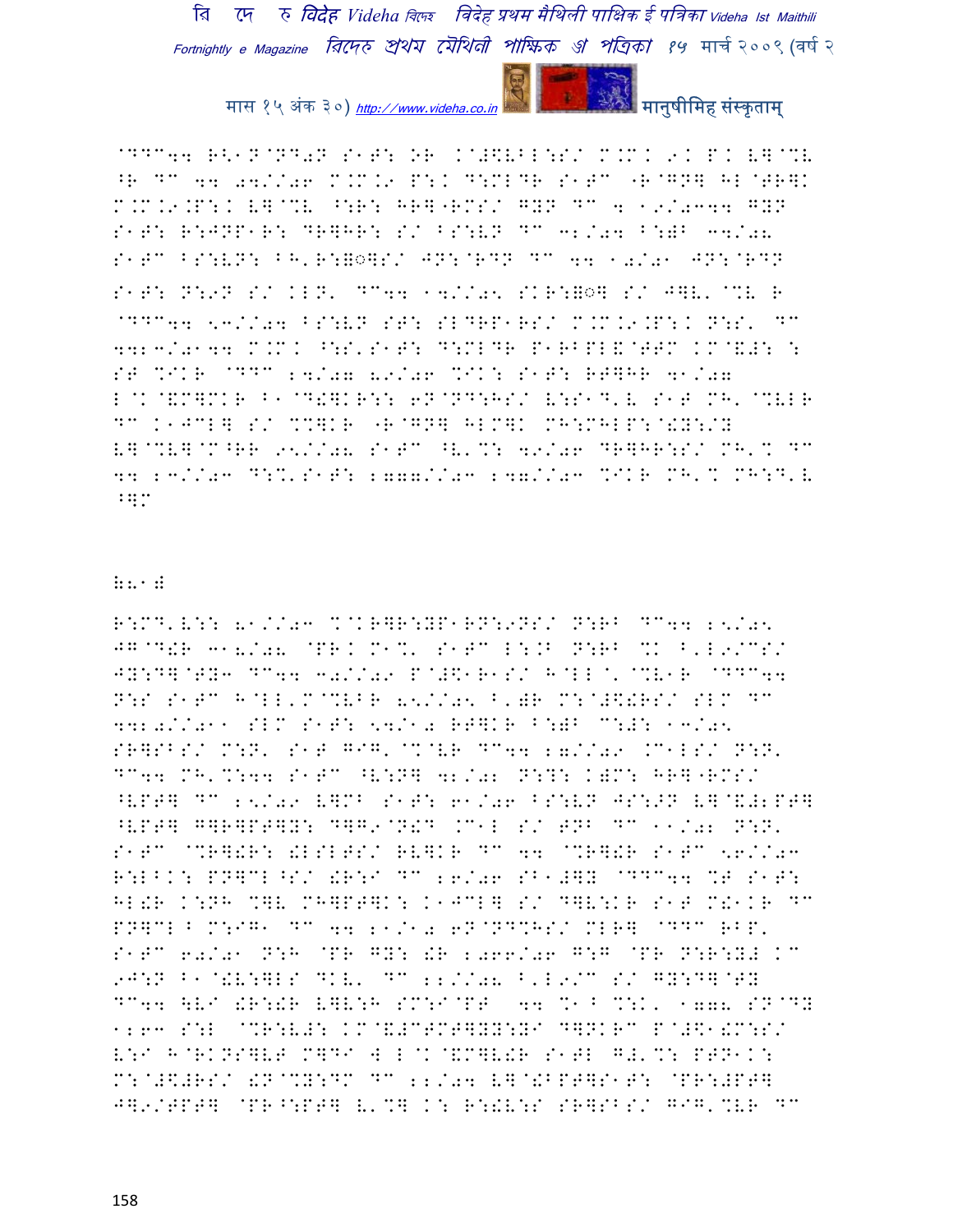मास १५ अंक ३०) http://www.videha.co.in | सामानिक मानुषीमिह संस्कृताम्



@DDC44 R<1N@ND0N S1T: OR .@#\$VBL:S/ M.M. 9. P. V]@%V ^R DC 44 04//06 M.M.9 P:. D:MLDR S1TC "R@GN] HL@TR]K M.M.D.9.P:. VIEWS ON DEPARTED SHE SAN DO 4 19/0344 GYN S1T: R:JNP1R: DR]HR: S/ BS:VN DC 32/04 B:)B 34/08 STC BS:VN: BH'R:= OR: BH'R:= OR: BH'R:= OR: BH'R:= OR: DA 1001 JN: A 10/01 JN: A 10/01 DE 44 10 S1T: N:9N S/ KLN' DC44 14//05 SKR:=◌] S/ J]V'@%V R @DDC44 53//04 BS:VN ST: SLDRP1RS/ M.M.9.P:. N:S' DC 4423/0234 M.M. O.M. O.M. P. P. P. D. P. P. P. P. P. D. P. P. D. D. D. D. D. D. D. ST %IKR @DDC 24/07 89/07 89/07 89/07 89/07 89/07 89/07 89/07 89 L@K@&M]MKR B1@D!]KR:: 6N@ND:HS/ V:S1D'V S1T MH'@%VLR DOC K1JCL, SAME REGIST SOME REGISTER SOME REGISTER SOME REGISTER AND A MELTIC SUPPORT REGISTER AND RELEASED RE BACCHA VIAR 95//08 S1TC AND AND ARRESTS/ MHOC DRIVE 44 23//03 D:%'S1T: 2777//03 247//03 %IKR MH'% MH:D'V  $\mathbb{R}$   $\mathbb{R}$   $\mathbb{R}$ 

## $\mathbb{R}^n$  :  $\mathbb{R}^n$

R:MP. ESS & VIGH TORRESHESHIVENING PSP DPP DESIGN JG@D!R 318/08 @PR. M1%' S1TC L:.B N:RB %K B'L9/CS/ JY:D]@TY3 DC44 30//09 P@#\$1R1S/ H@LL@'@%V1R @DDC44 N:S S1TC H@LL'M@%VBR 85//05 B')R M:@#\$!RS/ SLM DC 44202/011 SLM ST: 54/40 RT; 54/10 RT; 54/05 PT: 54/05 PT: 54/05 PT: 13/05 SRASS CONSTRUCTS OF A STRAIG COMMUNICATIONS OF STRAIGHT DC44 MH.C444 S1PC PEAR ABJAB DRIE DATE SER HREIBIO \*BIFAR TO 35/09/08 BROK INSPERSENCE FINISH ANNOUNCE BS: ^VPT] G]R]PT]Y: D]G9@N!D .C1L S/ TNB DC 11/02 N:N' ST PM (MMPHERS) EESTERING PEHDECHT AAC MORHER STARM (SPINGA) R:LBK: PNACH BK: 26/06 SB1# PRODUCED SACTOR AND DESCRIPTION HL!R K:NH %]V MH]PT]K: K1JCL] S/ D]V:KR S1T M!1KR DC PN]CL^ M:IG1 DC 44 21/10 6N@ND%HS/ MLR] @DDC RBP' S1TC 60/01 N:H @PR GY: !R 2066/06 G:G @PR N:R:Y# KC 9J:N B1@!V:]LS DKV' DC 22//08 B'L9/C S/ GY:D]@TY DC44 \VI !R:!R V]V:H SM:I@PT 44 %1^ %:K' 1778 SN@DY  $1263$  S:L  $\sim$  S:L  $\sim$  S:L  $\sim$  S:L  $\sim$  S:  $\sim$  S:  $\sim$  S:  $\sim$  S:  $\sim$  S:  $\sim$  S:  $\sim$  S:  $\sim$  S:  $\sim$  S:  $\sim$  S:  $\sim$  S:  $\sim$  S:  $\sim$  S:  $\sim$  S:  $\sim$  S:  $\sim$  S:  $\sim$  S:  $\sim$  S:  $\sim$  S:  $\sim$  S:  $\sim$  S:  $\sim$  S:  $\sim$  S: V:I H@RKNS]VT M]DI W L@K@&M]V!R S1TL G#'%: PTN1K: M:@#\$#RS/ !N@%Y:DM DC 22/04 V]@!BPT]S1T: @PR:#PT] J]9/TPT] @PR^:PT] V'%] K: R:!V:S SR]SBS/ GIG'%VR DC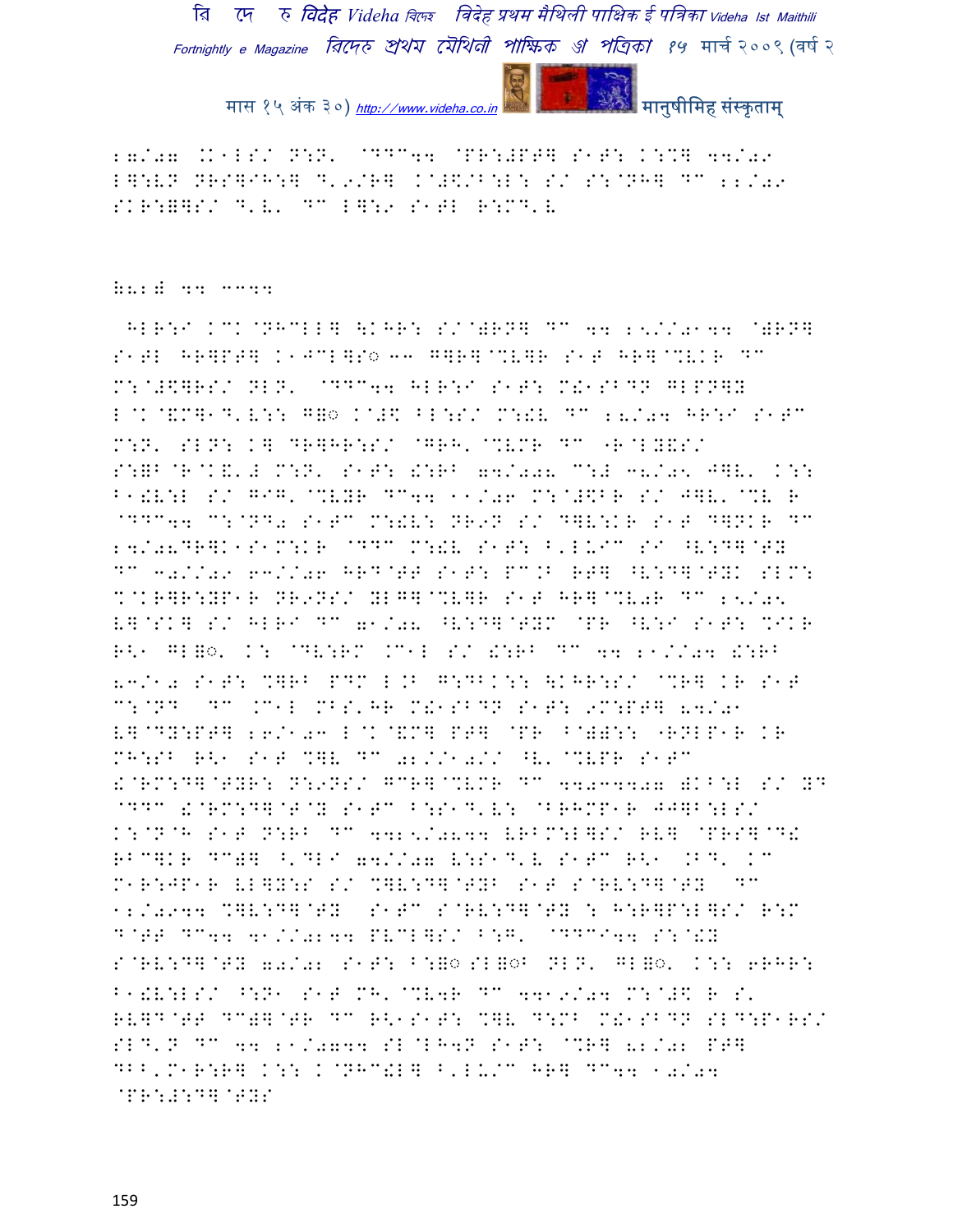मास १५ अंक ३०) <u>http://www.videha.co.in स्थिति क्रिके</u>डी **मानुषीमिह संस्कृताम्** 

27/07 .K1LS/ N:N' @DDC44 @PR:#PT] S1T: K:%] 44/09 L]:VN NRS]IH:] D'9/R] .@#\$/B:L: S/ S:@NH] DC 22/09 SKR:=]S/ D'V' DC L]:9 S1TL R:MD'V

## **Hill Holder Holder**

HIBS: I CONTROLLED BIBBS BINGER TO 44 BSING 44 1990 STL HRD HRIP CILLATE BY GOOD HALL BEEN TO E BELIEVE ON HAR DOES BLOW TO M:@#\$]RS/ NLN' @DDC44 HLR:I S1T: M!1SBDN GLPN]Y LON CHIVES RUALED AND ONLY A BOARN COALD AND A BLOCK DO AN ANGELES AND A GENERAL STATES AND A SIDE OF SAFT M:N' SLN: KIN: KIN: HEIR: KIN: MINE, AND DE "ROOM S:=B@R@K&'# M:N' S1T: !:RB 74/008 C:# 38/05 J]V' K:: B1:L SI S/ Gig (VIR DE STAA 11/06 M: DE 1874 BR S/ JAR S/ JA @DDC44 C:@ND0 S1TC M:!V: NR9N S/ D]V:KR S1T D]NKR DC 24/08DR]K1S1M:KR @DDC M:!V S1T: B'LUIC SI ^V:D]@TY DC 30//09 63//06 HRD@TT S1T: PC.B RT] ^V:D]@TYK SLM: %@KR]R:YP1R NR9NS/ YLG]@%V]R S1T HR]@%V0R DC 25/05 BACKIA KI HER TO BRIE ARTAGE CAN THE ART KREAT CON RRACHERO, IN CHENET ITAL RICHINGHA HA PAILAR END 83/10 S1T: \$PDM REFOREST STATES OF BIBES CONTROL STATES STATES STATES OF STATES OF STATES STATES OF STATES OF STATES T: DR DOC 19 OC .CHE SITE SITE SITE STIPS SALE V]@DY:PT] 26/103 L@K@&M] PT] @PR ^@)):: "RNLP1R KR TREST REFORM THE TO WELFART HE CHER SHET !@RM:D]@TYR: N:9NS/ GCR]@%VMR DC 44034407 )KB:L S/ YD @DDC !@RM:D]@T@Y S1TC B:S1D'V: @BRHMP1R JJ]B:LS/ K: NOR DA SIT NE DA NA MATI NA SITU A SITU A SITU A RADIO NA HINY DI BERE DO REPORTA DA SITUATA A PRO RR DRI RODERNO RI DE KONSIGNI RISER DI RODERNO DE DI VI DO DY: B:SHEP VB (1819-1919) STATE STATE SHOP STATE SIT SOME STATE SHOP STATE SITE OF DU 12/0944 %]V:D]@TY S1TC S@RV:D]@TY : H:R]P:L]S/ R:M D@TT DC44 41//0244 PVCL]S/ B:G' @DDCI44 S:@!Y SOCH:DIGTHE THIS SHARVEY FOR STAND FOR DIGTING THE HOUR CONTRIGUES. B1:LS:LS/ PSP (P.E.TR. TEAP TT A419/04 TS1P B P.C. RV]D@TT DC)]@TR DC R<1S1T: %]V D:MB M!1SBDN SLD:P1RS/ SLD'N DC 44 21/0744 SL@LH4N S1T: @%R] 82/02 PT] DBB'M1R:R] K:: K@NHC!L] B'LU/C HR] DC44 10/04 @PR:#:D]@TYS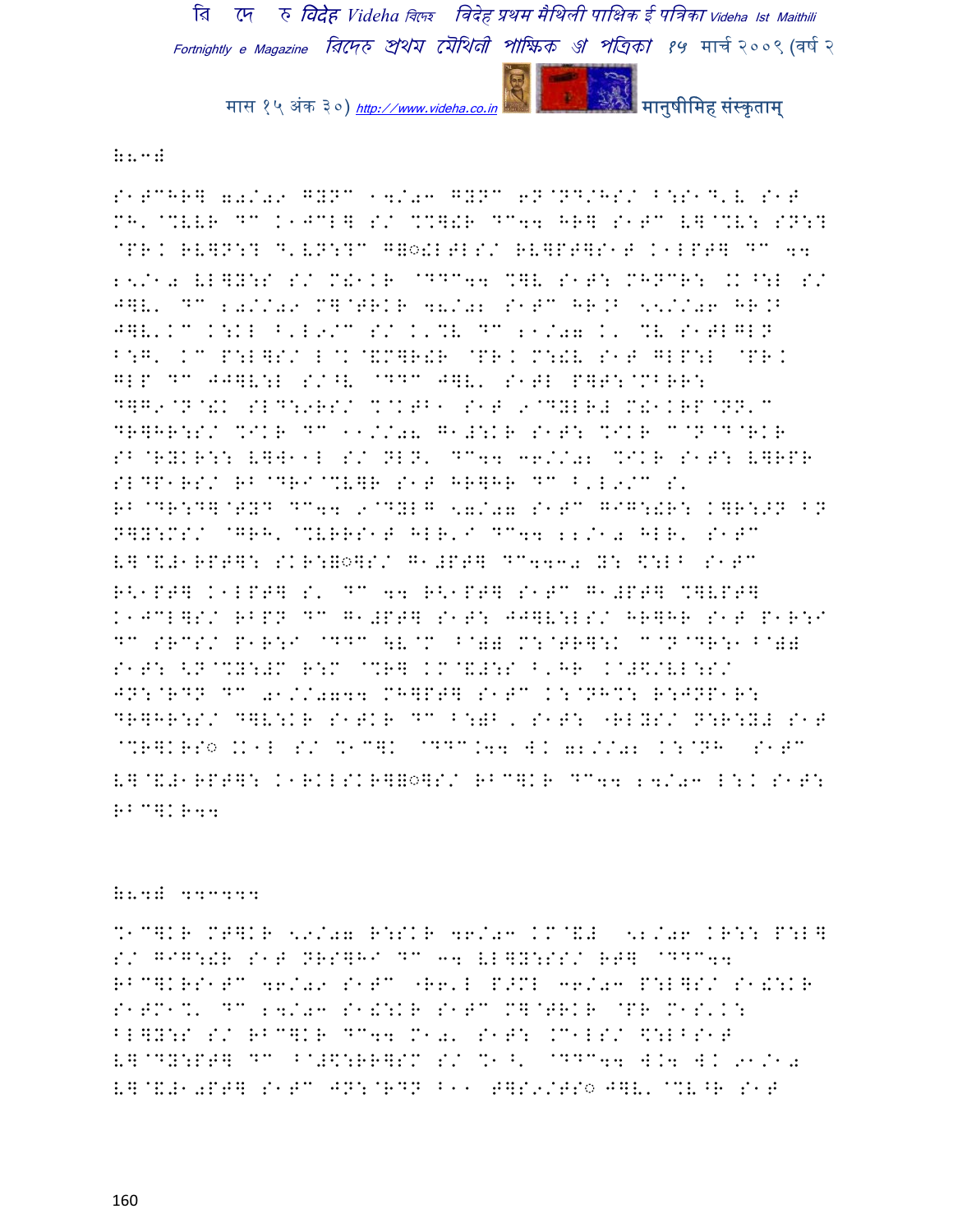

## $\frac{1}{2}$  :  $\frac{1}{2}$  :  $\frac{1}{2}$  :  $\frac{1}{2}$  :  $\frac{1}{2}$  :  $\frac{1}{2}$  :  $\frac{1}{2}$  :  $\frac{1}{2}$  :  $\frac{1}{2}$  :  $\frac{1}{2}$  :  $\frac{1}{2}$  :  $\frac{1}{2}$  :  $\frac{1}{2}$  :  $\frac{1}{2}$  :  $\frac{1}{2}$  :  $\frac{1}{2}$  :  $\frac{1}{2}$  :  $\frac{1}{2}$  :  $\frac{1$

S1TCHR] 70/09 GYNC 14/03 GYNC 6N@ND/HS/ B:S1D'V S1T MH'@%VVR DC K1JCL] S/ %%]!R DC44 HR] S1TC V]@%V: SN:? WIN: DESCRIPT CONSTRUCTION OF DESCRIPTIONS 25/10 VL]Y:S S/ M!1KR @DDC44 %]V S1T: MHNCR: .K^:L S/ J]V' DC 20//09 M]@TRKR 48/02 S1TC HR.B 55//06 HR.B J]V'KC K:KL B'L9/C S/ K'%V DC 21/07 K' %V S1TLGLN B:G' KOR P: LOO KOO KOO KAREN DI LOO KAREN DI LOO KARA ME POLITIKE AT SIT GE GLP OC JJELE DO JJEL JU SIL POD PIRA PIRA D]G9@N@!K SLD:9RS/ %@KTB1 S1T 9@DYLR# M!1KRP@NN'C DR]HR:S/ %IKR DC 11//08 G1#:KR S1T: %IKR C@N@D@RKR SR: VEGO EN SKREAR:: VISCO OR DO 11 NLNO. VISCO OR STATE START START START STATE STATE STATE STATE STATE STATE SLDP1RS/ RB@DRI@%V]R S1T HR]HR DC B'L9/C S' RB@DR:D]@TYD DC44 9@DYLG 57/07 S1TC GIG:!R: K]R:>N BN N]Y:MS/ @GRH'@%VRRS1T HLR'I DC44 22/10 HLR' S1TC 18:00: SKR:= SKR:= SKR:= SKR:= SKR:= STR:= SKR:= SKR:= SKR:= SKR:= SKR:= SKR:= SKR:= SKR:= SKR:= SKR:= SKR:= S ROCHE SITE SO DO 44 ROCHE SIT GOING CHILDE K1JCL]S/ RBPN DC G1#PT] S1T: JJ]V:LS/ HR]HR S1T P1R:I DC SRCS/ P1R:I @DDC \V@M ^@)) M:@TR]:K C@N@DR:1^@)) S1T: <N@%Y:#M R:M @%R] KM@&#:S B'HR .@#\$/VL:S/ JN:@RDN DC 01//0744 MH]PT] S1TC K:@NH%: R:JNP1R: DRAHASI DAARRIK BISKAD BIS DIE SATIE SAAR IN SITKA DAARAT DIE SITE SITE SIT @%R]KRS◌.K1L S/ %1C]K @DDC.44 W. 72//02 K:@NH S1TC BUTER: BEFUND I: BIBERISHE OURL DURCH DE TURK BRIGHT BOILER BOOK RBCH: Para

#### (84) 443444

%1C]KR MT]KR 59/07 R:SKR 46/03 KM@&# 52/06 KR:: P:L] S/ GIG:R S1T NRSHE DOCATION AND SITUATION OF STATIONS RBC]KRS1TC 46/09 S1TC "R6'L P>ML 36/03 P:L]S/ S1!:KR Station and the station of the station of the station of the station of the station of the station of the station BL) SING REGION AND STREET IN DE REGION OF THE SAME REGION OF THE SAME REGION OF THE SAME REGION OF THE SAME R V]@DY:PT] DC ^@#\$:RR]SM S/ %1^' @DDC44 W.4 W. 91/10 V]@&#10PT] S1TC JN:@RDN B11 T]S9/TS◌J]V'@%V^R S1T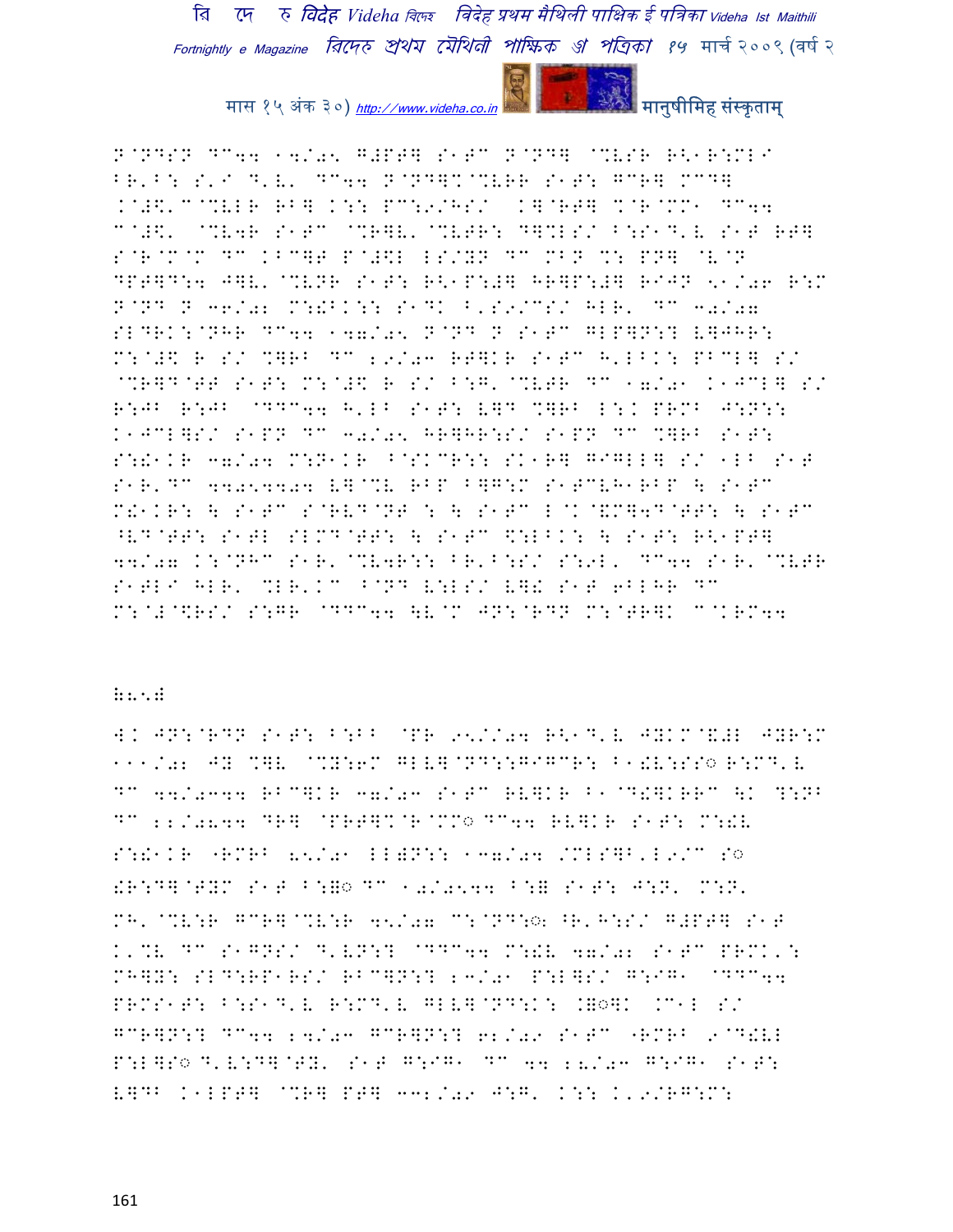

N@NDSN DC44 14/05 G#PT] S1TC N@ND] @%VSR R<1R:MLI BR'B: S'I D'ANN SIN D'ANN D'OILLE SAN BOILLE (MOR .@#\$'C@%VLR RB] K:: PC:9/HS/ K]@RT] %@R@MM1 DC44 C@#\$' @%V4R S1TC @%R]V'@%VTR: D]%LS/ B:S1D'V S1T RT] S@R@MOM DC KBC POSSESS ARE CONSIDERED AND MELTIC POINT OF THE CONSIDERED ALLOWED AN ALCOHOL: POINT OF THE CONSIDERED AND AN DPTPP104 JPHE. TIERP: PYFRIE BRITISH PREPINSE BIJN 51-JUM BIJ N@ND N 36/02 M:!BK:: S1DK B'S9/CS/ HLR' DC 30/07 SLORIN: NHR DO44 144/05 NORD N S1TC GLPHPI: VHR DA M:@#\$ R S/ %]RB DC 29/03 RT]KR S1TC H'LBK: PBCL] S/ @%R]D@TT S1T: M:@#\$ R S/ B:G'@%VTR DC 17/01 K1JCL] S/ R:JB R:JB @DDC44 H'LB S1T: V]D %]RB L:. PRMB J:N:: K1999 HE2 S1PN DC 3005 HRUHRSE2 S1PN DO 3006 S1PN S:!1KR 37/04 M:N1KR ^@SKCR:: SK1R] GIGLL] S/ 1LB S1T STREAM ANALYSIS ON BRIDGE BACK AND BLOCK STATES OF STATES OF STATES OF STATES OF STATES OF STATES OF STATES OF MINUTES & START : STELFITH : S1TC START : N TC TEMPER THAT : S1TC PIT ^FD. TO SHE STORE OF STORE STORE IN THE STORE TO STORE THE STORE SERVED STORE IN THE STORE IN THE STORE IN THE 44/07 K:@NHC S1R'@%V4R:: BR'B:S/ S:9L' DC44 S1R'@%VTR S1TLI HLR' %LR'KC ^@ND V:LS/ V]! S1T 6BLHR DC M:@#@\$RS/ S:GR @DDC44 \V@M JN:@RDN M:@TR]K C@KRM44

## $\mathbb{R}^n$

W. J. ADR 1979 S1T: BR 95/95/10 PR 95/2014 BERN 95/2014 REPORT PEDET ADBATC 111/02 JY %]V @%Y:6M GLV]@ND::GIGCR: B1!V:SS◌R:MD'V DC 44/344 RPCHIE AB/24 PRRC RENIE PRODUKEN BI THR DC 22/0844 DRI MERRIN KNOX PORTREREN SYRN SNE STEP TO REPORT AN ALLET BE A ROUNDED AND A CARD AND TO REPORT TO !R:D]@TYM S1T B:=◌DC 10/0544 B:= S1T: J:N' M:N' MH'@%V:R GCR]@%V:R 45/07 C:@ND:◌: ^R'H:S/ G#PT] S1T K'%V DO STREET DE STREET DE STREET AAN DE STREET BRIEFE MH]Y: SLD:RP1RS/ RBC]N:? 23/01 P:L]S/ G:IG1 @DDC44 PROVINCE PROVINCE CHOOSE IN BELANDING ON THE CONDITIONS OF A .C BCBBD:: DC44 24/09 BCBBD:: 62/09 S1TC "RCB" 9 CGO P:L]S◌D'V:D]@TY' S1T G:IG1 DC 44 28/03 G:IG1 S1T:  $\mathbb{R}$ B FF] PT A B: MODEL BY A REPORT A SHIFT AND A ROUNDED A REPORT A REPORT  $\mathbb{R}$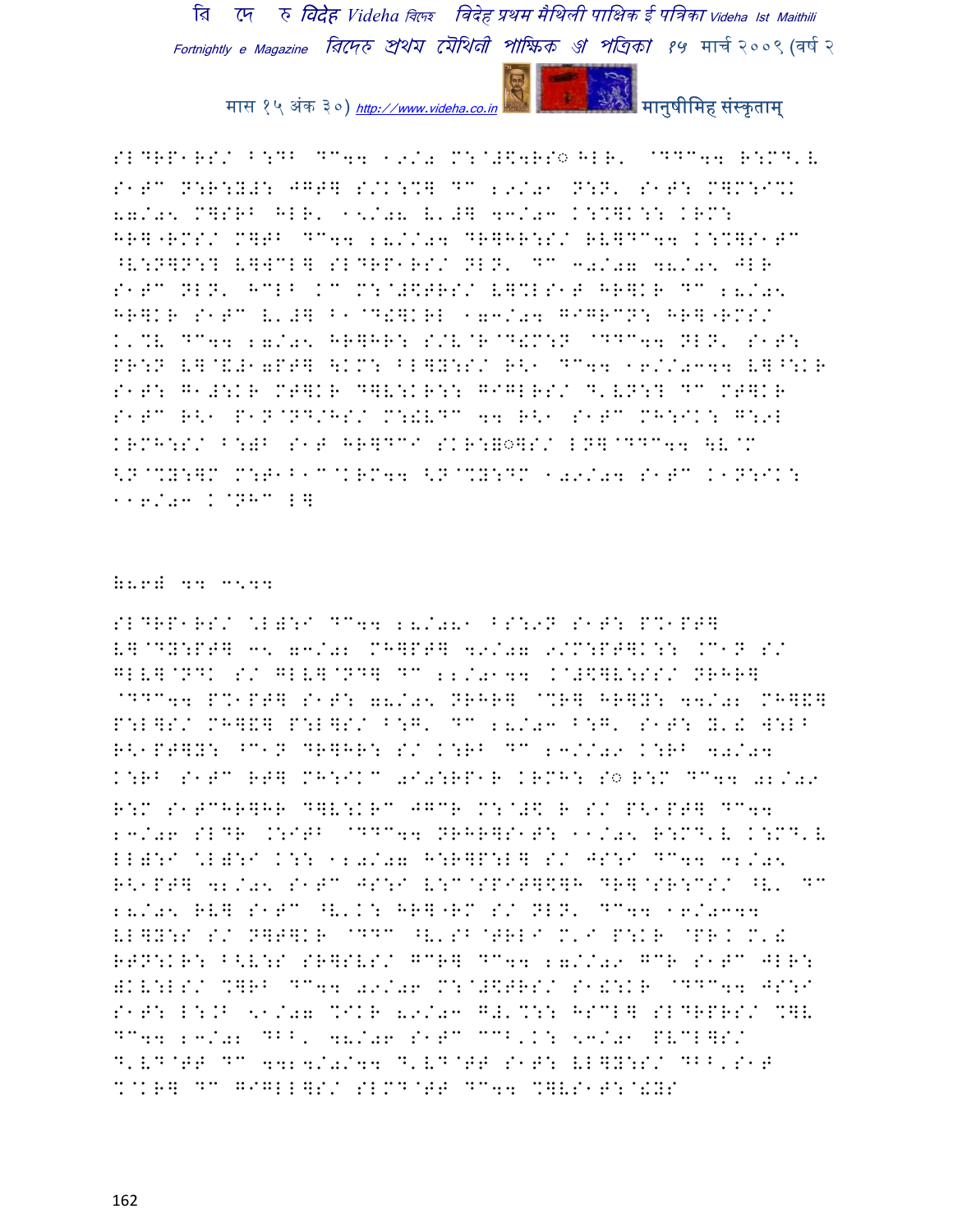मास १५ अंक ३०) <u>http://www.videha.co.in</u> स्थिति स्थिति । मानुषीमिह संस्कृताम्



SLORP: B:D OC49 COC44 19/0 M: DE454B:O H: B. COUNTABLE: B:MOLE S1TC N:R:Y: JOHN STEIN STEIN STEIN STEIN STEIN STEIN STEIN STEIN STEIN STEIN STEIN STEIN STEIN STEIN STEIN STE 887/05 MBHL HLR' 15/08 K: KI: KI: KAYAH INDI HR]"RMS/ M]TB DC44 28//04 DR]HR:S/ RV]DC44 K:%]S1TC ^V:N]N:? V]WCL] SLDRP1RS/ NLN' DC 30/07 48/05 JLR Station and the station of the station of the station of the station of the station of the station of the station HRACE SITC B1@D IN ITED HE IN BIGGET HRACE TO HRACE K'%V DC44 27/05 HR]HR: S/V@R@D!M:N @DDC44 NLN' S1T: PR:N VALUES REPORTED TO RUN IN THE THE SECTION OF THE SECTION OF THE SECTION OF THE SECTION OF THE SECTION OF ST: G1: G1: G1: DE DIGHOLE (1998) DE DIGIGLE DE DE DE DIGIGLE (1911) DE MODEL S1TC R<1 P1N@ND/HS/ M:!VDC 44 R<1 S1TC MH:IK: G:9L KRMH:S/ B:)B S1T HR]DCI SKR:=◌]S/ LN]@DDC44 \V@M <N@%Y:]M M:T1B1C@KRM44 <N@%Y:DM 109/04 S1TC K1N:IK: 116/03 K.A. (1955) K.A.

#### (86) 44 3544

SLDRP1RS/ \*L):I DC44 28/081 BS:9N S1T: P%1PT] V]@DY:PT] 35 73/02 MH]PT] 49/07 9/M:PT]K:: .C1N S/ GLUE CON SA GLUE DE CONDITA SI SA GLUE DE CONDITA DE CONDITA E @DDC44 P%1PT] S1T: 78/05 NRHR] @%R] HR]Y: 44/02 MH]&] PS: BEZ (MHBEB) PS: BEZ (FSB) (PM) SLZGH (FSB) (EVES (B) B: GS: ESE R: PRODUCT PRODUCT RICE DO 231 PRODUCT 23/20 KIN DE K:RB S1TC RT] MH:IKC 0I0:RP1R KRMH: S◌R:M DC44 02/09 R:M S1TCHR9HR D9121187 HATE M:KRC B:KRC PLFB9 9744 23/06 SLDR .:ITB @DDC44 NRHR]S1T: 11/05 R:MD'V K:MD'V LI:I A:: 120 A:: 120 A:: 120 A:: 120 A:: 120 A:: 120 A:: 120 A:: 120 A:: 120 A: 120 A: 120 A: 120 A: 120 A:: 1 R<1PT] 42/05 S1TC JS:I V:C@SPIT]\$]H DR]@SR:CS/ ^V' DC 38/05 RDB SYRT RD. DE SPRYET SJORDE, FTAA YEJSAAA VL]Y:S S/ N]T]KR @DDC ^V'SB@TRLI M'I P:KR @PR. M'! RATN:KR: BANAN SHANILI, ATAA TTAA 1822. ATA SHATTAIRR )KV:LS/ %]RB DC44 09/06 M:@#\$TRS/ S1!:KR @DDC44 JS:I ST: B 51/03 G 51/03 G 51/07 SLDRPS F.B. 89/03 G#TH 89/03 B#FB\$/ % \$88. DC44 23/02 DBB' 48/06 S1TC CCB'K: 53/01 PVCL]S/ D'VD TO DE CITA ALABAN DE CITA DE CITA DE LOS AS ELEGENCIONES DO SAR %@KRIGHT\_GOVERNMENT\_ARGUMENT\_POWERFORM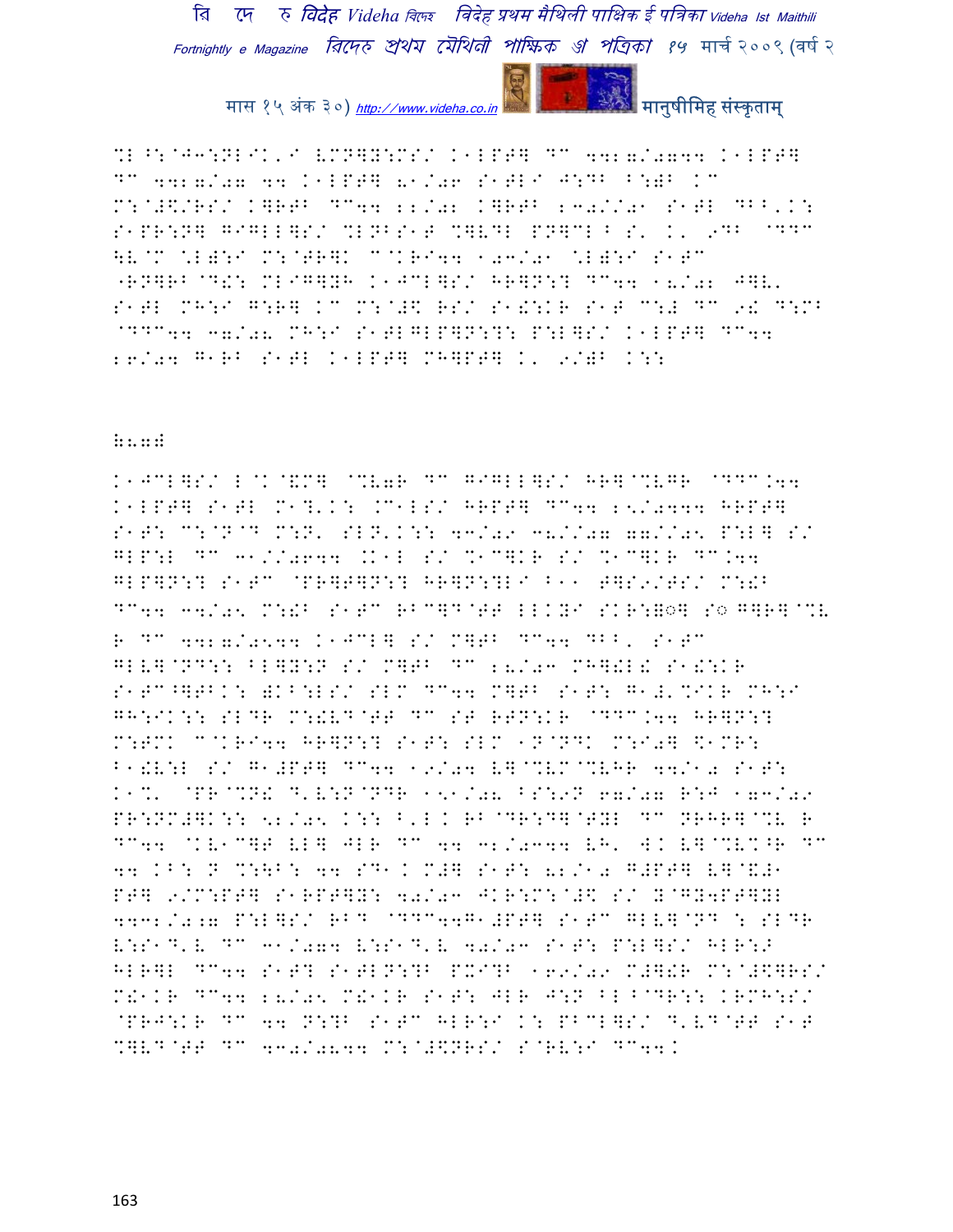मास १५ अंक ३०) http://www.videha.co.in स्थिति कार्यक्षेत्री <mark>मानुषीमिह संस्कृताम्</mark>



%L^:@J3:NLIK'I VMN]Y:MS/ K1LPT] DC 4427/0744 K1LPT] **DC 44287.07 44 KNISTER SINGER SITLI DE SINGER** M: MAX/B:2 KARBER DO44 22/02 KIRTB 230//01 S1TL DBB DO42 KIRT ST: STEPHEN GIGHT \$199 (1999) STEPHEN GIGLER & STEPHEN STEPHEN STEPHEN STEPHEN STEPHEN STEPHEN \V@M \*L):I M:@TR]K C@KRI44 103/01 \*L):I S1TC "RN]RB@D!: MLIG]YH K1JCL]S/ HR]N:? DC44 18/02 J]V' SHEL MHSK ASEA IN MS/GR ESV SHESIF SHE MSG MT VE MSM @DDC44 37/08 MH:I S1TLGLP]N:?: P:L]S/ K1LPT] DC44 16/04 G1RB S1TL K1PTL MHINE K. 2001 (ST

## $\frac{1}{2}$  :  $\frac{1}{2}$  :  $\frac{1}{2}$  :  $\frac{1}{2}$

K1JCL, SAMARA MARAKA MARAKA MARAKA MARAKA MARAKA MARAKA MARAKA MARAKA MARAKA MARAKA MARAKA MARAKA MARAKA MARAK<br>Samara maraka maraka maraka maraka maraka maraka maraka maraka maraka maraka maraka maraka maraka maraka marak K1PTP S1TL M1211 CM122 HRPFF PM44 25/0444 HRPFF S1T: C: C: C: C: C: C: Si P. C: S: A-Cox 38./Oom am.Cox ST: B: SC GLEN: ST 46-MM BAR (NOR) SM WORLD SM THIR STORE BLPUR: S1TC PRUBUR: HRUNIN TIP BILLINI TIP DC44 34/05 M:ER SPEC RECEPTED OF BILD SITE SERIOR SO PRRACTE R DC 4428244 Industrial S/ MBB' Scan Data State GLUESTRY: BLUEST PACTURE STORAGE AND PROBLEMS PROVIDE STOPHER: NATIONAL PROVINCING STATES OF STATES OF STATES OF STATES OF STATES OF STATES OF STATES OF STATES OF S GH:IK:: SLDR M:!VD@TT DC ST RTN:KR @DDC.44 HR]N:? M:THOM COMMISSION COMMISSION IN THE STATE OF THE STATE OF THE STATE OF THE STATE OF THE STATE OF THE STATE OF B1:L SERVICE COMPONENT DESCRIPTION OF RESIDENCE AND DESCRIPTION OF RESIDENCE AND DESCRIPTION OF RESIDENCE AND K1%' TRATH TABRITH 151/08 BS:9 BENDR PS:000000 PR:ND: 241/05 K:: Borger: 52/05 K:: 52/05 PR: PR:NM: DR:DR:DR:DR:DR:DR:DR:DR:DR:D DC44 @KV1C OC44 ARE ARE DO 44 32/0344 RM DC 41 2020 44 CPS P MSHPS 44 SD1. M#B S1FS G#J1. M#F## 1#JB# PT] 9/M:PT] S1RPT]Y: 40/03 JKR:M:@#\$ S/ Y@GY4PT]YL 444122.18 PH RES RES STRINGEN BERR PORT GLACIES : SLDR  $\Sigma$ 51-31, E. 33, H. June (EST) 3. E. Hullie, T. P. P. (THE 311) SPEED HLR]L DC44 S1T? S1TLN:?B PXI?B 169/09 M#]!R M:@#\$]RS/ MEN DE CATAAL BEZEK MEN DE SNED ALE ALE AND FIE FOARDER OP BUNNED @PRJ:KR DC 44 N:?B S1TC HLR:I K: PBCL]S/ D'VD@TT S1T %]VD@TT DC 430/0844 M:@#\$NRS/ S@RV:I DC44.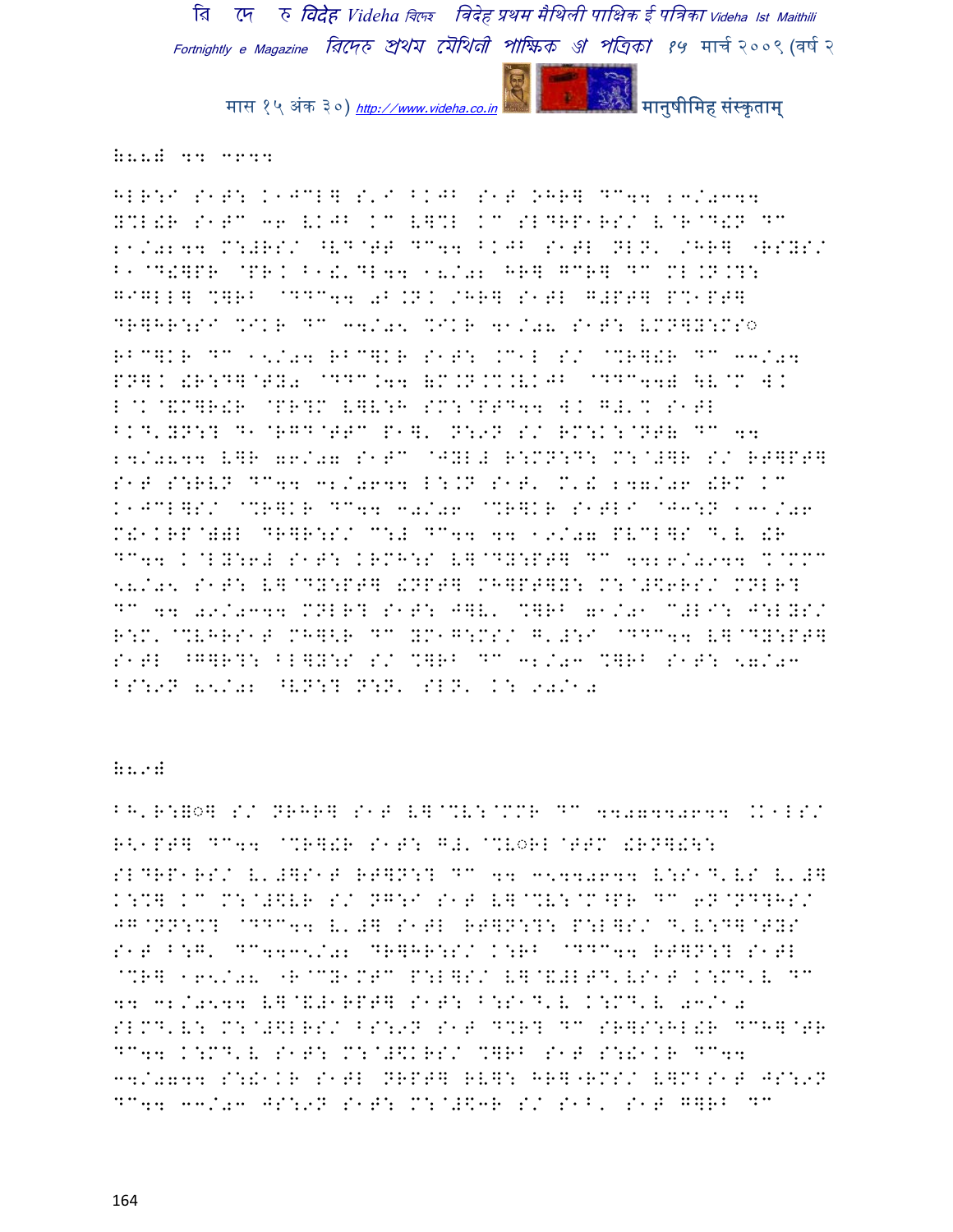

### (88) 44 3644

HIBY SHE I STOLE SIT BIG STOLE DAH TUNG SHIWAN Y Y LEARNEY HE SLAP IN SHIP IN STRING STRING IN STRING 102244 M:#RS/ 91798 TT44 BKJB S001 MIR. NDB4 SHIER B1@DQ: DECIMINATION: AND HREE TO MANUSCHE BOWEER THAN MUTTER AN OUR CHAN STAND WARRANTY PAR TREPRING TOIR TO AGUSA TOIR GOUSE SOME INFORMATIO RBCBC PC 15/04 RBCB S1P: C1P: S2/03/03-BEE PC 33/04 PN]. !R:D]@TY0 @DDC.44 (M.N.%.VKJB @DDC44) \V@M W. L@K@&M]R!R @PR?M V]V:H SM:@PTD44 W. G#'% S1TL BKD'YN:? D1@RGD@TTC P1]' N:9N S/ RM:K:@NT( DC 44 24/ober 196 ar/or S-PT (MB) S-PTPPP TEMPER S/ RPHTPH ST S:RVN DO44 32/064 L: N S1T S1T S1T S1T S1T MAIL K1JCL]S/ @%R]KR DC44 30/06 @%R]KR S1TLI @J3:N 131/06 M!1KRP@))L DR]R:S/ C:# DC44 44 19/07 PVCL]S D'V !R DOG44 CONFIDENT STREET IN DRIVEN DE CONFIDENT OUT HAT BIJGDAAR WOOD OM 58/05 S1T: V]@DY:PT] !NPT] MH]PT]Y: M:@#\$6RS/ MNLR? DC 44 09/03444 CDEER BY 45 48E, CDBE 709/03/01 CHEFT: ASECO RYM, MIARRY POTABLE AT GMY ANTEN ALGEN MATTER LA MAGNERA STR STREET STREET STREET STREET STREET STREET STREET STREET STREET BS:9N 85/02 02 02 02 03:00 02:00 02:00 02:00 02:00

## $\mathbb{R}^n$

BH.BYB09 SJ NRHRB SVE E97161778 TT 4428442844 INSBI RUPTER PTAA MIRRER PRES PEL MINORE NEET ERPRENS SLORP: PEZ (E. 1967) POPPRST OUT HA "POHAPAH" EGENCIAL EL 19 K:%] KC M:@#\$VR S/ NG:I S1T V]@%V:@M^PR DC 6N@ND?HS/ JG@NN:%? @DDC44 V'#] S1TL RT]N:?: P:L]S/ D'V:D]@TYS S1T B:G' DC4435/02 DR]HR:S/ K:RB @DDC44 RT]N:? S1TL @%R] 165/08 "R@CY1MTC P:L]S/ V]@&#LTD'VS1T K:MD'V DC 44 32/05/06 SHIER BIRD SIRE PRESENTED IN STREET SLMD'V: M:@#\$LRS/ BS:9N S1T D%R? DC SR]S:HL!R DCH]@TR DC44 C:MD'V.B S1KER DR S1T:MD'ST: MO STEP SITE START DE PORA 34/0744 S:!1KR S1TL NRPT] RV]: HR]"RMS/ V]MBS1T JS:9N DC44 33/03 JS:03 S1T: M: M: M: M: M: M: M: S1T: M: S1T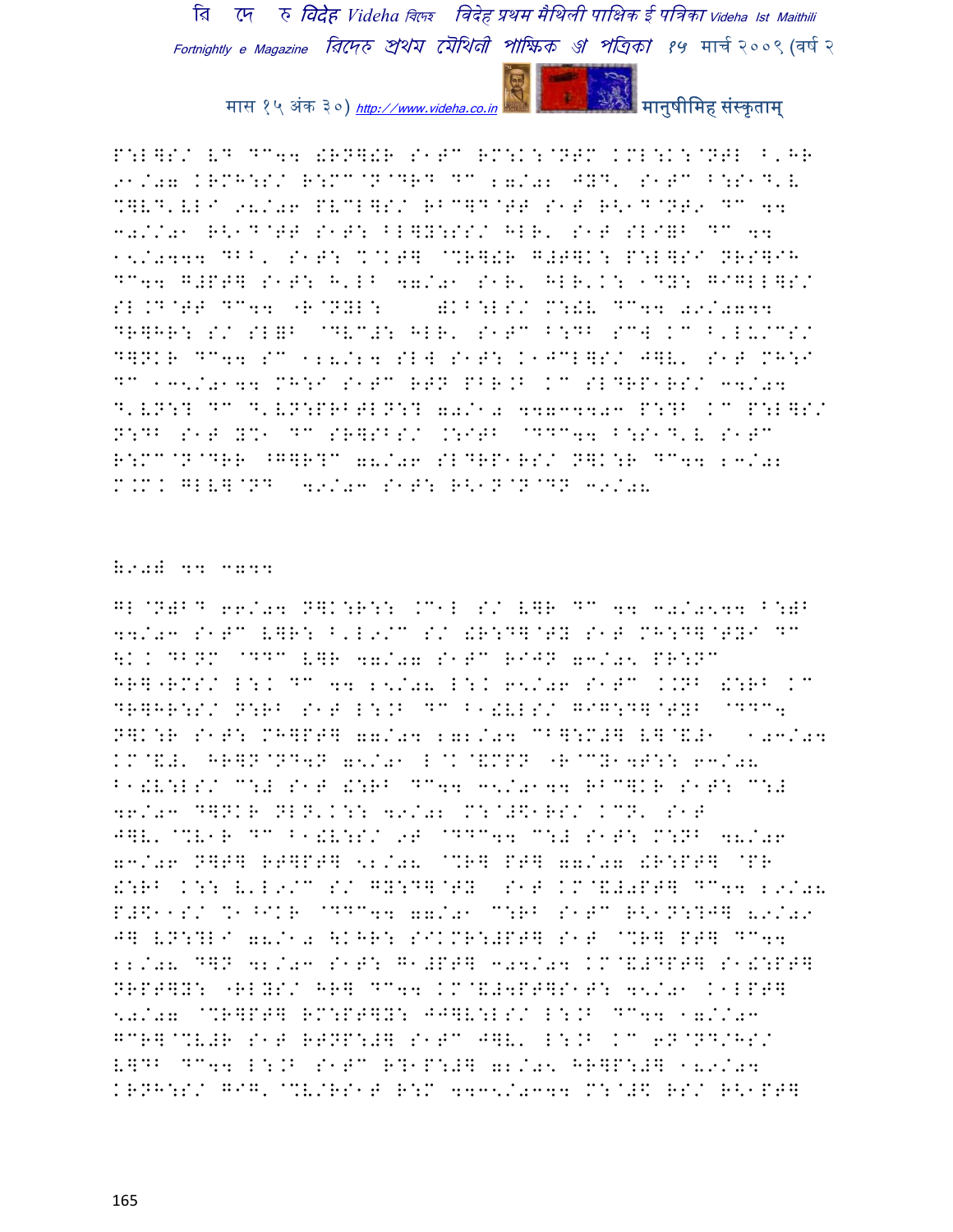मास १५ अंक ३०) <u>http://www.videha.co.in</u><br>सास १५ अंक ३०) <u>http://www.videha.co.in</u>



P:L]S/ VD DC44 !RN]!R S1TC RM:K:@NTM KML:K:@NTL B'HR 91/07 KRMH:S/ R:MC@N@DRD DC 27/02 JYD' S1TC B:S1D'V %]VD'VLI 98/06 PVCL]S/ RBC]D@TT S1T R<1D@NT9 DC 44 30//01 R<1D@TT S1T: BL]Y:SS/ HLR' S1T SLI=B DC 44 15/0444 DBB' S1T: %@KT] @%R]!R G#T]K: P:L]SI NRS]IH DC44 G#PT] S1T: H'LB 47/01 S1R' HLR'K: 1DY: GIGLL]S/ SL.D@TT DC44 "R@NYL: )KB:LS/ M:!V DC44 09/0744 DR]HR: S/ SL=B @DVC#: HLR' S1TC B:DB SCW KC B'LU/CS/ DARIE DO44 SC 128/24 SLW S1T: K1JCLIC STAND SHE, S1T MH: DC 135-0144 MH: I STAGE STREP STREP IN STREP REPORTED A STREP PRO D'VN:? DC D'VN:PRBTLN:? 70/10 44734403 P:?B KC P:L]S/ N:DB S1T Y%1 DC SR]SBS/ .:ITB @DDC44 B:S1D'V S1TC R:MC@NPRP\_PROPIES BELGE SLOWER RELEASED PORTION M.M. GLV]@ND 49/03 S1T: R<1N@N@DN 39/08

### (90) 44 3744

BE CREECE BOOKS CREECE CONFIDENT CONSTRUCTION AND ACCOUNT ACTUAL CONFIDENT 44/03 S1TC V]R: B'L9/C S/ !R:D]@TY S1T MH:D]@TYI DC  $\mathcal{B}$  . Dependent of  $\mathcal{B}$  and  $\mathcal{B}$  is the state of  $\mathcal{B}$ HREGRIN ESI TV AA ESJAN ESI PSJAP PYPV IIP (KSB) IV DR]HR:S/ N:RB S1T L:.B DC B1!VLS/ GIG:D]@TYB @DDC4 NACH R:R STANDA WALGE FOR SA TURNIN AN MIR (2001) KM@BA: HRINGHAN AND AND HOURS OF THE HRINGHAN B1:LS:B2. TS:RBC Particle (State of State State State State State 46/03 DHR:B RER.: 46/02 M:@#\$1RS/ KCN' SS# JARE, TOEK B1 PT FREEGED DA CIPPTAA COGE ERAP DOPP (AEDGAR 80/08 NHT RTHIP 51/08 THE RTH 88/08 SPHIFT TH !:RB K:: V'L9/C S/ GY:D]@TY S1T KM@&#0PT] DC44 29/08 P##11S/ %101 C:RB STORY #11S/01 C:RB S1TC RESTRICT BISIDE JA LINE 78 ALIKA ALABI PKITENDER PHE MIR PTAN 22/08 PHP a2/30 Star (1995) and the Star Communication of the Star Communication NRPT]Y: "RLYS/ HR] DC44 KM@&#4PT]S1T: 45/01 K1LPT] 50/07 @ MORTHER ROYSERBOY: HABENER OF DEVELOPED A BOOM BMBH MEAR SYN BARDIAH SYNM AHE. BIBIN 1M BROKMANNI V]DB DC44 L:.B S1TC R?1P:#] 72/05 HR]P:#] 189/04 KRNH:S/ GIG'@%V/RS1T R:M 4435/0344 M:@#\$ RS/ R<1PT]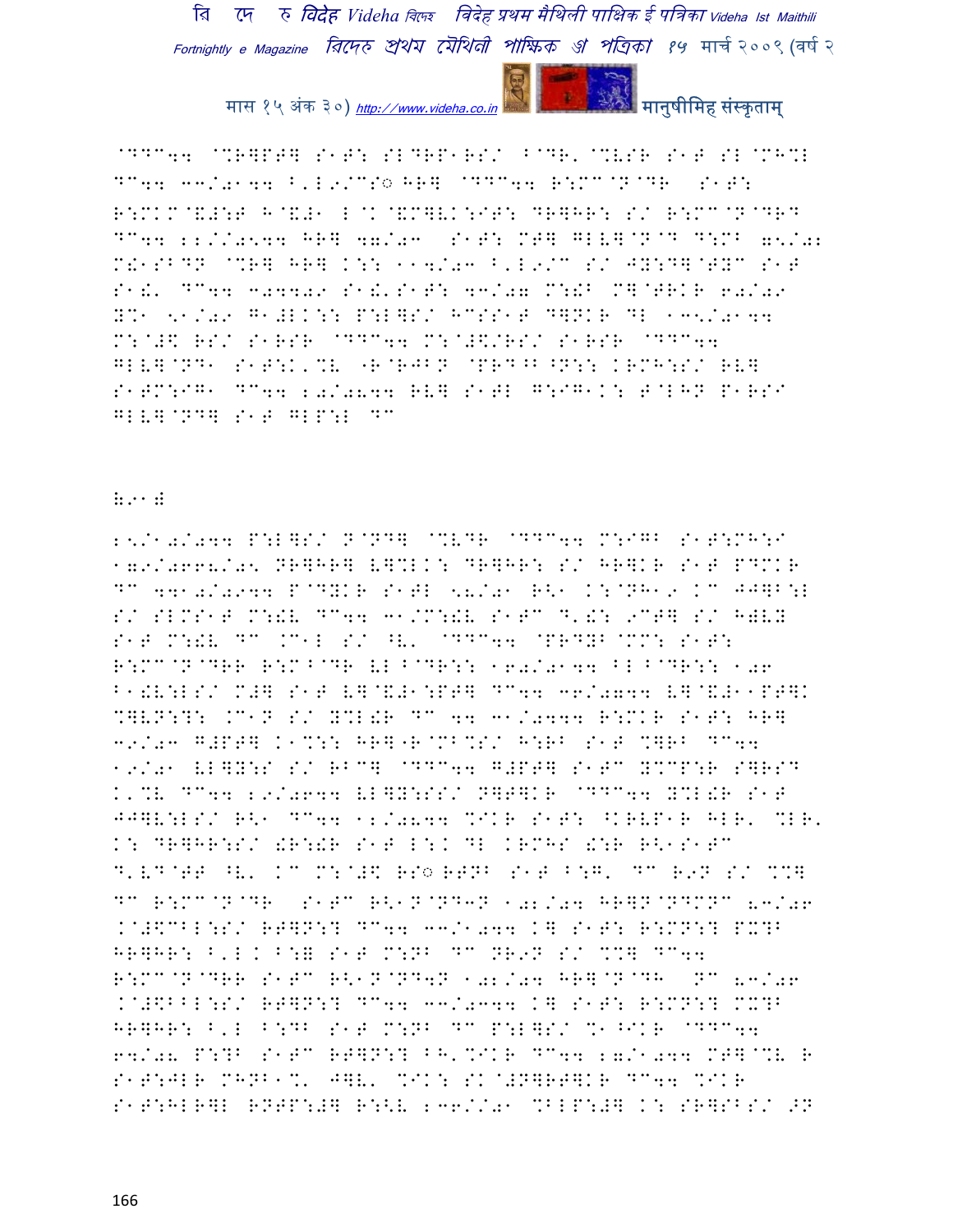मास १५ अंक ३०) <u>http://www.videha.co.in</u><br>सास १५ अंक ३०) <u>http://www.videha.co.in</u>



@DDC44 @%R]PT] S1T: SLDRP1RS/ ^@DR'@%VSR S1T SL@MH%L DC44 33/0144 B'L9/CS◌HR] @DDC44 R:MC@N@DR S1T: R:MKM@&#:T H@&#1 L@K@&M]VK:IT: DR]HR: S/ R:MC@N@DRD DC44 22//0544 HR] 47/03 S1T: MT] GLV]@N@D D:MB 75/02 M: 1SBD N DRIE HRI KI: 1140 BJ. 1150 BJ. 481991880 BJ S1!' DC44 304409 S1!'S1T: 43/07 M:!B M]@TRKR 60/09 YSTER SERVICE PROJECTS OF THE REVOLUTION OF THE PROJECTS OF THE UNIVERSITY M:@#\$ RS/ S1RSR @DDC44 M:@#\$/RS/ S1RSR @DDC44 BLLBYDH SKØRLVID GRYBDD YDPUR DIG LEDDEN DER S1PC100 DC44 20/0844 RUB S1PL B10B11 20 P1RSI S1TL G: GLOVEN SIT GLOVE

## $\mathbb{R}$   $\cdots$   $\mathbb{R}$

25/10/044 P:L]S/ N@ND] @%VDR @DDC44 M:IGB S1T:MH:I 179/0668/05 NR]HR] V]%LK: DR]HR: S/ HR]KR S1T PDMKR DC 4410/0944 P@DYKR S1TL 58/01 R<1 K:@NH19 KC JJ]B:L S/ SLOW-P CAME ATAB A COAME PART ALMO VARE PO ABLE Stat Chall an Intel Sid all saange sprak opportungs R:MC@N@DRR R:M^@DR VL^@DR:: 160/0144 BL^@DR:: 106 B1:LS:LS/ M## S1T V:LS/ M### 974 - 002400 L# N#+ P## WHEREAS IN SYSTEM ARE TO AN AGUNG STORE SHARE ARE 39/03 G#PT] K1%:: HR]"R@MB%S/ H:RB S1T %]RB DC44 19/01 VLEARS SOURCE PARK OF THE POSSES AND SINTED STORES STATES STATES STATES STATES STATES STATES STATES STATES K'%V DC44 29/0644 VL]Y:SS/ N]T]KR @DDC44 Y%L!R S1T JAJELSE POVIJERA I MORALJU STOLENJA I POVIJE U STORENJA STOLENJA STOLENJA K: DRUHR:S/ BRIBB : PROTO IN CROWN BIR REPORT D'ESTAR (H. 17 CYTER BYOGRAN SYR PAR, ST BYS KO RRE DC R:MC@N@DR S1TC R<1N@ND3N 102/04 HR]N@NDMNC 83/06 .@#\$CBL:S/ RT]N:? DC44 33/1044 K] S1T: R:MN:? PX?B HREER: B.B.C. BYE PACK ON NEW SCOTCH TOWN R:MC@N@DRR S1TC R<1N@ND4N 102/04 HR]@N@DH NC 83/06 .@#\$BBL:S/ RT]N:? DC44 33/0344 K] S1T: R:MN:? MX?B HR: B'L B: B'L BOST AN AIR DON D'AIR D'ATHLETIS ANN A' D'AIR D'AIR D'AIR D'AIR AG 64/08 P:?B S1TC RT]N:? BH'%IKR DC44 27/1044 MT]@%V R ST:JR MHND1%' "AND "MILL" ST:JLR MHHANDER DOMENT S1T:HRIL RIP:HERIL RILL RIP:HOLL II (1988) THE PICE OF SPEED FOUND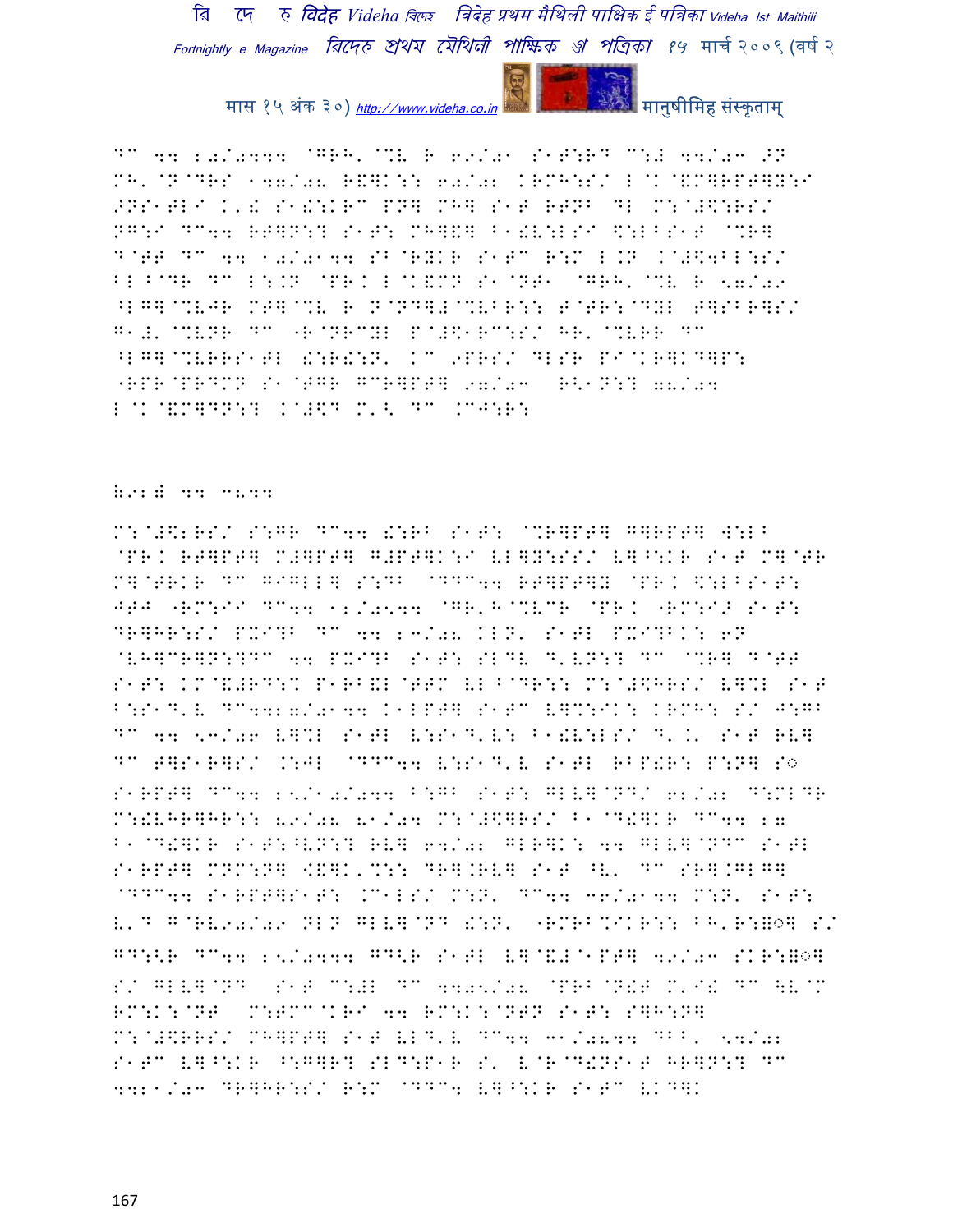

DC 44 20/0444 @GRH'@%V R 69/01 S1T:RD C:# 44/03 >N MH'@N@DRS 147/08 R&]K:: 60/02 KRMH:S/ L@K@&M]RPT]Y:I >NS1TLI K'! S1!:KRC PN] MH] S1T RTNB DL M:@#\$:RS/ NG:I DC44 RT]N:? S1T: MH]&] B1!V:LSI \$:LBS1T @%R] D@TT DC 44 10/0144 SB@RYKR S1TC R:M L.N .@#\$4BL:S/ BLOWER DR DE LIGHT DE LIGHT DE LIGHT DE LIGHT DE LIGHT ^LG]@%VJR MT]@%V R N@ND]#@%VBR:: T@TR:@DYL T]SBR]S/ B+ B. 'MEDR' MM (RONROWL POSSE' POSSE' PARTNER DO ^LG]@%VRRS1TL !:R!:N' KC 9PRS/ DLSR PI@KR]KD]P: "PRED TERMOR STY THRE CROBBER SHOWN SENSIBLE BELOWS L@K@&M]DN:? .@#\$D M'< DC .CJ:R:

## (92) 44 3844

 $\mathcal{P}:\mathcal{P}:\mathcal{P}:\mathcal{P}:\mathcal{P}:\mathcal{P}:\mathcal{P}:\mathcal{P}:\mathcal{P}:\mathcal{P}:\mathcal{P}:\mathcal{P}:\mathcal{P}:\mathcal{P}:\mathcal{P}:\mathcal{P}:\mathcal{P}:\mathcal{P}:\mathcal{P}:\mathcal{P}:\mathcal{P}:\mathcal{P}:\mathcal{P}:\mathcal{P}:\mathcal{P}:\mathcal{P}:\mathcal{P}:\mathcal{P}:\mathcal{P}:\mathcal{P}:\mathcal{P}:\mathcal{P}:\mathcal{P}:\mathcal{P}:\mathcal{P}:\mathcal{P}:\mathcal{P$ @PR. RT]PT] M#]PT] G#PT]K:I VL]Y:SS/ V]^:KR S1T M]@TR M]@TRKR DC GIGLL] S:DB @DDC44 RT]PT]Y @PR. \$:LBS1T: JTH "RM:II DO44 12/0544 MR. PMB. "TEM" MES ANYWER ST DR]HR:S/ PXI?B DC 44 23/08 KLN' S1TL PXI?BK: 6N @VH]CR]N:?DC 44 PXI?B S1T: SLDV D'VN:? DC @%R] D@TT Stational contract and the problem of the problem of the problem of the problem of the problem of the problem<br>A station of the problem of the problem of the problem of the problem of the problem of the problem of the pro B:S1D'V DC4427/0144 K1LPT] S1TC V]%:IK: KRMH: S/ J:GB DC 44 53/06 LAN STRIP STRIP SITL VIIS DESCRIPTION OF LIGHT DC THE TRING OF THE CONSTRAINTS OF THE RESIDENCE OF THE RESIDENCE OF THE RESIDENCE OF THE RESIDENCE OF THE RES S1RPTPE\_POram Girls (Starter Pitcher Starter Person) and the tractive Per MYSER-BHR:SY EDIAL ERIAR MY MEHEEI FROM DE AN DE A B14 (1981) B1:00 GLR) FR S1T:00 GLR]K: B1:002 GLR] GLR]K: 44 GREER (1991) (24 GE STRPT CROSPE KERLICS: PRRIRER STRUCHE, PO SRRIPERR @DDC44 S1RPT]S1T: .C1LS/ M:N' DC44 36/0144 M:N' S1T: V'D G@RV90/09 NLN GLV]@ND !:N' "RMRB%IKR:: BH'R:=◌] S/ GOSE COMA E L'IGHE GOSE C'HE E LESCEN D'ER SER L'IGH C'HE SIDE S/ GLOVE SIT CONTROL CONTROL CONTROL COMPONENT CONTROL CONTROL CONTROL CONTROL CONTROL CONTROL CONTROL CONTROL RM:K:@NT M:TMC@KRI 44 RM:K:@NTN S1T: S]H:N] MS/GREEZ/ MHEPFE S1F WID-DO44 31/0844 DBB 988/094 ST PROVINCE STATES OF PHEATER STATES OF A STRIP HRIDE AND DESCRIPTION 4421/03 DRIH:S:M R:M @DDC4 VKD & DDC4 VKD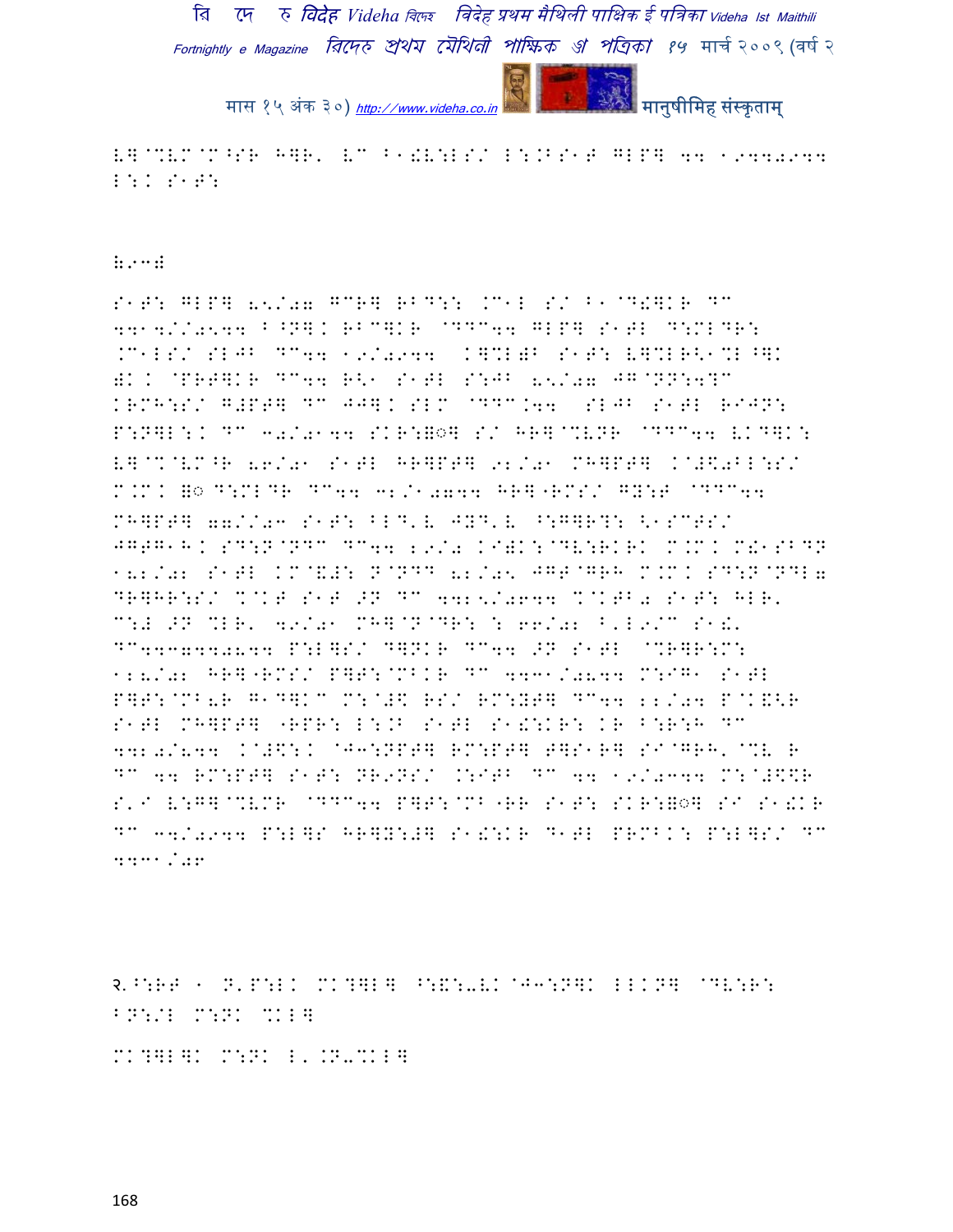मास १५ अंक ३०) <u>http://www.videha.co.in</u><br>| मानुषीमिह संस्कृताम्

V]@%VM@M^SR H]R' VC B1!V:LS/ L:.BS1T GLP] 44 19440944 List Strate

## $\mathbb{R}$   $\cdots$   $\mathbb{R}$

S1T: GLP] 85/07 GCR] RBD:: .C1L S/ B1@D!]KR DC 4414/J.A.44 BOORE REMED STRAKE WITH S1TL MITLINE  $\mathcal{L}^{\prime\prime}$  . C1LS/ SL  $\mathcal{L}^{\prime\prime}$  decays and  $\mathcal{L}^{\prime\prime}$  . C1LS similarly similar similar similar similar similar similar similar similar similar similar similar similar similar similar similar similar similar s )K. @PRT]KR DC44 R<1 S1TL S:JB 85/07 JG@NN:4?C KRMH:S/ G#PPB\_PM AABISY:DOMANIAA SYBALSY:BP\_B2AMY P:N]L:. DC 30/0144 SKR:=◌] S/ HR]@%VNR @DDC44 VKD]K: BOY WAR BE GENER SHOW HEDDED SINGLE STATISTICS OF THE SAME RESIDENCE. M.M. : Bo B571 BR (BM44 HR]"R. <u>BA44 (GP44 GPM2) (BOS</u>44 (MBH) A THEPT AANNAM PVP: BIR.E AORIE (ROOM) ENTIN JGTG1H. SD:N@NDC DC44 29/0 KI)K:@DV:RKRK M.M. M!1SBDN 182/02 S1TL KM@&#: N@NDD 82/05 JGT@GRH M.M. SD:N@NDL7 DR]HR:S/ %@KT S1T >N DC 4425/0644 %@KTB0 S1T: HLR' C:# >N %LR' 49/01 MH]@N@DR: : 66/02 B'L9/C S1!' DC4437440844 P:L]S/ D]NKR DC44 >N S1TL @%R]R:M: 128/02 HR]"RMS/ P]T:@MBKR DC 4431/0844 M:IG1 S1TL P]T:@MB8R G1D]KC M:@#\$ RS/ RM:YT] DC44 22/04 P@K&<R STREE STARE BROWN "REPORT OF STREET STREET BROWN DOOR "PORTS" "ROOM 4420/844 .@#\$:. @J3:NPT] RM:PT] T]S1R] SI@GRH'@%V R DC 44 RM:PT] S1T: NR9NS/ .:ITB DC 44 19/0344 M:@#\$\$R S'I V:GARR VOLCH (VRRMAA) PRESINT: SER SI SA SI SI SI SOR: SKRIST: SI SI S DC 34-0944 P:LEB DO 54-0945 P:LEB DI SI SI P:LIS HRIJO 4431/06

२.^:RT 1 N'P:LK MK?]L] ^:&:-VK@J3:N]K LLKN] @DV:R: BN://L M:NK %KL MK?]L]K M:NK L'.N-%KL]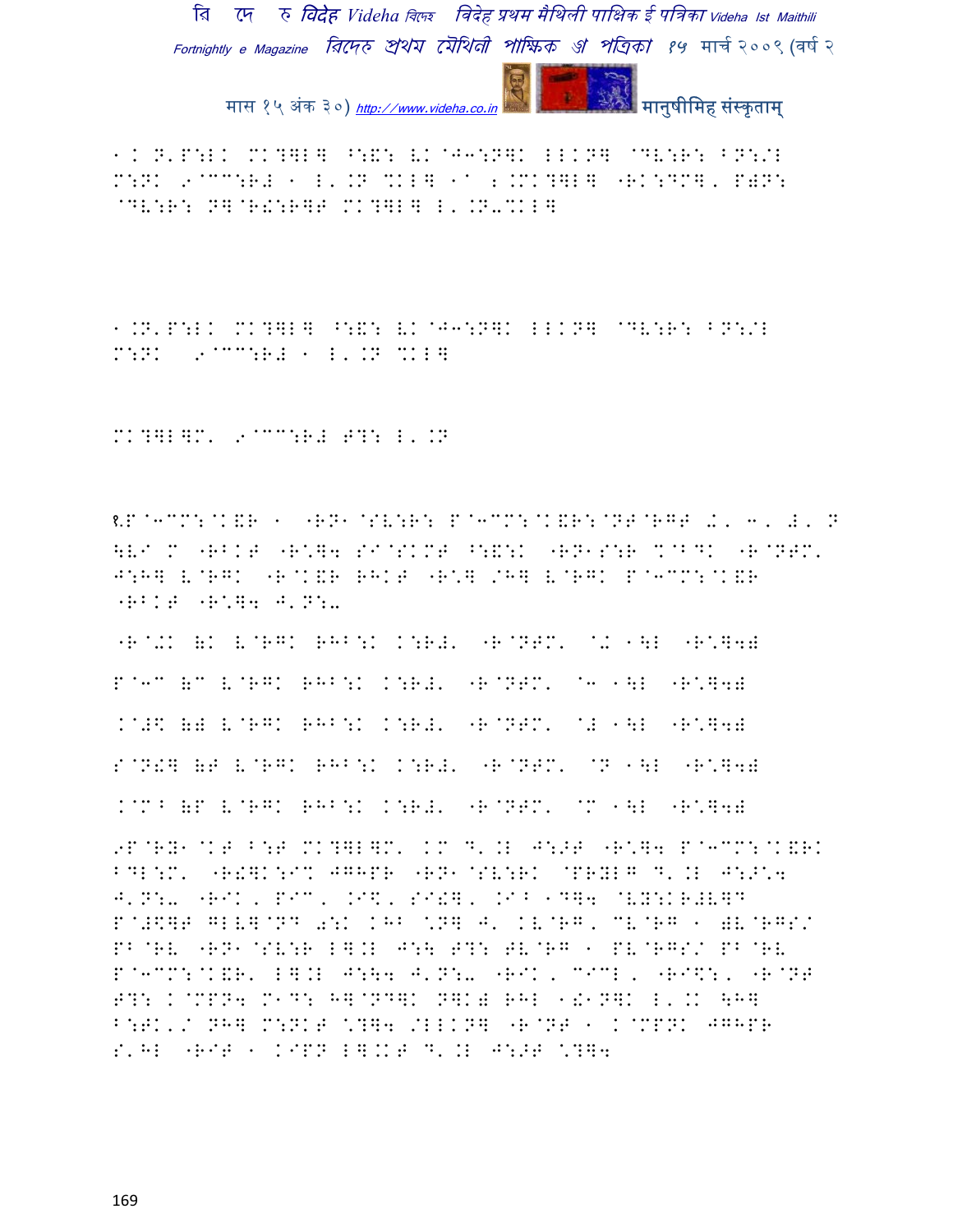मास १५ अंक ३०) <u>http://www.videha.co.in</u> स्थिति स्थिति सानुषीमिह संस्कृताम्

1. N'P:LK MK?]L] ^:&: VK@J3:N]K LLKN] @DV:R: BN:/L M:NK 9@CC:R# 1 L'.N %KL] 1a 2.MK?]L] "RK:DM], P)N: **MUSHER MENTING MARKET MARKET MENTING MENTING MENTING MENTING MENTING MENTING MENTING MENTING MENTING MENTING M** 

1.N'P:LK MK?]L] ^:&: VK@J3:N]K LLKN] @DV:R: BN:/L MINI 9 COCIEDA 9 L'IN MILE

MK?)

१.P@3CM: P@3CM: P@3CM: P@3CM: P@3CM: P@3CM: P@3CM: P@3CM: P@3CM: P@3CM: P@3CM: P@3CM: P@3CM: P@3CM: P@3CM: P@3CM: P@3CM: P@3CM: P@3CM: P@3CM: P@3CM: P@3CM: P@3CM: P@3CM: P@3CM: P@3CM: P@3CM: P@3CM: P@3CM: P@3CM: P@3CM: P@3 \VI M "RBKT "R\*]4 SI@SKMT ^:&:K "RN1S:R %@BDK "R@NTM' J:H] V@RGK "R@K&R RHKT "R\*] /H] V@RGK P@3CM:@K&R "RBKT "R\*DH" "R\*DH"

"R@+K (K V@RGK RHB:K K:R#' "R@NTM' @+ 1\L "R\*]4) P@3C (C V@RGK RHB:K K:R#' "R@NTM' @3 1\L "R\*]4)  $.0145$  (data respectively)  $.01441$  (see 1.0  $.01441$  and  $.01444$ SONE EFICIN PROVINCING RENEW ON PROVINCI  $\mathcal{L}(\mathcal{D})$  (P  $\mathcal{L}(\mathcal{D})$  and  $\mathcal{L}(\mathcal{D})$  ) and  $\mathcal{L}(\mathcal{D})$  . Then  $\mathcal{L}(\mathcal{D})$  and  $\mathcal{L}(\mathcal{D})$ 

9P@RY1@KT B:T MK?]L]M' KM D'.L J:>T "R\*]4 P@3CM:@K&RK BOL:M' "REALD AND "ROW" "REALD DOWN" DESIGNED AND ALL AND SUPPORT " J'N:- "RIK, PIC, .I\$, SI!], .I^ 1D]4 @VY:KR#V]D P@#\$]T GLV]@ND 0:K KHB \*N] J' KV@RG, CV@RG 1 )V@RGS/ PB@RV "RN1@SV:R L].L J:\ T?: TV@RG 1 PV@RGS/ PB@RV P@3CM:@K&R' L].L J:\4 J'N:- "RIK, CICL, "RI\$:, "R@NT TRIN COMPONE DY PN (PROPPRO DRIGA BRE) Y 2010RED EL COURFRE B:THE ZIGHT AND A MILLION THE METHOD OF THE 1 MILLION OF THE 1 S'HL "RIT 1 KIPS 1812 DI.L J: ANDRO 188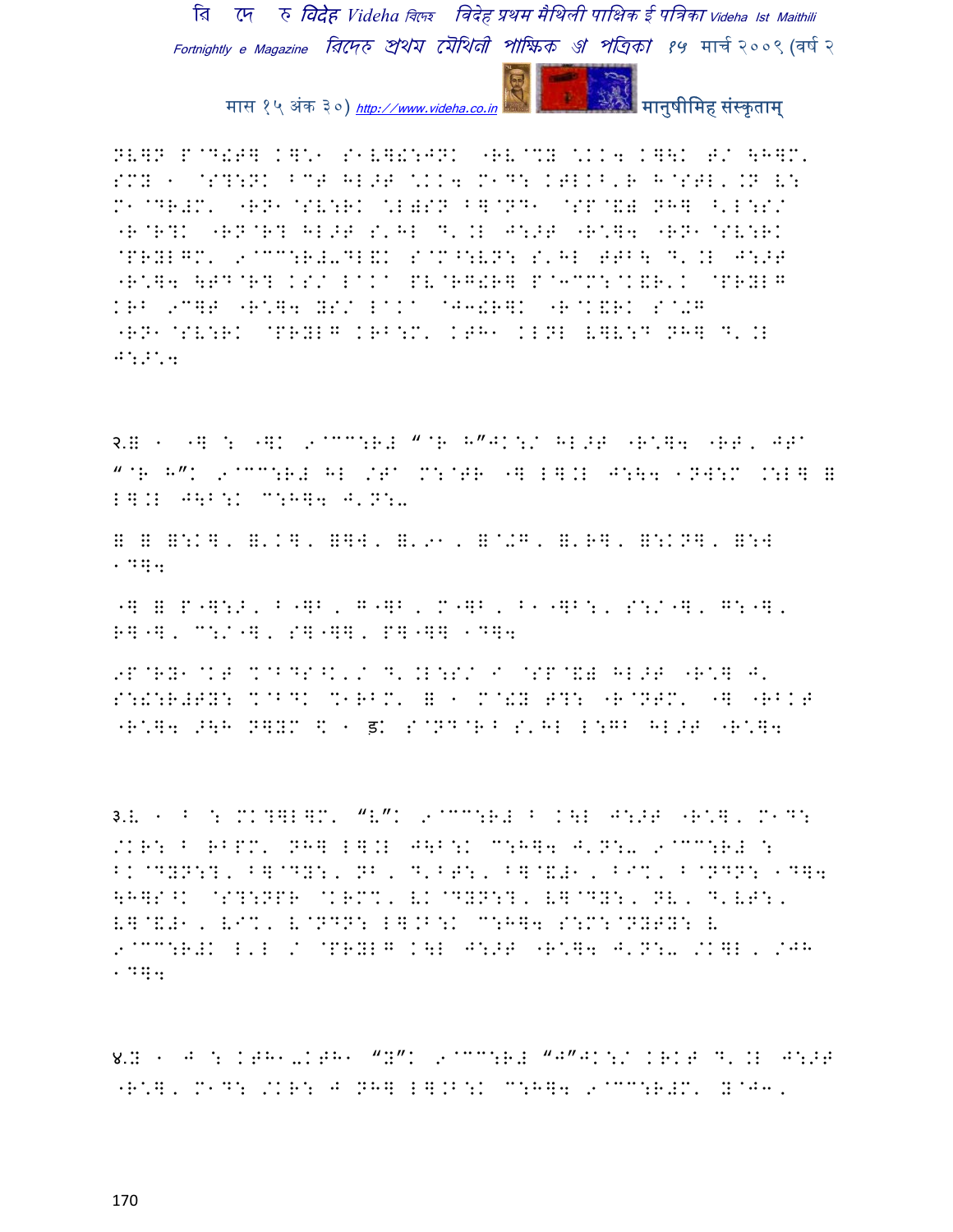## मास १५ अंक ३०) http://www.videha.co.in | सामानिक मानुषीमिह संस्कृताम्



NV]N P@D!T] K]\*1 S1V]!:JNK "RV@%Y \*KK4 K]\K T/ \H]M' SMY 1 @S?:NK BCT HL>T \*KK4 M1D: KTLKB'R H@STL'.N V: M1@DR#M' "RN1@SV:RK \*L)SN B]@ND1 @SP@&) NH] ^'L:S/ "R@R?K "RN@R?K "RN@R?K "RN@R?K "RN@R?K "RN@R?K "RN@R?K "RN@R?K "RN@R?K "RN@R?K "RN#1@SV:RK @PRYLGM' 9@CC:R#-DL&K S@M^:VN: S'HL TTB\ D'.L J:>T "R\*]4 \TD@R? KS/ LaKa PV@RG!R] P@3CM:@K&R'K @PRYLG KRB 9CH 9ESH BIJ ETI "RAKAH "R"IBI ETI "ANN" MEDAL "THORP IRSOL IPH" IRU KORA DAN DAN DI  $\{H_1, H_2, \ldots\}$ 

२.**:** 1 (मार्ग) : "Kontribut " "B (मार्ग) : "But "Britten (BB) (BB) " "B" H"K 9 CC" HE HE SAN THING " HAIR "HAR SAN THING" L'AN CHE COMME DE L'AN CHE COMME DE L'AN CHE COMME DE L'AN CHE COMME DE L'AN CHE COMME DE L'AN CHE COMME DE L'

= = =:K], ='K], =]W, ='91, =@+G, ='R], =:KN], =:W  $1.994$ 

"] = P"]:>, B"]B, G"]B, M"]B, B1"]B:, S:/"], G:"], R]"], C:/"], S]"]], P]"]] 1D]4

9P@RY1@KT %@BDS^K'/ D'.L:S/ I @SP@&) HL>T "R\*] J' S:!:R#TY: %@BDK %1RBM' = 1 M@!Y T?: "R@NTM' "] "RBKT "R# NIRA "DRA "DRA BELLE NO STORY "DRA STORY" BELLE NA THE DRA SHENDA SHOW "RE

3.E + + h : MINHIH! "WEW! . MUNIC: T : H : F : H : H : H : H : T + H : /KR: B RBPM' NH] L].L J\B:K C:H]4 J'N:- 9@CC:R# : BK@DYN:?, B]@DY:, NB, D'BT:, B]@&#1, BI%, B@NDN: 1D]4 \H]S^K @S?:NPR @KRM%, VK@DYN:?, V]@DY:, NV, D'VT:, V]@&#1, VI%, V@NDN: L].B:K C:H]4 S:M:@NYTY: V 9 CCC:R#CH: BOLE / ZOO CE:R#EE ROOT AR AR AR JE NEW HAYER (AL JE NEW HEI ) & ZAR I  $1.994$ 

४.Y 1 J : KTH1-KTH1 "Y"K 9@CC:R# "J"JK:/ KRKT D'.L J:>T "R\*], M1D: /KR: J NH] L].B:K C:H]4 9@CC:R#M' Y@J3,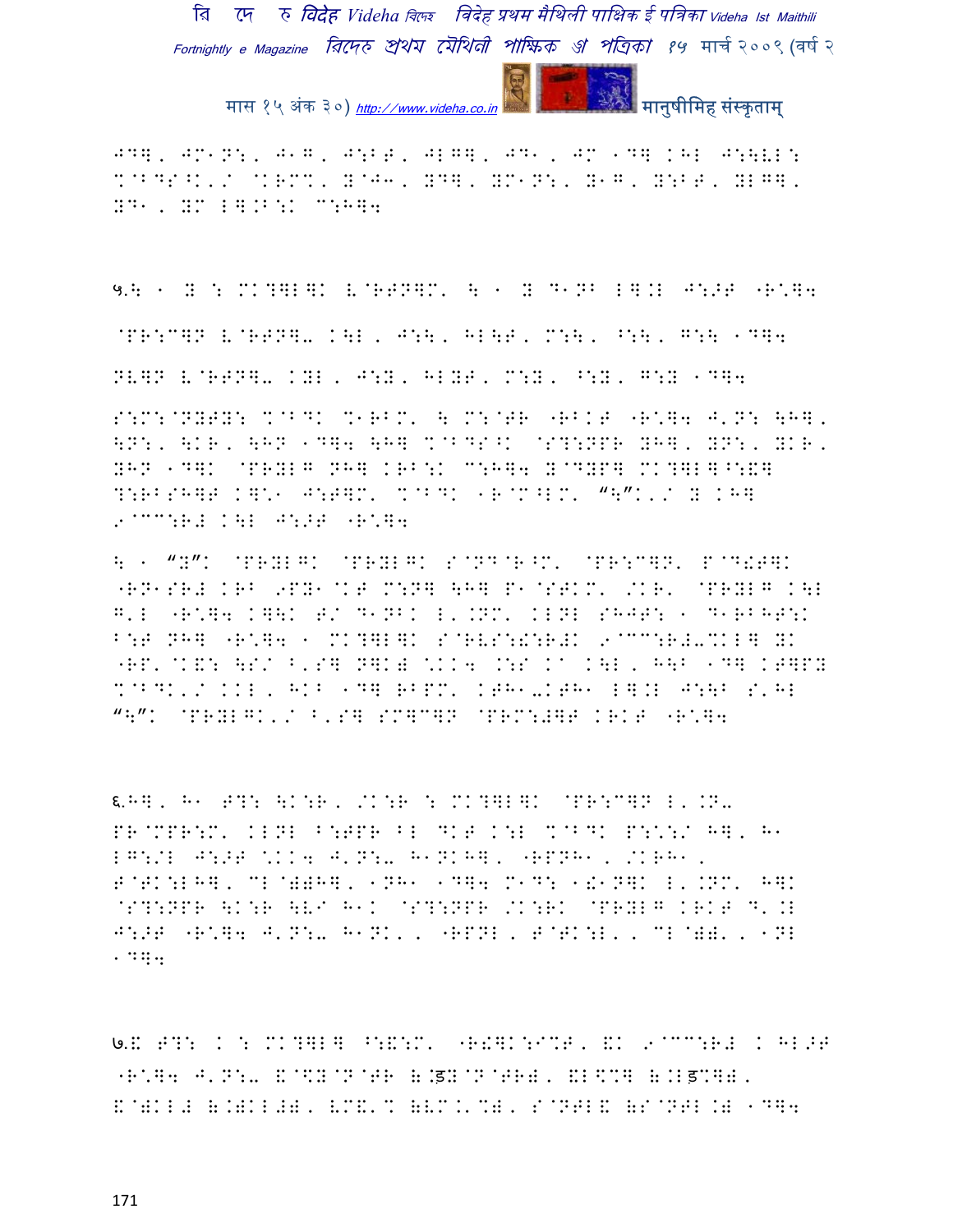मास १५ अंक ३०) <u>http://www.videha.co.in</u> स्थिति स्थिति सानुषीमिह संस्कृताम्

JD], JM1N:, J1G, J:BT, JLG], JD1, JM 1D] KHL J:\VL: %@BDS^K'/ @KRM%, Y@J3, YD], YM1N:, Y1G, Y:BT, YLG], YD1, YM L].B:K C:H]4

 $9.5 \rightarrow 0.3$  :  $5.71344441$   $\pm 1.34444241$  ,  $5.75441$   $\pm 1.344441$   $\pm 1.44441$   $\pm 1.44444$ 

 $\sim$  PR: CATE OF THE PROPERTY CONTINUES. HE ASSOCIATED AS A CONTINUES OF  $\sim$  The  $\sim$  The  $\sim$ 

NAVAR AL TERRAHL, ICHE LI HAH LI HEHE LI DAH LI HAYA LI HAH HI HAYAH

S:M: MHADK M'N'N: %BCK & MYTH, ARIE "REAR" A.H. HAD,  $\texttt{HPR}$  ,  $\texttt{HPR}$  ,  $\texttt{HPR}$  ,  $\texttt{HPR}$  ,  $\texttt{HPR}$  ,  $\texttt{HPR}$  ,  $\texttt{HPR}$  ,  $\texttt{HPR}$  ,  $\texttt{HPR}$  ,  $\texttt{HPR}$ HAN 1991 1PHILA NHE CHING THAN BINIPE MCHILBININ  $3.54647$  and  $3.7474$   $\sim$   $3.7474$  . The mass  $10.747$  is the mass  $10.77$  in the mass  $10.77$ 9. TO THE KALL AND REAL PROPERTY

\ 1 "Y"K @PRYLGK @PRYLGK S@ND@R^M' @PR:C]N' P@D!T]K "RINTED (B) VIOLICE DVIC RACE MINIC, NOR, MEDICAL G'L "R\*INA IND" BI "R\*DI" E. IDI, 11 D1 (PRAPY) KURDERAN B:T NH] "R\*]4 1 MK?]L]K S@RVS:!:R#K 9@CC:R#-%KL] YK  $R$  . The state of the state of the state of the state of the state of the state of the state  $R$ %@BDK'/ KKL, HKB 1D] RBPM' KTH1-KTH1 L].L J:\B S'HL "H"C @PRHIBM: 2004 S. 2004 STURNER @PRYLEGK 19:19 SHORN

६.HE, H1 FER RIGH, /K:R & MITHER (FROM RIGH) PR@MPR:M' KLNL B:TPR BL DKT K:L %@BDK P:\*:/ H], H1 LG:/L J://LG:/LG:/LAI://LAI://LAI://LAI://LAI://LAI://LAI://LAI://LAI://LAI://LAI://LAI://LAI://LAI://LAI://LA THO NEARLY THO ANNA LIVE DAY A TRAINING AN AIR AN DRIVING IN LIGHT (1980) @S?:NPR \K:R \VI H1K @S?:NPR /K:RK @PRYLG KRKT D'.L J:>T "R\*]4 J'N:- H1NK', "RPNL, T@TK:L', CL@))', 1NL  $1.994$ 

७.& T?: . : MK?]L] ^:&:M' "R!]K:I%T, &K 9@CC:R# . HL>T "R\*]4 J'N:- &@\$Y@N@TR (.ड़Y@N@TR), &L\$%] (.Lड़%]), &@)KL# (.)KL#), VM&'% (VM.'%), S@NTL& (S@NTL.) 1D]4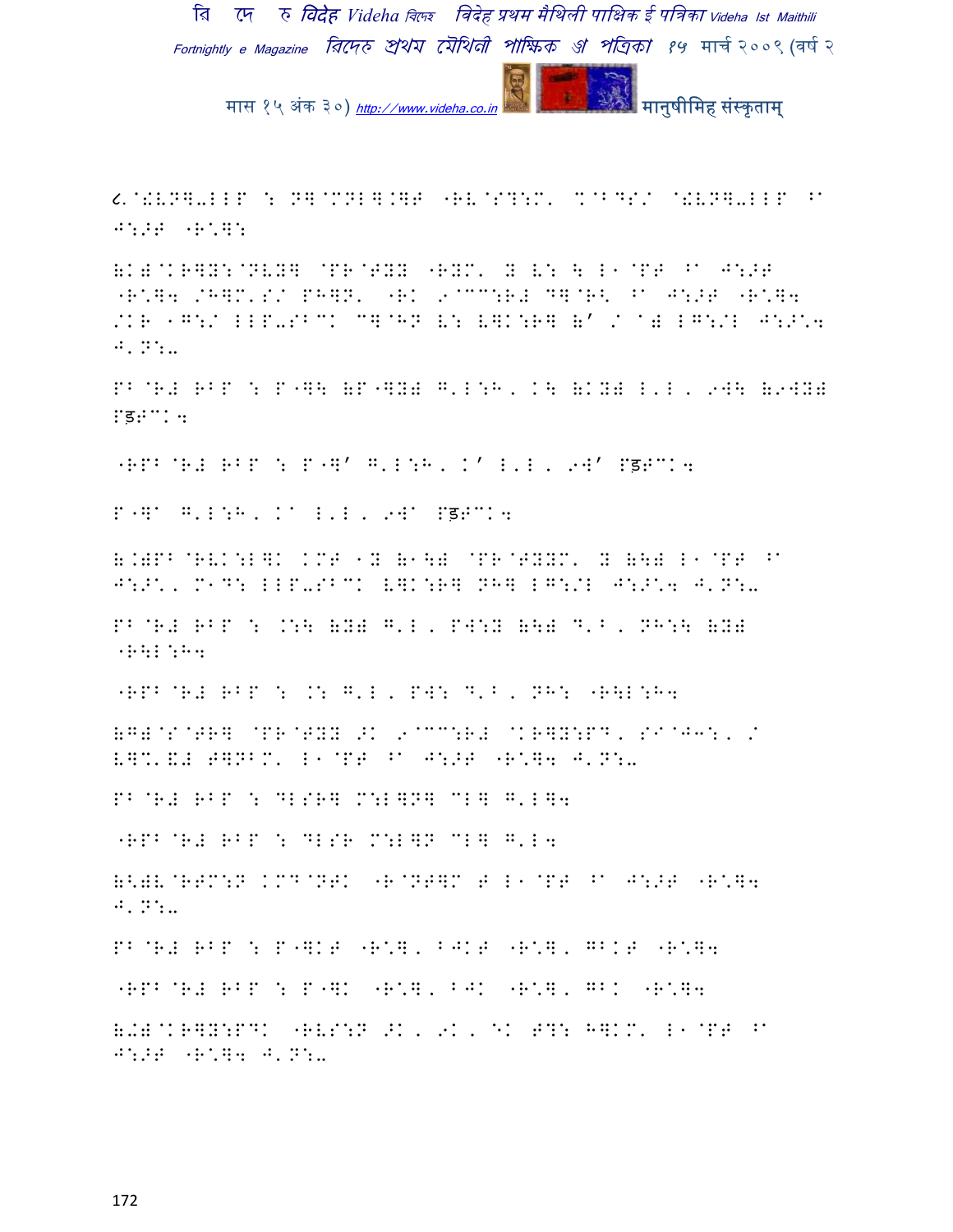मास १५ अंक ३०) <u>http://www.videha.co.in</u>

८.@!VN]-LLP : N]@MNL].]T "RV@S?:M' %@BDS/ @!VN]-LLP ^a J:>T "R\*]:

(K)@KRIY:@NVYRINE\@TVP\YONI\@Y#NYMY@TYY@TYY@NYMY@TYY "R\*]4 /H]M'S/ PH]N' "RK 9@CC:R# D]@R< ^a J:>T "R\*]4 /KR 1G:/ LLP-SBCK C]@HN V: V]K:R] (' / a) LG:/L J:>\*4  $\mathcal{F}_1$ :  $\mathcal{F}_2$  :  $\mathcal{F}_3$ 

PRODUCED : P" (P") G" (P") G" (P") C") (P") G") G" (P") L'AN (9WY) C")  $\mathbf{F}\mathbf{S}\mathbf{F}^{\mathbf{C}}$ 

"RPB" REPORT : PORT PORT RADIO : P" ELE LO 247 PSATON

P'AP' A. PHANK COMPANY, PACIFICAL

(B) CHERRY (1) PB EXT 19 (20) BEAU (1) THE THOROUGH IN BEAUTOF THE CORP. J:>\*, M1D: LLP-SBCK V]K:R] NH] LG:/L J:>\*4 J'N:-

PR (PA) PR P: 5 .: (YA) GOLE P. E. () PASO GALE P. P. P. (YASA) GOLE  $R\cdot H\cdot H\cdot H\cdot H$ 

"RPB@R# RBP : .: G'L, PW: D'B, NH: "R\L:H4

(G)@S@TR] @PR@TYY >K 9@CC:R# @KR]Y:PD, SI@J3:, /  $X$  . The Taulor of The Company of the Table of The Table of The Table of Table of Table of Table of Table of Table of Table of Table of Table of Table of Table of Table of Table of Table of Table of Table of Table of Tabl

PB@R# RBP : DLSR] M:L]N] CL] G'L]4

 $R$ 

(<)V@RTM:N KMD@NTK "R@NT]M T L1@PT ^a J:>T "R\*]4  $\mathcal{F}$ :  $\mathcal{F}$  :  $\mathcal{F}$ 

PROTECT : PART OF THE REPORT OF RISP. (PENDING "REST "RENTH"

"RPBP" (1981) : PER (1981) : P"ANDRE, GRAPH "RED" (1981) : P"P", GRAPH "RED" (1981) : P"P", T"P" (1981) : P"P

(+)@KR]Y:PDK "RVS:N >K, 9K, EK T?: H]KM' L1@PT ^a J:: T "R\*!!! A T "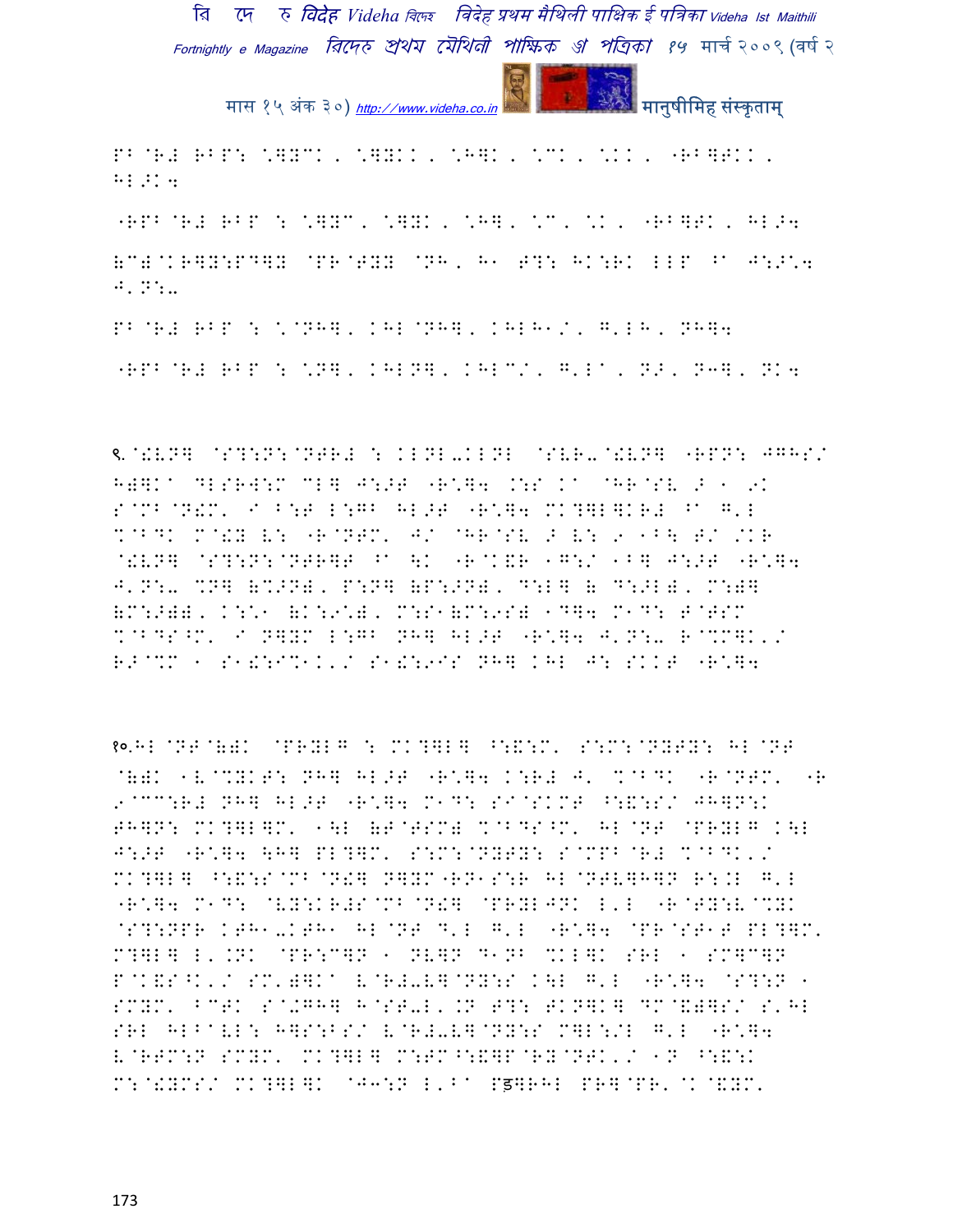मास १५ अंक ३०) http://www.videha.co.in स्थिती स्थिति**में भानुषीमिह संस्कृताम्** 

PB@R# RBP: \*]YCK, \*]YKK, \*H]K, \*CK, \*KK, "RB]TKK,  $H_1, H_2, H_3$ 

"RPB@R# RBP : \*]YC, \*]YK, \*H], \*C, \*K, "RB]TK, HL>4 (C) EXTERTS THE RESOURCE AND HIS HIS HIS REPORT HIS HIS HIS  $\mathcal{F}_1$ :  $\mathcal{F}_2$ :  $\mathcal{F}_3$ 

PB@R# RBP : \*@NH], KHL@NH], KHLH1/, G'LH, NH]4

"RPB@R# RBP : \*N], KHLN], KHLC/, G'La, N>, N3], NK4

९.@!VN] @S?:N:@NTR# : KLNL-KLNL @SVR-@!VN] "RPN: JGHS/ H)]Ka DLSRW:M CL] J:>T "R\*]4 .:S Ka @HR@SV > 1 9K SOMBON SOMETHE REAL SECTION CONTINUES OF THE %@BDK M@!Y V: "R@NTM' J/ @HR@SV > V: 9 1B\ T/ /KR @!VN] @S?:N:@NTR]T ^a \K "R@K&R 1G:/ 1B] J:>T "R\*]4 J'N:- %N] (%>N), P:N] (P:>N), D:L] ( D:>L), M:)] (MT), MH: (MI), M:S1(M:), This MT), The STRAY TO THE POINT % MPS PDS (AN) PHONOGENHAL PHILAGE AND HIS NHILL-RONNELS IN RO MONTH PER KISTO I SI ING KABUPAT DARA DI RANG HIDI KE PANGHA

१०.H: 12# 18#! | KERYLG : MKRYLG : MKRYLG : MKRYLG : MKRYLG : ME @()K 1V@%YKT: NH] HL>T "R\*]4 K:R# J' %@BDK "R@NTM' "R 9@CC:R# NH] HL>T "R\*]4 M1D: SI@SKMT ^:&:S/ JH]N:K THERS IN THE END A HE GENERAL MINIMUM WAS NOTED FOR A SERIES OF THE REPORT OF  $\mathbb{R}^n$ J:>T "R\*]4 \H] PL?]M' S:M:@NYTY: S@MPB@R# %@BDK'/ MACHER STEEL MAN MARK PROVINCING HE MALERED GYLD RIE "RANDAR" DY PAS ("BOBA") ROEN NDA NDAGA ("PROBLAD") @PRYLJE LE "RAPYLA BONDA NOON @S?:NPR KTH1-KTH1 HL@NT D'L G'L "R\*]4 @PR@ST1T PL?]M' MINE ROLL LIST COMPANY SO DERES THOS NI ERIC LIGHT SO LIGHTER. POMER POLICI (POLIBRO TO BOTHLER TRANSPORTED RICE) (PHORH) (STRNER S)  $S$  small decreases that the state section of the state  $S$  satisfies the state  $S$ SRL HLBaVL: H]S:BS/ V@R#-V]@NY:S M]L:/L G'L "R\*]4 V@RTM:N SMYM' MK?]L] M:TM^:&]P@RY@NTK'/ 1N ^:&:K M: YANDIY, WORREN MANIPERS PSEEM PRESENT MAND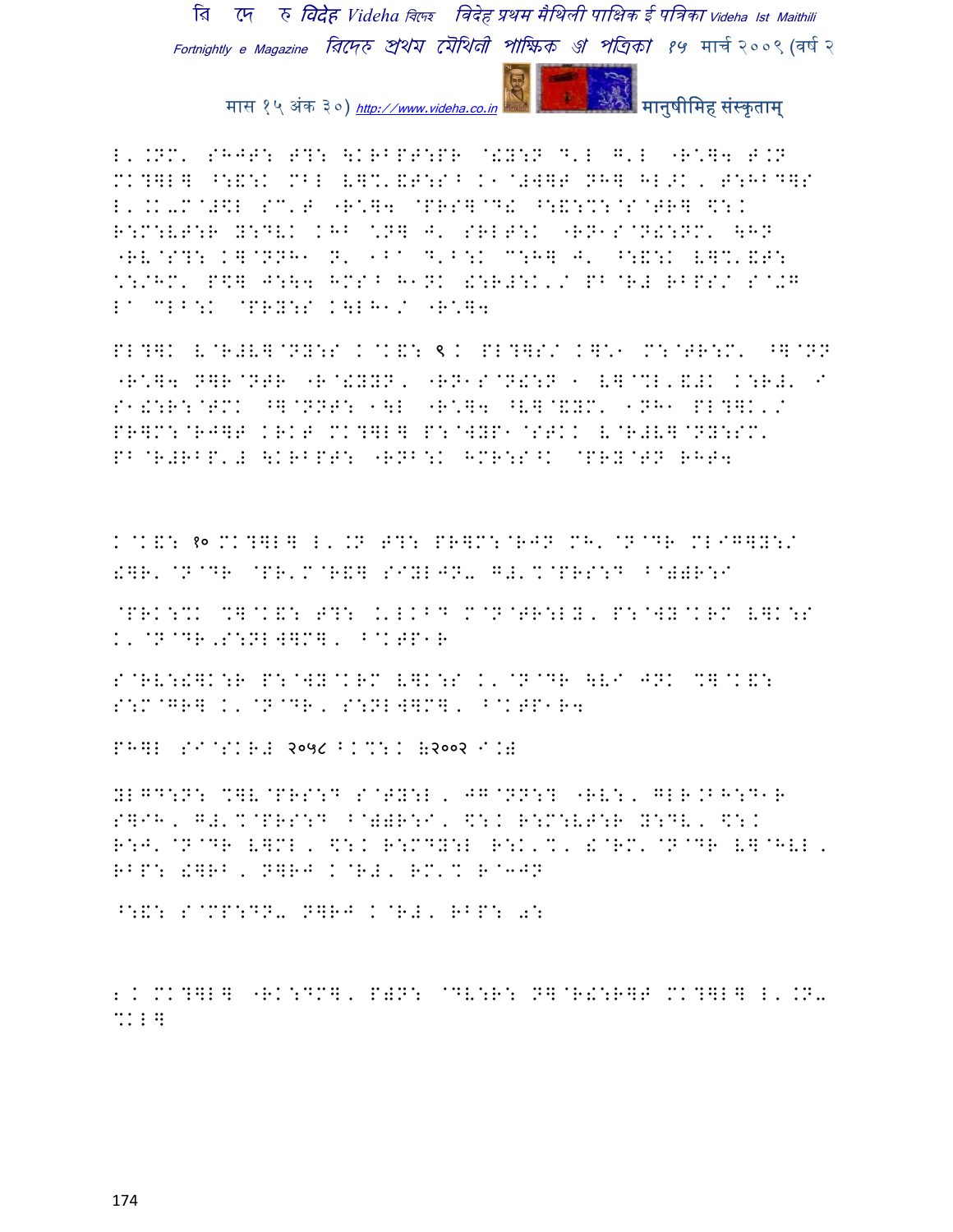मास १५ अंक ३०) <u>http://www.videha.co.in</u><br>सास १५ अंक ३०) <u>http://www.videha.co.in</u>

L'.NM' SHARY RIN BIPPERENT MORE ALL AND SPURSEN MK?) THE HIS MAKE WE ARREST CONTROL OF THE MEAN AND MANUTED L'.K-M@#\$L SC'T "R\*]4 @PRS]@D! ^:&:%:@S@TR] \$:. R:M:VT:R Y:DVK KHB \*N] J' SRLT:K "RN1S@N!:NM' \HN  $R$  . Results the property of the Distribution of the Distribution  $R$ \*:/HM' P\$] J:\4 HMS^ H1NK !:R#:K'/ PB@R# RBPS/ S@+G  $\frac{1}{2}$  . The class of the class of the class of the class of the class of the class of the class of the class of the class of the class of the class of the class of the class of the class of the class of the class of t

PL?B: L'HELBYSEN : VEN 8: PL?BR: (BN) CH'HENY: (BYS) "R#NJRA" (PRE NPRE) "RENTRED", "REPRENDRED "ROLLER" IN 1 DE 1 NEBEL "RO  $S$  : and the state of the state of the state of the state of the state of the state of the state of the state of the state of the state of the state of the state of the state of the state of the state of the state of the PRACH MAARA (1918) P: CONARA A (PHORAGE) MARI L'ALMAGEA MORENCI. PB@R#RBP'# \KRBPT: "RNB:K HMR:S^K @PRY@TN RHT4

KANA: 19 MARS 20 MARS 20 MARS 20 MARS 20 MARS 20 MARS 20 MARS 20 MARS 20 MARS 20 MARS 20 MARS 20 MARS 20 MARS 20  $R$ GRA) (DR 1986) (PRANA) SIYOR GADI, A GI, D 1986169 (PRSER GAD

@PRESINCE: CAR (CORNER VIOLES) P.F. DO DE NARNE BOURD MAN VIA DO LARS NAT K' MORTHLAND, AND ANNOUNCE AND ANNOUNCE AND A

S@RK:RESORY: REPORT OF THE TWO CONTROL TO THE SERVE SERVERS SS:MORRIS KONGRESS KOMPANIER

 $P^1$ PH $P^2$ L Simple Band Band Book and  $P^2$  and  $P^2$  and  $P^2$  are  $P^2$  and  $P^2$ 

YLGD:N: %]V@PRS:D S@TY:L, JG@NN:? "RV:, GLR.BH:D1R S]IH, G#'%@PRS:D ^@))R:I, \$:. R:M:VT:R Y:DV, \$:. R:J'@N@DR V]ML, \$:. R:MDY:L R:K'%, !@RM'@N@DR V]@HVL, RRBP: PHEROPHIC ROCK ROAD

^:&: S@MP:DN- N]RJ K@R#, RBP: 0:

2. MK?]L] "RK:DM], P)N: @DV:R: N]@R!:R]T MK?]L] L'.N-  $T: H$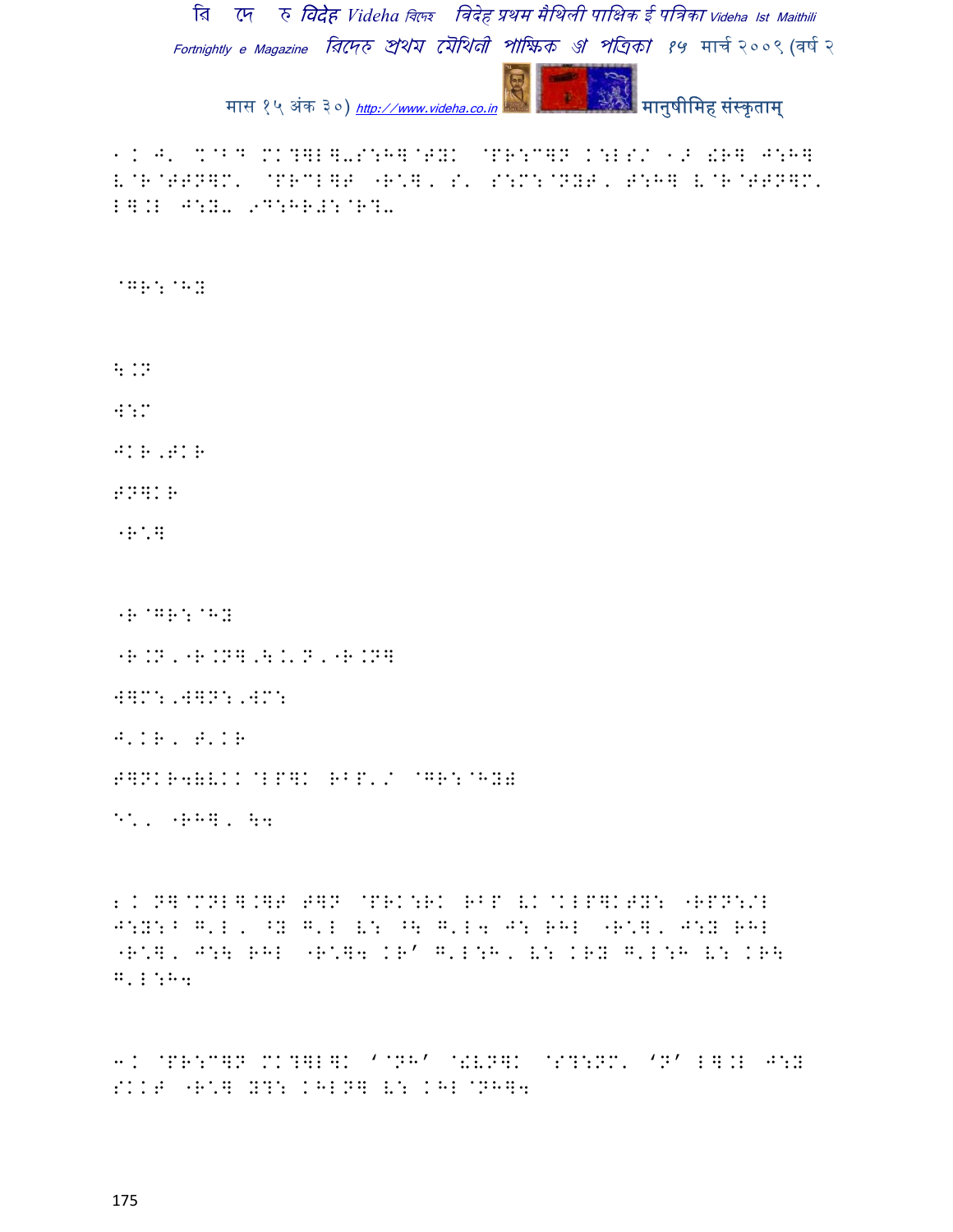मास १५ अंक ३०) http://www.videha.co.in स्थितीया मानुषीमिह संस्कृताम्

1. J' %@BD MK?]L]-S:H]@TYK @PR:C]N K:LS/ 1> !R] J:H]  $\mathbb{R}^n$  (statistically dependent of  $\mathbb{R}^n$ ), so that is statistically dependent of  $\mathbb{R}^n$ 1911 - 9D:HR#: 9D:HR#:

@GR:@HY

 $\ddot{\mathbf{h}}$  :  $\ddot{\mathbf{h}}$ 

W:M

JKR,TKR

**BOOK** 

 $\mathcal{R}$  :  $\mathcal{R}$  :  $\mathcal{R}$  :

"R@GR:@HY "R.N,"R.N],\.'N,"R.N]

WHIM:, WHIM:

J'KR, T'KR

FARE READS OF REAL PROPERTY AND A REAL PROPERTY AND INCOME.

 $E_{\rm tot}$   $\sim$   $\pm$   $\pm$   $\pm$   $\pm$   $\pm$   $\pm$ 

2. N]@MNL].]T T]N @PRK:RK RBP VK@KLP]KTY: "RPN:/L J:Y:^ G'L, ^Y G'L V: ^\ G'L4 J: RHL "R\*], J:Y RHL "R\*], J:\ RHL "R\*]4 KR' G'L:H, V: KRY G'L:H V: KR\ G'L:H4

3. @PR:C]N MK?]L]K '@NH' @!VN]K @S?:NM' 'N' L].L J:Y SKKT "R\*D" HILL THE RHOUSE IN THE THING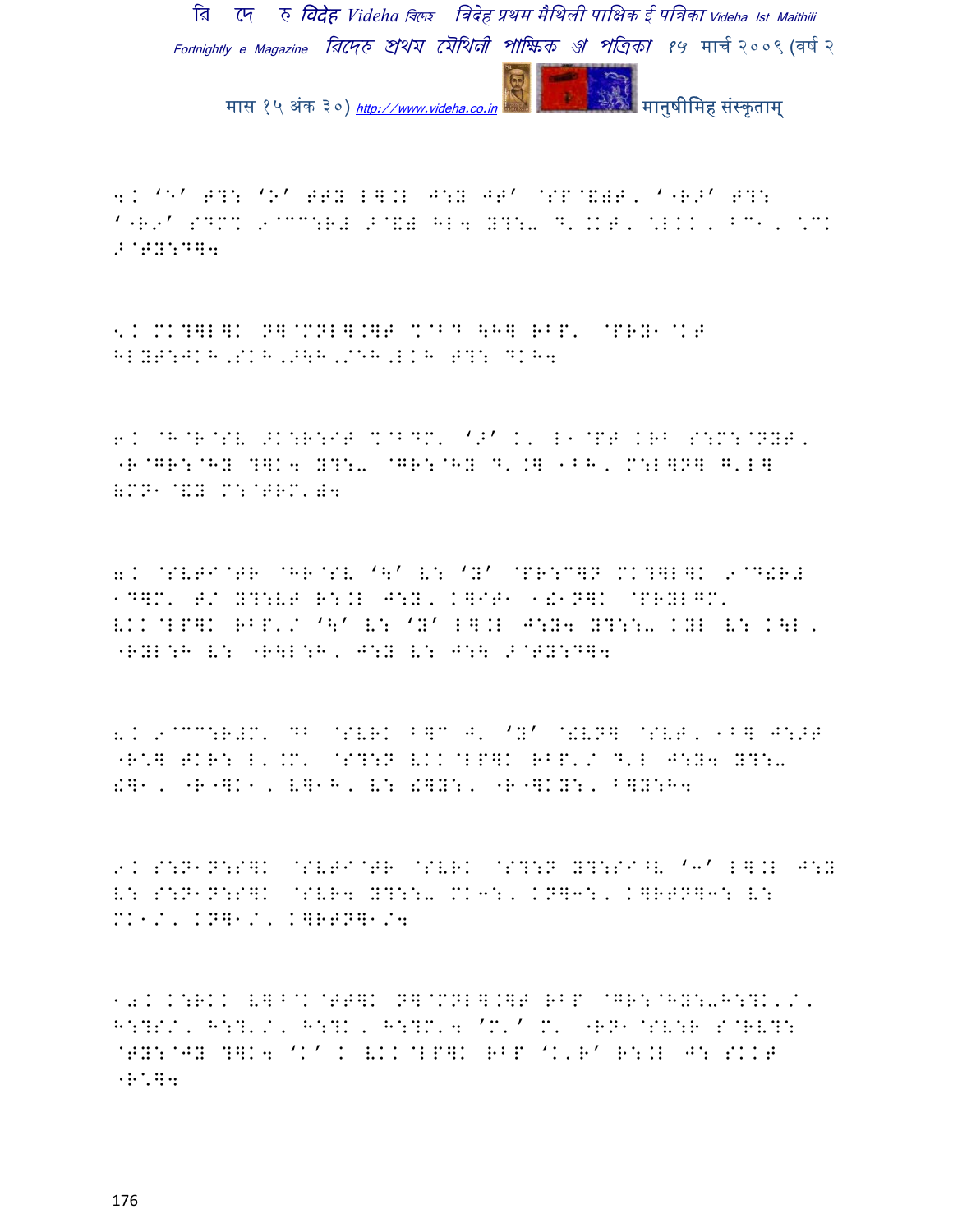मास १५ अंक ३०) <u>http://www.videha.co.in</u> स्थिति स्थिति सानुषीमिह संस्कृताम्

4. 'E' T?: 'O' TTY L].L J:Y JT' @SP@&)T, '"R>' T?: '"R9' SDM% 9@CC:R# >@&) HL4 Y?:- D'.KT, \*LKK, BC1, \*CK >@TY:D]4

5. MK?]L]K N]@MNL].]T %@BD \H] RBP' @PRY1@KT HEYES:DA, SKIH, JOHN, SKH, SKH, SKIH, SKIH,

6. @H@R@SV >K:R:IT %@BDM' '>' K' L1@PT KRB S:M:@NYT,  $R$  . The state of the state of the state of the state of the state of the state of the state of the state of the state of the state of the state of the state of the state of the state of the state of the state of the stat (MN1@&Y M:@TRM')4

7. @SVTI@TR @HR@SV '\' V: 'Y' @PR:C]N MK?]L]K 9@D!R# 1999 - 1999 - 1999 - 1999 - 1999 - 1999 - 1999 - 1999 - 1999 - 1999 - 1999 - 1999 - 1999 - 1999 - 1999 - 1999<br>1999 - 1999 - 1999 - 1999 - 1999 - 1999 - 1999 - 1999 - 1999 - 1999 - 1999 - 1999 - 1999 - 1999 - 1999 - 1999 KOLPHER RELATIVE AND VAN BROWNER WERE AND STEEL ONE CHANGES "RHISH ES "RHISH, FRI ES FRA J'AHSTRA

8. 9@CC:R#M' DB @SVRC BIC:R#M' DB @SVRC DB @SVRC DB @SVRC DB @SVT, 1880 "R\*] TKR: L'.M' @S?:N VKK@LP]K RBP'/ D'L J:Y4 Y?:- !]1, "R"]K1, V]1H, V: !]Y:, "R"]KY:, B]Y:H4

9. S:N1N:S]K @SVTI@TR @SVRK @S?:N Y?:SI^V '3' L].L J:Y  $\mathbb{R}$  : S:N1N:S:N1N:Site of Material State of Material State of Material State of Material State of Material State of Material State of Material State of Material State of Material State of Material State of Material St MK1/, KN]1/, KN]1/, KN]1/, KN]1/, KN]1/, KN]

10. K:RKK V]^@K@TT]K N]@MNL].]T RBP @GR:@HY:-H:?K'/, H:?S/, H:?./, H:?:, H:??, H'Y./, M. (RN) H:?MY:BE SORET: @TY:@JY ?]K4 'K' K VKK@LP]K RBP 'K'R' R:.L J: SKKT  $\cdot \vdots \cdot \vdots \cdot \cdot$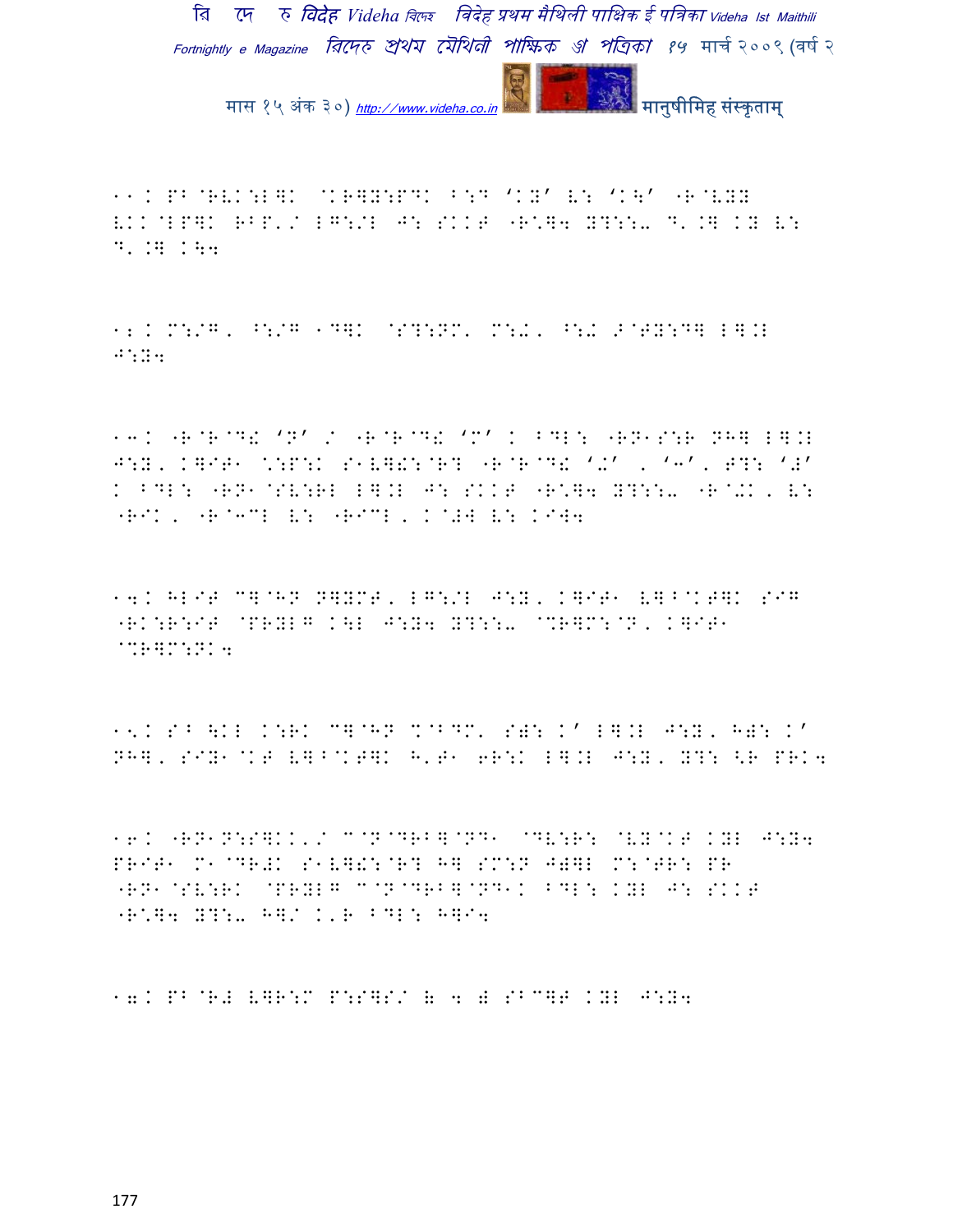मास १५ अंक ३०) http://www.videha.co.in स्थितीया मानुषीमिह संस्कृताम्

 $11.1$  PB (PED MERRY) (DERRIFIED B:D Y: R  $\lambda$  ) EV: (  $\lambda$  ) F (R.R. ) KKK REPORT REPORT OF STORY FROM STREAM TO DEVICE AN D'.] K\4

12. M:/G, ^:/G 1D]K @S?:NM' M:+, ^:+ >@TY:D] L].L  $\mathbb{Z}$  is  $\mathbb{Z}$  in the set

13. "R@R@D! 'N' / "R@R@D! 'M' K BDL: "RN1S:R NH] L].L J:Y, K]IT1 \*:P:K S1V]!:@R? "R@R@D! '+' , '3', T?: '#' K BOL: "RN1@SV:RL LIGH: "RN1@SV:RL LIGH: "RN1@SV:RL LIGH: "RN1@SV:RL LIGH: "RN1@SV:RL LIGH: "RN1@+K, V:RL LIGH "RIK, "RIKH": EN RIKT: 2002 ER EN SKAR

14. HLIT CARLO MARCHER DE LOIR CARDINALE LOIRE DE LA CARACTER DE LOIR VI DE CARDINALE DE LA VIDA SIGNIFICATION "RE:R:P:PARYLO KERYLG KONG KORA DI RESISTENCIONE ARABIT ANNO ME REPORT OF A LICENSE AND MINOR CONTINUES. @%R]M:NK4

15. S^ \KL K:RK C]@HN %@BDM' S): K' L].L J:Y, H): K' NH], SIY1@KT V]^@KT]K H'T1 6R:K L].L J:Y, Y?: <R PRK4

16. "RN1N:S]KK'/ C@N@DRB]@ND1 @DV:R: @VY@KT KYL J:Y4 PRIT1 M1@DR#K S1V]!:@R? H] SM:N J)]L M:@TR: PR  $R$  . The probability of the probability of the probability of the probability of the probability of the state of the probability of the probability of the probability of the probability of the probability of the probabili "R\*]4 Y?:- H]/ K'R BDL: H]I4

17. PB YES ENEVY PYPHIN BOARD SPYNE VIE 1978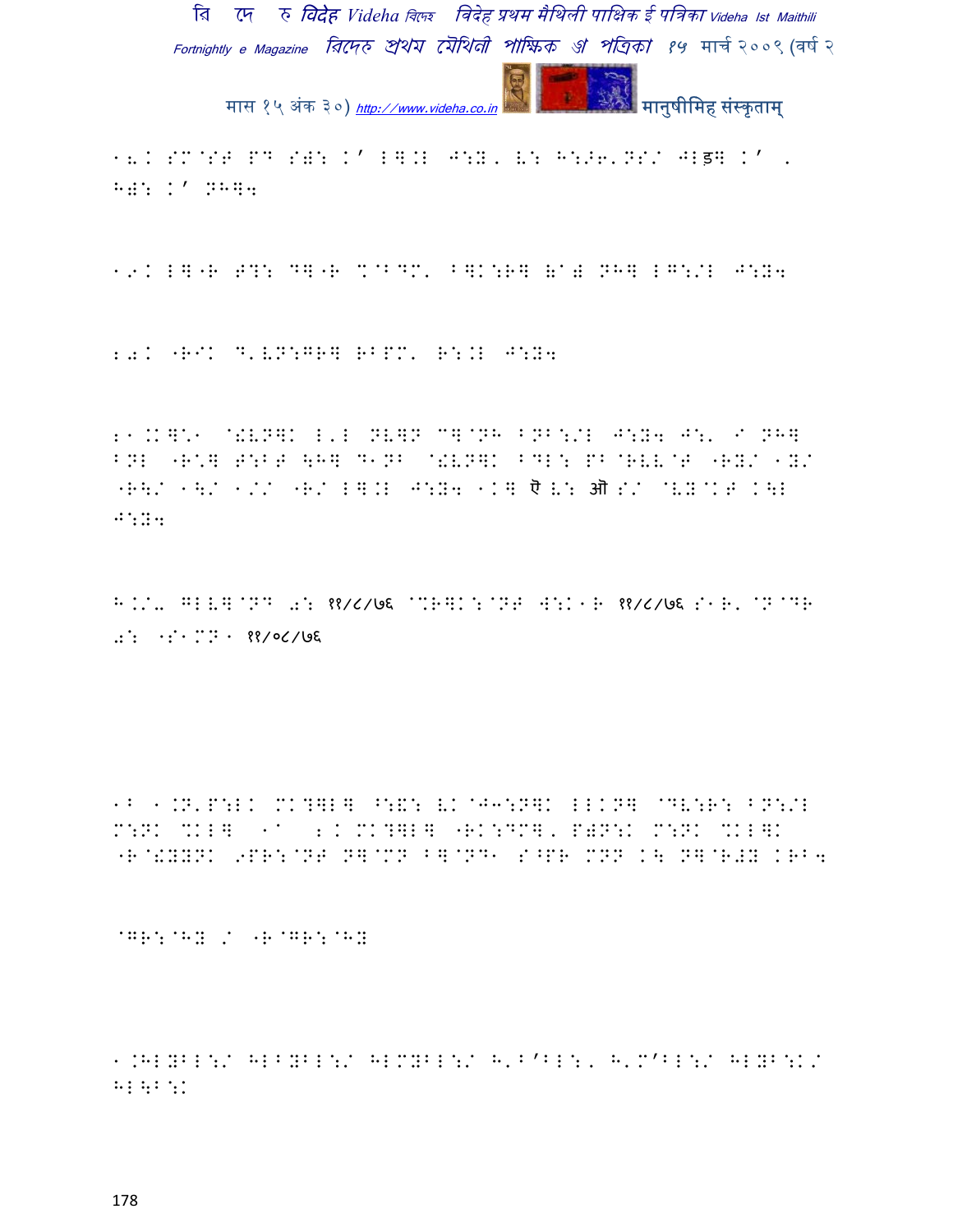मास १५ अंक ३०) http://www.videha.co.in स्थिति क्रिकेटी **मानुषीमिह संस्कृताम्** 

18. SM@ST PD S): K' L].L J:Y, V: H:>6'NS/ JLड़] K' , Hit I ( NHH)

19. L]"R T?: D]"R %@BDM' B]K:R] (a) NH] LG:/L J:Y4

20. "RIK D'VN:GR] RBPM' R:.L J:Y4

12.KIN MANARI LI PERP TROPA PROVINCE AND AN UNITED BNL "R\*] T:BT \H] D1NB @!VN]K BDL: PB@RVV@T "RY/ 1Y/ "R\/ 1\/ 1// "R/ L].L J:Y4 1K] ऎ V: ऒ S/ @VY@KT K\L  $35.94$ 

 $H:U_{\mathfrak{m}}$  ,  $H: L:U_{\mathfrak{m}}\to V\to W$  ,  $H:U_{\mathfrak{m}}\to W$  ,  $H:U_{\mathfrak{m}}\to W$  ,  $H:U_{\mathfrak{m}}\to W$  ,  $H:U_{\mathfrak{m}}\to W$  ,  $H:U_{\mathfrak{m}}\to W$  ,  $H:U_{\mathfrak{m}}\to W$  ,  $H:U_{\mathfrak{m}}\to W$  ,  $H:U_{\mathfrak{m}}\to W$  ,  $H:U_{\mathfrak{m}}\to W$  ,  $H:U_{\mathfrak{$ 0: "S1MN" ११/०८/७६

1B 1.N'P:LK MK?]L] ^:&: VK@J3:N]K LLKN] @DV:R: BN:/L M:NK %KL] 1a 2. MK?]L] "RK:DM], P)N:K M:NK %KL]K "R@!YYNK 9PR:@NT N]@MN B]@ND1 S^PR MNN K\ N]@R#Y KRB4

@GR:@HY / "R@GR:@HY

1.HLYBL:/ HLBYBL:/ HLMYBL:/ H'B'BL:, H'M'BL:/ HLYB:K/  $H$ :  $H$ :  $H$ :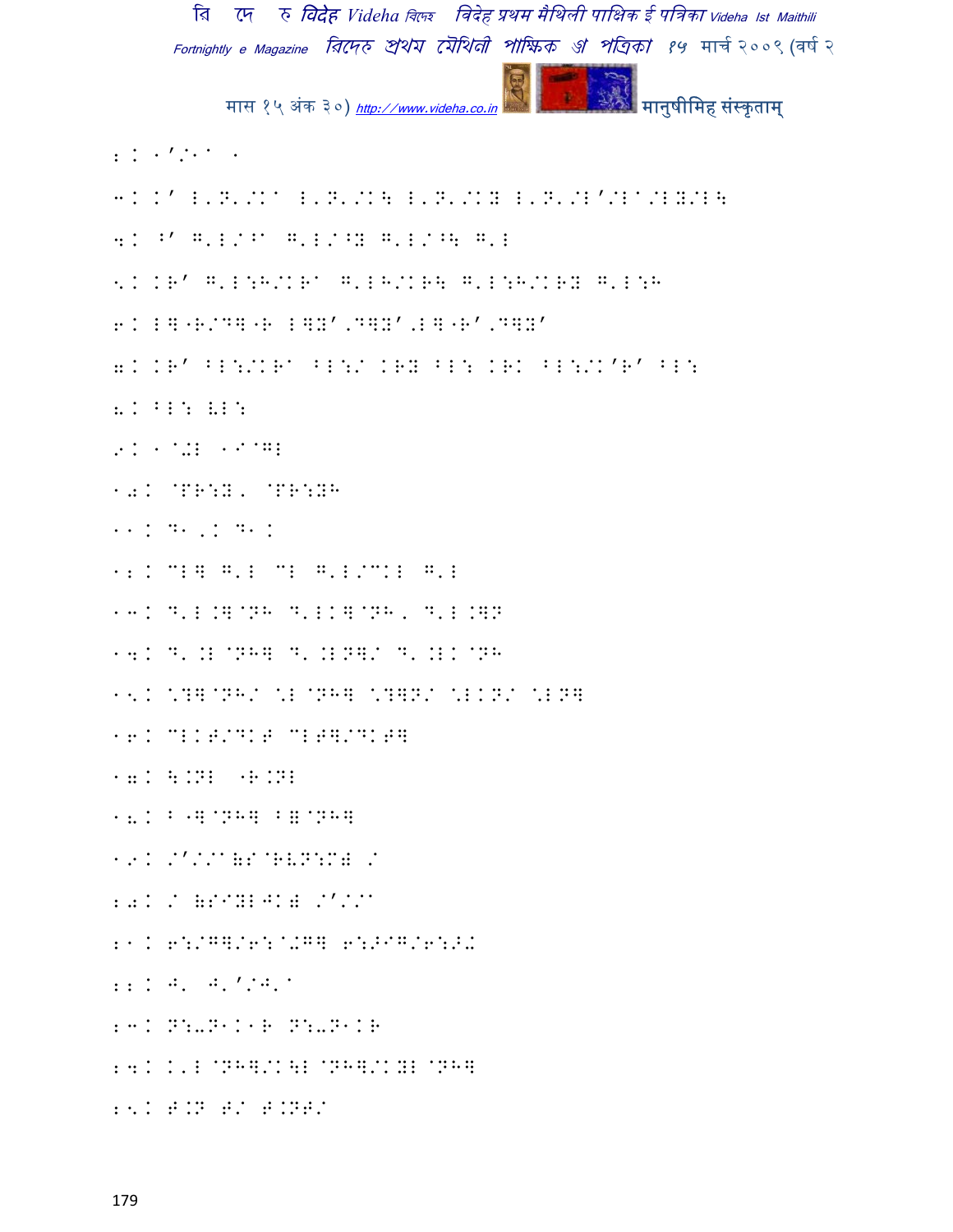मास १५ अंक ३०) <u>http://www.videha.co.in</u> स्थिति क्रिकेट मानुषीमिह संस्कृताम्

2. 1'/1a 1

- 3. A' C' L'A' L'A L'ANNI C' L'ANNI L'A L'A L'ANNI L'ANN AN L'ANN AN AILAIS AN AIL
- $4.1$  GY G, EVI G, EVI G, EVI G, EVI G, EVI
- 5. KR' G'L:H/KRa G'LH/KR\ G'L:H/KRY G'L:H
- 6. LOG ROOM REPORT CONTROL CONTROL CONTROL CONTROL CONTROL CONTROL CONTROL CONTROL CONTROL CONTROL CONTROL CON
- 7. KR' BL:/KRa BL:/ KRY BL: KRK BL:/K'R' BL:
- 8. BL: VL:
- $9.1 + 1.1 + 1.1 + 1.11$
- 10. @PR:YH: @PR:YH: @PR:YH: @PR:YH: @PR:YH: @PR:YH: @PR:YH: @PR:YH: @PR:YH: @PR:YH: @PR:YH: @PR:YH: @PR:YH: @P<br>@PR:YH: @PR:YH: @PR:YH: @PR:YH: @PR:YH: @PR:YH: @PR:YH: @PR:YH: @PR:YH: @PR:YH: @PR:YH: @PR:YH: @PR:YH: @PR:YH:
- 11. D1,. D1.
- 12. CL] G'L CL G'L/CKL G'L
- 13. D'L.]@NH D'LK]@NH, D'L.]N
- 14. D'.L@NH] D'.LN]/ D'.LK@NH
- 15. \*?]@NH/ \*L@NH] \*?]N/ \*LKN/ \*LN]
- 16. CLKT/DKT CLT]/DKT]
- 17. \.NL "R.NL
- 18. B"]@NH] B=@NH]
- 19. /'//a(S@RVN:M) /
- 20. / (SIYLJK) /'//a
- 21. 6:/G]/6:@+G] 6:>IG/6:>+
- 22. J' J''/J'a
- 23. N:-N1K1R N:-N1KR
- 24. K'L@NH]/K\L@NH]/KYL@NH]
- 25. T.N T/ T.NT/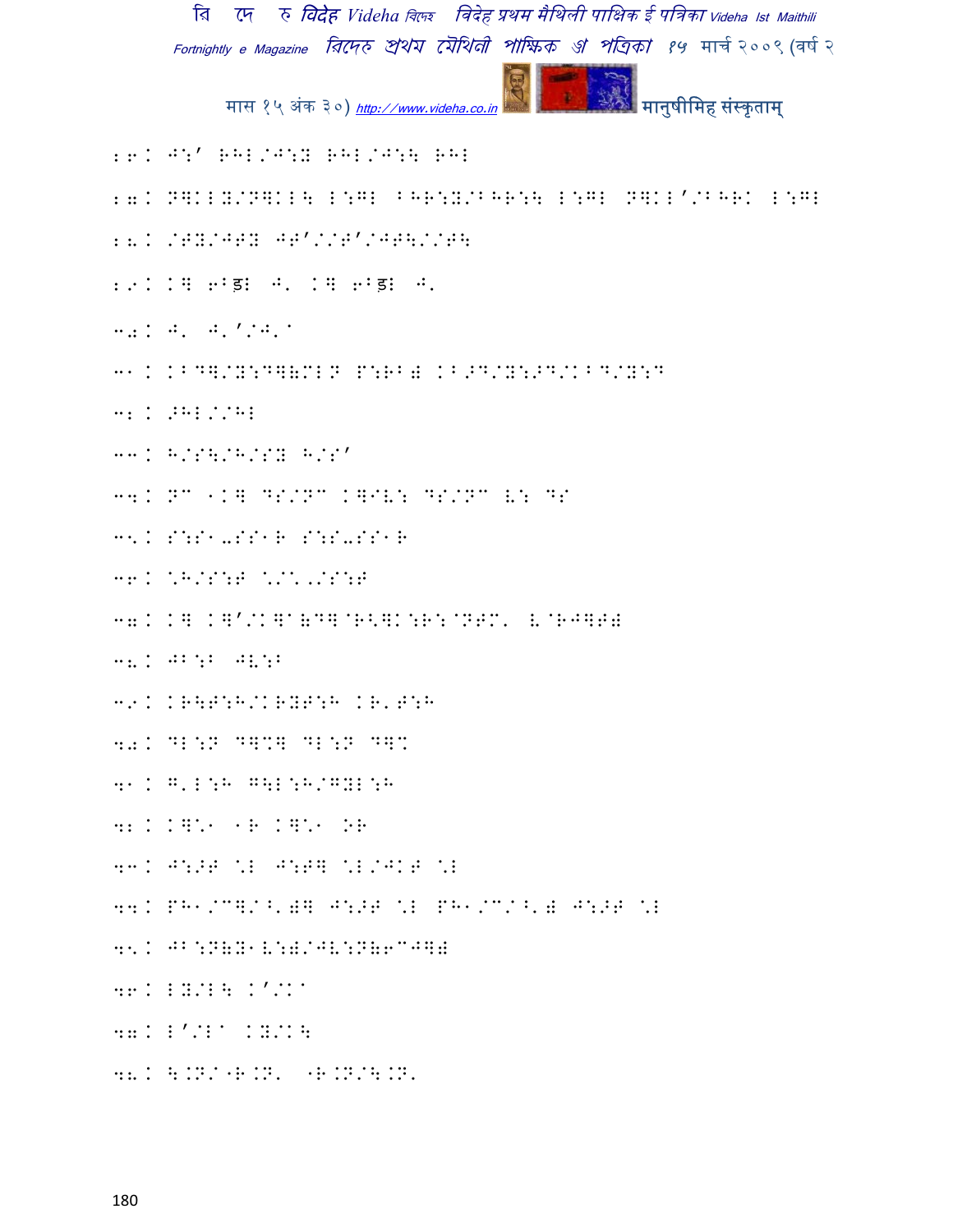मास १५ अंक ३०) <u>http://www.videha.co.in स्थिति क्रिके</u>डी **मानुषीमिह संस्कृताम्** 

26. J:' RHL/J:Y RHL/J:\ RHL

 $\pm$  and other controls by closed by electron because the control of  $\pm$  depending  $\pm$ 

- 28. /TY/JTY JT'//T'/JT\//T\
- $22.28 \pm 0.000$   $\frac{1}{2}$   $\frac{1}{2}$   $\frac{1}{2}$   $\frac{1}{2}$   $\frac{1}{2}$   $\frac{1}{2}$   $\frac{1}{2}$   $\frac{1}{2}$   $\frac{1}{2}$   $\frac{1}{2}$   $\frac{1}{2}$   $\frac{1}{2}$   $\frac{1}{2}$   $\frac{1}{2}$   $\frac{1}{2}$   $\frac{1}{2}$   $\frac{1}{2}$   $\frac{1}{2}$   $\frac{1}{2}$   $\frac{1}{2}$   $\frac{1$
- 30. J' J''/J'a
- 31. KBD]/Y:D](MLN P:RB) KB>D/Y:>D/KBD/Y:D

32. >HL//HL

- 33. H/SY H/SY H/SY
- 34. NC 1K] DS/NC K]IV: DS/NC V: DS
- 35. S:S1-SS1R S:S-SS1R
- 36. \*H/S:T \*/\*,/S:T
- 37. K] K]'/K]a(D]@R<]K:R:@NTM' V@RJ]T)
- 38. JB:B JV:B
- 39. KR\T:H/KRYT:H KR'T:H
- 40. DL:N D]%] DL:N D]%
- 41. G'L:H G\L:H/GYL:H
- 42. K]\*1 1R K]\*1 OR
- 441 J:J: T: J:T:T: T: J:T:T:
- 44. PH1/CALAB 4536 ME PH1/C/L B 4536 ME
- 45. JB:N(Y1V:)/JV:N(6CJ])
- 46. LYCOLOGIC COMPANY
- 47. L'/La KY/K\
- 48. \.N/"R.N' "R.N/\.N'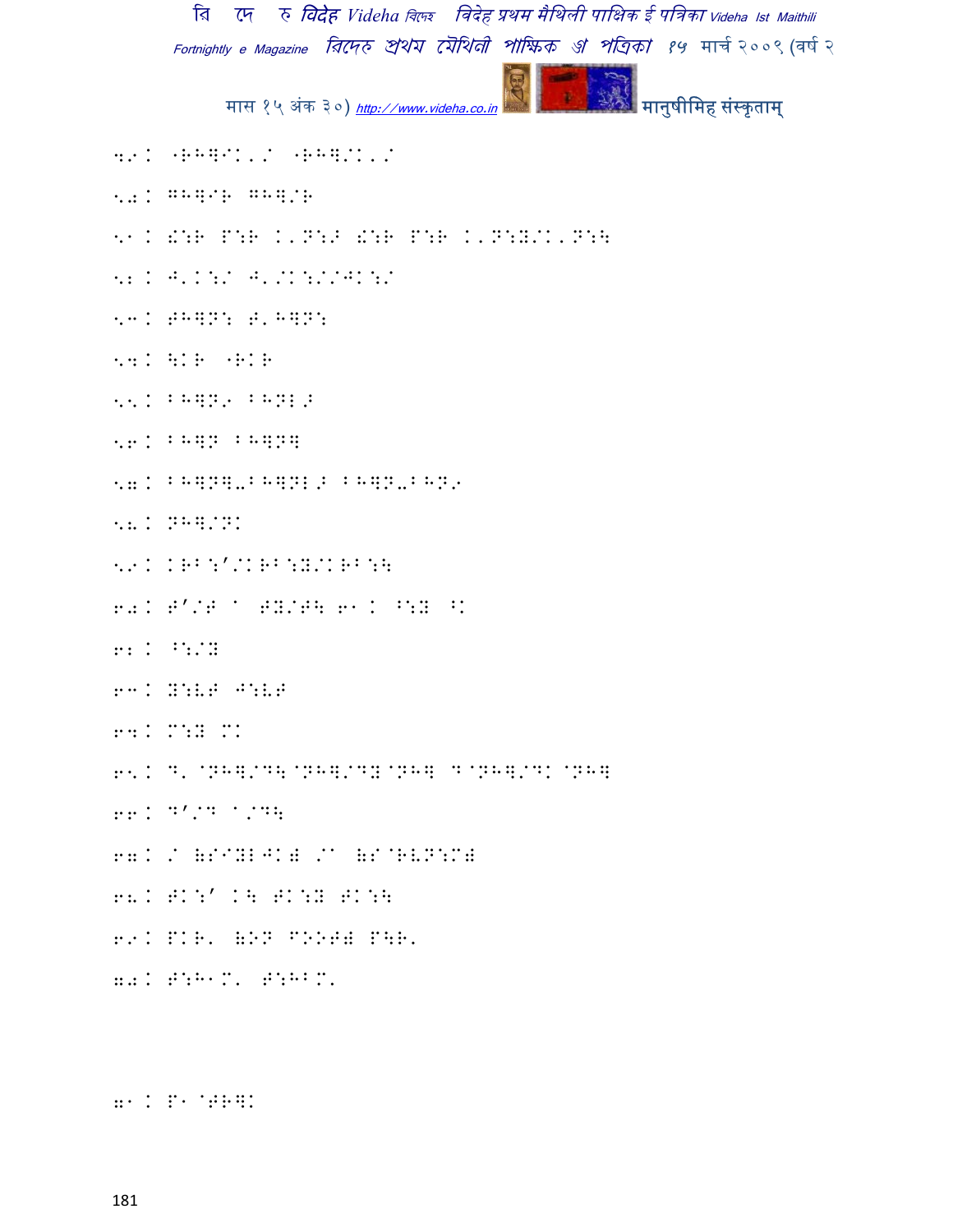मास १५ अंक ३०) <u>http://www.videha.co.in स्थिति क्रिके</u>डी **मानुषीमिह संस्कृताम्** 

- 49. "RH]IK'/ "RH]/K'/
- $5.001$  GH GH  $\sigma$ R GH GH  $\sigma$
- 51. !:R P:R K'N:> !:R P:R K'N:Y/K'N:\
- 52. J'K:/ J'/K://JK:/
- 53. THE TERM IS TO THE THE THREE
- $\ddotsc$   $\ddotsc$   $\ddotsc$   $\ddotsc$
- 55. BH]N9 BHNL>
- 56. BH]N BH]N]
- 57. BH]N]-BH]NL> BH]N-BHN9
- 58. NH]/NK
- 59. KRB:'/KRB:Y/KRB:\
- 60. THE FILM AND THE REAL PROPERTY.
- 62. ^:/Y
- 63. Y:VT J:VT
- 64. M:Y M:
- 65. D'@NH]/D\@NH]/DY@NH] D@NH]/DK@NH]
- 66. D'/D a/D\
- 67. / (SIYLJK) /a (S@RVN:M)
- 68. TK: HOME CR: HOME CR:
- 69. PKR' (ON FOOT) P\R'
- 80. T:H1M' T: H1M' T:

71. P1@TR]K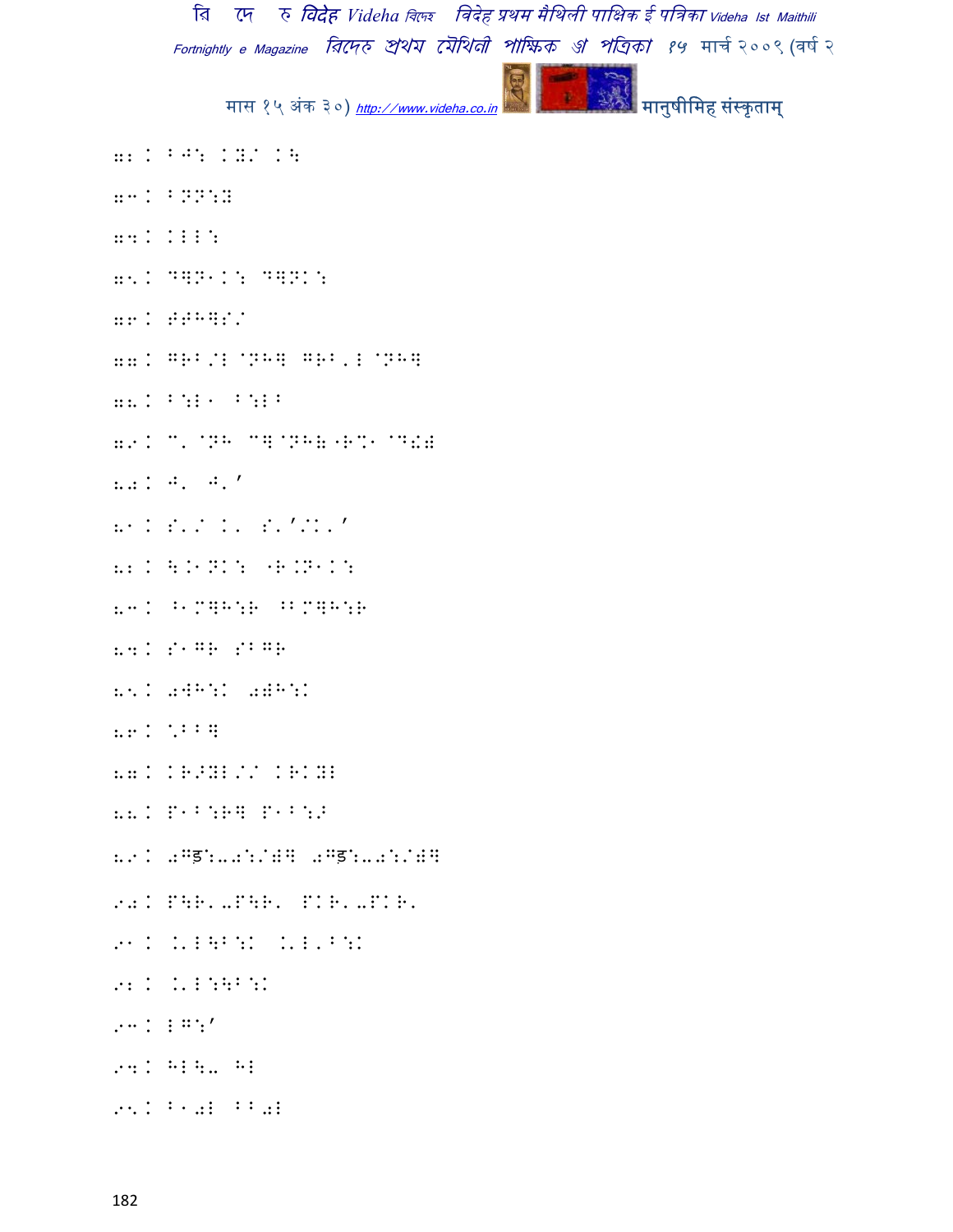मास १५ अंक ३०) <u>http://www.videha.co.in</u> स्थिति क्रिकेट मानुषीमिह संस्कृताम् 72. BJ: KY/ K\ 73. BNN:Y 74. KLL: 75. D]N1K: D]NK: 76. TTH]S/ 77. GRB/L@NH] GRB'L@NH] 78. B:L1 B:LB 79. C'@NH C]@NH("R%1@D!)  $8.001 - 0.001 - 0.001$ 81. S'/ K' S'/K'/K'/K'/K' 82. \.1NK: "R.N1K: 83. FOR THE REPORT OF THE REAL PROPERTY

84. S1GR SERIES

85. 0WH:K 0)H:K

8. e 10. 1994

87. KRASHARA KRAKY

88. P1B:R] P1B:R] P1B:R] P1B:R] P1B:R] P1B:R] P1B:R] P1B:R] P1B:R] P1B:R] P1B:R] P1B:R] P1B:R] P1B:R] P1B:R] P1B:R] P1B:R] P1B:R] P1B:R] P1B:R] P1B:R] P1B:R] P1B:R] P1B:R] P1B:R] P1B:R] P1B:R] P1B:R] P1B:R] P1B:R] P1B:R] P

89. 0Gड़:-0:/)] 0Gड़:-0:/)]

90. PARTNER PRESSIDE.

91. .'L\B:K .'L'B:K

92. .'L:\B:K

93. LG:'

94. HL\- HL

95. B10L BB0L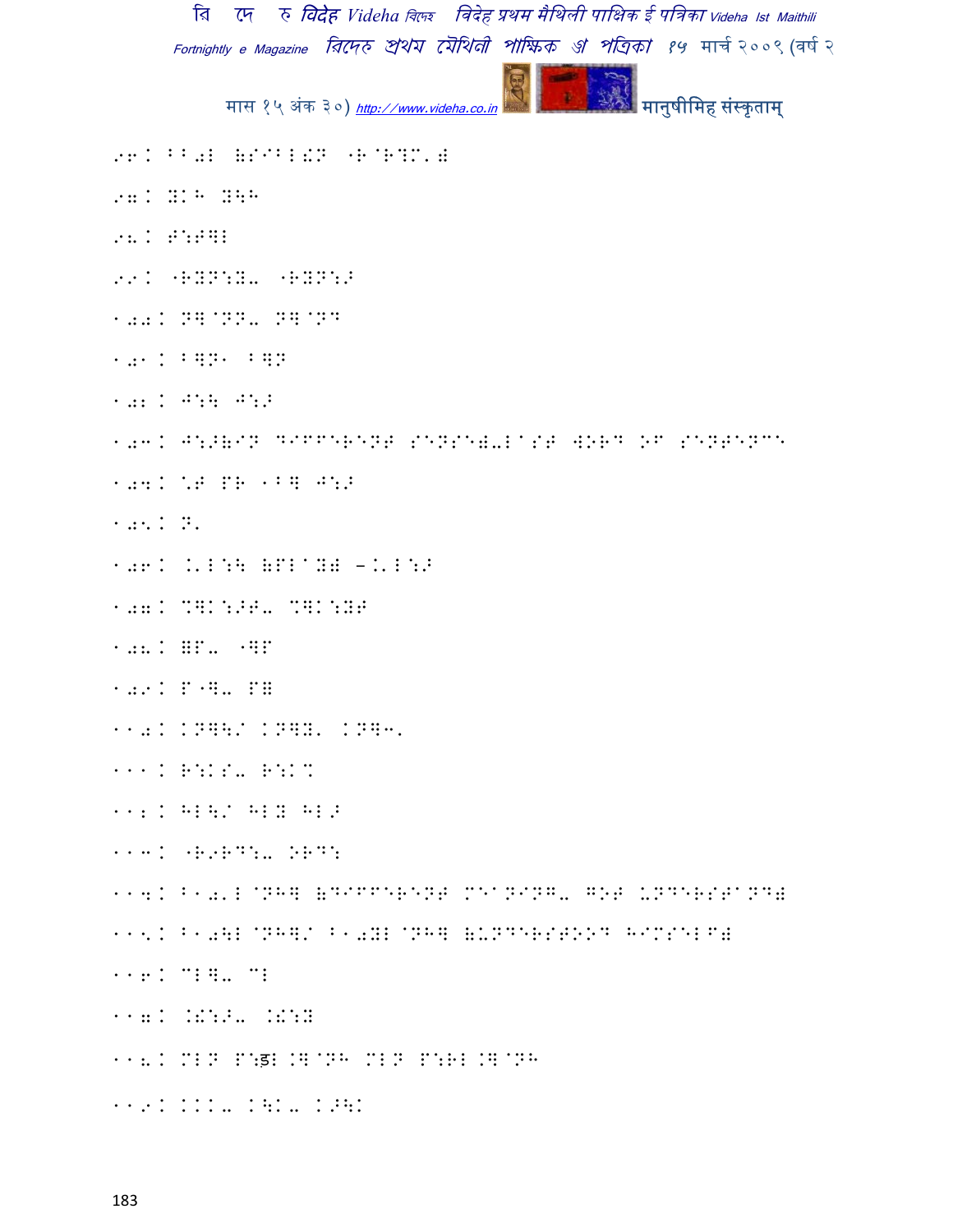मास १५ अंक ३०) <u>http://www.videha.co.in</u><br>सास १५ अंक ३०) <u>http://www.videha.co.in</u> 96. PRI SIPRIST (STRING 97. YKH Y\H  $98.1:91.991$ 99. "RYN:Y- "RYN:Y-" "RYN:Y-" "RYN:Y-" "RYN:Y-" "RYN:Y-" "RYN:Y-" "RYN:Y-" "RYN:Y-" "RYN:Y-" "RYN:Y-" "RYN:Y-" 100. N]@NN- N]@ND 101. B]N1 B]N 102. J:\ J:> 103. J:>(IN DIFFERENT SENSE)-LaST WORD OF SENTENCE 104. \* T PR 194. \* T PR 194. \* T PR 194. \* T PR 194. \* T PR 194. \* T PR 194. \* T PR 194. \* T PR 194. \* T PR 19 105. N. 106. .'L:\ (PLaY) –.'L:> 107. X: T- % (107. X: T- %) (107. X: T- %) (107. X: T- %) (107. X: T- %) (107. X: T- %) (107. X: T- %) (107. X 108. =P- "]P 109. P"]- P= 110. KNJ KOMBALA KUMANI KUMANI KUWA KWA MTO NA MATA 111. R:KS- R:KS- R:KS- R:KS- R:KS- R:KS- R:KS- R:KS- R:KS- R:KS- R:KS- R:KS- R:KS- R:KS- R:KS- R:KS- R:KS- R:K 1112. HLAV HLY HLV 113. "PRODUCT ORD" 114. B10'L@NH] (DIFFERENT MEaNING- GOT UNDERSTaND) 115. B10\L@NH]/ B10YL@NH] (UNDERSTOOD HIMSELF) 116. CLIPS. CLIPS. 117. .!:>- .!:Y 118. MLN P:ड़L.]@NH MLN P:RL.]@NH 119. KKK- KARA KABUPAT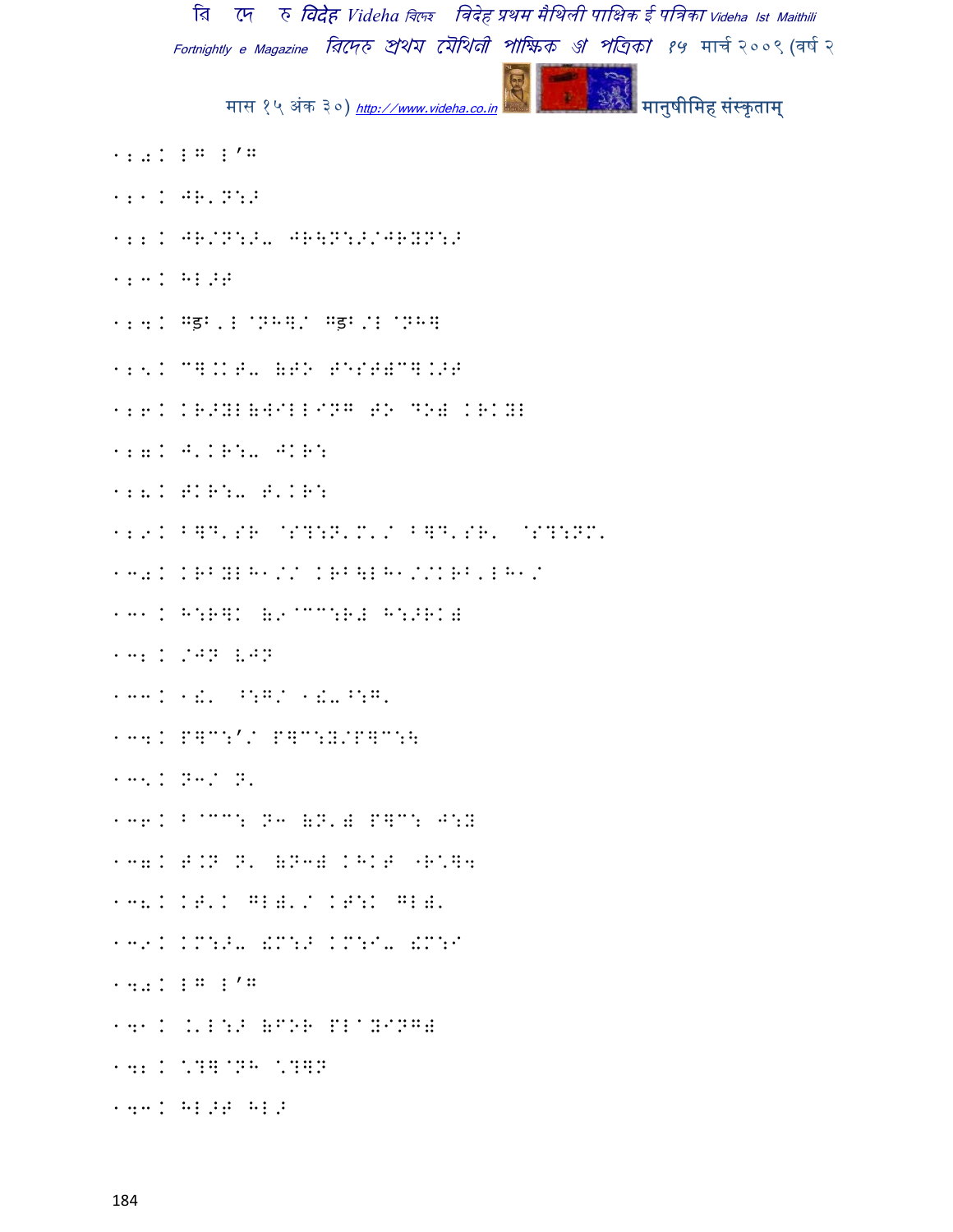मास १५ अंक ३०) <u>http://www.videha.co.in</u> स्थिती सामानि स स्कृताम्

- 120. LG L'G
- 121. JP 301. JP 31.
- 122. JR/N:>- JR\N:>/JRYN:>
- 123. HL-123. HL-123.
- $124.12$  GeV and  $124.12$  GeV and  $124.12$  GeV and  $124.12$
- 125. C].KT- (TO TEST)C].>T
- 126. KR>YL(WILLING TO DO) KRKYL
- 127. J'AR: JEAN (1971)
- 128. TKR: TKR:
- 129. B]D'SR @S?:N'M'/ B]D'SR' @S?:NM'
- 130. KRBYLH1// KRB\LH1//KRB'LH1/
- 131. H:R]K (9@CC:R# H:>RK)
- 132. /JAP 1342
- 133. 1!' ^:G/ 1!-^:G'
- 134. PHTE// PHTERPHTE
- 135. N3/ N'
- 136. B@CC: N3 (N') P]C: J:Y
- 137. T.N N' (N3) KHKT "R\*]4
- 138. KT'K GL)'/ KT:K GL)'
- 139. KM: 139. KM: 139. KM: 139. KM: 139. KM: 139. KM: 139. KM: 139. KM: 139. KM: 139. KM: 139. KM: 139. KM: 13
- 140. LG L'G
- 141. .'L:> (FOR PLaYING)
- 142. \*?]@NH \*?]N
- 143. HL>T HL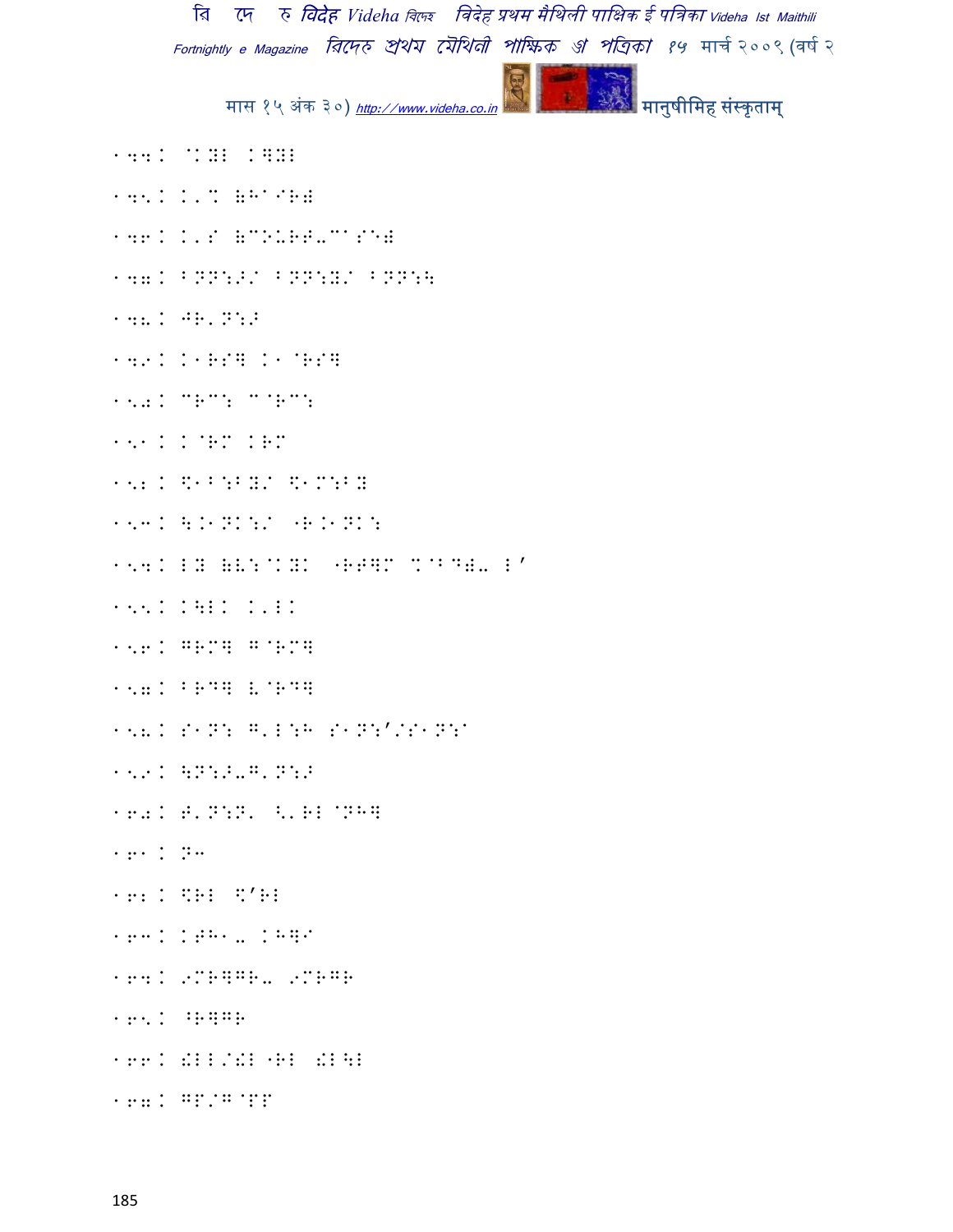मास १५ अंक ३०) <u>http://www.videha.co.in</u> स्थिती सामानि स स्कृताम्

- 144. @KYL K]YL
- 145. K' (Hair) (Hair) (Hair) (Hair) (Hair) (Hair) (Hair) (Hair) (Hair) (Hair) (Hair) (Hair) (Hair) (Hair) (Hai
- 146. KOURT-CASE (COURT-CASE)
- 1480 BNN:BNN: BNN:BNN:
- 148. JR'N: JR'N: 1
- 149. K189. K199. K199.
- 150. CRC: C@RC:
- 151. K@RM KRM
- 152. \$1B:BY/ \$1M:BY
- 153. \.1NK:// R.1NK://
- 154. LY (V:@KYK "RT]M %@BD)- L'
- 155. K\LK K'LK
- 156. GRM] G@RM]
- 157. BRD BRD
- 158. S1N: G'L:H S1N:'/S1N:a
- 159. \N:>-G'N:>
- 160. T'N:N' <'RL@NH]
- 161. N31. N31.
- 162. \$PRINT
- 163. KTH1- KHI- KHI-
- 164. 9MR]GR- 9MRGR
- 165. PHONE
- 166. !LL/!L"RL !L\L
- 167. GP/G@PP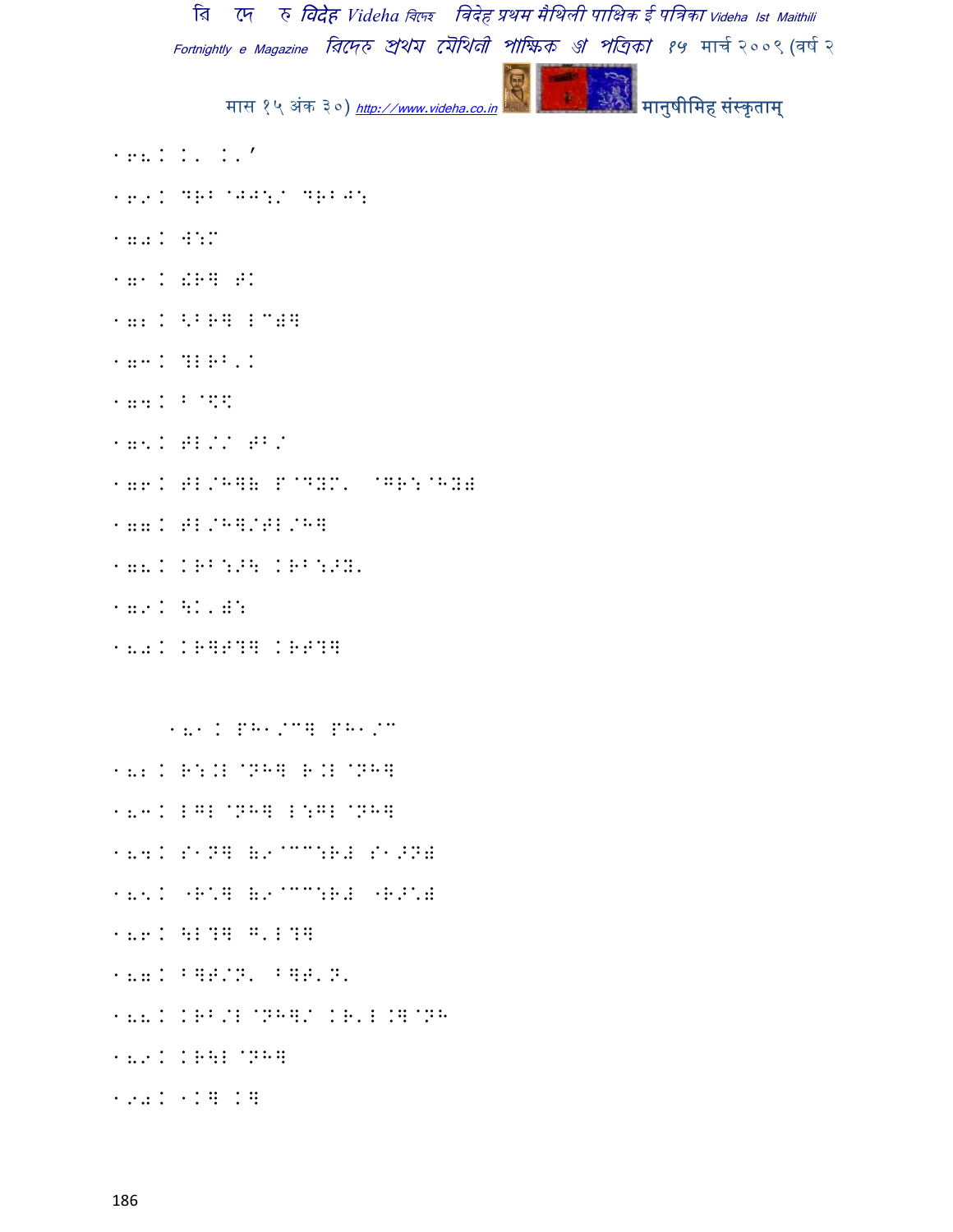मास १५ अंक ३०) http://www.videha.co.in स्थिती स्थिति मानुषीमिह संस्कृताम्

- 168. K' K''
- 169. DRB@JJ:/ DRBJ:
- 190. W:M:M:M
- 191. : 171. IP TAG
- 172. <BR] LC)]
- 1<sub>33</sub>. ?LRB'S
- 174. Basic Street
- 195. TL// TL// TL//
- $176.176$  Particle Post Particle Particle Particle Particle Particle Particle Particle Particle Particle
- 177. TL/H]/TL/H]
- 178. KRB: YOU ARD TO A SAND
- $199.1 \pm 1.000$
- 180. KRISTER STRAIN

181. PH1/C] PH1/C

- 182. R:.L@NH] R.L@NH]
- $183.183.16$  Lightlent Lightlent Lightlent Lightlent Lightlent Lightlent Lightlent Lightlent Lightlent Lightlent Lightlent Lightlent Lightlent Lightlent Lightlent Lightlent Lightlent Lightlent Lightlent Lightlent Lightlen
- 1841 (9.79 S) (9.79 S)
- 185. "R\*H #2"": R\* (900)
- 186.  $\ldots$  G'E THE SECOND SERVICE
- 187. B]T/N' B]T'N'
- 188. KRB/L@NH]/ KR'L.]@NH
- 189. KR\L@NH]
- 190. 1K] K]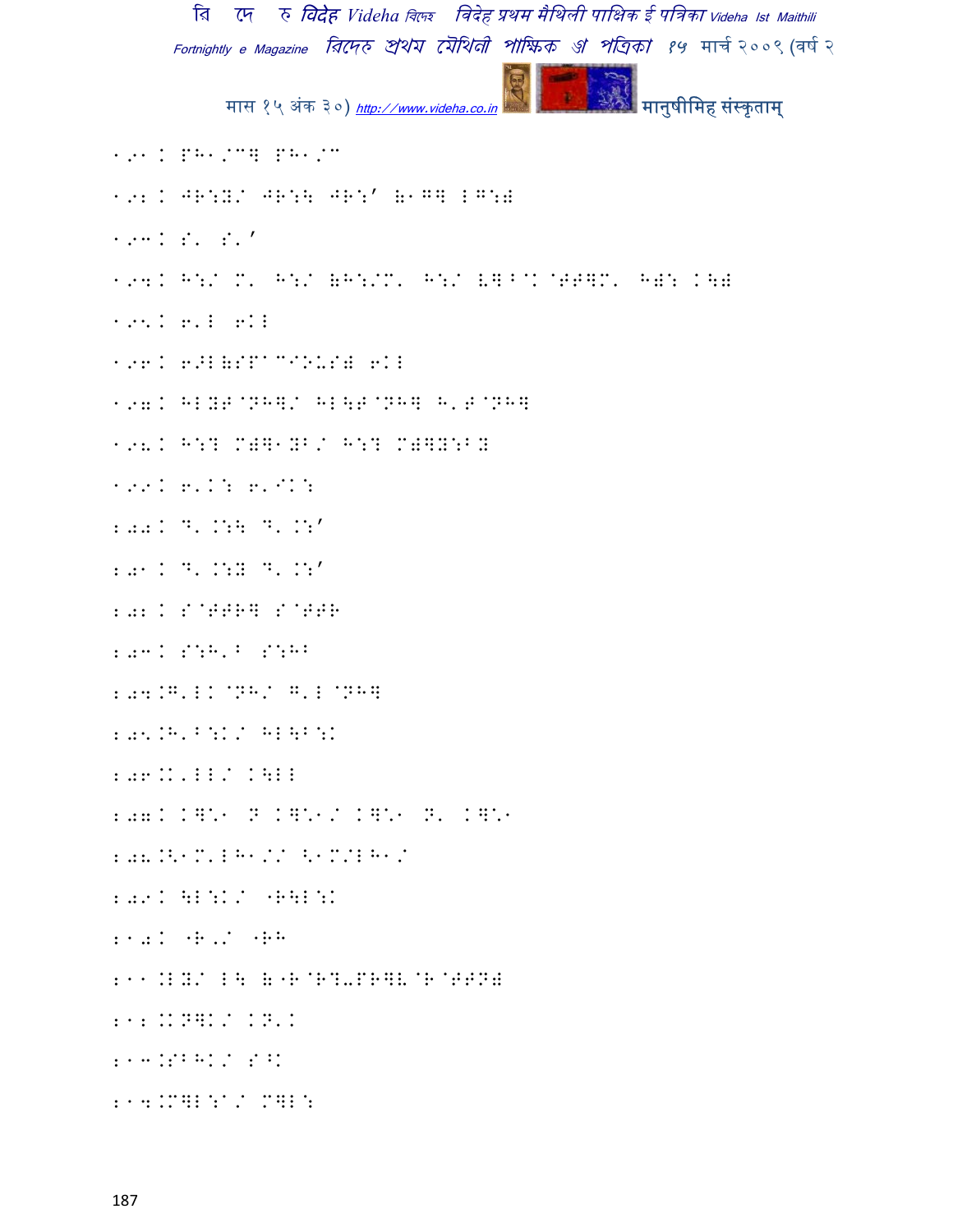िव दे ह िवदेह *Videha* িবেদহ िवदह ᮧथम म े ैिथली पािक्षक ई पिᮢका Videha Ist Maithili Fortnightly e Magazine *ৱিদেড প্ৰথম মৌথিনী পাক্ষিক § পত্ৰিকা १५* मार्च २००९ (वर्ष २ मास १५ अंक ३०) <u>http://www.videha.co.in</u> स्थिती सामानि स स्कृताम् 191. PH1/C] PH1/C

 $192.1$  JR:YO JR:B: JR:Y 6-88 18:0

1930. S. S. 1930.

1941 H:/ D. H:/ GH:/D. H:/ EB:/D MARBO, HE: CRB

195. 6'E 6KL

196. 6>L(SPaCIOUS) 6KL

197. HLYT@NH]/ HL\T@NH] H'T@NH]

198. H:? M)]1YB/ H:? M)]Y:BY

199. 6'K: 6'IK:

200. D'.:\ D'.:'

201. D'.:Y D'.:'

202. S@TTR] S@TTR

203. S:H'B S:HB

204.G'LK@NH/ G'L@NH]

205.H'B:K/ HL\B:K

206.K'LL/ K\LL

207. K]\*1 N K]\*1/ K]\*1 N' K]\*1

208.<1M'LH1// <1M/LH1/

 $2099. \ldots$  .  $209. \ldots$  .  $209. \ldots$  .  $209. \ldots$ 

210. "R,/ "RH

211.LY/ L\ ("R@R?-PR]V@R@TTN)

212.KN]K/ KN'K

 $213.55$  SBHK/ SNH

214.M]L:a/ M]L: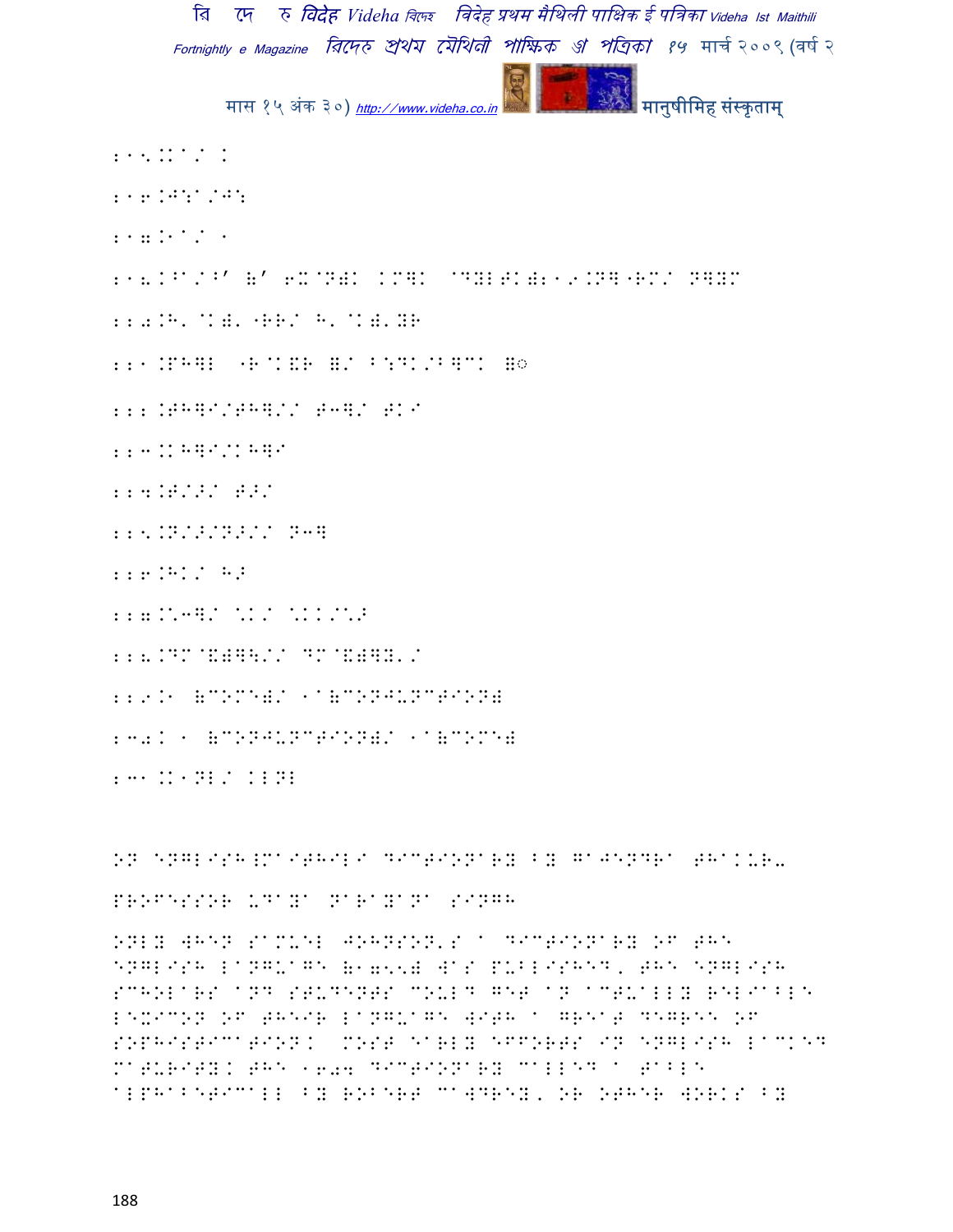ONLY WHEN SaMUEL JOHNSON'S a DICTIONaRY OF THE ENGLISH LaNGUaGE (1755) WaS PUBLISHED, THE ENGLISH SCHOLARS AND STUDENTS COULD GET AND ACTUALLY RELIABLE AND CALLY LEXICON OF THEIR LaNGUaGE WITH a GREaT DEGREE OF SOPHISTICaTION. MOST EaRLY EFFORTS IN ENGLISH LaCKED Maturity. The 1604 Section of the 1604 Order Called a Table aLPHaBETICaLL BY ROBERT CaWDREY, OR OTHER WORKS BY

PROFESSOR UNIVERSITY IN SINGHA

ON ENGLISH\_MaITHILI DICTIONaRY BY GaJENDRa THaKUR-

231.K1NL/ KLNL

230. 1 (CONJUNCTION)/ 1a(COME)

229.1 (COME)/ 1a(CONJUNCTION)

228.DM@&)]\// DM@&)]Y'/

227.\*3]/ \*K/ \*KK/\*>

223.KH]I/KH]I

222.TH]I/TH]// T3]/ TKI

220.H'@K)'"RR/ H'@K)'YR

221.PH]L "R@K&R =/ B:DK/B]CK =◌

218.^a/^' (' 6X@N)K KM]K @DYLTK)219.N]"RM/ N]YM

217.1a/ 1

215.Ka/ K

216.J:a/J:

224.T/>/ T>/

226.HK/ H>

225.N/>/N>// N3]

मास १५ अंक ३०) <u>http://www.videha.co.in</u><br>सास १५ अंक ३०) <u>http://www.videha.co.in</u>

िव दे ह िवदेह *Videha* িবেদহ िवदह ᮧथम म े ैिथली पािक्षक ई पिᮢका Videha Ist Maithili Fortnightly e Magazine *রিদেড় প্রথম মৌথিনী পাক্ষিক \$ পত্রিকা १५* मार्च २००९ (वर्ष*२* 

188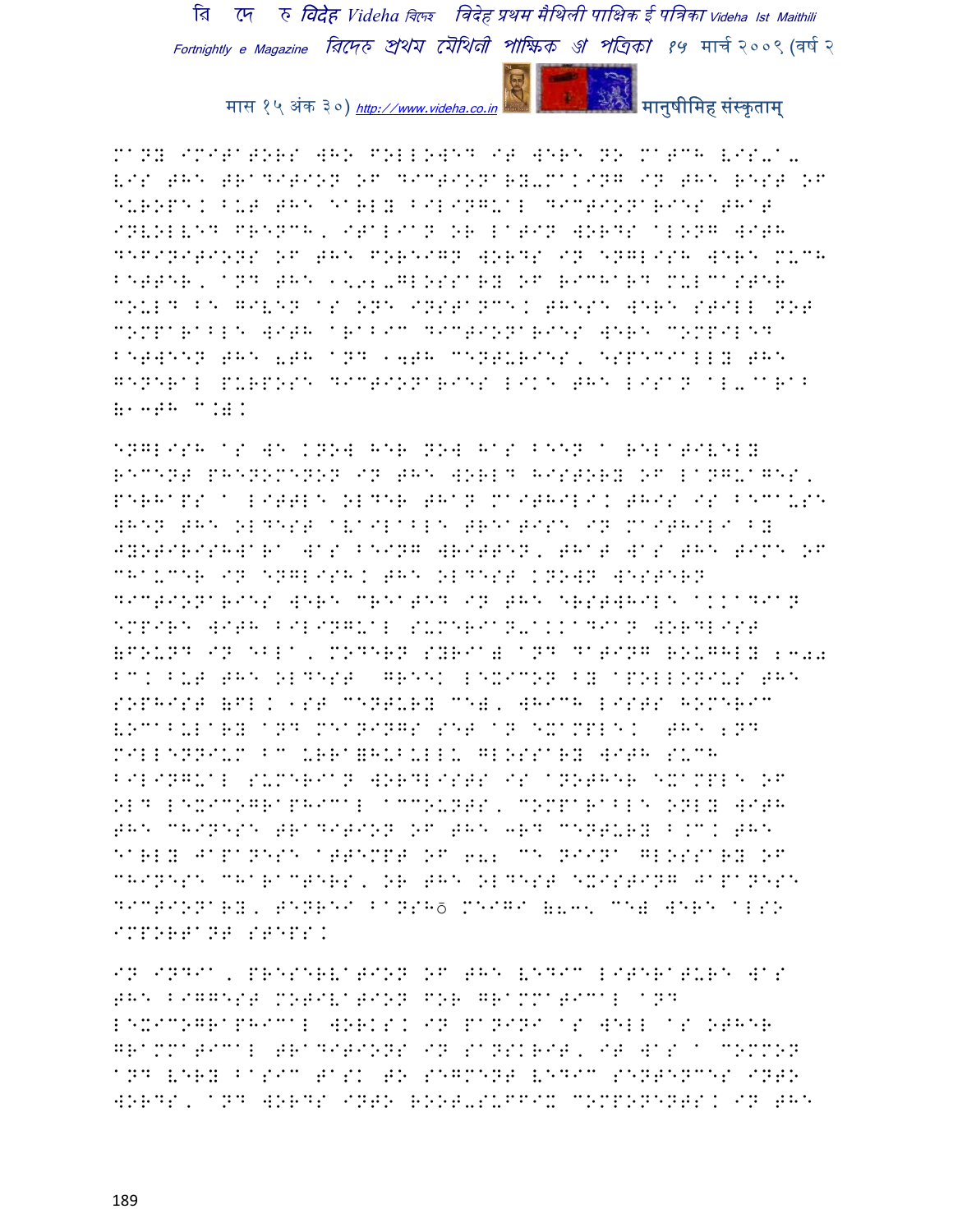ति एप रु विदेह Videha बिलरु विदेह प्रथम मैथिली पाक्षिक ई पत्रिका Videha Ist Maithili Fortnightly e Magazine *রিদেড় প্রথম মৌথিনী পাক্ষিক প্রা পত্রিকা ং*ও मार्च २००९ (वर्ष २

मास १५ अंक ३०) http://www.videha.co.in



TORE STARTEDED HAD FOELDED SA HORD RD TORTA ESCUL EST BAN BELTZBIZE DE TITBIZET BOLTICIST PIP BAN BNDB DE Siedral (de eas anes specialisment) (anestares) ease and de la participation de la participation de la participation de la participation de la participation atripting in the second section of the second second second second and second second second second second second <u> PARANG I TIM RAN KALENDIRI NI NI NA BAMAN BA TINI MENGA</u> TRIER PA RAINE TI DEN ABIETETNI BRAIN BARN IBAII BRE 지수관광장장은 관광장 입관광 지원은 사람들과 성장문관업화관장관 10개월만장정장 11월 10일까지 ROCHES CONTROL ROCHES CONTROL IN THE REPORT OF THE RESIDENCE OF THE RESIDENCE OF THE RESIDENCE OF THE RESIDENCE  $\frac{1}{2}$  :  $\frac{1}{2}$  :  $\frac{1}{2}$  :  $\frac{1}{2}$  :  $\frac{1}{2}$  :  $\frac{1}{2}$  :  $\frac{1}{2}$  :  $\frac{1}{2}$  :  $\frac{1}{2}$  :  $\frac{1}{2}$ 

SPREADED TO SERVICE BOOK ROOMS AND A SSPIT BOOK BOOK BOOK a di statuar da analisar da santa da constitución de la campa de la campa de la campa de segunda de la campa d PARATECT EXHIBIT DETAIL HATE CONHAMENT HAND VE PATTLEY dend den bloke oliverer bloden delin store tradese so apparangang program nongangang pang ang gang pang pang **MARINE VE SPRINGE LAS DEMOGE L'ENER ASSESSE** aragriya baya gubu abu bu bu sa gubu yoggobay ya njihari p STERES GRAAFING PORTS ENTRANCELLIC TO MATERIAL PER BENDER SE NILL CONTABLICHES E LER RIPSELLNOME EN CHALL FTI FLAGHEN DETNEA (ABNY) ENCYTRO FO TIDEEDONIA ARN andere de la propiesa de la califactura de la califactura de la califactura de la califactura de la califactur ESTIFE THE TOT CITOSITY IN THE TO ACTOR AS A BAY LOT THE ENDRALD OF THILES BALK LEE LOOKE PRINTING OF PARK IN LINK PREPORTE STATEFOR REPROSED FOR CONFERENCEPTS OF aks mengsan aangsang ng aks wag msgalad (no aks STEED AND PROVINCIARS DE SAN ANY CHARGE ARE SOMED ST menghaph (menginggalan) dan geen dapangan horisa penghaphan penghaph SUMBUREN BEL BROBRUG POORTE CONSTANT BELL MABRING BROWN

**POSSESSES SERVICE** 

KI KITAN LEBANGEN BAGI DA BAN ENTAN BABABNEN ANG ans croosed parameter of our proposers opt ESCOPEDIENTE GREECE DE PORT EN 1999 EN 1999 <u> Herodoria et al. Herodoria et al. Edita et al. Edita et al. Edita et al. Edita et al. Edita et al.</u> 199 ENBS FIENT BIED BD ENBSYDE EN9AT ENGBNOMME AGBD ia dia amin'ny faritr'i Hauts-de-France, ao Frantsa. Ilay kaominina dia kaominina mpikambana amin'ny fivondron<br>Ny INSEE dia mampiasa ny kaodim-paositra 2008–2014. Ilay kaominina dia kaominina mpikambana amin'ny fivondrona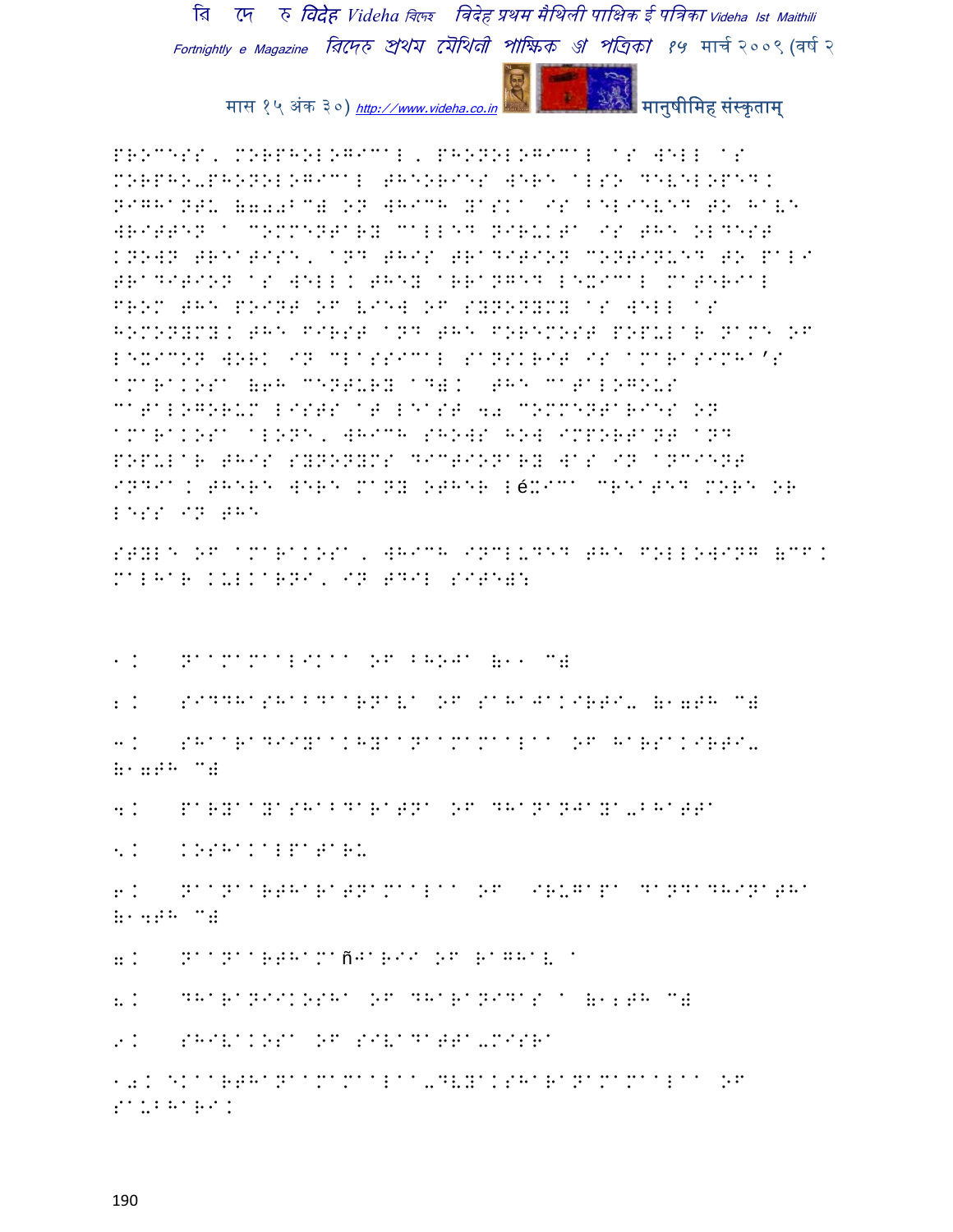A GOD AS TO BEAT BOOT TO THE OCCUPABLE OF A FACE OF TOO THOOD CAR FOR PORT

and the second contract of the second second second second second second second second second second second se  $\cdot$  :

and property went over only the peak end of the present and  $\ddots$ :

FOR THE TABLE OF PURSE  $\vdots$ :

 $\mathbf{i} \cdot \mathbf{u} \mathbf{i}$   $\mathbf{k} \cdot \mathbf{u}$ 

<u> San dina Persenaan dina menyakan di Serangan dan menjadi ke</u>  $\mathbf{r}$  :

**TAPPE TERMINE**  $\cdot$ .

prediction in present the man property and any early  $\cdot$ : :

 $\mathbb{H}^1$  and  $\mathbb{H}^1$  and  $\mathbb{H}^1$ 

<u>A de la provincia de la contrada de la provincia de la provincia de la provincia de la provincia de la provinc</u>

growings by the property of growing charge and many ra  $\mathbf{1}$   $\mathbf{1}$ 

KI SPITTITIKI PROPRATORKOM

PRODUCED TO BOOK CONTROL ARTES TO BANK THE PARTH BOTS **MIRTH COOLSTAND FROM AND STRAINER** 

TOBEROLEROSOBORYTE BROOKSON HORO TEED TOENEOEDTO SARANGAN BELEPAS NG ARAWA SISTI AP PAPANGAN AN ANGA ander de baron de la componencia de la componencia de la componencia de la componencia de la componencia de la <u> 19149 abstands, the abstabled bidgether also pres</u> BROTHBURG OF BREED BRAD OBROTHERT EACH OF COBRECT <u> PERT BRA BRADE REGENE RADIO BRADE E REGENE DE SER</u> ENDAMNA ANEXY METERAMI STARIENE NE TOMETENOMY tribildi jarav georgene seda orangenga tri KORAN I BANGNY BNGNY TIOB DEANG (SENITI TENIGNY DIANY DE presente anni

्रञ्जू<br>स्टेडी मानुषीमिह संस्कृताम् मास १५ अंक ३०) http://www.videha.co.in

ति एप रु विदेह Videha बिलरु विदेह प्रथम मैथिली पाक्षिक ई पत्रिका Videha Ist Maithili Fortnightly e Magazine *রিদেড় প্রথম মৌথিনী পাক্ষিক প্রা পত্রিকা ং*ও मार्च २००९ (वर्ष २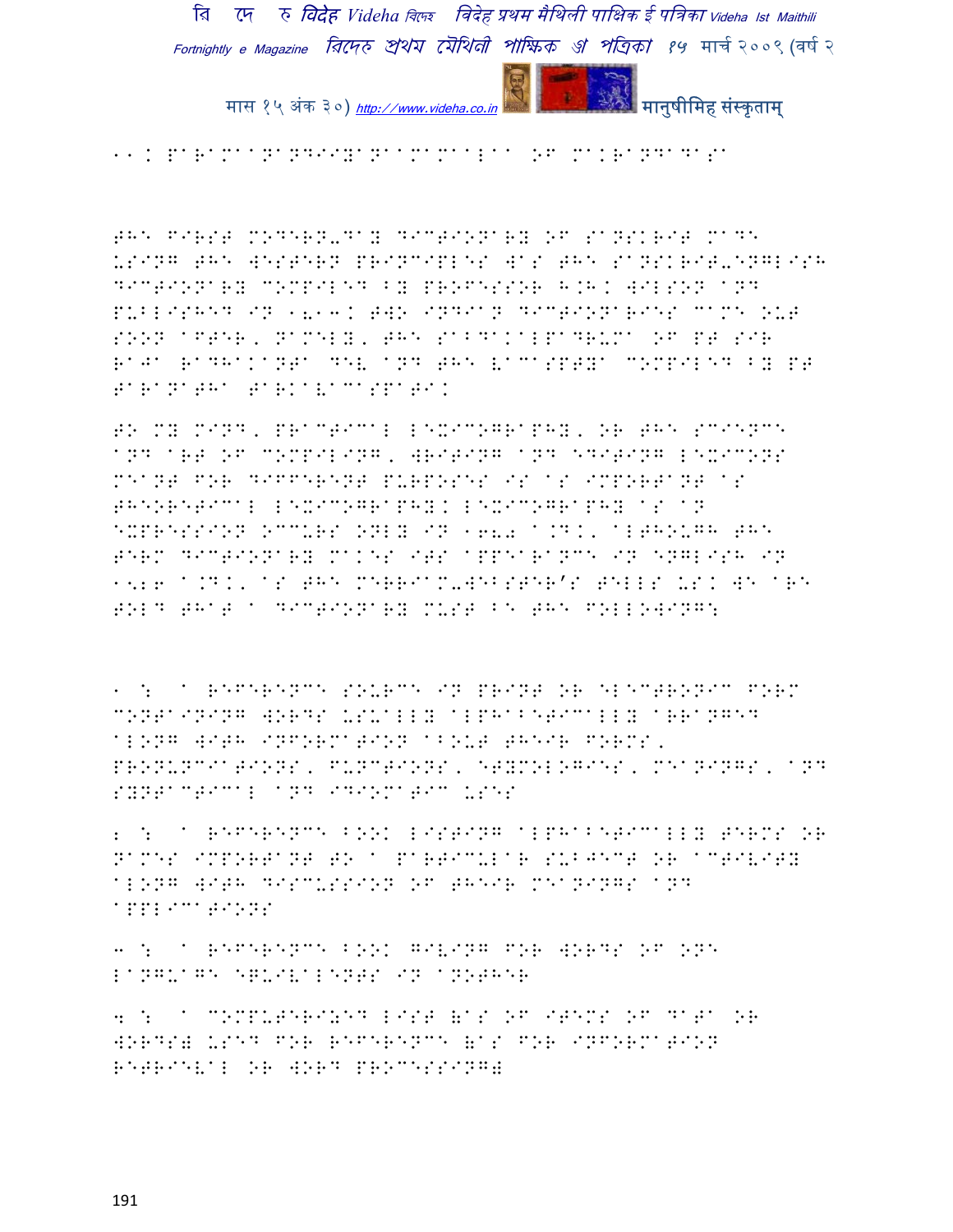4 : a COMPUTERIZED LIST (aS OF ITEMS OF DaTa OR WORDS) USED FOR REFERENCE (aS FOR INFORMaTION RETRIEVaL OR WORD PROCESSING)

3 : a REFERENCE BOOK GIVING FOR WORDS OF ONE LaNGUaGE EQUIVaLENTS IN aNOTHER

2 : a REFERENCE BOOK LISTING aLPHaBETICaLLY TERMS OR NaMES IMPORTANT TO A PARTICULAR SUBJECT OF THE PARTICULAR SUBJECT OF THE PARTICULAR SUBJECT OF THE PARTICULAR <br>And the particular subject of the particular subject of the particular subject of the particular subject of th aLONG WITH DISCUSSION OF THEIR MEaNINGS aND aPPLICaTIONS

1 : a REFERENCE SOURCE IN PRINT OR ELECTRONIC FORM TO BANK WORDS USING WORLD ALL IN ALL IN A RANGED BY A BANK BETWEEN aLONG WITH INFORMaTION aBOUT THEIR FORMS, PRONUNCIaTIONS, FUNCTIONS, ETYMOLOGIES, MEaNINGS, aND SYNTAGTIC AND INTERNATIONAL AND IDIOMATIC USES

TO MY MIND, PRaCTICaL LEXICOGRaPHY, OR THE SCIENCE aND aRT OF COMPILING, WRITING aND EDITING LEXICONS MEANT FOR DIFFERENT PURPOSES IS A SERVE OF DESCRIPTION OF A SERVER OF A SERVER OF A SERVER OF A SERVER OF A SE<br>As in the server of a server of a server of a server of a server of a server of a server of a server of a serv THEORETICaL LEXICOGRaPHY. LEXICOGRaPHY aS aN EXPRESSION OCCURS ONLY IN 1680 a.D., aLTHOUGH THE TERM DICTIONaRY MaKES ITS aPPEaRaNCE IN ENGLISH IN 1526 a.D., aS THE MERRIaM-WEBSTER'S TELLS US. WE aRE TOLD THaT a DICTIONaRY MUST BE THE FOLLOWING:

TaRaNaTHa TaRKaVaCaSPaTI.

THE FIRST MODERN-DaY DICTIONaRY OF SaNSKRIT MaDE USING THE WESTERN PRINCIPLES WaS THE SaNSKRIT-ENGLISH DICTIONaRY COMPILED BY PROFESSOR H.H. WILSON aND PUBLISHED IN 1813. TWO INDIaN DICTIONaRIES CaME OUT SOON AFTER, NAMELY, THE SABDAKALPADRUMA OF PT SIR RAJA RAJA RAJA RAJA RAJA RAJA DA DEVE VACAS POLITIKA

11. PaRaMaaNaNDIIYaNaaMaMaaLaa OF MaKRaNDaDaSa

मास १५ अंक ३०) http://www.videha.co.in<br>| मानुषीमिह संस्कृताम्

िव दे ह िवदेह *Videha* িবেদহ िवदह ᮧथम म े ैिथली पािक्षक ई पिᮢका Videha Ist Maithili Fortnightly e Magazine *ৱিদেড প্ৰথম মৌথিনী পাক্ষিক § পত্ৰিকা १५* मार्च २००९ (वर्ष २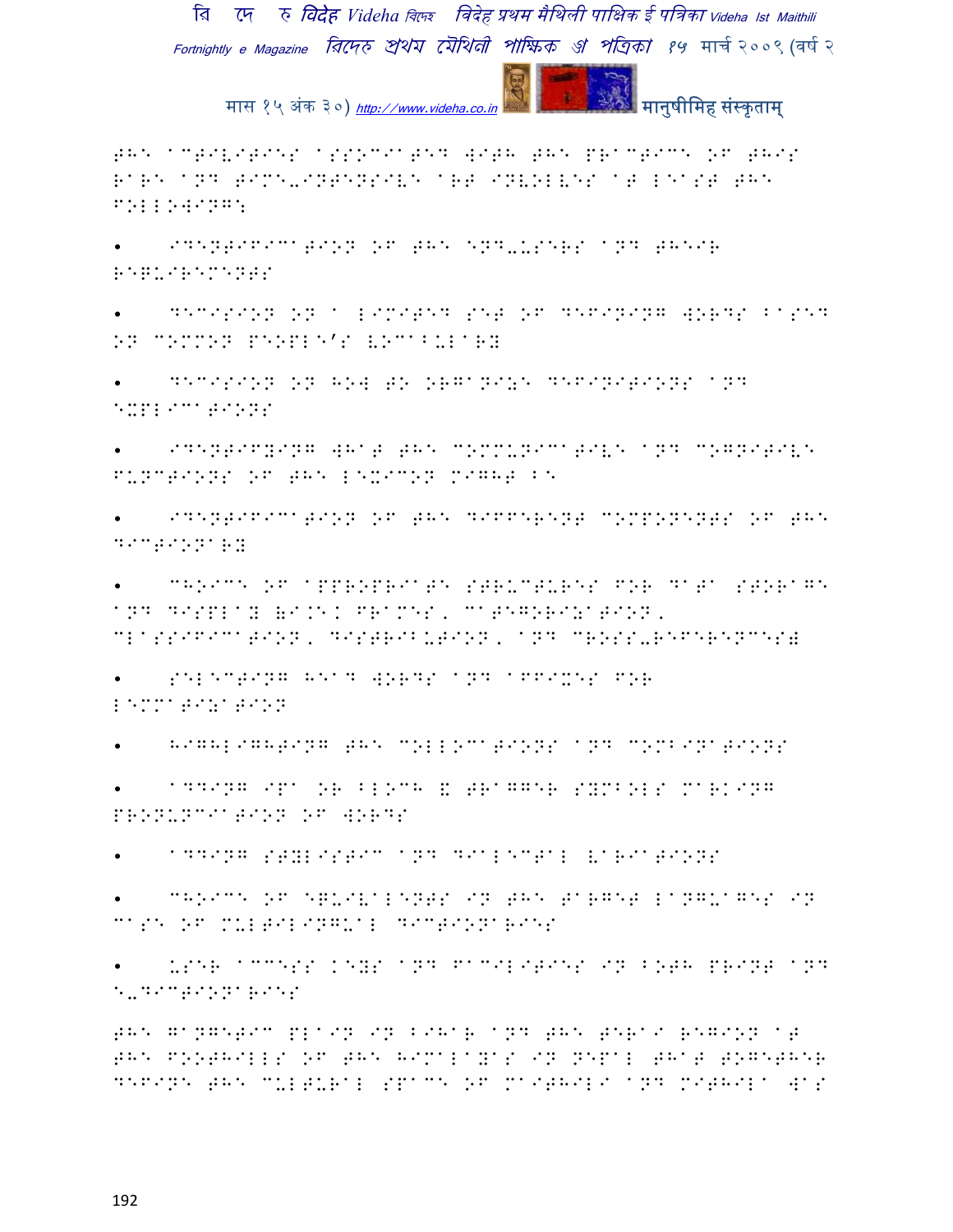मास १५ अंक ३०) <u>http://www.videha.co.in</u><br>| मानुषीमिह संस्कृताम्

THE aCTIVITIES aSSOCIaTED WITH THE PRaCTICE OF THIS RARE AND TIME-INTENSIVE ART INVOLVES AT LEAST TIME-INVOLVES AT LEAST THE INVOLVES AT LEAST THE LEAST THE LEAST FOLLOWING:

• IDENTIFICaTION OF THE END-USERS aND THEIR  $R$  . The contract of the contract of the contract of the contract of the contract of the contract of the contract of the contract of the contract of the contract of the contract of the contract of the contract of the con

• DECISION ON a LIMITED SET OF DEFINING WORDS BaSED ON COMMON PEOPLE'S VOCaBULaRY

• DECISION ON HOW TO ORGaNIZE DEFINITIONS aND EXPLICaTIONS

• IDENTIFYING WHaT THE COMMUNICaTIVE aND COGNITIVE FUNCTIONS OF THE LEXICON MIGHT BELOW

• IDENTIFICaTION OF THE DIFFERENT COMPONENTS OF THE

DICTIONaRY

aND DISPLaY (I.E. FRaMES, CaTEGORIZaTION,

• SELECTING HEaD WORDS aND aFFIXES FOR

• CHOICE OF aPPROPRIaTE STRUCTURES FOR DaTa STORaGE

CASE OF MULTIPLE OF MULTIPLES AND ARRAIT

 $\bullet$   $\rightarrow$  HIGHLIGHTING THE COLLOCATIONS  $\sigma$  and  $\sigma$  and  $\sigma$ 

 $\bullet$  and distributions of the stylistic and  $\bullet$  and  $\bullet$  and  $\bullet$  and  $\bullet$  and  $\bullet$  and  $\bullet$  and  $\bullet$  and  $\bullet$  and  $\bullet$  and  $\bullet$  and  $\bullet$  and  $\bullet$  and  $\bullet$  and  $\bullet$  and  $\bullet$  and  $\bullet$  and  $\bullet$  and  $\bullet$  and  $\bullet$  and  $\bullet$  a

• aDDING IPa OR BLOCH & TRaGGER SYMBOLS MaRKING

• CHOICE OF EQUIVaLENTS IN THE TaRGET LaNGUaGES IN

• USER aCCESS KEYS aND FaCILITIES IN BOTH PRINT aND

THE GANGETIC PLANS IN BIHAR AND THE TERAISER AND THE TERRAIN IN BIHAR AND THE TERAISER AND THE TERAISER AT THE THE FOOTHILLS OF THE HIMaLaYaS IN NEPaL THaT TOGETHER DEFINE THE CULTURAL SPACE OF MAITHILI AND MITHILI AND MITHILI

CLASSIFICATION, DISTRIBUTION, DISTRIBUTION, AND CROSS-REFERENCES

 $\ddot{\phantom{a}}$ 

E-DICTIONaRIES

PRONUNCIaTION OF WORDS

192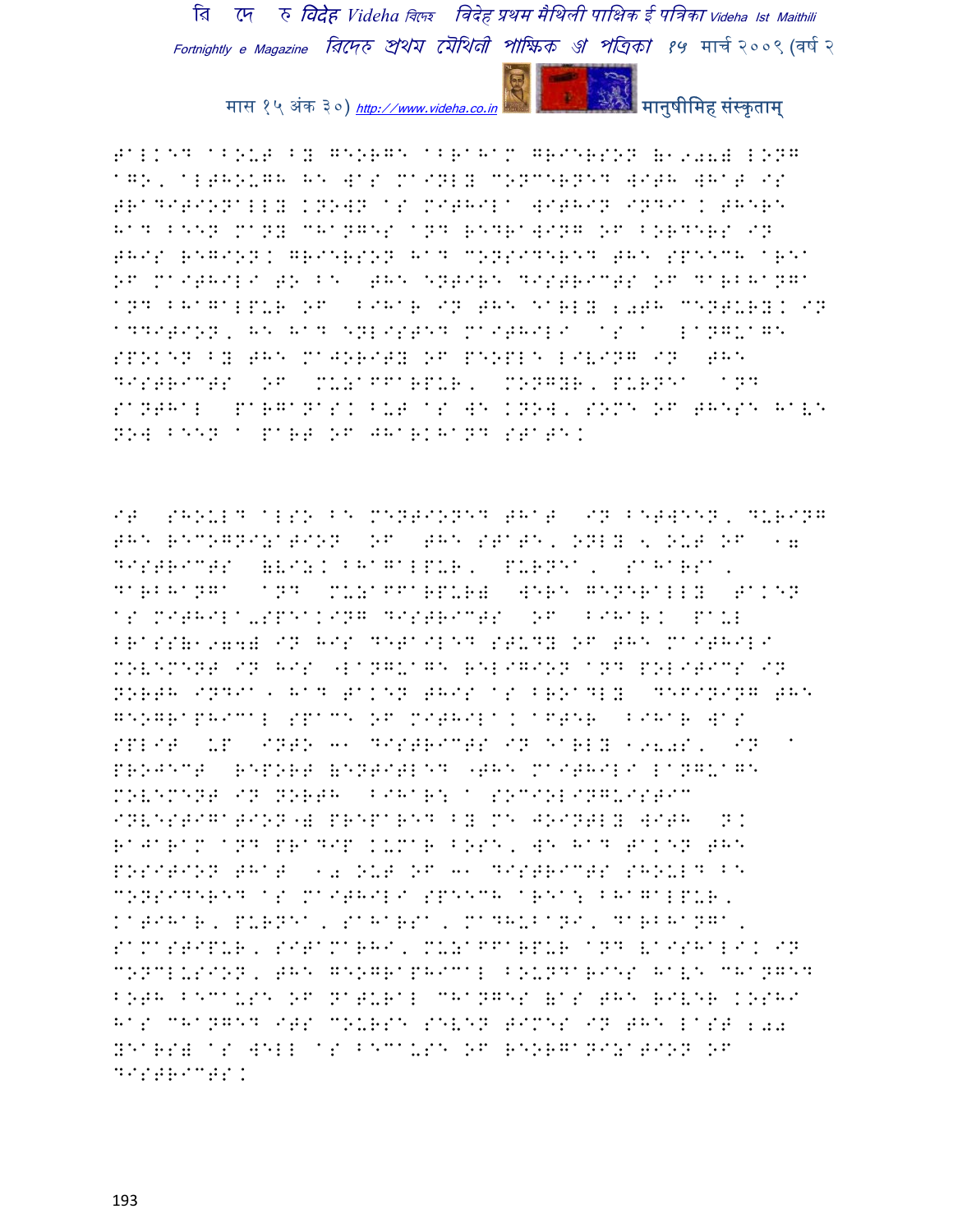ति एप रु विदेह Videha बिलरु विदेह प्रथम मैथिली पाक्षिक ई पत्रिका Videha Ist Maithili Fortnightly e Magazine *রিদেড় প্রথম মৌথিনী পাক্ষিক প্রা পত্রিকা ং*ও मार्च २००९ (वर्ष २

मास १५ अंक ३०) http://www.videha.co.in



BOILER OFFICE FOR PERPENCIPATION PROPERTY BY RELEASED tan parangan ko eta pozama monogroa ezer erre za BECAMBRIDGE EXPRESS CONTRACTOR AMERICAN MOREON ESTA AND PART TORE THORD OF BARBOARD AT PARTNER FR gazy pomocy pomponegocy and schedulers gas groote neut <u> 19 ji nashrida ato shekara nganan mgaanaan ng masang m</u> <u> 1990 - André Pole, Arco André Agogara (Alego Alegara (Magelego Ag</u> taangnisa, en eta napingana prigengin (tp.t. graacan in de la capital de la capital de la capital de la capital de la capital de la capital de la capital de la cap PORPHOIO IMPROVED FILE OP HIS CRIME. PICTS IN BRIEN ROLLS presentar serge researcher present

KA SARADI PUTEAN PROTRAKAN ARTA SA PRANSA CHIAMAR and administrated by the and satable section of the control SAPARAMAR (ABANDI PASSERIAL) PLAZAM ("PSASARI") re prosper i pre i para ere prava i gran envento del continuo na prakranovansno rok sravnja obrod rekovalo anov FESTEER DEAE STROKKE MAAR KENMONDUM DE AKNOTSKREP K THENTHE AP ARE GEORGEN ENERGY CORPORATIONS AP Steel Space (bid entry providency of FES and Constructs entry BANBELERATI SELTA NE TABRADA LARGE (PARTE BAS FTPAR (18) STAR AS TSPARSTAR STORED SPEED (STA PESANTE (BNPSBE BNPBKEENT) (BRN (MYSBR)EN ENPROTR <u> Martin Martin Martin Martin (Amerikan Martin Martin Martin Martin Martin Martin Martin Martin Martin Martin M</u> <u>an ang pangalang ng panggalang ng manganggalang ng pa</u> BOATECT CIPS PROTHECILITY BOATEC AND ACTOR CHAN de la característica de la característica de la característica de la característica de la característica de la <u> Tigirangsa ng prapaga graans ngang sanggrig.</u> CORPORATION ELECTRONIC ENTERTAINMENT CONTRACTORY ENTERTAINMENT ET OT EGPTLE . EFFET OF BRY, OCLET PRIBEILE IT DRIVER ET POINT PO FORF FATILEY OF PURSER ELECTRIC PROFILEI EN PROCESSE (1925) ROC TROPHAN RECORDED CALAR ERUND RESERVEDED LOW de production de la production de la production de la production de la production de la production de la produ **SAPERATES**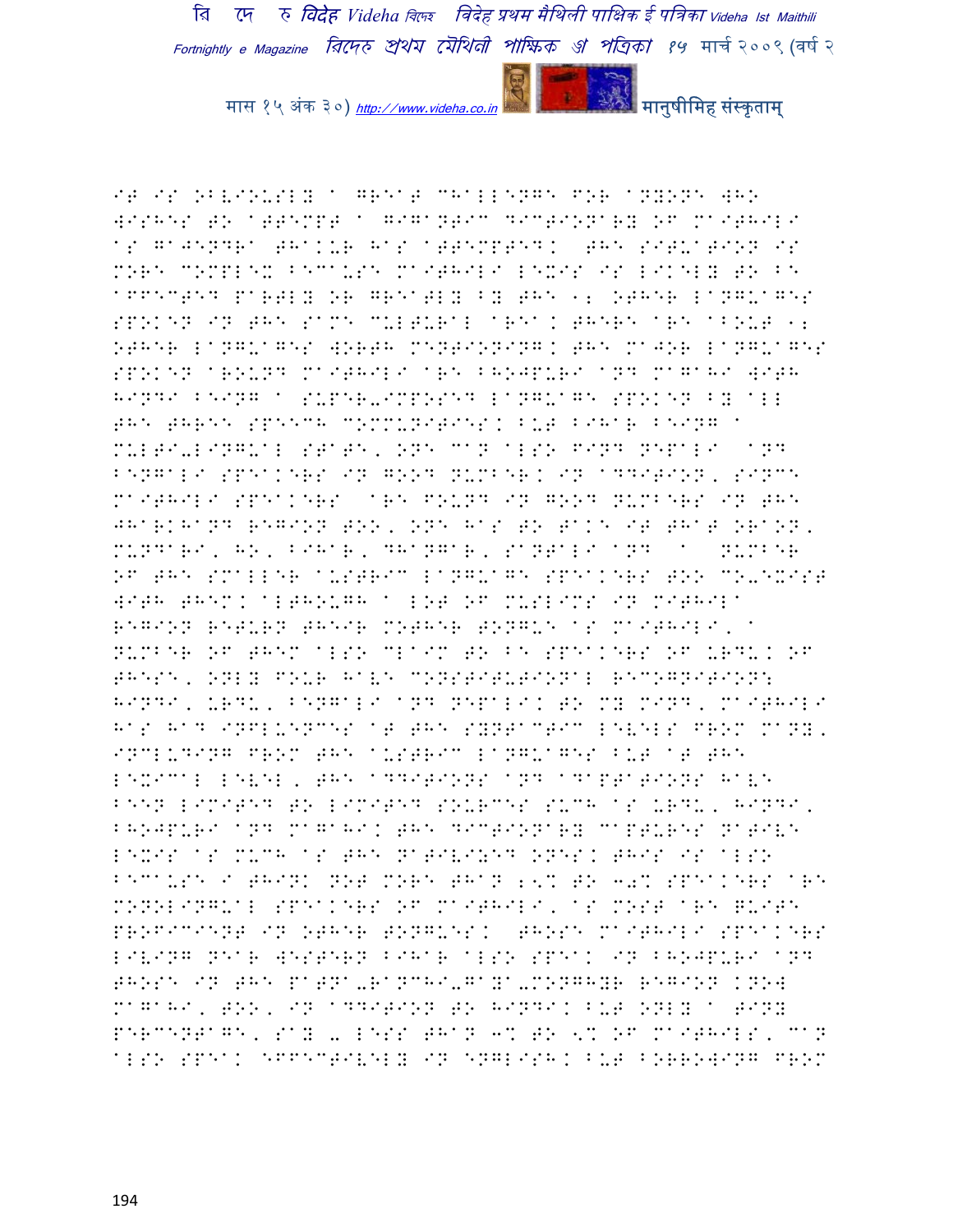ाफ् रु विदेह Videha विल्रु विदेह प्रथम मैथिली पाक्षिक ई पत्रिका videha Ist Maithili রি Fortnightly e Magazine *রিদেড় প্রথম মৌথিনী পাক্ষিক প্রা পত্রিকা ং*ও मार्च २००९ (वर्ष २

मास १५ अंक ३०) http://www.videha.co.in

स्त्री<br>स्थि मानुषीमिह संस्कृताम्

andring at capture connection and the second state of the second THE THIRT STATIST IN THE THE SALE OF BUILDING REAL TARATEAR ETEBER DOE AEATER BOAR BANCOE DEANE ET PALTANT richt in die Grand en von Millerie is der Schaaken der der Stelle de SARSE ESTRAS RSP ASEAR TSTASTSTRIK ARS TSASE ESTRAS RSP ffiliar a bilin tagbh a agus an bheile ann ta tha bha ROBBO PACHE O PINEARCHINEAR BOBBIOGA PENING PEOPL BRA BREAK BEANCH CONTINUESES I FIB FRANCH FARDERS TIERVIERTRICH VERGAND STATT TERS PRIM TATTER COTT PROPRIES SIDRICHES SO PRRA OLDEREC SO CARSESPECT SIDRA TO CARPING ATTNOSCHAR OCTANOMICATE PORTUGALES DAN CARD ARCHITECT anternten espiralen era land den bestaan en de staan de regionen. TIPPING AND PORTHO RATES IN BELIEVING ON BIDESE dram annos clandidh collea de outlainoi co oraneis BRANDE BRAGGA AARVE TOAARD ADTAIL TIJ TIJDEN EI D alan ya tan anya ta katika masu ati ya yang masa ya katika ma BRANN LOSTED FOLK ROLL TOTHBREADTH I BATTERNBOOTE ACOMO LEMO PROPRES COM ORDER DED DO DO DOMER DO CERCEO Any And Springthen na aAN YOUR MACH ENDER CHAT COUL ENDATTE ENENE L'ARN TOORGANDEN TOOR TOOPEREARDEN ROEN <u> England i Santa Maria (Alemania) eta erregea eta eta erregea eta erregea eta erregea eta erregea eta erregea</u> PATTLEY A BRAZI ZEB TERR BRIZ ENT BE HAT SITY LARD TRY andari da bara da san sa tagair a bha an dara ann an daoine an chaidh an chaidh an chaidh an chaidh an chaidh dia pada tahun 1972. Pada tahun 1983, dia pada tahun 1983, dan bagian perangai kepada pada tahun 1983. ESESPROPAGNE HARBABD FSPORT SERVICETATIONS FRAMELBACOUR andaru di anu prair largroupig colorannia august (pia <u>D'AMARI, BEL, KROSANBERER BESARREN ELBORIA DE BARI</u> ESPOSENTAS LONDOLO ESPOSOFAMO ANOSTOS DE INSTRUIDO MOR <u> 1995 - Santa Arritmendo de Autoria (Santa Cale a Santagoria (San</u>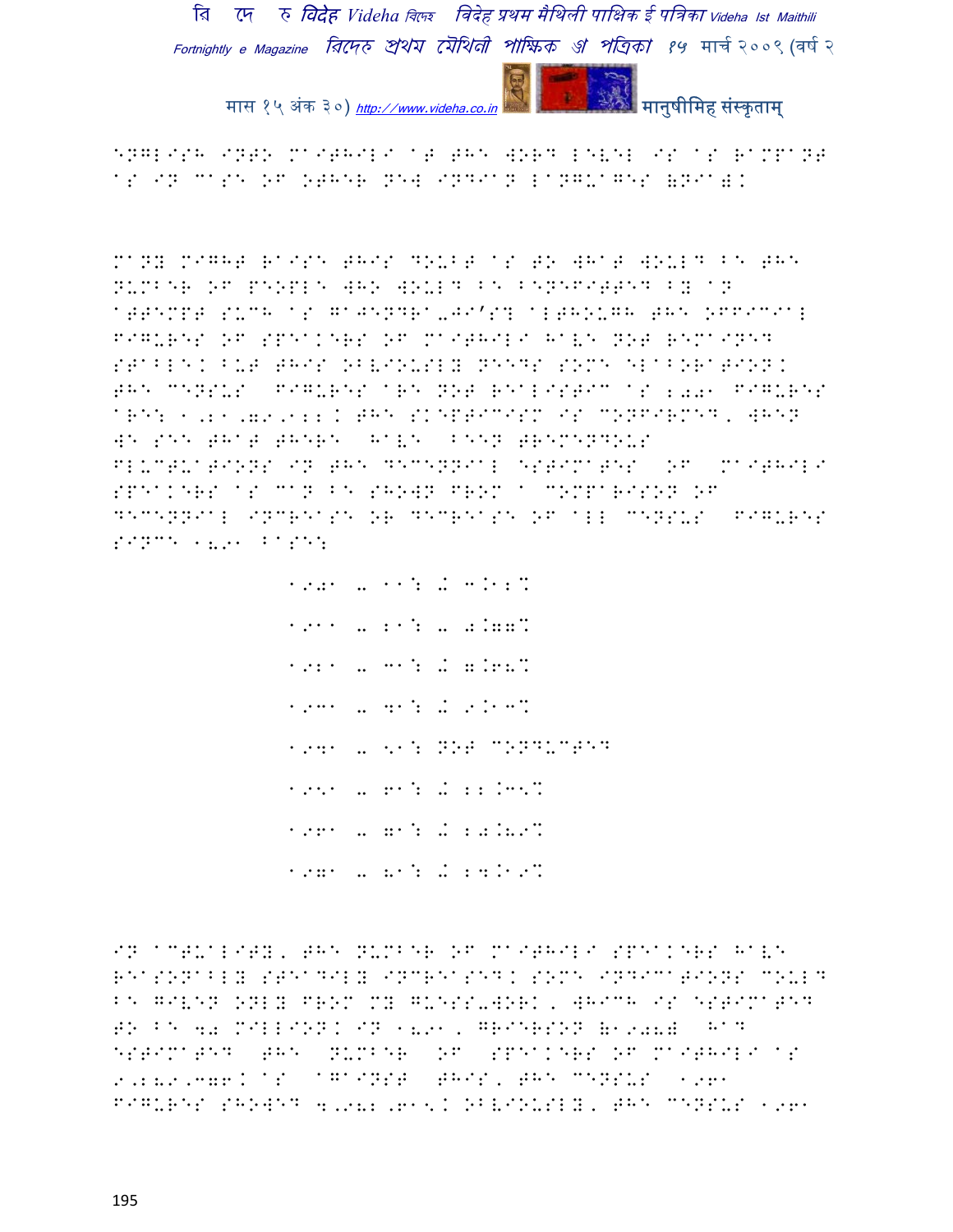ति एप रु विदेह Videha बिलरु विदेह प्रथम मैथिली पाक्षिक ई पत्रिका Videha Ist Maithili Fortnightly e Magazine *রিদেড় প্রথম মৌথিনী পাক্ষিক প্রা পত্রিকা ং*ও मार्च २००९ (वर्ष २

्ति ।<br>स्थि मानुषीमिह संस्कृताम् मास १५ अंक ३०) http://www.videha.co.in

STARKING STARK TO SANSA SOME ANNOUNCEMENT PROTOCOLOGICAL trong wire be beeng goe gggeng foggingen mengen

TO POSSER BERGE BRAY SPACE OF BROWNE BRAIN CO. BRA PLUS NE DU PODER NORDE ADLES SON SOPRENDENS SE LO <u> 1895. Store is de anguelación issuer sun prendi</u> PARLENE DR EBNITNEE DR TVABAGEA AVEN BDB BNTVABNR FACEBOO ENFORMED NEEDING BOOK BOOK NEW NEIGHBOOK BAS TSTELE (PROLESE TES TRE ESTERERT TE EQUA PROLESE tent (a) arranged en grouperment en moderner (genod grografijanje jedajno staro starog jednostica. <u>PENTHNI HOSPE SP HAN BNTNYRSE NEHRT HAN NAT NY SHASES</u> SVINGENIE VORGENIEN DE SVIENIEN DA DE TEE TVOEDE VANGENE  $\mathcal{L} \subset \mathcal{L} \subset \mathcal{L}$  , and  $\mathcal{L} \subset \mathcal{L} \subset \mathcal{L} \subset \mathcal{L}$  , and

> aran wantu watest ara wilaya wa mutumi sors a strong model Substitution in dealership street working and they sors a material rainet tempo la matricia mandrett

KP TORING KADA ARS PICTURE IN CONFRAG KADA LIGHT ROLS BANGING PERSONAL PROPERTY SAND SINGLE PROPERTY OF THE STATE OF <u> 19. martin dhe mata të shtë mba mba dhe shtë të manda në një dhe shtë sht</u> BR PA AN TRIPANICAT PERSONALISM BRANNE (PTT Suran Searchie (1980) the speed (grass, grass stagened (super rangels (blinder aller level bilderig bilder i de "Stiller")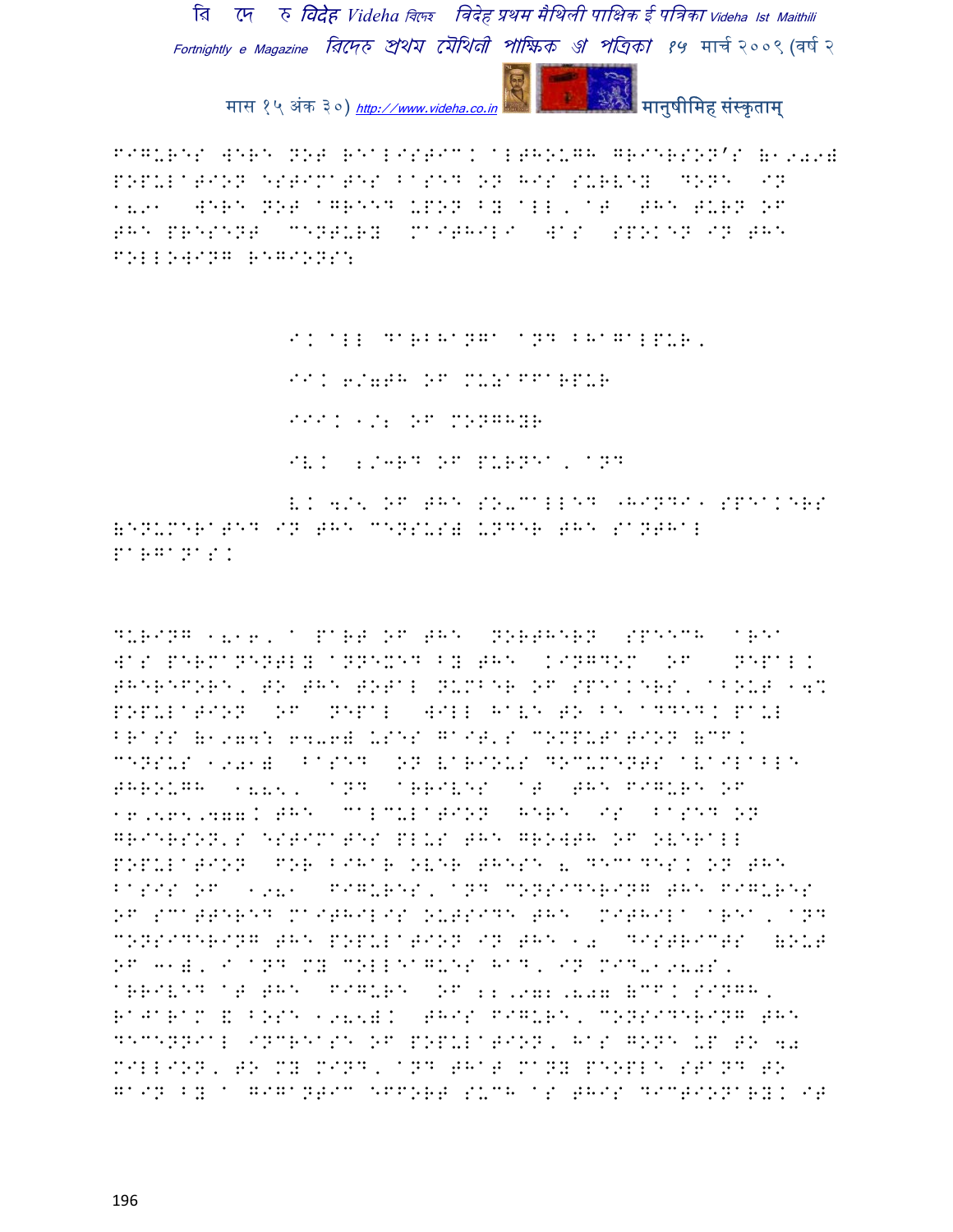मास १५ अंक ३०) http://www.videha.co.in<br>| मानुषीमिह संस्कृताम्

FIGURES WERE NOT REaLISTIC. aLTHOUGH GRIERSON'S (1909) POPULaTION ESTIMaTES BaSED ON HIS SURVEY DONE IN 1891 WERE NOT AGREED UPON BY ALL, at THE TURN OF ALL, a THE PRESENT CENTURY MaITHILI WaS SPOKEN IN THE FOLLOWING REGIONS

I. aLL DaRBHaNGa aND BHaGaLPUR,

II. 6/7TH OF MUZaFFaRPUR

III. 1/2 OF MONGHYR

IV. 2/3RD OF PURNEa, aND

 V. 4/5 OF THE SO-CaLLED "HINDI" SPEaKERS (ENUMERaTED IN THE CENSUS) UNDER THE SaNTHaL PaRGaNaS.

DURING 1816, a PaRT OF THE NORTHERN SPEECH aREa WAS PERMANENTLY AND AN ENDING AND ON THE KINGDOM OF THE KINGDOM OF NEPALL. THEREFORE, TO THE TOTaL NUMBER OF SPEaKERS, aBOUT 14% POPULaTION OF NEPaL WILL HaVE TO BE aDDED. PaUL BRASS (1974: 64-6) USES GAITS (CARDINAL CAPT) CARELE 1901) BASED ON SUSPENSUS DOCUMENTS AVAILABLE THROUGH 1885, aND aRRIVES aT THE FIGURE OF 16,565,477. THE CaLCULaTION HERE IS BaSED ON GRIERSON'S ESTIMaTES PLUS THE GROWTH OF OVERaLL POPULaTION FOR BIHaR OVER THESE 8 DECaDES. ON THE BaSIS OF 1981 FIGURES, aND CONSIDERING THE FIGURES OF SCaTTERED MaITHILIS OUTSIDE THE MITHILa aREa, aND CONSIDERING THE POPULaTION IN THE 10 DISTRICTS (OUT OF 31), I and MY COLLEAGUES HAD, I and I and I and I aRRIVED aT THE FIGURE OF 22,972,807 (CF. SINGH, RaJaRaM & BOSE 1985). THIS FIGURE, CONSIDERING THE DECENNIaL INCREaSE OF POPULaTION, HaS GONE UP TO 40 MILLION, TO MY MIND, aND THaT MaNY PEOPLE STaND TO Gaing a give gains to see your assets the such as the property of the such as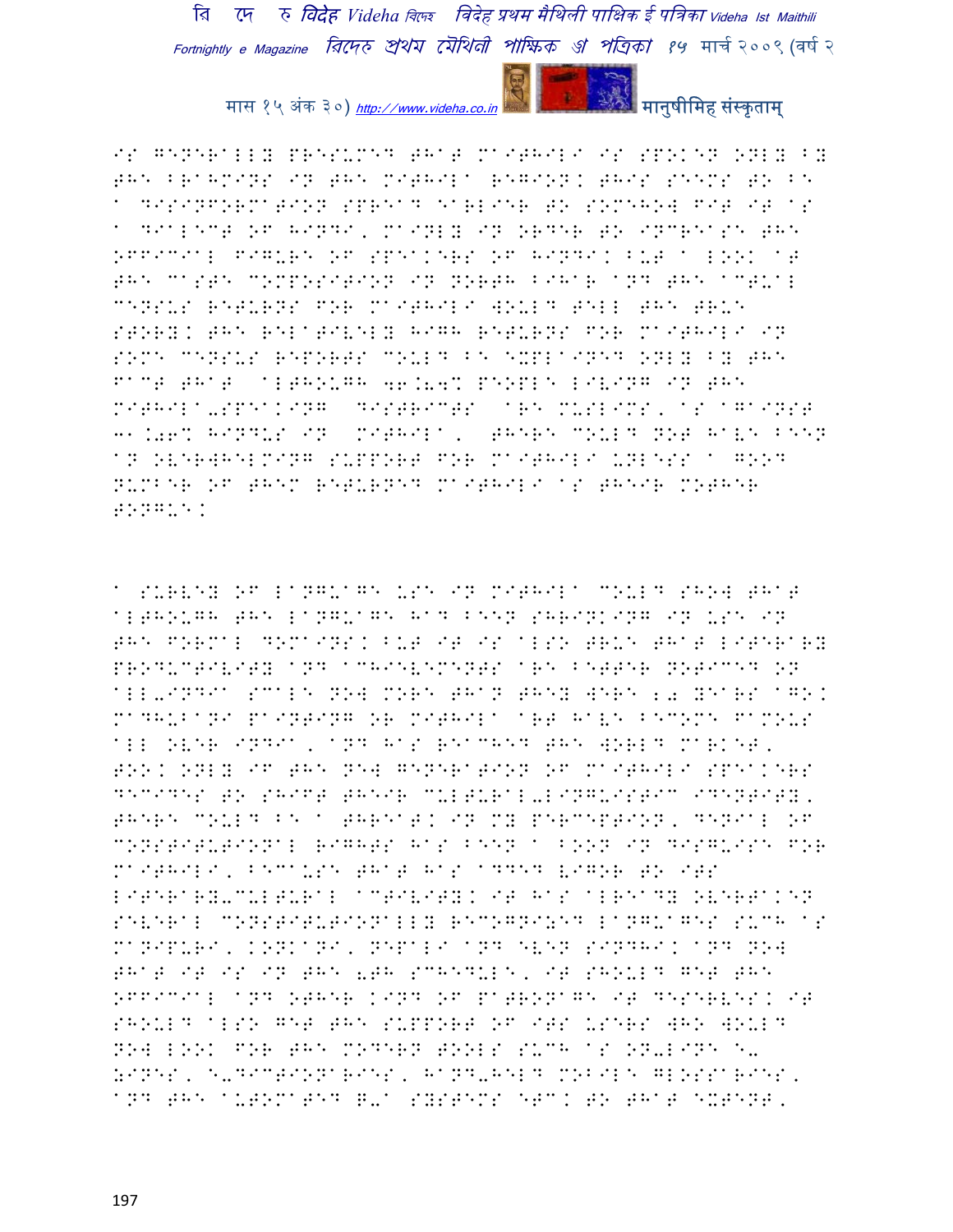ाफ् रु विदेह Videha विल्रु विदेह प्रथम मैथिली पाक्षिक ई पत्रिका videha Ist Maithili রি Fortnightly e Magazine *রিদেড় প্রথম মৌথিনী পাক্ষিক প্রা পত্রিকা ং*ও मार्च २००९ (वर्ष २

मास १५ अंक ३०) http://www.videha.co.in



ana dia kaominina mpikambana amin'ny fivondronan-paositra 2014. Ilay kaominina dia kaominina mpikambana amin'n ann farnyngi ng ann prancis anggog anni inngi ay fr <u> 1949-1959: San André San Brander (San André San André San A</u> <u> 1971: STA ST AMBRE, INSBERGE SARAH AS KRTASIS AAS</u> SPRATATE PARGES SPOEDLING SE SANDATI PLE TOESSI TE ans maan meer een een de beweer en de belang <u> Timografia (programa programa programa programa programa programa programa programa programa programa program</u> PAGES ARS ESPECIALSES ROBA ESPANDO POR COCARCEO CO KATA TABKIK BABBBEN TAIBA A AIRIBEA PADE BABB BABBA <u>POTA ARTA (TEARGAR ARIGAI PRIER EXECUT XI ARR</u> reaker writer results and another the companies of the estate AR DEATHARTED AT STARPAGES, SPARE TROP TRE PERSONAL **TO SEMPRETED PLEEDED TOP TOPPED AND NEED TO POST** SITESE OF BROT BOBIESON TOGHABA OF BROGE TOBROB #198111

<u> 1999 - André Marie Marie Marie Marie Marie Marie Marie Marie Ma</u> ng paggaal pali gingagnai ahal ning gapeggega ega ggi dele ande de la partida de la partida de la partida de la partida de la partida de la partida de la partida de la FROGRAFIAE OPT CONSOLORED CROSSED PORTUGE DE **TEEL-TORT ETTER ORA CRAFTARTO ARRO ARAS EL GRIBE IMPRI** TO RAISE THAT IN ANGARA NG ANG ANG ATALIAN ANG ANG ANG TALA TEE DEPARTMENT OF THE ANY BROTHER GARAGEMENT BIRG. addictaris en amb gra gropoanadog de gregores agrentoa: arang proposed to the state of the state of the state of the state of the state of the state of the state of t proposition in the proposition of the presentation in the set TOGENELATOG ESPARE ANY POST CORDO STORECKY POP grafika ing kabupatèn Kabupatèn Banggunia (Kabupatèn Banggunia). <u> 1999 - 1999 - 1999 - 1999 - 1999 - 1999 - 1999 - 1999 - 1999 - 1999 - 1999 - 1999 - 1999 - 1999 - 1999 - 199</u> and de la companyation de la companyation de la companyation de la companyation de la companyation de la compa 的复数形式重新的 医克莱顿氏菌病 的复数重新重新的 医甲状腺杆菌 医马克耳氏病 的过去时医尿道病 공유기공 어린 어린 어린 공유가 심공유 공기유가지였는지 인어린 공유가입을 지나마구를 공유가 SPRATATE TORT SHAME CAOR SPORTHERS AN AN INFORMACY AR <u>Protokologija po protokologija protokologija protokologija protokologija protokologija protokologija protokol</u> 경어를 그 어머는 지어와 '공개가' 정대적가라면 '공대대표'로 '공업적제' 이공 '대표업표' 지역가 '가입' SATAR LONGHAMERING BANK LORDEN BALANE HOMEN ARTIST BANK L <u> 199 ann 10achtang But adalanta nagti an anta ndangal</u>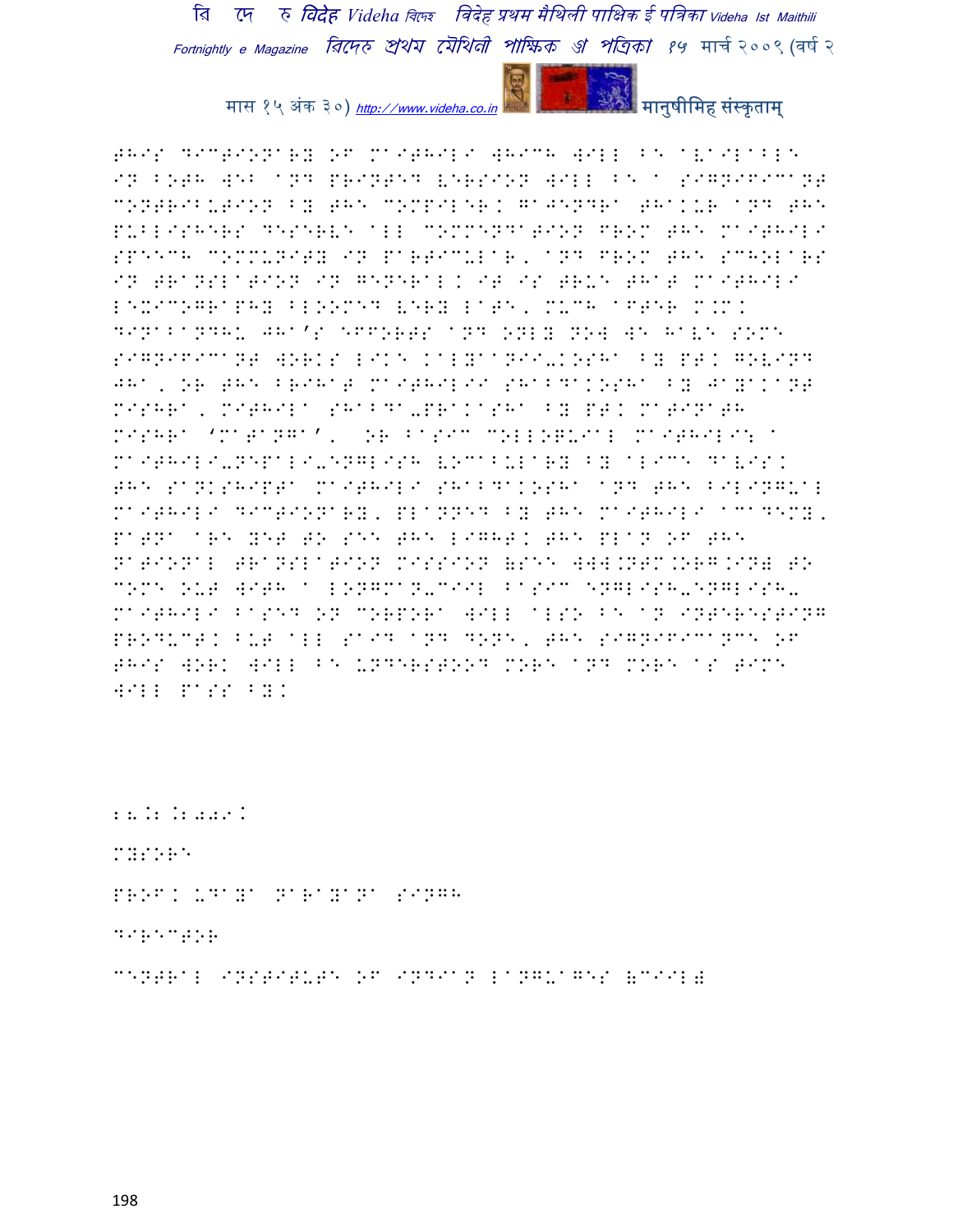मास १५ अंक ३०) http://www.videha.co.in स्थितिहरूमा सानुषीमिह संस्कृताम्

THIS DICTIONaRY OF MaITHILI WHICH WILL BE aVaILaBLE IN BOTH WEB aND PRINTED VERSION WILL BE a SIGNIFICaNT CONTRIBUTION BY THE COMPILER. GaJENDRa THaKUR aND THE PUBLISHERS DESERVE aLL COMMENDaTION FROM THE MaITHILI SPEECH COMMUNITY IN PaRTICULaR, aND FROM THE SCHOLaRS IN TRaNSLaTION IN GENERaL. IT IS TRUE THaT MaITHILI LEXICOGRaPHY BLOOMED VERY LaTE, MUCH aFTER M.M. DINaBaNDHU JHa'S EFFORTS aND ONLY NOW WE HaVE SOME SIGNIFICaNT WORKS LIKE KaLYaaNII-KOSHa BY PT. GOVIND JHa, OR THE BRIHaT MaITHILII SHaBDaKOSHa BY JaYaKaNT MISHRa, MITHILa SHaBDa-PRaKaSHa BY PT. MaTINaTH MISHRA 'MISHA BASIC COLLOQUIAL MORE ENERGY ENTREPRENT MaITHILI-NEPaLI-ENGLISH VOCaBULaRY BY aLICE DaVIS. THE SANKSHIPTA MAITHILI SHABDA SHABDA AND THE BILI SHABDAKOSHA AND THE BILINGUAL SHABDAKOSHA AND THE BILINGUAL MaITHILI DICTIONaRY, PLaNNED BY THE MaITHILI aCaDEMY, PaTNa aRE YET TO SEE THE LIGHT. THE PLaN OF THE NaTION AND RESERVE TO A SERVE A SERVE A SERVE A SURFACE A SURFACE A SURFACE A SURFACE A SURFACE A SURFACE A SU COME OUT WITH A LONG-CIIL BASIC ENGLISHED AND LONGING AND LONGING AND LONGING AND LONGING AND LONGING AND LONG Mathilia Based on Corporate and Paison be an Interesting PRODUCT. BUT aLL SaID aND DONE, THE SIGNIFICaNCE OF THIS WORK WILL BE UNDERSTOOD MORE aND MORE aS TIME WILL PASS BY.

28.2.2009. MYSORE PROF. UDaYa NaRaYaNa SINGH DIRECTOR CENTRaL INSTITUTE OF INDIaN LaNGUaGES (CIIL)

198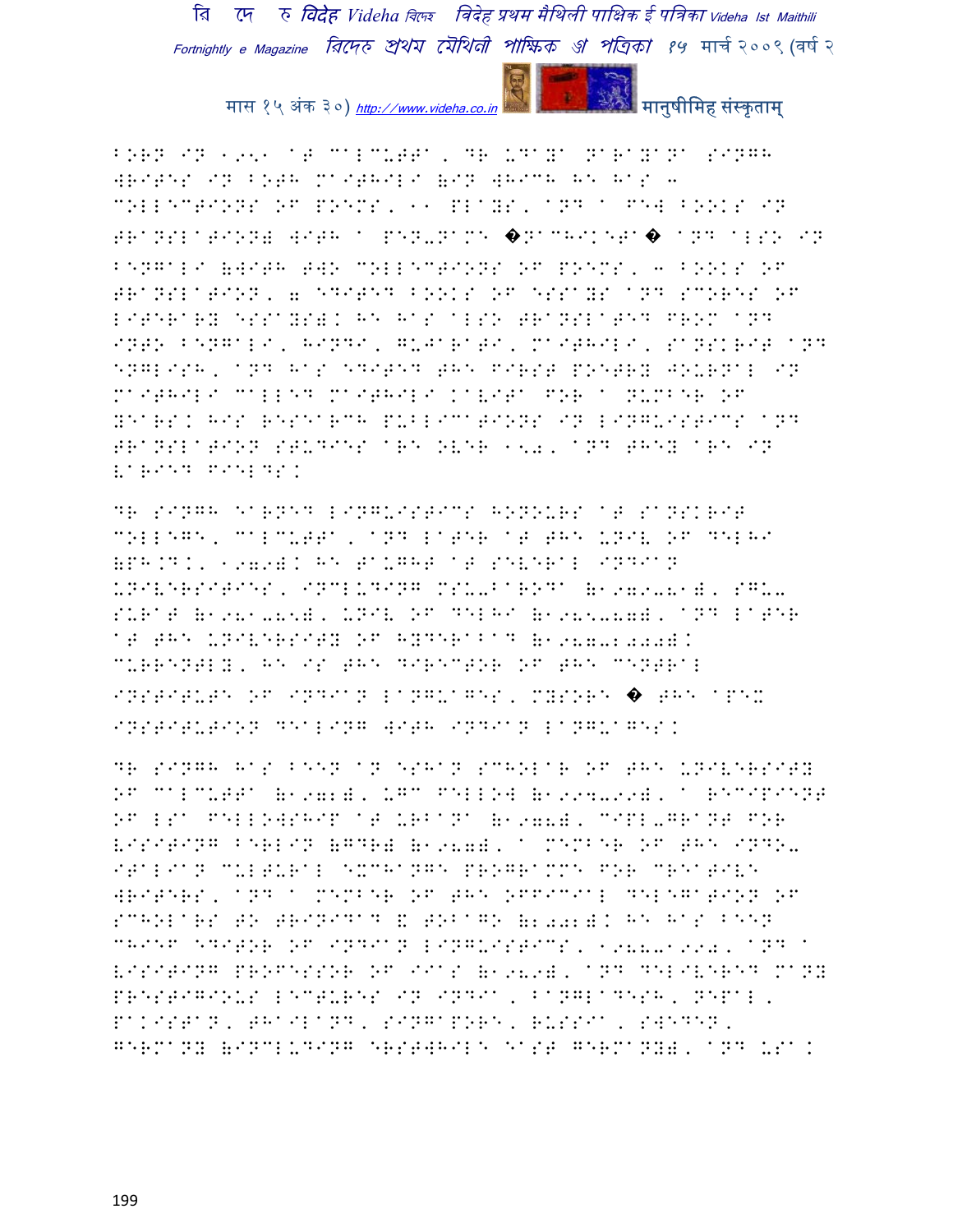ति एप रु विदेह Videha बिलरु विदेह प्रथम मैथिली पाक्षिक ई पत्रिका Videha Ist Maithili Fortnightly e Magazine *রিদেচ প্রথম মৌথিনী পাক্ষিক প্রা পত্রিকা ং*ও मार्च २००९ (वर्ष २

्त्रहर्<br>स्थिति मानुषीमिह संस्कृताम्

FORD AD FORD OF THOSEN CORPORATION DESIGN PADDE dender ist fram stidenten bist den militär mit i <u> TIE EN BIOLET IN BIOLET IN DE BIOLET IN DIE BIOLET IN DIE BIOLET IN DIE BIOLET IN DIE BIOLET IN DIE BIOLET IN</u> BETREITBYDDA APPROX ENDLOCDN ♦POTRYCNBO♦ COR CEED YD <u> Program program stady mod prymerologických pozrioz (program program program program program program program p</u> abidad iang papangnya bili dan nagional nya ang hari da EVANDED NOOTBOED AN AND MEDD ABMOREMENT TOOT MOT KOBA PROPRIES PROTECT PLATERAL CONSENSIVI STOCKERS TOP SPALARA (SPA) ASP SAGASA PAS AVERE PRSPER ARLEASE VP program por modificant program por prigident and a constant part of the program of the second state and part o BROWN COMPANY WORLD FOR PROPERTY AND PROPERTY OF THE HETHITIMAH PHONG TEN NENE FRANCISHNE TEN MP 

मास १५ अंक ३०) http://www.videha.co.in

ME PROMIN STEDRIK EROMENTERTE AROBEIT TE POSTERVE magginen , migmogen , igen gingne ing genn opprog an enger Branch Counsel Carl Branch (B. Charles Counsel <u> 1968 - André Marie de Constantino de Santa Albertina (m. 1968)</u> flete modelland. Children with modelland. Thy fleth te eks conditioner of konsetting movement and <u>TIBROBEI AN OF BAN BOBOTER DE BAN TOBBOI</u> PREPREDENT DE PORTETO ESTRADO ANEL COMPOSTO ◆ BANCSBNC <u> Kongressione and programmo do strange i dans and t</u>

ng proposisipilang antar ng ngang proposisipilan pas copropositor de minuer akademiculturation akademiculturation the control of the control of the control of the control of the control of the control of the control of the c ESPSASTA (SAHST BATHE BROWNE, TOTST) SA 200 ANS STOR. KATERY SUMLEMENT SOMEOGEN BEVEEN MYN FOR MENNENEN derators (1991) controls be absoluted in 1993 sprache ringride av British Border (1981) av Brande (1981) av British maksan shekara ta kanang akuntikatan itu kidadekan dina s ESPECIFIE PROPORTOR OF SOME BOOKLE. THE TOP CEORD TO PE PERPENDANCI ERMENENT STRATT (FORMEORNER CRAPTE). and salar dividence notes. Sander adency education visanted by ARSED TO A APPORTUNCATOR CONFIDENTIACO CONTINUATION DO CONTINUES D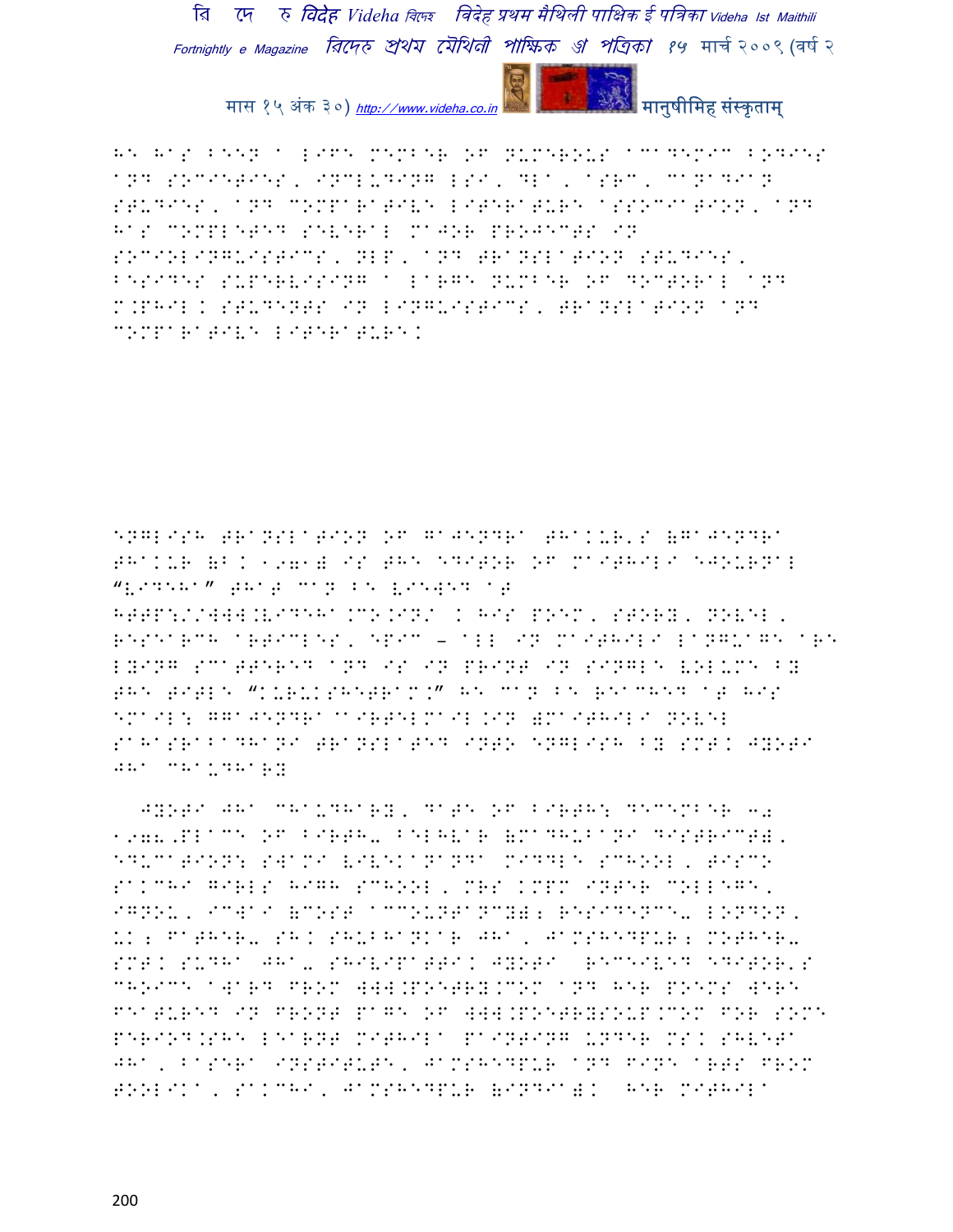ति एप रु विदेह Videha बिलरु विदेह प्रथम मैथिली पाक्षिक ई पत्रिका Videha Ist Maithili Fortnightly e Magazine *রিদেড় প্রথম মৌথিনী পাক্ষিক প্রা পত্রিকা ং*ও मार्च २००९ (वर्ष २

्राहरू<br>स्थिति मानुषीमिह संस्कृताम् मास १५ अंक ३०) http://www.videha.co.in

an any finds of prenchapters be surround of there further the procedure. Shorthand proves the string of home PALTYMPIC TO THE MOST PEAK PARTY PARTY SERVED PROVIDENCE IN THE EVING CHAVES TO SHELL THE STATE OF THE BOYS ELLISTS. <u> Presidente de la propiedad de la para del la propieda de la para de la propieda de la propieda de la propieda</u> <u> COMPAR CORRESPORATORES REPORTED A PROPERTIES DE CONFIDENCIA E EN ENERGIA E EN ENERGIA E EN ENERGIA E EN ENERG</u> <u> "STP Brasilis" (Sandra Blasili</u>

SPALINER BESTEELSHIPS SPORTHSHES BRITING STRAINTER Antich Art Syanary and Monagar Stiffe Constants (South) wirthing and conduct in invariance

RAAPSINGAA MARKAT INSTITUT ON RAAM PIRSON AARAB IN DIRAGU BOYON BTR (1880) OF 2008 PPT = 1880 PT PREPRET & BORRISHO OBD ESPORT EM BRADAR MORT AS AD BRADE AD BADOS LOBOS AS gas groots middlersoon was modeled promase op are springlig (##riasgraphicring.graphicrical communication) goalse proprieten modern genoemde beginne beginne gegen de proprieten andere  $\frac{1}{2}$  . The state of the state of the state of the state of the state of the state of the state of the state of the state of the state of the state of the state of the state of the state of the state of the state of t

agyar aprometical bology at propriety and the spon KOWA ZEEN TA DAT PARARA PAPARNE BIT PALPARA PADERATER. yalom eksas (periodi ekeyaran ayay menya yang mengangkan bahasa promas Asportas Asaa praggo o dhe codo sophe reposas. PROVIS PUBLIC BUSER COUNSERVATED PRESENTATION PROPERTY 10 : Premier ama amin'ny mpampiasa dia mandra dia 200 in de la constantina de la constantina de la constantina de la constantina de la constantina de la constantin <u> TAGATA TETER PEGI EREIDIGERITGI TIP ANA BOSI ENGINES</u> PSTRIEST PP PESPE PTPS SP RHRIPSHEESIL TIST PSE COTS propriet to the control propriet of the report that the control of the results. ART 2007 ERRET OKTERFEDER 2008 TERRITEDE OT TO FORT TERET OFFICE ander de la component de la component de la component de la component de la component de la component de la co<br>Al component de la component de la component de la component de la component de la component de la component d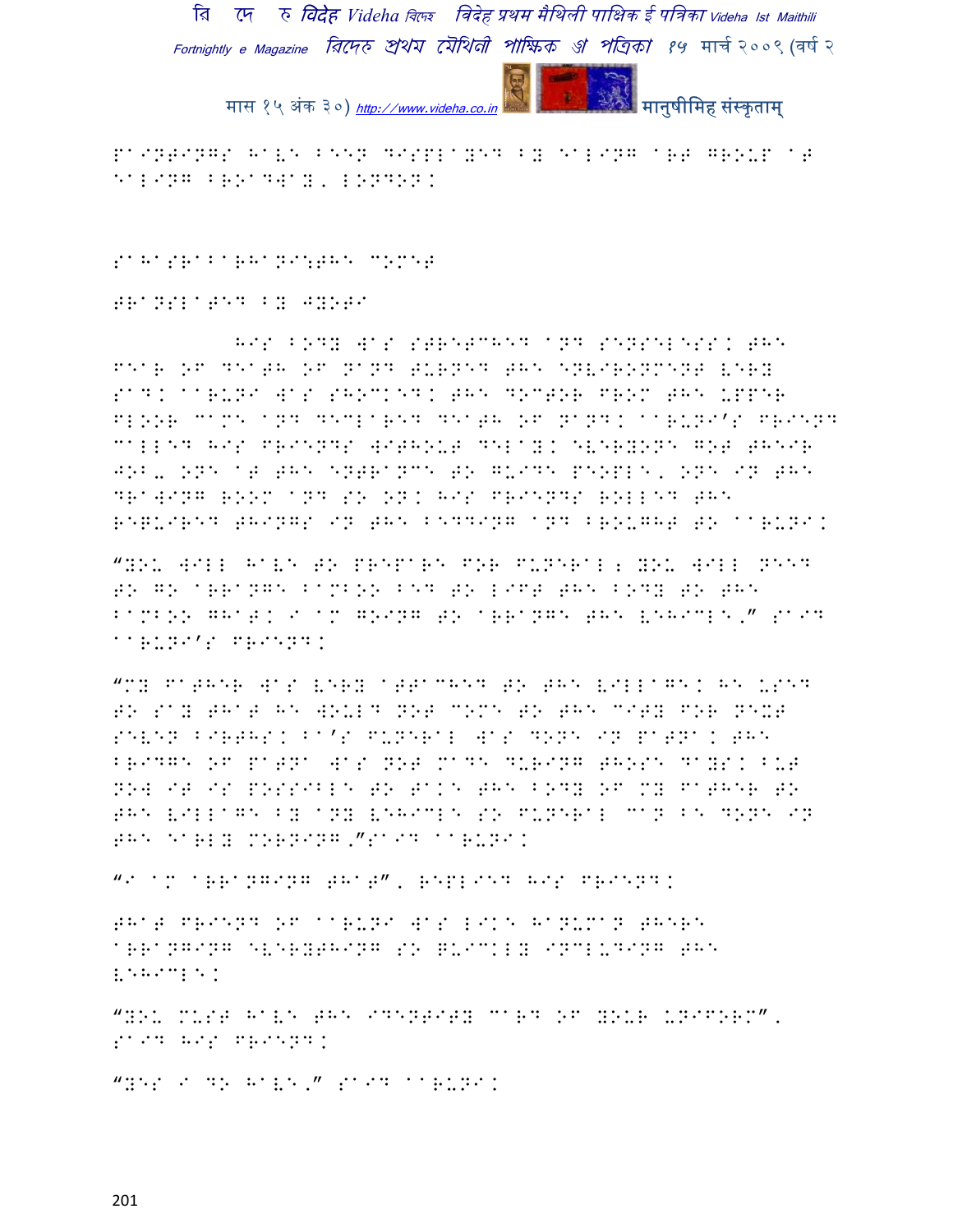मास १५ अंक ३०) <u>http://www.videha.co.in</u><br>मानुषीमिह संस्कृताम्

PAINTINGS HAVE BEEN DISPLAYED BY EACH ART GROUP AT EaLING BROaDWaY, LONDON.

SaHaSRaBaRHaNI:THE COMET

BRANSLATED BY JUNE 1999

 HIS BODY WaS STRETCHED aND SENSELESS. THE FEAR OF THE RECOVERY REPORT RENOVIRONMENT IN ENDI SaD. aaRUNI WaS SHOCKED. THE DOCTOR FROM THE UPPER FLOOR CAME and DECLARED DECLARED DECLARED DECEMBER OF NAND. AARUNI CALLED HIS FRIENDS WITHOUT DELAY. EVERYONE GOT THE LANGUAGE GOT THE INTERNATIONAL EVERY OPEN THEIR CALLED HIS JOB- ONE aT THE ENTRaNCE TO GUIDE PEOPLE, ONE IN THE DRaWING ROOM aND SO ON. HIS FRIENDS ROLLED THE REQUIRED THINGS IN THE BEDDING aND BROUGHT TO aaRUNI.

WHILL HAVE WILL HIS PREPARE FOR FUNDING FOR HILL NEED TEEP

TO GO aRRaNGE BaMBOO BED TO LIFT THE BODY TO THE BaMBOO GHATER I AM THRANGE THE THE SHE THAN EARLY SAID AN THAT

aaruni 'n beleidige v WYB FATHER WAS ENDING AT TACHED TO THE VERY ATTACHED TO THE VILLAGE.

TO SaY THaT HE WOULD NOT COME TO THE CITY FOR NEXT SEVEN BIRTHS. Ba'S FUNERaL WaS DONE IN PaTNa. THE BRIDGE OF PATHOL AND DURING THOSE DAYS. BUT ANY AND DURING THAT IS A NOW IT IS POSSIBLE TO TaKE THE BODY OF MY FaTHER TO THE VILLaGE BY aNY VEHICLE SO FUNERaL CaN BE DONE IN THE EaRLY MORNING,"SaID aaRUNI.

WA ARRANGING THAT THAT IS FRIEND HIS FRIEND.

THaT FRIEND OF aaRUNI WaS LIKE HaNUMaN THERE aRRaNGING EVERYTHING SO QUICKLY INCLUDING THE

"YOU MUST HaVE THE IDENTITY CaRD OF YOUR UNIFORM",

201

ENGINE WILL

Said His Friend

WES I DO HALL A SAID AARUNI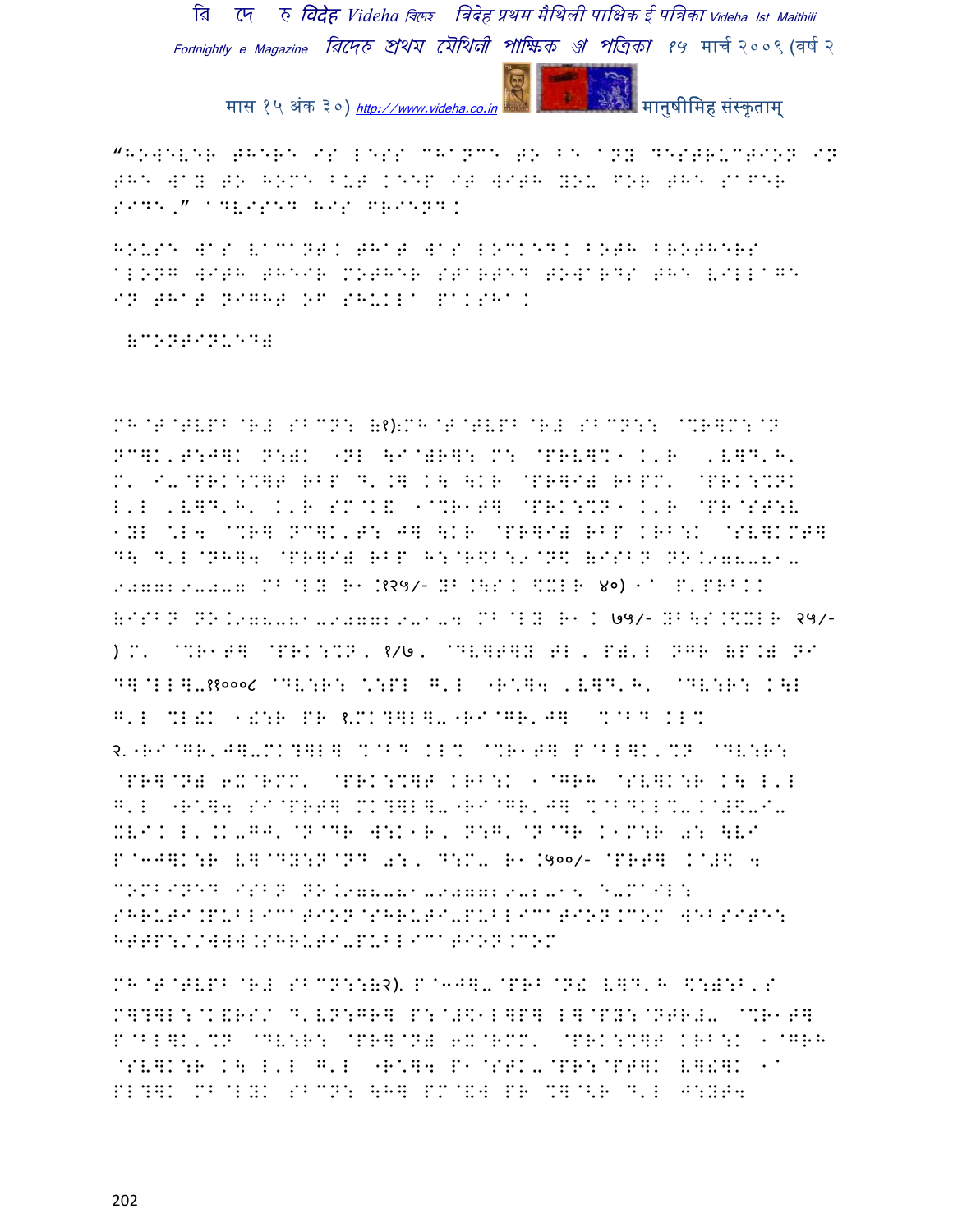मास १५ अंक ३०) <u>http://www.videha.co.in</u><br>सास १५ अंक ३०) <u>http://www.videha.co.in</u>

"HOWEVER THERE IS LESS CHaNCE TO BE aNY DESTRUCTION IN THE WaY TO HOME BUT KEEP IT WITH YOU FOR THE SaFER SIDE," aDVISED HIS FRIEND.

HOUSE WAS INTO THAT WAS ARRESTED TO BROTH BROTHERS. aLONG WITH THEIR MOTHER STaRTED TOWaRDS THE VILLaGE IN THaT NIGHT OF SHUKLa PaKSHa.

(CONTINUED)

MHOTE TO TEST SECTION OF THE SPECIAL SECTION OF THE SACTO THAT A SACTO THE SACTO THAT A SACTO THE SACTO THAT A NCHE SI ANG PILOT NA TEORETA NG MATERIAL NG MANGANG MARATIMO (NET) RI ANG PARTITION NA MARATIMO (NET) ANG PART M' I-@PRK:%]T RBP D'.] K\ \KR @PR]I) RBPM' @PRK:%NK L'L 'L LABRO KONG' K'R SMONDER PORTUGE "PORTUGE " AND " TE PORTUGE 1YL \*L4 @%R] NC]K'T: J] \KR @PR]I) RBP KRB:K @SV]KMT] DA D'LE CRARA CORARDA AFRICAN NA CARDINA CANDI RANDI ROMANIA (U 907729-0-7 MB@LY R1.१२५/- YB.\S. \$XLR ४०) 1a P'PRBKK  $E(T)$  ISBN  $E(T)$  Orders and  $E(T)$  and  $E(T)$  and  $E(T)$  is  $E(T)$  and  $E(T)$  and  $E(T)$  are  $E(T)$  and  $E(T)$  are  $E(T)$  and  $E(T)$  are  $E(T)$  and  $E(T)$  are  $E(T)$  and  $E(T)$  are  $E(T)$  and  $E(T)$  are  $E(T)$  and  $E(T)$  are  $E(T)$  are  $E(T)$ ) M' @%R1T] @PRK:%N, १/७, @DV]T]Y TL, P)'L NGR (P.) NI  $D^2$   $D^2$   $D^2$   $D^2$   $D^2$   $D^2$   $D^2$   $D^2$   $D^2$   $D^2$   $D^2$   $D^2$   $D^2$   $D^2$   $D^2$   $D^2$   $D^2$   $D^2$   $D^2$   $D^2$   $D^2$   $D^2$   $D^2$   $D^2$   $D^2$   $D^2$   $D^2$   $D^2$   $D^2$   $D^2$   $D^2$   $D^2$   $D^2$   $D^2$   $D^2$   $D^2$   $D^2$ G'L E SON SEN 1999 (RIGHT 1999) AND HE RIGHT CONTROLLED २. सेर 'मेस् नेप्रदा' प्रमाण (1991) है कि 'सिर्मान' में से स्वास्थ्य करता है। @PR]@N) 6X@RMM' @PRK:%]T KRB:K 1@GRH @SV]K:R K\ L'L G'L "R\*]4 SI@PRT] MK?]L]-"RI@GR'J] %@BDKL%-.@#\$-I-XI. KI. L'.K-GJI. L'A-GJI MENING KILI DE NG KATI NG KATI NG KALI NG KALI NG KALI NG KATI NG KATI NG KATI NG KA POSTED RECEPTS OF THE PRINCIPS ON A SERVE DESCRIPTION OF THE RECEPT . COMBINED ISBN NO.978-81-9078-81-9078-81-9078-81-9078-81-9078-81-9078-2-15 E-MAIL: SHRUTI.PUBLICaTION@SHRUTI-PUBLICaTION.COM WEBSITE: HTTP://WWW.SHRUTI-PUBLICaTION.COM

MH@T@TVPB@R# SBCN::(२). P@3J]-@PRB@N! V]D'H \$:):B'S MARBAR MISERI DALEGRARA PIRMIS LARI PER LE AMERICAN DALEGRARA PA P@BL]K'%N @DV:R: @PR]@N) 6X@RMM' @PRK:%]T KRB:K 1@GRH @SV]K:R K\ L'L G'L "R\*]4 P1@STK-@PR:@PT]K V]!]K 1a PL? MEDIA AND PRESENT AND MEDIA AND DESCRIPTION OF PRESENT AND DESCRIPTION OF PRESENT AND DESCRIPTION OF PRESENT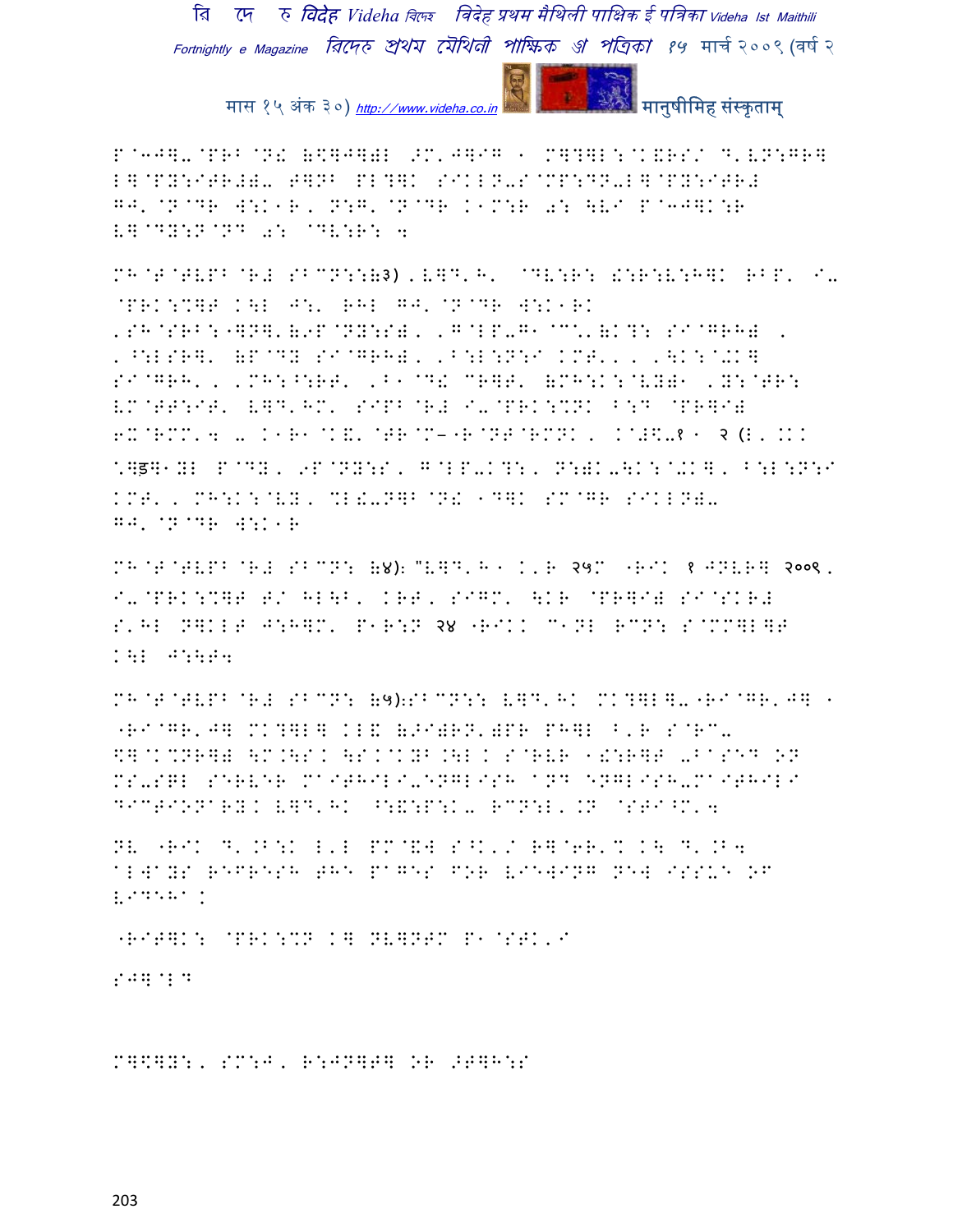मास १५ अंक ३०) <u>http://www.videha.co.in स्थिति क्रिके</u>डी **मानुषीमिह संस्कृताम्** 

P@3J]-@PRB@N! (\$]J])L >M'J]IG 1 M]?]L:@K&RS/ D'VN:GR] L]@PY:ITR#)- T]NB PL?]K SIKLN-S@MP:DN-L]@PY:ITR# GJ'@N@DR W:K1R, N:G'@N@DR K1M:R 0: \VI P@3J]K:R V]@DY:N@ND 0: @DV:R: 4

TH THOTHER THE SPOTTICE SO . ENVIRONS ON THIS HIS SECOND HOURS OF THE SACTO @PRK:%]T K\L J:' RHL GJ'@N@DR W:K1RK 'SH@SRB:"]N]'(9P@NY:S), 'G@LP-G1@C\*'(K?: SI@GRH) ,  $\cdot$ :LSR) (Particle Simple Simple Simple Simple Simple Simple Simple Simple Simple Simple Simple Simple Simple Simple Simple Simple Simple Simple Simple Simple Simple Simple Simple Simple Simple Simple Simple Simple Simpl SI@GRH', 'MH:^:RT' 'B1@D! CR]T' (MH:K:@VY)1 'Y:@TR: BOTH: VAN BER, AND SYPP THE POSTED MODEL FOR TEPPER 6X@RMM'4 - K1R1@K&'@TR@M–"R@NT@RMNK, .@#\$-१ 1 २ (L'.KK \*]ड़]1YL P@DY, 9P@NY:S, G@LP-K?:, N:)K-\K:@+K], B:L:N:I KMTE, MATERIAL BERGERIK INDUSTRIES SOMETIGE GJ'@N@DR W:K1R

MH TO TO BE SEE TO THE SECTION OF THE RELESS OF THE RELESS TO A RELESS TO RELESS TO A RELESS TO A RELESS TO A R I-withorshe as Arab. They prace ath thegra principal START DRIER HIGHET. PHRIN 30 (RAIC THOR ROOM) ROOM SOMERE  $\ldots$  .  $\ldots$ 

TH TE TEEPS TEE 27 TRI 189HIS TRIE EER. HI IN TEEPE HA HHY MEN HE V "RIGR'S MARK ON THE RIGHT OF RIGHT RIGHT RIGHT OF PHYLICAL BY PROVIDING  $\mathcal{R}$  )  $\mathcal{R}$  ,  $\mathcal{R}$  ,  $\mathcal{R}$  ,  $\mathcal{R}$  ,  $\mathcal{R}$  ,  $\mathcal{R}$  ,  $\mathcal{R}$  ,  $\mathcal{R}$  ,  $\mathcal{R}$  ,  $\mathcal{R}$  ,  $\mathcal{R}$  ,  $\mathcal{R}$  ,  $\mathcal{R}$  ,  $\mathcal{R}$  ,  $\mathcal{R}$  ,  $\mathcal{R}$  ,  $\mathcal{R}$  ,  $\mathcal{R}$  ,  $\mathcal{R}$  ,  $\$ MS-SARRE MAINEN MAITHILI-ENGLISH-MAITHILI-ENGLISH-MAITHILI-ENGLISH-MAITHILI-ENGLISH-MAITHILI-ENGLISH-MAITHILI-DICTIONARY. VIOLENCE, POSSIBIONARY. L'ESTIMANE L'ORISTANCE POLIN

NV "RIK D'AN DIRA DI RIK DI RIK DI RIK DI RIK DI RIK DI RIK DI RIK DI RIK DI RIK DI RIK DI RIK DI RIK DI RIK D aLWaYS REFRESH THE PaGES FOR VIEWING NEW ISSUE OF VIDEHa.

"RIT"K: @PRK: @PRK: @PRK: @PRK: @PRK: @PRK: @PRK: @PRK: @PRK: @PRK: @PRK: @PRK: @PRK: @PRK: @PRK: @PRK: @PRK: @<br>"P1@STK'II"K: @PRK: @PRK: @PRK: @PRK: @PRK: @PRK: @PRK: @PRK: @PRK: @PRK: @PRK: @PRK: @PRK: @PRK: @PRK: @PRK:

Spirage of the Spirage

M]\$]Y:, SM:J, R:JN]T] OR >T]H:S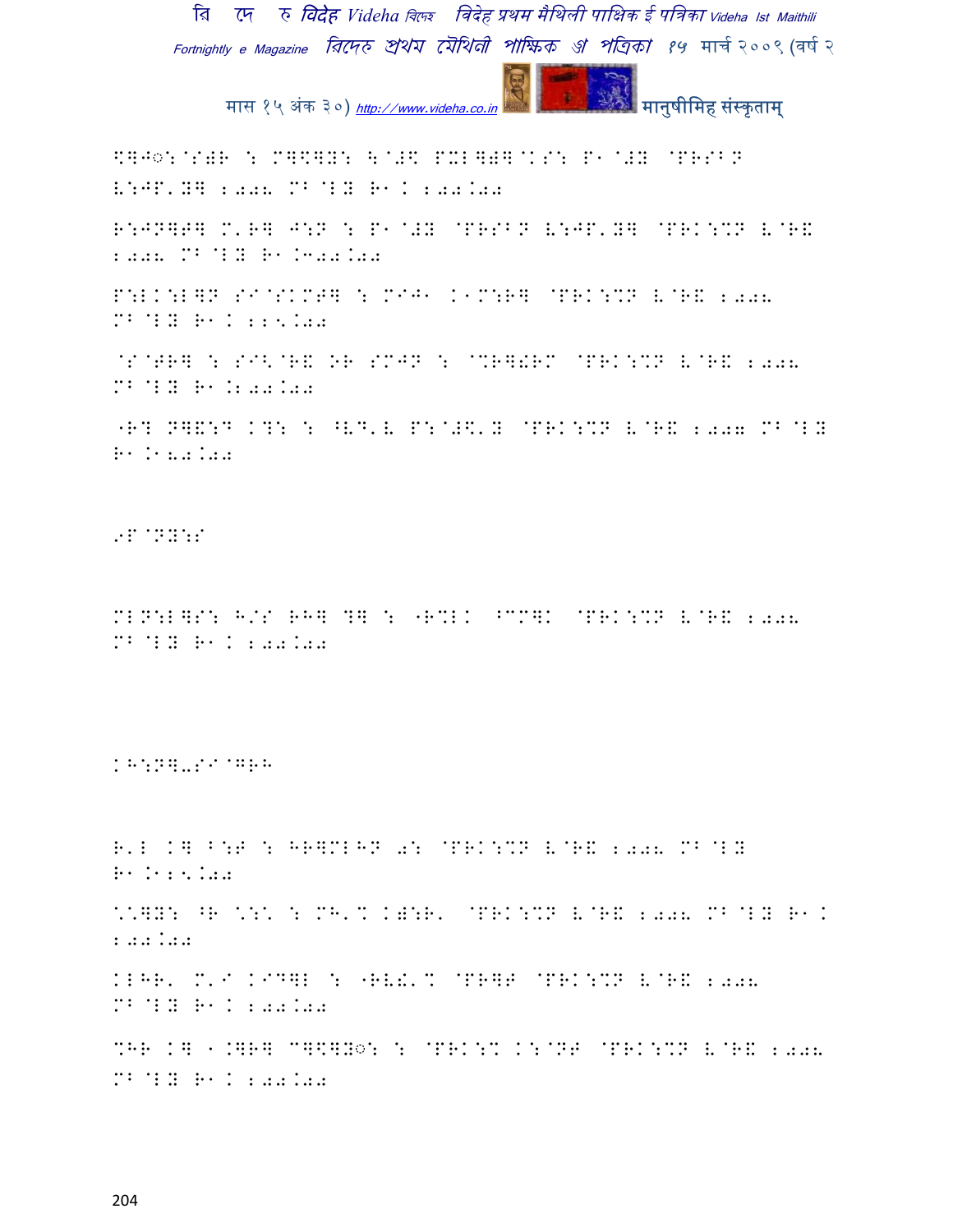मास १५ अंक ३०) http://www.videha.co.in स्थितीया मानुषीमिह संस्कृताम्

\$]J◌:@S)R : M]\$]Y: \@#\$ PXL])]@KS: P1@#Y @PRSBN EGATION FRAME CONSIDERATION

R:JANAH M.PH A:N : P1@#Y WHIP B:JAN.HB (PRSENT B:PE 2008 MB R1.300.000.000

P:LIS:LIN SIMILIST : MILL SIMILIST : MILL SIMILIST : MILL SIMILIST : MILL SIMILIS  $M$  R<sub>1</sub>. 225.000

@S@TR] : SI<@R& OR SMJN : @%R]!RM @PRK:%N V@R& 2008  $M$  rate of  $M$  rate  $M$  rate  $M$ 

"R? N]&:D K?: : ^VD'V P:@#\$'Y @PRK:%N V@R& 2007 MB@LY R1.180.00

9P@NY:S

MLPH: BML PAR TH N (POIL) POOR COMPANY LORD ESSE  $M$  R<sub>1</sub>. 200.000  $M$ 

 $t:0$ 

R'L KI, MORINA AND AN DIRECTOR OF THE MANAGEMENT OF THE MANAGEMENT OF THE MANAGEMENT OF THE MANAGEMENT OF THE R1.125.00 \*\*]Y: ^R \*:\* : MH'% K):R' @PRK:%N V@R& 2008 MB@LY R1.  $\mathbf{1}$  .  $\mathbf{2}$  .  $\mathbf{3}$  .  $\mathbf{4}$  .  $\mathbf{5}$ KLHR, MYSTICH : "REEVISTER MEERING" EN ROBBO MB@LY R1. 200.00 THE COURTS COORDING CONSTRUCTS CONTROLLED AND CONTROLLED AND RELEASE. MBC R1. 200.000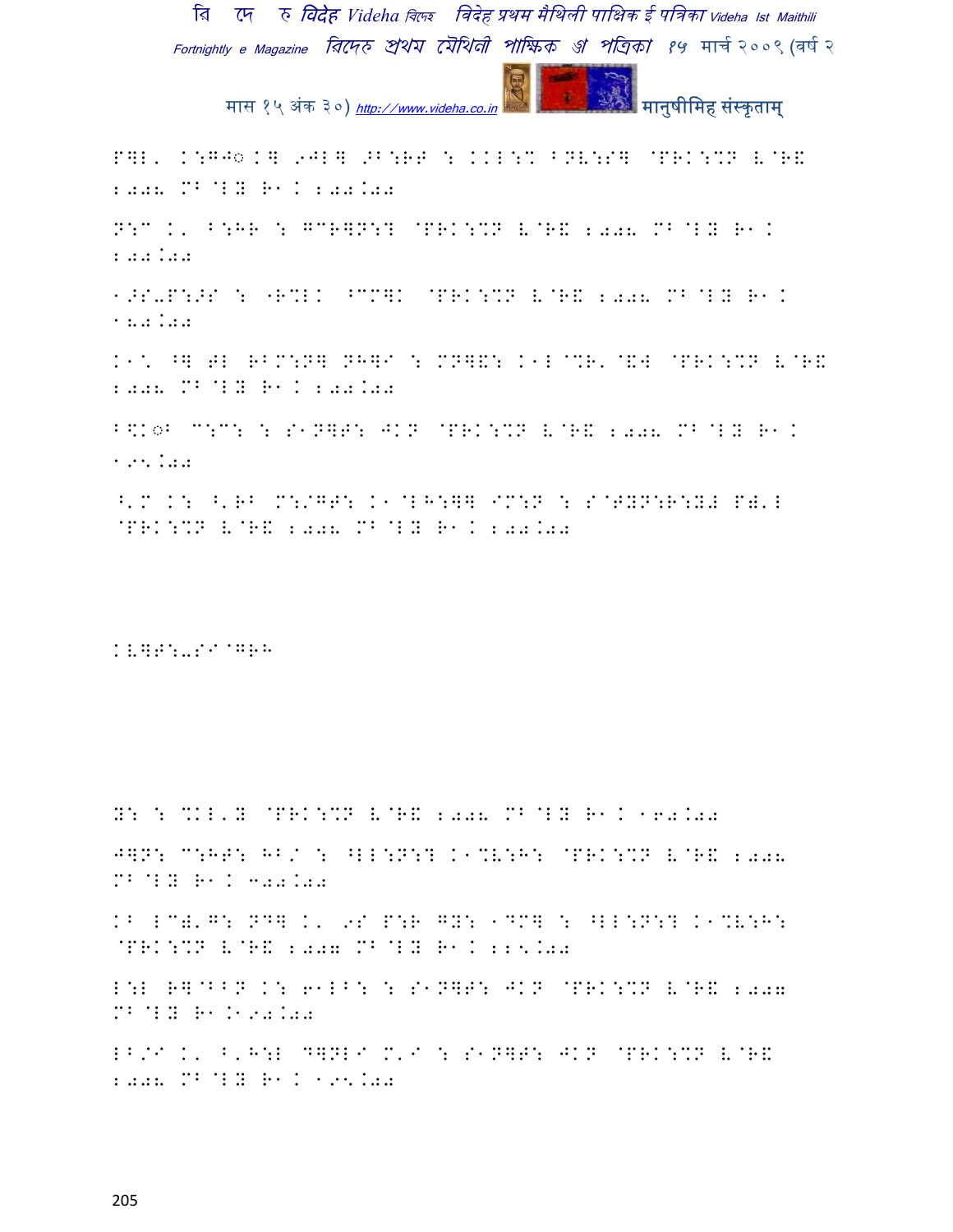मास १५ अंक ३०) <u>http://www.videha.co.in</u> स्थिति क्रिकेट मानुषीमिह संस्कृताम्

PHIL' CARROLE SHIRT PARK A COLAT FORACE CORDATO ECHO 2008 MB@LY R1. 200.00

N:C K' B:HR : GCREEN: CORDON BORD BAAR IN NORTH BY 200.000.000.<br>200.000.000.000.000.

1>S-P:>S : "R%LK ^CM]K @PRK:%N V@R& 2008 MB@LY R1. 180.00

K1\* A TL RBM:NI THE RESOLUTION OF A TURN TERMS OF RESOLUTION OF A TREE 2008 MB R1. 200.000

B\$KOR: C: C: C: SHE SHE SHE SHE SHE SHE SHE SHE BAKE 195.00

^'M K: ^'RB M:/GT: K1@LH:]] IM:N : S@TYN:R:Y# P)'L @PRK:%N V@R& 2008 MB@LY R1. 200.00

KV]T:-SI@GRH

Y: : %KL'Y @PRK:%N V@R& 2008 MB@LY R1. 160.00

HARY TYPEY PRIZE: HISPYT IS TEYPY TERIYOR ETER ESSA  $M$  rates and  $M$  rates and  $M$ 

KB LC DOM: NO PORT OF STREET IN THE STREET IN STREET IN THE STREET IN STREET IN STREET IN STREET IN STREET IN STREET @PRK:%N V@R& 2007 MB@LY R1. 225.00

L:L R]@BBN K: 61LB: : S1N]T: JKN @PRK:%N V@R& 2007  $M$  rate of the contract of the contract of the contract of the contract of the contract of the contract of the contract of the contract of the contract of the contract of the contract of the contract of the contract of th

LB/I K' B'H:L DI : SINDI : SINDI : SINDI : SINDI : SINDI : SINDI : SINDI : SINDI : SINDI : SINDI : SINDI : SIN **2008 MB MB BRITISH MEDICAL**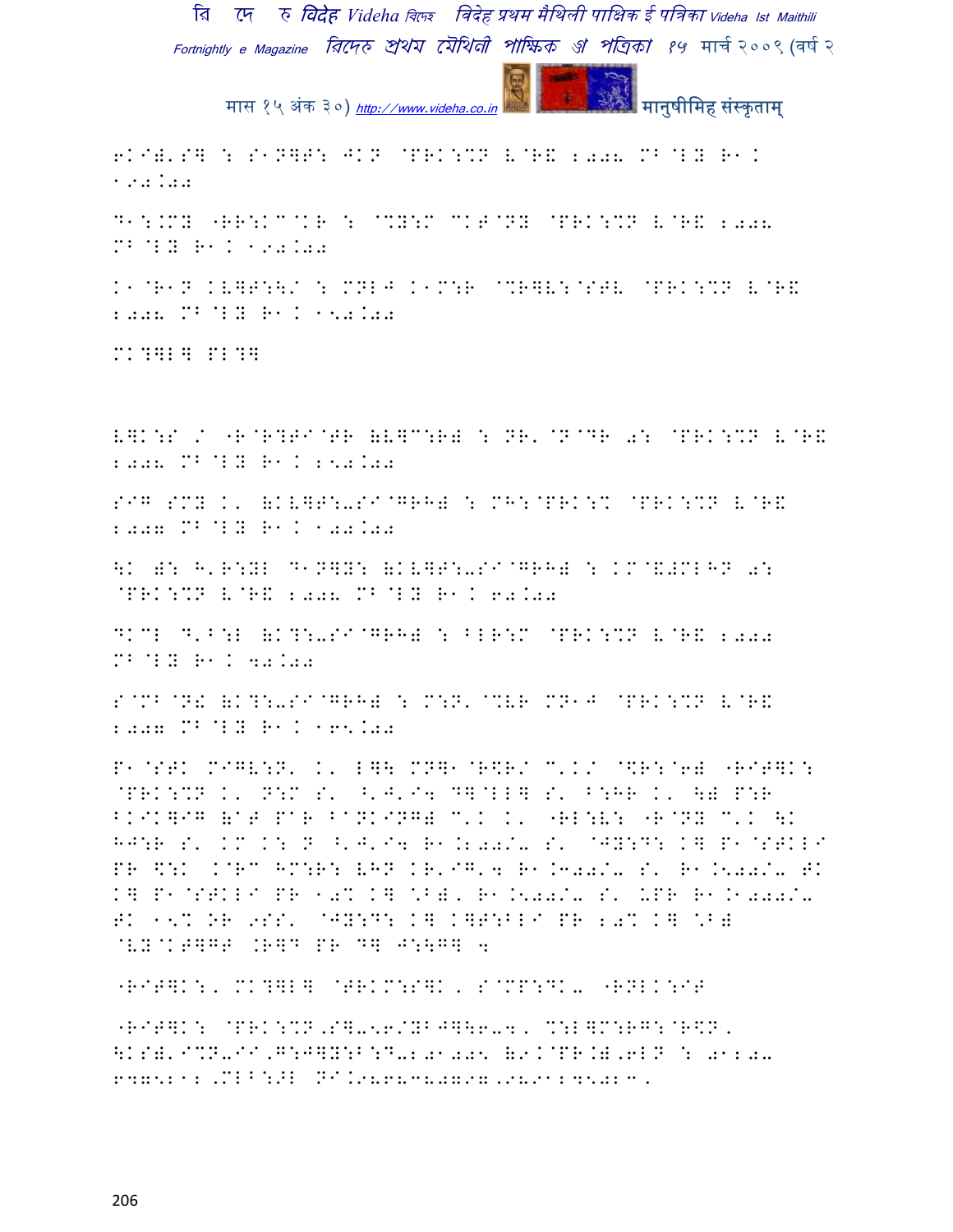मास १५ अंक ३०) <u>http://www.videha.co.in</u> स्थिति स्थिति सानुषीमिह संस्कृताम्

6COND. THE STANDARD STREET RESIDENCE AND RELEASED MANUFACTURE AND RELEASED MANUFACTURE AND RELEASED MANUFACTUR 190.00

D1:.MY "RR:KC@KR : @%Y:M CKT@NY @PRK:%N V@R& 2008 MB@LY R1. 190.00

K100R1N KORPORATOR WARD TO THE CONTROL CONTROL CONTROL AND ramm DV RB Ry Downlast

MARSHIPS PRESS

V]K:S / "R@R?TI@TR (V]C:R) : NR'@N@DR 0: @PRK:%N V@R& 2008 MB@LY R1. 250.00

SIG SIG SIGNED SIGNED IS NOT MESS ON SIGNED IN STR rade PV HB B+1 (adding

\K ): H'R:YL D1N]Y: (KV]T:-SI@GRH) : KM@&#MLHN 0: @PRK:%N V@R& 2008 MB@LY R1. 60.00

DKCL D'B:L (K?:-SI@GRH) : BLR:M @PRK:%N V@R& 2000 **MB** R1. 40.000 PM R1. 40.000

SMOTH (PEC BIJAGRA) : MEHHE (S): DAPLY CLEAR DIFFERENCE ON A VER S 1008 MB R1. 165.000 MB

P1@STK MIGV:N' K' L]\ MN]1@R\$R/ C'K/ @\$R:@6) "RIT]K: @PRK:%N K' N:M S' ^'J'I4 D]@LL] S' B:HR K' \) P:R BEAN BANKING (AT PARTICULAR BANKING) COMPARENT COMPARENT CONTROL CONTROL CONTROL CONTROL CONTROL CONTROL CONTR HJ:R S' KM K: N ^'J'I4 R1.200/- S' @JY:D: K] P1@STKLI PR \$:K .@RC HM:R: VHN KR'IG'4 R1.300/- S' R1.500/- TK **CA P1 MEDIA PR 10% KIND R1.5000** R1.5000 STR R1.5000/-TK 15% OR 9SS OR 9SS OR 9SS OR 9SS OR 9SS OR 9SS OR 9SS OR 9SS OR 9SS OR 9SS OR 9  $T\boxdot T$  . And  $T\boxdot T$  . Then  $T\boxdot T$  are defined as

"RITHPICS, MC. 1993 9 (1995) MSC PSPIL, SCOMPATION (PEPELOGY)

"RIT]K: @PRK:%N,S]-56/YBJ]\6-4, %:L]M:RG:@R\$N,  $K$ )  $K$  is a set of  $\mathbb{R}$  , the 2010 set of  $\mathbb{R}$  is a set of  $\mathbb{R}$  in  $\mathbb{R}$  is a set of  $\mathbb{R}$  is a set of  $\mathbb{R}$  is a set of  $\mathbb{R}$  is a set of  $\mathbb{R}$  is a set of  $\mathbb{R}$  is a set of  $\mathbb{R}$  is a 6475212,MLB:>L NI.9868380797,9891245023,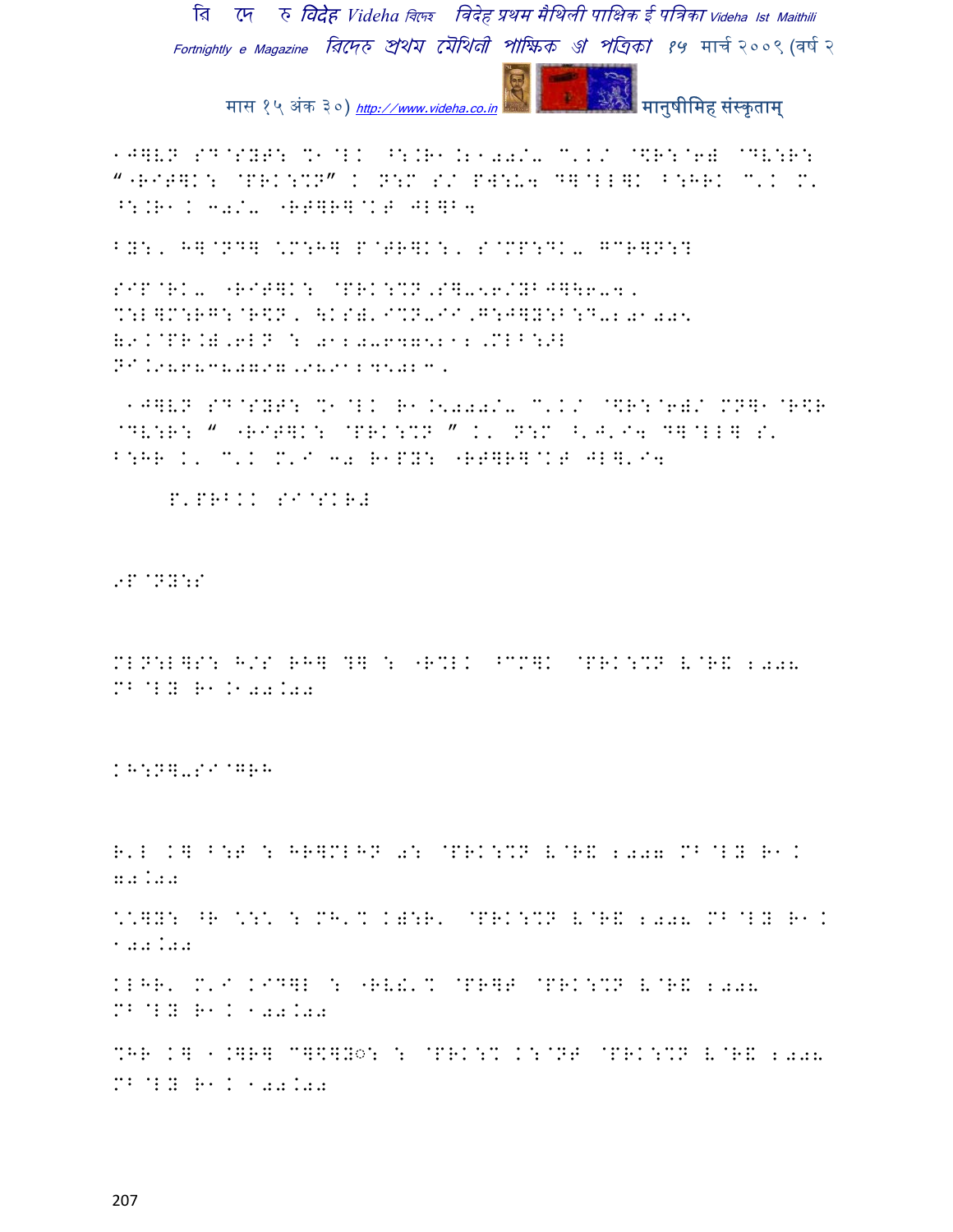मास १५ अंक ३०) <u>http://www.videha.co.in</u> स्थिति क्रिकेट मानुषीमिह संस्कृताम्

 $1$  PHER SON SCHES OF TELL PERFECTS SERIES ON CONFIDENT CONTROL "HRITH MPRINTS" ( PRO EN PARA PROFES FARM CLI D. \*::R1. 30/- "RTP"RESERT PRESS

BY:, HIMPS YOUR PORTH; SAMPLINE, SOMETIME

SIP@RK- "RIT"K: @PRK: @PRK: @PRK: @PRK: @PRK: @PRK: @PRK: @PRK: @PRK: @PRK: @PRK: @PRK: @PRK: @PRK: @PRK: @PRK: @PRK: @PRK: @PRK: @PRK: @PRK: @PRK: @PRK: @PRK: @PRK: @PRK: @PRK: @PRK: @PRK: @PRK: @PRK: @PRK: @PRK: @PRK: @P %:L]M:RG:@R\$N, \KS)'I%N-II,G:J]Y:B:D-201005 (9.@PR.),6LN : 0120-6475212,MLB:>L NI.9868380797,9891245023,

 1J]VN SD@SYT: %1@LK R1.5000/- C'K/ @\$R:@6)/ MN]1@R\$R @DV:R: " "RIT]K: @PRK:%N " K' N:M ^'J'I4 D]@LL] S' B:HR K' C'K M'I 30 R1PY: "RT]R]@KT JL]'I4

P.PRBKK SIMPLES

9P@NY:S

MLN:L]S: H/S RH] ?] : "R%LK ^CM]K @PRK:%N V@R& 2008 MB@LY R1.100.00

 $t:0$ 

R'L K] B:T : HR]MLHN 0: @PRK:%N V@R& 2007 MB@LY R1.  $\mathbf{r}$ .  $\mathbf{r}$ .  $\mathbf{r}$ .  $\mathbf{r}$ .  $\mathbf{r}$ 

\*\*]Y: ^R \*:\* : MH'% K):R' @PRK:%N V@R& 2008 MB@LY R1. 100.00

KLARI MIKIDIR' MARKAT MERE MELAND EMPERIMENT  $M$  rate of  $M$ . 100.000.000

THE CONSTRUCT TO THE CONTROL CONTROL CONTROL CONTROL CONTROL CONTROL CONTROL CONTROL CONTROL CONTROL CONTROL CONTROL CONTROL CONTROL CONTROL CONTROL CONTROL CONTROL CONTROL CONTROL CONTROL CONTROL CONTROL CONTROL CONTROL C MB R1. 100.000.000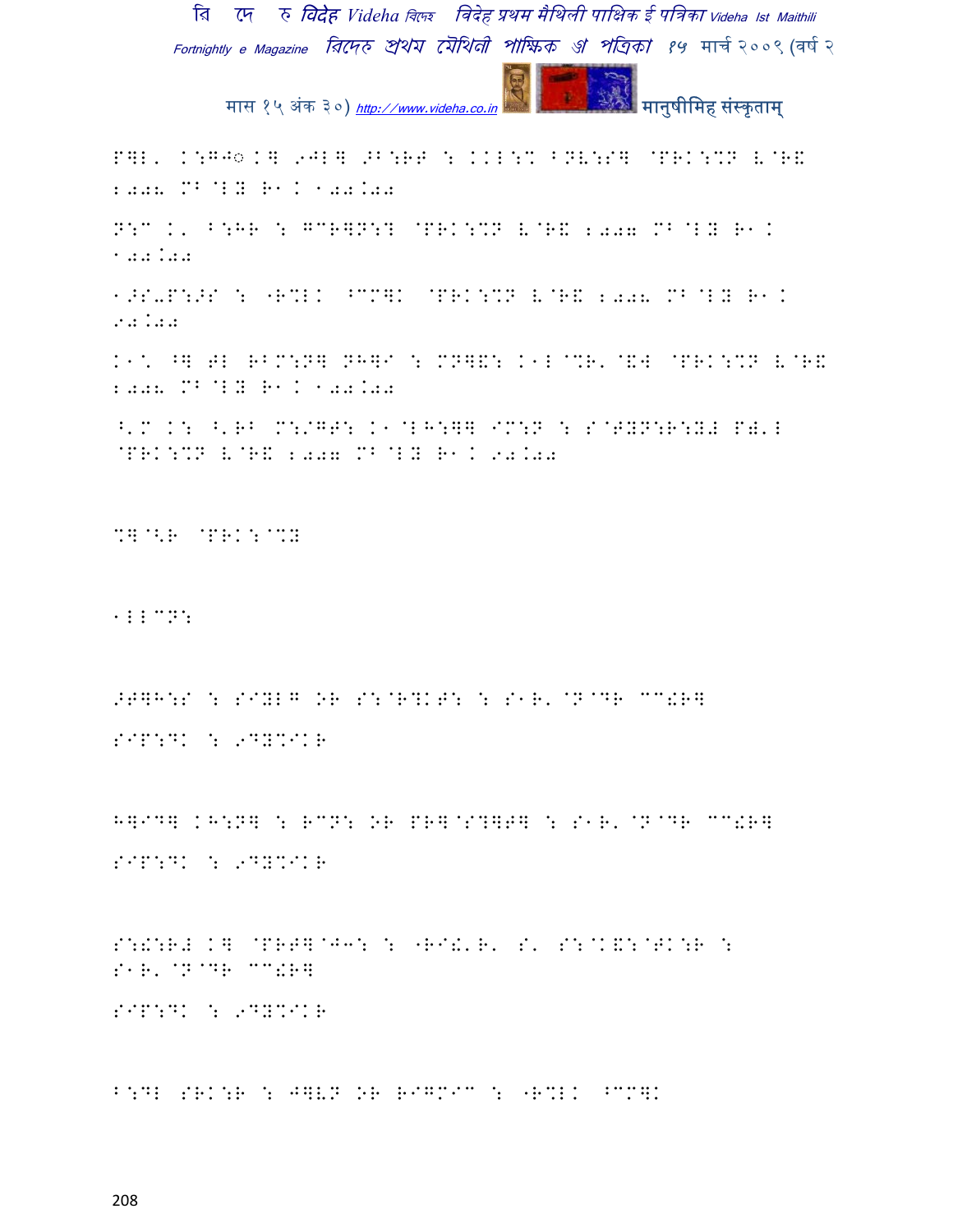मास १५ अंक ३०) <u>http://www.videha.co.in स्थिति क्रिके</u>टी **मानुषीमिह संस्कृताम्** 

PHIL' CARROLE SHIRT PARK A COLAT FORACE CORDATO ECHO 2008 MB@LY R1. 100.00

N:C K' B:HR : GCREEN: CORDON MEDICAL CHOICHER :  $\mathbf{1}_{\text{max}}$ 

1>S-P:>S : "R%LK ^CM]K @PRK:%N V@R& 2008 MB@LY R1. 90.00

K1\* NH RBM:NI THE PHEN & TUREN IN BOOK NEW YORK NOR WARREN 2008 MB@LY R1. 100.00

^'M K: ^'RB M:/GT: K1@LH:]] IM:N : S@TYN:R:Y# P)'L @PRK:%N V@R& 2007 MB@LY R1. 90.00

%]@<R @PRK:@%Y

1LLCN:

>T]H:S : SIYLG OR S:@R?KT: : S1R'@N@DR CC!R] SIP:DK : 9DX : 9DX : 9DX : 9DX : 9DX : 9DX : 9DX : 9DX : 9DX : 9DX : 9DX : 9DX : 9DX : 9DX : 9DX : 9DX : 9DX :<br>DAY: 9DY : 9DY : 9DY : 9DY : 9DY : 9DY : 9DY : 9DY : 9DY : 9DY : 9DY : 9DY : 9DY : 9DY : 9DY : 9DY : 9DY : 9DY

H]ID] KH:N] : RCN: OR PR]@S?]T] : S1R'@N@DR CC!R] SIP:DK : 9DY : 9DY : 9DY : 9DY : 9DY : 9DY : 9DY : 9DY : 9DY : 9DY : 9DY : 9DY : 9DY : 9DY : 9DY : 9DY : 9DY :

STEERED OF STRAKING ON SPACE, SINCE SINCE SECTION

SH, CE TH' TOGHE

SIP:DK : 9DY : 9DY : 9DY

208

B:DR SRK:R : JR SRK:R : POR RIGHT : "R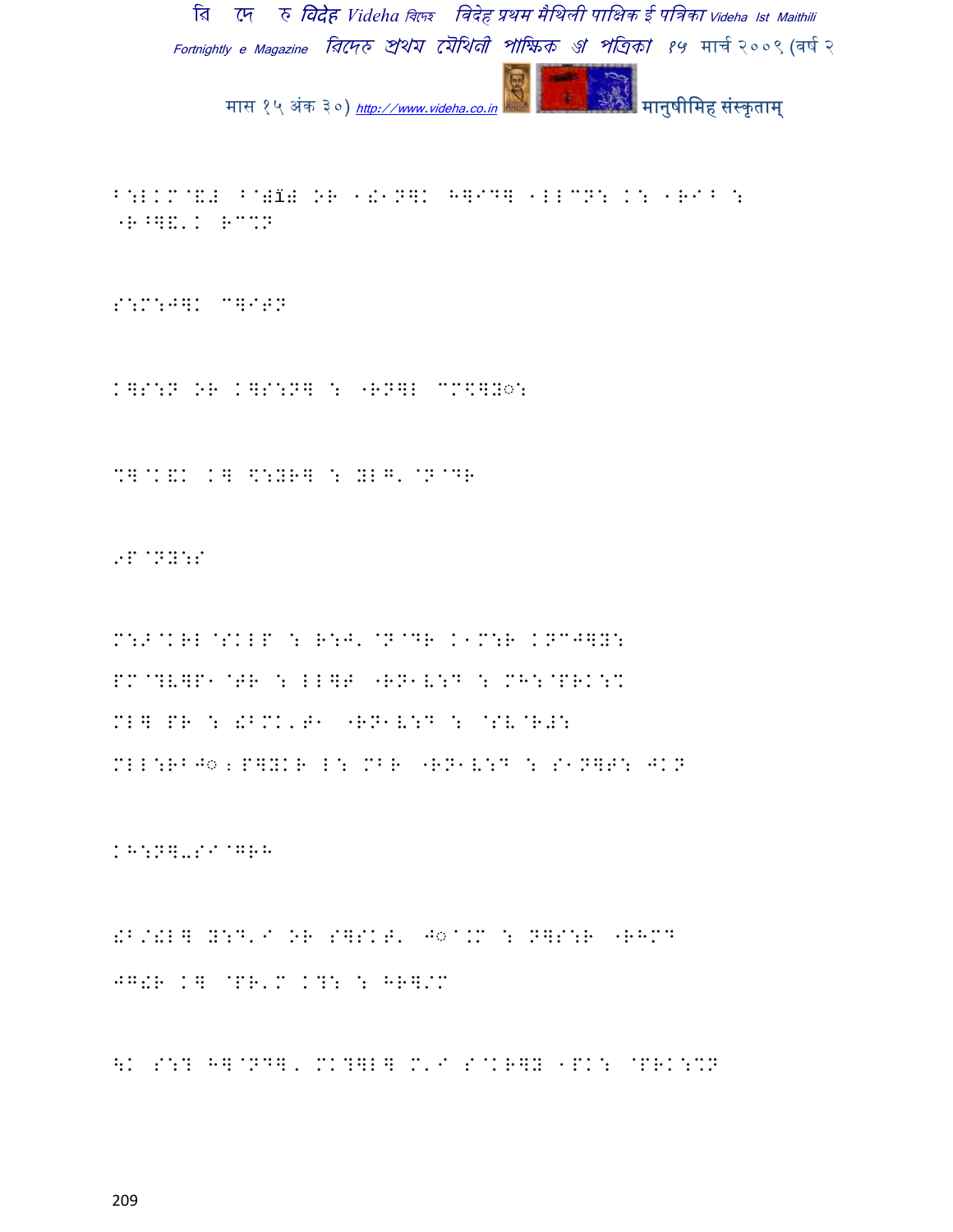मास १५ अंक ३०) <u>http://www.videha.co.in</u><br>सामान १५ अंक ३०) <u>http://www.videha.co.in</u>

B:LICAME: PIEL OR 12.99. PHOTO 11000 LICA DI 1 "ROWN" ROWN

S:M:W:M:

K:N OR KIN SIN OR KIN SIN OR KIN SIN OR KIN SIN OR KIN SIN OR KIN SIN OR KIN SIN OR KIN SIN OR KIN SIN OR KIN

%]@K&K K] \$:YR] : YLG'@N@DR

9P@NY:S

MY: MORE THAN IN RIGHT OF THE CONTROL COMPRIENT PM@?V]P1@TR : LL]T "RN1V:D : MH:@PRK:% MARIN PRODUCED STATES IN THE SAME OF SALES MLL:RBJ=0: PHHIE: MS MPR "RN-LST" : SYNHR "RIN

KH:N]-SI@GRH

BUILD BY A SE PRICE, SO NI A PRINE SPATT JG!R K] @PR'M K?: : HR]/M

\K S:? H]@ND], MK?]L] M'I S@KR]Y 1PK: @PRK:%N

209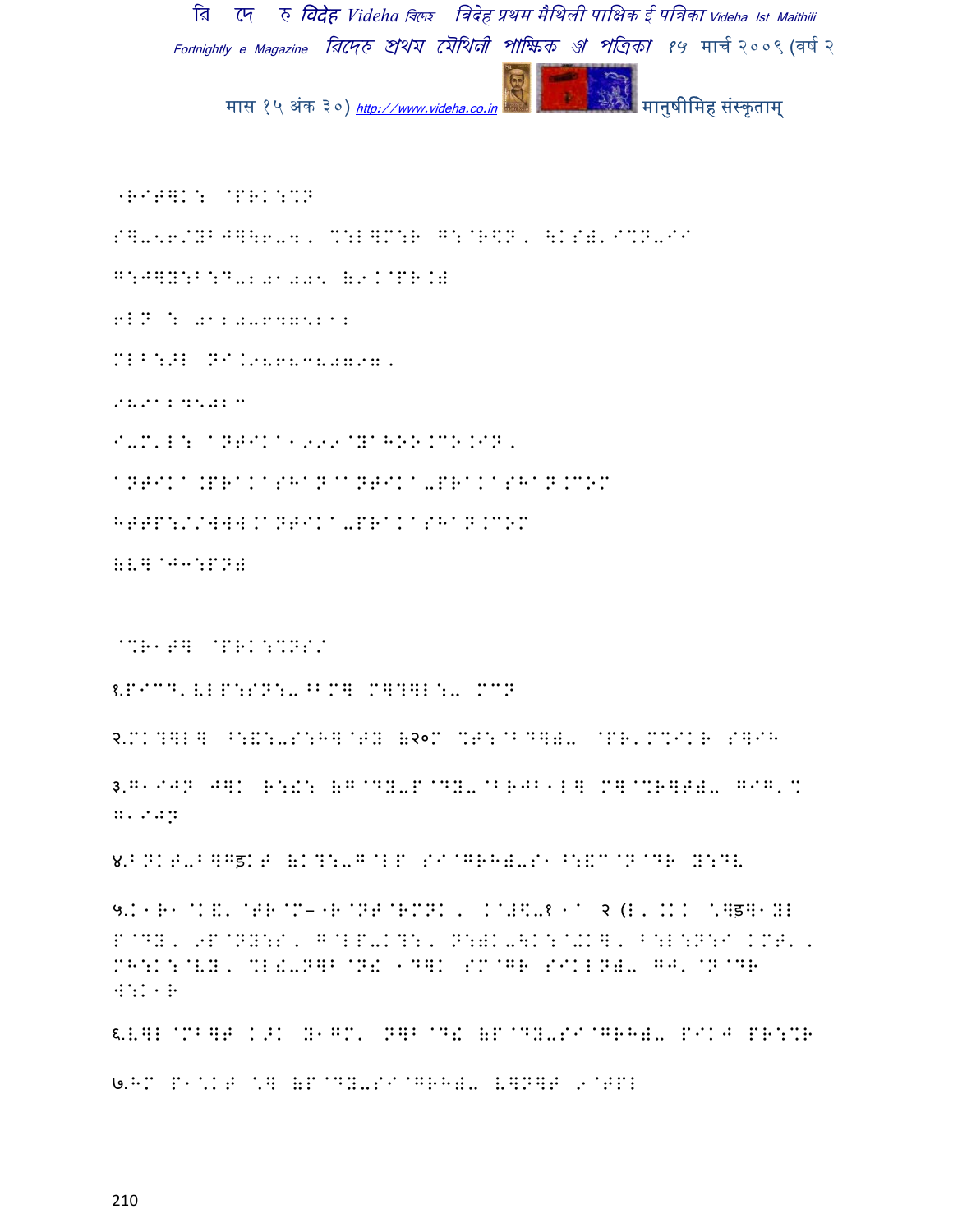मास १५ अंक ३०) <u>http://www.videha.co.in</u> स्थिति स्थिति । मानुषीमिह संस्कृताम्

"RIT]K: @PRK:%N S]-56/YBJ]\6-4, %:L]M:R G:@R\$N, \KS)'I%N-II G:J]Y:B:D-201005 (9.@PR.) 6LN : 0120-6475212 MLB:DOCARDSSERVER 9891245023 I-M'L: aNTIKa1999@YaHOO.CO.IN, antika pada tahun 1992 yang bermula pada 200 menerika pada tahun 1993. Pada tahun 1993 yang bermula pada tahun HTTP://WWW.aNTIKa-PRaKaSHaN.COM  $H$ .  $H$   $H$   $H$   $H$   $H$   $H$   $H$   $H$ 

@%R1T] @PRK:%NS/

1.PHOTO: ALLE THE SANDALISMS OF THE SANDWARD MALL COMPARISON

२.MM 9889 9. MK? HIMA: HIMA: HIMA: HIMA: HIMA: HIMA: HIMA: HIMA: HIMA: BID)- & BECAR

३.<del>G11.049 491 \$1111 Start Gall</del> Computer Computer Computer Computer Computer Computer Computer Computer Computer Harange

४.BNKT-B]Gड़KT (K?:-G@LP SI@GRH)-S1^:&C@N@DR Y:DV

 $9.1 + i \cdot 12.1$  with the  $3.1 + i \cdot 12.1$  in  $2.1 + i \cdot 12.1$  in  $3.1 + i \cdot 12.1$  in  $1.1 + i \cdot 12.1$ P@DY, 9P@NY:S, G@LP-K?:, N:)K-\K:@+K], B:L:N:I KMT', MH:K:@VY, %L!-N]B@N! 1D]K SM@GR SIKLN)- GJ'@N@DR W:K1R

६.V]L@MB]T K>K Y1GM' N]B@D! (P@DY-SI@GRH)- PIKJ PR:%R ७.HM P1\*KT \*] (P@DY-SI@GRH)- V]N]T 9@TPL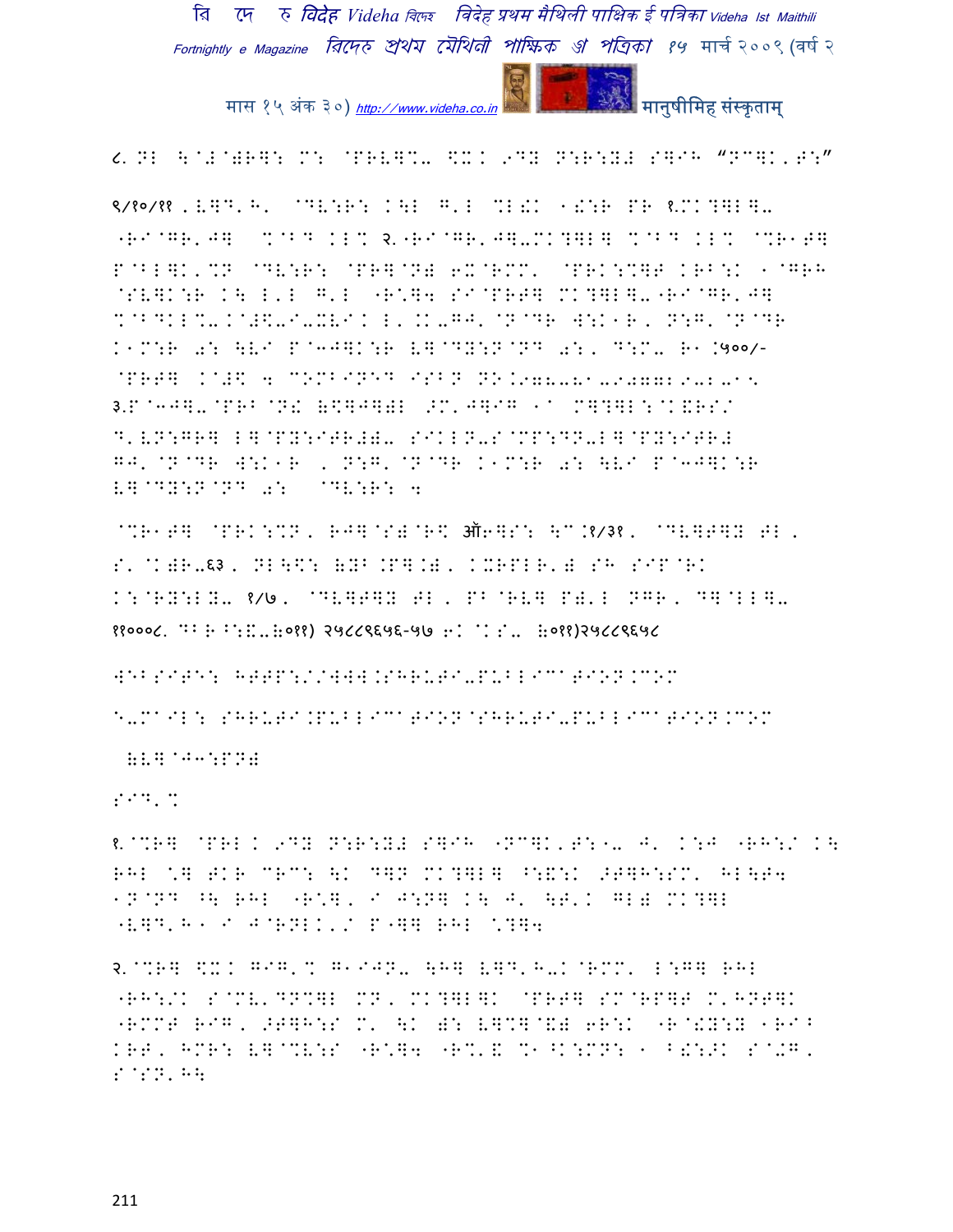मास १५ अंक ३०) <u>http://www.videha.co.in स्थिति क्रिके</u>डी **मानुषीमिह संस्कृताम्** 

८. NL \@#@)R]: M: @PRV]%- \$X. 9DY N:R:Y# S]IH "NC]K'T:"

९/१०/११ : ERP. P. (19ENBN 19E) P. E. (19E) - ENR (FR १.M. GRE R.,  $R$  (RIC CREAR CROSS RIGHT) & CHAPTRE, ARLITIC TREFT (NORTH SECTION) THAT REFERE P@BL]K'%N @DV:R: @PR]@N) 6X@RMM' @PRK:%]T KRB:K 1@GRH @SV]K:R K\ L'L G'L "R\*]4 SI@PRT] MK?]L]-"RI@GR'J] %@BDKL%-.@#\$-I-XVI. L'.K-GJ'@N@DR W:K1R, N:G'@N@DR K1M:R 0: \VI P@3J]K:R V]@DY:N@ND 0:, D:M- R1.५००/- @PRT] .@#\$ 4 COMBINED ISBN NO.978-81-907729-2-15 ३.P@3J]-@PRB@N! (\$]J])L >M'J]IG 1a M]?]L:@K&RS/ D'VN:GR] L]@PY:ITR#)- SIKLN-S@MP:DN-L]@PY:ITR# GJ'@N@DR W:K1R , N:G'@N@DR K1M:R 0: \VI P@3J]K:R EUSCHER VAN WEDER WARDEN

@%R1T] @PRK:%N, RJ]@S)@R\$ ऑ6]S: \C.१/३१, @DV]T]Y TL, STARBER (STATT (WAS SERVED AND SHELL AND SHELL K: N: NE RYG, DOVERT PROVINCE PORT PORT PROVINCE PORT PROVINCE.  $88000C.$   $\cdots$ :  $\cdots$ : $\cdots$ :  $\cdots$ 988) २५८८९६५६-५७  $\cdots$ :  $\cdots$ :  $\cdots$  688)२५८८९६५८

WEBSITE: HTTP://WWW.SHRUTI-PUBLICaTION.COM

E-MaIL: SHRUTI.PUBLICaTION@SHRUTI-PUBLICaTION.COM

(V]@J3:PN)

 $\mathbb{R}^2$  side  $\mathbb{R}^2$  . The side of  $\mathbb{R}^2$ 

१.@%R] @PRL. 9DY N:R:Y# S]IH "NC]K'T:"- J' K:J "RH:/ K\ RHL \*19 TKR CRC: NHL \*19 TKR CRCHER \*1000 AND \*1000 AND \*1000 1919 C RHL "ROB, I J:N] KY H, RE, C HE CONTR  $\overline{1}$ 

२. "198 X. K. C. B. G. Y. GIGG' GHE ERR. B. C. C. C. C. C. G. B. B. "RH:/K S@MV'DN%]L MN, MK?]L]K @PRT] SM@RP]T M'HNT]K "RMMT RIG, >T]H:S M' \K ): V]%]@&) 6R:K "R@!Y:Y 1RI^ KRAT, HMR: VATURAR, HRVAN, NEW ORTHOG, TERRITORY IN BEST SMS SHOW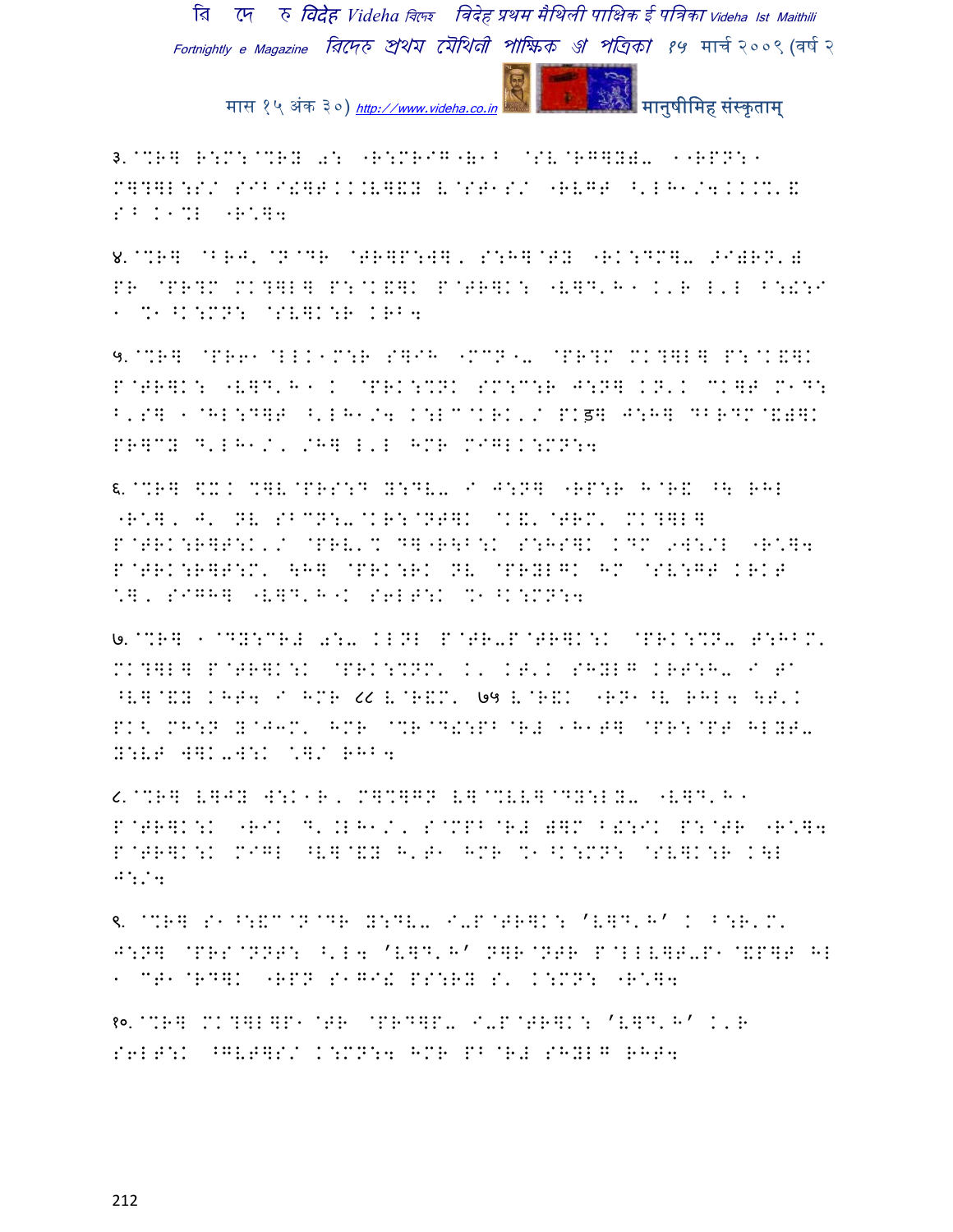मास १५ अंक ३०) <u>http://www.videha.co.in</u><br>सास १५ अंक ३०) <u>http://www.videha.co.in</u>

३.@%R] R:M:@%RY 0: "R:MRIG"(1B @SV@RG]Y)- ""RPN:" M]?]L:S/ SIBI!]T...V]&Y V@ST1S/ "RVGT ^'LH1/4...%'& S^ K1%L "R\*]4

४.@%R] @BRJ'@N@DR @TR]P:W], S:H]@TY "RK:DM]- >I)RN') PR @PR?M MK?]L] P:@K&]K P@TR]K: "V]D'H" K'R L'L B:!:I 1 %1^K:MN: @SV]K:R KRB4

५.@%R] @PR61@LLK1M:R S]IH "MCN"- @PR?M MK?]L] P:@K&]K P. TRIKED GOORLEVEL AND COMPATING THE CONSTRUCTION OF THE CONTROL OF THE CONTROL OF THE CONTROL OF THE CONTROL B.PH (MHINH:D.PH(A:D)T COMPONED PRESS AND DESCRIPTION PR]CY D'LH1/, /H] L'L HMR MIGLK:MN:4

६.@%R] \$X. %]V@PRS:D Y:DV- I J:N] "RP:R H@R& ^\ RHL  $R^2$  . The state of the set of the state of the state  $R^2$  and  $R^2$ P@TRK:R]T:K'/ @PRV'% D]"R\B:K S:HS]K KDM 9W:/L "R\*]4 P@TRK:R]T:M' \H] @PRK:RK NV @PRYLGK HM @SV:GT KRKT \*], SIGH] "V]D'H"K S6LT:K %1^K:MN:4

७.@%R] 1@DY:CR# 0:- KLNL P@TR-P@TR]K:K @PRK:%N- T:HBM' MKRAFK PORTHER KOMPONERS AND KATHER STRAINS AND  $V^*$  Fig. I HMR  $V^*$  in the  $V^*$  conduction of  $V^*$  of  $V^*$  in the  $V^*$  respectively. The  $V^*$ PK< MH:N Y@J3M' HMR @%R@D!:PB@R# 1H1T] @PR:@PT HLYT-Y:VT W]K-W:K \*]/ RHB4

८.@%R] V]JY W:K1R, M]%]GN V]@%VV]@DY:LY- "V]D'H" P@TR]K:K "RIK D'.LH1/, S@MPB@R# )]M B!:IK P:@TR "R\*]4 P. MARAD NO. (1978) - PARTICO (PRIAR) AND KING SOVIETING (MARININAE) 1981  $H:U$ 

९. @ WHEN SHEM YESHED STATES STATES IN THE REAL POST OF TREATERS IN MILLER WITH A REAL POST OF THE ASSAULT AND J:N] @PRS@NNT: ^'L4 'V]D'H' N]R@NTR P@LLV]T-P1@&P]T HL 1 CT1@RD]K "RPN S1GI! PS:RY S' K:MN: "R\*]4

१०. MIRH ON THE HER CHR OTERTHEIN (PINE MERH) & 1918, P. C. C. B. S6LT:K PROGRESS SHYLG RHT4 HMR PB@R# SHYLG RHT4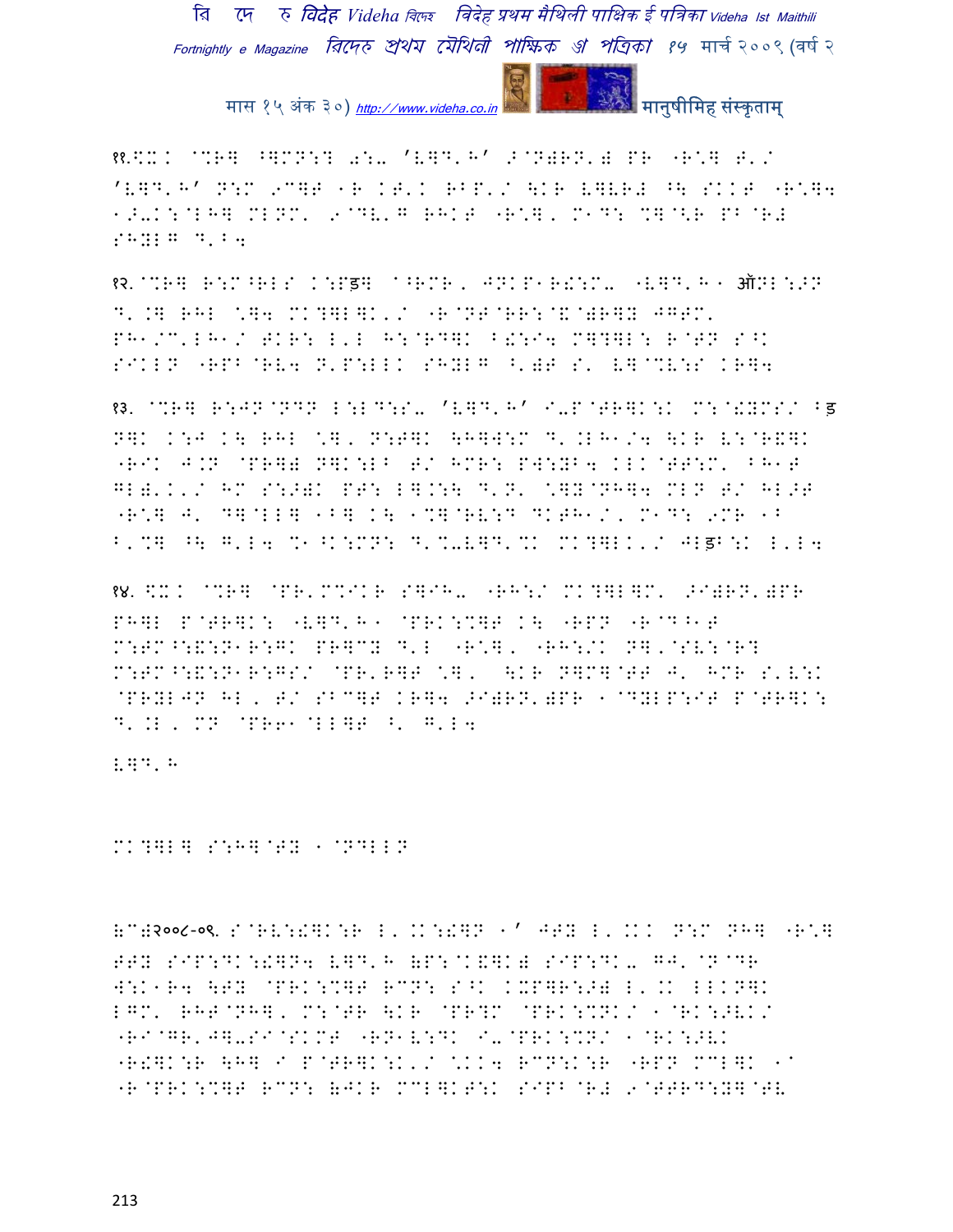मास १५ अंक ३०) <u>http://www.videha.co.in NASA सानु</u>षीमिह संस्कृताम्

११.\$X. @%R] ^]MN:? 0:- 'V]D'H' >@N)RN') PR "R\*] T'/  $V$ do the  $V$  decay of  $V$  and  $V$  and  $V$  is the  $V$  -control  $V$  . The  $V$  decay of  $V$  and  $V$  and  $V$  and  $V$  and  $V$  and  $V$  and  $V$  and  $V$  and  $V$  and  $V$  and  $V$  and  $V$  and  $V$  and  $V$  and  $V$  and  $V$  and  $V$  and 1>-K:@LH] MLNM' 9@DV'G RHKT "R\*], M1D: %]@<R PB@R# SHILG DE

१२.@%R] R:M^RLS K:Pड़] @^RMR, JNKP1R!:M- "V]D'H" ऑNL:>N D'. D'A GEART (1944) D'. RABEAU LONG AR 194 MARA 18 MAIRA AN ARADO PH1/C'LH1/ TKR: L'L H:@RD]K B!:I4 M]?]L: R@TN S^K SIKLA DI PIPER TENNY DI POLANA NY SINASAN' NY NANONA AO ARA-

१३. @%R] R:JN@NDN L:LD:S- 'V]D'H' I-P@TR]K:K M:@!YMS/ Bड़ NAIK: I GA: I GA: BAE (1014), NGAARI (1494-457), N: TI A-CH1, AI B: B: EG (BERE) "RIK J.N @PR]) N]K:LB T/ HMR: PW:YB4 KLK@TT:M' BH1T HEBUIL I HI SYAHI TAN EA DHE MUN TIN DANA DE MOHA LA NH  $R$  , and the set of the set of the problems of the set of the set of the set of the set of the set of the set of the set of the set of the set of the set of the set of the set of the set of the set of the set of the set o  $B$  , the state of the values of the values of the values of  $\mathcal{A}$  and  $\mathcal{B}$  and  $\mathcal{B}$  . In the

१४. \$X. @%R] @PR'M%IKR S]IH- "RH:/ MK?]L]M' >I)RN')PR PHIL PORRIN "VIRT, PACTRICITE ON CHPP" APOTHAI M:B:N:B:R:BH: PREME R.E. (PNE, (PREM) PE,/KEN/DE M:THO: N:THE THE NEW SERVICE OF A NUMBER @PRYLJN HL, T/ SBC]T KR]4 >I)RN')PR 1@DYLP:IT P@TR]K: D'.L, MN @PR61@LL]T ^' G'L4

 $\mathbb{R}$   $\mathbb{R}$   $\mathbb{R}$   $\mathbb{R}$   $\mathbb{R}$   $\mathbb{R}$ 

MK?]L] S:H]@TY 1@NDLLN

(E)2008-09. SMRK: HERV: NECELO IN NETHE (FOR THE NETHE OF THE SERVE NETHER IN NET FOR SIP:DIK: NATHER (P: DATE: NATHER (P: DATE: NATHER GOT (P: DATE: NATHER GALLERY) SIP:DAGE W:K1R4 APR (PRESSOR PTP) ET RICOLERANA EL CONTEXPRO LGM' RHT@NH], M:@TR \KR @PR?M @PRK:%NK/ 1@RK:>VK/ "RIGR'S "RIGHT" "RIGHT" "RIGHT" "RIGHT" "RIGHT" "RIGHT" "RIGHT" "RIGHT" "RIGHT" "RIGHT" "RIGHT" "RIGHT" "RIGHT"  $R$ REARD NEW ASSESSMENT IN A ROUND A REPORT NEW MANUFACTURE IN A ROUND MANUFACTURE IN A REPORT OF THE RELATION OF  $R$  $R$  and the compact of the control of the significant significant particles of the  $\mathcal{L}_\text{max}$